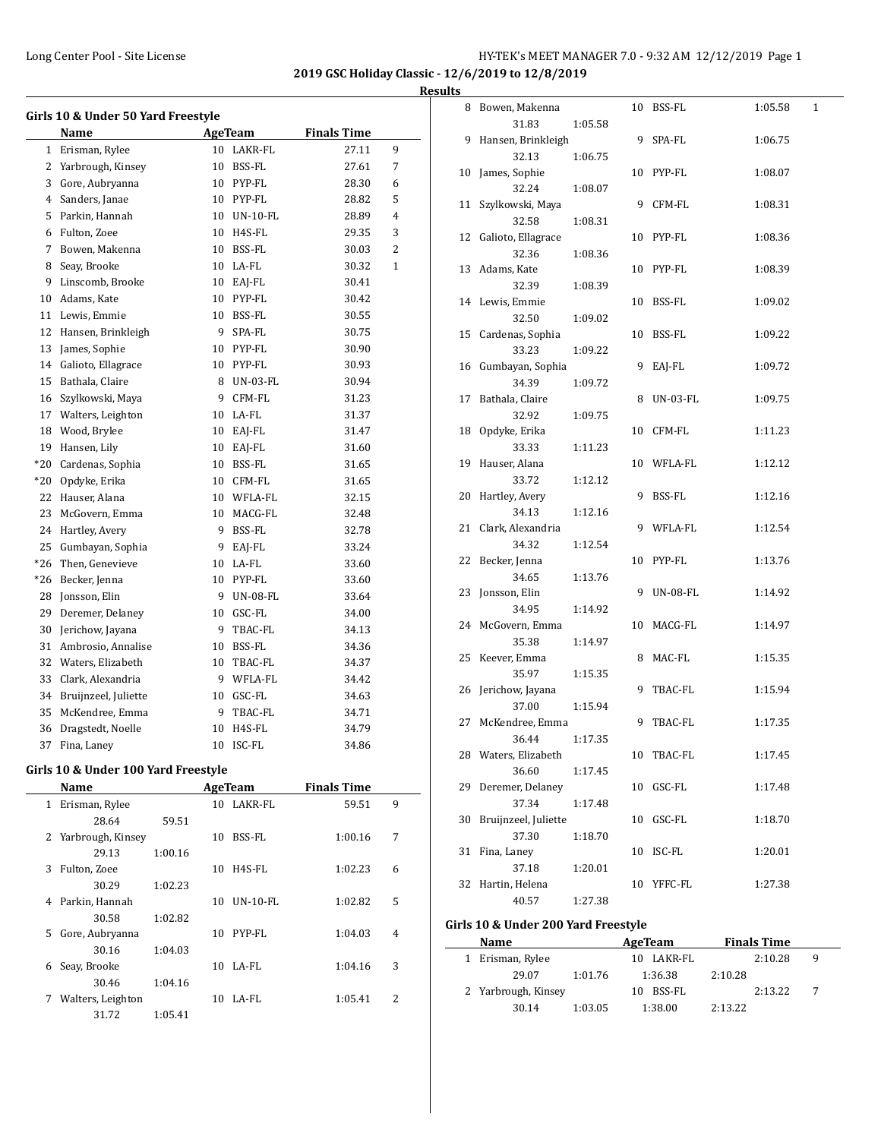**2019 GSC Holiday Classic - 12/6/2019 to 12/8/2019**

#### **Results**

|              | Girls 10 & Under 50 Yard Freestyle |        |             |                    |   |
|--------------|------------------------------------|--------|-------------|--------------------|---|
|              | Name                               |        | AgeTeam     | <b>Finals Time</b> |   |
| $\mathbf{1}$ | Erisman, Rylee                     |        | 10 LAKR-FL  | 27.11              | 9 |
| 2            | Yarbrough, Kinsey                  | $10-1$ | BSS-FL      | 27.61              | 7 |
| 3            | Gore, Aubryanna                    |        | 10 PYP-FL   | 28.30              | 6 |
| 4            | Sanders, Janae                     |        | 10 PYP-FL   | 28.82              | 5 |
| 5            | Parkin, Hannah                     |        | 10 UN-10-FL | 28.89              | 4 |
| 6            | Fulton, Zoee                       |        | 10 H4S-FL   | 29.35              | 3 |
| 7            | Bowen, Makenna                     |        | 10 BSS-FL   | 30.03              | 2 |
| 8            | Seav, Brooke                       |        | 10 LA-FL    | 30.32              | 1 |
| 9            | Linscomb, Brooke                   |        | 10 EAJ-FL   | 30.41              |   |
| 10           | Adams, Kate                        |        | 10 PYP-FL   | 30.42              |   |
| 11           | Lewis, Emmie                       |        | 10 BSS-FL   | 30.55              |   |
| 12           | Hansen, Brinkleigh                 | 9      | SPA-FL      | 30.75              |   |
| 13           | James, Sophie                      |        | 10 PYP-FL   | 30.90              |   |
| 14           | Galioto, Ellagrace                 |        | 10 PYP-FL   | 30.93              |   |
| 15           | Bathala, Claire                    |        | 8 UN-03-FL  | 30.94              |   |
| 16           | Szylkowski, Maya                   |        | 9 CFM-FL    | 31.23              |   |
| 17           | Walters, Leighton                  |        | 10 LA-FL    | 31.37              |   |
| 18           | Wood, Brylee                       |        | 10 EAI-FL   | 31.47              |   |
| 19           | Hansen, Lily                       |        | 10 EAJ-FL   | 31.60              |   |
| $*20$        | Cardenas, Sophia                   |        | 10 BSS-FL   | 31.65              |   |
| *20          | Opdyke, Erika                      |        | 10 CFM-FL   | 31.65              |   |
| 22           | Hauser, Alana                      |        | 10 WFLA-FL  | 32.15              |   |
| 23           | McGovern, Emma                     |        | 10 MACG-FL  | 32.48              |   |
| 24           | Hartley, Avery                     |        | 9 BSS-FL    | 32.78              |   |
| 25           | Gumbayan, Sophia                   |        | 9 EAI-FL    | 33.24              |   |
| $*26$        | Then, Genevieve                    |        | 10 LA-FL    | 33.60              |   |
| $*26$        | Becker, Jenna                      |        | 10 PYP-FL   | 33.60              |   |
| 28           | Jonsson, Elin                      |        | 9 UN-08-FL  | 33.64              |   |
| 29           | Deremer, Delaney                   |        | 10 GSC-FL   | 34.00              |   |
| 30           | Jerichow, Jayana                   | 9      | TBAC-FL     | 34.13              |   |
| 31           | Ambrosio, Annalise                 |        | 10 BSS-FL   | 34.36              |   |
| 32           | Waters, Elizabeth                  |        | 10 TBAC-FL  | 34.37              |   |
| 33           | Clark, Alexandria                  |        | 9 WFLA-FL   | 34.42              |   |
| 34           | Bruijnzeel, Juliette               |        | 10 GSC-FL   | 34.63              |   |
| 35           | McKendree, Emma                    |        | 9 TBAC-FL   | 34.71              |   |
| 36           | Dragstedt, Noelle                  |        | 10 H4S-FL   | 34.79              |   |
| 37           | Fina, Lanev                        | 10     | ISC-FL      | 34.86              |   |

#### **Girls 10 & Under 100 Yard Freestyle**

|    | Name                |         |    | <b>AgeTeam</b> | <b>Finals Time</b> |   |
|----|---------------------|---------|----|----------------|--------------------|---|
| 1  | Erisman, Rylee      |         | 10 | LAKR-FL        | 59.51              | 9 |
|    | 28.64               | 59.51   |    |                |                    |   |
|    | 2 Yarbrough, Kinsey |         | 10 | BSS-FL         | 1:00.16            | 7 |
|    | 29.13               | 1:00.16 |    |                |                    |   |
| 3  | Fulton, Zoee        |         | 10 | H4S-FL         | 1:02.23            | 6 |
|    | 30.29               | 1:02.23 |    |                |                    |   |
| 4  | Parkin, Hannah      |         | 10 | $UN-10-FL$     | 1:02.82            | 5 |
|    | 30.58               | 1:02.82 |    |                |                    |   |
| 5. | Gore, Aubryanna     |         | 10 | PYP-FL         | 1:04.03            | 4 |
|    | 30.16               | 1:04.03 |    |                |                    |   |
| 6  | Seay, Brooke        |         | 10 | LA-FL          | 1:04.16            | 3 |
|    | 30.46               | 1:04.16 |    |                |                    |   |
| 7  | Walters, Leighton   |         | 10 | LA-FL          | 1:05.41            | 2 |
|    | 31.72               | 1:05.41 |    |                |                    |   |

| 8  | Bowen, Makenna       |         |    | 10 BSS-FL       | 1:05.58 | $\mathbf{1}$ |
|----|----------------------|---------|----|-----------------|---------|--------------|
|    | 31.83                | 1:05.58 |    |                 |         |              |
| 9  | Hansen, Brinkleigh   |         | 9  | SPA-FL          | 1:06.75 |              |
|    | 32.13                | 1:06.75 |    |                 |         |              |
| 10 | James, Sophie        |         |    | 10 PYP-FL       | 1:08.07 |              |
|    | 32.24                | 1:08.07 |    |                 |         |              |
| 11 | Szylkowski, Maya     |         | 9  | CFM-FL          | 1:08.31 |              |
|    | 32.58                | 1:08.31 |    |                 |         |              |
| 12 | Galioto, Ellagrace   |         |    | 10 PYP-FL       | 1:08.36 |              |
|    | 32.36                | 1:08.36 |    |                 |         |              |
|    | 13 Adams, Kate       |         |    | 10 PYP-FL       | 1:08.39 |              |
|    | 32.39                | 1:08.39 |    |                 |         |              |
|    | 14 Lewis, Emmie      |         |    | 10 BSS-FL       | 1:09.02 |              |
|    | 32.50                | 1:09.02 |    |                 |         |              |
|    | 15 Cardenas, Sophia  |         | 10 | BSS-FL          | 1:09.22 |              |
|    | 33.23                | 1:09.22 |    |                 |         |              |
| 16 | Gumbayan, Sophia     |         | 9  | EAJ-FL          | 1:09.72 |              |
|    | 34.39                | 1:09.72 |    |                 |         |              |
| 17 | Bathala, Claire      |         | 8  | <b>UN-03-FL</b> | 1:09.75 |              |
|    | 32.92                | 1:09.75 |    |                 |         |              |
| 18 | Opdyke, Erika        |         | 10 | CFM-FL          | 1:11.23 |              |
|    | 33.33                | 1:11.23 |    |                 |         |              |
| 19 | Hauser, Alana        |         | 10 | WFLA-FL         | 1:12.12 |              |
|    | 33.72                | 1:12.12 |    |                 |         |              |
| 20 | Hartley, Avery       |         | 9  | BSS-FL          | 1:12.16 |              |
|    | 34.13                | 1:12.16 |    |                 |         |              |
| 21 | Clark, Alexandria    |         | 9  | WFLA-FL         | 1:12.54 |              |
|    | 34.32                | 1:12.54 |    |                 |         |              |
| 22 | Becker, Jenna        |         | 10 | PYP-FL          | 1:13.76 |              |
|    | 34.65                | 1:13.76 |    |                 |         |              |
| 23 | Jonsson, Elin        |         | 9. | UN-08-FL        | 1:14.92 |              |
|    | 34.95                | 1:14.92 |    |                 |         |              |
| 24 | McGovern, Emma       |         |    | 10 MACG-FL      | 1:14.97 |              |
|    | 35.38                | 1:14.97 |    |                 |         |              |
|    | 25 Keever, Emma      |         |    | 8 MAC-FL        | 1:15.35 |              |
|    | 35.97                | 1:15.35 |    |                 |         |              |
| 26 | Jerichow, Jayana     |         | 9  | TBAC-FL         | 1:15.94 |              |
|    | 37.00                | 1:15.94 |    |                 |         |              |
| 27 | McKendree, Emma      |         | 9  | TBAC-FL         | 1:17.35 |              |
|    | 36.44                | 1:17.35 |    |                 |         |              |
|    | 28 Waters, Elizabeth |         | 10 | TBAC-FL         | 1:17.45 |              |
|    | 36.60                | 1:17.45 |    |                 |         |              |
| 29 | Deremer, Delanev     |         | 10 | GSC-FL          | 1:17.48 |              |
|    | 37.34                | 1:17.48 |    |                 |         |              |
| 30 | Bruijnzeel, Juliette |         | 10 | GSC-FL          | 1:18.70 |              |
|    | 37.30                | 1:18.70 |    |                 |         |              |
| 31 | Fina, Laney          |         | 10 | ISC-FL          | 1:20.01 |              |
|    | 37.18                | 1:20.01 |    |                 |         |              |
| 32 | Hartin, Helena       |         | 10 | YFFC-FL         | 1:27.38 |              |
|    | 40.57                | 1:27.38 |    |                 |         |              |
|    |                      |         |    |                 |         |              |

# **Girls 10 & Under 200 Yard Freestyle**

|  | Name                |         | AgeTeam    |         | <b>Finals Time</b> |   |  |
|--|---------------------|---------|------------|---------|--------------------|---|--|
|  | 1 Erisman, Rylee    |         | 10 LAKR-FL |         | 2:10.28            | q |  |
|  | 29.07               | 1:01.76 | 1:36.38    | 2:10.28 |                    |   |  |
|  | 2 Yarbrough, Kinsey |         | 10 BSS-FL  |         | 2:13.22            |   |  |
|  | 30.14               | 1:03.05 | 1:38.00    | 2:13.22 |                    |   |  |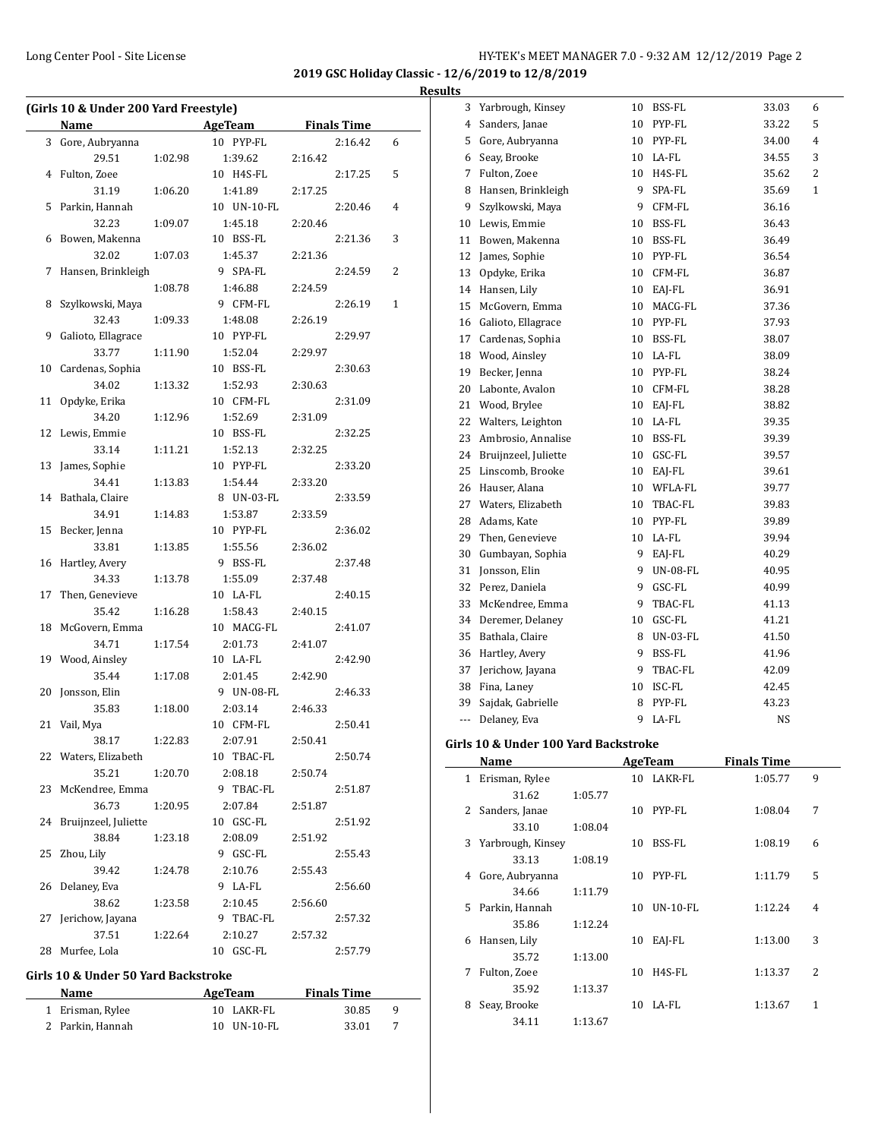$\overline{\phantom{a}}$ 

**2019 GSC Holiday Classic - 12/6/2019 to 12/8/2019 Results**

|    | (Girls 10 & Under 200 Yard Freestyle) |         |              |         |         |              |
|----|---------------------------------------|---------|--------------|---------|---------|--------------|
|    | Name AgeTeam Finals Time              |         |              |         |         |              |
|    | 3 Gore, Aubryanna                     |         | 10 PYP-FL    |         | 2:16.42 | 6            |
|    | 29.51                                 | 1:02.98 | 1:39.62      | 2:16.42 |         |              |
|    | 4 Fulton, Zoee                        |         | 10 H4S-FL    |         | 2:17.25 | 5            |
|    | 31.19                                 | 1:06.20 | 1:41.89      | 2:17.25 |         |              |
| 5  | Parkin, Hannah                        |         | 10 UN-10-FL  |         | 2:20.46 | 4            |
|    | 32.23                                 | 1:09.07 | 1:45.18      | 2:20.46 |         |              |
|    | 6 Bowen, Makenna                      |         | 10 BSS-FL    |         | 2:21.36 | 3            |
|    | 32.02                                 | 1:07.03 | 1:45.37      | 2:21.36 |         |              |
| 7  | Hansen, Brinkleigh                    |         | 9 SPA-FL     |         | 2:24.59 | 2            |
|    |                                       | 1:08.78 | 1:46.88      | 2:24.59 |         |              |
| 8  | Szylkowski, Maya                      |         | 9 CFM-FL     |         | 2:26.19 | $\mathbf{1}$ |
|    | 32.43                                 | 1:09.33 | 1:48.08      | 2:26.19 |         |              |
| 9  | Galioto, Ellagrace                    |         | 10 PYP-FL    |         | 2:29.97 |              |
|    | 33.77                                 | 1:11.90 | 1:52.04      | 2:29.97 |         |              |
| 10 | Cardenas, Sophia                      |         | 10 BSS-FL    |         | 2:30.63 |              |
|    | 34.02                                 | 1:13.32 | 1:52.93      | 2:30.63 |         |              |
| 11 | Opdyke, Erika                         |         | 10 CFM-FL    |         | 2:31.09 |              |
|    | 34.20                                 | 1:12.96 | 1:52.69      | 2:31.09 |         |              |
| 12 | Lewis, Emmie                          |         | 10 BSS-FL    |         | 2:32.25 |              |
|    | 33.14                                 | 1:11.21 | 1:52.13      | 2:32.25 |         |              |
| 13 | James, Sophie                         |         | 10 PYP-FL    |         | 2:33.20 |              |
|    | 34.41                                 | 1:13.83 | 1:54.44      | 2:33.20 |         |              |
|    | 14 Bathala, Claire                    |         | 8 UN-03-FL   |         | 2:33.59 |              |
|    | 34.91                                 | 1:14.83 | 1:53.87      | 2:33.59 |         |              |
| 15 | Becker, Jenna                         |         | 10 PYP-FL    |         | 2:36.02 |              |
|    | 33.81                                 | 1:13.85 | 1:55.56      | 2:36.02 |         |              |
| 16 | Hartley, Avery                        |         | 9 BSS-FL     |         | 2:37.48 |              |
|    | 34.33                                 | 1:13.78 | 1:55.09      | 2:37.48 |         |              |
| 17 | Then, Genevieve                       |         | 10 LA-FL     |         | 2:40.15 |              |
|    | 35.42                                 | 1:16.28 | 1:58.43      | 2:40.15 |         |              |
| 18 | McGovern, Emma                        |         | 10 MACG-FL   |         | 2:41.07 |              |
|    | 34.71                                 | 1:17.54 | 2:01.73      | 2:41.07 |         |              |
|    | 19 Wood, Ainsley                      |         | 10 LA-FL     |         | 2:42.90 |              |
|    | 35.44                                 | 1:17.08 | 2:01.45      | 2:42.90 |         |              |
| 20 | Jonsson, Elin                         |         | 9 UN-08-FL   |         | 2:46.33 |              |
|    | 35.83                                 | 1:18.00 | 2:03.14      | 2:46.33 |         |              |
|    | 21 Vail, Mya                          |         | 10 CFM-FL    |         | 2:50.41 |              |
|    | 38.17                                 | 1:22.83 | 2:07.91      | 2:50.41 |         |              |
|    | 22 Waters, Elizabeth                  |         | 10 TBAC-FL   |         | 2:50.74 |              |
|    | 35.21                                 | 1:20.70 | 2:08.18      | 2:50.74 |         |              |
| 23 | McKendree, Emma                       |         | 9 TBAC-FL    |         | 2:51.87 |              |
|    | 36.73                                 | 1:20.95 | 2:07.84      | 2:51.87 |         |              |
| 24 | Bruijnzeel, Juliette                  |         | 10 GSC-FL    |         | 2:51.92 |              |
|    | 38.84                                 | 1:23.18 | 2:08.09      | 2:51.92 |         |              |
| 25 | Zhou, Lily                            |         | 9 GSC-FL     |         | 2:55.43 |              |
|    | 39.42                                 | 1:24.78 | 2:10.76      | 2:55.43 |         |              |
| 26 | Delaney, Eva                          |         | 9 LA-FL      |         | 2:56.60 |              |
|    | 38.62                                 | 1:23.58 | 2:10.45      | 2:56.60 |         |              |
| 27 | Jerichow, Jayana                      |         | 9 TBAC-FL    |         | 2:57.32 |              |
|    | 37.51                                 | 1:22.64 | 2:10.27      | 2:57.32 |         |              |
| 28 | Murfee, Lola                          |         | GSC-FL<br>10 |         | 2:57.79 |              |
|    |                                       |         |              |         |         |              |

#### **Girls 10 & Under 50 Yard Backstroke**

| Name             | AgeTeam           | <b>Finals Time</b> |
|------------------|-------------------|--------------------|
| 1 Erisman, Rylee | 10 LAKR-FL        | 30.85<br>- q       |
| 2 Parkin, Hannah | $10$ UN- $10$ -FL | 33.01              |

| 3   | Yarbrough, Kinsey    | 10 | BSS-FL          | 33.03<br>6            |  |
|-----|----------------------|----|-----------------|-----------------------|--|
| 4   | Sanders, Janae       | 10 | PYP-FL          | 5<br>33.22            |  |
| 5   | Gore, Aubryanna      | 10 | PYP-FL          | 4<br>34.00            |  |
| 6   | Seay, Brooke         | 10 | LA-FL           | 3<br>34.55            |  |
| 7   | Fulton, Zoee         | 10 | H4S-FL          | 2<br>35.62            |  |
| 8   | Hansen, Brinkleigh   | 9  | SPA-FL          | $\mathbf{1}$<br>35.69 |  |
| 9   | Szylkowski, Maya     | 9  | CFM-FL          | 36.16                 |  |
| 10  | Lewis, Emmie         | 10 | BSS-FL          | 36.43                 |  |
| 11  | Bowen, Makenna       | 10 | BSS-FL          | 36.49                 |  |
| 12  | James, Sophie        | 10 | PYP-FL          | 36.54                 |  |
| 13  | Opdyke, Erika        |    | 10 CFM-FL       | 36.87                 |  |
| 14  | Hansen, Lily         |    | 10 EAJ-FL       | 36.91                 |  |
| 15  | McGovern, Emma       | 10 | MACG-FL         | 37.36                 |  |
| 16  | Galioto, Ellagrace   | 10 | PYP-FL          | 37.93                 |  |
| 17  | Cardenas, Sophia     | 10 | BSS-FL          | 38.07                 |  |
| 18  | Wood, Ainsley        | 10 | LA-FL           | 38.09                 |  |
| 19  | Becker, Jenna        | 10 | PYP-FL          | 38.24                 |  |
| 20  | Labonte, Avalon      | 10 | CFM-FL          | 38.28                 |  |
| 21  | Wood, Brylee         | 10 | EAJ-FL          | 38.82                 |  |
| 22  | Walters, Leighton    | 10 | LA-FL           | 39.35                 |  |
| 23  | Ambrosio, Annalise   | 10 | BSS-FL          | 39.39                 |  |
| 24  | Bruijnzeel, Juliette | 10 | GSC-FL          | 39.57                 |  |
| 25  | Linscomb, Brooke     | 10 | EAJ-FL          | 39.61                 |  |
| 26  | Hauser, Alana        |    | 10 WFLA-FL      | 39.77                 |  |
| 27  | Waters, Elizabeth    | 10 | TBAC-FL         | 39.83                 |  |
| 28  | Adams, Kate          | 10 | PYP-FL          | 39.89                 |  |
| 29  | Then, Genevieve      |    | 10 LA-FL        | 39.94                 |  |
| 30  | Gumbayan, Sophia     | 9  | EAJ-FL          | 40.29                 |  |
| 31  | Jonsson, Elin        | 9  | <b>UN-08-FL</b> | 40.95                 |  |
| 32  | Perez, Daniela       | 9  | GSC-FL          | 40.99                 |  |
| 33  | McKendree, Emma      | 9  | TBAC-FL         | 41.13                 |  |
| 34  | Deremer, Delaney     | 10 | GSC-FL          | 41.21                 |  |
| 35  | Bathala, Claire      | 8  | <b>UN-03-FL</b> | 41.50                 |  |
| 36  | Hartley, Avery       | 9  | <b>BSS-FL</b>   | 41.96                 |  |
| 37  | Jerichow, Jayana     | 9  | TBAC-FL         | 42.09                 |  |
| 38  | Fina, Laney          | 10 | ISC-FL          | 42.45                 |  |
| 39  | Sajdak, Gabrielle    | 8  | PYP-FL          | 43.23                 |  |
| --- | Delaney, Eva         | 9  | LA-FL           | <b>NS</b>             |  |

#### **Girls 10 & Under 100 Yard Backstroke**

|              | Name              |         |    | <b>AgeTeam</b> | <b>Finals Time</b> |   |
|--------------|-------------------|---------|----|----------------|--------------------|---|
| $\mathbf{1}$ | Erisman, Rylee    |         | 10 | LAKR-FL        | 1:05.77            | 9 |
|              | 31.62             | 1:05.77 |    |                |                    |   |
| 2            | Sanders, Janae    |         | 10 | PYP-FL         | 1:08.04            | 7 |
|              | 33.10             | 1:08.04 |    |                |                    |   |
| 3            | Yarbrough, Kinsey |         | 10 | BSS-FL         | 1:08.19            | 6 |
|              | 33.13             | 1:08.19 |    |                |                    |   |
| 4            | Gore, Aubryanna   |         | 10 | PYP-FL         | 1:11.79            | 5 |
|              | 34.66             | 1:11.79 |    |                |                    |   |
| 5.           | Parkin, Hannah    |         | 10 | $UN-10-FL$     | 1:12.24            | 4 |
|              | 35.86             | 1:12.24 |    |                |                    |   |
| 6            | Hansen, Lily      |         | 10 | EAI-FL         | 1:13.00            | 3 |
|              | 35.72             | 1:13.00 |    |                |                    |   |
| 7            | Fulton, Zoee      |         | 10 | H4S-FL         | 1:13.37            | 2 |
|              | 35.92             | 1:13.37 |    |                |                    |   |
| 8            | Seay, Brooke      |         | 10 | LA-FL          | 1:13.67            | 1 |
|              | 34.11             | 1:13.67 |    |                |                    |   |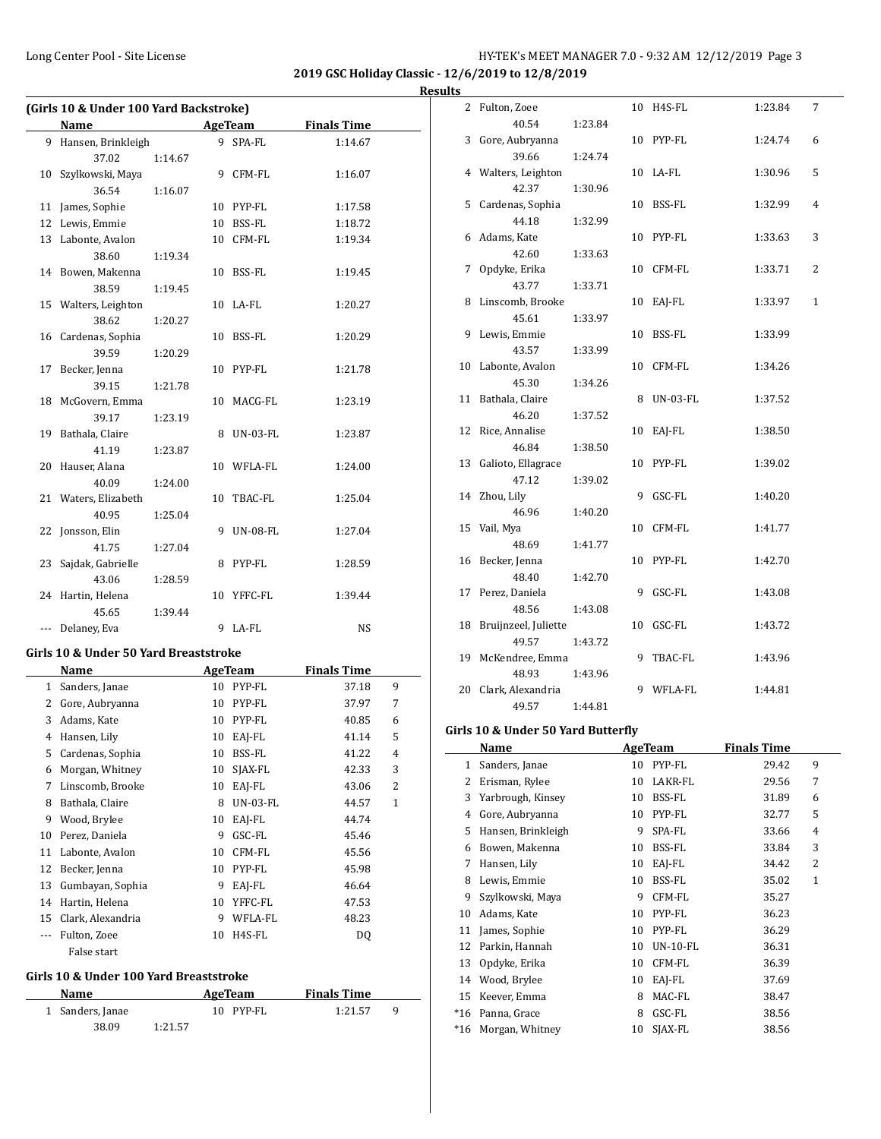**2019 GSC Holiday Classic - 12/6/2019 to 12/8/2019 Results**

|     | (Girls 10 & Under 100 Yard Backstroke) |         |   |            |                    |  |
|-----|----------------------------------------|---------|---|------------|--------------------|--|
|     | Name                                   |         |   | AgeTeam    | <b>Finals Time</b> |  |
|     | 9 Hansen, Brinkleigh                   |         |   | 9 SPA-FL   | 1:14.67            |  |
|     | 37.02                                  | 1:14.67 |   |            |                    |  |
| 10  | Szylkowski, Maya                       |         |   | 9 CFM-FL   | 1:16.07            |  |
|     | 36.54                                  | 1:16.07 |   |            |                    |  |
| 11  | James, Sophie                          |         |   | 10 PYP-FL  | 1:17.58            |  |
| 12  | Lewis, Emmie                           |         |   | 10 BSS-FL  | 1:18.72            |  |
|     | 13 Labonte, Avalon                     |         |   | 10 CFM-FL  | 1:19.34            |  |
|     | 38.60                                  | 1:19.34 |   |            |                    |  |
|     | 14 Bowen, Makenna                      |         |   | 10 BSS-FL  | 1:19.45            |  |
|     | 38.59                                  | 1:19.45 |   |            |                    |  |
|     | 15 Walters, Leighton                   |         |   | 10 LA-FL   | 1:20.27            |  |
|     | 38.62                                  | 1:20.27 |   |            |                    |  |
|     | 16 Cardenas, Sophia                    |         |   | 10 BSS-FL  | 1:20.29            |  |
|     | 39.59                                  | 1:20.29 |   |            |                    |  |
| 17  | Becker, Jenna                          |         |   | 10 PYP-FL  | 1:21.78            |  |
|     | 39.15                                  | 1:21.78 |   |            |                    |  |
|     | 18 McGovern, Emma                      |         |   | 10 MACG-FL | 1:23.19            |  |
|     | 39.17                                  | 1:23.19 |   |            |                    |  |
|     | 19 Bathala, Claire                     |         |   | 8 UN-03-FL | 1:23.87            |  |
|     | 41.19                                  | 1:23.87 |   |            |                    |  |
|     | 20 Hauser, Alana                       |         |   | 10 WFLA-FL | 1:24.00            |  |
|     | 40.09                                  | 1:24.00 |   |            |                    |  |
|     | 21 Waters, Elizabeth                   |         |   | 10 TBAC-FL | 1:25.04            |  |
|     | 40.95                                  | 1:25.04 |   |            |                    |  |
| 22  | Jonsson, Elin                          |         |   | 9 UN-08-FL | 1:27.04            |  |
|     | 41.75                                  | 1:27.04 |   |            |                    |  |
|     | 23 Sajdak, Gabrielle                   |         |   | 8 PYP-FL   | 1:28.59            |  |
|     | 43.06                                  | 1:28.59 |   |            |                    |  |
|     | 24 Hartin, Helena                      |         |   | 10 YFFC-FL | 1:39.44            |  |
|     | 45.65                                  | 1:39.44 |   |            |                    |  |
| --- | Delaney, Eva                           |         | 9 | LA-FL      | <b>NS</b>          |  |

#### **Girls 10 & Under 50 Yard Breaststroke**

|    | Name              |    | AgeTeam         | <b>Finals Time</b> |                |  |
|----|-------------------|----|-----------------|--------------------|----------------|--|
| 1  | Sanders, Janae    | 10 | PYP-FL          | 37.18              | 9              |  |
| 2  | Gore, Aubryanna   | 10 | PYP-FL          | 37.97              | 7              |  |
| 3  | Adams, Kate       | 10 | PYP-FL          | 40.85              | 6              |  |
| 4  | Hansen, Lily      | 10 | EAJ-FL          | 41.14              | 5              |  |
| 5  | Cardenas, Sophia  | 10 | BSS-FL          | 41.22              | 4              |  |
| 6  | Morgan, Whitney   | 10 | SJAX-FL         | 42.33              | 3              |  |
| 7  | Linscomb, Brooke  | 10 | EAJ-FL          | 43.06              | $\overline{2}$ |  |
| 8  | Bathala, Claire   | 8  | <b>UN-03-FL</b> | 44.57              | 1              |  |
| 9  | Wood, Brylee      | 10 | EAI-FL          | 44.74              |                |  |
| 10 | Perez, Daniela    | 9  | GSC-FL          | 45.46              |                |  |
| 11 | Labonte, Avalon   | 10 | CFM-FL          | 45.56              |                |  |
| 12 | Becker, Jenna     | 10 | PYP-FL          | 45.98              |                |  |
| 13 | Gumbayan, Sophia  | 9  | EAI-FL          | 46.64              |                |  |
| 14 | Hartin, Helena    | 10 | YFFC-FL         | 47.53              |                |  |
| 15 | Clark, Alexandria | 9  | WFLA-FL         | 48.23              |                |  |
|    | Fulton, Zoee      | 10 | H4S-FL          | DQ                 |                |  |
|    | False start       |    |                 |                    |                |  |

#### **Girls 10 & Under 100 Yard Breaststroke**

| Name             |         | AgeTeam     | <b>Finals Time</b> |  |
|------------------|---------|-------------|--------------------|--|
| 1 Sanders, Janae |         | $10$ PYP-FL | 1:21.57            |  |
| 38.09            | 1:21.57 |             |                    |  |

| 2  | Fulton, Zoee         |         | 10 | H4S-FL   | 1:23.84 | 7            |
|----|----------------------|---------|----|----------|---------|--------------|
|    | 40.54                | 1:23.84 |    |          |         |              |
| 3  | Gore, Aubryanna      |         | 10 | PYP-FL   | 1:24.74 | 6            |
|    | 39.66                | 1:24.74 |    |          |         |              |
|    | 4 Walters, Leighton  |         | 10 | LA-FL    | 1:30.96 | 5            |
|    | 42.37                | 1:30.96 |    |          |         |              |
| 5. | Cardenas, Sophia     |         | 10 | BSS-FL   | 1:32.99 | 4            |
|    | 44.18                | 1:32.99 |    |          |         |              |
| 6  | Adams, Kate          |         | 10 | PYP-FL   | 1:33.63 | 3            |
|    | 42.60                | 1:33.63 |    |          |         |              |
| 7  | Opdyke, Erika        |         | 10 | CFM-FL   | 1:33.71 | 2            |
|    | 43.77                | 1:33.71 |    |          |         |              |
| 8  | Linscomb, Brooke     |         | 10 | EAI-FL   | 1:33.97 | $\mathbf{1}$ |
|    | 45.61                | 1:33.97 |    |          |         |              |
| 9  | Lewis, Emmie         |         | 10 | BSS-FL   | 1:33.99 |              |
|    | 43.57                | 1:33.99 |    |          |         |              |
| 10 | Labonte, Avalon      |         | 10 | CFM-FL   | 1:34.26 |              |
|    | 45.30                | 1:34.26 |    |          |         |              |
| 11 | Bathala, Claire      |         | 8  | UN-03-FL | 1:37.52 |              |
|    | 46.20                | 1:37.52 |    |          |         |              |
| 12 | Rice, Annalise       |         | 10 | EAJ-FL   | 1:38.50 |              |
|    | 46.84                | 1:38.50 |    |          |         |              |
| 13 | Galioto, Ellagrace   |         | 10 | PYP-FL   | 1:39.02 |              |
|    | 47.12                | 1:39.02 |    |          |         |              |
|    | 14 Zhou, Lily        |         | 9  | GSC-FL   | 1:40.20 |              |
|    | 46.96                | 1:40.20 |    |          |         |              |
|    | 15 Vail, Mya         |         | 10 | CFM-FL   | 1:41.77 |              |
|    | 48.69                | 1:41.77 |    |          |         |              |
|    | 16 Becker, Jenna     |         | 10 | PYP-FL   | 1:42.70 |              |
|    | 48.40                | 1:42.70 |    |          |         |              |
| 17 | Perez, Daniela       |         | 9  | GSC-FL   | 1:43.08 |              |
|    | 48.56                | 1:43.08 |    |          |         |              |
| 18 | Bruijnzeel, Juliette |         | 10 | GSC-FL   | 1:43.72 |              |
|    | 49.57                | 1:43.72 |    |          |         |              |
| 19 | McKendree, Emma      |         | 9  | TBAC-FL  | 1:43.96 |              |
|    | 48.93                | 1:43.96 |    |          |         |              |
| 20 | Clark, Alexandria    |         | 9  | WFLA-FL  | 1:44.81 |              |
|    | 49.57                | 1:44.81 |    |          |         |              |

# **Girls 10 & Under 50 Yard Butterfly**

|       | Name               |    | <b>AgeTeam</b> | <b>Finals Time</b> |              |
|-------|--------------------|----|----------------|--------------------|--------------|
| 1     | Sanders, Janae     | 10 | PYP-FL         | 29.42              | 9            |
| 2     | Erisman, Rylee     | 10 | LAKR-FL        | 29.56              | 7            |
| 3     | Yarbrough, Kinsey  | 10 | BSS-FL         | 31.89              | 6            |
| 4     | Gore, Aubryanna    | 10 | PYP-FL         | 32.77              | 5            |
| 5     | Hansen, Brinkleigh | 9  | SPA-FL         | 33.66              | 4            |
| 6     | Bowen, Makenna     | 10 | BSS-FL         | 33.84              | 3            |
| 7     | Hansen, Lily       | 10 | EAI-FL         | 34.42              | 2            |
| 8     | Lewis, Emmie       | 10 | BSS-FL         | 35.02              | $\mathbf{1}$ |
| 9     | Szylkowski, Maya   | 9  | CFM-FL         | 35.27              |              |
| 10    | Adams, Kate        | 10 | PYP-FL         | 36.23              |              |
| 11    | James, Sophie      | 10 | PYP-FL         | 36.29              |              |
| 12    | Parkin, Hannah     | 10 | $UN-10-FL$     | 36.31              |              |
| 13    | Opdyke, Erika      | 10 | CFM-FL         | 36.39              |              |
| 14    | Wood, Brylee       | 10 | EAI-FL         | 37.69              |              |
| 15    | Keever, Emma       | 8  | MAC-FL         | 38.47              |              |
| $*16$ | Panna, Grace       | 8  | GSC-FL         | 38.56              |              |
| *16   | Morgan, Whitney    | 10 | SJAX-FL        | 38.56              |              |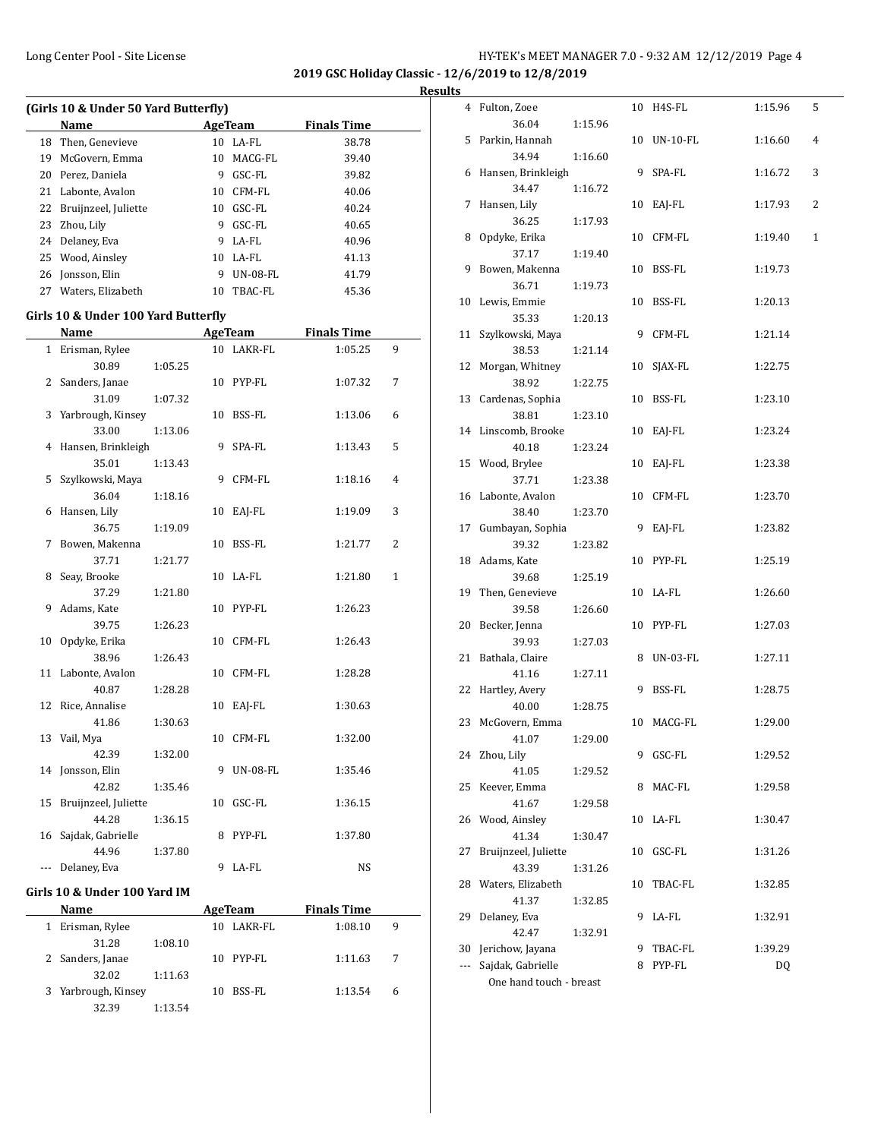**2019 GSC Holiday Classic - 12/6/2019 to 12/8/2019 Results**

| (Girls 10 & Under 50 Yard Butterfly) |                      |    |                 |                    |  |  |  |
|--------------------------------------|----------------------|----|-----------------|--------------------|--|--|--|
|                                      | Name                 |    | AgeTeam         | <b>Finals Time</b> |  |  |  |
|                                      | 18 Then, Genevieve   | 10 | LA-FL           | 38.78              |  |  |  |
| 19                                   | McGovern, Emma       | 10 | MACG-FL         | 39.40              |  |  |  |
| 20                                   | Perez, Daniela       | 9  | GSC-FL          | 39.82              |  |  |  |
|                                      | 21 Labonte, Avalon   | 10 | CFM-FL          | 40.06              |  |  |  |
| 22                                   | Bruijnzeel, Juliette | 10 | GSC-FL          | 40.24              |  |  |  |
|                                      | 23 Zhou, Lily        | 9  | GSC-FL          | 40.65              |  |  |  |
|                                      | 24 Delaney, Eva      | 9  | LA-FL           | 40.96              |  |  |  |
|                                      | 25 Wood, Ainsley     |    | $10$ LA-FL      | 41.13              |  |  |  |
|                                      | 26 Jonsson, Elin     | 9  | <b>UN-08-FL</b> | 41.79              |  |  |  |
| 27                                   | Waters, Elizabeth    | 10 | TBAC-FL         | 45.36              |  |  |  |
|                                      |                      |    |                 |                    |  |  |  |

#### **Girls 10 & Under 100 Yard Butterfly**

|     | <b>Name</b>                   |         |    | <b>AgeTeam</b>  | <b>Finals Time</b> |                |
|-----|-------------------------------|---------|----|-----------------|--------------------|----------------|
|     | 1 Erisman, Rylee              |         |    | 10 LAKR-FL      | 1:05.25            | 9              |
|     | 30.89                         | 1:05.25 |    |                 |                    |                |
| 2   | Sanders, Janae                |         |    | 10 PYP-FL       | 1:07.32            | 7              |
|     | 31.09                         | 1:07.32 |    |                 |                    |                |
|     | 3 Yarbrough, Kinsey           |         |    | 10 BSS-FL       | 1:13.06            | 6              |
|     | 33.00                         | 1:13.06 |    |                 |                    |                |
|     | 4 Hansen, Brinkleigh          |         | 9  | SPA-FL          | 1:13.43            | 5              |
|     | 35.01                         | 1:13.43 |    |                 |                    |                |
|     | 5 Szylkowski, Maya            |         | 9  | CFM-FL          | 1:18.16            | 4              |
|     | 36.04                         | 1:18.16 |    |                 |                    |                |
| 6   | Hansen, Lily                  |         | 10 | EAI-FL          | 1:19.09            | 3              |
|     | 36.75                         | 1:19.09 |    |                 |                    |                |
| 7   | Bowen, Makenna                |         |    | 10 BSS-FL       | 1:21.77            | $\overline{2}$ |
|     | 37.71                         | 1:21.77 |    |                 |                    |                |
|     | 8 Seay, Brooke                |         |    | 10 LA-FL        | 1:21.80            | $\mathbf{1}$   |
|     | 37.29                         | 1:21.80 |    |                 |                    |                |
| 9   | Adams, Kate                   |         |    | 10 PYP-FL       | 1:26.23            |                |
|     | 39.75                         | 1:26.23 |    |                 |                    |                |
|     | 10 Opdyke, Erika              |         |    | 10 CFM-FL       | 1:26.43            |                |
|     | 38.96                         | 1:26.43 |    |                 |                    |                |
|     | 11 Labonte, Avalon            |         |    | 10 CFM-FL       | 1:28.28            |                |
|     | 40.87                         | 1:28.28 |    |                 |                    |                |
|     | 12 Rice, Annalise             |         |    | 10 EAJ-FL       | 1:30.63            |                |
|     | 41.86                         | 1:30.63 |    |                 |                    |                |
|     | 13 Vail, Mya                  |         | 10 | CFM-FL          | 1:32.00            |                |
|     | 42.39                         | 1:32.00 |    |                 |                    |                |
|     | 14 Jonsson, Elin              |         | 9  | <b>UN-08-FL</b> | 1:35.46            |                |
|     | 42.82                         | 1:35.46 |    |                 |                    |                |
|     | 15 Bruijnzeel, Juliette       |         | 10 | GSC-FL          | 1:36.15            |                |
|     | 44.28                         | 1:36.15 | 8  | PYP-FL          |                    |                |
|     | 16 Sajdak, Gabrielle<br>44.96 |         |    |                 | 1:37.80            |                |
|     |                               | 1:37.80 | 9  | LA-FL           | <b>NS</b>          |                |
| --- | Delaney, Eva                  |         |    |                 |                    |                |

# **Girls 10 & Under 100 Yard IM**

|   | Name                |         |    | AgeTeam | <b>Finals Time</b> |         |   |
|---|---------------------|---------|----|---------|--------------------|---------|---|
| 1 | Erisman, Rylee      |         | 10 | LAKR-FL |                    | 1:08.10 | 9 |
|   | 31.28               | 1:08.10 |    |         |                    |         |   |
|   | 2 Sanders, Janae    |         | 10 | PYP-FL  |                    | 1:11.63 | 7 |
|   | 32.02               | 1:11.63 |    |         |                    |         |   |
|   | 3 Yarbrough, Kinsey |         | 10 | BSS-FL  |                    | 1:13.54 | 6 |
|   | 32.39               | 1:13.54 |    |         |                    |         |   |

| <u>э</u>             |                          |         |    |            |         |   |
|----------------------|--------------------------|---------|----|------------|---------|---|
|                      | 4 Fulton, Zoee           |         |    | 10 H4S-FL  | 1:15.96 | 5 |
|                      | 36.04                    | 1:15.96 |    |            |         |   |
| 5                    | Parkin, Hannah           |         | 10 | UN-10-FL   | 1:16.60 | 4 |
|                      | 34.94                    | 1:16.60 |    |            |         |   |
| 6                    | Hansen, Brinkleigh       |         | 9  | SPA-FL     | 1:16.72 | 3 |
|                      | 34.47                    | 1:16.72 |    |            |         |   |
| 7                    | Hansen, Lily             |         |    | 10 EAJ-FL  | 1:17.93 | 2 |
|                      | 36.25                    | 1:17.93 |    |            |         |   |
| 8                    | Opdyke, Erika            |         | 10 | CFM-FL     | 1:19.40 | 1 |
|                      | 37.17                    | 1:19.40 |    |            |         |   |
| 9                    | Bowen, Makenna           |         | 10 | BSS-FL     | 1:19.73 |   |
|                      | 36.71                    | 1:19.73 |    |            |         |   |
| 10                   | Lewis, Emmie             |         |    | 10 BSS-FL  | 1:20.13 |   |
|                      | 35.33                    | 1:20.13 |    |            |         |   |
| 11                   | Szylkowski, Maya         |         | 9  | CFM-FL     | 1:21.14 |   |
|                      | 38.53                    | 1:21.14 |    |            |         |   |
| 12                   | Morgan, Whitney          |         | 10 | SJAX-FL    | 1:22.75 |   |
|                      | 38.92                    | 1:22.75 |    |            |         |   |
| 13                   | Cardenas, Sophia         |         | 10 | BSS-FL     | 1:23.10 |   |
|                      | 38.81                    | 1:23.10 |    |            |         |   |
|                      | 14 Linscomb, Brooke      |         | 10 | EAI-FL     | 1:23.24 |   |
|                      | 40.18                    | 1:23.24 |    |            |         |   |
|                      | 15 Wood, Brylee          |         | 10 | EAJ-FL     | 1:23.38 |   |
|                      | 37.71                    | 1:23.38 |    |            |         |   |
| 16                   | Labonte, Avalon          |         | 10 | CFM-FL     | 1:23.70 |   |
|                      | 38.40                    | 1:23.70 |    |            |         |   |
| 17                   | Gumbayan, Sophia         |         | 9  | EAJ-FL     | 1:23.82 |   |
|                      | 39.32                    | 1:23.82 |    |            |         |   |
|                      | 18 Adams, Kate           |         |    | 10 PYP-FL  | 1:25.19 |   |
|                      | 39.68                    | 1:25.19 |    |            |         |   |
| 19                   | Then, Genevieve<br>39.58 | 1:26.60 |    | 10 LA-FL   | 1:26.60 |   |
| 20                   | Becker, Jenna            |         | 10 | PYP-FL     | 1:27.03 |   |
|                      | 39.93                    | 1:27.03 |    |            |         |   |
| 21                   | Bathala, Claire          |         | 8  | UN-03-FL   | 1:27.11 |   |
|                      | 41.16                    | 1:27.11 |    |            |         |   |
| 22                   | Hartley, Avery           |         | 9  | BSS-FL     | 1:28.75 |   |
|                      | 40.00                    | 1:28.75 |    |            |         |   |
| 23                   | McGovern, Emma           |         |    | 10 MACG-FL | 1:29.00 |   |
|                      | 41.07                    | 1:29.00 |    |            |         |   |
|                      | 24 Zhou, Lily            |         | 9  | GSC-FL     | 1:29.52 |   |
|                      | 41.05                    | 1:29.52 |    |            |         |   |
| 25                   | Keever, Emma             |         | 8  | MAC-FL     | 1:29.58 |   |
|                      | 41.67                    | 1:29.58 |    |            |         |   |
| 26                   | Wood, Ainsley            |         | 10 | LA-FL      | 1:30.47 |   |
|                      | 41.34                    | 1:30.47 |    |            |         |   |
| 27                   | Bruijnzeel, Juliette     |         | 10 | GSC-FL     | 1:31.26 |   |
|                      | 43.39                    | 1:31.26 |    |            |         |   |
| 28                   | Waters, Elizabeth        |         | 10 | TBAC-FL    | 1:32.85 |   |
|                      | 41.37                    | 1:32.85 |    |            |         |   |
| 29                   | Delaney, Eva             |         | 9  | LA-FL      | 1:32.91 |   |
|                      | 42.47                    | 1:32.91 |    |            |         |   |
| 30                   | Jerichow, Jayana         |         | 9  | TBAC-FL    | 1:39.29 |   |
| $\scriptstyle\cdots$ | Sajdak, Gabrielle        |         | 8  | PYP-FL     | DQ      |   |
|                      | One hand touch - breast  |         |    |            |         |   |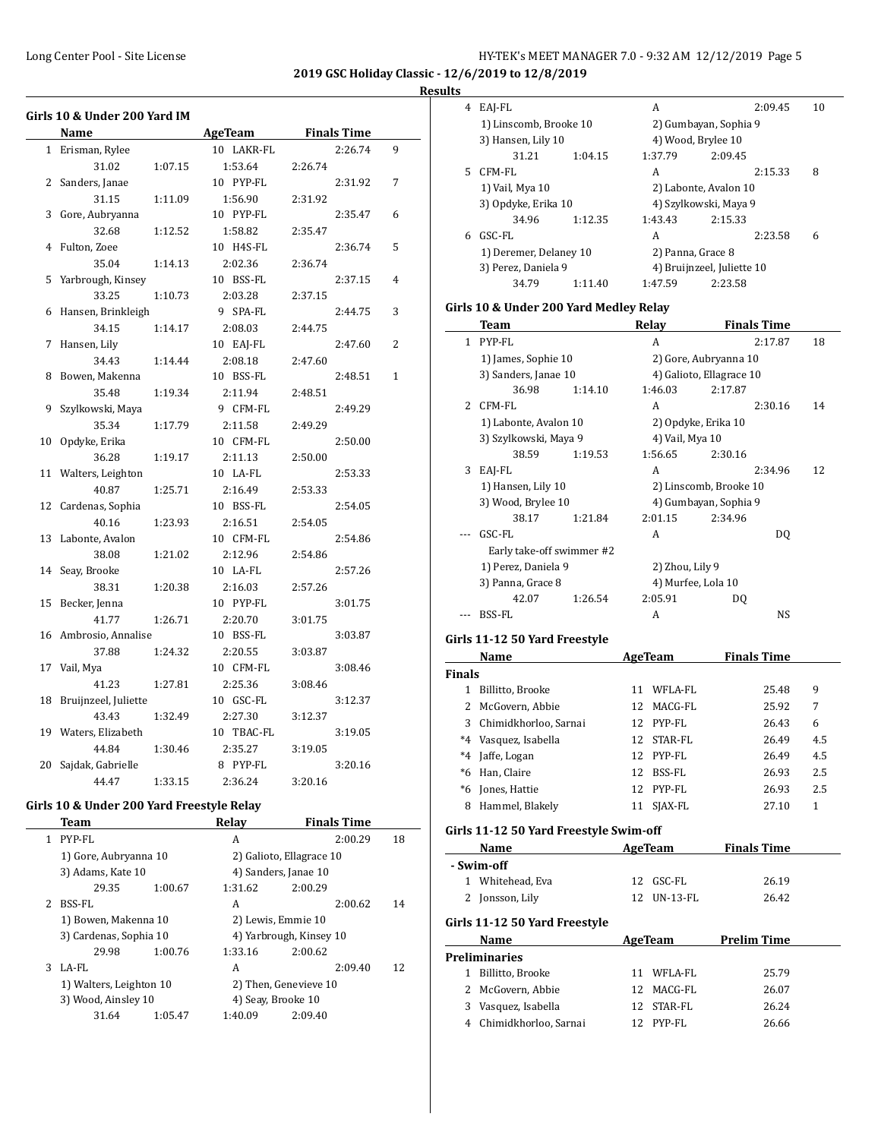**2019 GSC Holiday Classic - 12/6/2019 to 12/8/2019**

# **Results**

|              | Girls 10 & Under 200 Yard IM               |                |                    |   |
|--------------|--------------------------------------------|----------------|--------------------|---|
|              | Name                                       | <b>AgeTeam</b> | <b>Finals Time</b> |   |
| $\mathbf{1}$ | Erisman, Rylee                             | 10 LAKR-FL     | 2:26.74            | 9 |
|              | 31.02<br>1:07.15                           | 1:53.64        | 2:26.74            |   |
|              | 2 Sanders, Janae                           | 10 PYP-FL      | 2:31.92            | 7 |
|              | 31.15<br>1:11.09                           | 1:56.90        | 2:31.92            |   |
| 3            | Gore, Aubryanna                            | 10 PYP-FL      | 2:35.47            | 6 |
|              | 32.68<br>1:12.52                           | 1:58.82        | 2:35.47            |   |
| 4            | Fulton, Zoee                               | 10 H4S-FL      | 2:36.74            | 5 |
|              | 35.04<br>1:14.13                           | 2:02.36        | 2:36.74            |   |
| 5            | Yarbrough, Kinsey                          | 10 BSS-FL      | 2:37.15            | 4 |
|              | 33.25<br>1:10.73                           | 2:03.28        | 2:37.15            |   |
| 6            | Hansen, Brinkleigh                         | 9 SPA-FL       | 2:44.75            | 3 |
|              | 34.15<br>1:14.17                           | 2:08.03        | 2:44.75            |   |
| 7            | Hansen, Lily                               | 10 EAJ-FL      | 2:47.60            | 2 |
|              | 34.43<br>1:14.44                           | 2:08.18        | 2:47.60            |   |
| 8            | Bowen, Makenna                             | 10 BSS-FL      | 2:48.51            | 1 |
|              | 35.48<br>1:19.34                           | 2:11.94        | 2:48.51            |   |
| 9            | Szylkowski, Maya                           | 9 CFM-FL       | 2:49.29            |   |
|              | 35.34<br>1:17.79                           | 2:11.58        | 2:49.29            |   |
| 10           | Opdyke, Erika                              | 10 CFM-FL      | 2:50.00            |   |
|              | 36.28<br>1:19.17                           | 2:11.13        | 2:50.00            |   |
| 11           | Walters, Leighton                          | 10 LA-FL       | 2:53.33            |   |
|              | 40.87<br>1:25.71                           | 2:16.49        | 2:53.33            |   |
| 12           | Cardenas, Sophia                           | 10 BSS-FL      | 2:54.05            |   |
|              | 40.16<br>1:23.93                           | 2:16.51        | 2:54.05            |   |
| 13           | Labonte, Avalon                            | 10 CFM-FL      | 2:54.86            |   |
|              | 38.08<br>1:21.02                           | 2:12.96        | 2:54.86            |   |
| 14           | Seay, Brooke                               | 10 LA-FL       | 2:57.26            |   |
|              | 38.31<br>1:20.38                           | 2:16.03        | 2:57.26            |   |
| 15           | Becker, Jenna                              | 10 PYP-FL      | 3:01.75            |   |
|              | 41.77<br>1:26.71                           | 2:20.70        | 3:01.75            |   |
| 16           | Ambrosio, Annalise                         | 10 BSS-FL      | 3:03.87            |   |
|              | 37.88<br>1:24.32                           | 2:20.55        | 3:03.87            |   |
| 17           | Vail, Mya                                  | 10 CFM-FL      | 3:08.46            |   |
|              | 41.23<br>1:27.81                           | 2:25.36        | 3:08.46            |   |
| 18           | Bruijnzeel, Juliette                       | 10 GSC-FL      | 3:12.37            |   |
|              | 43.43<br>1:32.49                           | 2:27.30        | 3:12.37            |   |
| 19           | Waters, Elizabeth                          | 10 TBAC-FL     | 3:19.05            |   |
|              | 44.84<br>1:30.46                           | 2:35.27        | 3:19.05            |   |
| 20           | Sajdak, Gabrielle                          | 8 PYP-FL       | 3:20.16            |   |
|              | 44.47<br>1:33.15                           | 2:36.24        | 3:20.16            |   |
|              | Cirls 10.8. Under 200 Verd Freestyle Pelev |                |                    |   |

#### **Girls 10 & Under 200 Yard Freestyle Relay**

|                | Team                    |         | Relav                    |         | <b>Finals Time</b> |    |
|----------------|-------------------------|---------|--------------------------|---------|--------------------|----|
| 1              | PYP-FL                  |         | A                        |         | 2:00.29            | 18 |
|                | 1) Gore, Aubryanna 10   |         | 2) Galioto, Ellagrace 10 |         |                    |    |
|                | 3) Adams, Kate 10       |         | 4) Sanders, Janae 10     |         |                    |    |
|                | 29.35                   | 1:00.67 | 1:31.62                  | 2:00.29 |                    |    |
| $\overline{2}$ | BSS-FL                  |         | A                        |         | 2:00.62            | 14 |
|                | 1) Bowen, Makenna 10    |         | 2) Lewis, Emmie 10       |         |                    |    |
|                | 3) Cardenas, Sophia 10  |         | 4) Yarbrough, Kinsey 10  |         |                    |    |
|                | 29.98                   | 1:00.76 | 1:33.16                  | 2:00.62 |                    |    |
| 3              | LA-FL                   |         | A                        |         | 2:09.40            | 12 |
|                | 1) Walters, Leighton 10 |         | 2) Then, Genevieve 10    |         |                    |    |
|                | 3) Wood, Ainsley 10     |         | 4) Seav, Brooke 10       |         |                    |    |
|                | 31.64                   | 1:05.47 | 1:40.09                  | 2:09.40 |                    |    |
|                |                         |         |                          |         |                    |    |

| πь     |                                        |                          |                            |     |
|--------|----------------------------------------|--------------------------|----------------------------|-----|
| 4      | EAJ-FL                                 | A                        | 2:09.45                    | 10  |
|        | 1) Linscomb, Brooke 10                 | 2) Gumbayan, Sophia 9    |                            |     |
|        | 3) Hansen, Lily 10                     | 4) Wood, Brylee 10       |                            |     |
|        | 31.21<br>1:04.15                       | 1:37.79                  | 2:09.45                    |     |
| 5      | CFM-FL                                 | A                        | 2:15.33                    | 8   |
|        | 1) Vail, Mya 10                        | 2) Labonte, Avalon 10    |                            |     |
|        | 3) Opdyke, Erika 10                    | 4) Szylkowski, Maya 9    |                            |     |
|        | 34.96<br>1:12.35                       | 1:43.43                  | 2:15.33                    |     |
| 6      | GSC-FL                                 | A                        | 2:23.58                    | 6   |
|        | 1) Deremer, Delaney 10                 | 2) Panna, Grace 8        |                            |     |
|        | 3) Perez, Daniela 9                    |                          | 4) Bruijnzeel, Juliette 10 |     |
|        | 34.79<br>1:11.40                       | 1:47.59                  | 2:23.58                    |     |
|        |                                        |                          |                            |     |
|        | Girls 10 & Under 200 Yard Medley Relay |                          |                            |     |
|        | <b>Team</b>                            | Relay                    | <b>Finals Time</b>         |     |
| 1      | PYP-FL                                 | A                        | 2:17.87                    | 18  |
|        | 1) James, Sophie 10                    | 2) Gore, Aubryanna 10    |                            |     |
|        | 3) Sanders, Janae 10                   | 4) Galioto, Ellagrace 10 |                            |     |
|        | 36.98<br>1:14.10                       | 1:46.03                  | 2:17.87                    |     |
| 2      | CFM-FL                                 | A                        | 2:30.16                    | 14  |
|        | 1) Labonte, Avalon 10                  | 2) Opdyke, Erika 10      |                            |     |
|        | 3) Szylkowski, Maya 9                  | 4) Vail, Mya 10          |                            |     |
|        | 38.59<br>1:19.53                       | 1:56.65                  | 2:30.16                    |     |
| 3      | EAJ-FL                                 | A                        | 2:34.96                    | 12  |
|        | 1) Hansen, Lily 10                     |                          | 2) Linscomb, Brooke 10     |     |
|        | 3) Wood, Brylee 10                     | 4) Gumbayan, Sophia 9    |                            |     |
|        | 38.17<br>1:21.84                       | 2:01.15                  | 2:34.96                    |     |
|        | GSC-FL                                 | A                        | DQ                         |     |
|        | Early take-off swimmer #2              |                          |                            |     |
|        | 1) Perez, Daniela 9                    | 2) Zhou, Lily 9          |                            |     |
|        | 3) Panna, Grace 8                      | 4) Murfee, Lola 10       |                            |     |
|        | 42.07<br>1:26.54                       | 2:05.91                  | DQ                         |     |
|        | BSS-FL                                 | A                        | NS                         |     |
|        |                                        |                          |                            |     |
|        | Girls 11-12 50 Yard Freestyle          |                          |                            |     |
|        | Name                                   | AgeTeam                  | <b>Finals Time</b>         |     |
| Finals |                                        |                          |                            |     |
| 1      | Billitto, Brooke                       | 11 WFLA-FL               | 25.48                      | 9   |
| 2      | McGovern, Abbie                        | 12<br>MACG-FL            | 25.92                      | 7   |
| 3      | Chimidkhorloo, Sarnai                  | 12<br>PYP-FL             | 26.43                      | 6   |
| $^*4$  | Vasquez, Isabella                      | 12 STAR-FL               | 26.49                      | 4.5 |
| $*4$   | Jaffe, Logan                           | 12 PYP-FL                | 26.49                      | 4.5 |
|        | *6 Han, Claire                         | 12 BSS-FL                | 26.93                      | 2.5 |
|        | *6 Jones, Hattie                       | 12 PYP-FL                | 26.93                      | 2.5 |
|        | 8 Hammel, Blakely                      | 11 SJAX-FL               | 27.10                      | 1   |
|        | Girls 11-12 50 Yard Freestyle Swim-off |                          |                            |     |
|        | Name                                   | AgeTeam                  | <b>Finals Time</b>         |     |
|        | - Swim-off                             |                          |                            |     |
|        | 1 Whitehead, Eva                       | GSC-FL<br>12             | 26.19                      |     |
|        | 2 Jonsson, Lily                        | 12 UN-13-FL              | 26.42                      |     |
|        |                                        |                          |                            |     |
|        | Girls 11-12 50 Yard Freestyle          |                          |                            |     |
|        | Name                                   | AgeTeam                  | <b>Prelim Time</b>         |     |
|        | Preliminaries                          |                          |                            |     |
| 1      | Billitto, Brooke                       | WFLA-FL<br>11            | 25.79                      |     |
| 2      | McGovern, Abbie                        | 12<br>MACG-FL            | 26.07                      |     |
|        | 3 Vasquez, Isabella                    | STAR-FL<br>12            | 26.24                      |     |
|        | 4 Chimidkhorloo, Sarnai                | 12 PYP-FL                | 26.66                      |     |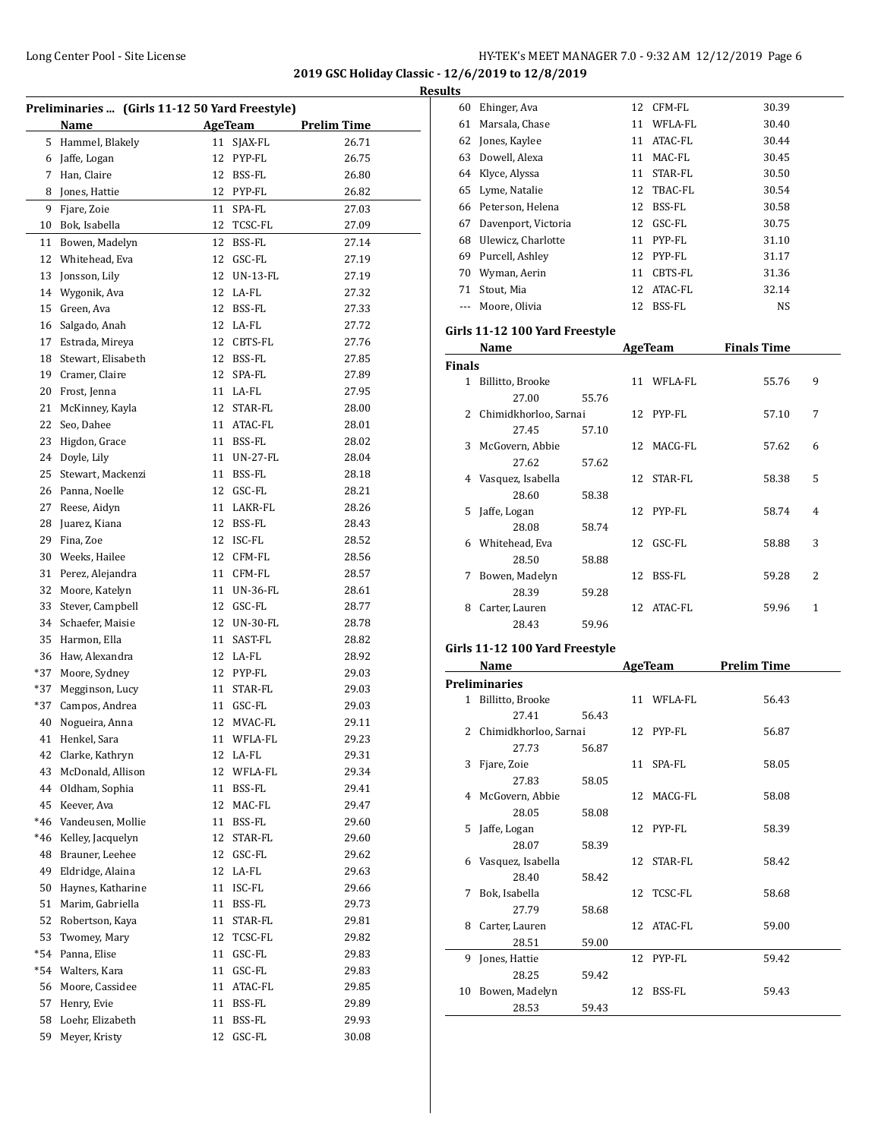**2019 GSC Holiday Classic - 12/6/2019 to 12/8/2019 Results**

|       | Preliminaries  (Girls 11-12 50 Yard Freestyle) |    |                |                    |
|-------|------------------------------------------------|----|----------------|--------------------|
|       | <b>Name</b>                                    |    | <b>AgeTeam</b> | <u>Prelim Time</u> |
| 5     | Hammel, Blakely                                |    | 11 SJAX-FL     | 26.71              |
|       | 6 Jaffe, Logan                                 |    | 12 PYP-FL      | 26.75              |
|       | 7 Han, Claire                                  |    | 12 BSS-FL      | 26.80              |
| 8     | Jones, Hattie                                  |    | 12 PYP-FL      | 26.82              |
| 9     | Fjare, Zoie                                    | 11 | SPA-FL         | 27.03              |
| 10    | Bok, Isabella                                  | 12 | TCSC-FL        | 27.09              |
| 11    | Bowen, Madelyn                                 | 12 | BSS-FL         | 27.14              |
| 12    |                                                | 12 | GSC-FL         | 27.19              |
|       | Whitehead, Eva                                 |    | 12 UN-13-FL    |                    |
| 13    | Jonsson, Lily                                  |    |                | 27.19              |
| 14    | Wygonik, Ava                                   |    | 12 LA-FL       | 27.32              |
| 15    | Green, Ava                                     |    | 12 BSS-FL      | 27.33              |
| 16    | Salgado, Anah                                  |    | 12 LA-FL       | 27.72              |
| 17    | Estrada, Mireya                                |    | 12 CBTS-FL     | 27.76              |
| 18    | Stewart, Elisabeth                             |    | 12 BSS-FL      | 27.85              |
| 19    | Cramer, Claire                                 |    | 12 SPA-FL      | 27.89              |
| 20    | Frost, Jenna                                   |    | 11 LA-FL       | 27.95              |
| 21    | McKinney, Kayla                                |    | 12 STAR-FL     | 28.00              |
| 22    | Seo, Dahee                                     |    | 11 ATAC-FL     | 28.01              |
| 23    | Higdon, Grace                                  |    | 11 BSS-FL      | 28.02              |
| 24    | Doyle, Lily                                    |    | 11 UN-27-FL    | 28.04              |
| 25    | Stewart, Mackenzi                              |    | 11 BSS-FL      | 28.18              |
|       | 26 Panna, Noelle                               |    | 12 GSC-FL      | 28.21              |
| 27    | Reese, Aidyn                                   |    | 11 LAKR-FL     | 28.26              |
| 28    | Juarez, Kiana                                  |    | 12 BSS-FL      | 28.43              |
| 29    | Fina, Zoe                                      |    | 12 ISC-FL      | 28.52              |
| 30    | Weeks, Hailee                                  |    | 12 CFM-FL      | 28.56              |
| 31    | Perez, Alejandra                               |    | 11 CFM-FL      | 28.57              |
| 32    | Moore, Katelyn                                 |    | 11 UN-36-FL    | 28.61              |
| 33    | Stever, Campbell                               |    | 12 GSC-FL      | 28.77              |
| 34    | Schaefer, Maisie                               |    | 12 UN-30-FL    | 28.78              |
| 35    | Harmon, Ella                                   |    | 11 SAST-FL     | 28.82              |
| 36    | Haw, Alexandra                                 |    | 12 LA-FL       | 28.92              |
| *37   | Moore, Sydney                                  |    | 12 PYP-FL      | 29.03              |
| *37   | Megginson, Lucy                                |    | 11 STAR-FL     | 29.03              |
| $*37$ | Campos, Andrea                                 |    | 11 GSC-FL      | 29.03              |
| 40    | Nogueira, Anna                                 | 12 | MVAC-FL        | 29.11              |
| 41    | Henkel, Sara                                   |    | 11 WFLA-FL     | 29.23              |
| 42    | Clarke, Kathryn                                |    | 12 LA-FL       | 29.31              |
| 43    | McDonald, Allison                              |    | 12 WFLA-FL     | 29.34              |
| 44    | Oldham, Sophia                                 | 11 | BSS-FL         | 29.41              |
| 45    | Keever, Ava                                    | 12 | MAC-FL         | 29.47              |
| *46   | Vandeusen, Mollie                              | 11 | BSS-FL         | 29.60              |
| *46   | Kelley, Jacquelyn                              | 12 | STAR-FL        | 29.60              |
| 48    | Brauner, Leehee                                |    | 12 GSC-FL      | 29.62              |
| 49    | Eldridge, Alaina                               |    | 12 LA-FL       | 29.63              |
| 50    | Haynes, Katharine                              |    | 11 ISC-FL      | 29.66              |
| 51    | Marim, Gabriella                               | 11 | BSS-FL         | 29.73              |
| 52    | Robertson, Kaya                                | 11 | STAR-FL        | 29.81              |
| 53    | Twomey, Mary                                   | 12 | TCSC-FL        | 29.82              |
| $*54$ | Panna, Elise                                   | 11 | GSC-FL         | 29.83              |
| *54   | Walters, Kara                                  | 11 | GSC-FL         | 29.83              |
| 56    | Moore, Cassidee                                | 11 | ATAC-FL        | 29.85              |
| 57    | Henry, Evie                                    | 11 | BSS-FL         | 29.89              |
| 58    | Loehr, Elizabeth                               | 11 | BSS-FL         | 29.93              |
| 59    | Meyer, Kristy                                  | 12 | GSC-FL         | 30.08              |
|       |                                                |    |                |                    |

| ய |     |                     |    |            |       |
|---|-----|---------------------|----|------------|-------|
|   | 60  | Ehinger, Ava        | 12 | CFM-FL     | 30.39 |
|   | 61  | Marsala, Chase      | 11 | WFLA-FL    | 30.40 |
|   | 62  | Jones, Kaylee       | 11 | ATAC-FL    | 30.44 |
|   | 63. | Dowell, Alexa       | 11 | MAC-FL     | 30.45 |
|   | 64  | Klyce, Alyssa       | 11 | STAR-FL    | 30.50 |
|   | 65  | Lyme, Natalie       |    | 12 TBAC-FL | 30.54 |
|   | 66  | Peterson, Helena    | 12 | BSS-FL     | 30.58 |
|   | 67  | Davenport, Victoria | 12 | GSC-FL     | 30.75 |
|   | 68  | Ulewicz, Charlotte  | 11 | PYP-FL     | 31.10 |
|   | 69  | Purcell, Ashley     |    | 12 PYP-FL  | 31.17 |
|   | 70  | Wyman, Aerin        | 11 | CBTS-FL    | 31.36 |
|   | 71  | Stout, Mia          |    | 12 ATAC-FL | 32.14 |
|   |     | Moore, Olivia       | 12 | BSS-FL     | NS    |
|   |     |                     |    |            |       |

# **Girls 11-12 100 Yard Freestyle**

|               | Name                  |       |    | AgeTeam    | <b>Finals Time</b> |                          |
|---------------|-----------------------|-------|----|------------|--------------------|--------------------------|
| <b>Finals</b> |                       |       |    |            |                    |                          |
| 1             | Billitto, Brooke      |       |    | 11 WFLA-FL | 55.76              | 9                        |
|               | 27.00                 | 55.76 |    |            |                    |                          |
| 2             | Chimidkhorloo, Sarnai |       |    | 12 PYP-FL  | 57.10              | 7                        |
|               | 27.45                 | 57.10 |    |            |                    |                          |
| 3             | McGovern, Abbie       |       |    | 12 MACG-FL | 57.62              | 6                        |
|               | 27.62                 | 57.62 |    |            |                    |                          |
| 4             | Vasquez, Isabella     |       |    | 12 STAR-FL | 58.38              | 5                        |
|               | 28.60                 | 58.38 |    |            |                    |                          |
| 5.            | Jaffe, Logan          |       |    | 12 PYP-FL  | 58.74              | 4                        |
|               | 28.08                 | 58.74 |    |            |                    |                          |
| 6             | Whitehead, Eva        |       | 12 | GSC-FL     | 58.88              | 3                        |
|               | 28.50                 | 58.88 |    |            |                    |                          |
| 7             | Bowen, Madelyn        |       | 12 | BSS-FL     | 59.28              | $\overline{\mathcal{L}}$ |
|               | 28.39                 | 59.28 |    |            |                    |                          |
| 8             | Carter, Lauren        |       | 12 | ATAC-FL    | 59.96              | 1                        |
|               | 28.43                 | 59.96 |    |            |                    |                          |

# **Girls 11-12 100 Yard Freestyle**

|    | Name                    |       |    | <b>AgeTeam</b> | Prelim Time |
|----|-------------------------|-------|----|----------------|-------------|
|    | <b>Preliminaries</b>    |       |    |                |             |
|    | 1 Billitto, Brooke      |       |    | 11 WFLA-FL     | 56.43       |
|    | 27.41                   | 56.43 |    |                |             |
|    | 2 Chimidkhorloo, Sarnai |       |    | 12 PYP-FL      | 56.87       |
|    | 27.73                   | 56.87 |    |                |             |
|    | 3 Fjare, Zoie           |       |    | 11 SPA-FL      | 58.05       |
|    | 27.83                   | 58.05 |    |                |             |
|    | 4 McGovern, Abbie       |       |    | 12 MACG-FL     | 58.08       |
|    | 28.05                   | 58.08 |    |                |             |
| 5. | Jaffe, Logan            |       |    | 12 PYP-FL      | 58.39       |
|    | 28.07                   | 58.39 |    |                |             |
| 6  | Vasquez, Isabella       |       |    | 12 STAR-FL     | 58.42       |
|    | 28.40                   | 58.42 |    |                |             |
| 7  | Bok, Isabella           |       |    | 12 TCSC-FL     | 58.68       |
|    | 27.79                   | 58.68 |    |                |             |
| 8  | Carter, Lauren          |       |    | 12 ATAC-FL     | 59.00       |
|    | 28.51                   | 59.00 |    |                |             |
| 9  | Jones, Hattie           |       |    | 12 PYP-FL      | 59.42       |
|    | 28.25                   | 59.42 |    |                |             |
| 10 | Bowen, Madelyn          |       | 12 | BSS-FL         | 59.43       |
|    | 28.53                   | 59.43 |    |                |             |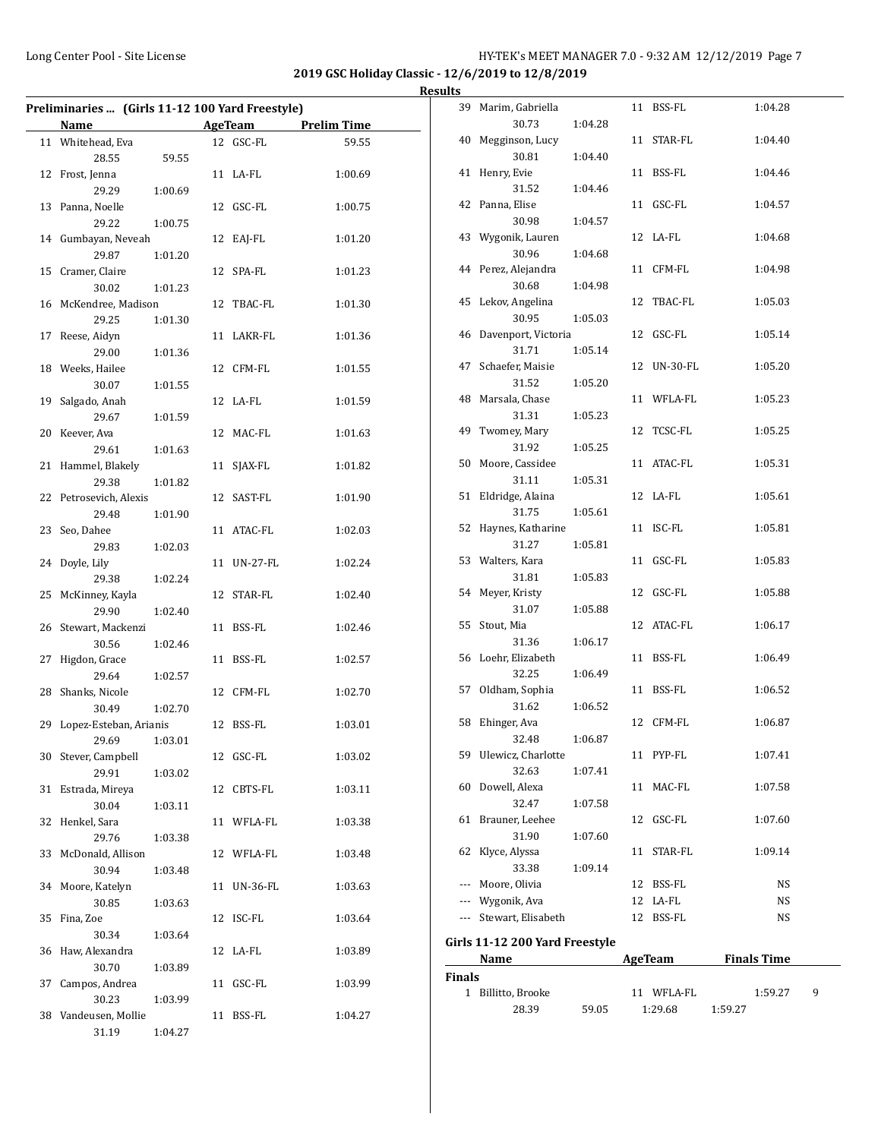|    | Preliminaries  (Girls 11-12 100 Yard Freestyle) |         |    |                 |                    |
|----|-------------------------------------------------|---------|----|-----------------|--------------------|
|    | Name                                            |         |    | AgeTeam         | <b>Prelim Time</b> |
|    | 11 Whitehead, Eva                               |         |    | 12 GSC-FL       | 59.55              |
|    | 28.55                                           | 59.55   |    |                 |                    |
|    | 12 Frost, Jenna                                 |         |    | 11 LA-FL        | 1:00.69            |
|    | 29.29                                           | 1:00.69 |    |                 |                    |
|    | 13 Panna, Noelle                                |         |    | 12 GSC-FL       | 1:00.75            |
|    | 29.22                                           | 1:00.75 |    |                 |                    |
|    | 14 Gumbayan, Neveah                             |         |    | 12 EAJ-FL       | 1:01.20            |
|    | 29.87                                           | 1:01.20 |    |                 |                    |
|    | 15 Cramer, Claire                               |         |    | 12 SPA-FL       | 1:01.23            |
|    | 30.02                                           | 1:01.23 |    |                 |                    |
|    | 16 McKendree, Madison                           |         |    | 12 TBAC-FL      | 1:01.30            |
|    | 29.25                                           | 1:01.30 |    |                 |                    |
|    | 17 Reese, Aidyn                                 |         |    | 11 LAKR-FL      | 1:01.36            |
|    | 29.00                                           | 1:01.36 |    |                 |                    |
|    | 18 Weeks, Hailee                                |         |    | 12 CFM-FL       | 1:01.55            |
|    | 30.07                                           | 1:01.55 |    |                 |                    |
| 19 | Salgado, Anah                                   |         |    | 12 LA-FL        | 1:01.59            |
|    | 29.67                                           | 1:01.59 |    |                 |                    |
| 20 | Keever, Ava                                     |         |    | 12 MAC-FL       | 1:01.63            |
|    | 29.61                                           | 1:01.63 |    |                 |                    |
| 21 | Hammel, Blakely                                 |         | 11 | SJAX-FL         | 1:01.82            |
|    | 29.38                                           | 1:01.82 |    |                 |                    |
|    | 22 Petrosevich, Alexis                          |         |    | 12 SAST-FL      | 1:01.90            |
|    | 29.48                                           | 1:01.90 |    |                 |                    |
| 23 | Seo, Dahee                                      |         |    | 11 ATAC-FL      | 1:02.03            |
|    | 29.83                                           | 1:02.03 |    |                 |                    |
| 24 | Doyle, Lily                                     |         |    | 11 UN-27-FL     | 1:02.24            |
|    | 29.38                                           | 1:02.24 |    |                 |                    |
| 25 | McKinney, Kayla                                 |         |    | 12 STAR-FL      | 1:02.40            |
|    | 29.90                                           | 1:02.40 |    |                 |                    |
|    | 26 Stewart, Mackenzi                            |         |    | 11 BSS-FL       | 1:02.46            |
|    | 30.56                                           | 1:02.46 |    |                 |                    |
| 27 | Higdon, Grace                                   |         |    | 11 BSS-FL       | 1:02.57            |
|    | 29.64                                           | 1:02.57 |    |                 |                    |
| 28 | Shanks, Nicole                                  |         |    | 12 CFM-FL       | 1:02.70            |
|    | 30.49                                           | 1:02.70 |    |                 |                    |
| 29 | Lopez-Esteban, Arianis                          |         |    | 12 BSS-FL       | 1:03.01            |
|    | 29.69                                           | 1:03.01 |    |                 |                    |
| 30 | Stever, Campbell                                |         |    | 12 GSC-FL       | 1:03.02            |
|    | 29.91                                           | 1:03.02 |    |                 |                    |
| 31 | Estrada, Mireya                                 |         |    | 12 CBTS-FL      | 1:03.11            |
|    | 30.04                                           | 1:03.11 |    |                 |                    |
| 32 | Henkel, Sara                                    |         |    | 11 WFLA-FL      | 1:03.38            |
|    | 29.76                                           | 1:03.38 |    |                 |                    |
| 33 | McDonald, Allison                               |         |    | 12 WFLA-FL      | 1:03.48            |
|    | 30.94                                           | 1:03.48 |    |                 |                    |
| 34 | Moore, Katelyn                                  |         | 11 | <b>UN-36-FL</b> | 1:03.63            |
|    | 30.85                                           | 1:03.63 |    |                 |                    |
| 35 | Fina, Zoe                                       |         |    | 12 ISC-FL       | 1:03.64            |
|    | 30.34                                           | 1:03.64 |    |                 |                    |
| 36 | Haw, Alexandra                                  |         |    | 12 LA-FL        | 1:03.89            |
|    | 30.70                                           | 1:03.89 |    |                 |                    |
| 37 | Campos, Andrea                                  |         | 11 | GSC-FL          | 1:03.99            |
|    | 30.23                                           | 1:03.99 |    |                 |                    |
| 38 | Vandeusen, Mollie                               |         |    | 11 BSS-FL       | 1:04.27            |
|    | 31.19                                           | 1:04.27 |    |                 |                    |

|               | 39 Marim, Gabriella                                                                                                                                                                                                           |         |    | 11 BSS-FL   |         | 1:04.28            |   |
|---------------|-------------------------------------------------------------------------------------------------------------------------------------------------------------------------------------------------------------------------------|---------|----|-------------|---------|--------------------|---|
|               | 30.73                                                                                                                                                                                                                         | 1:04.28 |    |             |         |                    |   |
|               | 40 Megginson, Lucy                                                                                                                                                                                                            |         |    | 11 STAR-FL  |         | 1:04.40            |   |
|               | 30.81                                                                                                                                                                                                                         | 1:04.40 |    |             |         |                    |   |
| 41            | Henry, Evie                                                                                                                                                                                                                   |         |    | 11 BSS-FL   |         | 1:04.46            |   |
|               | 31.52                                                                                                                                                                                                                         | 1:04.46 |    |             |         |                    |   |
|               | 42 Panna, Elise                                                                                                                                                                                                               |         |    | 11 GSC-FL   |         | 1:04.57            |   |
|               | 30.98                                                                                                                                                                                                                         | 1:04.57 |    |             |         |                    |   |
|               | 43 Wygonik, Lauren                                                                                                                                                                                                            |         |    | 12 LA-FL    |         | 1:04.68            |   |
|               | 30.96                                                                                                                                                                                                                         | 1:04.68 |    |             |         |                    |   |
|               | 44 Perez, Alejandra                                                                                                                                                                                                           |         |    | 11 CFM-FL   |         | 1:04.98            |   |
|               | 30.68                                                                                                                                                                                                                         | 1:04.98 |    |             |         |                    |   |
|               | 45 Lekov, Angelina                                                                                                                                                                                                            |         |    | 12 TBAC-FL  |         | 1:05.03            |   |
|               | 30.95                                                                                                                                                                                                                         | 1:05.03 |    |             |         |                    |   |
|               | 46 Davenport, Victoria                                                                                                                                                                                                        |         |    | 12 GSC-FL   |         | 1:05.14            |   |
|               | 31.71                                                                                                                                                                                                                         | 1:05.14 |    |             |         |                    |   |
|               | 47 Schaefer, Maisie                                                                                                                                                                                                           |         |    | 12 UN-30-FL |         | 1:05.20            |   |
|               | 31.52                                                                                                                                                                                                                         | 1:05.20 |    |             |         |                    |   |
|               | 48 Marsala, Chase                                                                                                                                                                                                             |         |    | 11 WFLA-FL  |         | 1:05.23            |   |
|               | 31.31                                                                                                                                                                                                                         | 1:05.23 |    |             |         |                    |   |
|               | 49 Twomey, Mary                                                                                                                                                                                                               |         |    | 12 TCSC-FL  |         | 1:05.25            |   |
|               | 31.92                                                                                                                                                                                                                         | 1:05.25 |    |             |         |                    |   |
|               | 50 Moore, Cassidee                                                                                                                                                                                                            |         |    | 11 ATAC-FL  |         | 1:05.31            |   |
|               | 31.11                                                                                                                                                                                                                         | 1:05.31 |    |             |         |                    |   |
|               | 51 Eldridge, Alaina                                                                                                                                                                                                           |         |    | 12 LA-FL    |         | 1:05.61            |   |
|               | 31.75                                                                                                                                                                                                                         | 1:05.61 |    |             |         |                    |   |
| 52            | Haynes, Katharine                                                                                                                                                                                                             |         |    | 11 ISC-FL   |         | 1:05.81            |   |
|               | 31.27                                                                                                                                                                                                                         | 1:05.81 |    |             |         |                    |   |
|               | 53 Walters, Kara                                                                                                                                                                                                              |         |    | 11 GSC-FL   |         | 1:05.83            |   |
|               | 31.81                                                                                                                                                                                                                         |         |    |             |         |                    |   |
| 54            |                                                                                                                                                                                                                               | 1:05.83 |    |             |         |                    |   |
|               | Meyer, Kristy<br>31.07                                                                                                                                                                                                        | 1:05.88 |    | 12 GSC-FL   |         | 1:05.88            |   |
| 55            | Stout, Mia                                                                                                                                                                                                                    |         |    | 12 ATAC-FL  |         | 1:06.17            |   |
|               | 31.36                                                                                                                                                                                                                         |         |    |             |         |                    |   |
|               | 56 Loehr, Elizabeth                                                                                                                                                                                                           | 1:06.17 |    | 11 BSS-FL   |         | 1:06.49            |   |
|               | 32.25                                                                                                                                                                                                                         | 1:06.49 |    |             |         |                    |   |
|               | 57 Oldham, Sophia                                                                                                                                                                                                             |         |    | 11 BSS-FL   |         | 1:06.52            |   |
|               | 31.62                                                                                                                                                                                                                         | 1:06.52 |    |             |         |                    |   |
|               | 58 Ehinger, Ava                                                                                                                                                                                                               |         |    | 12 CFM-FL   |         | 1:06.87            |   |
|               | 32.48                                                                                                                                                                                                                         | 1:06.87 |    |             |         |                    |   |
|               | 59 Ulewicz, Charlotte                                                                                                                                                                                                         |         |    | 11 PYP-FL   |         | 1:07.41            |   |
|               | 32.63                                                                                                                                                                                                                         | 1:07.41 |    |             |         |                    |   |
| 60            | Dowell, Alexa                                                                                                                                                                                                                 |         |    | 11 MAC-FL   |         | 1:07.58            |   |
|               | 32.47                                                                                                                                                                                                                         | 1:07.58 |    |             |         |                    |   |
| 61            | Brauner, Leehee                                                                                                                                                                                                               |         |    | 12 GSC-FL   |         | 1:07.60            |   |
|               | 31.90                                                                                                                                                                                                                         | 1:07.60 |    |             |         |                    |   |
|               |                                                                                                                                                                                                                               |         |    |             |         | 1:09.14            |   |
|               | 62 Klyce, Alyssa                                                                                                                                                                                                              |         | 11 | STAR-FL     |         |                    |   |
|               | 33.38<br>--- Moore, Olivia                                                                                                                                                                                                    | 1:09.14 |    |             |         | NS                 |   |
|               | --- Wygonik, Ava                                                                                                                                                                                                              |         |    | 12 BSS-FL   |         |                    |   |
|               |                                                                                                                                                                                                                               |         |    | 12 LA-FL    |         | NS                 |   |
|               | --- Stewart, Elisabeth                                                                                                                                                                                                        |         |    | 12 BSS-FL   |         | NS                 |   |
|               | Girls 11-12 200 Yard Freestyle                                                                                                                                                                                                |         |    |             |         |                    |   |
|               | Name and the set of the set of the set of the set of the set of the set of the set of the set of the set of the set of the set of the set of the set of the set of the set of the set of the set of the set of the set of the |         |    | AgeTeam     |         | <b>Finals Time</b> |   |
| <b>Finals</b> |                                                                                                                                                                                                                               |         |    |             |         |                    |   |
|               | 1 Billitto, Brooke                                                                                                                                                                                                            |         |    | 11 WFLA-FL  |         | 1:59.27            | 9 |
|               | 28.39                                                                                                                                                                                                                         | 59.05   |    | 1:29.68     | 1:59.27 |                    |   |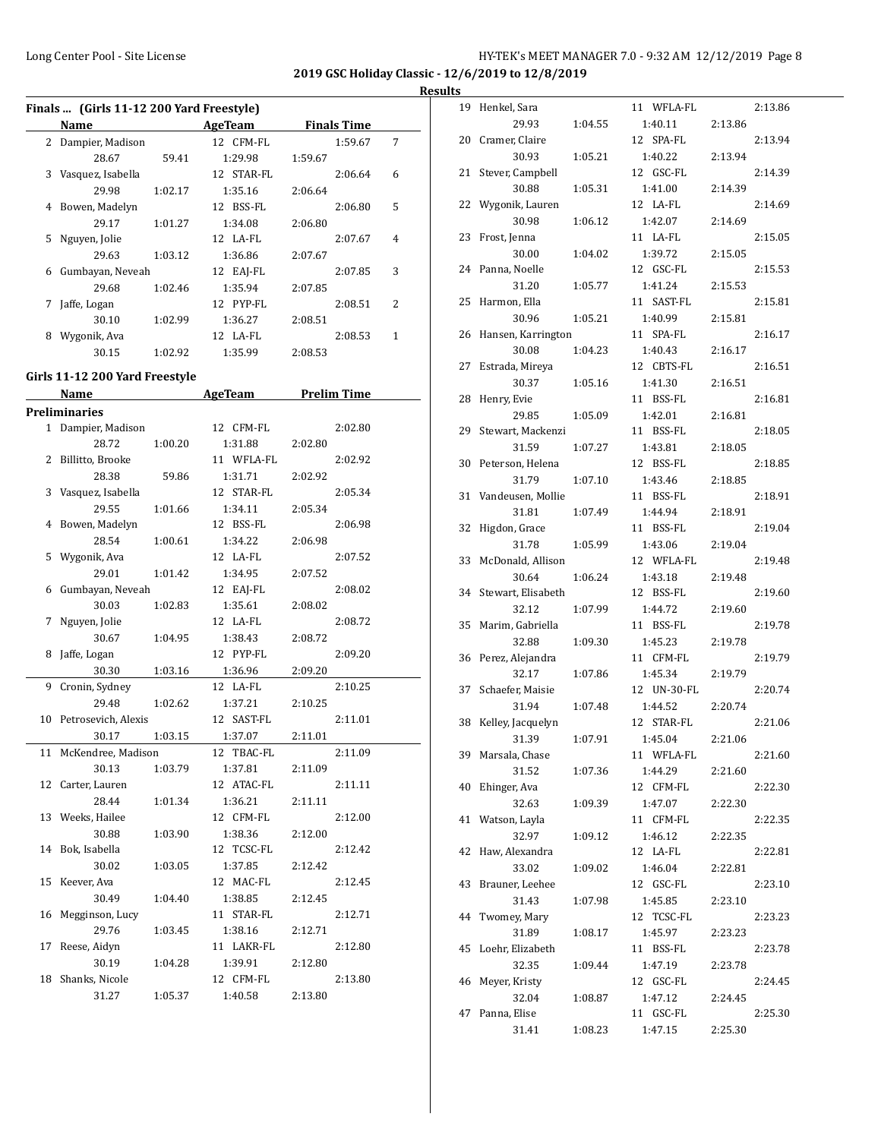**2019 GSC Holiday Classic - 12/6/2019 to 12/8/2019**

#### **Results**

|    | Finals  (Girls 11-12 200 Yard Freestyle) |         |                       |         |                    |   |
|----|------------------------------------------|---------|-----------------------|---------|--------------------|---|
|    | <b>Name</b>                              |         | AgeTeam               |         | <b>Finals Time</b> |   |
|    | 2 Dampier, Madison                       |         | 12 CFM-FL             |         | 1:59.67            | 7 |
|    | 28.67                                    | 59.41   | 1:29.98               | 1:59.67 |                    |   |
| 3  | Vasquez, Isabella                        |         | 12 STAR-FL            |         | 2:06.64            | 6 |
|    | 29.98                                    | 1:02.17 | 1:35.16               | 2:06.64 |                    |   |
| 4  | Bowen, Madelyn                           |         | 12 BSS-FL             |         | 2:06.80            | 5 |
|    | 29.17                                    | 1:01.27 | 1:34.08               | 2:06.80 |                    |   |
| 5  | Nguyen, Jolie                            |         | 12 LA-FL              |         | 2:07.67            | 4 |
|    | 29.63                                    | 1:03.12 | 1:36.86               | 2:07.67 |                    |   |
| 6  | Gumbayan, Neveah                         |         | 12 EAJ-FL             |         | 2:07.85            | 3 |
|    | 29.68                                    | 1:02.46 | 1:35.94               | 2:07.85 |                    |   |
| 7  | Jaffe, Logan                             |         | 12 PYP-FL             |         | 2:08.51            | 2 |
|    | 30.10                                    | 1:02.99 | 1:36.27               | 2:08.51 |                    |   |
|    | 8 Wygonik, Ava                           |         | 12 LA-FL              |         | 2:08.53            | 1 |
|    | 30.15                                    | 1:02.92 | 1:35.99               | 2:08.53 |                    |   |
|    |                                          |         |                       |         |                    |   |
|    | Girls 11-12 200 Yard Freestyle           |         |                       |         | <b>Prelim Time</b> |   |
|    | Name<br><b>Preliminaries</b>             |         | AgeTeam               |         |                    |   |
|    |                                          |         |                       |         |                    |   |
|    | 1 Dampier, Madison                       |         | 12 CFM-FL             |         | 2:02.80            |   |
| 2  | 28.72                                    | 1:00.20 | 1:31.88<br>11 WFLA-FL | 2:02.80 |                    |   |
|    | Billitto, Brooke                         |         |                       |         | 2:02.92            |   |
|    | 28.38                                    | 59.86   | 1:31.71<br>12 STAR-FL | 2:02.92 |                    |   |
| 3  | Vasquez, Isabella                        |         |                       |         | 2:05.34            |   |
|    | 29.55                                    | 1:01.66 | 1:34.11               | 2:05.34 |                    |   |
| 4  | Bowen, Madelyn                           |         | 12 BSS-FL             |         | 2:06.98            |   |
|    | 28.54                                    | 1:00.61 | 1:34.22               | 2:06.98 |                    |   |
| 5  | Wygonik, Ava                             |         | 12 LA-FL              |         | 2:07.52            |   |
|    | 29.01                                    | 1:01.42 | 1:34.95               | 2:07.52 |                    |   |
| 6  | Gumbayan, Neveah                         |         | 12 EAJ-FL             |         | 2:08.02            |   |
|    | 30.03                                    | 1:02.83 | 1:35.61               | 2:08.02 |                    |   |
| 7  | Nguyen, Jolie                            |         | 12 LA-FL              |         | 2:08.72            |   |
|    | 30.67                                    | 1:04.95 | 1:38.43               | 2:08.72 |                    |   |
| 8  | Jaffe, Logan                             |         | 12 PYP-FL             |         | 2:09.20            |   |
|    | 30.30                                    | 1:03.16 | 1:36.96               | 2:09.20 |                    |   |
| 9  | Cronin, Sydney                           |         | 12 LA-FL              |         | 2:10.25            |   |
|    | 29.48                                    | 1:02.62 | 1:37.21               | 2:10.25 |                    |   |
| 10 | Petrosevich, Alexis                      |         | 12 SAST-FL            |         | 2:11.01            |   |
|    | 30.17                                    | 1:03.15 | 1:37.07               | 2:11.01 |                    |   |
| 11 | McKendree, Madison                       |         | 12 TBAC-FL            |         | 2:11.09            |   |
|    | 30.13                                    | 1:03.79 | 1:37.81               | 2:11.09 |                    |   |
| 12 | Carter, Lauren                           |         | 12 ATAC-FL            |         | 2:11.11            |   |
|    | 28.44                                    | 1:01.34 | 1:36.21               | 2:11.11 |                    |   |
| 13 | Weeks, Hailee                            |         | 12 CFM-FL             |         | 2:12.00            |   |
|    | 30.88                                    | 1:03.90 | 1:38.36               | 2:12.00 |                    |   |
| 14 | Bok, Isabella                            |         | 12 TCSC-FL            |         | 2:12.42            |   |
|    | 30.02                                    | 1:03.05 | 1:37.85               | 2:12.42 |                    |   |
| 15 | Keever, Ava                              |         | 12 MAC-FL             |         | 2:12.45            |   |
|    | 30.49                                    | 1:04.40 | 1:38.85               | 2:12.45 |                    |   |
| 16 | Megginson, Lucy                          |         | 11 STAR-FL            |         | 2:12.71            |   |
|    | 29.76                                    | 1:03.45 | 1:38.16               | 2:12.71 |                    |   |
| 17 | Reese, Aidyn                             |         | 11 LAKR-FL            |         | 2:12.80            |   |
|    | 30.19                                    | 1:04.28 | 1:39.91               | 2:12.80 |                    |   |
| 18 | Shanks, Nicole                           |         | 12 CFM-FL             |         | 2:13.80            |   |
|    | 31.27                                    | 1:05.37 | 1:40.58               | 2:13.80 |                    |   |

|    | Henkel, Sara          |         | 11 WFLA-FL           |         | 2:13.86 |
|----|-----------------------|---------|----------------------|---------|---------|
|    | 29.93                 | 1:04.55 | 1:40.11              | 2:13.86 |         |
| 20 | Cramer, Claire        |         | SPA-FL<br>12         |         | 2:13.94 |
|    | 30.93                 | 1:05.21 | 1:40.22              | 2:13.94 |         |
| 21 | Stever, Campbell      |         | 12 GSC-FL            |         | 2:14.39 |
|    | 30.88                 | 1:05.31 | 1:41.00              | 2:14.39 |         |
| 22 | Wygonik, Lauren       |         | 12 LA-FL             |         | 2:14.69 |
|    | 30.98                 | 1:06.12 | 1:42.07              | 2:14.69 |         |
|    |                       |         | 11 LA-FL             |         | 2:15.05 |
| 23 | Frost, Jenna          |         |                      |         |         |
|    | 30.00                 | 1:04.02 | 1:39.72              | 2:15.05 |         |
| 24 | Panna, Noelle         |         | 12 GSC-FL            |         | 2:15.53 |
|    | 31.20                 | 1:05.77 | 1:41.24              | 2:15.53 |         |
| 25 | Harmon, Ella          |         | 11 SAST-FL           |         | 2:15.81 |
|    | 30.96                 | 1:05.21 | 1:40.99              | 2:15.81 |         |
| 26 | Hansen, Karrington    |         | 11 SPA-FL            |         | 2:16.17 |
|    | 30.08                 | 1:04.23 | 1:40.43              | 2:16.17 |         |
| 27 | Estrada, Mireya       |         | 12 CBTS-FL           |         | 2:16.51 |
|    | 30.37                 | 1:05.16 | 1:41.30              | 2:16.51 |         |
| 28 | Henry, Evie           |         | BSS-FL<br>11         |         | 2:16.81 |
|    | 29.85                 | 1:05.09 | 1:42.01              | 2:16.81 |         |
| 29 | Stewart, Mackenzi     |         | 11 BSS-FL            |         | 2:18.05 |
|    | 31.59                 | 1:07.27 | 1:43.81              | 2:18.05 |         |
|    |                       |         | 12 BSS-FL            |         |         |
| 30 | Peterson, Helena      |         |                      |         | 2:18.85 |
|    | 31.79                 | 1:07.10 | 1:43.46              | 2:18.85 |         |
| 31 | Vandeusen, Mollie     |         | 11 BSS-FL            |         | 2:18.91 |
|    | 31.81                 | 1:07.49 | 1:44.94              | 2:18.91 |         |
| 32 | Higdon, Grace         |         | 11 BSS-FL            |         | 2:19.04 |
|    | 31.78                 | 1:05.99 | 1:43.06              | 2:19.04 |         |
| 33 | McDonald, Allison     |         | 12 WFLA-FL           |         | 2:19.48 |
|    | 30.64                 | 1:06.24 | 1:43.18              | 2:19.48 |         |
| 34 | Stewart, Elisabeth    |         | 12 BSS-FL            |         | 2:19.60 |
|    | 32.12                 | 1:07.99 | 1:44.72              | 2:19.60 |         |
| 35 | Marim, Gabriella      |         | 11 BSS-FL            |         | 2:19.78 |
|    | 32.88                 | 1:09.30 | 1:45.23              | 2:19.78 |         |
|    | Perez, Alejandra      |         | 11 CFM-FL            |         | 2:19.79 |
|    |                       |         |                      | 2:19.79 |         |
| 36 |                       |         |                      |         |         |
|    | 32.17                 | 1:07.86 | 1:45.34              |         |         |
| 37 | Schaefer, Maisie      |         | 12 UN-30-FL          |         | 2:20.74 |
|    | 31.94                 | 1:07.48 | 1:44.52              | 2:20.74 |         |
| 38 | Kelley, Jacquelyn     |         | 12 STAR-FL           |         | 2:21.06 |
|    | 31.39                 | 1:07.91 | 1:45.04              | 2:21.06 |         |
| 39 | Marsala, Chase        |         | 11 WFLA-FL           |         | 2:21.60 |
|    | 31.52                 | 1:07.36 | 1:44.29              | 2:21.60 |         |
| 40 | Ehinger, Ava          |         | 12 CFM-FL            |         | 2:22.30 |
|    | 32.63                 | 1:09.39 | 1:47.07              | 2:22.30 |         |
| 41 | Watson, Layla         |         | 11 CFM-FL            |         | 2:22.35 |
|    | 32.97                 | 1:09.12 | 1:46.12              | 2:22.35 |         |
| 42 | Haw, Alexandra        |         | 12 LA-FL             |         | 2:22.81 |
|    | 33.02                 |         | 1:46.04              |         |         |
|    |                       | 1:09.02 |                      | 2:22.81 |         |
| 43 | Brauner, Leehee       |         | 12 GSC-FL            |         | 2:23.10 |
|    | 31.43                 | 1:07.98 | 1:45.85              | 2:23.10 |         |
| 44 | Twomey, Mary          |         | 12 TCSC-FL           |         | 2:23.23 |
|    | 31.89                 | 1:08.17 | 1:45.97              | 2:23.23 |         |
| 45 | Loehr, Elizabeth      |         | 11 BSS-FL            |         | 2:23.78 |
|    | 32.35                 | 1:09.44 | 1:47.19              | 2:23.78 |         |
| 46 | Meyer, Kristy         |         | 12 GSC-FL            |         | 2:24.45 |
|    | 32.04                 | 1:08.87 | 1:47.12              | 2:24.45 |         |
| 47 | Panna, Elise<br>31.41 |         | 11 GSC-FL<br>1:47.15 | 2:25.30 | 2:25.30 |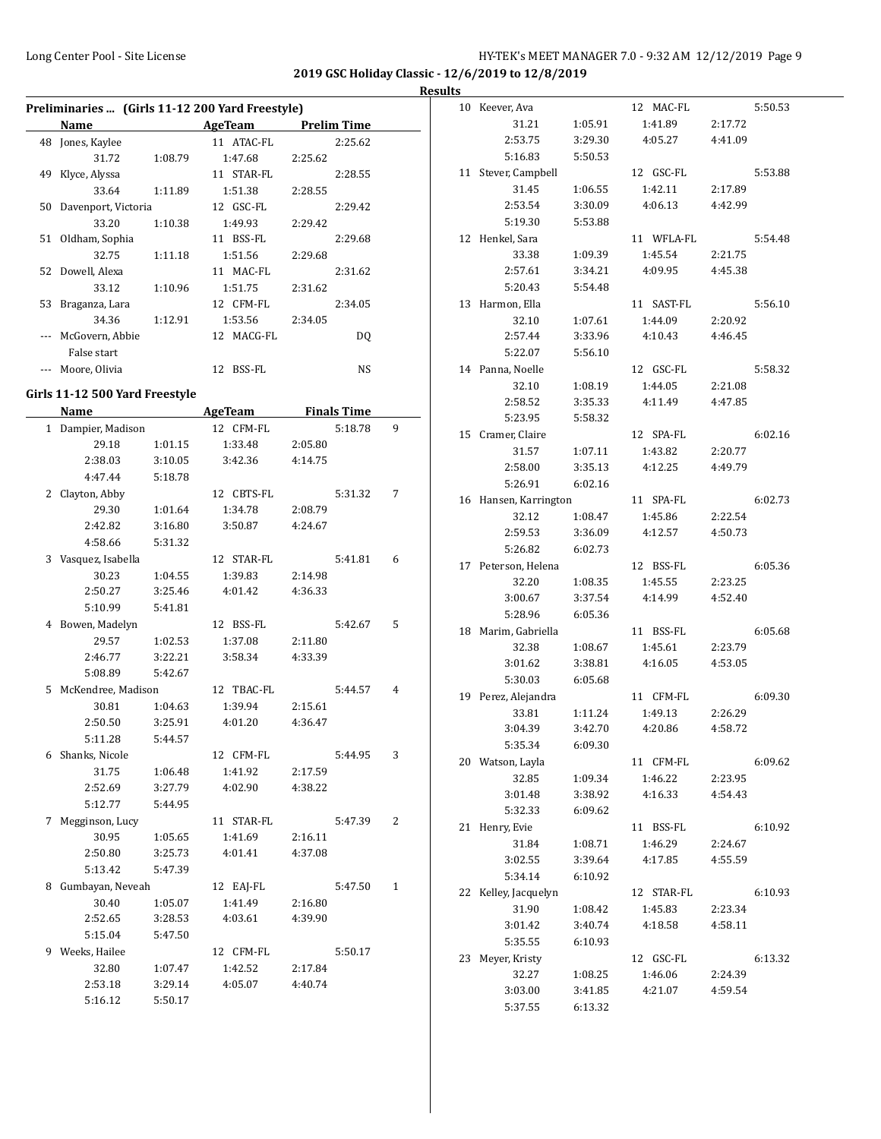**2019 GSC Holiday Classic - 12/6/2019 to 12/8/2019**

|    |                                                 |         |            |                    | <b>Results</b> |
|----|-------------------------------------------------|---------|------------|--------------------|----------------|
|    | Preliminaries  (Girls 11-12 200 Yard Freestyle) |         |            |                    | 10             |
|    | Name                                            |         | AgeTeam    | <b>Prelim Time</b> |                |
|    | 48 Jones, Kaylee                                |         | 11 ATAC-FL | 2:25.62            |                |
|    | 31.72                                           | 1:08.79 | 1:47.68    | 2:25.62            |                |
|    | 49 Klyce, Alyssa                                |         | 11 STAR-FL | 2:28.55            | 11             |
|    | 33.64                                           | 1:11.89 | 1:51.38    | 2:28.55            |                |
|    | 50 Davenport, Victoria                          |         | 12 GSC-FL  | 2:29.42            |                |
|    | 33.20                                           | 1:10.38 | 1:49.93    | 2:29.42            |                |
| 51 | Oldham, Sophia                                  |         | 11 BSS-FL  | 2:29.68            | 12             |
|    | 32.75                                           | 1:11.18 | 1:51.56    | 2:29.68            |                |
|    | 52 Dowell, Alexa                                |         | 11 MAC-FL  | 2:31.62            |                |
|    | 33.12                                           | 1:10.96 | 1:51.75    | 2:31.62            |                |
| 53 | Braganza, Lara                                  |         | 12 CFM-FL  | 2:34.05            | 13             |
|    | 34.36                                           | 1:12.91 | 1:53.56    | 2:34.05            |                |
|    | McGovern, Abbie                                 |         | 12 MACG-FL | DQ                 |                |
|    | False start                                     |         |            |                    |                |
|    | Moore, Olivia                                   |         | 12 BSS-FL  | NS.                | 14             |

#### **Girls 11-12 500 Yard Freestyle**

|   | Name                 |         | <b>AgeTeam</b> |         | <b>Finals Time</b> |              |
|---|----------------------|---------|----------------|---------|--------------------|--------------|
|   | 1 Dampier, Madison   |         | 12 CFM-FL      |         | 5:18.78            | 9            |
|   | 29.18                | 1:01.15 | 1:33.48        | 2:05.80 |                    |              |
|   | 2:38.03              | 3:10.05 | 3:42.36        | 4:14.75 |                    |              |
|   | 4:47.44              | 5:18.78 |                |         |                    |              |
|   | 2 Clayton, Abby      |         | 12 CBTS-FL     |         | 5:31.32            | 7            |
|   | 29.30                | 1:01.64 | 1:34.78        | 2:08.79 |                    |              |
|   | 2:42.82              | 3:16.80 | 3:50.87        | 4:24.67 |                    |              |
|   | 4:58.66              | 5:31.32 |                |         |                    |              |
|   | 3 Vasquez, Isabella  |         | 12 STAR-FL     |         | 5:41.81            | 6            |
|   | 30.23                | 1:04.55 | 1:39.83        | 2:14.98 |                    |              |
|   | 2:50.27              | 3:25.46 | 4:01.42        | 4:36.33 |                    |              |
|   | 5:10.99              | 5:41.81 |                |         |                    |              |
|   | 4 Bowen, Madelyn     |         | 12 BSS-FL      |         | 5:42.67            | 5            |
|   | 29.57                | 1:02.53 | 1:37.08        | 2:11.80 |                    |              |
|   | 2:46.77              | 3:22.21 | 3:58.34        | 4:33.39 |                    |              |
|   | 5:08.89              | 5:42.67 |                |         |                    |              |
|   | 5 McKendree, Madison |         | 12 TBAC-FL     |         | 5:44.57            | 4            |
|   | 30.81                | 1:04.63 | 1:39.94        | 2:15.61 |                    |              |
|   | 2:50.50              | 3:25.91 | 4:01.20        | 4:36.47 |                    |              |
|   | 5:11.28              | 5:44.57 |                |         |                    |              |
|   | 6 Shanks, Nicole     |         | 12 CFM-FL      |         | 5:44.95            | 3            |
|   | 31.75                | 1:06.48 | 1:41.92        | 2:17.59 |                    |              |
|   | 2:52.69              | 3:27.79 | 4:02.90        | 4:38.22 |                    |              |
|   | 5:12.77              | 5:44.95 |                |         |                    |              |
| 7 | Megginson, Lucy      |         | 11 STAR-FL     |         | 5:47.39            | 2            |
|   | 30.95                | 1:05.65 | 1:41.69        | 2:16.11 |                    |              |
|   | 2:50.80              | 3:25.73 | 4:01.41        | 4:37.08 |                    |              |
|   | 5:13.42              | 5:47.39 |                |         |                    |              |
|   | 8 Gumbayan, Neveah   |         | 12 EAJ-FL      |         | 5:47.50            | $\mathbf{1}$ |
|   | 30.40                | 1:05.07 | 1:41.49        | 2:16.80 |                    |              |
|   | 2:52.65              | 3:28.53 | 4:03.61        | 4:39.90 |                    |              |
|   | 5:15.04              | 5:47.50 |                |         |                    |              |
|   | 9 Weeks, Hailee      |         | 12 CFM-FL      |         | 5:50.17            |              |
|   | 32.80                | 1:07.47 | 1:42.52        | 2:17.84 |                    |              |
|   | 2:53.18              | 3:29.14 | 4:05.07        | 4:40.74 |                    |              |
|   | 5:16.12              | 5:50.17 |                |         |                    |              |

| 10 | Keever, Ava        |                    | 12 MAC-FL          |                    | 5:50.53 |
|----|--------------------|--------------------|--------------------|--------------------|---------|
|    | 31.21              | 1:05.91            | 1:41.89            | 2:17.72            |         |
|    | 2:53.75            | 3:29.30            | 4:05.27            | 4:41.09            |         |
|    | 5:16.83            | 5:50.53            |                    |                    |         |
| 11 | Stever, Campbell   |                    | 12 GSC-FL          |                    | 5:53.88 |
|    | 31.45              | 1:06.55            | 1:42.11            | 2:17.89            |         |
|    | 2:53.54            | 3:30.09            | 4:06.13            | 4:42.99            |         |
|    | 5:19.30            | 5:53.88            |                    |                    |         |
| 12 | Henkel, Sara       |                    | 11 WFLA-FL         |                    | 5:54.48 |
|    | 33.38              | 1:09.39            | 1:45.54            | 2:21.75            |         |
|    | 2:57.61            | 3:34.21            | 4:09.95            | 4:45.38            |         |
|    | 5:20.43            | 5:54.48            |                    |                    |         |
| 13 | Harmon, Ella       |                    | 11<br>SAST-FL      |                    | 5:56.10 |
|    | 32.10              | 1:07.61            | 1:44.09            | 2:20.92            |         |
|    | 2:57.44            | 3:33.96            | 4:10.43            | 4:46.45            |         |
|    | 5:22.07            | 5:56.10            |                    |                    |         |
|    | 14 Panna, Noelle   |                    | 12 GSC-FL          |                    | 5:58.32 |
|    | 32.10              | 1:08.19            | 1:44.05            | 2:21.08            |         |
|    | 2:58.52            | 3:35.33            | 4:11.49            | 4:47.85            |         |
|    | 5:23.95            | 5:58.32            |                    |                    |         |
| 15 | Cramer, Claire     |                    | 12 SPA-FL          |                    | 6:02.16 |
|    | 31.57              | 1:07.11            | 1:43.82            | 2:20.77            |         |
|    | 2:58.00            | 3:35.13            | 4:12.25            | 4:49.79            |         |
|    | 5:26.91            | 6:02.16            |                    |                    |         |
| 16 | Hansen, Karrington |                    | 11 SPA-FL          |                    | 6:02.73 |
|    | 32.12              | 1:08.47            | 1:45.86            | 2:22.54            |         |
|    | 2:59.53            | 3:36.09            | 4:12.57            | 4:50.73            |         |
|    | 5:26.82            | 6:02.73            |                    |                    |         |
|    |                    |                    |                    |                    |         |
|    |                    |                    |                    |                    |         |
| 17 | Peterson, Helena   |                    | 12 BSS-FL          |                    | 6:05.36 |
|    | 32.20              | 1:08.35            | 1:45.55            | 2:23.25            |         |
|    | 3:00.67            | 3:37.54            | 4:14.99            | 4:52.40            |         |
|    | 5:28.96            | 6:05.36            |                    |                    |         |
| 18 | Marim, Gabriella   |                    | 11<br>BSS-FL       |                    | 6:05.68 |
|    | 32.38              | 1:08.67            | 1:45.61            | 2:23.79            |         |
|    | 3:01.62            | 3:38.81            | 4:16.05            | 4:53.05            |         |
|    | 5:30.03            | 6:05.68            |                    |                    |         |
| 19 | Perez, Alejandra   |                    | 11 CFM-FL          |                    | 6:09.30 |
|    | 33.81              | 1:11.24            | 1:49.13            | 2:26.29            |         |
|    | 3:04.39            | 3:42.70            | 4:20.86            | 4:58.72            |         |
|    | 5:35.34            | 6:09.30            |                    |                    |         |
|    | 20 Watson, Layla   |                    | 11 CFM-FL          |                    | 6:09.62 |
|    | 32.85              | 1:09.34            | 1:46.22            | 2:23.95            |         |
|    | 3:01.48            | 3:38.92            | 4:16.33            | 4:54.43            |         |
|    | 5:32.33            | 6:09.62            |                    |                    |         |
| 21 | Henry, Evie        |                    | 11 BSS-FL          |                    | 6:10.92 |
|    | 31.84              | 1:08.71            | 1:46.29            | 2:24.67            |         |
|    | 3:02.55            | 3:39.64            | 4:17.85            | 4:55.59            |         |
|    | 5:34.14            | 6:10.92            |                    |                    |         |
| 22 | Kelley, Jacquelyn  |                    | 12 STAR-FL         |                    | 6:10.93 |
|    | 31.90              | 1:08.42            | 1:45.83            | 2:23.34            |         |
|    | 3:01.42            | 3:40.74            | 4:18.58            | 4:58.11            |         |
|    | 5:35.55            | 6:10.93            |                    |                    |         |
| 23 | Meyer, Kristy      |                    | 12 GSC-FL          |                    | 6:13.32 |
|    | 32.27              | 1:08.25            | 1:46.06<br>4:21.07 | 2:24.39<br>4:59.54 |         |
|    | 3:03.00<br>5:37.55 | 3:41.85<br>6:13.32 |                    |                    |         |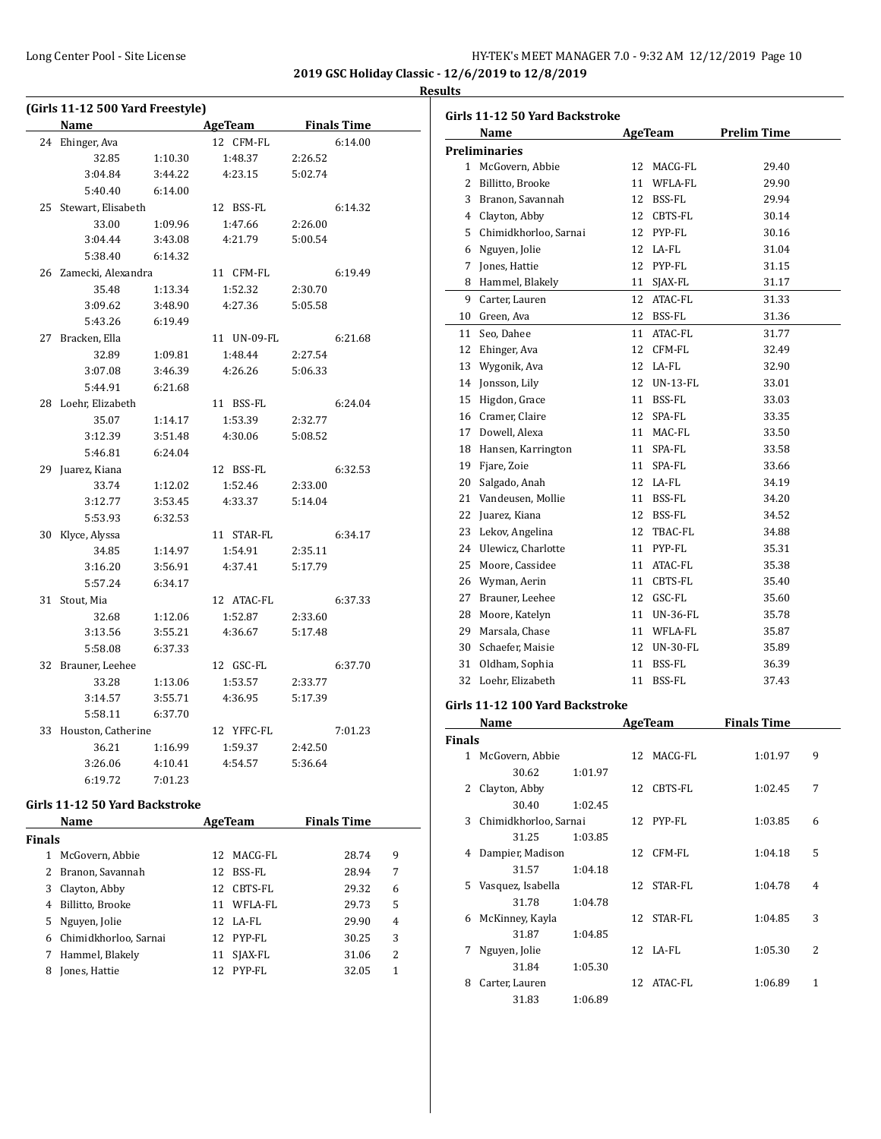| HY-TEK's MEET MANAGER 7.0 - 9:32 AM 12/12/2019 Page 10 |  |  |  |  |
|--------------------------------------------------------|--|--|--|--|
|--------------------------------------------------------|--|--|--|--|

**2019 GSC Holiday Classic - 12/6/2019 to 12/8/2019 Results**

#### **(Girls 11-12 500 Yard Freestyle) Name Age Team Finals Time** 24 Ehinger, Ava 12 CFM-FL 6:14.00 32.85 1:10.30 1:48.37 2:26.52 3:04.84 3:44.22 4:23.15 5:02.74 5:40.40 6:14.00 25 Stewart, Elisabeth 12 BSS-FL 6:14.32 33.00 1:09.96 1:47.66 2:26.00 3:04.44 3:43.08 4:21.79 5:00.54 5:38.40 6:14.32 26 Zamecki, Alexandra 11 CFM-FL 6:19.49 35.48 1:13.34 1:52.32 2:30.70 3:09.62 3:48.90 4:27.36 5:05.58 5:43.26 6:19.49 27 Bracken, Ella 11 UN-09-FL 6:21.68 32.89 1:09.81 1:48.44 2:27.54 3:07.08 3:46.39 4:26.26 5:06.33 5:44.91 6:21.68 28 Loehr, Elizabeth 11 BSS-FL 6:24.04 35.07 1:14.17 1:53.39 2:32.77 3:12.39 3:51.48 4:30.06 5:08.52 5:46.81 6:24.04 29 Juarez, Kiana 12 BSS-FL 6:32.53 33.74 1:12.02 1:52.46 2:33.00 3:12.77 3:53.45 4:33.37 5:14.04 5:53.93 6:32.53 30 Klyce, Alyssa 11 STAR-FL 6:34.17 34.85 1:14.97 1:54.91 2:35.11 3:16.20 3:56.91 4:37.41 5:17.79 5:57.24 6:34.17 31 Stout, Mia 12 ATAC-FL 6:37.33 32.68 1:12.06 1:52.87 2:33.60 3:13.56 3:55.21 4:36.67 5:17.48 5:58.08 6:37.33 32 Brauner, Leehee 12 GSC-FL 6:37.70 33.28 1:13.06 1:53.57 2:33.77 3:14.57 3:55.71 4:36.95 5:17.39 5:58.11 6:37.70 33 Houston, Catherine 12 YFFC-FL 7:01.23 36.21 1:16.99 1:59.37 2:42.50 3:26.06 4:10.41 4:54.57 5:36.64 6:19.72 7:01.23

#### **Girls 11-12 50 Yard Backstroke**

|               | Name                  |    | AgeTeam    | <b>Finals Time</b> |   |  |
|---------------|-----------------------|----|------------|--------------------|---|--|
| <b>Finals</b> |                       |    |            |                    |   |  |
| 1             | McGovern, Abbie       |    | 12 MACG-FL | 28.74              | 9 |  |
|               | 2 Branon, Savannah    | 12 | BSS-FL     | 28.94              | 7 |  |
|               | 3 Clayton, Abby       | 12 | CBTS-FL    | 29.32              | 6 |  |
| 4             | Billitto, Brooke      | 11 | WFLA-FL    | 29.73              | 5 |  |
|               | 5 Nguyen, Jolie       |    | 12 LA-FL   | 29.90              | 4 |  |
| 6             | Chimidkhorloo, Sarnai |    | 12 PYP-FL  | 30.25              | 3 |  |
|               | Hammel, Blakely       | 11 | SJAX-FL    | 31.06              | 2 |  |
| 8             | Jones, Hattie         | 12 | PYP-FL     | 32.05              | 1 |  |

| Girls 11-12 50 Yard Backstroke |                       |    |                 |                    |  |
|--------------------------------|-----------------------|----|-----------------|--------------------|--|
|                                | Name                  |    | AgeTeam         | <b>Prelim Time</b> |  |
|                                | <b>Preliminaries</b>  |    |                 |                    |  |
|                                | 1 McGovern, Abbie     |    | 12 MACG-FL      | 29.40              |  |
| 2                              | Billitto, Brooke      |    | 11 WFLA-FL      | 29.90              |  |
| 3                              | Branon, Savannah      |    | 12 BSS-FL       | 29.94              |  |
| 4                              | Clayton, Abby         |    | 12 CBTS-FL      | 30.14              |  |
| 5                              | Chimidkhorloo, Sarnai | 12 | PYP-FL          | 30.16              |  |
| 6                              | Nguyen, Jolie         | 12 | LA-FL           | 31.04              |  |
| 7                              | Jones, Hattie         |    | 12 PYP-FL       | 31.15              |  |
| 8                              | Hammel, Blakely       |    | 11 SJAX-FL      | 31.17              |  |
| 9                              | Carter, Lauren        |    | 12 ATAC-FL      | 31.33              |  |
| 10                             | Green, Ava            |    | 12 BSS-FL       | 31.36              |  |
| 11                             | Seo, Dahee            |    | 11 ATAC-FL      | 31.77              |  |
| 12                             | Ehinger, Ava          | 12 | CFM-FL          | 32.49              |  |
| 13                             | Wygonik, Ava          |    | 12 LA-FL        | 32.90              |  |
| 14                             | Jonsson, Lily         |    | 12 UN-13-FL     | 33.01              |  |
| 15                             | Higdon, Grace         |    | 11 BSS-FL       | 33.03              |  |
|                                | 16 Cramer, Claire     |    | 12 SPA-FL       | 33.35              |  |
|                                | 17 Dowell, Alexa      |    | 11 MAC-FL       | 33.50              |  |
| 18                             | Hansen, Karrington    |    | 11 SPA-FL       | 33.58              |  |
| 19                             | Fjare, Zoie           |    | 11 SPA-FL       | 33.66              |  |
| 20                             | Salgado, Anah         |    | 12 LA-FL        | 34.19              |  |
| 21                             | Vandeusen, Mollie     | 11 | BSS-FL          | 34.20              |  |
| 22                             | Juarez, Kiana         | 12 | <b>BSS-FL</b>   | 34.52              |  |
| 23                             | Lekov, Angelina       | 12 | TBAC-FL         | 34.88              |  |
| 24                             | Ulewicz, Charlotte    | 11 | PYP-FL          | 35.31              |  |
| 25                             | Moore, Cassidee       |    | 11 ATAC-FL      | 35.38              |  |
| 26                             | Wyman, Aerin          |    | 11 CBTS-FL      | 35.40              |  |
| 27                             | Brauner, Leehee       |    | 12 GSC-FL       | 35.60              |  |
| 28                             | Moore, Katelyn        | 11 | <b>UN-36-FL</b> | 35.78              |  |
| 29                             | Marsala, Chase        |    | 11 WFLA-FL      | 35.87              |  |
| 30                             | Schaefer, Maisie      | 12 | <b>UN-30-FL</b> | 35.89              |  |
| 31                             | Oldham, Sophia        | 11 | BSS-FL          | 36.39              |  |
| 32                             | Loehr, Elizabeth      | 11 | BSS-FL          | 37.43              |  |

#### **Girls 11-12 100 Yard Backstroke**

|               | Name                    |         |    | AgeTeam        | <b>Finals Time</b> |                          |
|---------------|-------------------------|---------|----|----------------|--------------------|--------------------------|
| <b>Finals</b> |                         |         |    |                |                    |                          |
| 1             | McGovern, Abbie         |         |    | 12 MACG-FL     | 1:01.97            | 9                        |
|               | 30.62                   | 1:01.97 |    |                |                    |                          |
| 2             | Clayton, Abby           |         | 12 | CBTS-FL        | 1:02.45            | 7                        |
|               | 30.40                   | 1:02.45 |    |                |                    |                          |
|               | 3 Chimidkhorloo, Sarnai |         |    | 12 PYP-FL      | 1:03.85            | 6                        |
|               | 31.25                   | 1:03.85 |    |                |                    |                          |
| 4             | Dampier, Madison        |         |    | 12 CFM-FL      | 1:04.18            | 5                        |
|               | 31.57                   | 1:04.18 |    |                |                    |                          |
| 5.            | Vasquez, Isabella       |         |    | 12 STAR-FL     | 1:04.78            | 4                        |
|               | 31.78                   | 1:04.78 |    |                |                    |                          |
| 6             | McKinney, Kayla         |         | 12 | STAR-FL        | 1:04.85            | 3                        |
|               | 31.87                   | 1:04.85 |    |                |                    |                          |
| 7             | Nguyen, Jolie           |         |    | $12$ $I.A-FI.$ | 1:05.30            | $\overline{\mathcal{L}}$ |
|               | 31.84                   | 1:05.30 |    |                |                    |                          |
| 8             | Carter, Lauren          |         | 12 | ATAC-FL        | 1:06.89            | 1                        |
|               | 31.83                   | 1:06.89 |    |                |                    |                          |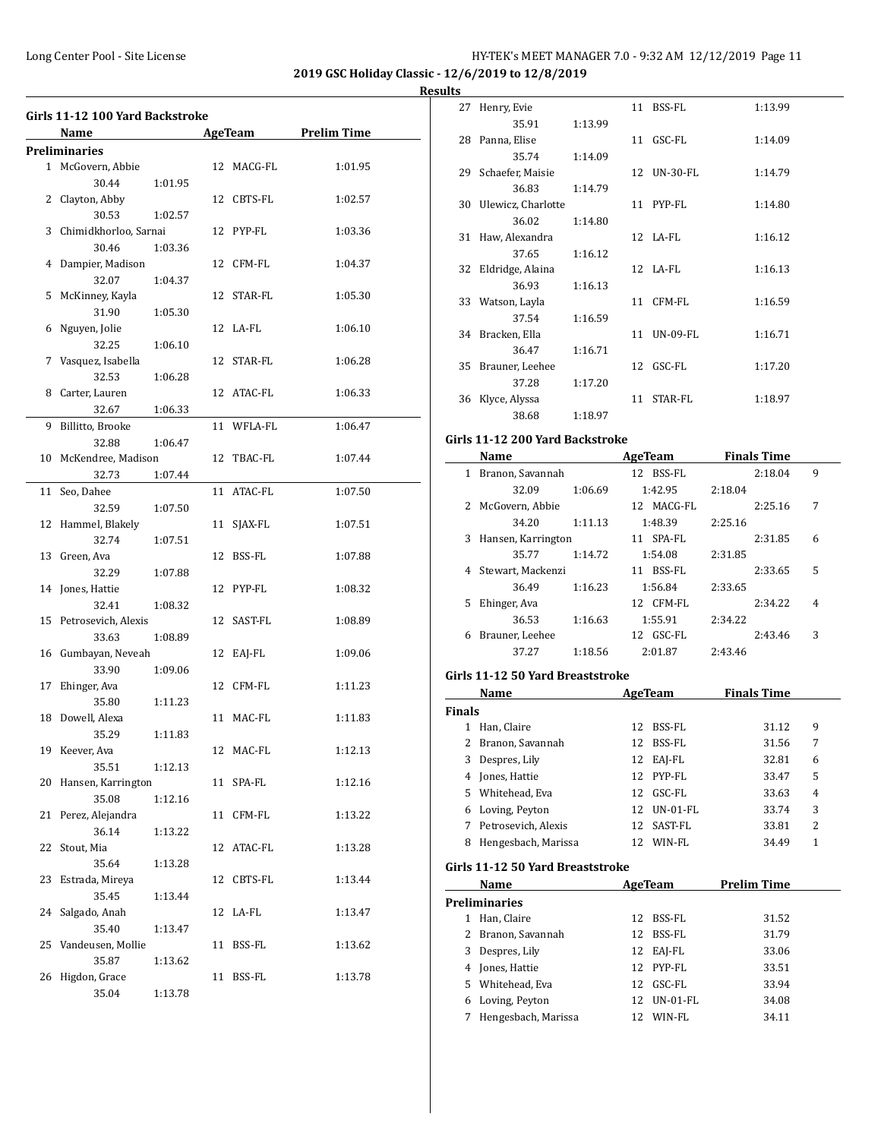**2019 GSC Holiday Classic - 12/6/2019 to 12/8/2019**

#### **Results**

| 4  | Name<br><b>Preliminaries</b><br>1 McGovern, Abbie<br>30.44<br>2 Clayton, Abby<br>30.53<br>3 Chimidkhorloo, Sarnai<br>30.46<br>Dampier, Madison<br>32.07 | 1:01.95<br>1:02.57<br>1:03.36 | 12 MACG-FL | AgeTeam Prelim Time<br>1:01.95 |
|----|---------------------------------------------------------------------------------------------------------------------------------------------------------|-------------------------------|------------|--------------------------------|
|    |                                                                                                                                                         |                               |            |                                |
|    |                                                                                                                                                         |                               |            |                                |
|    |                                                                                                                                                         |                               | 12 CBTS-FL | 1:02.57                        |
|    |                                                                                                                                                         |                               | 12 PYP-FL  | 1:03.36                        |
|    |                                                                                                                                                         |                               | 12 CFM-FL  | 1:04.37                        |
|    |                                                                                                                                                         | 1:04.37                       |            |                                |
| 5  | McKinney, Kayla<br>31.90                                                                                                                                | 1:05.30                       | 12 STAR-FL | 1:05.30                        |
|    | 6 Nguyen, Jolie<br>32.25                                                                                                                                | 1:06.10                       | 12 LA-FL   | 1:06.10                        |
|    | 7 Vasquez, Isabella<br>32.53                                                                                                                            | 1:06.28                       | 12 STAR-FL | 1:06.28                        |
| 8  | Carter, Lauren<br>32.67                                                                                                                                 | 1:06.33                       | 12 ATAC-FL | 1:06.33                        |
| 9  | Billitto, Brooke                                                                                                                                        |                               | 11 WFLA-FL | 1:06.47                        |
|    | 32.88<br>10 McKendree, Madison<br>32.73                                                                                                                 | 1:06.47<br>1:07.44            | 12 TBAC-FL | 1:07.44                        |
| 11 | Seo, Dahee<br>32.59                                                                                                                                     | 1:07.50                       | 11 ATAC-FL | 1:07.50                        |
| 12 | Hammel, Blakely<br>32.74                                                                                                                                | 1:07.51                       | 11 SJAX-FL | 1:07.51                        |
| 13 | Green, Ava<br>32.29                                                                                                                                     | 1:07.88                       | 12 BSS-FL  | 1:07.88                        |
|    | 14 Jones, Hattie<br>32.41                                                                                                                               | 1:08.32                       | 12 PYP-FL  | 1:08.32                        |
|    | 15 Petrosevich, Alexis<br>33.63                                                                                                                         | 1:08.89                       | 12 SAST-FL | 1:08.89                        |
| 16 | Gumbayan, Neveah<br>33.90                                                                                                                               |                               | 12 EAJ-FL  | 1:09.06                        |
| 17 | Ehinger, Ava                                                                                                                                            | 1:09.06                       | 12 CFM-FL  | 1:11.23                        |
|    | 35.80<br>18 Dowell, Alexa                                                                                                                               | 1:11.23                       | 11 MAC-FL  | 1:11.83                        |
|    | 35.29<br>19 Keever, Ava                                                                                                                                 | 1:11.83                       | 12 MAC-FL  | 1:12.13                        |
| 20 | 35.51<br>Hansen, Karrington                                                                                                                             | 1:12.13                       | 11 SPA-FL  | 1:12.16                        |
| 21 | 35.08<br>Perez, Alejandra                                                                                                                               | 1:12.16                       | 11 CFM-FL  | 1:13.22                        |
| 22 | 36.14<br>Stout, Mia                                                                                                                                     | 1:13.22                       | 12 ATAC-FL | 1:13.28                        |
| 23 | 35.64<br>Estrada, Mireya                                                                                                                                | 1:13.28                       | 12 CBTS-FL | 1:13.44                        |
| 24 | 35.45<br>Salgado, Anah                                                                                                                                  | 1:13.44                       | 12 LA-FL   | 1:13.47                        |
| 25 | 35.40<br>Vandeusen, Mollie                                                                                                                              | 1:13.47                       | 11 BSS-FL  | 1:13.62                        |
| 26 | 35.87<br>Higdon, Grace<br>35.04                                                                                                                         | 1:13.62<br>1:13.78            | 11 BSS-FL  | 1:13.78                        |

| 27 | Henry, Evie           |         |    | 11 BSS-FL   | 1:13.99 |
|----|-----------------------|---------|----|-------------|---------|
|    | 35.91                 | 1:13.99 |    |             |         |
|    | 28 Panna, Elise       |         |    | 11 GSC-FL   | 1:14.09 |
|    | 35.74                 | 1:14.09 |    |             |         |
| 29 | Schaefer, Maisie      |         |    | 12 UN-30-FL | 1:14.79 |
|    | 36.83                 | 1:14.79 |    |             |         |
|    | 30 Ulewicz, Charlotte |         |    | 11 PYP-FL   | 1:14.80 |
|    | 36.02                 | 1:14.80 |    |             |         |
| 31 | Haw, Alexandra        |         |    | 12 LA-FL    | 1:16.12 |
|    | 37.65                 | 1:16.12 |    |             |         |
|    | 32 Eldridge, Alaina   |         |    | 12 LA-FL    | 1:16.13 |
|    | 36.93                 | 1:16.13 |    |             |         |
|    | 33 Watson, Layla      |         |    | 11 CFM-FL   | 1:16.59 |
|    | 37.54                 | 1:16.59 |    |             |         |
|    | 34 Bracken, Ella      |         |    | 11 UN-09-FL | 1:16.71 |
|    | 36.47                 | 1:16.71 |    |             |         |
| 35 | Brauner, Leehee       |         |    | 12 GSC-FL   | 1:17.20 |
|    | 37.28                 | 1:17.20 |    |             |         |
| 36 | Klyce, Alyssa         |         | 11 | STAR-FL     | 1:18.97 |
|    | 38.68                 | 1:18.97 |    |             |         |
|    |                       |         |    |             |         |

# **Girls 11-12 200 Yard Backstroke**

|   | Name               |         | AgeTeam      |         | <b>Finals Time</b> |   |
|---|--------------------|---------|--------------|---------|--------------------|---|
| 1 | Branon, Savannah   |         | BSS-FL<br>12 |         | 2:18.04            | 9 |
|   | 32.09              | 1:06.69 | 1:42.95      | 2:18.04 |                    |   |
| 2 | McGovern, Abbie    |         | 12 MACG-FL   |         | 2:25.16            | 7 |
|   | 34.20              | 1:11.13 | 1:48.39      | 2:25.16 |                    |   |
| 3 | Hansen, Karrington |         | 11 SPA-FL    |         | 2:31.85            | 6 |
|   | 35.77              | 1:14.72 | 1:54.08      | 2:31.85 |                    |   |
| 4 | Stewart, Mackenzi  |         | BSS-FL<br>11 |         | 2:33.65            | 5 |
|   | 36.49              | 1:16.23 | 1:56.84      | 2:33.65 |                    |   |
| 5 | Ehinger, Ava       |         | CFM-FL<br>12 |         | 2:34.22            | 4 |
|   | 36.53              | 1:16.63 | 1:55.91      | 2:34.22 |                    |   |
| 6 | Brauner, Leehee    |         | GSC-FL<br>12 |         | 2:43.46            | 3 |
|   | 37.27              | 1:18.56 | 2:01.87      | 2:43.46 |                    |   |

#### **Girls 11-12 50 Yard Breaststroke**

|               | Name                             | AgeTeam |                 | <b>Finals Time</b> |   |
|---------------|----------------------------------|---------|-----------------|--------------------|---|
| <b>Finals</b> |                                  |         |                 |                    |   |
|               | Han, Claire                      | 12      | BSS-FL          | 31.12              | 9 |
|               | Branon, Savannah                 | 12      | BSS-FL          | 31.56              | 7 |
| 3             | Despres, Lily                    | 12      | EAJ-FL          | 32.81              | 6 |
| 4             | Jones, Hattie                    | 12      | PYP-FL          | 33.47              | 5 |
|               | 5 Whitehead, Eva                 | 12      | GSC-FL          | 33.63              | 4 |
| 6             | Loving, Peyton                   | 12      | <b>UN-01-FL</b> | 33.74              | 3 |
| 7             | Petrosevich, Alexis              |         | 12 SAST-FL      | 33.81              | 2 |
| 8             | Hengesbach, Marissa              |         | 12 WIN-FL       | 34.49              | 1 |
|               | Girls 11-12 50 Yard Breaststroke |         |                 |                    |   |
|               | Name                             |         | AgeTeam         | Prelim Time        |   |

|   | .                    |    |                 | . . <i>.</i> |
|---|----------------------|----|-----------------|--------------|
|   | <b>Preliminaries</b> |    |                 |              |
| 1 | Han, Claire          |    | 12 BSS-FL       | 31.52        |
|   | 2 Branon, Savannah   | 12 | BSS-FL          | 31.79        |
| 3 | Despres, Lily        |    | 12 EAJ-FL       | 33.06        |
|   | 4 Jones, Hattie      |    | 12 PYP-FL       | 33.51        |
|   | 5 Whitehead, Eva     | 12 | GSC-FL          | 33.94        |
|   | 6 Loving, Peyton     | 12 | <b>UN-01-FL</b> | 34.08        |
|   | Hengesbach, Marissa  | 12 | WIN-FL          | 34.11        |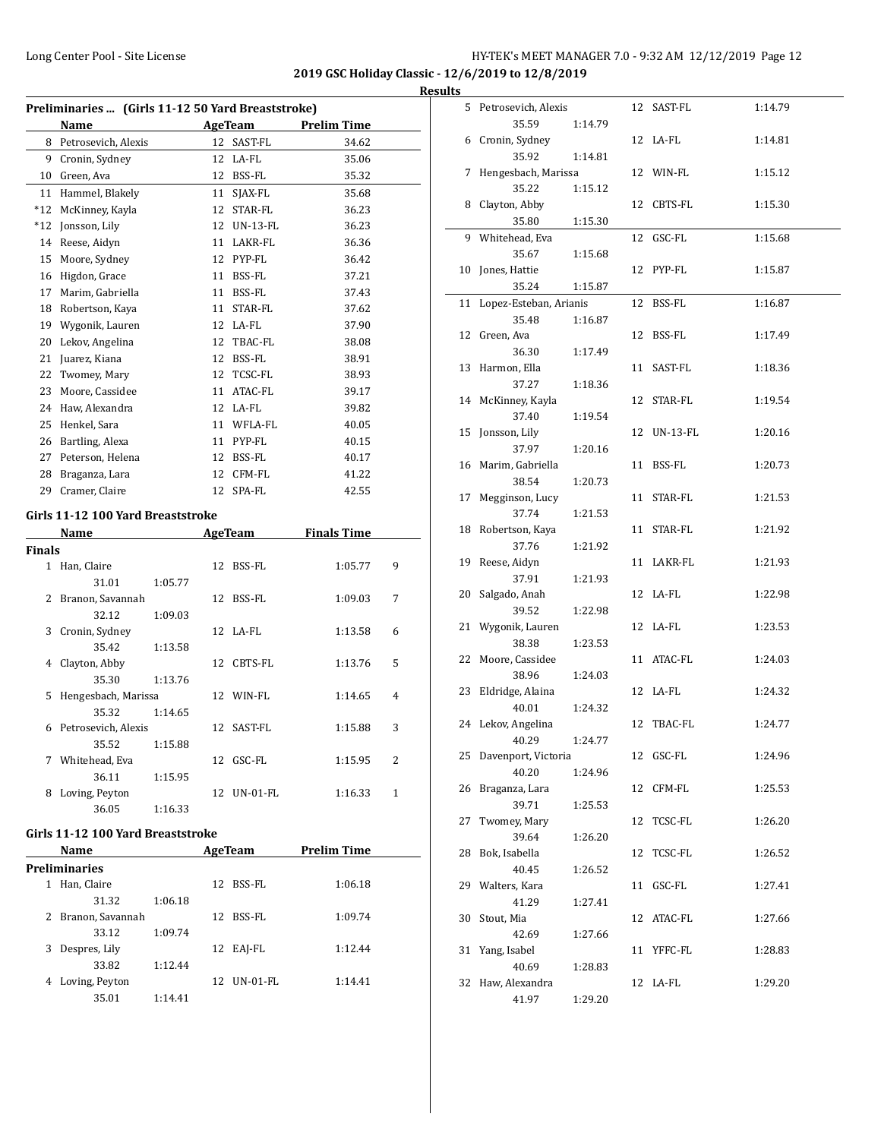**2019 GSC Holiday Classic - 12/6/2019 to 12/8/2019**

| Preliminaries  (Girls 11-12 50 Yard Breaststroke) |                     |    |                 |                    |  |  |  |  |
|---------------------------------------------------|---------------------|----|-----------------|--------------------|--|--|--|--|
|                                                   | Name                |    | AgeTeam         | <b>Prelim Time</b> |  |  |  |  |
| 8                                                 | Petrosevich, Alexis | 12 | SAST-FL         | 34.62              |  |  |  |  |
| 9                                                 | Cronin, Sydney      | 12 | LA-FL           | 35.06              |  |  |  |  |
| 10                                                | Green, Ava          | 12 | BSS-FL          | 35.32              |  |  |  |  |
| 11                                                | Hammel, Blakely     | 11 | SJAX-FL         | 35.68              |  |  |  |  |
| $*12$                                             | McKinney, Kayla     | 12 | STAR-FL         | 36.23              |  |  |  |  |
| $*12$                                             | Jonsson, Lily       | 12 | <b>UN-13-FL</b> | 36.23              |  |  |  |  |
| 14                                                | Reese, Aidyn        | 11 | LAKR-FL         | 36.36              |  |  |  |  |
| 15                                                | Moore, Sydney       | 12 | PYP-FL          | 36.42              |  |  |  |  |
| 16                                                | Higdon, Grace       | 11 | <b>BSS-FL</b>   | 37.21              |  |  |  |  |
| 17                                                | Marim, Gabriella    | 11 | BSS-FL          | 37.43              |  |  |  |  |
| 18                                                | Robertson, Kava     | 11 | STAR-FL         | 37.62              |  |  |  |  |
| 19                                                | Wygonik, Lauren     | 12 | LA-FL           | 37.90              |  |  |  |  |
| 20                                                | Lekov, Angelina     | 12 | TBAC-FL         | 38.08              |  |  |  |  |
| 21                                                | Juarez, Kiana       | 12 | BSS-FL          | 38.91              |  |  |  |  |
| 22                                                | Twomey, Mary        | 12 | TCSC-FL         | 38.93              |  |  |  |  |
| 23                                                | Moore, Cassidee     | 11 | ATAC-FL         | 39.17              |  |  |  |  |
| 24                                                | Haw, Alexandra      | 12 | LA-FL           | 39.82              |  |  |  |  |
| 25                                                | Henkel, Sara        | 11 | WFLA-FL         | 40.05              |  |  |  |  |
| 26                                                | Bartling, Alexa     | 11 | PYP-FL          | 40.15              |  |  |  |  |
| 27                                                | Peterson, Helena    | 12 | BSS-FL          | 40.17              |  |  |  |  |
| 28                                                | Braganza, Lara      | 12 | CFM-FL          | 41.22              |  |  |  |  |
| 29                                                | Cramer, Claire      | 12 | SPA-FL          | 42.55              |  |  |  |  |
|                                                   |                     |    |                 |                    |  |  |  |  |

# **Girls 11-12 100 Yard Breaststroke**

| Name          |                     | <b>AgeTeam</b> |    | <b>Finals Time</b> |         |   |
|---------------|---------------------|----------------|----|--------------------|---------|---|
| <b>Finals</b> |                     |                |    |                    |         |   |
| 1             | Han, Claire         |                | 12 | BSS-FL             | 1:05.77 | 9 |
|               | 31.01               | 1:05.77        |    |                    |         |   |
| 2             | Branon, Savannah    |                | 12 | BSS-FL             | 1:09.03 | 7 |
|               | 32.12               | 1:09.03        |    |                    |         |   |
| 3             | Cronin, Sydney      |                |    | $12$ $I.A-FI.$     | 1:13.58 | 6 |
|               | 35.42               | 1:13.58        |    |                    |         |   |
| 4             | Clayton, Abby       |                | 12 | CBTS-FL            | 1:13.76 | 5 |
|               | 35.30               | 1:13.76        |    |                    |         |   |
| 5.            | Hengesbach, Marissa |                |    | 12 WIN-FL          | 1:14.65 | 4 |
|               | 35.32               | 1:14.65        |    |                    |         |   |
| 6             | Petrosevich, Alexis |                |    | 12 SAST-FL         | 1:15.88 | 3 |
|               | 35.52               | 1:15.88        |    |                    |         |   |
| 7             | Whitehead, Eva      |                | 12 | GSC-FL             | 1:15.95 | 2 |
|               | 36.11               | 1:15.95        |    |                    |         |   |
| 8             | Loving, Peyton      |                | 12 | <b>UN-01-FL</b>    | 1:16.33 | 1 |
|               | 36.05               | 1:16.33        |    |                    |         |   |

#### **Girls 11-12 100 Yard Breaststroke**

|   | Name                 |         |    | AgeTeam   | <b>Prelim Time</b> |  |
|---|----------------------|---------|----|-----------|--------------------|--|
|   | <b>Preliminaries</b> |         |    |           |                    |  |
| 1 | Han, Claire          |         | 12 | BSS-FL    | 1:06.18            |  |
|   | 31.32                | 1:06.18 |    |           |                    |  |
|   | 2 Branon, Savannah   |         |    | 12 BSS-FL | 1:09.74            |  |
|   | 33.12                | 1:09.74 |    |           |                    |  |
| 3 | Despres, Lily        |         | 12 | EAI-FL    | 1:12.44            |  |
|   | 33.82                | 1:12.44 |    |           |                    |  |
| 4 | Loving, Peyton       |         | 12 | UN-01-FL  | 1:14.41            |  |
|   | 35.01                | 1:14.41 |    |           |                    |  |

| <b>Results</b> |                            |         |             |         |
|----------------|----------------------------|---------|-------------|---------|
|                | 5 Petrosevich, Alexis      |         | 12 SAST-FL  | 1:14.79 |
|                | 35.59                      | 1:14.79 |             |         |
|                | 6 Cronin, Sydney           |         | 12 LA-FL    | 1:14.81 |
|                | 35.92                      | 1:14.81 |             |         |
|                | 7 Hengesbach, Marissa      |         | 12 WIN-FL   | 1:15.12 |
|                | 35.22                      | 1:15.12 |             |         |
|                | 8 Clayton, Abby            |         | 12 CBTS-FL  | 1:15.30 |
|                | 35.80                      | 1:15.30 |             |         |
|                | 9 Whitehead, Eva           |         | 12 GSC-FL   | 1:15.68 |
|                | 35.67                      | 1:15.68 |             |         |
|                | 10 Jones, Hattie           |         | 12 PYP-FL   | 1:15.87 |
|                | 35.24                      | 1:15.87 |             |         |
|                | 11 Lopez-Esteban, Arianis  |         | 12 BSS-FL   | 1:16.87 |
|                | 35.48                      | 1:16.87 |             |         |
|                | 12 Green, Ava              |         | 12 BSS-FL   | 1:17.49 |
|                | 36.30                      | 1:17.49 |             |         |
|                | 13 Harmon, Ella            |         | 11 SAST-FL  | 1:18.36 |
|                | 37.27                      | 1:18.36 |             |         |
|                | 14 McKinney, Kayla         |         | 12 STAR-FL  | 1:19.54 |
|                | 37.40                      | 1:19.54 |             |         |
|                | 15 Jonsson, Lily           |         | 12 UN-13-FL | 1:20.16 |
|                | 37.97                      | 1:20.16 |             |         |
|                | 16 Marim, Gabriella        |         | 11 BSS-FL   | 1:20.73 |
|                | 38.54                      | 1:20.73 |             |         |
|                | 17 Megginson, Lucy         |         | 11 STAR-FL  | 1:21.53 |
|                | 37.74                      | 1:21.53 |             |         |
|                | 18 Robertson, Kaya         |         | 11 STAR-FL  | 1:21.92 |
|                | 37.76                      | 1:21.92 |             |         |
|                | 19 Reese, Aidyn            |         | 11 LAKR-FL  | 1:21.93 |
|                | 37.91                      | 1:21.93 |             |         |
|                | 20 Salgado, Anah           |         | 12 LA-FL    | 1:22.98 |
|                | 39.52                      | 1:22.98 |             |         |
|                | 21 Wygonik, Lauren         |         | 12 LA-FL    | 1:23.53 |
|                | 38.38                      | 1:23.53 |             |         |
|                | 22 Moore, Cassidee         |         | 11 ATAC-FL  | 1:24.03 |
|                | 38.96                      | 1:24.03 |             |         |
|                | 23 Eldridge, Alaina        |         | 12 LA-FL    | 1:24.32 |
|                | 40.01                      | 1:24.32 |             |         |
|                | 24 Lekov, Angelina         |         | 12 TBAC-FL  | 1:24.77 |
|                | 40.29                      | 1:24.77 |             |         |
|                | 25 Davenport, Victoria     |         | 12 GSC-FL   | 1:24.96 |
|                | 40.20                      | 1:24.96 |             |         |
|                | 26 Braganza, Lara          |         | 12 CFM-FL   | 1:25.53 |
|                | 39.71                      | 1:25.53 |             |         |
|                | 27 Twomey, Mary            |         | 12 TCSC-FL  | 1:26.20 |
|                | 39.64                      | 1:26.20 |             |         |
|                | 28 Bok, Isabella           |         | 12 TCSC-FL  | 1:26.52 |
|                | 40.45                      | 1:26.52 |             |         |
|                | 29 Walters, Kara           |         | 11 GSC-FL   | 1:27.41 |
|                | 41.29                      | 1:27.41 |             |         |
|                | 30 Stout, Mia              |         | 12 ATAC-FL  | 1:27.66 |
|                | 42.69                      | 1:27.66 |             |         |
|                | 31 Yang, Isabel            |         | 11 YFFC-FL  | 1:28.83 |
|                | 40.69<br>32 Haw, Alexandra | 1:28.83 | 12 LA-FL    | 1:29.20 |
|                | 41.97                      |         |             |         |
|                |                            | 1:29.20 |             |         |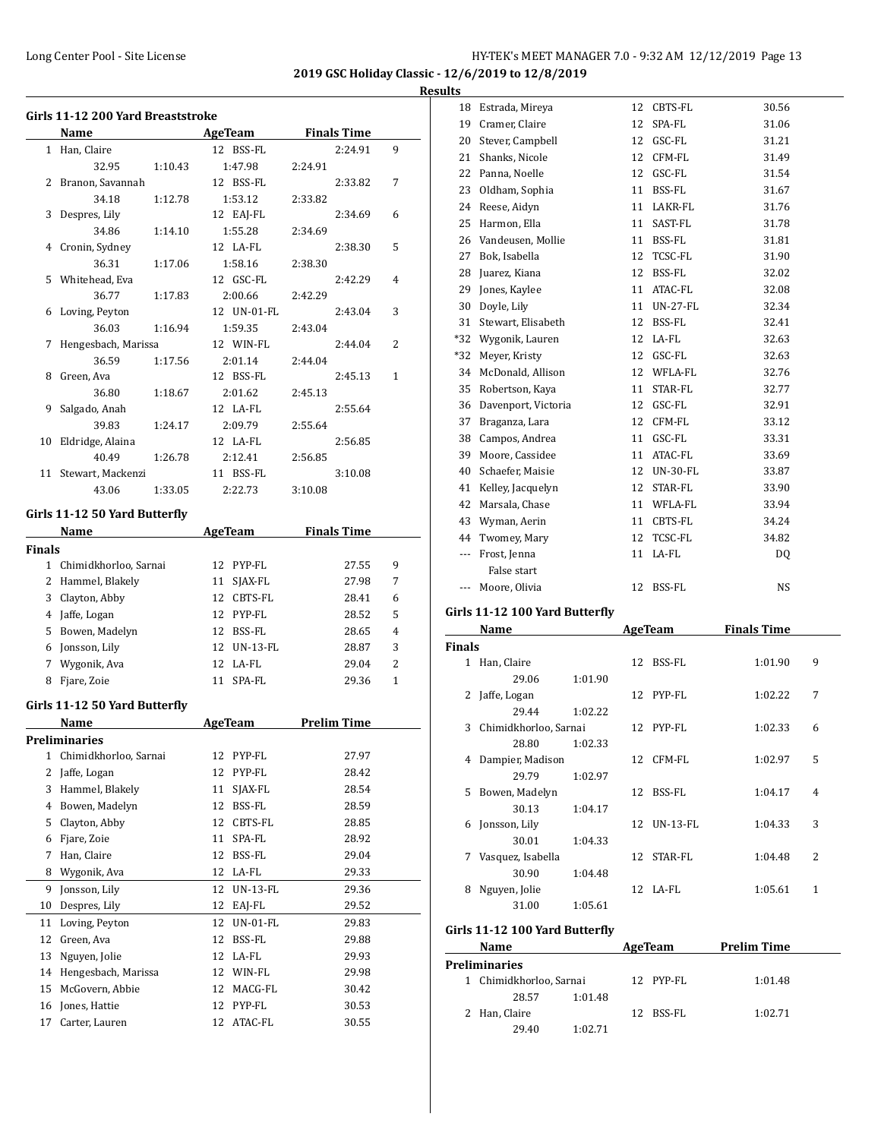**2019 GSC Holiday Classic - 12/6/2019 to 12/8/2019**

#### **Results**

|               | Girls 11-12 200 Yard Breaststroke |         |                       |                    |              |  |  |
|---------------|-----------------------------------|---------|-----------------------|--------------------|--------------|--|--|
|               | Name                              |         | <b>AgeTeam</b>        | <b>Finals Time</b> |              |  |  |
|               | 1 Han, Claire                     |         | 12 BSS-FL             | 2:24.91            | 9            |  |  |
|               | 32.95                             | 1:10.43 | 1:47.98               | 2:24.91            |              |  |  |
| 2             | Branon, Savannah                  |         | 12 BSS-FL             | 2:33.82            | 7            |  |  |
|               | 34.18                             | 1:12.78 | 1:53.12               | 2:33.82            |              |  |  |
| 3             | Despres, Lily                     |         | 12 EAJ-FL             | 2:34.69            | 6            |  |  |
|               | 34.86                             | 1:14.10 | 1:55.28               | 2:34.69            |              |  |  |
| 4             | Cronin, Sydney                    |         | 12 LA-FL              | 2:38.30            | 5            |  |  |
|               | 36.31                             | 1:17.06 | 1:58.16               | 2:38.30            |              |  |  |
| 5             | Whitehead, Eva                    |         | 12 GSC-FL             | 2:42.29            | 4            |  |  |
|               | 36.77                             | 1:17.83 | 2:00.66               | 2:42.29            |              |  |  |
| 6             | Loving, Peyton                    |         | 12 UN-01-FL           | 2:43.04            | 3            |  |  |
|               | 36.03                             | 1:16.94 | 1:59.35               | 2:43.04            |              |  |  |
| 7             | Hengesbach, Marissa               |         | 12 WIN-FL             | 2:44.04            | 2            |  |  |
|               | 36.59                             | 1:17.56 | 2:01.14               | 2:44.04            |              |  |  |
| 8             | Green, Ava                        |         | 12 BSS-FL             | 2:45.13            | $\mathbf{1}$ |  |  |
|               | 36.80                             | 1:18.67 | 2:01.62               | 2:45.13            |              |  |  |
| 9             | Salgado, Anah                     |         | 12 LA-FL              | 2:55.64            |              |  |  |
|               | 39.83                             | 1:24.17 | 2:09.79               | 2:55.64            |              |  |  |
| 10            | Eldridge, Alaina                  |         | 12 LA-FL              | 2:56.85            |              |  |  |
|               | 40.49                             | 1:26.78 | 2:12.41               | 2:56.85            |              |  |  |
| 11            | Stewart, Mackenzi                 |         | 11 BSS-FL             | 3:10.08            |              |  |  |
|               | 43.06                             | 1:33.05 | 2:22.73               | 3:10.08            |              |  |  |
|               | Girls 11-12 50 Yard Butterfly     |         |                       |                    |              |  |  |
|               | Name                              |         | <b>AgeTeam</b>        | <b>Finals Time</b> |              |  |  |
| <b>Finals</b> |                                   |         |                       |                    |              |  |  |
| $\mathbf 1$   | Chimidkhorloo, Sarnai             |         | 12<br>PYP-FL          | 27.55              | 9            |  |  |
|               | 2 Hammel, Blakely                 |         | 11<br>SJAX-FL         | 27.98              | 7            |  |  |
| 3             | Clayton, Abby                     |         | 12 CBTS-FL            | 28.41              | 6            |  |  |
|               | 4 Jaffe, Logan                    |         | 12 PYP-FL             | 28.52              | 5            |  |  |
| 5             | Bowen, Madelyn                    |         | 12 BSS-FL             | 28.65              | 4            |  |  |
| 6             | Jonsson, Lily                     |         | 12 UN-13-FL           | 28.87              | 3            |  |  |
| 7             | Wygonik, Ava                      |         | 12 LA-FL              | 29.04              | 2            |  |  |
| 8             | Fjare, Zoie                       |         | 11<br>SPA-FL          | 29.36              | $\mathbf{1}$ |  |  |
|               |                                   |         |                       |                    |              |  |  |
|               | Girls 11-12 50 Yard Butterfly     |         |                       |                    |              |  |  |
|               | Name                              |         | <b>AgeTeam</b>        | <b>Prelim Time</b> |              |  |  |
|               | Preliminaries                     |         |                       |                    |              |  |  |
| 1             | Chimidkhorloo, Sarnai             |         | 12<br>PYP-FL          | 27.97              |              |  |  |
| 2             | Jaffe, Logan                      |         | 12<br>PYP-FL          | 28.42              |              |  |  |
| 3             | Hammel, Blakely                   |         | 11<br>SJAX-FL         | 28.54              |              |  |  |
| 4             | Bowen, Madelyn                    |         | 12<br>BSS-FL          | 28.59              |              |  |  |
| 5             | Clayton, Abby                     |         | 12<br>CBTS-FL         | 28.85              |              |  |  |
| 6             | Fjare, Zoie                       |         | 11<br>SPA-FL          | 28.92              |              |  |  |
| 7             | Han, Claire                       |         | 12<br>BSS-FL          | 29.04              |              |  |  |
| 8             | Wygonik, Ava                      |         | 12<br>LA-FL           | 29.33              |              |  |  |
| 9             | Jonsson, Lily                     |         | 12<br><b>UN-13-FL</b> | 29.36              |              |  |  |
| 10            | Despres, Lily                     |         | 12<br>EAJ-FL          | 29.52              |              |  |  |
| 11            | Loving, Peyton                    |         | 12<br>UN-01-FL        | 29.83              |              |  |  |
| 12            | Green, Ava                        |         | 12<br>BSS-FL          | 29.88              |              |  |  |
| 13            | Nguyen, Jolie                     |         | 12<br>LA-FL           | 29.93              |              |  |  |
| 14            | Hengesbach, Marissa               |         | 12<br>WIN-FL          | 29.98              |              |  |  |
| 15            | McGovern, Abbie                   |         | 12<br>MACG-FL         | 30.42              |              |  |  |
| 16            | Jones, Hattie                     |         | 12<br>PYP-FL          | 30.53              |              |  |  |
| 17            | Carter, Lauren                    |         | 12<br>ATAC-FL         | 30.55              |              |  |  |
|               |                                   |         |                       |                    |              |  |  |

| 18             | Estrada, Mireya     | 12 | <b>CBTS-FL</b>  | 30.56 |
|----------------|---------------------|----|-----------------|-------|
| 19             | Cramer, Claire      | 12 | SPA-FL          | 31.06 |
| 20             | Stever, Campbell    | 12 | GSC-FL          | 31.21 |
| 21             | Shanks, Nicole      | 12 | CFM-FL          | 31.49 |
| 22             | Panna, Noelle       | 12 | GSC-FL          | 31.54 |
| 23             | Oldham, Sophia      | 11 | BSS-FL          | 31.67 |
| 24             | Reese, Aidyn        | 11 | LAKR-FL         | 31.76 |
| 25             | Harmon, Ella        | 11 | SAST-FL         | 31.78 |
| 26             | Vandeusen, Mollie   | 11 | BSS-FL          | 31.81 |
| 27             | Bok, Isabella       | 12 | TCSC-FL         | 31.90 |
| 28             | Juarez, Kiana       | 12 | BSS-FL          | 32.02 |
| 29             | Jones, Kaylee       | 11 | ATAC-FL         | 32.08 |
| 30             | Doyle, Lily         | 11 | <b>UN-27-FL</b> | 32.34 |
| 31             | Stewart, Elisabeth  | 12 | BSS-FL          | 32.41 |
| $*32$          | Wygonik, Lauren     | 12 | LA-FL           | 32.63 |
| *32            | Meyer, Kristy       | 12 | GSC-FL          | 32.63 |
| 34             | McDonald, Allison   | 12 | WFLA-FL         | 32.76 |
| 35             | Robertson, Kaya     | 11 | STAR-FL         | 32.77 |
| 36             | Davenport, Victoria | 12 | GSC-FL          | 32.91 |
| 37             | Braganza, Lara      | 12 | CFM-FL          | 33.12 |
| 38             | Campos, Andrea      | 11 | GSC-FL          | 33.31 |
| 39             | Moore, Cassidee     | 11 | ATAC-FL         | 33.69 |
| 40             | Schaefer, Maisie    | 12 | UN-30-FL        | 33.87 |
| 41             | Kelley, Jacquelyn   | 12 | STAR-FL         | 33.90 |
| 42             | Marsala, Chase      | 11 | WFLA-FL         | 33.94 |
| 43             | Wyman, Aerin        | 11 | CBTS-FL         | 34.24 |
| 44             | Twomey, Mary        | 12 | TCSC-FL         | 34.82 |
| $\overline{a}$ | Frost, Jenna        | 11 | LA-FL           | DQ    |
|                | False start         |    |                 |       |
| ---            | Moore, Olivia       | 12 | <b>BSS-FL</b>   | NS    |
|                |                     |    |                 |       |

#### **Girls 11-12 100 Yard Butterfly**

| Name          |                       | AgeTeam |    | <b>Finals Time</b> |         |   |
|---------------|-----------------------|---------|----|--------------------|---------|---|
| <b>Finals</b> |                       |         |    |                    |         |   |
| 1             | Han, Claire           |         | 12 | BSS-FL             | 1:01.90 | 9 |
|               | 29.06                 | 1:01.90 |    |                    |         |   |
| 2             | Jaffe, Logan          |         |    | 12 PYP-FL          | 1:02.22 | 7 |
|               | 29.44                 | 1:02.22 |    |                    |         |   |
| 3             | Chimidkhorloo, Sarnai |         |    | 12 PYP-FL          | 1:02.33 | 6 |
|               | 28.80                 | 1:02.33 |    |                    |         |   |
| 4             | Dampier, Madison      |         |    | 12 CFM-FL          | 1:02.97 | 5 |
|               | 29.79                 | 1:02.97 |    |                    |         |   |
| 5.            | Bowen, Madelyn        |         | 12 | BSS-FL             | 1:04.17 | 4 |
|               | 30.13                 | 1:04.17 |    |                    |         |   |
| 6             | Jonsson, Lily         |         | 12 | $UN-13-FL$         | 1:04.33 | 3 |
|               | 30.01                 | 1:04.33 |    |                    |         |   |
| 7             | Vasquez, Isabella     |         | 12 | STAR-FL            | 1:04.48 | 2 |
|               | 30.90                 | 1:04.48 |    |                    |         |   |
| 8             | Nguyen, Jolie         |         |    | $12$ LA-FL         | 1:05.61 | 1 |
|               | 31.00                 | 1:05.61 |    |                    |         |   |

#### **Girls 11-12 100 Yard Butterfly**

|                         | Name                 |           | AgeTeam   | <b>Prelim Time</b> |  |
|-------------------------|----------------------|-----------|-----------|--------------------|--|
|                         | <b>Preliminaries</b> |           |           |                    |  |
| 1 Chimidkhorloo, Sarnai |                      | 12 PYP-FL | 1:01.48   |                    |  |
|                         | 28.57                | 1:01.48   |           |                    |  |
|                         | 2 Han, Claire        |           | 12 BSS-FL | 1:02.71            |  |
|                         | 29.40                | 1:02.71   |           |                    |  |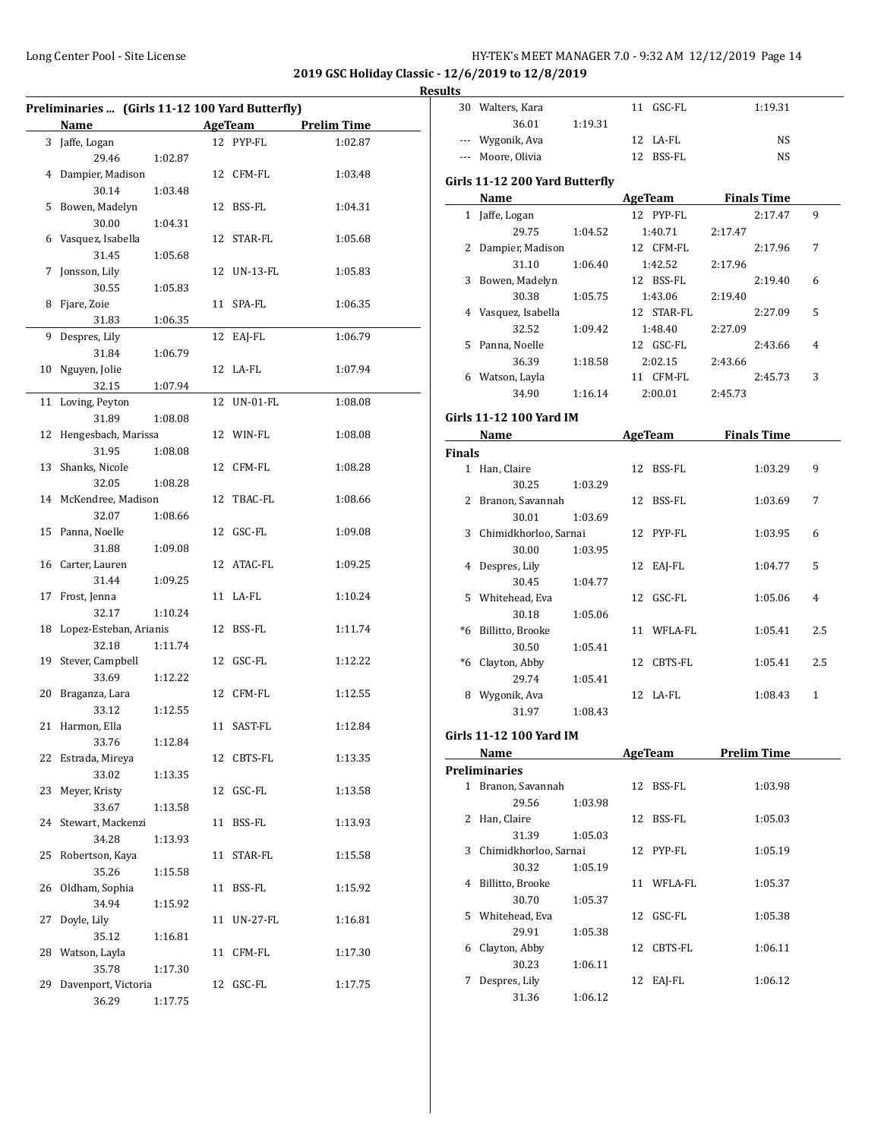| HY-TEK's MEET MANAGER 7.0 - 9:32 AM 12/12/2019 Page 14 |  |  |  |
|--------------------------------------------------------|--|--|--|
|--------------------------------------------------------|--|--|--|

30 Walters, Kara 11 GSC-FL 1:19.31

**2019 GSC Holiday Classic - 12/6/2019 to 12/8/2019**

| Results |
|---------|
|         |

|    | Preliminaries  (Girls 11-12 100 Yard Butterfly) |         |    |             |                    |
|----|-------------------------------------------------|---------|----|-------------|--------------------|
|    | Name                                            |         |    | AgeTeam     | <b>Prelim Time</b> |
|    | 3 Jaffe, Logan                                  |         |    | 12 PYP-FL   | 1:02.87            |
|    | 29.46                                           | 1:02.87 |    |             |                    |
|    | 4 Dampier, Madison                              |         |    | 12 CFM-FL   | 1:03.48            |
|    | 30.14                                           | 1:03.48 |    |             |                    |
| 5  | Bowen, Madelyn                                  |         |    | 12 BSS-FL   | 1:04.31            |
|    | 30.00                                           | 1:04.31 |    |             |                    |
| 6  | Vasquez, Isabella                               |         |    | 12 STAR-FL  | 1:05.68            |
|    | 31.45                                           | 1:05.68 |    |             |                    |
| 7  | Jonsson, Lily                                   |         |    | 12 UN-13-FL | 1:05.83            |
|    | 30.55                                           | 1:05.83 |    |             |                    |
| 8  | Fjare, Zoie                                     |         |    | 11 SPA-FL   | 1:06.35            |
|    | 31.83                                           | 1:06.35 |    |             |                    |
| 9  | Despres, Lily                                   |         | 12 | EAJ-FL      | 1:06.79            |
|    | 31.84                                           | 1:06.79 |    |             |                    |
| 10 | Nguyen, Jolie                                   |         |    | 12 LA-FL    | 1:07.94            |
|    | 32.15                                           | 1:07.94 |    |             |                    |
| 11 | Loving, Peyton                                  |         | 12 | $UN-01-FL$  | 1:08.08            |
|    | 31.89                                           | 1:08.08 |    |             |                    |
| 12 | Hengesbach, Marissa                             |         |    | 12 WIN-FL   | 1:08.08            |
|    | 31.95                                           | 1:08.08 |    |             |                    |
| 13 | Shanks, Nicole                                  |         |    | 12 CFM-FL   | 1:08.28            |
|    | 32.05                                           | 1:08.28 |    |             |                    |
|    | 14 McKendree, Madison                           |         |    | 12 TBAC-FL  | 1:08.66            |
|    | 32.07                                           | 1:08.66 |    |             |                    |
| 15 | Panna, Noelle                                   |         |    | 12 GSC-FL   | 1:09.08            |
|    | 31.88                                           | 1:09.08 |    |             |                    |
|    | 16 Carter, Lauren                               |         |    | 12 ATAC-FL  | 1:09.25            |
|    | 31.44                                           | 1:09.25 |    |             |                    |
| 17 | Frost, Jenna                                    |         |    | 11 LA-FL    | 1:10.24            |
|    | 32.17                                           | 1:10.24 |    |             |                    |
| 18 | Lopez-Esteban, Arianis                          |         |    | 12 BSS-FL   | 1:11.74            |
|    | 32.18                                           | 1:11.74 |    |             |                    |
| 19 | Stever, Campbell                                |         |    | 12 GSC-FL   | 1:12.22            |
|    | 33.69                                           | 1:12.22 |    |             |                    |
| 20 | Braganza, Lara                                  |         |    | 12 CFM-FL   | 1:12.55            |
|    | 33.12                                           | 1:12.55 |    |             |                    |
|    | 21 Harmon, Ella                                 |         |    | 11 SAST-FL  | 1:12.84            |
|    | 33.76                                           | 1:12.84 |    |             |                    |
|    | 22 Estrada, Mireya                              |         |    | 12 CBTS-FL  | 1:13.35            |
|    | 33.02                                           | 1:13.35 |    |             |                    |
| 23 | Meyer, Kristy                                   |         |    | 12 GSC-FL   | 1:13.58            |
|    | 33.67                                           | 1:13.58 |    |             |                    |
| 24 | Stewart, Mackenzi                               |         |    | 11 BSS-FL   | 1:13.93            |
|    | 34.28                                           | 1:13.93 |    |             |                    |
| 25 | Robertson, Kaya                                 |         |    | 11 STAR-FL  | 1:15.58            |
|    | 35.26                                           | 1:15.58 |    |             |                    |
| 26 | Oldham, Sophia                                  |         |    | 11 BSS-FL   | 1:15.92            |
|    | 34.94                                           | 1:15.92 |    |             |                    |
| 27 | Doyle, Lily                                     |         |    | 11 UN-27-FL | 1:16.81            |
|    | 35.12                                           | 1:16.81 |    |             |                    |
| 28 | Watson, Layla                                   |         |    | 11 CFM-FL   | 1:17.30            |
|    | 35.78                                           | 1:17.30 |    |             |                    |
| 29 | Davenport, Victoria                             |         |    | 12 GSC-FL   | 1:17.75            |
|    | 36.29                                           | 1:17.75 |    |             |                    |
|    |                                                 |         |    |             |                    |

|        | 36.01                          | 1:19.31 |    |                          |         |                    |     |
|--------|--------------------------------|---------|----|--------------------------|---------|--------------------|-----|
|        | --- Wygonik, Ava               |         |    | 12 LA-FL                 |         | NS                 |     |
|        | --- Moore, Olivia              |         |    | 12 BSS-FL                |         | NS                 |     |
|        | Girls 11-12 200 Yard Butterfly |         |    |                          |         |                    |     |
|        | Name AgeTeam Finals Time       |         |    |                          |         |                    |     |
|        | 1 Jaffe, Logan                 |         |    | 12 PYP-FL                |         | 2:17.47            | 9   |
|        | 29.75                          | 1:04.52 |    | 1:40.71                  | 2:17.47 |                    |     |
|        |                                |         |    |                          |         |                    |     |
|        | 2 Dampier, Madison             |         |    | 12 CFM-FL                |         | 2:17.96            | 7   |
|        | 31.10                          | 1:06.40 |    | 1:42.52                  | 2:17.96 |                    |     |
|        | 3 Bowen, Madelyn               |         |    | 12 BSS-FL                |         | 2:19.40            | 6   |
|        | 30.38                          | 1:05.75 |    | 1:43.06                  | 2:19.40 |                    |     |
|        | 4 Vasquez, Isabella            |         |    | 12 STAR-FL               |         | 2:27.09            | 5   |
|        | 32.52                          | 1:09.42 |    | 1:48.40                  | 2:27.09 |                    |     |
|        | 5 Panna, Noelle                |         |    | 12 GSC-FL                |         | 2:43.66            | 4   |
|        | 36.39                          | 1:18.58 |    | 2:02.15                  | 2:43.66 |                    |     |
|        | 6 Watson, Layla                |         |    | 11 CFM-FL                |         | 2:45.73            | 3   |
|        | 34.90                          | 1:16.14 |    | 2:00.01                  | 2:45.73 |                    |     |
|        |                                |         |    |                          |         |                    |     |
|        | Girls 11-12 100 Yard IM        |         |    |                          |         |                    |     |
|        | Name                           |         |    | <b>Example 2</b> AgeTeam |         | <b>Finals Time</b> |     |
| Finals |                                |         |    |                          |         |                    |     |
|        | 1 Han, Claire                  |         |    | 12 BSS-FL                |         | 1:03.29            | 9   |
|        | 30.25                          | 1:03.29 |    |                          |         |                    |     |
|        | 2 Branon, Savannah             |         |    | 12 BSS-FL                |         | 1:03.69            | 7   |
|        | 30.01                          | 1:03.69 |    |                          |         |                    |     |
|        | 3 Chimidkhorloo, Sarnai        |         |    | 12 PYP-FL                |         | 1:03.95            | 6   |
|        | 30.00                          | 1:03.95 |    |                          |         |                    |     |
|        | 4 Despres, Lily                |         |    | 12 EAJ-FL                |         | 1:04.77            | 5   |
|        | 30.45                          | 1:04.77 |    |                          |         |                    |     |
|        | 5 Whitehead, Eva               |         |    | 12 GSC-FL                |         | 1:05.06            | 4   |
|        | 30.18                          | 1:05.06 |    |                          |         |                    |     |
|        | *6 Billitto, Brooke            |         |    | 11 WFLA-FL               |         | 1:05.41            | 2.5 |
|        | 30.50                          | 1:05.41 |    |                          |         |                    |     |
|        | *6 Clayton, Abby               |         |    | 12 CBTS-FL               |         | 1:05.41            | 2.5 |
|        | 29.74                          |         |    |                          |         |                    |     |
|        |                                | 1:05.41 |    |                          |         |                    | 1   |
|        | 8 Wygonik, Ava                 |         |    | 12 LA-FL                 |         | 1:08.43            |     |
|        | 31.97                          | 1:08.43 |    |                          |         |                    |     |
|        | Girls 11-12 100 Yard IM        |         |    |                          |         |                    |     |
|        | <b>Name</b>                    |         |    | AgeTeam                  |         | <b>Prelim Time</b> |     |
|        | <b>Preliminaries</b>           |         |    |                          |         |                    |     |
|        | 1 Branon. Savannah             |         |    | 12 BSS-FL                |         | 1:03.98            |     |
|        | 29.56                          | 1:03.98 |    |                          |         |                    |     |
|        | 2 Han, Claire                  |         | 12 | <b>BSS-FL</b>            |         | 1:05.03            |     |
|        | 31.39                          | 1:05.03 |    |                          |         |                    |     |
|        | 3 Chimidkhorloo, Sarnai        |         | 12 | PYP-FL                   |         | 1:05.19            |     |
|        | 30.32                          | 1:05.19 |    |                          |         |                    |     |
| 4      | Billitto, Brooke               |         |    | 11 WFLA-FL               |         | 1:05.37            |     |
|        |                                |         |    |                          |         |                    |     |
|        | 30.70                          | 1:05.37 |    |                          |         |                    |     |
| 5      | Whitehead, Eva                 |         |    | 12 GSC-FL                |         | 1:05.38            |     |
|        | 29.91                          | 1:05.38 |    |                          |         |                    |     |
| 6      | Clayton, Abby                  |         | 12 | CBTS-FL                  |         | 1:06.11            |     |
|        | 30.23                          | 1:06.11 |    |                          |         |                    |     |
| 7      | Despres, Lily                  |         | 12 | EAJ-FL                   |         | 1:06.12            |     |
|        | 31.36                          | 1:06.12 |    |                          |         |                    |     |
|        |                                |         |    |                          |         |                    |     |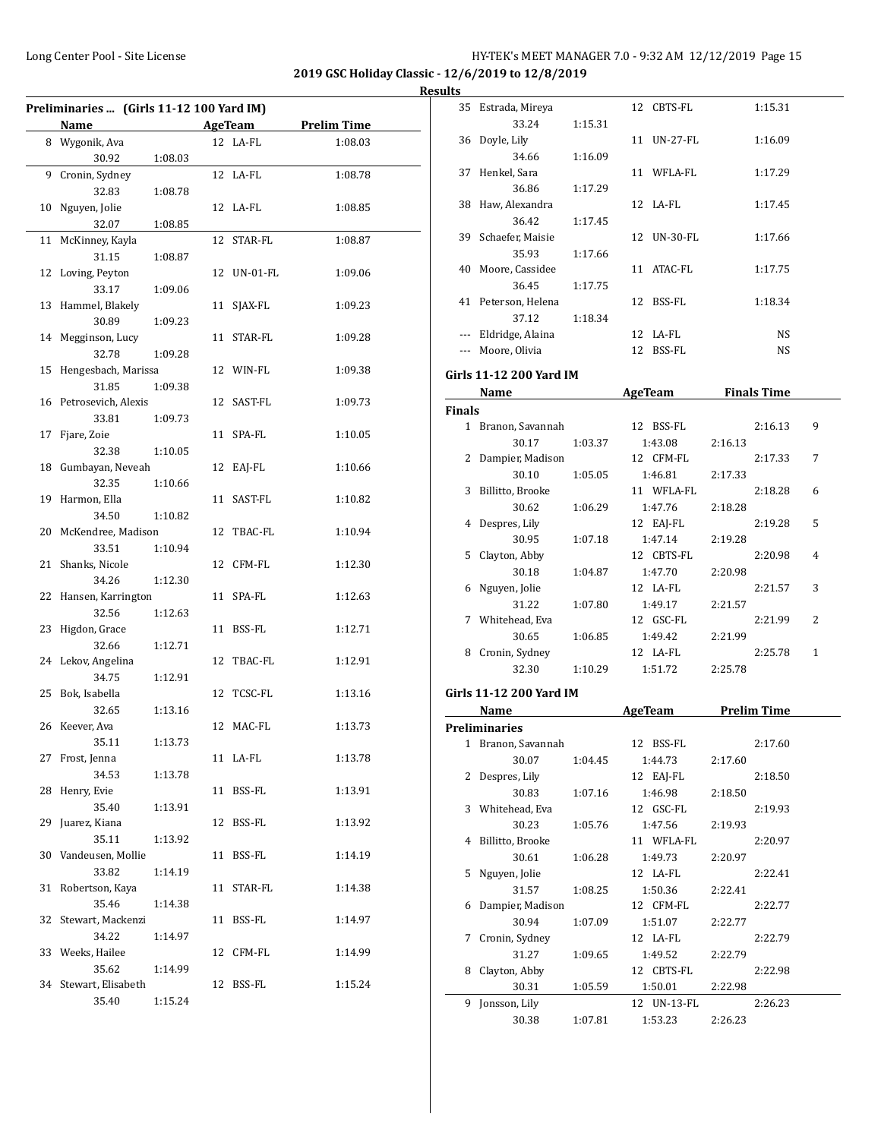| Preliminaries  (Girls 11-12 100 Yard IM) |                       |         |    |            |                    |
|------------------------------------------|-----------------------|---------|----|------------|--------------------|
|                                          | Name                  |         |    | AgeTeam    | <b>Prelim Time</b> |
|                                          | 8 Wygonik, Ava        |         |    | 12 LA-FL   | 1:08.03            |
|                                          | 30.92                 | 1:08.03 |    |            |                    |
| 9                                        | Cronin, Sydney        |         |    | 12 LA-FL   | 1:08.78            |
|                                          | 32.83                 | 1:08.78 |    |            |                    |
| 10                                       | Nguyen, Jolie         |         |    | 12 LA-FL   | 1:08.85            |
|                                          | 32.07                 | 1:08.85 |    |            |                    |
| 11                                       | McKinney, Kayla       |         | 12 | STAR-FL    | 1:08.87            |
|                                          | 31.15                 | 1:08.87 |    |            |                    |
| 12                                       | Loving, Peyton        |         | 12 | UN-01-FL   | 1:09.06            |
|                                          | 33.17                 | 1:09.06 |    |            |                    |
| 13                                       | Hammel, Blakely       |         | 11 | SJAX-FL    | 1:09.23            |
|                                          | 30.89                 | 1:09.23 |    |            |                    |
|                                          | 14 Megginson, Lucy    |         | 11 | STAR-FL    | 1:09.28            |
|                                          | 32.78                 | 1:09.28 |    |            |                    |
| 15                                       | Hengesbach, Marissa   |         |    | 12 WIN-FL  | 1:09.38            |
|                                          | 31.85                 | 1:09.38 |    |            |                    |
| 16                                       | Petrosevich, Alexis   |         |    | 12 SAST-FL | 1:09.73            |
|                                          | 33.81                 | 1:09.73 |    |            |                    |
| 17                                       | Fjare, Zoie           |         | 11 | SPA-FL     | 1:10.05            |
|                                          | 32.38                 | 1:10.05 |    |            |                    |
| 18                                       | Gumbayan, Neveah      |         | 12 | EAJ-FL     | 1:10.66            |
|                                          | 32.35                 | 1:10.66 |    |            |                    |
| 19                                       | Harmon, Ella          |         | 11 | SAST-FL    | 1:10.82            |
|                                          | 34.50                 | 1:10.82 |    |            |                    |
| 20                                       | McKendree, Madison    |         |    | 12 TBAC-FL | 1:10.94            |
|                                          | 33.51                 | 1:10.94 |    |            |                    |
| 21                                       | Shanks, Nicole        |         |    | 12 CFM-FL  | 1:12.30            |
|                                          | 34.26                 | 1:12.30 |    |            |                    |
| 22                                       | Hansen, Karrington    |         | 11 | SPA-FL     | 1:12.63            |
|                                          | 32.56                 | 1:12.63 |    |            |                    |
| 23                                       | Higdon, Grace         |         | 11 | BSS-FL     | 1:12.71            |
|                                          | 32.66                 | 1:12.71 |    |            |                    |
| 24                                       | Lekov, Angelina       |         | 12 | TBAC-FL    | 1:12.91            |
|                                          | 34.75                 | 1:12.91 |    |            |                    |
| 25                                       | Bok, Isabella         |         | 12 | TCSC-FL    | 1:13.16            |
|                                          | 32.65                 | 1:13.16 |    |            |                    |
|                                          | 26 Keever, Ava        |         |    | 12 MAC-FL  | 1:13.73            |
|                                          | 35.11                 | 1:13.73 |    |            |                    |
|                                          | 27 Frost, Jenna       |         |    | 11 LA-FL   | 1:13.78            |
|                                          | 34.53                 | 1:13.78 |    |            |                    |
| 28                                       | Henry, Evie           |         |    | 11 BSS-FL  | 1:13.91            |
|                                          | 35.40                 | 1:13.91 |    |            |                    |
| 29                                       | Juarez, Kiana         |         |    | 12 BSS-FL  | 1:13.92            |
|                                          | 35.11                 | 1:13.92 |    |            |                    |
|                                          | 30 Vandeusen, Mollie  |         |    | 11 BSS-FL  | 1:14.19            |
|                                          | 33.82                 | 1:14.19 |    |            |                    |
| 31                                       | Robertson, Kaya       |         |    | 11 STAR-FL | 1:14.38            |
|                                          | 35.46                 | 1:14.38 |    |            |                    |
| 32                                       | Stewart, Mackenzi     |         |    | 11 BSS-FL  | 1:14.97            |
|                                          | 34.22                 | 1:14.97 |    |            |                    |
|                                          | 33 Weeks, Hailee      |         |    | 12 CFM-FL  | 1:14.99            |
|                                          | 35.62                 | 1:14.99 |    |            |                    |
|                                          | 34 Stewart, Elisabeth |         |    | 12 BSS-FL  | 1:15.24            |
|                                          | 35.40                 | 1:15.24 |    |            |                    |
|                                          |                       |         |    |            |                    |

| suits         |                          |         |                          |                     |   |
|---------------|--------------------------|---------|--------------------------|---------------------|---|
|               | 35 Estrada, Mireya       |         | 12 CBTS-FL               | 1:15.31             |   |
|               | 33.24                    | 1:15.31 |                          |                     |   |
|               | 36 Doyle, Lily           |         | 11 UN-27-FL              | 1:16.09             |   |
|               | 34.66                    | 1:16.09 |                          |                     |   |
|               | 37 Henkel, Sara          |         | 11 WFLA-FL               | 1:17.29             |   |
|               | 36.86                    | 1:17.29 |                          |                     |   |
|               | 38 Haw, Alexandra        |         | 12 LA-FL                 | 1:17.45             |   |
|               | 36.42                    | 1:17.45 |                          |                     |   |
|               | 39 Schaefer, Maisie      |         | 12 UN-30-FL              | 1:17.66             |   |
|               | 35.93                    | 1:17.66 |                          |                     |   |
|               | 40 Moore, Cassidee       |         | 11 ATAC-FL               | 1:17.75             |   |
|               | 36.45                    | 1:17.75 |                          |                     |   |
|               | 41 Peterson, Helena      |         | 12 BSS-FL                | 1:18.34             |   |
|               | 37.12                    | 1:18.34 |                          |                     |   |
|               | --- Eldridge, Alaina     |         | 12 LA-FL                 | <b>NS</b>           |   |
|               | --- Moore, Olivia        |         | 12 BSS-FL                | <b>NS</b>           |   |
|               | Girls 11-12 200 Yard IM  |         |                          |                     |   |
|               |                          |         | Name AgeTeam Finals Time |                     |   |
| <b>Finals</b> |                          |         |                          |                     |   |
|               | 1 Branon, Savannah       |         | 12 BSS-FL                | 2:16.13             | 9 |
|               | 30.17                    | 1:03.37 | 1:43.08                  | 2:16.13             |   |
|               | 2 Dampier, Madison       |         | 12 CFM-FL                | 2:17.33             | 7 |
|               | 30.10                    | 1:05.05 | 1:46.81                  | 2:17.33             |   |
|               | 3 Billitto, Brooke       |         | 11 WFLA-FL               | 2:18.28             | 6 |
|               | 30.62                    | 1:06.29 | 1:47.76                  | 2:18.28             |   |
|               | 4 Despres, Lily          |         | 12 EAJ-FL                | 2:19.28             | 5 |
|               | 30.95                    | 1:07.18 | 1:47.14                  | 2:19.28             |   |
|               | 5 Clayton, Abby          |         | 12 CBTS-FL               | 2:20.98             | 4 |
|               | 30.18                    | 1:04.87 | 1:47.70                  | 2:20.98             |   |
|               | 6 Nguyen, Jolie          |         | 12 LA-FL                 | 2:21.57             | 3 |
|               | 31.22                    | 1:07.80 | 1:49.17                  | 2:21.57             |   |
|               | 7 Whitehead, Eva         |         | 12 GSC-FL                | 2:21.99             | 2 |
|               | 30.65                    | 1:06.85 | 1:49.42                  | 2:21.99             |   |
|               | 8 Cronin, Sydney         |         | 12 LA-FL                 | 2:25.78             | 1 |
|               | 32.30                    | 1:10.29 | 1:51.72                  | 2:25.78             |   |
|               |                          |         |                          |                     |   |
|               | Girls 11-12 200 Yard IM  |         |                          |                     |   |
|               | Name                     |         |                          | AgeTeam Prelim Time |   |
|               | <b>Preliminaries</b>     |         |                          |                     |   |
|               | 1 Branon, Savannah       |         | 12 BSS-FL                | 2:17.60             |   |
|               | 30.07                    | 1:04.45 | 1:44.73                  | 2:17.60             |   |
|               | 2 Despres, Lily          |         | 12 EAJ-FL                | 2:18.50             |   |
|               | 30.83                    | 1:07.16 | 1:46.98                  | 2:18.50             |   |
|               | 3 Whitehead, Eva         |         | 12 GSC-FL                | 2:19.93             |   |
|               | 30.23                    | 1:05.76 | 1:47.56                  | 2:19.93             |   |
| 4             | Billitto, Brooke         |         | 11 WFLA-FL               | 2:20.97             |   |
|               | 30.61                    | 1:06.28 | 1:49.73                  | 2:20.97             |   |
| 5             | Nguyen, Jolie            |         | 12 LA-FL                 | 2:22.41             |   |
|               | 31.57                    | 1:08.25 | 1:50.36                  | 2:22.41             |   |
| 6             | Dampier, Madison         |         | 12 CFM-FL                | 2:22.77             |   |
|               | 30.94                    | 1:07.09 | 1:51.07                  | 2:22.77             |   |
| 7             | Cronin, Sydney           |         | 12 LA-FL                 | 2:22.79             |   |
|               | 31.27                    | 1:09.65 | 1:49.52                  | 2:22.79             |   |
| 8             | Clayton, Abby            |         | 12 CBTS-FL               | 2:22.98             |   |
|               | 30.31                    | 1:05.59 | 1:50.01                  | 2:22.98             |   |
|               |                          |         |                          |                     |   |
|               | 9 Jonsson, Lily<br>30.38 | 1:07.81 | 12 UN-13-FL<br>1:53.23   | 2:26.23<br>2:26.23  |   |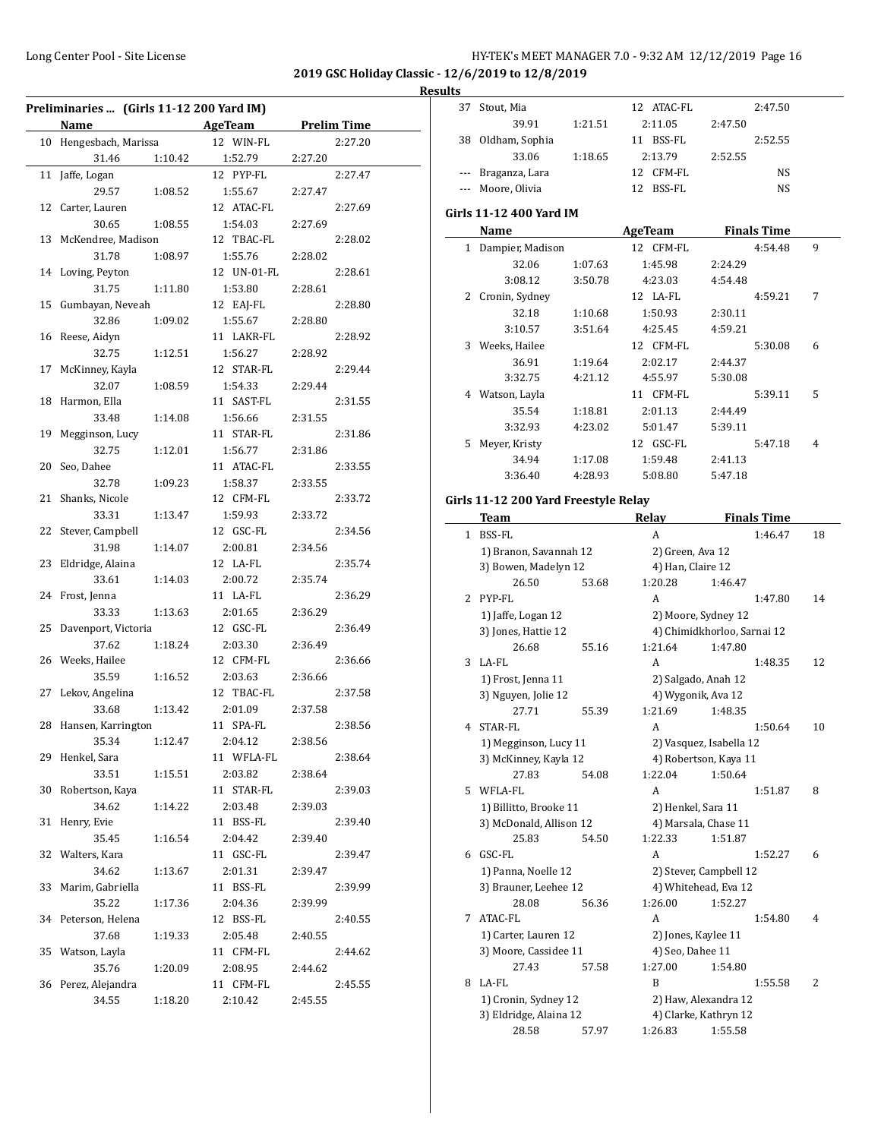37 Stout, Mia 12 ATAC-FL 2:47.50

**2019 GSC Holiday Classic - 12/6/2019 to 12/8/2019**

#### **Results**

| Preliminaries  (Girls 11-12 200 Yard IM) |                                                  |                |                    |  |  |
|------------------------------------------|--------------------------------------------------|----------------|--------------------|--|--|
|                                          | <b>Name</b><br>and the company of the company of | <b>AgeTeam</b> | <b>Prelim Time</b> |  |  |
| 10                                       | Hengesbach, Marissa                              | 12 WIN-FL      | 2:27.20            |  |  |
|                                          | 31.46<br>1:10.42                                 | 1:52.79        | 2:27.20            |  |  |
| 11                                       | Jaffe, Logan                                     | 12 PYP-FL      | 2:27.47            |  |  |
|                                          | 29.57<br>1:08.52                                 | 1:55.67        | 2:27.47            |  |  |
|                                          | 12 Carter, Lauren                                | 12 ATAC-FL     | 2:27.69            |  |  |
|                                          | 30.65<br>1:08.55                                 | 1:54.03        | 2:27.69            |  |  |
| 13                                       | McKendree, Madison                               | 12 TBAC-FL     | 2:28.02            |  |  |
|                                          | 31.78<br>1:08.97                                 | 1:55.76        | 2:28.02            |  |  |
|                                          | 14 Loving, Peyton                                | 12 UN-01-FL    | 2:28.61            |  |  |
|                                          | 31.75<br>1:11.80                                 | 1:53.80        | 2:28.61            |  |  |
| 15                                       | Gumbayan, Neveah                                 | 12 EAJ-FL      | 2:28.80            |  |  |
|                                          | 32.86<br>1:09.02                                 | 1:55.67        | 2:28.80            |  |  |
| 16                                       | Reese, Aidyn                                     | 11 LAKR-FL     | 2:28.92            |  |  |
|                                          | 32.75<br>1:12.51                                 | 1:56.27        | 2:28.92            |  |  |
| 17                                       | McKinney, Kayla                                  | 12 STAR-FL     | 2:29.44            |  |  |
|                                          | 32.07<br>1:08.59                                 | 1:54.33        | 2:29.44            |  |  |
| 18                                       | Harmon, Ella                                     | 11 SAST-FL     | 2:31.55            |  |  |
|                                          | 33.48<br>1:14.08                                 | 1:56.66        | 2:31.55            |  |  |
| 19                                       | Megginson, Lucy                                  | 11 STAR-FL     | 2:31.86            |  |  |
|                                          | 32.75<br>1:12.01                                 | 1:56.77        | 2:31.86            |  |  |
| 20                                       | Seo, Dahee                                       | 11 ATAC-FL     | 2:33.55            |  |  |
|                                          | 32.78<br>1:09.23                                 | 1:58.37        | 2:33.55            |  |  |
| 21                                       | Shanks, Nicole                                   | 12 CFM-FL      | 2:33.72            |  |  |
|                                          | 33.31<br>1:13.47                                 | 1:59.93        | 2:33.72            |  |  |
| 22                                       | Stever, Campbell                                 | 12 GSC-FL      | 2:34.56            |  |  |
|                                          | 31.98<br>1:14.07                                 | 2:00.81        | 2:34.56            |  |  |
| 23                                       | Eldridge, Alaina                                 | 12 LA-FL       | 2:35.74            |  |  |
|                                          | 33.61<br>1:14.03                                 | 2:00.72        | 2:35.74            |  |  |
| 24                                       | Frost, Jenna                                     | 11 LA-FL       | 2:36.29            |  |  |
|                                          | 33.33<br>1:13.63                                 | 2:01.65        | 2:36.29            |  |  |
| 25                                       | Davenport, Victoria                              | 12 GSC-FL      | 2:36.49            |  |  |
|                                          | 37.62<br>1:18.24                                 | 2:03.30        | 2:36.49            |  |  |
| 26                                       | Weeks, Hailee                                    | 12 CFM-FL      | 2:36.66            |  |  |
|                                          | 35.59<br>1:16.52                                 | 2:03.63        | 2:36.66            |  |  |
| 27                                       | Lekov, Angelina                                  | 12 TBAC-FL     | 2:37.58            |  |  |
|                                          | 33.68<br>1:13.42                                 | 2:01.09        | 2:37.58            |  |  |
| 28                                       | Hansen, Karrington                               | 11 SPA-FL      | 2:38.56            |  |  |
|                                          | 35.34 1:12.47                                    | 2:04.12        | 2:38.56            |  |  |
| 29                                       | Henkel, Sara                                     | 11 WFLA-FL     | 2:38.64            |  |  |
|                                          | 33.51<br>1:15.51                                 | 2:03.82        | 2:38.64            |  |  |
| 30                                       | Robertson, Kaya                                  | 11 STAR-FL     | 2:39.03            |  |  |
|                                          | 34.62<br>1:14.22                                 | 2:03.48        | 2:39.03            |  |  |
| 31                                       | Henry, Evie                                      | 11 BSS-FL      | 2:39.40            |  |  |
|                                          | 35.45<br>1:16.54                                 | 2:04.42        | 2:39.40            |  |  |
| 32                                       | Walters, Kara                                    | 11 GSC-FL      | 2:39.47            |  |  |
|                                          | 34.62<br>1:13.67                                 | 2:01.31        | 2:39.47            |  |  |
| 33                                       | Marim, Gabriella                                 | 11 BSS-FL      | 2:39.99            |  |  |
|                                          | 35.22<br>1:17.36                                 | 2:04.36        | 2:39.99            |  |  |
| 34                                       | Peterson, Helena                                 | 12 BSS-FL      | 2:40.55            |  |  |
|                                          | 37.68<br>1:19.33                                 | 2:05.48        | 2:40.55            |  |  |
| 35                                       | Watson, Layla                                    | 11 CFM-FL      | 2:44.62            |  |  |
|                                          | 35.76<br>1:20.09                                 | 2:08.95        | 2:44.62            |  |  |
| 36                                       | Perez, Alejandra                                 | 11 CFM-FL      | 2:45.55            |  |  |
|                                          | 34.55<br>1:18.20                                 | 2:10.42        | 2:45.55            |  |  |
|                                          |                                                  |                |                    |  |  |

|     | 39.91                                | 1:21.51 | 2:11.05<br>2:47.50            |                                  |                    |    |
|-----|--------------------------------------|---------|-------------------------------|----------------------------------|--------------------|----|
|     | 38 Oldham, Sophia                    |         | 11 BSS-FL                     |                                  | 2:52.55            |    |
|     | 33.06                                | 1:18.65 | 2:13.79                       | 2:52.55                          |                    |    |
| --- | Braganza, Lara                       |         | 12 CFM-FL                     |                                  | NS                 |    |
|     | Moore, Olivia                        |         | 12 BSS-FL                     |                                  | NS                 |    |
|     |                                      |         |                               |                                  |                    |    |
|     | Girls 11-12 400 Yard IM              |         |                               |                                  |                    |    |
|     | Name                                 |         | <b>AgeTeam</b>                |                                  | <b>Finals Time</b> |    |
|     | 1 Dampier, Madison                   |         | 12 CFM-FL                     |                                  | 4:54.48            | 9  |
|     | 32.06                                | 1:07.63 | 1:45.98                       | 2:24.29                          |                    |    |
|     | 3:08.12                              | 3:50.78 | 4:23.03                       | 4:54.48                          |                    |    |
|     | 2 Cronin, Sydney                     |         | 12 LA-FL                      |                                  | 4:59.21            | 7  |
|     | 32.18                                | 1:10.68 | 1:50.93                       | 2:30.11                          |                    |    |
|     | 3:10.57                              | 3:51.64 | 4:25.45                       | 4:59.21                          |                    |    |
|     | 3 Weeks, Hailee                      |         | 12 CFM-FL                     |                                  | 5:30.08            | 6  |
|     | 36.91                                | 1:19.64 | 2:02.17                       | 2:44.37                          |                    |    |
|     | 3:32.75                              | 4:21.12 | 4:55.97                       | 5:30.08                          |                    |    |
|     | 4 Watson, Layla                      |         | 11 CFM-FL                     |                                  | 5:39.11            | 5  |
|     | 35.54                                | 1:18.81 | 2:01.13                       | 2:44.49                          |                    |    |
|     | 3:32.93                              | 4:23.02 | 5:01.47                       | 5:39.11                          |                    |    |
|     | 5 Meyer, Kristy                      |         | 12 GSC-FL                     |                                  | 5:47.18            | 4  |
|     | 34.94                                | 1:17.08 | 1:59.48                       | 2:41.13                          |                    |    |
|     | 3:36.40                              | 4:28.93 | 5:08.80                       | 5:47.18                          |                    |    |
|     | Girls 11-12 200 Yard Freestyle Relay |         |                               |                                  |                    |    |
|     | Team                                 |         | Relay                         |                                  | <b>Finals Time</b> |    |
|     | 1 BSS-FL                             |         | A                             |                                  | 1:46.47            | 18 |
|     | 1) Branon, Savannah 12               |         | 2) Green, Ava 12              |                                  |                    |    |
|     | 3) Bowen, Madelyn 12                 |         | 4) Han, Claire 12             |                                  |                    |    |
|     |                                      |         |                               |                                  |                    |    |
|     |                                      |         |                               |                                  |                    |    |
|     | 26.50                                | 53.68   | 1:20.28<br>A                  | 1:46.47                          |                    |    |
|     | 2 PYP-FL                             |         |                               |                                  | 1:47.80            | 14 |
|     | 1) Jaffe, Logan 12                   |         |                               | 2) Moore, Sydney 12              |                    |    |
|     | 3) Jones, Hattie 12                  |         |                               | 4) Chimidkhorloo, Sarnai 12      |                    |    |
|     | 26.68<br>3 LA-FL                     | 55.16   | 1:21.64<br>A                  | 1:47.80                          | 1:48.35            | 12 |
|     |                                      |         |                               |                                  |                    |    |
|     | 1) Frost, Jenna 11                   |         | 2) Salgado, Anah 12           |                                  |                    |    |
|     | 3) Nguyen, Jolie 12<br>27.71         | 55.39   | 4) Wygonik, Ava 12<br>1:21.69 | 1:48.35                          |                    |    |
| 4   | STAR-FL                              |         | A                             |                                  | 1:50.64            | 10 |
|     |                                      |         |                               | 2) Vasquez, Isabella 12          |                    |    |
|     | 1) Megginson, Lucy 11                |         |                               |                                  |                    |    |
|     | 3) McKinney, Kayla 12<br>27.83       | 54.08   | 1:22.04                       | 4) Robertson, Kaya 11<br>1:50.64 |                    |    |
|     | 5 WFLA-FL                            |         | A                             |                                  | 1:51.87            | 8  |
|     | 1) Billitto, Brooke 11               |         | 2) Henkel, Sara 11            |                                  |                    |    |
|     | 3) McDonald, Allison 12              |         |                               | 4) Marsala, Chase 11             |                    |    |
|     | 25.83                                | 54.50   | 1:22.33                       | 1:51.87                          |                    |    |
|     | 6 GSC-FL                             |         | A                             |                                  | 1:52.27            | 6  |
|     | 1) Panna, Noelle 12                  |         |                               | 2) Stever, Campbell 12           |                    |    |
|     | 3) Brauner, Leehee 12                |         |                               | 4) Whitehead, Eva 12             |                    |    |
|     | 28.08                                | 56.36   | 1:26.00                       | 1:52.27                          |                    |    |
| 7   | ATAC-FL                              |         | A                             |                                  | 1:54.80            | 4  |
|     | 1) Carter, Lauren 12                 |         | 2) Jones, Kaylee 11           |                                  |                    |    |
|     | 3) Moore, Cassidee 11                |         | 4) Seo, Dahee 11              |                                  |                    |    |
|     | 27.43                                | 57.58   | 1:27.00                       | 1:54.80                          |                    |    |
|     | 8 LA-FL                              |         | B                             |                                  | 1:55.58            | 2  |
|     | 1) Cronin, Sydney 12                 |         |                               | 2) Haw, Alexandra 12             |                    |    |
|     | 3) Eldridge, Alaina 12               |         | 1:26.83                       | 4) Clarke, Kathryn 12<br>1:55.58 |                    |    |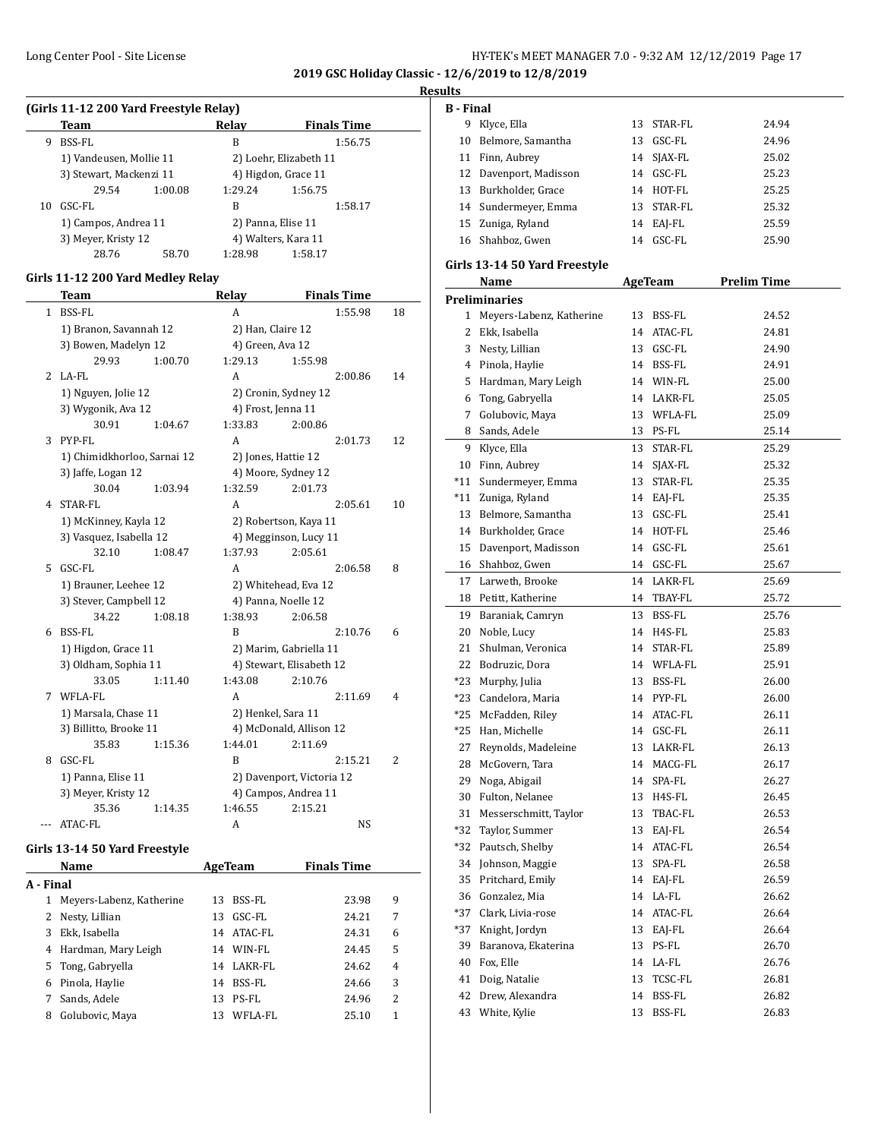**2019 GSC Holiday Classic - 12/6/2019 to 12/8/2019**

#### **Results**

| (Girls 11-12 200 Yard Freestyle Relay) |                                             |         |                        |                     |  |  |  |
|----------------------------------------|---------------------------------------------|---------|------------------------|---------------------|--|--|--|
|                                        | Team                                        |         | Relay                  | <b>Finals Time</b>  |  |  |  |
| 9                                      | BSS-FL                                      |         | B                      | 1:56.75             |  |  |  |
|                                        | 1) Vandeusen, Mollie 11                     |         | 2) Loehr, Elizabeth 11 |                     |  |  |  |
|                                        | 3) Stewart, Mackenzi 11                     |         |                        | 4) Higdon, Grace 11 |  |  |  |
|                                        | 29.54                                       | 1:00.08 | 1:29.24                | 1:56.75             |  |  |  |
| 10                                     | GSC-FL                                      |         | B                      | 1:58.17             |  |  |  |
|                                        | 1) Campos, Andrea 11<br>3) Meyer, Kristy 12 |         |                        | 2) Panna, Elise 11  |  |  |  |
|                                        |                                             |         |                        | 4) Walters, Kara 11 |  |  |  |
|                                        | 28.76                                       | 58.70   | 1:28.98                | 1:58.17             |  |  |  |

# **Girls 11-12 200 Yard Medley Relay**

|   | <b>Team</b>                 |         | Relay              | <b>Finals Time</b>        |    |
|---|-----------------------------|---------|--------------------|---------------------------|----|
| 1 | <b>BSS-FL</b>               |         | A                  | 1:55.98                   | 18 |
|   | 1) Branon, Savannah 12      |         | 2) Han, Claire 12  |                           |    |
|   | 3) Bowen, Madelyn 12        |         | 4) Green, Ava 12   |                           |    |
|   | 29.93                       | 1:00.70 | 1:29.13            | 1:55.98                   |    |
| 2 | LA-FL                       |         | A                  | 2:00.86                   | 14 |
|   | 1) Nguyen, Jolie 12         |         |                    | 2) Cronin, Sydney 12      |    |
|   | 3) Wygonik, Ava 12          |         | 4) Frost, Jenna 11 |                           |    |
|   | 30.91                       | 1:04.67 | 1:33.83            | 2:00.86                   |    |
| 3 | PYP-FL                      |         | A                  | 2:01.73                   | 12 |
|   | 1) Chimidkhorloo, Sarnai 12 |         |                    | 2) Jones, Hattie 12       |    |
|   | 3) Jaffe, Logan 12          |         |                    | 4) Moore, Sydney 12       |    |
|   | 30.04                       | 1:03.94 | 1:32.59            | 2:01.73                   |    |
| 4 | STAR-FL                     |         | A                  | 2:05.61                   | 10 |
|   | 1) McKinney, Kayla 12       |         |                    | 2) Robertson, Kaya 11     |    |
|   | 3) Vasquez, Isabella 12     |         |                    | 4) Megginson, Lucy 11     |    |
|   | 32.10                       | 1:08.47 | 1:37.93            | 2:05.61                   |    |
| 5 | GSC-FL                      |         | A                  | 2:06.58                   | 8  |
|   | 1) Brauner, Leehee 12       |         |                    | 2) Whitehead, Eva 12      |    |
|   | 3) Stever, Campbell 12      |         |                    | 4) Panna, Noelle 12       |    |
|   | 34.22                       | 1:08.18 | 1:38.93            | 2:06.58                   |    |
| 6 | BSS-FL                      |         | B                  | 2:10.76                   | 6  |
|   | 1) Higdon, Grace 11         |         |                    | 2) Marim, Gabriella 11    |    |
|   | 3) Oldham, Sophia 11        |         |                    | 4) Stewart, Elisabeth 12  |    |
|   | 33.05                       | 1:11.40 | 1:43.08            | 2:10.76                   |    |
| 7 | WFLA-FL                     |         | A                  | 2:11.69                   | 4  |
|   | 1) Marsala, Chase 11        |         | 2) Henkel, Sara 11 |                           |    |
|   | 3) Billitto, Brooke 11      |         |                    | 4) McDonald, Allison 12   |    |
|   | 35.83                       | 1:15.36 | 1:44.01            | 2:11.69                   |    |
| 8 | GSC-FL                      |         | R                  | 2:15.21                   | 2  |
|   | 1) Panna, Elise 11          |         |                    | 2) Davenport, Victoria 12 |    |
|   | 3) Meyer, Kristy 12         |         |                    | 4) Campos, Andrea 11      |    |
|   | 35.36                       | 1:14.35 | 1:46.55            | 2:15.21                   |    |
|   | ATAC-FL                     |         | A                  | NS                        |    |

#### **Girls 13-14 50 Yard Freestyle**

| Name      |                          |    | AgeTeam | <b>Finals Time</b> |   |
|-----------|--------------------------|----|---------|--------------------|---|
| A - Final |                          |    |         |                    |   |
| 1         | Meyers-Labenz, Katherine | 13 | BSS-FL  | 23.98              | 9 |
|           | 2 Nesty, Lillian         | 13 | GSC-FL  | 24.21              | 7 |
| 3         | Ekk, Isabella            | 14 | ATAC-FL | 24.31              | 6 |
| 4         | Hardman, Mary Leigh      | 14 | WIN-FL  | 24.45              | 5 |
|           | 5 Tong, Gabryella        | 14 | LAKR-FL | 24.62              | 4 |
| 6         | Pinola, Haylie           | 14 | BSS-FL  | 24.66              | 3 |
|           | Sands, Adele             | 13 | PS-FL   | 24.96              | 2 |
| 8         | Golubovic, Maya          | 13 | WFLA-FL | 25.10              | 1 |

| <b>B</b> - Final |                        |    |             |       |
|------------------|------------------------|----|-------------|-------|
| 9                | Klyce, Ella            |    | 13 STAR-FL  | 24.94 |
| 10               | Belmore, Samantha      | 13 | GSC-FL      | 24.96 |
|                  | 11 Finn, Aubrey        |    | 14 SJAX-FL  | 25.02 |
|                  | 12 Davenport, Madisson |    | $14$ GSC-FL | 25.23 |
|                  | 13 Burkholder, Grace   |    | 14 HOT-FL   | 25.25 |
|                  | 14 Sundermeyer, Emma   |    | 13 STAR-FL  | 25.32 |
|                  | 15 Zuniga, Ryland      |    | 14 EAI-FL   | 25.59 |
|                  | 16 Shahboz, Gwen       | 14 | GSC-FL      | 25.90 |

#### **Girls 13-14 50 Yard Freestyle**

|                | Name                     | <b>AgeTeam</b> | <u>Prelim Time</u> |
|----------------|--------------------------|----------------|--------------------|
|                | <b>Preliminaries</b>     |                |                    |
| $\mathbf{1}$   | Meyers-Labenz, Katherine | 13 BSS-FL      | 24.52              |
| $\overline{2}$ | Ekk, Isabella            | 14 ATAC-FL     | 24.81              |
|                | 3 Nesty, Lillian         | 13 GSC-FL      | 24.90              |
|                | 4 Pinola, Haylie         | 14 BSS-FL      | 24.91              |
| 5              | Hardman, Mary Leigh      | 14 WIN-FL      | 25.00              |
|                | 6 Tong, Gabryella        | 14 LAKR-FL     | 25.05              |
| 7              | Golubovic, Maya          | 13 WFLA-FL     | 25.09              |
|                | 8 Sands, Adele           | 13 PS-FL       | 25.14              |
|                | 9 Klyce, Ella            | 13 STAR-FL     | 25.29              |
| 10             | Finn, Aubrey             | 14 SJAX-FL     | 25.32              |
| $*11$          | Sundermeyer, Emma        | 13 STAR-FL     | 25.35              |
| *11            | Zuniga, Ryland           | 14 EAJ-FL      | 25.35              |
| 13             | Belmore, Samantha        | 13 GSC-FL      | 25.41              |
| 14             | Burkholder, Grace        | 14 HOT-FL      | 25.46              |
| 15             | Davenport, Madisson      | 14 GSC-FL      | 25.61              |
| 16             | Shahboz, Gwen            | 14 GSC-FL      | 25.67              |
| 17             | Larweth, Brooke          | 14 LAKR-FL     | 25.69              |
|                | 18 Petitt, Katherine     | 14 TBAY-FL     | 25.72              |
| 19             | Baraniak, Camryn         | 13 BSS-FL      | 25.76              |
| 20             | Noble, Lucy              | 14 H4S-FL      | 25.83              |
| 21             | Shulman, Veronica        | 14 STAR-FL     | 25.89              |
| 22             | Bodruzic, Dora           | 14 WFLA-FL     | 25.91              |
| $*23$          | Murphy, Julia            | 13 BSS-FL      | 26.00              |
| $*23$          | Candelora, Maria         | 14 PYP-FL      | 26.00              |
| *25            | McFadden, Riley          | 14 ATAC-FL     | 26.11              |
| $*25$          | Han, Michelle            | 14 GSC-FL      | 26.11              |
| 27             | Reynolds, Madeleine      | 13 LAKR-FL     | 26.13              |
| 28             | McGovern, Tara           | 14 MACG-FL     | 26.17              |
| 29             | Noga, Abigail            | 14 SPA-FL      | 26.27              |
| 30             | Fulton, Nelanee          | 13 H4S-FL      | 26.45              |
| 31             | Messerschmitt, Taylor    | 13 TBAC-FL     | 26.53              |
| $*32$          | Taylor, Summer           | 13 EAJ-FL      | 26.54              |
| *32            | Pautsch, Shelby          | 14 ATAC-FL     | 26.54              |
| 34             | Johnson, Maggie          | 13 SPA-FL      | 26.58              |
| 35             | Pritchard, Emily         | 14 EAJ-FL      | 26.59              |
|                | 36 Gonzalez, Mia         | 14 LA-FL       | 26.62              |
| $*37$          | Clark, Livia-rose        | 14 ATAC-FL     | 26.64              |
| $*37$          | Knight, Jordyn           | 13 EAJ-FL      | 26.64              |
| 39             | Baranova, Ekaterina      | 13 PS-FL       | 26.70              |
|                | 40 Fox, Elle             | 14 LA-FL       | 26.76              |
| 41             | Doig, Natalie            | 13 TCSC-FL     | 26.81              |
| 42             | Drew, Alexandra          | 14 BSS-FL      | 26.82              |
| 43             | White, Kylie             | 13 BSS-FL      | 26.83              |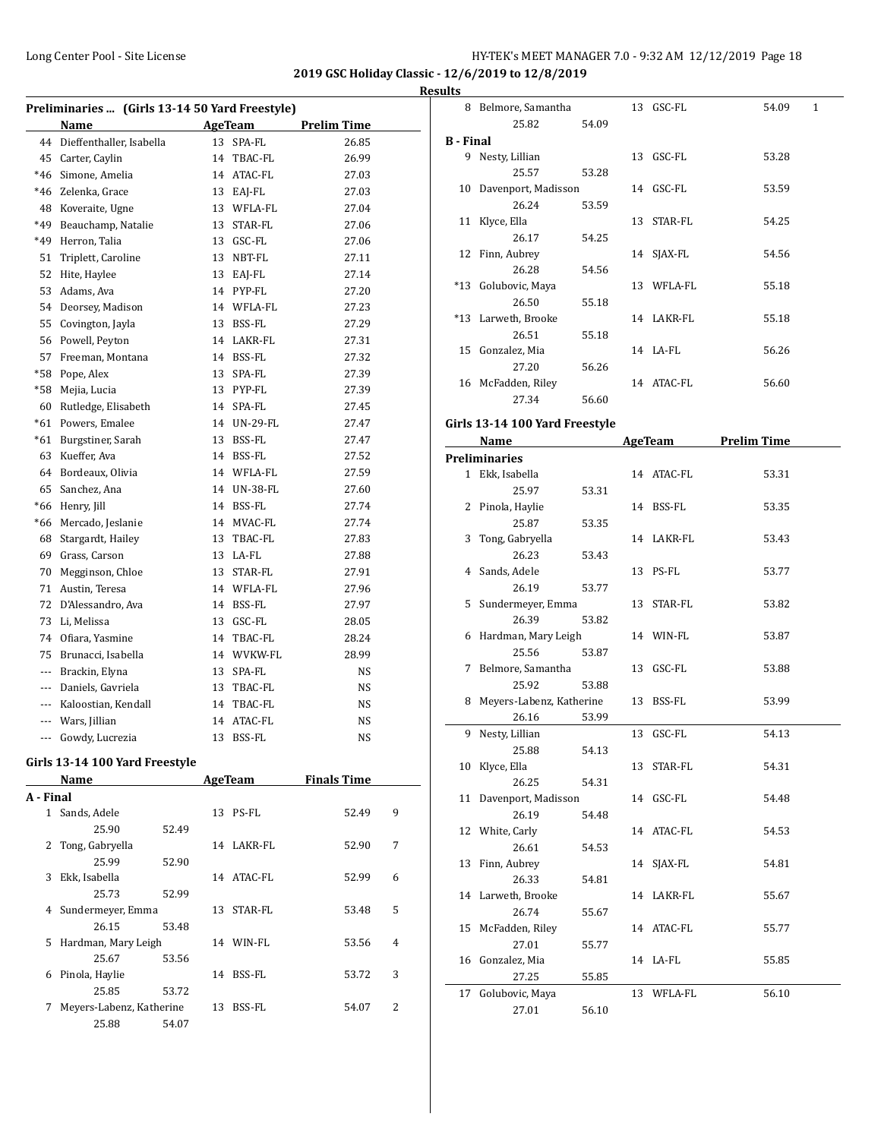**2019 GSC Holiday Classic - 12/6/2019 to 12/8/2019 Results**

| Preliminaries  (Girls 13-14 50 Yard Freestyle) |                             |    |             |                    |  |  |  |  |
|------------------------------------------------|-----------------------------|----|-------------|--------------------|--|--|--|--|
|                                                | Name                        |    | AgeTeam     | <b>Prelim Time</b> |  |  |  |  |
|                                                | 44 Dieffenthaller, Isabella | 13 | SPA-FL      | 26.85              |  |  |  |  |
|                                                | 45 Carter, Caylin           | 14 | TBAC-FL     | 26.99              |  |  |  |  |
|                                                | *46 Simone, Amelia          |    | 14 ATAC-FL  | 27.03              |  |  |  |  |
|                                                | *46 Zelenka, Grace          |    | 13 EAJ-FL   | 27.03              |  |  |  |  |
|                                                | 48 Koveraite, Ugne          |    | 13 WFLA-FL  | 27.04              |  |  |  |  |
| *49                                            | Beauchamp, Natalie          |    | 13 STAR-FL  | 27.06              |  |  |  |  |
| *49                                            | Herron, Talia               |    | 13 GSC-FL   | 27.06              |  |  |  |  |
| 51                                             | Triplett, Caroline          |    | 13 NBT-FL   | 27.11              |  |  |  |  |
| 52                                             | Hite, Haylee                |    | 13 EAJ-FL   | 27.14              |  |  |  |  |
| 53                                             | Adams, Ava                  |    | 14 PYP-FL   | 27.20              |  |  |  |  |
| 54                                             | Deorsey, Madison            |    | 14 WFLA-FL  | 27.23              |  |  |  |  |
| 55                                             | Covington, Jayla            |    | 13 BSS-FL   | 27.29              |  |  |  |  |
|                                                | 56 Powell, Peyton           |    | 14 LAKR-FL  | 27.31              |  |  |  |  |
| 57                                             | Freeman, Montana            |    | 14 BSS-FL   | 27.32              |  |  |  |  |
|                                                | *58 Pope, Alex              |    | 13 SPA-FL   | 27.39              |  |  |  |  |
| $*58$                                          | Mejia, Lucia                |    | 13 PYP-FL   | 27.39              |  |  |  |  |
| 60                                             | Rutledge, Elisabeth         |    | 14 SPA-FL   | 27.45              |  |  |  |  |
| $*61$                                          | Powers, Emalee              |    | 14 UN-29-FL | 27.47              |  |  |  |  |
| $*61$                                          | Burgstiner, Sarah           |    | 13 BSS-FL   | 27.47              |  |  |  |  |
| 63                                             | Kueffer, Ava                |    | 14 BSS-FL   | 27.52              |  |  |  |  |
| 64                                             | Bordeaux, Olivia            |    | 14 WFLA-FL  | 27.59              |  |  |  |  |
| 65                                             | Sanchez, Ana                |    | 14 UN-38-FL | 27.60              |  |  |  |  |
| *66                                            | Henry, Jill                 |    | 14 BSS-FL   | 27.74              |  |  |  |  |
| $*66$                                          | Mercado, Jeslanie           |    | 14 MVAC-FL  | 27.74              |  |  |  |  |
| 68                                             | Stargardt, Hailey           |    | 13 TBAC-FL  | 27.83              |  |  |  |  |
|                                                | 69 Grass, Carson            |    | 13 LA-FL    | 27.88              |  |  |  |  |
|                                                | 70 Megginson, Chloe         |    | 13 STAR-FL  | 27.91              |  |  |  |  |
|                                                | 71 Austin, Teresa           |    | 14 WFLA-FL  | 27.96              |  |  |  |  |
|                                                | 72 D'Alessandro, Ava        |    | 14 BSS-FL   | 27.97              |  |  |  |  |
| 73                                             | Li, Melissa                 |    | 13 GSC-FL   | 28.05              |  |  |  |  |
| 74                                             | Ofiara, Yasmine             | 14 | TBAC-FL     | 28.24              |  |  |  |  |
| 75                                             | Brunacci, Isabella          |    | 14 WVKW-FL  | 28.99              |  |  |  |  |
| $\overline{a}$                                 | Brackin, Elyna              | 13 | SPA-FL      | NS.                |  |  |  |  |
|                                                | --- Daniels, Gavriela       |    | 13 TBAC-FL  | NS.                |  |  |  |  |
|                                                | --- Kaloostian, Kendall     | 14 | TBAC-FL     | NS                 |  |  |  |  |
|                                                | --- Wars, Jillian           |    | 14 ATAC-FL  | NS                 |  |  |  |  |
|                                                | --- Gowdy, Lucrezia         |    | 13 BSS-FL   | <b>NS</b>          |  |  |  |  |
|                                                |                             |    |             |                    |  |  |  |  |

#### **Girls 13-14 100 Yard Freestyle**

|           | Name                     |       |    | AgeTeam    | <b>Finals Time</b> |   |
|-----------|--------------------------|-------|----|------------|--------------------|---|
| A - Final |                          |       |    |            |                    |   |
| 1         | Sands, Adele             |       | 13 | PS-FL      | 52.49              | 9 |
|           | 25.90                    | 52.49 |    |            |                    |   |
| 2         | Tong, Gabryella          |       | 14 | LAKR-FL    | 52.90              | 7 |
|           | 25.99                    | 52.90 |    |            |                    |   |
| 3         | Ekk, Isabella            |       |    | 14 ATAC-FL | 52.99              | 6 |
|           | 25.73                    | 52.99 |    |            |                    |   |
| 4         | Sundermeyer, Emma        |       | 13 | STAR-FL    | 53.48              | 5 |
|           | 26.15                    | 53.48 |    |            |                    |   |
| 5.        | Hardman, Mary Leigh      |       | 14 | WIN-FL     | 53.56              | 4 |
|           | 25.67                    | 53.56 |    |            |                    |   |
| 6         | Pinola, Haylie           |       | 14 | BSS-FL     | 53.72              | 3 |
|           | 25.85                    | 53.72 |    |            |                    |   |
| 7         | Meyers-Labenz, Katherine |       | 13 | BSS-FL     | 54.07              | 2 |
|           | 25.88                    | 54.07 |    |            |                    |   |

|                  | 8 Belmore, Samantha            |       |    | 13 GSC-FL  | 54.09               | 1 |
|------------------|--------------------------------|-------|----|------------|---------------------|---|
|                  | 25.82                          | 54.09 |    |            |                     |   |
| <b>B</b> - Final |                                |       |    |            |                     |   |
|                  | 9 Nesty, Lillian               |       |    | 13 GSC-FL  | 53.28               |   |
|                  | 25.57                          | 53.28 |    |            |                     |   |
|                  | 10 Davenport, Madisson         |       |    | 14 GSC-FL  | 53.59               |   |
|                  | 26.24                          | 53.59 |    |            |                     |   |
|                  | 11 Klyce, Ella                 |       |    | 13 STAR-FL | 54.25               |   |
|                  | 26.17                          | 54.25 |    |            |                     |   |
|                  | 12 Finn, Aubrey                |       |    | 14 SJAX-FL | 54.56               |   |
|                  |                                |       |    |            |                     |   |
|                  | 26.28                          | 54.56 |    |            |                     |   |
|                  | *13 Golubovic, Maya            |       |    | 13 WFLA-FL | 55.18               |   |
|                  | 26.50                          | 55.18 |    |            |                     |   |
|                  | *13 Larweth, Brooke            |       |    | 14 LAKR-FL | 55.18               |   |
|                  | 26.51                          | 55.18 |    |            |                     |   |
|                  | 15 Gonzalez, Mia               |       |    | 14 LA-FL   | 56.26               |   |
|                  | 27.20                          | 56.26 |    |            |                     |   |
|                  | 16 McFadden, Riley             |       |    | 14 ATAC-FL | 56.60               |   |
|                  | 27.34                          | 56.60 |    |            |                     |   |
|                  | Girls 13-14 100 Yard Freestyle |       |    |            |                     |   |
|                  | Name                           |       |    |            | AgeTeam Prelim Time |   |
|                  | <b>Preliminaries</b>           |       |    |            |                     |   |
|                  | 1 Ekk, Isabella                |       |    |            |                     |   |
|                  |                                | 53.31 |    | 14 ATAC-FL | 53.31               |   |
|                  | 25.97                          |       |    |            |                     |   |
|                  | 2 Pinola, Haylie               |       |    | 14 BSS-FL  | 53.35               |   |
|                  | 25.87                          | 53.35 |    |            |                     |   |
|                  | 3 Tong, Gabryella              |       |    | 14 LAKR-FL | 53.43               |   |
|                  | 26.23                          | 53.43 |    |            |                     |   |
|                  | 4 Sands, Adele                 |       |    | 13 PS-FL   | 53.77               |   |
|                  | 26.19                          | 53.77 |    |            |                     |   |
|                  | 5 Sundermeyer, Emma            |       |    | 13 STAR-FL | 53.82               |   |
|                  | 26.39                          | 53.82 |    |            |                     |   |
|                  | 6 Hardman, Mary Leigh          |       |    | 14 WIN-FL  | 53.87               |   |
|                  | 25.56                          | 53.87 |    |            |                     |   |
|                  | 7 Belmore, Samantha            |       |    | 13 GSC-FL  | 53.88               |   |
|                  | 25.92                          | 53.88 |    |            |                     |   |
|                  | 8 Meyers-Labenz, Katherine     |       |    | 13 BSS-FL  | 53.99               |   |
|                  | 26.16                          | 53.99 |    |            |                     |   |
| 9.               | Nesty, Lillian                 |       | 13 | GSC-FL     | 54.13               |   |
|                  | 25.88                          | 54.13 |    |            |                     |   |
|                  | 10 Klyce, Ella                 |       |    | 13 STAR-FL | 54.31               |   |
|                  | 26.25                          | 54.31 |    |            |                     |   |
| 11               | Davenport, Madisson            |       |    | 14 GSC-FL  | 54.48               |   |
|                  | 26.19                          | 54.48 |    |            |                     |   |
|                  | 12 White, Carly                |       |    | 14 ATAC-FL | 54.53               |   |
|                  | 26.61                          | 54.53 |    |            |                     |   |
| 13               | Finn, Aubrey                   |       | 14 | SJAX-FL    | 54.81               |   |
|                  | 26.33                          | 54.81 |    |            |                     |   |
|                  | 14 Larweth, Brooke             |       |    | 14 LAKR-FL | 55.67               |   |
|                  | 26.74                          | 55.67 |    |            |                     |   |
| 15               | McFadden, Riley                |       |    | 14 ATAC-FL | 55.77               |   |
|                  | 27.01                          | 55.77 |    |            |                     |   |
|                  | 16 Gonzalez, Mia               |       |    | 14 LA-FL   | 55.85               |   |
|                  | 27.25                          | 55.85 |    |            |                     |   |
| 17               | Golubovic, Maya                |       |    | 13 WFLA-FL | 56.10               |   |
|                  | 27.01                          | 56.10 |    |            |                     |   |
|                  |                                |       |    |            |                     |   |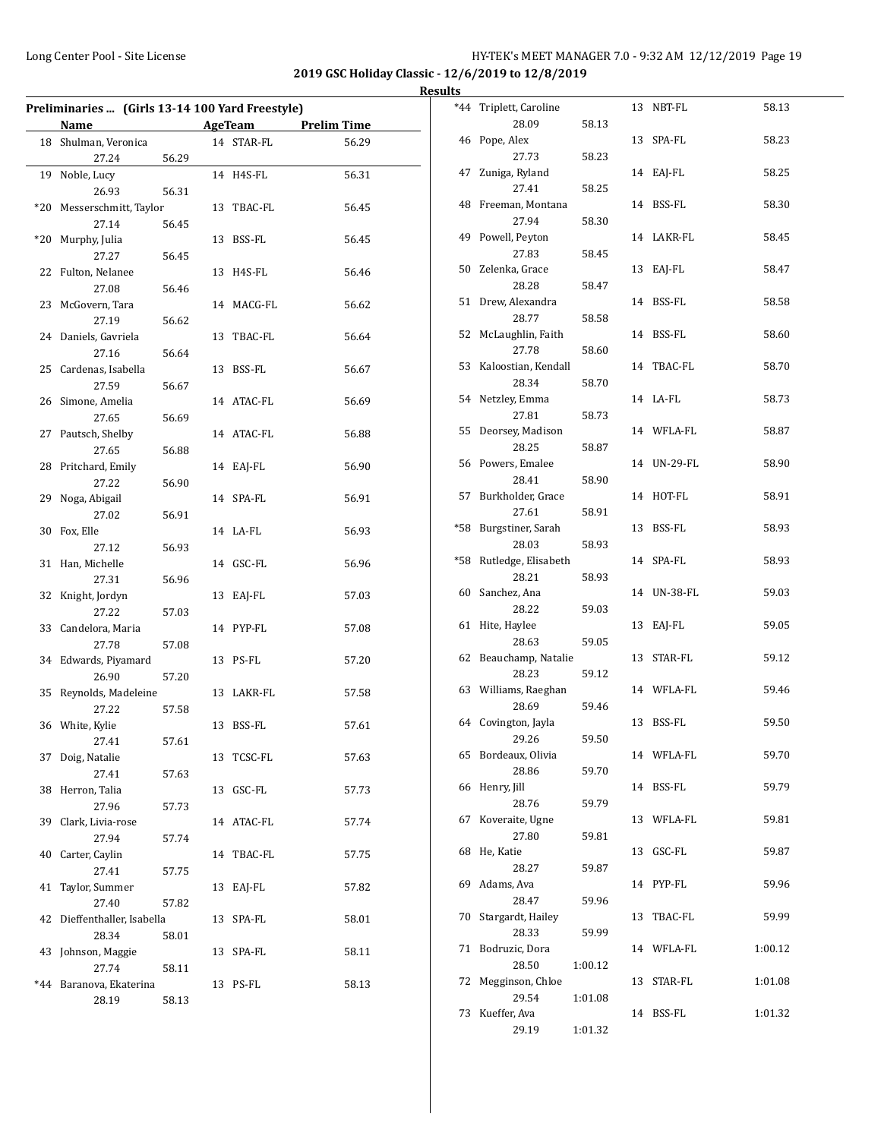|       | Preliminaries  (Girls 13-14 100 Yard Freestyle) |       |    |            |                    |
|-------|-------------------------------------------------|-------|----|------------|--------------------|
|       | Name                                            |       |    | AgeTeam    | <b>Prelim Time</b> |
|       | 18 Shulman, Veronica                            |       |    | 14 STAR-FL | 56.29              |
|       | 27.24                                           | 56.29 |    |            |                    |
| 19    | Noble, Lucy                                     |       |    | 14 H4S-FL  | 56.31              |
|       | 26.93                                           | 56.31 |    |            |                    |
| *20   | Messerschmitt, Taylor                           |       |    | 13 TBAC-FL | 56.45              |
|       | 27.14                                           | 56.45 |    |            |                    |
| $*20$ | Murphy, Julia                                   |       |    | 13 BSS-FL  | 56.45              |
|       | 27.27                                           | 56.45 |    |            |                    |
| 22    | Fulton, Nelanee                                 |       |    | 13 H4S-FL  | 56.46              |
|       | 27.08                                           | 56.46 |    |            |                    |
| 23    | McGovern, Tara                                  |       |    | 14 MACG-FL | 56.62              |
|       | 27.19                                           | 56.62 |    |            |                    |
|       | 24 Daniels, Gavriela                            |       |    | 13 TBAC-FL | 56.64              |
|       | 27.16                                           | 56.64 |    |            |                    |
|       | 25 Cardenas, Isabella                           |       |    | 13 BSS-FL  | 56.67              |
|       | 27.59                                           | 56.67 |    |            |                    |
|       | 26 Simone, Amelia                               |       |    | 14 ATAC-FL | 56.69              |
|       | 27.65                                           | 56.69 |    |            |                    |
|       | 27 Pautsch, Shelby                              |       |    | 14 ATAC-FL | 56.88              |
|       | 27.65                                           | 56.88 |    |            |                    |
|       | 28 Pritchard, Emily                             |       |    | 14 EAJ-FL  | 56.90              |
|       | 27.22                                           | 56.90 |    |            |                    |
| 29    | Noga, Abigail                                   |       |    | 14 SPA-FL  | 56.91              |
|       | 27.02                                           | 56.91 |    |            |                    |
| 30    | Fox, Elle                                       |       |    | 14 LA-FL   | 56.93              |
|       | 27.12                                           | 56.93 |    |            |                    |
| 31    | Han, Michelle                                   |       |    | 14 GSC-FL  | 56.96              |
|       | 27.31                                           | 56.96 |    |            |                    |
|       | 32 Knight, Jordyn                               |       |    | 13 EAJ-FL  | 57.03              |
|       | 27.22                                           | 57.03 |    |            |                    |
|       | 33 Candelora, Maria                             |       |    | 14 PYP-FL  | 57.08              |
|       | 27.78<br>34 Edwards, Piyamard                   | 57.08 |    | 13 PS-FL   | 57.20              |
|       | 26.90                                           | 57.20 |    |            |                    |
| 35    | Reynolds, Madeleine                             |       |    | 13 LAKR-FL | 57.58              |
|       | 27.22                                           | 57.58 |    |            |                    |
|       | 36 White, Kylie                                 |       |    | 13 BSS-FL  | 57.61              |
|       | 27.41                                           | 57.61 |    |            |                    |
| 37    | Doig, Natalie                                   |       |    | 13 TCSC-FL | 57.63              |
|       | 27.41                                           | 57.63 |    |            |                    |
| 38    | Herron, Talia                                   |       | 13 | GSC-FL     | 57.73              |
|       | 27.96                                           | 57.73 |    |            |                    |
| 39    | Clark, Livia-rose                               |       |    | 14 ATAC-FL | 57.74              |
|       | 27.94                                           | 57.74 |    |            |                    |
| 40    | Carter, Caylin                                  |       | 14 | TBAC-FL    | 57.75              |
|       | 27.41                                           | 57.75 |    |            |                    |
| 41    | Taylor, Summer                                  |       | 13 | EAJ-FL     | 57.82              |
|       | 27.40                                           | 57.82 |    |            |                    |
| 42    | Dieffenthaller, Isabella                        |       | 13 | SPA-FL     | 58.01              |
|       | 28.34                                           | 58.01 |    |            |                    |
| 43    | Johnson, Maggie                                 |       | 13 | SPA-FL     | 58.11              |
|       | 27.74                                           | 58.11 |    |            |                    |
| $*44$ | Baranova, Ekaterina                             |       |    | 13 PS-FL   | 58.13              |
|       | 28.19                                           | 58.13 |    |            |                    |

| <u>.</u> |                               |         |    |             |         |
|----------|-------------------------------|---------|----|-------------|---------|
| *44      | Triplett, Caroline            |         |    | 13 NBT-FL   | 58.13   |
|          | 28.09                         | 58.13   |    |             |         |
| 46       | Pope, Alex                    |         | 13 | SPA-FL      | 58.23   |
|          | 27.73                         | 58.23   |    |             |         |
| 47       | Zuniga, Ryland                |         |    | 14 EAJ-FL   | 58.25   |
|          | 27.41                         | 58.25   |    |             |         |
| 48       | Freeman, Montana              |         |    | 14 BSS-FL   | 58.30   |
|          | 27.94                         | 58.30   |    |             |         |
| 49       | Powell, Peyton                |         |    | 14 LAKR-FL  | 58.45   |
|          | 27.83                         | 58.45   |    |             |         |
|          | 50 Zelenka, Grace             |         | 13 | EAJ-FL      | 58.47   |
|          | 28.28                         | 58.47   |    | 14 BSS-FL   |         |
|          | 51 Drew, Alexandra<br>28.77   | 58.58   |    |             | 58.58   |
| 52       | McLaughlin, Faith             |         |    | 14 BSS-FL   | 58.60   |
|          | 27.78                         | 58.60   |    |             |         |
| 53       | Kaloostian, Kendall           |         | 14 | TBAC-FL     | 58.70   |
|          | 28.34                         | 58.70   |    |             |         |
|          | 54 Netzley, Emma              |         |    | 14 LA-FL    | 58.73   |
|          | 27.81                         | 58.73   |    |             |         |
| 55       | Deorsey, Madison              |         |    | 14 WFLA-FL  | 58.87   |
|          | 28.25                         | 58.87   |    |             |         |
| 56       | Powers, Emalee                |         |    | 14 UN-29-FL | 58.90   |
|          | 28.41                         | 58.90   |    |             |         |
| 57       | Burkholder, Grace             |         |    | 14 HOT-FL   | 58.91   |
|          | 27.61                         | 58.91   |    |             |         |
| *58      | Burgstiner, Sarah             |         |    | 13 BSS-FL   | 58.93   |
|          | 28.03                         | 58.93   |    |             |         |
| *58      | Rutledge, Elisabeth           |         |    | 14 SPA-FL   | 58.93   |
|          | 28.21                         | 58.93   |    |             |         |
| 60       | Sanchez, Ana                  |         | 14 | UN-38-FL    | 59.03   |
|          | 28.22                         | 59.03   |    |             |         |
| 61       | Hite, Haylee                  |         | 13 | EAJ-FL      | 59.05   |
|          | 28.63                         | 59.05   |    |             |         |
| 62       | Beauchamp, Natalie            |         | 13 | STAR-FL     | 59.12   |
|          | 28.23                         | 59.12   |    |             |         |
|          | 63 Williams, Raeghan<br>28.69 | 59.46   |    | 14 WFLA-FL  | 59.46   |
|          |                               |         |    | 13 BSS-FL   | 59.50   |
|          | 64 Covington, Jayla<br>29.26  | 59.50   |    |             |         |
|          | 65 Bordeaux, Olivia           |         |    | 14 WFLA-FL  | 59.70   |
|          | 28.86                         | 59.70   |    |             |         |
| 66       | Henry, Jill                   |         |    | 14 BSS-FL   | 59.79   |
|          | 28.76                         | 59.79   |    |             |         |
| 67       | Koveraite, Ugne               |         |    | 13 WFLA-FL  | 59.81   |
|          | 27.80                         | 59.81   |    |             |         |
| 68       | He, Katie                     |         | 13 | GSC-FL      | 59.87   |
|          | 28.27                         | 59.87   |    |             |         |
| 69       | Adams, Ava                    |         |    | 14 PYP-FL   | 59.96   |
|          | 28.47                         | 59.96   |    |             |         |
| 70       | Stargardt, Hailey             |         | 13 | TBAC-FL     | 59.99   |
|          | 28.33                         | 59.99   |    |             |         |
| 71       | Bodruzic, Dora                |         |    | 14 WFLA-FL  | 1:00.12 |
|          | 28.50                         | 1:00.12 |    |             |         |
| 72       | Megginson, Chloe              |         | 13 | STAR-FL     | 1:01.08 |
|          | 29.54                         | 1:01.08 |    |             |         |
| 73       | Kueffer, Ava                  |         |    | 14 BSS-FL   | 1:01.32 |
|          | 29.19                         | 1:01.32 |    |             |         |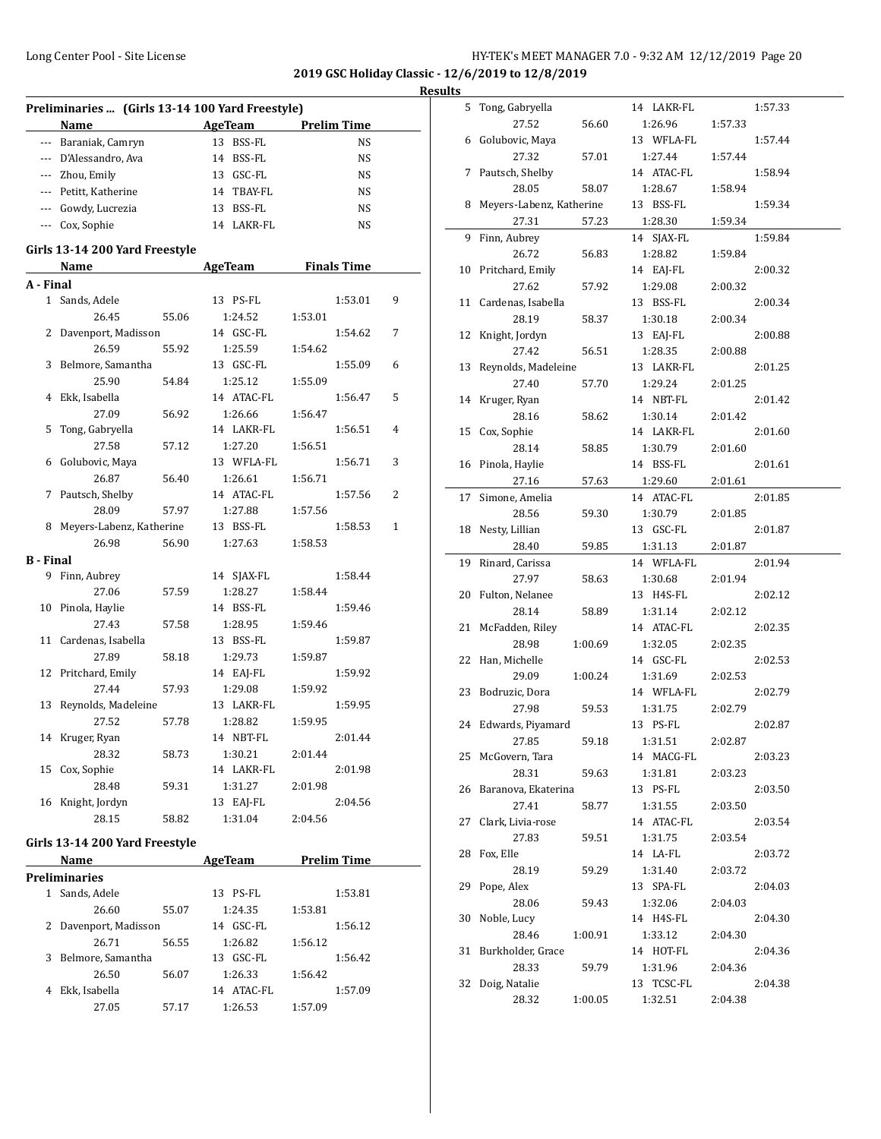**Preliminaries ... (Girls 13-14 100 Yard Freestyle)**

# Long Center Pool - Site License **HY-TEK's MEET MANAGER 7.0 - 9:32 AM 12/12/2019** Page 20

**2019 GSC Holiday Classic - 12/6/2019 to 12/8/2019 Results**

 $\overline{a}$ 

 $\overline{\phantom{a}}$ 

|                  | Name                           | <b>AgeTeam</b> | <b>Prelim Time</b> |   |
|------------------|--------------------------------|----------------|--------------------|---|
|                  | --- Baraniak, Camryn           | 13 BSS-FL      | NS                 |   |
|                  | --- D'Alessandro, Ava          | 14 BSS-FL      | NS                 |   |
|                  | --- Zhou, Emily                | 13 GSC-FL      | NS                 |   |
|                  | --- Petitt, Katherine          | 14 TBAY-FL     | NS                 |   |
|                  | --- Gowdy, Lucrezia            | 13 BSS-FL      | NS                 |   |
|                  | --- Cox, Sophie                | 14 LAKR-FL     | NS                 |   |
|                  |                                |                |                    |   |
|                  | Girls 13-14 200 Yard Freestyle |                |                    |   |
|                  | Name                           | AgeTeam        | <b>Finals Time</b> |   |
| A - Final        |                                |                |                    |   |
|                  | 1 Sands, Adele                 | 13 PS-FL       | 1:53.01            | 9 |
|                  | 26.45<br>55.06                 | 1:24.52        | 1:53.01            |   |
| 2                | Davenport, Madisson            | 14 GSC-FL      | 1:54.62            | 7 |
|                  | 26.59<br>55.92                 | 1:25.59        | 1:54.62            |   |
| 3                | Belmore, Samantha              | 13 GSC-FL      | 1:55.09            | 6 |
|                  | 25.90<br>54.84                 | 1:25.12        | 1:55.09            |   |
| 4                | Ekk, Isabella                  | 14 ATAC-FL     | 1:56.47            | 5 |
|                  | 27.09<br>56.92                 | 1:26.66        | 1:56.47            |   |
| 5                | Tong, Gabryella                | 14 LAKR-FL     | 1:56.51            | 4 |
|                  | 27.58<br>57.12                 | 1:27.20        | 1:56.51            |   |
| 6                | Golubovic, Maya                | 13 WFLA-FL     | 1:56.71            | 3 |
|                  | 26.87<br>56.40                 | 1:26.61        | 1:56.71            |   |
| 7                | Pautsch, Shelby                | 14 ATAC-FL     | 1:57.56            | 2 |
|                  | 28.09<br>57.97                 | 1:27.88        | 1:57.56            |   |
|                  | 8 Meyers-Labenz, Katherine     | 13 BSS-FL      | 1:58.53            | 1 |
|                  | 26.98<br>56.90                 | 1:27.63        | 1:58.53            |   |
| <b>B</b> - Final |                                |                |                    |   |
|                  | 9 Finn, Aubrey                 | 14 SJAX-FL     | 1:58.44            |   |
|                  | 27.06<br>57.59                 | 1:28.27        | 1:58.44            |   |
|                  | 10 Pinola, Haylie              | 14 BSS-FL      | 1:59.46            |   |
|                  | 27.43<br>57.58                 | 1:28.95        | 1:59.46            |   |
|                  | 11 Cardenas, Isabella          | 13 BSS-FL      | 1:59.87            |   |
|                  | 27.89<br>58.18                 | 1:29.73        | 1:59.87            |   |
|                  | 12 Pritchard, Emily            | 14 EAJ-FL      | 1:59.92            |   |
|                  | 27.44<br>57.93                 | 1:29.08        | 1:59.92            |   |
| 13               | Reynolds, Madeleine            | 13 LAKR-FL     | 1:59.95            |   |
|                  | 27.52<br>57.78                 | 1:28.82        | 1:59.95            |   |
|                  | 14 Kruger, Ryan                | 14 NBT-FL      | 2:01.44            |   |
|                  | 28.32<br>58.73                 | 1:30.21        | 2:01.44            |   |
|                  | 15 Cox, Sophie                 | 14 LAKR-FL     | 2:01.98            |   |
|                  | 28.48<br>59.31                 | 1:31.27        | 2:01.98            |   |
|                  | 16 Knight, Jordyn              | 13 EAJ-FL      | 2:04.56            |   |
|                  | 28.15<br>58.82                 | 1:31.04        | 2:04.56            |   |
|                  |                                |                |                    |   |
|                  | Girls 13-14 200 Yard Freestyle |                |                    |   |
|                  | Name                           | <b>AgeTeam</b> | <b>Prelim Time</b> |   |
|                  | Preliminaries                  |                |                    |   |
|                  | 1 Sands, Adele                 | 13 PS-FL       | 1:53.81            |   |
|                  | 26.60<br>55.07                 | 1:24.35        | 1:53.81            |   |
| 2                | Davenport, Madisson            | 14 GSC-FL      | 1:56.12            |   |
|                  | 26.71<br>56.55                 | 1:26.82        | 1:56.12            |   |
|                  | 3 Belmore, Samantha            | 13 GSC-FL      | 1:56.42            |   |
|                  | 26.50<br>56.07                 | 1:26.33        | 1:56.42            |   |
|                  | 4 Ekk, Isabella                | 14 ATAC-FL     | 1:57.09            |   |
|                  | 27.05<br>57.17                 | 1:26.53        | 1:57.09            |   |
|                  |                                |                |                    |   |

| 5  | Tong, Gabryella          |         | 14 LAKR-FL          |         | 1:57.33 |
|----|--------------------------|---------|---------------------|---------|---------|
|    | 27.52                    | 56.60   | 1:26.96             | 1:57.33 |         |
| 6  | Golubovic, Maya          |         | 13 WFLA-FL          |         | 1:57.44 |
|    | 27.32                    | 57.01   | 1:27.44             | 1:57.44 |         |
| 7  | Pautsch, Shelby          |         | 14 ATAC-FL          |         | 1:58.94 |
|    | 28.05                    | 58.07   | 1:28.67             | 1:58.94 |         |
| 8  | Meyers-Labenz, Katherine |         | 13 BSS-FL           |         | 1:59.34 |
|    | 27.31                    | 57.23   | 1:28.30             | 1:59.34 |         |
| 9  | Finn, Aubrey             |         | 14 SJAX-FL          |         | 1:59.84 |
|    | 26.72                    | 56.83   | 1:28.82             | 1:59.84 |         |
|    | 10 Pritchard, Emily      |         | 14 EAJ-FL           |         | 2:00.32 |
|    | 27.62                    | 57.92   | 1:29.08             | 2:00.32 |         |
| 11 | Cardenas, Isabella       |         | 13 BSS-FL           |         | 2:00.34 |
|    | 28.19                    | 58.37   | 1:30.18             | 2:00.34 |         |
| 12 | Knight, Jordyn           |         | 13 EAJ-FL           |         | 2:00.88 |
|    | 27.42                    | 56.51   | 1:28.35             | 2:00.88 |         |
| 13 | Reynolds, Madeleine      |         | 13 LAKR-FL          |         | 2:01.25 |
|    | 27.40                    | 57.70   | 1:29.24             | 2:01.25 |         |
| 14 | Kruger, Ryan             |         | 14 NBT-FL           |         | 2:01.42 |
|    | 28.16                    | 58.62   | 1:30.14             | 2:01.42 |         |
|    | 15 Cox, Sophie           |         | 14 LAKR-FL          |         | 2:01.60 |
|    | 28.14                    | 58.85   | 1:30.79             | 2:01.60 |         |
|    | 16 Pinola, Haylie        |         | 14 BSS-FL           |         | 2:01.61 |
|    | 27.16                    | 57.63   | 1:29.60             | 2:01.61 |         |
| 17 | Simone, Amelia           |         | 14 ATAC-FL          |         | 2:01.85 |
|    | 28.56                    | 59.30   | 1:30.79             | 2:01.85 |         |
|    | 18 Nesty, Lillian        |         | 13 GSC-FL           |         | 2:01.87 |
|    | 28.40                    | 59.85   | 1:31.13             | 2:01.87 |         |
| 19 | Rinard, Carissa          |         | 14 WFLA-FL          |         | 2:01.94 |
|    | 27.97                    | 58.63   | 1:30.68             | 2:01.94 |         |
|    | 20 Fulton, Nelanee       |         | 13 H4S-FL           |         | 2:02.12 |
|    | 28.14                    | 58.89   | 1:31.14             | 2:02.12 |         |
| 21 | McFadden, Riley          |         | 14 ATAC-FL          |         | 2:02.35 |
|    | 28.98                    | 1:00.69 | 1:32.05             | 2:02.35 |         |
| 22 | Han, Michelle            |         | 14 GSC-FL           |         | 2:02.53 |
|    | 29.09                    | 1:00.24 | 1:31.69             | 2:02.53 |         |
| 23 | Bodruzic, Dora<br>27.98  | 59.53   | 14 WFLA-FL          | 2:02.79 | 2:02.79 |
|    | 24 Edwards, Piyamard     |         | 1:31.75<br>13 PS-FL |         | 2:02.87 |
|    | 27.85 59.18              |         | 1:31.51             | 2:02.87 |         |
|    | 25 McGovern, Tara        |         | 14 MACG-FL          |         | 2:03.23 |
|    | 28.31                    | 59.63   | 1:31.81             | 2:03.23 |         |
| 26 | Baranova, Ekaterina      |         | 13 PS-FL            |         | 2:03.50 |
|    | 27.41                    | 58.77   | 1:31.55             | 2:03.50 |         |
| 27 | Clark, Livia-rose        |         | 14 ATAC-FL          |         | 2:03.54 |
|    | 27.83                    | 59.51   | 1:31.75             | 2:03.54 |         |
| 28 | Fox, Elle                |         | 14 LA-FL            |         | 2:03.72 |
|    | 28.19                    | 59.29   | 1:31.40             | 2:03.72 |         |
| 29 | Pope, Alex               |         | 13 SPA-FL           |         | 2:04.03 |
|    | 28.06                    | 59.43   | 1:32.06             | 2:04.03 |         |
| 30 | Noble, Lucy              |         | 14 H4S-FL           |         | 2:04.30 |
|    | 28.46                    | 1:00.91 | 1:33.12             | 2:04.30 |         |
| 31 | Burkholder, Grace        |         | 14 HOT-FL           |         | 2:04.36 |
|    | 28.33                    | 59.79   | 1:31.96             | 2:04.36 |         |
| 32 | Doig, Natalie            |         | 13 TCSC-FL          |         | 2:04.38 |
|    | 28.32                    | 1:00.05 | 1:32.51             | 2:04.38 |         |
|    |                          |         |                     |         |         |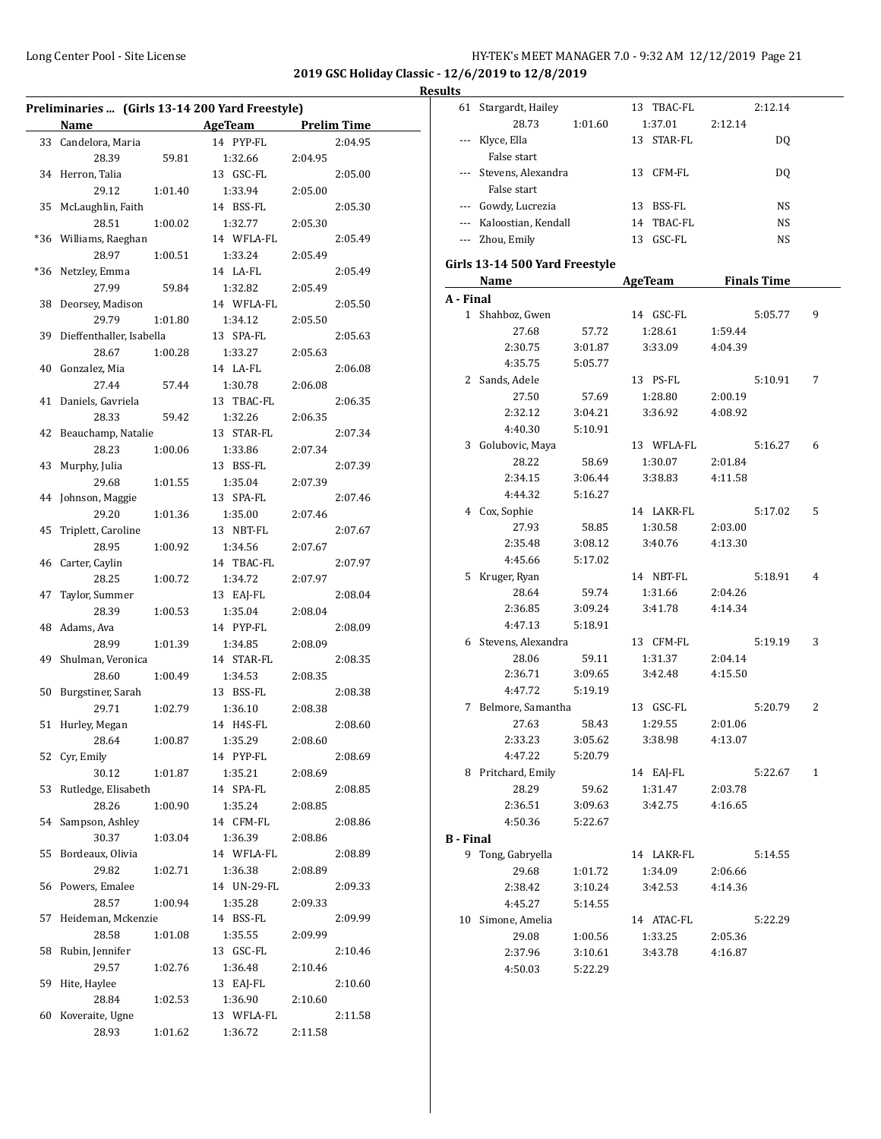l.

|     |                             |         | Preliminaries  (Girls 13-14 200 Yard Freestyle) |         |                    |
|-----|-----------------------------|---------|-------------------------------------------------|---------|--------------------|
|     | Name                        |         | AgeTeam                                         |         | <b>Prelim Time</b> |
|     | 33 Candelora, Maria         |         | 14 PYP-FL                                       |         | 2:04.95            |
|     | 28.39                       | 59.81   | 1:32.66                                         | 2:04.95 |                    |
| 34  | Herron, Talia               |         | 13 GSC-FL                                       |         | 2:05.00            |
|     | 29.12                       | 1:01.40 | 1:33.94                                         | 2:05.00 |                    |
| 35  | McLaughlin, Faith           |         | 14 BSS-FL                                       |         | 2:05.30            |
|     | 28.51                       | 1:00.02 | 1:32.77                                         | 2:05.30 |                    |
| *36 | Williams, Raeghan           |         | 14 WFLA-FL                                      |         | 2:05.49            |
|     | 28.97                       | 1:00.51 | 1:33.24                                         | 2:05.49 |                    |
| *36 | Netzley, Emma               |         | 14 LA-FL                                        |         | 2:05.49            |
|     | 27.99                       | 59.84   | 1:32.82                                         | 2:05.49 |                    |
| 38  | Deorsey, Madison            |         | 14 WFLA-FL                                      |         | 2:05.50            |
|     | 29.79                       | 1:01.80 | 1:34.12                                         | 2:05.50 |                    |
|     | 39 Dieffenthaller, Isabella |         | 13 SPA-FL                                       |         | 2:05.63            |
|     | 28.67                       | 1:00.28 | 1:33.27                                         | 2:05.63 |                    |
| 40  | Gonzalez, Mia               |         | 14 LA-FL                                        |         | 2:06.08            |
|     | 27.44                       | 57.44   | 1:30.78                                         | 2:06.08 |                    |
| 41  | Daniels, Gavriela           |         | 13 TBAC-FL                                      |         | 2:06.35            |
|     | 28.33                       | 59.42   |                                                 |         |                    |
|     |                             |         | 1:32.26                                         | 2:06.35 |                    |
| 42  | Beauchamp, Natalie          |         | 13 STAR-FL                                      |         | 2:07.34            |
|     | 28.23                       | 1:00.06 | 1:33.86                                         | 2:07.34 |                    |
| 43  | Murphy, Julia               |         | 13 BSS-FL                                       |         | 2:07.39            |
|     | 29.68                       | 1:01.55 | 1:35.04                                         | 2:07.39 |                    |
| 44  | Johnson, Maggie             |         | 13 SPA-FL                                       |         | 2:07.46            |
|     | 29.20                       | 1:01.36 | 1:35.00                                         | 2:07.46 |                    |
| 45  | Triplett, Caroline          |         | 13 NBT-FL                                       |         | 2:07.67            |
|     | 28.95                       | 1:00.92 | 1:34.56                                         | 2:07.67 |                    |
| 46  | Carter, Caylin              |         | 14 TBAC-FL                                      |         | 2:07.97            |
|     | 28.25                       | 1:00.72 | 1:34.72                                         | 2:07.97 |                    |
| 47  | Taylor, Summer              |         | 13 EAJ-FL                                       |         | 2:08.04            |
|     | 28.39                       | 1:00.53 | 1:35.04                                         | 2:08.04 |                    |
| 48  | Adams, Ava                  |         | 14 PYP-FL                                       |         | 2:08.09            |
|     | 28.99                       | 1:01.39 | 1:34.85                                         | 2:08.09 |                    |
| 49  | Shulman, Veronica           |         | 14 STAR-FL                                      |         | 2:08.35            |
|     | 28.60                       | 1:00.49 | 1:34.53                                         | 2:08.35 |                    |
| 50  | Burgstiner, Sarah           |         | 13 BSS-FL                                       |         | 2:08.38            |
|     | 29.71                       | 1:02.79 | 1:36.10                                         | 2:08.38 |                    |
| 51  | Hurley, Megan               |         | 14 H4S-FL                                       |         | 2:08.60            |
|     |                             |         |                                                 |         |                    |
|     | 28.64                       | 1:00.87 | 1:35.29                                         | 2:08.60 |                    |
|     | 52 Cyr, Emily               |         | 14 PYP-FL                                       |         | 2:08.69            |
|     | 30.12                       | 1:01.87 | 1:35.21                                         | 2:08.69 |                    |
| 53  | Rutledge, Elisabeth         |         | 14 SPA-FL                                       |         | 2:08.85            |
|     | 28.26                       | 1:00.90 | 1:35.24                                         | 2:08.85 |                    |
| 54  | Sampson, Ashley             |         | 14 CFM-FL                                       |         | 2:08.86            |
|     | 30.37                       | 1:03.04 | 1:36.39                                         | 2:08.86 |                    |
| 55  | Bordeaux, Olivia            |         | 14 WFLA-FL                                      |         | 2:08.89            |
|     | 29.82                       | 1:02.71 | 1:36.38                                         | 2:08.89 |                    |
| 56  | Powers, Emalee              |         | 14 UN-29-FL                                     |         | 2:09.33            |
|     | 28.57                       | 1:00.94 | 1:35.28                                         | 2:09.33 |                    |
| 57  | Heideman, Mckenzie          |         | 14 BSS-FL                                       |         | 2:09.99            |
|     | 28.58                       | 1:01.08 | 1:35.55                                         | 2:09.99 |                    |
| 58  | Rubin, Jennifer             |         | 13 GSC-FL                                       |         | 2:10.46            |
|     | 29.57                       | 1:02.76 | 1:36.48                                         | 2:10.46 |                    |
| 59  | Hite, Haylee                |         | 13 EAJ-FL                                       |         | 2:10.60            |
|     | 28.84                       | 1:02.53 | 1:36.90                                         | 2:10.60 |                    |
|     |                             |         |                                                 |         |                    |
| 60  | Koveraite, Ugne             |         | 13 WFLA-FL                                      |         | 2:11.58            |
|     | 28.93                       | 1:01.62 | 1:36.72                                         | 2:11.58 |                    |

|                  | 61 Stargardt, Hailey                                                                                                                                                                                                          |         | 13 TBAC-FL          |         | 2:12.14   |   |
|------------------|-------------------------------------------------------------------------------------------------------------------------------------------------------------------------------------------------------------------------------|---------|---------------------|---------|-----------|---|
|                  | 28.73                                                                                                                                                                                                                         | 1:01.60 | 1:37.01             | 2:12.14 |           |   |
|                  | --- Klyce, Ella                                                                                                                                                                                                               |         | 13 STAR-FL          |         | DQ        |   |
|                  | False start                                                                                                                                                                                                                   |         |                     |         |           |   |
|                  | --- Stevens, Alexandra                                                                                                                                                                                                        |         | 13 CFM-FL           |         | DQ        |   |
|                  | False start                                                                                                                                                                                                                   |         |                     |         |           |   |
|                  | --- Gowdy, Lucrezia                                                                                                                                                                                                           |         | 13 BSS-FL           |         | <b>NS</b> |   |
|                  | --- Kaloostian, Kendall                                                                                                                                                                                                       |         | 14 TBAC-FL          |         | <b>NS</b> |   |
|                  | --- Zhou, Emily                                                                                                                                                                                                               |         | 13 GSC-FL           |         | NS        |   |
|                  | Girls 13-14 500 Yard Freestyle                                                                                                                                                                                                |         |                     |         |           |   |
|                  | Name and the same state of the state of the state of the state of the state of the state of the state of the state of the state of the state of the state of the state of the state of the state of the state of the state of |         | AgeTeam Finals Time |         |           |   |
| A - Final        |                                                                                                                                                                                                                               |         |                     |         |           |   |
|                  | 1 Shahboz, Gwen                                                                                                                                                                                                               |         | 14 GSC-FL           |         | 5:05.77   | 9 |
|                  | 27.68                                                                                                                                                                                                                         | 57.72   | 1:28.61             | 1:59.44 |           |   |
|                  | 2:30.75                                                                                                                                                                                                                       | 3:01.87 | 3:33.09             | 4:04.39 |           |   |
|                  | 4:35.75                                                                                                                                                                                                                       | 5:05.77 |                     |         |           |   |
|                  | 2 Sands, Adele                                                                                                                                                                                                                |         | 13 PS-FL            |         | 5:10.91   | 7 |
|                  | 27.50                                                                                                                                                                                                                         | 57.69   | 1:28.80             | 2:00.19 |           |   |
|                  | 2:32.12                                                                                                                                                                                                                       | 3:04.21 | 3:36.92             | 4:08.92 |           |   |
|                  | 4:40.30                                                                                                                                                                                                                       | 5:10.91 |                     |         |           |   |
|                  | 3 Golubovic, Maya                                                                                                                                                                                                             |         | 13 WFLA-FL          |         | 5:16.27   | 6 |
|                  | 28.22                                                                                                                                                                                                                         | 58.69   | 1:30.07             | 2:01.84 |           |   |
|                  | 2:34.15                                                                                                                                                                                                                       | 3:06.44 | 3:38.83             | 4:11.58 |           |   |
|                  | 4:44.32                                                                                                                                                                                                                       | 5:16.27 |                     |         |           |   |
|                  | 4 Cox, Sophie                                                                                                                                                                                                                 |         | 14 LAKR-FL          |         | 5:17.02   | 5 |
|                  | 27.93                                                                                                                                                                                                                         | 58.85   | 1:30.58             | 2:03.00 |           |   |
|                  | 2:35.48                                                                                                                                                                                                                       | 3:08.12 | 3:40.76             | 4:13.30 |           |   |
|                  | 4:45.66                                                                                                                                                                                                                       | 5:17.02 |                     |         |           |   |
|                  | 5 Kruger, Ryan                                                                                                                                                                                                                |         | 14 NBT-FL           |         | 5:18.91   | 4 |
|                  | 28.64                                                                                                                                                                                                                         | 59.74   | 1:31.66             | 2:04.26 |           |   |
|                  | 2:36.85                                                                                                                                                                                                                       | 3:09.24 | 3:41.78             | 4:14.34 |           |   |
|                  | 4:47.13                                                                                                                                                                                                                       | 5:18.91 |                     |         |           |   |
|                  | 6 Stevens, Alexandra                                                                                                                                                                                                          |         | 13 CFM-FL           |         | 5:19.19   | 3 |
|                  | 28.06                                                                                                                                                                                                                         | 59.11   | 1:31.37             | 2:04.14 |           |   |
|                  | 2:36.71                                                                                                                                                                                                                       | 3:09.65 | 3:42.48             | 4:15.50 |           |   |
|                  | 4:47.72                                                                                                                                                                                                                       | 5:19.19 |                     |         |           |   |
|                  | 7 Belmore, Samantha                                                                                                                                                                                                           |         | 13 GSC-FL           |         | 5:20.79   | 2 |
|                  | 27.63                                                                                                                                                                                                                         | 58.43   | 1:29.55             | 2:01.06 |           |   |
|                  | 2:33.23                                                                                                                                                                                                                       | 3:05.62 | 3:38.98             | 4:13.07 |           |   |
|                  | 4:47.22                                                                                                                                                                                                                       | 5:20.79 |                     |         |           |   |
|                  | 8 Pritchard, Emily                                                                                                                                                                                                            |         | 14 EAJ-FL           |         | 5:22.67   | 1 |
|                  | 28.29                                                                                                                                                                                                                         | 59.62   | 1:31.47             | 2:03.78 |           |   |
|                  | 2:36.51                                                                                                                                                                                                                       | 3:09.63 | 3:42.75             | 4:16.65 |           |   |
|                  | 4:50.36                                                                                                                                                                                                                       | 5:22.67 |                     |         |           |   |
| <b>B</b> - Final |                                                                                                                                                                                                                               |         |                     |         |           |   |
|                  | 9 Tong, Gabryella                                                                                                                                                                                                             |         | 14 LAKR-FL          |         | 5:14.55   |   |
|                  | 29.68                                                                                                                                                                                                                         | 1:01.72 | 1:34.09             | 2:06.66 |           |   |
|                  | 2:38.42                                                                                                                                                                                                                       | 3:10.24 | 3:42.53             | 4:14.36 |           |   |
|                  | 4:45.27                                                                                                                                                                                                                       | 5:14.55 |                     |         |           |   |
|                  | 10 Simone, Amelia                                                                                                                                                                                                             |         | 14 ATAC-FL          |         | 5:22.29   |   |
|                  | 29.08                                                                                                                                                                                                                         | 1:00.56 | 1:33.25             | 2:05.36 |           |   |
|                  | 2:37.96                                                                                                                                                                                                                       | 3:10.61 | 3:43.78             | 4:16.87 |           |   |
|                  | 4:50.03                                                                                                                                                                                                                       | 5:22.29 |                     |         |           |   |
|                  |                                                                                                                                                                                                                               |         |                     |         |           |   |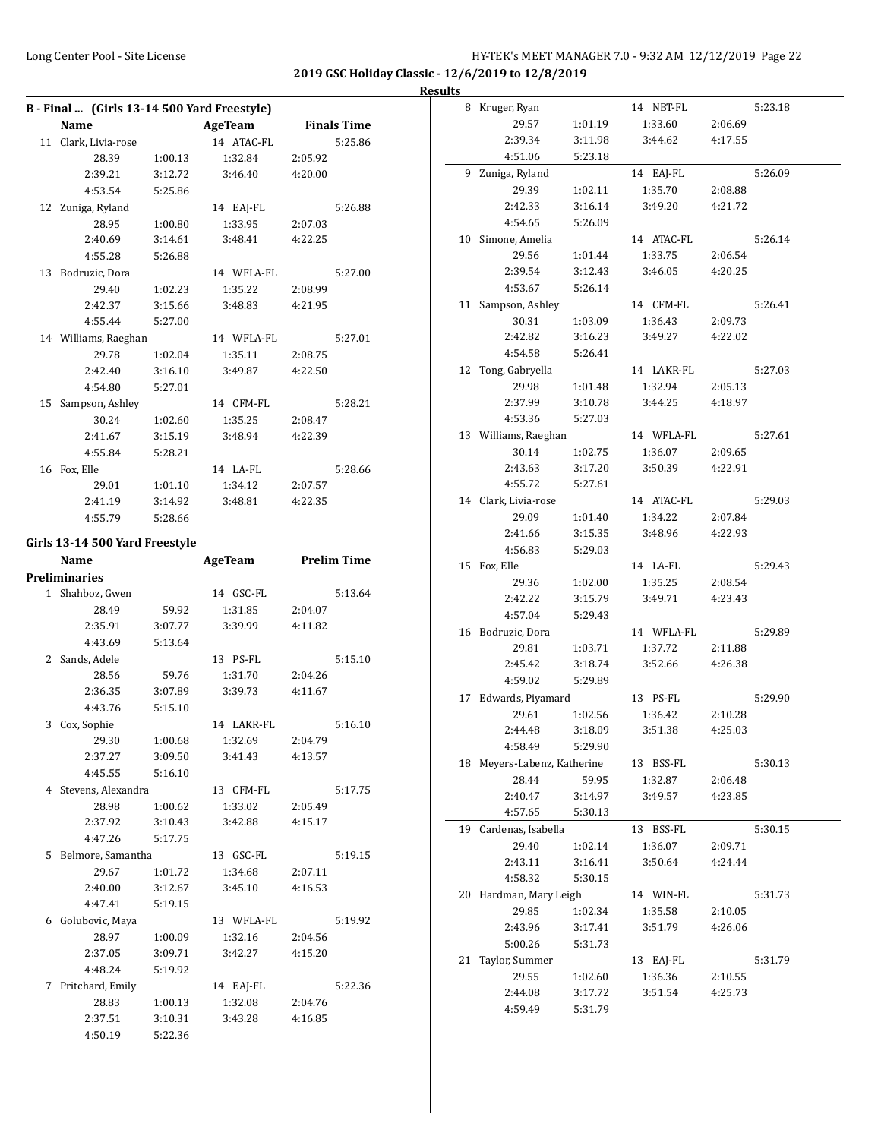**2019 GSC Holiday Classic - 12/6/2019 to 12/8/2019**

# **Results**

| B - Final  (Girls 13-14 500 Yard Freestyle) |         |            |         |                    |  |  |  |
|---------------------------------------------|---------|------------|---------|--------------------|--|--|--|
| Name                                        |         | AgeTeam    |         | <b>Finals Time</b> |  |  |  |
| 11 Clark, Livia-rose                        |         | 14 ATAC-FL |         | 5:25.86            |  |  |  |
| 28.39                                       | 1:00.13 | 1:32.84    | 2:05.92 |                    |  |  |  |
| 2:39.21                                     | 3:12.72 | 3:46.40    | 4:20.00 |                    |  |  |  |
| 4:53.54                                     | 5:25.86 |            |         |                    |  |  |  |
| 12 Zuniga, Ryland                           |         | 14 EAJ-FL  |         | 5:26.88            |  |  |  |
| 28.95                                       | 1:00.80 | 1:33.95    | 2:07.03 |                    |  |  |  |
| 2:40.69                                     | 3:14.61 | 3:48.41    | 4:22.25 |                    |  |  |  |
| 4:55.28                                     | 5:26.88 |            |         |                    |  |  |  |
| 13 Bodruzic, Dora                           |         | 14 WFLA-FL |         | 5:27.00            |  |  |  |
| 29.40                                       | 1:02.23 | 1:35.22    | 2:08.99 |                    |  |  |  |
| 2:42.37                                     | 3:15.66 | 3:48.83    | 4:21.95 |                    |  |  |  |
| 4:55.44                                     | 5:27.00 |            |         |                    |  |  |  |
| 14 Williams, Raeghan                        |         | 14 WFLA-FL |         | 5:27.01            |  |  |  |
| 29.78                                       | 1:02.04 | 1:35.11    | 2:08.75 |                    |  |  |  |
| 2:42.40                                     | 3:16.10 | 3:49.87    | 4:22.50 |                    |  |  |  |
| 4:54.80                                     | 5:27.01 |            |         |                    |  |  |  |
| 15 Sampson, Ashley                          |         | 14 CFM-FL  |         | 5:28.21            |  |  |  |
| 30.24                                       | 1:02.60 | 1:35.25    | 2:08.47 |                    |  |  |  |
| 2:41.67                                     | 3:15.19 | 3:48.94    | 4:22.39 |                    |  |  |  |
| 4:55.84                                     | 5:28.21 |            |         |                    |  |  |  |
| 16 Fox, Elle                                |         | 14 LA-FL   |         | 5:28.66            |  |  |  |
| 29.01                                       | 1:01.10 | 1:34.12    | 2:07.57 |                    |  |  |  |
| 2:41.19                                     | 3:14.92 | 3:48.81    | 4:22.35 |                    |  |  |  |
| 4:55.79                                     | 5:28.66 |            |         |                    |  |  |  |
| Girls 13-14 500 Yard Freestyle              |         |            |         |                    |  |  |  |
| Name                                        |         | AgeTeam    |         | <b>Prelim Time</b> |  |  |  |
| <b>Preliminaries</b>                        |         |            |         |                    |  |  |  |
| 1 Shahboz, Gwen                             |         | 14 GSC-FL  |         | 5:13.64            |  |  |  |
| 28.49                                       | 59.92   | 1:31.85    | 2:04.07 |                    |  |  |  |
| 2:35.91                                     | 3:07.77 | 3:39.99    | 4:11.82 |                    |  |  |  |
| 4:43.69                                     | 5:13.64 |            |         |                    |  |  |  |
| 2 Sands, Adele                              |         | 13 PS-FL   |         | 5:15.10            |  |  |  |
| 28.56                                       | 59.76   | 1:31.70    | 2:04.26 |                    |  |  |  |
| 2:36.35                                     | 3:07.89 | 3:39.73    | 4:11.67 |                    |  |  |  |
| 4:43.76                                     | 5:15.10 |            |         |                    |  |  |  |
| 3 Cox, Sophie                               |         | 14 LAKR-FL |         | 5:16.10            |  |  |  |
| 29.30                                       | 1:00.68 | 1:32.69    | 2:04.79 |                    |  |  |  |
| 2:37.27                                     | 3:09.50 | 3:41.43    | 4:13.57 |                    |  |  |  |
| 4:45.55                                     | 5:16.10 |            |         |                    |  |  |  |
| 4 Stevens, Alexandra                        |         | 13 CFM-FL  |         | 5:17.75            |  |  |  |
| 28.98                                       | 1:00.62 | 1:33.02    | 2:05.49 |                    |  |  |  |
| 2:37.92                                     | 3:10.43 | 3:42.88    | 4:15.17 |                    |  |  |  |
| 4:47.26                                     | 5:17.75 |            |         |                    |  |  |  |
| 5 Belmore, Samantha                         |         | 13 GSC-FL  |         | 5:19.15            |  |  |  |
| 29.67                                       | 1:01.72 | 1:34.68    | 2:07.11 |                    |  |  |  |
| 2:40.00                                     | 3:12.67 | 3:45.10    | 4:16.53 |                    |  |  |  |
| 4:47.41                                     | 5:19.15 |            |         |                    |  |  |  |
| 6 Golubovic, Maya                           |         | 13 WFLA-FL |         | 5:19.92            |  |  |  |
| 28.97                                       | 1:00.09 | 1:32.16    | 2:04.56 |                    |  |  |  |
| 2:37.05                                     | 3:09.71 | 3:42.27    | 4:15.20 |                    |  |  |  |
| 4:48.24                                     | 5:19.92 |            |         |                    |  |  |  |
| 7 Pritchard, Emily                          |         | 14 EAJ-FL  |         | 5:22.36            |  |  |  |
| 28.83                                       | 1:00.13 | 1:32.08    | 2:04.76 |                    |  |  |  |
| 2:37.51                                     | 3:10.31 | 3:43.28    | 4:16.85 |                    |  |  |  |
| 4:50.19                                     | 5:22.36 |            |         |                    |  |  |  |

| 8  | Kruger, Ryan                    |                    | 14 NBT-FL          |                    | 5:23.18 |
|----|---------------------------------|--------------------|--------------------|--------------------|---------|
|    | 29.57                           | 1:01.19            | 1:33.60            | 2:06.69            |         |
|    | 2:39.34                         | 3:11.98            | 3:44.62            | 4:17.55            |         |
|    | 4:51.06                         | 5:23.18            |                    |                    |         |
| 9. | Zuniga, Ryland                  |                    | 14 EAJ-FL          |                    | 5:26.09 |
|    | 29.39                           | 1:02.11            | 1:35.70            | 2:08.88            |         |
|    | 2:42.33                         | 3:16.14            | 3:49.20            | 4:21.72            |         |
|    | 4:54.65                         | 5:26.09            |                    |                    |         |
|    | 10 Simone, Amelia               |                    | 14 ATAC-FL         |                    | 5:26.14 |
|    | 29.56                           | 1:01.44            | 1:33.75            | 2:06.54            |         |
|    | 2:39.54                         | 3:12.43            | 3:46.05            | 4:20.25            |         |
|    | 4:53.67                         | 5:26.14            |                    |                    |         |
| 11 | Sampson, Ashley                 |                    | 14 CFM-FL          |                    | 5:26.41 |
|    | 30.31                           | 1:03.09            | 1:36.43            | 2:09.73            |         |
|    | 2:42.82                         | 3:16.23            | 3:49.27            | 4:22.02            |         |
|    | 4:54.58                         | 5:26.41            |                    |                    |         |
|    | 12 Tong, Gabryella              |                    | 14 LAKR-FL         |                    | 5:27.03 |
|    | 29.98                           | 1:01.48            | 1:32.94            | 2:05.13            |         |
|    | 2:37.99                         | 3:10.78            | 3:44.25            | 4:18.97            |         |
|    | 4:53.36                         | 5:27.03            |                    |                    |         |
|    | 13 Williams, Raeghan            |                    | 14 WFLA-FL         |                    | 5:27.61 |
|    | 30.14                           | 1:02.75            | 1:36.07            | 2:09.65            |         |
|    | 2:43.63                         | 3:17.20            | 3:50.39            | 4:22.91            |         |
|    | 4:55.72                         | 5:27.61            |                    |                    |         |
|    | 14 Clark, Livia-rose            |                    | 14 ATAC-FL         |                    | 5:29.03 |
|    | 29.09                           | 1:01.40            | 1:34.22            | 2:07.84            |         |
|    | 2:41.66                         | 3:15.35            | 3:48.96            | 4:22.93            |         |
|    | 4:56.83                         | 5:29.03            |                    |                    |         |
|    | 15 Fox, Elle                    |                    | 14 LA-FL           |                    | 5:29.43 |
|    | 29.36                           | 1:02.00            | 1:35.25            | 2:08.54            |         |
|    | 2:42.22                         | 3:15.79            | 3:49.71            | 4:23.43            |         |
|    | 4:57.04                         | 5:29.43            |                    |                    |         |
|    | 16 Bodruzic, Dora               |                    | 14 WFLA-FL         |                    | 5:29.89 |
|    | 29.81                           | 1:03.71            | 1:37.72            | 2:11.88            |         |
|    | 2:45.42                         | 3:18.74            | 3:52.66            | 4:26.38            |         |
|    | 4:59.02                         | 5:29.89            |                    |                    |         |
|    | 17 Edwards, Piyamard            |                    | 13 PS-FL           |                    | 5:29.90 |
|    | 29.61                           | 1:02.56            | 1:36.42            | 2:10.28            |         |
|    | 2:44.48                         | 3:18.09            | 3:51.38            | 4:25.03            |         |
|    | 4:58.49                         | 5:29.90            |                    |                    |         |
|    | 18 Meyers-Labenz, Katherine     |                    | 13 BSS-FL          |                    | 5:30.13 |
|    | 28.44                           | 59.95              | 1:32.87            | 2:06.48            |         |
|    | 2:40.47                         | 3:14.97            | 3:49.57            | 4:23.85            |         |
|    | 4:57.65                         | 5:30.13            |                    |                    |         |
| 19 | Cardenas, Isabella              |                    | 13 BSS-FL          |                    | 5:30.15 |
|    | 29.40                           | 1:02.14            | 1:36.07            | 2:09.71<br>4:24.44 |         |
|    | 2:43.11<br>4:58.32              | 3:16.41            | 3:50.64            |                    |         |
|    |                                 | 5:30.15            |                    |                    |         |
|    | 20 Hardman, Mary Leigh<br>29.85 |                    | 14 WIN-FL          |                    | 5:31.73 |
|    | 2:43.96                         | 1:02.34<br>3:17.41 | 1:35.58<br>3:51.79 | 2:10.05<br>4:26.06 |         |
|    | 5:00.26                         | 5:31.73            |                    |                    |         |
| 21 | Taylor, Summer                  |                    | 13 EAJ-FL          |                    | 5:31.79 |
|    | 29.55                           | 1:02.60            | 1:36.36            | 2:10.55            |         |
|    | 2:44.08                         | 3:17.72            | 3:51.54            | 4:25.73            |         |
|    | 4:59.49                         | 5:31.79            |                    |                    |         |
|    |                                 |                    |                    |                    |         |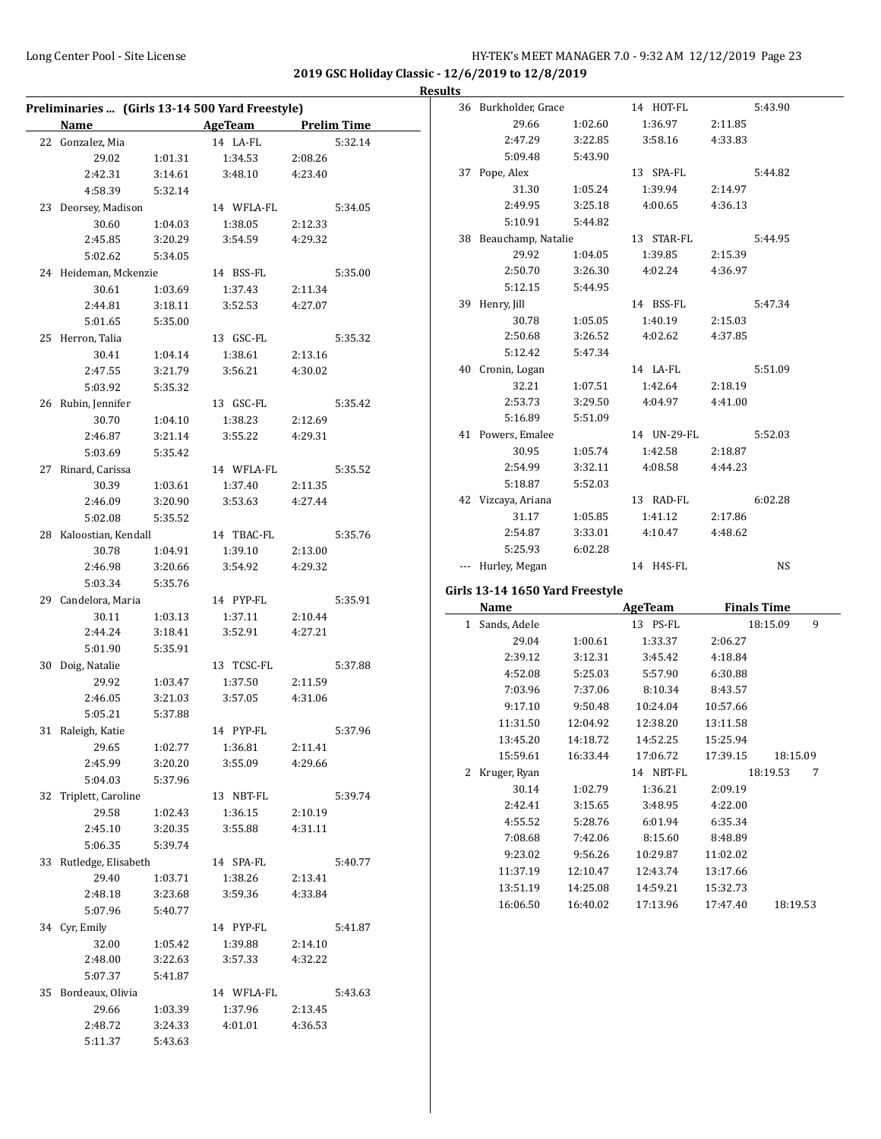**2019 GSC Holiday Classic - 12/6/2019 to 12/8/2019**

**Results**

|                        |         | Preliminaries  (Girls 13-14 500 Yard Freestyle) |         |         |
|------------------------|---------|-------------------------------------------------|---------|---------|
|                        |         | Name AgeTeam Prelim Time                        |         |         |
| 22 Gonzalez, Mia       |         | 14 LA-FL                                        |         | 5:32.14 |
| 29.02                  | 1:01.31 | 1:34.53                                         | 2:08.26 |         |
| 2:42.31                | 3:14.61 | 3:48.10                                         | 4:23.40 |         |
| 4:58.39                | 5:32.14 |                                                 |         |         |
| 23 Deorsey, Madison    |         | 14 WFLA-FL                                      |         | 5:34.05 |
| 30.60                  | 1:04.03 | 1:38.05                                         | 2:12.33 |         |
| 2:45.85                | 3:20.29 | 3:54.59                                         | 4:29.32 |         |
| 5:02.62                | 5:34.05 |                                                 |         |         |
| 24 Heideman, Mckenzie  |         | 14 BSS-FL                                       |         | 5:35.00 |
| 30.61                  | 1:03.69 | 1:37.43                                         | 2:11.34 |         |
| 2:44.81                | 3:18.11 | 3:52.53                                         | 4:27.07 |         |
| 5:01.65                | 5:35.00 |                                                 |         |         |
| 25 Herron, Talia       |         | 13 GSC-FL                                       |         | 5:35.32 |
| 30.41                  | 1:04.14 | 1:38.61                                         | 2:13.16 |         |
| 2:47.55                | 3:21.79 | 3:56.21                                         | 4:30.02 |         |
| 5:03.92                | 5:35.32 |                                                 |         |         |
| 26 Rubin, Jennifer     |         | 13 GSC-FL                                       |         | 5:35.42 |
| 30.70                  | 1:04.10 | 1:38.23                                         | 2:12.69 |         |
| 2:46.87                | 3:21.14 | 3:55.22                                         | 4:29.31 |         |
| 5:03.69                | 5:35.42 |                                                 |         |         |
| 27 Rinard, Carissa     |         | 14 WFLA-FL                                      |         | 5:35.52 |
| 30.39                  | 1:03.61 | 1:37.40                                         | 2:11.35 |         |
| 2:46.09                | 3:20.90 | 3:53.63                                         | 4:27.44 |         |
| 5:02.08                | 5:35.52 |                                                 |         |         |
| 28 Kaloostian, Kendall |         | 14 TBAC-FL                                      |         | 5:35.76 |
| 30.78                  | 1:04.91 | 1:39.10                                         | 2:13.00 |         |
| 2:46.98                | 3:20.66 | 3:54.92                                         | 4:29.32 |         |
| 5:03.34                | 5:35.76 |                                                 |         |         |
| 29 Candelora, Maria    |         | 14 PYP-FL                                       |         | 5:35.91 |
| 30.11                  | 1:03.13 | 1:37.11                                         | 2:10.44 |         |
| 2:44.24                | 3:18.41 | 3:52.91                                         | 4:27.21 |         |
| 5:01.90                | 5:35.91 |                                                 |         |         |
| 30 Doig, Natalie       |         | 13 TCSC-FL                                      |         | 5:37.88 |
| 29.92                  | 1:03.47 | 1:37.50                                         | 2:11.59 |         |
| 2:46.05                | 3:21.03 | 3:57.05                                         | 4:31.06 |         |
| 5:05.21                | 5:37.88 |                                                 |         |         |
| 31 Raleigh, Katie      |         | 14 PYP-FL                                       |         | 5:37.96 |
| 29.65                  | 1:02.77 | 1:36.81                                         | 2:11.41 |         |
| 2:45.99                | 3:20.20 | 3:55.09                                         | 4:29.66 |         |
| 5:04.03                | 5:37.96 |                                                 |         |         |
| 32 Triplett, Caroline  |         | 13 NBT-FL                                       |         | 5:39.74 |
| 29.58                  | 1:02.43 | 1:36.15                                         | 2:10.19 |         |
| 2:45.10                | 3:20.35 | 3:55.88                                         | 4:31.11 |         |
| 5:06.35                | 5:39.74 |                                                 |         |         |
| 33 Rutledge, Elisabeth |         | 14 SPA-FL                                       |         | 5:40.77 |
| 29.40                  | 1:03.71 | 1:38.26                                         | 2:13.41 |         |
| 2:48.18                | 3:23.68 | 3:59.36                                         | 4:33.84 |         |
|                        | 5:40.77 |                                                 |         |         |
| 5:07.96                |         |                                                 |         |         |
| 34 Cyr, Emily          |         | 14 PYP-FL                                       |         | 5:41.87 |
| 32.00                  | 1:05.42 | 1:39.88                                         | 2:14.10 |         |
| 2:48.00                | 3:22.63 | 3:57.33                                         | 4:32.22 |         |
| 5:07.37                | 5:41.87 |                                                 |         |         |
| 35 Bordeaux, Olivia    |         | 14 WFLA-FL                                      |         | 5:43.63 |
| 29.66                  | 1:03.39 | 1:37.96                                         | 2:13.45 |         |
| 2:48.72                | 3:24.33 | 4:01.01                                         | 4:36.53 |         |
| 5:11.37                | 5:43.63 |                                                 |         |         |

|   | 36 Burkholder, Grace            |          | 14 HOT-FL      |          | 5:43.90            |
|---|---------------------------------|----------|----------------|----------|--------------------|
|   | 29.66                           | 1:02.60  | 1:36.97        | 2:11.85  |                    |
|   | 2:47.29                         | 3:22.85  | 3:58.16        | 4:33.83  |                    |
|   | 5:09.48                         | 5:43.90  |                |          |                    |
|   | 37 Pope, Alex                   |          | 13 SPA-FL      |          | 5:44.82            |
|   | 31.30                           | 1:05.24  | 1:39.94        | 2:14.97  |                    |
|   | 2:49.95                         | 3:25.18  | 4:00.65        | 4:36.13  |                    |
|   | 5:10.91                         | 5:44.82  |                |          |                    |
|   | 38 Beauchamp, Natalie           |          | 13 STAR-FL     |          | 5:44.95            |
|   | 29.92                           | 1:04.05  | 1:39.85        | 2:15.39  |                    |
|   | 2:50.70                         | 3:26.30  | 4:02.24        | 4:36.97  |                    |
|   | 5:12.15                         | 5:44.95  |                |          |                    |
|   | 39 Henry, Jill                  |          | 14 BSS-FL      |          | 5:47.34            |
|   | 30.78                           | 1:05.05  | 1:40.19        | 2:15.03  |                    |
|   | 2:50.68                         | 3:26.52  | 4:02.62        | 4:37.85  |                    |
|   | 5:12.42                         | 5:47.34  |                |          |                    |
|   | 40 Cronin, Logan                |          | 14 LA-FL       |          | 5:51.09            |
|   | 32.21                           | 1:07.51  | 1:42.64        | 2:18.19  |                    |
|   | 2:53.73                         | 3:29.50  | 4:04.97        | 4:41.00  |                    |
|   | 5:16.89                         | 5:51.09  |                |          |                    |
|   |                                 |          |                |          | 5:52.03            |
|   | 41 Powers, Emalee               |          | 14 UN-29-FL    |          |                    |
|   | 30.95                           | 1:05.74  | 1:42.58        | 2:18.87  |                    |
|   | 2:54.99                         | 3:32.11  | 4:08.58        | 4:44.23  |                    |
|   | 5:18.87                         | 5:52.03  |                |          |                    |
|   | 42 Vizcaya, Ariana              |          | 13 RAD-FL      |          | 6:02.28            |
|   | 31.17                           | 1:05.85  | 1:41.12        | 2:17.86  |                    |
|   | 2:54.87                         | 3:33.01  | 4:10.47        | 4:48.62  |                    |
|   | 5:25.93                         | 6:02.28  |                |          |                    |
|   | --- Hurley, Megan               |          | 14 H4S-FL      |          | NS                 |
|   | Girls 13-14 1650 Yard Freestyle |          |                |          |                    |
|   | <b>Name</b>                     |          | <b>AgeTeam</b> |          | <b>Finals Time</b> |
|   | 1 Sands, Adele                  |          | 13 PS-FL       |          | 18:15.09<br>9      |
|   | 29.04                           | 1:00.61  | 1:33.37        | 2:06.27  |                    |
|   | 2:39.12                         | 3:12.31  | 3:45.42        | 4:18.84  |                    |
|   | 4:52.08                         | 5:25.03  | 5:57.90        | 6:30.88  |                    |
|   | 7:03.96                         | 7:37.06  | 8:10.34        | 8:43.57  |                    |
|   | 9:17.10                         | 9:50.48  | 10:24.04       | 10:57.66 |                    |
|   | 11:31.50                        | 12:04.92 | 12:38.20       | 13:11.58 |                    |
|   | 13:45.20                        | 14:18.72 | 14:52.25       | 15:25.94 |                    |
|   | 15:59.61                        | 16:33.44 | 17:06.72       | 17:39.15 | 18:15.09           |
| 2 | Kruger, Ryan                    |          | 14 NBT-FL      |          | 18:19.53<br>7      |
|   | 30.14                           | 1:02.79  | 1:36.21        | 2:09.19  |                    |
|   | 2:42.41                         | 3:15.65  | 3:48.95        | 4:22.00  |                    |
|   | 4:55.52                         | 5:28.76  | 6:01.94        | 6:35.34  |                    |
|   | 7:08.68                         | 7:42.06  | 8:15.60        | 8:48.89  |                    |
|   | 9:23.02                         | 9:56.26  | 10:29.87       | 11:02.02 |                    |
|   | 11:37.19                        | 12:10.47 | 12:43.74       | 13:17.66 |                    |
|   | 13:51.19                        | 14:25.08 | 14:59.21       | 15:32.73 |                    |
|   | 16:06.50                        | 16:40.02 | 17:13.96       | 17:47.40 | 18:19.53           |
|   |                                 |          |                |          |                    |
|   |                                 |          |                |          |                    |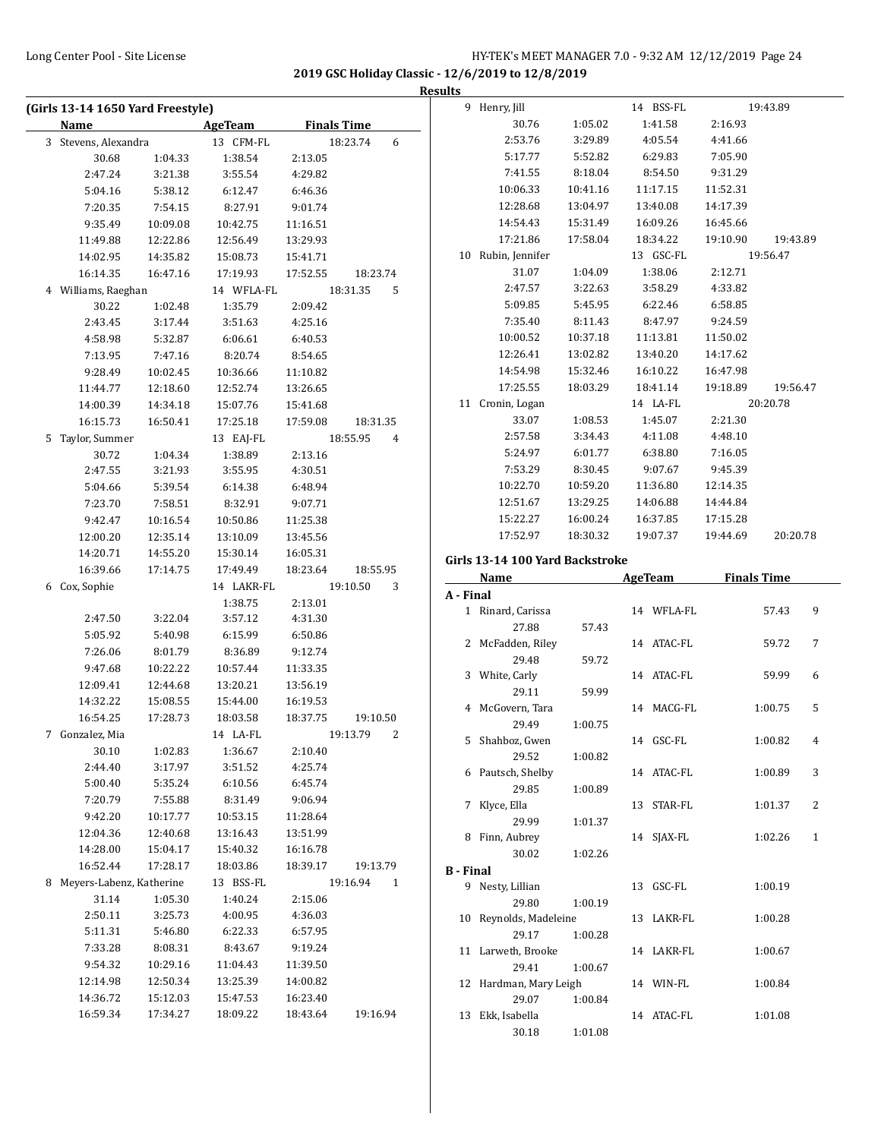**2019 GSC Holiday Classic - 12/6/2019 to 12/8/2019**

|   | (Girls 13-14 1650 Yard Freestyle) |          |                |                            |
|---|-----------------------------------|----------|----------------|----------------------------|
|   | Name                              |          | <b>AgeTeam</b> | <b>Finals Time</b>         |
| 3 | Stevens, Alexandra                |          | 13 CFM-FL      | 18:23.74<br>6              |
|   | 30.68                             | 1:04.33  | 1:38.54        | 2:13.05                    |
|   | 2:47.24                           | 3:21.38  | 3:55.54        | 4:29.82                    |
|   | 5:04.16                           | 5:38.12  | 6:12.47        | 6:46.36                    |
|   | 7:20.35                           | 7:54.15  | 8:27.91        | 9:01.74                    |
|   | 9:35.49                           | 10:09.08 | 10:42.75       | 11:16.51                   |
|   | 11:49.88                          | 12:22.86 | 12:56.49       | 13:29.93                   |
|   | 14:02.95                          | 14:35.82 | 15:08.73       | 15:41.71                   |
|   | 16:14.35                          | 16:47.16 | 17:19.93       | 17:52.55<br>18:23.74       |
|   | 4 Williams, Raeghan               |          | 14 WFLA-FL     | 18:31.35<br>5              |
|   | 30.22                             | 1:02.48  | 1:35.79        | 2:09.42                    |
|   | 2:43.45                           | 3:17.44  | 3:51.63        | 4:25.16                    |
|   | 4:58.98                           | 5:32.87  | 6:06.61        | 6:40.53                    |
|   | 7:13.95                           | 7:47.16  | 8:20.74        | 8:54.65                    |
|   | 9:28.49                           | 10:02.45 | 10:36.66       | 11:10.82                   |
|   | 11:44.77                          | 12:18.60 | 12:52.74       | 13:26.65                   |
|   | 14:00.39                          | 14:34.18 | 15:07.76       | 15:41.68                   |
|   | 16:15.73                          | 16:50.41 | 17:25.18       | 17:59.08<br>18:31.35       |
| 5 | Taylor, Summer                    |          | 13 EAJ-FL      | 18:55.95<br>4              |
|   | 30.72                             | 1:04.34  | 1:38.89        | 2:13.16                    |
|   | 2:47.55                           | 3:21.93  | 3:55.95        | 4:30.51                    |
|   | 5:04.66                           | 5:39.54  | 6:14.38        | 6:48.94                    |
|   | 7:23.70                           | 7:58.51  | 8:32.91        | 9:07.71                    |
|   | 9:42.47                           | 10:16.54 | 10:50.86       | 11:25.38                   |
|   | 12:00.20                          | 12:35.14 | 13:10.09       | 13:45.56                   |
|   | 14:20.71                          | 14:55.20 | 15:30.14       | 16:05.31                   |
|   | 16:39.66                          | 17:14.75 | 17:49.49       | 18:23.64<br>18:55.95       |
| 6 | Cox, Sophie                       |          | 14 LAKR-FL     | 19:10.50<br>3              |
|   |                                   |          | 1:38.75        | 2:13.01                    |
|   | 2:47.50                           | 3:22.04  | 3:57.12        | 4:31.30                    |
|   | 5:05.92                           | 5:40.98  | 6:15.99        | 6:50.86                    |
|   | 7:26.06                           | 8:01.79  | 8:36.89        | 9:12.74                    |
|   | 9:47.68                           | 10:22.22 | 10:57.44       | 11:33.35                   |
|   | 12:09.41                          | 12:44.68 | 13:20.21       | 13:56.19                   |
|   | 14:32.22                          | 15:08.55 | 15:44.00       | 16:19.53                   |
|   | 16:54.25                          | 17:28.73 | 18:03.58       | 18:37.75<br>19:10.50       |
| 7 | Gonzalez, Mia                     |          | 14 LA-FL       | 19:13.79<br>$\overline{2}$ |
|   | 30.10                             | 1:02.83  | 1:36.67        | 2:10.40                    |
|   | 2:44.40                           | 3:17.97  | 3:51.52        | 4:25.74                    |
|   | 5:00.40                           | 5:35.24  | 6:10.56        | 6:45.74                    |
|   | 7:20.79                           | 7:55.88  | 8:31.49        | 9:06.94                    |
|   | 9:42.20                           | 10:17.77 | 10:53.15       | 11:28.64                   |
|   | 12:04.36                          | 12:40.68 | 13:16.43       | 13:51.99                   |
|   | 14:28.00                          | 15:04.17 | 15:40.32       | 16:16.78                   |
|   | 16:52.44                          | 17:28.17 | 18:03.86       | 18:39.17<br>19:13.79       |
| 8 | Meyers-Labenz, Katherine          |          | 13 BSS-FL      | 19:16.94<br>1              |
|   | 31.14                             | 1:05.30  | 1:40.24        | 2:15.06                    |
|   | 2:50.11                           | 3:25.73  | 4:00.95        | 4:36.03                    |
|   | 5:11.31                           | 5:46.80  | 6:22.33        | 6:57.95                    |
|   | 7:33.28                           | 8:08.31  | 8:43.67        | 9:19.24                    |
|   | 9:54.32                           | 10:29.16 | 11:04.43       | 11:39.50                   |
|   | 12:14.98                          | 12:50.34 | 13:25.39       | 14:00.82                   |
|   | 14:36.72                          | 15:12.03 | 15:47.53       | 16:23.40                   |
|   | 16:59.34                          | 17:34.27 | 18:09.22       | 18:43.64<br>19:16.94       |

| <b>Results</b> |                                 |          |                     |          |          |                |  |
|----------------|---------------------------------|----------|---------------------|----------|----------|----------------|--|
|                | 9 Henry, Jill                   |          | 14 BSS-FL           |          | 19:43.89 |                |  |
|                | 30.76                           | 1:05.02  | 1:41.58             | 2:16.93  |          |                |  |
|                | 2:53.76                         | 3:29.89  | 4:05.54             | 4:41.66  |          |                |  |
|                | 5:17.77                         | 5:52.82  | 6:29.83             | 7:05.90  |          |                |  |
|                | 7:41.55                         | 8:18.04  | 8:54.50             | 9:31.29  |          |                |  |
|                | 10:06.33                        | 10:41.16 | 11:17.15            | 11:52.31 |          |                |  |
|                | 12:28.68                        | 13:04.97 | 13:40.08            | 14:17.39 |          |                |  |
|                | 14:54.43                        | 15:31.49 | 16:09.26            | 16:45.66 |          |                |  |
|                | 17:21.86                        | 17:58.04 | 18:34.22            | 19:10.90 | 19:43.89 |                |  |
|                | 10 Rubin, Jennifer              |          | 13 GSC-FL           |          | 19:56.47 |                |  |
|                | 31.07                           | 1:04.09  | 1:38.06             | 2:12.71  |          |                |  |
|                | 2:47.57                         | 3:22.63  | 3:58.29             | 4:33.82  |          |                |  |
|                | 5:09.85                         | 5:45.95  | 6:22.46             | 6:58.85  |          |                |  |
|                | 7:35.40                         | 8:11.43  | 8:47.97             | 9:24.59  |          |                |  |
|                | 10:00.52                        | 10:37.18 | 11:13.81            | 11:50.02 |          |                |  |
|                | 12:26.41                        | 13:02.82 | 13:40.20            | 14:17.62 |          |                |  |
|                | 14:54.98                        | 15:32.46 | 16:10.22            | 16:47.98 |          |                |  |
|                | 17:25.55                        | 18:03.29 | 18:41.14            | 19:18.89 | 19:56.47 |                |  |
|                | 11 Cronin, Logan                |          | 14 LA-FL            |          | 20:20.78 |                |  |
|                | 33.07                           | 1:08.53  | 1:45.07             | 2:21.30  |          |                |  |
|                | 2:57.58                         | 3:34.43  | 4:11.08             | 4:48.10  |          |                |  |
|                | 5:24.97                         | 6:01.77  | 6:38.80             | 7:16.05  |          |                |  |
|                | 7:53.29                         | 8:30.45  | 9:07.67             | 9:45.39  |          |                |  |
|                | 10:22.70                        | 10:59.20 | 11:36.80            | 12:14.35 |          |                |  |
|                | 12:51.67                        | 13:29.25 | 14:06.88            | 14:44.84 |          |                |  |
|                | 15:22.27                        | 16:00.24 | 16:37.85            | 17:15.28 |          |                |  |
|                | 17:52.97                        | 18:30.32 | 19:07.37            | 19:44.69 | 20:20.78 |                |  |
|                | Girls 13-14 100 Yard Backstroke |          |                     |          |          |                |  |
|                | Name                            |          | AgeTeam Finals Time |          |          |                |  |
| A - Final      |                                 |          |                     |          |          |                |  |
|                | 1 Rinard, Carissa               |          | 14 WFLA-FL          |          | 57.43    | 9              |  |
|                | 27.88                           | 57.43    |                     |          |          |                |  |
|                | 2 McFadden, Riley               |          | 14 ATAC-FL          |          | 59.72    | 7              |  |
|                | 29.48                           | 59.72    |                     |          |          |                |  |
|                | 3 White, Carly                  |          | 14 ATAC-FL          |          | 59.99    | 6              |  |
|                | 29.11                           | 59.99    |                     |          |          |                |  |
|                | 4 McGovern, Tara                |          | 14 MACG-FL          |          | 1:00.75  | 5              |  |
|                | 29.49                           | 1:00.75  |                     |          |          |                |  |
|                | 5 Shahboz, Gwen                 |          | 14 GSC-FL           |          | 1:00.82  | $\overline{4}$ |  |
|                | 29.52                           | 1:00.82  |                     |          |          |                |  |
|                | 6 Pautsch, Shelby               |          | 14 ATAC-FL          |          | 1:00.89  | 3              |  |
|                | 29.85                           | 1:00.89  |                     |          |          |                |  |
|                | 7 Klyce, Ella                   |          | 13 STAR-FL          |          | 1:01.37  | 2              |  |

8 Finn, Aubrey 14 SJAX-FL 1:02.26 1

9 Nesty, Lillian 13 GSC-FL 1:00.19

10 Reynolds, Madeleine 13 LAKR-FL 1:00.28

11 Larweth, Brooke 14 LAKR-FL 1:00.67

12 Hardman, Mary Leigh 14 WIN-FL 1:00.84

13 Ekk, Isabella 14 ATAC-FL 1:01.08

29.99 1:01.37

30.02 1:02.26

29.80 1:00.19

29.17 1:00.28

29.41 1:00.67

29.07 1:00.84

30.18 1:01.08

**B - Final**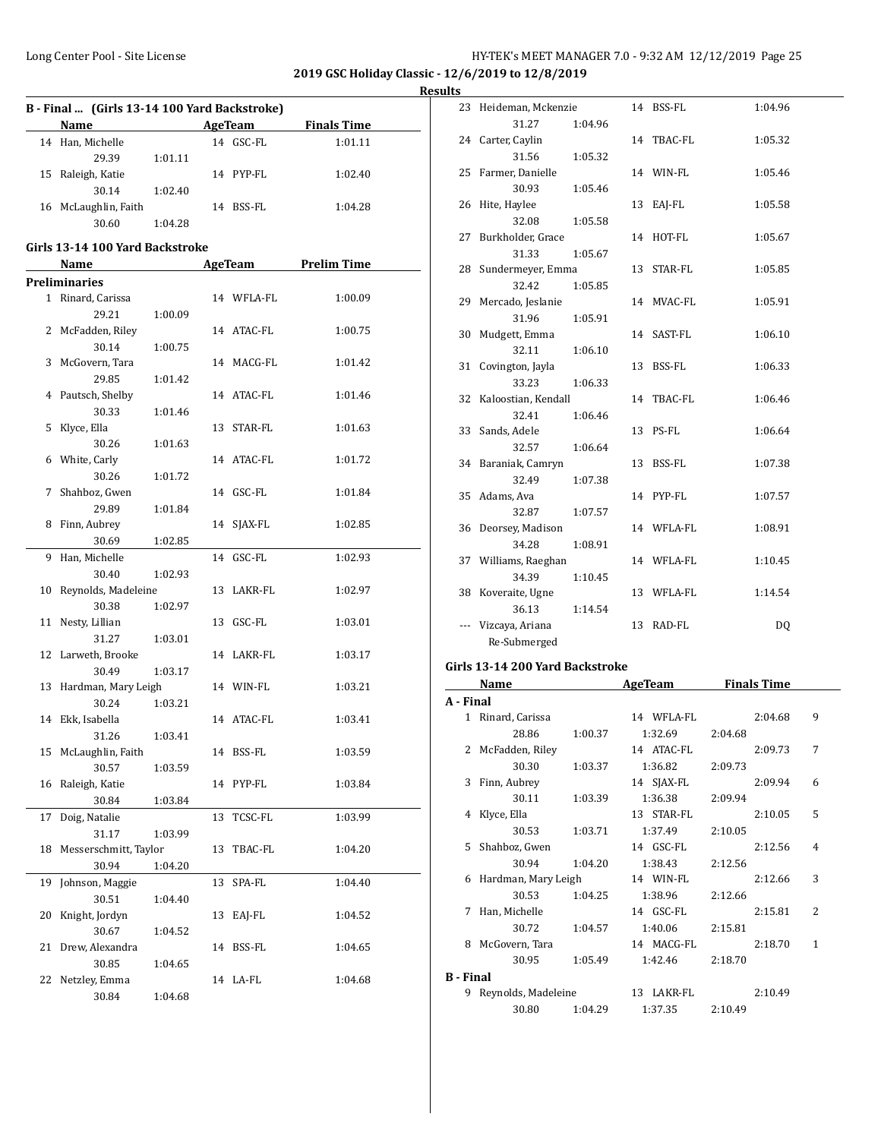**2019 GSC Holiday Classic - 12/6/2019 to 12/8/2019**

**Results**

|    | Name                            |         |    | AgeTeam    | <b>Finals Time</b> |
|----|---------------------------------|---------|----|------------|--------------------|
|    | 14 Han, Michelle                |         |    | 14 GSC-FL  | 1:01.11            |
|    | 29.39                           | 1:01.11 |    |            |                    |
|    | 15 Raleigh, Katie               |         |    | 14 PYP-FL  | 1:02.40            |
|    | 30.14                           | 1:02.40 |    |            |                    |
|    | 16 McLaughlin, Faith            |         |    | 14 BSS-FL  | 1:04.28            |
|    | 30.60                           | 1:04.28 |    |            |                    |
|    | Girls 13-14 100 Yard Backstroke |         |    |            |                    |
|    | Name                            |         |    | AgeTeam    | <b>Prelim Time</b> |
|    | <b>Preliminaries</b>            |         |    |            |                    |
|    | 1 Rinard, Carissa               |         |    | 14 WFLA-FL | 1:00.09            |
|    | 29.21                           | 1:00.09 |    |            |                    |
|    | 2 McFadden, Riley               |         |    | 14 ATAC-FL | 1:00.75            |
|    | 30.14                           | 1:00.75 |    |            |                    |
|    | 3 McGovern, Tara                |         |    | 14 MACG-FL | 1:01.42            |
|    | 29.85                           | 1:01.42 |    |            |                    |
|    | 4 Pautsch, Shelby               |         |    | 14 ATAC-FL | 1:01.46            |
|    | 30.33                           | 1:01.46 |    |            |                    |
| 5  | Klyce, Ella                     |         |    | 13 STAR-FL | 1:01.63            |
|    | 30.26                           | 1:01.63 |    |            |                    |
|    | 6 White, Carly                  |         |    | 14 ATAC-FL | 1:01.72            |
|    | 30.26                           | 1:01.72 |    |            |                    |
| 7  | Shahboz, Gwen                   |         |    | 14 GSC-FL  | 1:01.84            |
|    | 29.89                           | 1:01.84 |    |            |                    |
|    | 8 Finn, Aubrey                  |         |    | 14 SJAX-FL | 1:02.85            |
|    | 30.69                           | 1:02.85 |    |            |                    |
| 9  | Han, Michelle                   |         |    | 14 GSC-FL  | 1:02.93            |
|    |                                 |         |    |            |                    |
|    | 30.40                           | 1:02.93 |    |            |                    |
| 10 | Reynolds, Madeleine             |         |    | 13 LAKR-FL | 1:02.97            |
|    | 30.38                           | 1:02.97 |    |            |                    |
| 11 | Nesty, Lillian                  |         |    | 13 GSC-FL  | 1:03.01            |
|    | 31.27                           | 1:03.01 |    |            |                    |
|    | 12 Larweth, Brooke              |         |    | 14 LAKR-FL | 1:03.17            |
|    | 30.49                           | 1:03.17 |    |            |                    |
|    | 13 Hardman, Mary Leigh          |         |    | 14 WIN-FL  | 1:03.21            |
|    | 30.24                           | 1:03.21 |    |            |                    |
|    | 14 Ekk, Isabella                |         |    | 14 ATAC-FL | 1:03.41            |
|    | 31.26                           | 1:03.41 |    |            |                    |
|    | 15 McLaughlin, Faith            |         |    | 14 BSS-FL  | 1:03.59            |
|    | 30.57                           | 1:03.59 |    |            |                    |
| 16 | Raleigh, Katie                  |         |    | 14 PYP-FL  | 1:03.84            |
|    | 30.84                           | 1:03.84 |    |            |                    |
| 17 | Doig, Natalie                   |         | 13 | TCSC-FL    | 1:03.99            |
|    | 31.17                           | 1:03.99 |    |            |                    |
| 18 | Messerschmitt, Taylor           |         | 13 | TBAC-FL    | 1:04.20            |
|    | 30.94                           | 1:04.20 |    |            |                    |
| 19 | Johnson, Maggie                 |         | 13 | SPA-FL     | 1:04.40            |
|    | 30.51                           | 1:04.40 |    |            |                    |
| 20 | Knight, Jordyn                  |         | 13 | EAJ-FL     | 1:04.52            |
|    | 30.67                           | 1:04.52 |    |            |                    |
| 21 | Drew, Alexandra                 |         | 14 | BSS-FL     | 1:04.65            |
|    | 30.85                           | 1:04.65 |    |            |                    |
| 22 | Netzley, Emma                   |         |    | 14 LA-FL   | 1:04.68            |
|    | 30.84                           | 1:04.68 |    |            |                    |
|    |                                 |         |    |            |                    |

| 23  | Heideman, Mckenzie     |         |    | 14 BSS-FL  | 1:04.96 |
|-----|------------------------|---------|----|------------|---------|
|     | 31.27                  | 1:04.96 |    |            |         |
|     | 24 Carter, Caylin      |         |    | 14 TBAC-FL | 1:05.32 |
|     | 31.56                  | 1:05.32 |    |            |         |
|     | 25 Farmer, Danielle    |         |    | 14 WIN-FL  | 1:05.46 |
|     | 30.93                  | 1:05.46 |    |            |         |
|     | 26 Hite, Haylee        |         | 13 | EAJ-FL     | 1:05.58 |
|     | 32.08                  | 1:05.58 |    |            |         |
| 27  | Burkholder, Grace      |         | 14 | HOT-FL     | 1:05.67 |
|     | 31.33                  | 1:05.67 |    |            |         |
|     | 28 Sundermeyer, Emma   |         |    | 13 STAR-FL | 1:05.85 |
|     | 32.42                  | 1:05.85 |    |            |         |
| 29  | Mercado, Jeslanie      |         |    | 14 MVAC-FL | 1:05.91 |
|     | 31.96                  | 1:05.91 |    |            |         |
| 30  | Mudgett, Emma          |         |    | 14 SAST-FL | 1:06.10 |
|     | 32.11                  | 1:06.10 |    |            |         |
| 31  | Covington, Jayla       |         | 13 | BSS-FL     | 1:06.33 |
|     | 33.23                  | 1:06.33 |    |            |         |
|     | 32 Kaloostian, Kendall |         |    | 14 TBAC-FL | 1:06.46 |
|     | 32.41                  | 1:06.46 |    |            |         |
| 33  | Sands, Adele           |         | 13 | PS-FL      | 1:06.64 |
|     | 32.57                  | 1:06.64 |    |            |         |
|     | 34 Baraniak, Camryn    |         | 13 | BSS-FL     | 1:07.38 |
|     | 32.49                  | 1:07.38 |    |            |         |
| 35  | Adams, Ava             |         |    | 14 PYP-FL  | 1:07.57 |
|     | 32.87                  | 1:07.57 |    |            |         |
|     | 36 Deorsey, Madison    |         |    | 14 WFLA-FL | 1:08.91 |
|     | 34.28                  | 1:08.91 |    |            |         |
|     | 37 Williams, Raeghan   |         |    | 14 WFLA-FL | 1:10.45 |
|     | 34.39                  | 1:10.45 |    |            |         |
| 38  | Koveraite, Ugne        |         |    | 13 WFLA-FL | 1:14.54 |
|     | 36.13                  | 1:14.54 |    |            |         |
| --- | Vizcaya, Ariana        |         | 13 | RAD-FL     | DQ      |
|     | Re-Submerged           |         |    |            |         |
|     |                        |         |    |            |         |

# **Girls 13-14 200 Yard Backstroke**

|                  | Name                  |         | <b>AgeTeam</b> |         | <b>Finals Time</b> |   |
|------------------|-----------------------|---------|----------------|---------|--------------------|---|
| A - Final        |                       |         |                |         |                    |   |
|                  | 1 Rinard, Carissa     |         | 14 WFLA-FL     |         | 2:04.68            | 9 |
|                  | 28.86                 | 1:00.37 | 1:32.69        | 2:04.68 |                    |   |
| $\mathcal{L}$    | McFadden, Riley       |         | 14 ATAC-FL     |         | 2:09.73            | 7 |
|                  | 30.30                 | 1:03.37 | 1:36.82        | 2:09.73 |                    |   |
| 3                | Finn, Aubrey          |         | 14 SJAX-FL     |         | 2:09.94            | 6 |
|                  | 30.11                 | 1:03.39 | 1:36.38        | 2:09.94 |                    |   |
| 4                | Klyce, Ella           |         | 13 STAR-FL     |         | 2:10.05            | 5 |
|                  | 30.53                 | 1:03.71 | 1:37.49        | 2:10.05 |                    |   |
| 5.               | Shahboz, Gwen         |         | 14 GSC-FL      |         | 2:12.56            | 4 |
|                  | 30.94                 | 1:04.20 | 1:38.43        | 2:12.56 |                    |   |
|                  | 6 Hardman, Mary Leigh |         | 14 WIN-FL      |         | 2:12.66            | 3 |
|                  | 30.53                 | 1:04.25 | 1:38.96        | 2:12.66 |                    |   |
| 7                | Han, Michelle         |         | 14 GSC-FL      |         | 2:15.81            | 2 |
|                  | 30.72                 | 1:04.57 | 1:40.06        | 2:15.81 |                    |   |
| 8                | McGovern, Tara        |         | 14 MACG-FL     |         | 2:18.70            | 1 |
|                  | 30.95                 | 1:05.49 | 1:42.46        | 2:18.70 |                    |   |
| <b>B</b> - Final |                       |         |                |         |                    |   |
| 9                | Reynolds, Madeleine   |         | 13 LAKR-FL     |         | 2:10.49            |   |
|                  | 30.80                 | 1:04.29 | 1:37.35        | 2:10.49 |                    |   |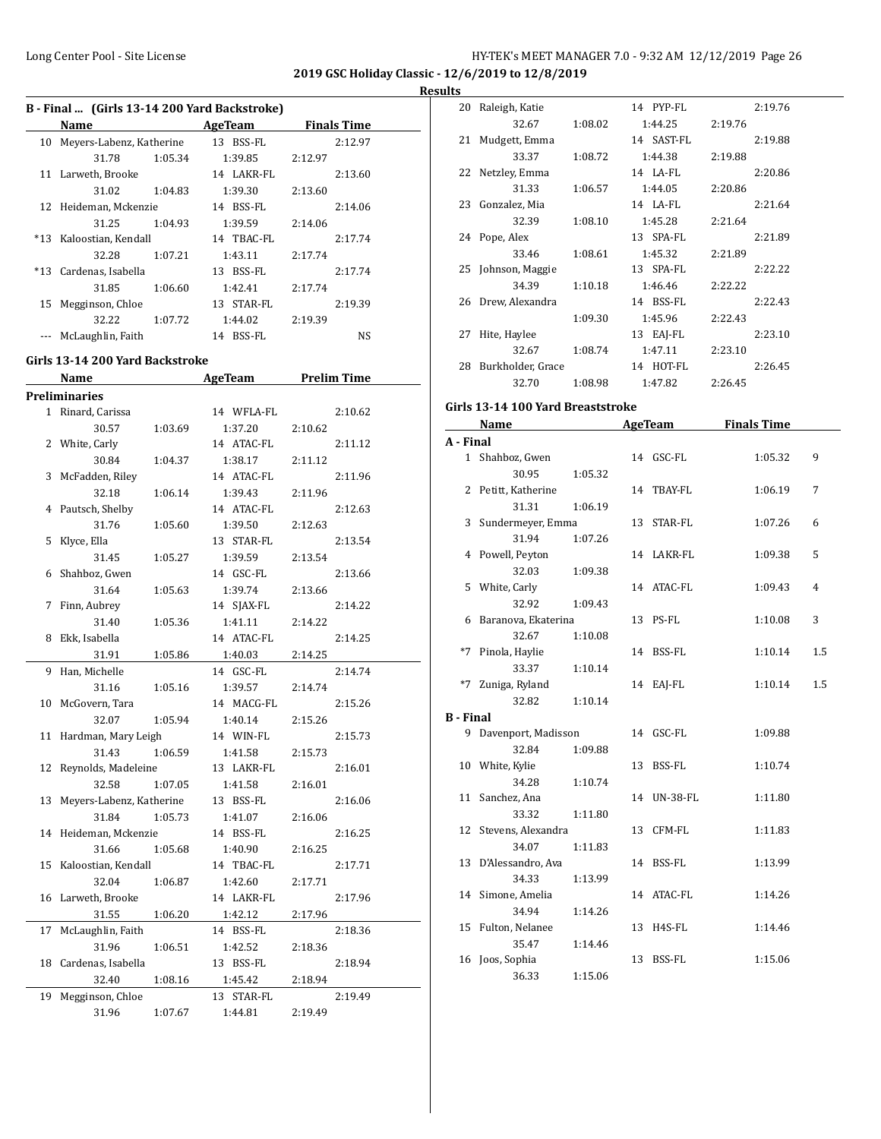**2019 GSC Holiday Classic - 12/6/2019 to 12/8/2019**

#### **Results**

|    | B - Final  (Girls 13-14 200 Yard Backstroke) |         |              |                    |
|----|----------------------------------------------|---------|--------------|--------------------|
|    | Name                                         |         | AgeTeam      | <b>Finals Time</b> |
|    | 10 Meyers-Labenz, Katherine                  |         | 13 BSS-FL    | 2:12.97            |
|    | 31.78                                        | 1:05.34 | 1:39.85      | 2:12.97            |
|    | 11 Larweth, Brooke                           |         | 14 LAKR-FL   | 2:13.60            |
|    | 31.02                                        | 1:04.83 | 1:39.30      | 2:13.60            |
|    | 12 Heideman, Mckenzie                        |         | 14 BSS-FL    | 2:14.06            |
|    | 31.25                                        | 1:04.93 | 1:39.59      | 2:14.06            |
|    | *13 Kaloostian, Kendall                      |         | 14 TBAC-FL   | 2:17.74            |
|    | 32.28                                        | 1:07.21 | 1:43.11      | 2:17.74            |
|    | *13 Cardenas, Isabella                       |         | 13 BSS-FL    | 2:17.74            |
|    | 31.85                                        | 1:06.60 | 1:42.41      | 2:17.74            |
| 15 | Megginson, Chloe                             |         | 13 STAR-FL   | 2:19.39            |
|    | 32.22                                        | 1:07.72 | 1:44.02      | 2:19.39            |
|    | McLaughlin, Faith                            |         | BSS-FL<br>14 | NS.                |

#### **Girls 13-14 200 Yard Backstroke**

| <b>Preliminaries</b><br>1 Rinard, Carissa<br>14 WFLA-FL<br>2:10.62<br>30.57<br>1:37.20<br>1:03.69<br>2:10.62<br>2 White, Carly<br>14 ATAC-FL<br>2:11.12<br>1:38.17<br>30.84<br>1:04.37<br>2:11.12<br>3 McFadden, Riley<br>14 ATAC-FL<br>2:11.96<br>32.18<br>1:06.14<br>1:39.43<br>2:11.96<br>Pautsch, Shelby<br>14 ATAC-FL<br>2:12.63<br>4<br>31.76<br>1:39.50<br>1:05.60<br>2:12.63<br>Klyce, Ella<br>13 STAR-FL<br>5<br>2:13.54<br>31.45<br>1:39.59<br>1:05.27<br>2:13.54<br>Shahboz, Gwen<br>14 GSC-FL<br>2:13.66<br>6<br>31.64<br>1:39.74<br>1:05.63<br>2:13.66<br>Finn, Aubrey<br>14 SJAX-FL<br>7<br>2:14.22<br>31.40<br>1:41.11<br>2:14.22<br>1:05.36<br>Ekk, Isabella<br>14 ATAC-FL<br>8<br>2:14.25<br>31.91<br>1:05.86<br>1:40.03<br>2:14.25<br>Han, Michelle<br>14 GSC-FL<br>9<br>2:14.74<br>31.16<br>1:05.16<br>1:39.57<br>2:14.74<br>10 McGovern, Tara<br>14 MACG-FL<br>2:15.26 |  |
|--------------------------------------------------------------------------------------------------------------------------------------------------------------------------------------------------------------------------------------------------------------------------------------------------------------------------------------------------------------------------------------------------------------------------------------------------------------------------------------------------------------------------------------------------------------------------------------------------------------------------------------------------------------------------------------------------------------------------------------------------------------------------------------------------------------------------------------------------------------------------------------------|--|
|                                                                                                                                                                                                                                                                                                                                                                                                                                                                                                                                                                                                                                                                                                                                                                                                                                                                                            |  |
|                                                                                                                                                                                                                                                                                                                                                                                                                                                                                                                                                                                                                                                                                                                                                                                                                                                                                            |  |
|                                                                                                                                                                                                                                                                                                                                                                                                                                                                                                                                                                                                                                                                                                                                                                                                                                                                                            |  |
|                                                                                                                                                                                                                                                                                                                                                                                                                                                                                                                                                                                                                                                                                                                                                                                                                                                                                            |  |
|                                                                                                                                                                                                                                                                                                                                                                                                                                                                                                                                                                                                                                                                                                                                                                                                                                                                                            |  |
|                                                                                                                                                                                                                                                                                                                                                                                                                                                                                                                                                                                                                                                                                                                                                                                                                                                                                            |  |
|                                                                                                                                                                                                                                                                                                                                                                                                                                                                                                                                                                                                                                                                                                                                                                                                                                                                                            |  |
|                                                                                                                                                                                                                                                                                                                                                                                                                                                                                                                                                                                                                                                                                                                                                                                                                                                                                            |  |
|                                                                                                                                                                                                                                                                                                                                                                                                                                                                                                                                                                                                                                                                                                                                                                                                                                                                                            |  |
|                                                                                                                                                                                                                                                                                                                                                                                                                                                                                                                                                                                                                                                                                                                                                                                                                                                                                            |  |
|                                                                                                                                                                                                                                                                                                                                                                                                                                                                                                                                                                                                                                                                                                                                                                                                                                                                                            |  |
|                                                                                                                                                                                                                                                                                                                                                                                                                                                                                                                                                                                                                                                                                                                                                                                                                                                                                            |  |
|                                                                                                                                                                                                                                                                                                                                                                                                                                                                                                                                                                                                                                                                                                                                                                                                                                                                                            |  |
|                                                                                                                                                                                                                                                                                                                                                                                                                                                                                                                                                                                                                                                                                                                                                                                                                                                                                            |  |
|                                                                                                                                                                                                                                                                                                                                                                                                                                                                                                                                                                                                                                                                                                                                                                                                                                                                                            |  |
|                                                                                                                                                                                                                                                                                                                                                                                                                                                                                                                                                                                                                                                                                                                                                                                                                                                                                            |  |
|                                                                                                                                                                                                                                                                                                                                                                                                                                                                                                                                                                                                                                                                                                                                                                                                                                                                                            |  |
|                                                                                                                                                                                                                                                                                                                                                                                                                                                                                                                                                                                                                                                                                                                                                                                                                                                                                            |  |
|                                                                                                                                                                                                                                                                                                                                                                                                                                                                                                                                                                                                                                                                                                                                                                                                                                                                                            |  |
|                                                                                                                                                                                                                                                                                                                                                                                                                                                                                                                                                                                                                                                                                                                                                                                                                                                                                            |  |
| 32.07<br>1:05.94<br>1:40.14<br>2:15.26                                                                                                                                                                                                                                                                                                                                                                                                                                                                                                                                                                                                                                                                                                                                                                                                                                                     |  |
| Hardman, Mary Leigh<br>14 WIN-FL<br>2:15.73<br>11                                                                                                                                                                                                                                                                                                                                                                                                                                                                                                                                                                                                                                                                                                                                                                                                                                          |  |
| 1:06.59<br>31.43<br>1:41.58<br>2:15.73                                                                                                                                                                                                                                                                                                                                                                                                                                                                                                                                                                                                                                                                                                                                                                                                                                                     |  |
| Reynolds, Madeleine<br>13 LAKR-FL<br>2:16.01<br>12                                                                                                                                                                                                                                                                                                                                                                                                                                                                                                                                                                                                                                                                                                                                                                                                                                         |  |
| 32.58<br>1:07.05<br>1:41.58<br>2:16.01                                                                                                                                                                                                                                                                                                                                                                                                                                                                                                                                                                                                                                                                                                                                                                                                                                                     |  |
| Meyers-Labenz, Katherine<br>13 BSS-FL<br>13<br>2:16.06                                                                                                                                                                                                                                                                                                                                                                                                                                                                                                                                                                                                                                                                                                                                                                                                                                     |  |
| 31.84<br>1:05.73<br>1:41.07<br>2:16.06                                                                                                                                                                                                                                                                                                                                                                                                                                                                                                                                                                                                                                                                                                                                                                                                                                                     |  |
| Heideman, Mckenzie<br>14 BSS-FL<br>2:16.25<br>14                                                                                                                                                                                                                                                                                                                                                                                                                                                                                                                                                                                                                                                                                                                                                                                                                                           |  |
| 31.66<br>1:05.68<br>1:40.90<br>2:16.25                                                                                                                                                                                                                                                                                                                                                                                                                                                                                                                                                                                                                                                                                                                                                                                                                                                     |  |
| Kaloostian, Kendall<br>14 TBAC-FL<br>2:17.71<br>15                                                                                                                                                                                                                                                                                                                                                                                                                                                                                                                                                                                                                                                                                                                                                                                                                                         |  |
| 32.04<br>1:42.60<br>1:06.87<br>2:17.71                                                                                                                                                                                                                                                                                                                                                                                                                                                                                                                                                                                                                                                                                                                                                                                                                                                     |  |
| Larweth, Brooke<br>14 LAKR-FL<br>2:17.96<br>16                                                                                                                                                                                                                                                                                                                                                                                                                                                                                                                                                                                                                                                                                                                                                                                                                                             |  |
| 31.55<br>1:42.12<br>1:06.20<br>2:17.96                                                                                                                                                                                                                                                                                                                                                                                                                                                                                                                                                                                                                                                                                                                                                                                                                                                     |  |
| McLaughlin, Faith<br>2:18.36<br>17<br>14 BSS-FL                                                                                                                                                                                                                                                                                                                                                                                                                                                                                                                                                                                                                                                                                                                                                                                                                                            |  |
| 31.96<br>1:06.51<br>1:42.52<br>2:18.36                                                                                                                                                                                                                                                                                                                                                                                                                                                                                                                                                                                                                                                                                                                                                                                                                                                     |  |
| Cardenas, Isabella<br>18<br>13 BSS-FL<br>2:18.94                                                                                                                                                                                                                                                                                                                                                                                                                                                                                                                                                                                                                                                                                                                                                                                                                                           |  |
| 32.40<br>1:45.42<br>1:08.16<br>2:18.94                                                                                                                                                                                                                                                                                                                                                                                                                                                                                                                                                                                                                                                                                                                                                                                                                                                     |  |
| Megginson, Chloe<br>13 STAR-FL<br>19<br>2:19.49                                                                                                                                                                                                                                                                                                                                                                                                                                                                                                                                                                                                                                                                                                                                                                                                                                            |  |
| 31.96<br>1:44.81<br>1:07.67<br>2:19.49                                                                                                                                                                                                                                                                                                                                                                                                                                                                                                                                                                                                                                                                                                                                                                                                                                                     |  |

| 20 | Raleigh, Katie     |         | 14 PYP-FL  |         | 2:19.76 |
|----|--------------------|---------|------------|---------|---------|
|    | 32.67              | 1:08.02 | 1:44.25    | 2:19.76 |         |
| 21 | Mudgett, Emma      |         | 14 SAST-FL |         | 2:19.88 |
|    | 33.37              | 1:08.72 | 1:44.38    | 2:19.88 |         |
| 22 | Netzley, Emma      |         | 14 LA-FL   |         | 2:20.86 |
|    | 31.33              | 1:06.57 | 1:44.05    | 2:20.86 |         |
| 23 | Gonzalez, Mia      |         | 14 LA-FL   |         | 2:21.64 |
|    | 32.39              | 1:08.10 | 1:45.28    | 2:21.64 |         |
|    | 24 Pope, Alex      |         | 13 SPA-FL  |         | 2:21.89 |
|    | 33.46              | 1:08.61 | 1:45.32    | 2:21.89 |         |
|    | 25 Johnson, Maggie |         | 13 SPA-FL  |         | 2:22.22 |
|    | 34.39              | 1:10.18 | 1:46.46    | 2:22.22 |         |
| 26 | Drew, Alexandra    |         | 14 BSS-FL  |         | 2:22.43 |
|    |                    | 1:09.30 | 1:45.96    | 2:22.43 |         |
| 27 | Hite, Haylee       |         | 13 EAJ-FL  |         | 2:23.10 |
|    | 32.67              | 1:08.74 | 1:47.11    | 2:23.10 |         |
| 28 | Burkholder, Grace  |         | 14 HOT-FL  |         | 2:26.45 |
|    | 32.70              | 1:08.98 | 1:47.82    | 2:26.45 |         |

# **Girls 13-14 100 Yard Breaststroke**

|                  | Name                  |         | <b>AgeTeam</b> | <b>Finals Time</b> |     |
|------------------|-----------------------|---------|----------------|--------------------|-----|
| A - Final        |                       |         |                |                    |     |
|                  | 1 Shahboz, Gwen       |         | 14 GSC-FL      | 1:05.32            | 9   |
|                  | 30.95<br>1:05.32      |         |                |                    |     |
|                  | 2 Petitt, Katherine   |         | 14 TBAY-FL     | 1:06.19            | 7   |
|                  | 31.31                 | 1:06.19 |                |                    |     |
|                  | 3 Sundermeyer, Emma   |         | 13 STAR-FL     | 1:07.26            | 6   |
|                  | 31.94<br>1:07.26      |         |                |                    |     |
|                  | 4 Powell, Peyton      |         | 14 LAKR-FL     | 1:09.38            | 5   |
|                  | 32.03<br>1:09.38      |         |                |                    |     |
|                  | 5 White, Carly        |         | 14 ATAC-FL     | 1:09.43            | 4   |
|                  | 32.92<br>1:09.43      |         |                |                    |     |
|                  | 6 Baranova, Ekaterina |         | 13 PS-FL       | 1:10.08            | 3   |
|                  | 32.67                 | 1:10.08 |                |                    |     |
|                  | *7 Pinola, Haylie     |         | 14 BSS-FL      | 1:10.14            | 1.5 |
|                  | 33.37<br>1:10.14      |         |                |                    |     |
|                  | *7 Zuniga, Ryland     |         | 14 EAJ-FL      | 1:10.14            | 1.5 |
|                  | 32.82<br>1:10.14      |         |                |                    |     |
| <b>B</b> - Final |                       |         |                |                    |     |
|                  | 9 Davenport, Madisson |         | 14 GSC-FL      | 1:09.88            |     |
|                  | 32.84<br>1:09.88      |         |                |                    |     |
|                  | 10 White, Kylie       |         | 13 BSS-FL      | 1:10.74            |     |
|                  | 34.28                 | 1:10.74 |                |                    |     |
|                  | 11 Sanchez, Ana       |         | 14 UN-38-FL    | 1:11.80            |     |
|                  | 33.32<br>1:11.80      |         |                |                    |     |
|                  | 12 Stevens, Alexandra |         | 13 CFM-FL      | 1:11.83            |     |
|                  | 34.07                 | 1:11.83 |                |                    |     |
|                  | 13 D'Alessandro, Ava  |         | 14 BSS-FL      | 1:13.99            |     |
|                  | 34.33                 | 1:13.99 |                |                    |     |
|                  | 14 Simone, Amelia     |         | 14 ATAC-FL     | 1:14.26            |     |
|                  | 34.94                 | 1:14.26 |                |                    |     |
|                  | 15 Fulton, Nelanee    |         | 13 H4S-FL      | 1:14.46            |     |
|                  | 35.47                 | 1:14.46 |                |                    |     |
| 16               | Joos, Sophia          | 13      | BSS-FL         | 1:15.06            |     |
|                  | 36.33<br>1:15.06      |         |                |                    |     |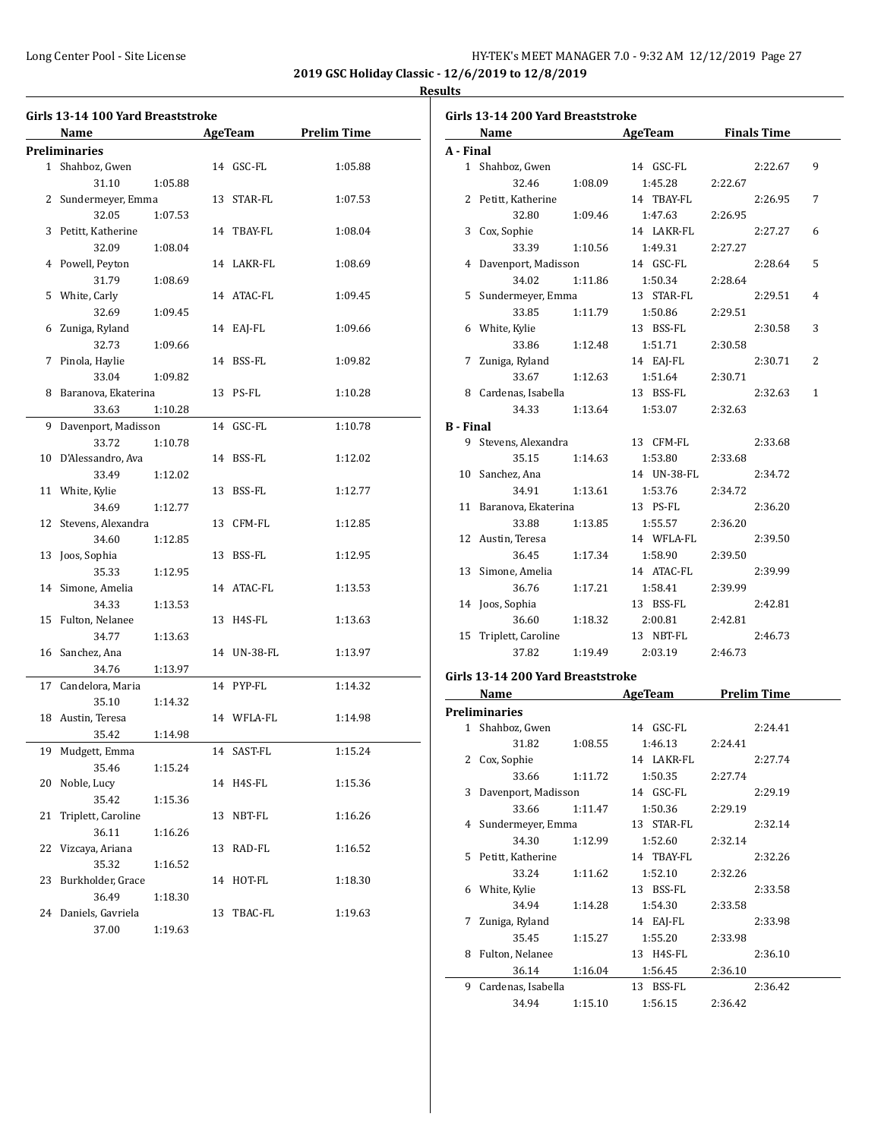**2019 GSC Holiday Classic - 12/6/2019 to 12/8/2019 Results**

#### **Girls 13-14 100 Yard Breaststroke Name Age Team Prelim Time Preliminaries** 1 Shahboz, Gwen 14 GSC-FL 1:05.88 31.10 1:05.88 2 Sundermeyer, Emma 13 STAR-FL 1:07.53 32.05 1:07.53 3 Petitt, Katherine 14 TBAY-FL 1:08.04 32.09 1:08.04 4 Powell, Peyton 14 LAKR-FL 1:08.69 31.79 1:08.69 5 White, Carly 14 ATAC-FL 1:09.45 32.69 1:09.45 6 Zuniga, Ryland 14 EAJ-FL 1:09.66 32.73 1:09.66 7 Pinola, Haylie 14 BSS-FL 1:09.82 33.04 1:09.82 8 Baranova, Ekaterina 13 PS-FL 1:10.28 33.63 1:10.28 9 Davenport, Madisson 14 GSC-FL 1:10.78 33.72 1:10.78 10 D'Alessandro, Ava 14 BSS-FL 1:12.02 33.49 1:12.02 11 White, Kylie 13 BSS-FL 1:12.77 34.69 1:12.77 12 Stevens, Alexandra 13 CFM-FL 1:12.85 34.60 1:12.85 13 Joos, Sophia 13 BSS-FL 1:12.95 35.33 1:12.95 14 Simone, Amelia 14 ATAC-FL 1:13.53 34.33 1:13.53 15 Fulton, Nelanee 13 H4S-FL 1:13.63 34.77 1:13.63 16 Sanchez, Ana 14 UN-38-FL 1:13.97 34.76 1:13.97 17 Candelora, Maria 14 PYP-FL 1:14.32 35.10 1:14.32 18 Austin, Teresa 14 WFLA-FL 1:14.98 35.42 1:14.98 19 Mudgett, Emma 14 SAST-FL 1:15.24 35.46 1:15.24 20 Noble, Lucy 14 H4S-FL 1:15.36 35.42 1:15.36 21 Triplett, Caroline 13 NBT-FL 1:16.26 36.11 1:16.26 22 Vizcaya, Ariana 13 RAD-FL 1:16.52 35.32 1:16.52 23 Burkholder, Grace 14 HOT-FL 1:18.30 36.49 1:18.30 24 Daniels, Gavriela 13 TBAC-FL 1:19.63 37.00 1:19.63

|                  | Girls 13-14 200 Yard Breaststroke |         |                                     |         |         |                |
|------------------|-----------------------------------|---------|-------------------------------------|---------|---------|----------------|
|                  | Name AgeTeam Finals Time          |         |                                     |         |         |                |
| A - Final        |                                   |         |                                     |         |         |                |
|                  | 1 Shahboz, Gwen                   |         | 14 GSC-FL                           |         | 2:22.67 | 9              |
|                  | 32.46                             | 1:08.09 | 1:45.28                             | 2:22.67 |         |                |
|                  | 2 Petitt, Katherine               |         | 14 TBAY-FL                          |         | 2:26.95 | 7              |
|                  | 32.80                             | 1:09.46 | 1:47.63                             | 2:26.95 |         |                |
|                  | 3 Cox, Sophie                     |         | 14 LAKR-FL                          |         | 2:27.27 | 6              |
|                  | 33.39                             | 1:10.56 | 1:49.31                             | 2:27.27 |         |                |
|                  | 4 Davenport, Madisson             |         | 14 GSC-FL                           |         | 2:28.64 | 5              |
|                  | 34.02                             | 1:11.86 | 1:50.34                             | 2:28.64 |         |                |
|                  | 5 Sundermeyer, Emma               |         | 13 STAR-FL                          |         | 2:29.51 | $\overline{4}$ |
|                  | 33.85                             | 1:11.79 | 1:50.86                             | 2:29.51 |         |                |
|                  | 6 White, Kylie                    |         | 13 BSS-FL                           |         | 2:30.58 | 3              |
|                  | 33.86                             | 1:12.48 | 1:51.71                             | 2:30.58 |         |                |
|                  | 7 Zuniga, Ryland                  |         | 14 EAJ-FL                           |         | 2:30.71 | 2              |
|                  | 33.67 1:12.63                     |         | 1:51.64                             | 2:30.71 |         |                |
|                  | 8 Cardenas, Isabella              |         | 13 BSS-FL                           |         | 2:32.63 | $\mathbf{1}$   |
|                  | 34.33 1:13.64                     |         | 1:53.07                             | 2:32.63 |         |                |
| <b>B</b> - Final |                                   |         |                                     |         |         |                |
|                  | 9 Stevens, Alexandra              |         | 13 CFM-FL                           |         | 2:33.68 |                |
|                  | 35.15                             | 1:14.63 | 1:53.80                             | 2:33.68 |         |                |
|                  | 10 Sanchez, Ana                   |         | 14 UN-38-FL                         |         | 2:34.72 |                |
|                  | 34.91                             |         | 1:13.61 1:53.76                     | 2:34.72 |         |                |
|                  | 11 Baranova, Ekaterina            |         | 13 PS-FL                            |         | 2:36.20 |                |
|                  | 33.88                             | 1:13.85 | 1:55.57                             | 2:36.20 |         |                |
|                  | 12 Austin, Teresa                 |         | 14 WFLA-FL                          |         | 2:39.50 |                |
|                  | 36.45                             | 1:17.34 | 1:58.90                             | 2:39.50 |         |                |
|                  | 13 Simone, Amelia                 |         | 14 ATAC-FL                          |         | 2:39.99 |                |
|                  | 36.76                             | 1:17.21 | 1:58.41                             | 2:39.99 |         |                |
|                  | 14 Joos, Sophia                   |         | 13 BSS-FL                           |         | 2:42.81 |                |
|                  | 36.60                             |         | 1:18.32   2:00.81                   | 2:42.81 |         |                |
|                  | 15 Triplett, Caroline             |         | 13 NBT-FL                           |         | 2:46.73 |                |
|                  | 37.82                             |         | 1:19.49 2:03.19                     | 2:46.73 |         |                |
|                  |                                   |         |                                     |         |         |                |
|                  | Girls 13-14 200 Yard Breaststroke |         |                                     |         |         |                |
|                  | Name AgeTeam Prelim Time          |         |                                     |         |         |                |
|                  | Preliminaries                     |         |                                     |         |         |                |
|                  | 1 Shahboz, Gwen                   |         | 14 GSC-FL                           |         | 2:24.41 |                |
|                  |                                   |         | 31.82   1:08.55   1:46.13   2:24.41 |         |         |                |
| 2                | Cox, Sophie                       |         | 14 LAKR-FL                          |         | 2:27.74 |                |
|                  | 33.66                             | 1:11.72 | 1:50.35                             | 2:27.74 |         |                |
| 3                | Davenport, Madisson               |         | 14 GSC-FL                           |         | 2:29.19 |                |
|                  | 33.66                             | 1:11.47 | 1:50.36                             | 2:29.19 |         |                |
| 4                | Sundermeyer, Emma                 |         | 13 STAR-FL                          |         | 2:32.14 |                |
|                  | 34.30                             | 1:12.99 | 1:52.60                             | 2:32.14 |         |                |
| 5                | Petitt, Katherine                 |         | 14 TBAY-FL                          |         | 2:32.26 |                |
|                  | 33.24                             | 1:11.62 | 1:52.10                             | 2:32.26 |         |                |
| 6                | White, Kylie                      |         | 13 BSS-FL                           |         | 2:33.58 |                |
|                  | 34.94                             | 1:14.28 | 1:54.30                             | 2:33.58 |         |                |
| 7                | Zuniga, Ryland                    |         | 14 EAJ-FL                           |         | 2:33.98 |                |
|                  | 35.45                             | 1:15.27 | 1:55.20                             | 2:33.98 |         |                |
| 8                | Fulton, Nelanee                   |         | 13 H4S-FL                           |         | 2:36.10 |                |
|                  | 36.14                             | 1:16.04 | 1:56.45                             | 2:36.10 |         |                |
| 9                | Cardenas, Isabella                |         | 13 BSS-FL                           |         | 2:36.42 |                |
|                  | 34.94                             | 1:15.10 | 1:56.15                             | 2:36.42 |         |                |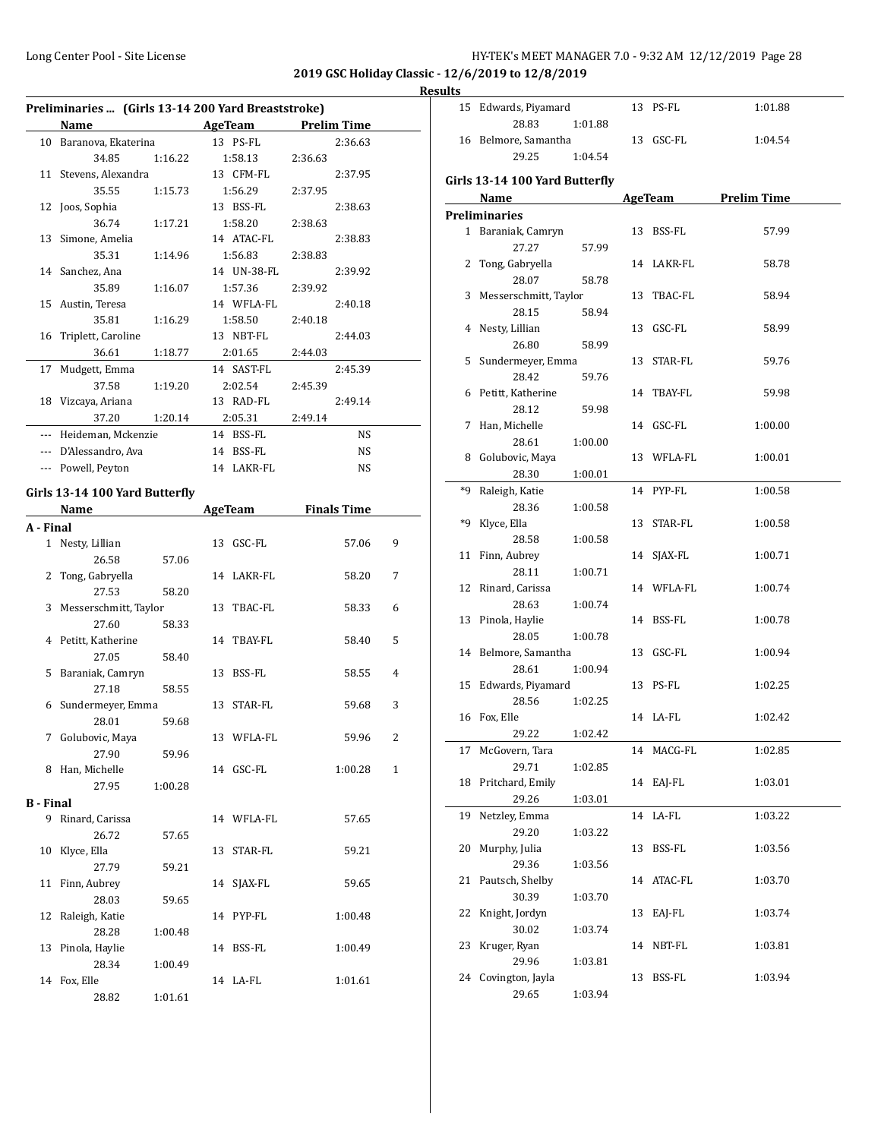15 Edwards, Piyamard 13 PS-FL 1:01.88

**2019 GSC Holiday Classic - 12/6/2019 to 12/8/2019**

#### **Results**

L.

÷,

| Preliminaries  (Girls 13-14 200 Yard Breaststroke) |                        |         |  |                                       |         |           |   |
|----------------------------------------------------|------------------------|---------|--|---------------------------------------|---------|-----------|---|
|                                                    | Name                   |         |  | <b>Example 21 AgeTeam</b> Prelim Time |         |           |   |
|                                                    | 10 Baranova, Ekaterina |         |  | 13 PS-FL                              |         | 2:36.63   |   |
|                                                    | 34.85                  | 1:16.22 |  | 1:58.13                               | 2:36.63 |           |   |
|                                                    | 11 Stevens, Alexandra  |         |  | 13 CFM-FL                             |         | 2:37.95   |   |
|                                                    | 35.55                  | 1:15.73 |  | 1:56.29                               | 2:37.95 |           |   |
|                                                    | 12 Joos, Sophia        |         |  | 13 BSS-FL                             |         | 2:38.63   |   |
|                                                    | 36.74                  | 1:17.21 |  | 1:58.20                               | 2:38.63 |           |   |
|                                                    | 13 Simone, Amelia      |         |  | 14 ATAC-FL                            |         | 2:38.83   |   |
|                                                    | 35.31                  | 1:14.96 |  | 1:56.83                               | 2:38.83 |           |   |
|                                                    | 14 Sanchez, Ana        |         |  | 14 UN-38-FL                           |         | 2:39.92   |   |
|                                                    | 35.89                  | 1:16.07 |  | 1:57.36                               | 2:39.92 |           |   |
|                                                    | 15 Austin, Teresa      |         |  | 14 WFLA-FL                            |         | 2:40.18   |   |
|                                                    | 35.81                  | 1:16.29 |  | 1:58.50                               | 2:40.18 |           |   |
|                                                    | 16 Triplett, Caroline  |         |  | 13 NBT-FL                             |         | 2:44.03   |   |
|                                                    | 36.61                  | 1:18.77 |  | 2:01.65                               | 2:44.03 |           |   |
| 17                                                 | Mudgett, Emma          |         |  | 14 SAST-FL                            |         | 2:45.39   |   |
|                                                    | 37.58                  | 1:19.20 |  | 2:02.54                               | 2:45.39 |           |   |
|                                                    | 18 Vizcaya, Ariana     |         |  | 13 RAD-FL                             |         | 2:49.14   |   |
|                                                    | 37.20                  | 1:20.14 |  | 2:05.31                               | 2:49.14 |           |   |
| ---                                                | Heideman, Mckenzie     |         |  | 14 BSS-FL                             |         | <b>NS</b> |   |
|                                                    | --- D'Alessandro, Ava  |         |  | 14 BSS-FL                             |         | NS        |   |
|                                                    | --- Powell, Peyton     |         |  | 14 LAKR-FL                            |         | <b>NS</b> |   |
| Girls 13-14 100 Yard Butterfly                     |                        |         |  |                                       |         |           |   |
|                                                    | Name                   |         |  | AgeTeam Finals Time                   |         |           |   |
| A - Final                                          |                        |         |  |                                       |         |           |   |
|                                                    | 1 Nesty, Lillian       |         |  | 13 GSC-FL                             |         | 57.06     | 9 |
|                                                    | 26.58                  | 57.06   |  |                                       |         |           |   |
| 2                                                  | Tong, Gabryella        |         |  | 14 LAKR-FL                            |         | 58.20     | 7 |
|                                                    | 27.53                  | 58.20   |  |                                       |         |           |   |

3 Messerschmitt, Taylor 13 TBAC-FL 58.33 6

4 Petitt, Katherine 14 TBAY-FL 58.40 5

5 Baraniak, Camryn 13 BSS-FL 58.55 4

6 Sundermeyer, Emma 13 STAR-FL 59.68 3

7 Golubovic, Maya 13 WFLA-FL 59.96 2

8 Han, Michelle 14 GSC-FL 1:00.28 1

9 Rinard, Carissa 14 WFLA-FL 57.65

10 Klyce, Ella 13 STAR-FL 59.21

11 Finn, Aubrey 14 SJAX-FL 59.65

12 Raleigh, Katie 14 PYP-FL 1:00.48

13 Pinola, Haylie 14 BSS-FL 1:00.49

14 Fox, Elle 19 14 LA-FL 1:01.61

27.60 58.33

27.05 58.40

27.18 58.55

28.01 59.68

27.90 59.96

27.95 1:00.28

26.72 57.65

27.79 59.21

28.03 59.65

28.28 1:00.48

28.34 1:00.49

28.82 1:01.61

**B - Final**

|    | 28.83                          | 1:01.88 |    |               |                    |  |
|----|--------------------------------|---------|----|---------------|--------------------|--|
|    | 16 Belmore, Samantha           |         |    | 13 GSC-FL     | 1:04.54            |  |
|    | 29.25                          | 1:04.54 |    |               |                    |  |
|    | Girls 13-14 100 Yard Butterfly |         |    |               |                    |  |
|    | Name                           |         |    | AgeTeam       | <b>Prelim Time</b> |  |
|    | <b>Preliminaries</b>           |         |    |               |                    |  |
|    | 1 Baraniak, Camryn             |         |    | 13 BSS-FL     | 57.99              |  |
|    |                                |         |    |               |                    |  |
|    | 27.27                          | 57.99   |    |               |                    |  |
| 2  | Tong, Gabryella                |         |    | 14 LAKR-FL    | 58.78              |  |
|    | 28.07                          | 58.78   |    |               |                    |  |
| 3  | Messerschmitt, Taylor          |         |    | 13 TBAC-FL    | 58.94              |  |
|    | 28.15                          | 58.94   |    |               |                    |  |
|    | 4 Nesty, Lillian               |         | 13 | GSC-FL        | 58.99              |  |
|    | 26.80                          | 58.99   |    |               |                    |  |
| 5  | Sundermeyer, Emma              |         |    | 13 STAR-FL    | 59.76              |  |
|    | 28.42                          | 59.76   |    |               |                    |  |
|    | 6 Petitt, Katherine            |         |    | 14 TBAY-FL    | 59.98              |  |
|    | 28.12                          | 59.98   |    |               |                    |  |
| 7  | Han, Michelle                  |         |    | 14 GSC-FL     | 1:00.00            |  |
|    | 28.61                          | 1:00.00 |    |               |                    |  |
| 8  | Golubovic, Maya                |         |    | 13 WFLA-FL    | 1:00.01            |  |
|    | 28.30                          | 1:00.01 |    |               |                    |  |
| *9 | Raleigh, Katie                 |         |    | 14 PYP-FL     | 1:00.58            |  |
|    | 28.36                          | 1:00.58 |    |               |                    |  |
| *9 | Klyce, Ella                    |         |    | 13 STAR-FL    | 1:00.58            |  |
|    | 28.58                          | 1:00.58 |    |               |                    |  |
| 11 | Finn, Aubrey                   |         |    | 14 SJAX-FL    | 1:00.71            |  |
|    | 28.11                          | 1:00.71 |    |               |                    |  |
|    | 12 Rinard, Carissa             |         |    | 14 WFLA-FL    | 1:00.74            |  |
|    | 28.63                          | 1:00.74 |    |               |                    |  |
| 13 | Pinola, Haylie                 |         |    | 14 BSS-FL     | 1:00.78            |  |
|    | 28.05                          | 1:00.78 |    |               |                    |  |
|    | 14 Belmore, Samantha           |         |    | 13 GSC-FL     | 1:00.94            |  |
|    | 28.61                          | 1:00.94 |    |               |                    |  |
| 15 | Edwards, Piyamard              |         |    | 13 PS-FL      | 1:02.25            |  |
|    | 28.56                          | 1:02.25 |    |               |                    |  |
|    | 16 Fox, Elle                   |         |    | 14 LA-FL      | 1:02.42            |  |
|    | 29.22                          | 1:02.42 |    |               |                    |  |
| 17 | McGovern, Tara                 |         |    | 14 MACG-FL    | 1:02.85            |  |
|    | 29.71                          | 1:02.85 |    |               |                    |  |
| 18 | Pritchard, Emily               |         |    | 14 EAJ-FL     | 1:03.01            |  |
|    | 29.26                          | 1:03.01 |    |               |                    |  |
| 19 | Netzley, Emma                  |         | 14 | LA-FL         | 1:03.22            |  |
|    | 29.20                          | 1:03.22 |    |               |                    |  |
| 20 | Murphy, Julia                  |         | 13 | <b>BSS-FL</b> | 1:03.56            |  |
|    | 29.36                          | 1:03.56 |    |               |                    |  |
| 21 | Pautsch, Shelby                |         | 14 | ATAC-FL       | 1:03.70            |  |
|    | 30.39                          | 1:03.70 |    |               |                    |  |
| 22 | Knight, Jordyn                 |         | 13 | EAJ-FL        | 1:03.74            |  |
|    | 30.02                          | 1:03.74 |    |               |                    |  |
| 23 | Kruger, Ryan                   |         | 14 | NBT-FL        | 1:03.81            |  |
|    | 29.96                          |         |    |               |                    |  |
| 24 |                                | 1:03.81 |    | BSS-FL        | 1:03.94            |  |
|    | Covington, Jayla               |         | 13 |               |                    |  |
|    | 29.65                          | 1:03.94 |    |               |                    |  |
|    |                                |         |    |               |                    |  |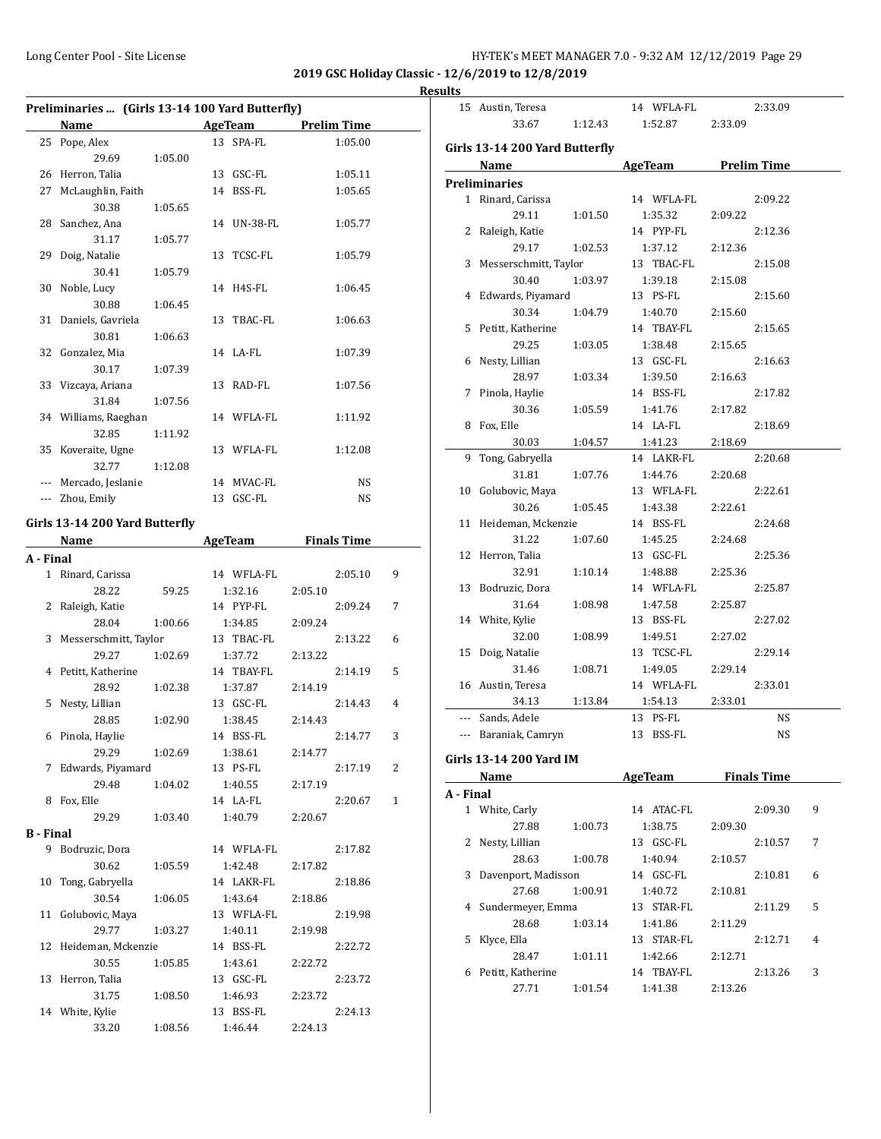**2019 GSC Holiday Classic - 12/6/2019 to 12/8/2019**

**Results**

|                  | Preliminaries  (Girls 13-14 100 Yard Butterfly) |         |                |         |                    |   |
|------------------|-------------------------------------------------|---------|----------------|---------|--------------------|---|
|                  | Name                                            |         | <b>AgeTeam</b> |         | <b>Prelim Time</b> |   |
| 25               | Pope, Alex                                      |         | 13 SPA-FL      |         | 1:05.00            |   |
|                  | 29.69                                           | 1:05.00 |                |         |                    |   |
|                  | 26 Herron, Talia                                |         | 13 GSC-FL      |         | 1:05.11            |   |
| 27               | McLaughlin, Faith                               |         | 14 BSS-FL      |         | 1:05.65            |   |
|                  | 30.38                                           | 1:05.65 |                |         |                    |   |
| 28               | Sanchez, Ana                                    |         | 14 UN-38-FL    |         | 1:05.77            |   |
|                  | 31.17                                           | 1:05.77 |                |         |                    |   |
| 29               | Doig, Natalie                                   |         | 13 TCSC-FL     |         | 1:05.79            |   |
|                  | 30.41                                           | 1:05.79 |                |         |                    |   |
| 30               | Noble, Lucy                                     |         | 14 H4S-FL      |         | 1:06.45            |   |
|                  | 30.88                                           | 1:06.45 |                |         |                    |   |
| 31               | Daniels, Gavriela                               |         | 13 TBAC-FL     |         | 1:06.63            |   |
|                  | 30.81                                           | 1:06.63 |                |         |                    |   |
| 32               | Gonzalez, Mia                                   |         | 14 LA-FL       |         | 1:07.39            |   |
|                  |                                                 |         |                |         |                    |   |
|                  | 30.17                                           | 1:07.39 | 13 RAD-FL      |         | 1:07.56            |   |
|                  | 33 Vizcaya, Ariana                              |         |                |         |                    |   |
|                  | 31.84                                           | 1:07.56 |                |         |                    |   |
|                  | 34 Williams, Raeghan                            |         | 14 WFLA-FL     |         | 1:11.92            |   |
|                  | 32.85                                           | 1:11.92 |                |         |                    |   |
| 35               | Koveraite, Ugne                                 |         | 13 WFLA-FL     |         | 1:12.08            |   |
|                  | 32.77                                           | 1:12.08 |                |         |                    |   |
|                  | --- Mercado, Jeslanie                           |         | 14 MVAC-FL     |         | NS                 |   |
|                  | --- Zhou, Emily                                 |         | 13 GSC-FL      |         | NS                 |   |
|                  | Girls 13-14 200 Yard Butterfly                  |         |                |         |                    |   |
|                  | Name                                            |         | AgeTeam        |         | <b>Finals Time</b> |   |
| A - Final        |                                                 |         |                |         |                    |   |
| $\mathbf{1}$     | Rinard, Carissa                                 |         | 14 WFLA-FL     |         | 2:05.10            | 9 |
|                  | 28.22                                           | 59.25   | 1:32.16        | 2:05.10 |                    |   |
|                  | 2 Raleigh, Katie                                |         | 14 PYP-FL      |         | 2:09.24            | 7 |
|                  | 28.04                                           | 1:00.66 | 1:34.85        |         |                    |   |
| 3                | Messerschmitt, Taylor                           |         | 13 TBAC-FL     | 2:09.24 | 2:13.22            | 6 |
|                  | 29.27                                           |         |                |         |                    |   |
|                  |                                                 | 1:02.69 | 1:37.72        | 2:13.22 |                    |   |
|                  | 4 Petitt, Katherine<br>28.92                    |         | 14 TBAY-FL     |         | 2:14.19            | 5 |
|                  | Nesty, Lillian                                  | 1:02.38 | 1:37.87        | 2:14.19 |                    |   |
| 5                |                                                 |         | 13 GSC-FL      |         | 2:14.43            | 4 |
|                  | 28.85                                           | 1:02.90 | 1:38.45        | 2:14.43 |                    |   |
|                  | 6 Pinola, Haylie                                |         | 14 BSS-FL      |         | 2:14.77            | 3 |
|                  | 29.29                                           | 1:02.69 | 1:38.61        | 2:14.77 |                    |   |
|                  | 7 Edwards, Piyamard                             |         | 13 PS-FL       |         | 2:17.19            | 2 |
|                  | 29.48                                           | 1:04.02 | 1:40.55        | 2:17.19 |                    |   |
|                  | 8 Fox, Elle                                     |         | 14 LA-FL       |         | 2:20.67            | 1 |
|                  | 29.29                                           | 1:03.40 | 1:40.79        | 2:20.67 |                    |   |
| <b>B</b> - Final |                                                 |         |                |         |                    |   |
|                  | 9 Bodruzic, Dora                                |         | 14 WFLA-FL     |         | 2:17.82            |   |
|                  | 30.62                                           | 1:05.59 | 1:42.48        | 2:17.82 |                    |   |
| 10               | Tong, Gabryella                                 |         | 14 LAKR-FL     |         | 2:18.86            |   |
|                  | 30.54                                           | 1:06.05 | 1:43.64        | 2:18.86 |                    |   |
| 11               | Golubovic, Maya                                 |         | 13 WFLA-FL     |         | 2:19.98            |   |
|                  | 29.77                                           | 1:03.27 | 1:40.11        | 2:19.98 |                    |   |
|                  | 12 Heideman, Mckenzie                           |         | 14 BSS-FL      |         | 2:22.72            |   |
|                  | 30.55                                           | 1:05.85 | 1:43.61        | 2:22.72 |                    |   |
| 13               | Herron, Talia                                   |         | 13 GSC-FL      |         | 2:23.72            |   |
|                  | 31.75                                           | 1:08.50 | 1:46.93        | 2:23.72 |                    |   |
|                  | 14 White, Kylie                                 |         | 13 BSS-FL      |         | 2:24.13            |   |
|                  | 33.20                                           | 1:08.56 | 1:46.44        | 2:24.13 |                    |   |
|                  |                                                 |         |                |         |                    |   |

|                                                                                                                                                                                                                                                                                 | 15 Austin, Teresa              |         | 14 WFLA-FL          |         | 2:33.09 |   |
|---------------------------------------------------------------------------------------------------------------------------------------------------------------------------------------------------------------------------------------------------------------------------------|--------------------------------|---------|---------------------|---------|---------|---|
|                                                                                                                                                                                                                                                                                 | 33.67                          | 1:12.43 | 1:52.87             | 2:33.09 |         |   |
|                                                                                                                                                                                                                                                                                 |                                |         |                     |         |         |   |
|                                                                                                                                                                                                                                                                                 | Girls 13-14 200 Yard Butterfly |         |                     |         |         |   |
|                                                                                                                                                                                                                                                                                 | Name                           |         | AgeTeam Prelim Time |         |         |   |
|                                                                                                                                                                                                                                                                                 | <b>Preliminaries</b>           |         |                     |         |         |   |
|                                                                                                                                                                                                                                                                                 | 1 Rinard, Carissa              |         | 14 WFLA-FL          |         | 2:09.22 |   |
|                                                                                                                                                                                                                                                                                 | 29.11                          | 1:01.50 | 1:35.32             | 2:09.22 |         |   |
|                                                                                                                                                                                                                                                                                 | 2 Raleigh, Katie               |         | 14 PYP-FL           |         | 2:12.36 |   |
|                                                                                                                                                                                                                                                                                 | 29.17                          | 1:02.53 | 1:37.12             | 2:12.36 |         |   |
|                                                                                                                                                                                                                                                                                 | 3 Messerschmitt, Taylor        |         | 13 TBAC-FL          |         | 2:15.08 |   |
|                                                                                                                                                                                                                                                                                 | 30.40                          | 1:03.97 | 1:39.18             | 2:15.08 |         |   |
|                                                                                                                                                                                                                                                                                 | 4 Edwards, Piyamard            |         | 13 PS-FL            |         | 2:15.60 |   |
|                                                                                                                                                                                                                                                                                 | 30.34                          | 1:04.79 | 1:40.70             | 2:15.60 |         |   |
|                                                                                                                                                                                                                                                                                 | 5 Petitt, Katherine            |         | 14 TBAY-FL          |         | 2:15.65 |   |
|                                                                                                                                                                                                                                                                                 | 29.25                          | 1:03.05 | 1:38.48             | 2:15.65 |         |   |
|                                                                                                                                                                                                                                                                                 | 6 Nesty, Lillian               |         | 13 GSC-FL           |         | 2:16.63 |   |
|                                                                                                                                                                                                                                                                                 | 28.97                          | 1:03.34 | 1:39.50             | 2:16.63 |         |   |
| 7                                                                                                                                                                                                                                                                               | Pinola, Haylie                 |         | 14 BSS-FL           |         | 2:17.82 |   |
|                                                                                                                                                                                                                                                                                 | 30.36                          | 1:05.59 | 1:41.76             | 2:17.82 |         |   |
| 8                                                                                                                                                                                                                                                                               | Fox, Elle                      |         | 14 LA-FL            |         | 2:18.69 |   |
|                                                                                                                                                                                                                                                                                 | 30.03                          | 1:04.57 | 1:41.23             | 2:18.69 |         |   |
| 9                                                                                                                                                                                                                                                                               | Tong, Gabryella                |         | 14 LAKR-FL          |         | 2:20.68 |   |
|                                                                                                                                                                                                                                                                                 | 31.81                          | 1:07.76 | 1:44.76             | 2:20.68 |         |   |
|                                                                                                                                                                                                                                                                                 | 10 Golubovic, Maya             |         | 13 WFLA-FL          |         | 2:22.61 |   |
|                                                                                                                                                                                                                                                                                 | 30.26                          | 1:05.45 | 1:43.38             | 2:22.61 |         |   |
|                                                                                                                                                                                                                                                                                 | 11 Heideman, Mckenzie          |         | 14 BSS-FL           |         | 2:24.68 |   |
|                                                                                                                                                                                                                                                                                 | 31.22                          | 1:07.60 | 1:45.25             | 2:24.68 |         |   |
|                                                                                                                                                                                                                                                                                 | 12 Herron, Talia               |         | 13 GSC-FL           |         | 2:25.36 |   |
|                                                                                                                                                                                                                                                                                 | 32.91                          | 1:10.14 | 1:48.88             | 2:25.36 |         |   |
|                                                                                                                                                                                                                                                                                 | 13 Bodruzic, Dora              |         | 14 WFLA-FL          |         | 2:25.87 |   |
|                                                                                                                                                                                                                                                                                 | 31.64                          | 1:08.98 | 1:47.58             | 2:25.87 |         |   |
|                                                                                                                                                                                                                                                                                 | 14 White, Kylie                |         | 13 BSS-FL           |         | 2:27.02 |   |
|                                                                                                                                                                                                                                                                                 | 32.00                          | 1:08.99 | 1:49.51             | 2:27.02 |         |   |
|                                                                                                                                                                                                                                                                                 | 15 Doig, Natalie               |         | 13 TCSC-FL          |         | 2:29.14 |   |
|                                                                                                                                                                                                                                                                                 | 31.46                          | 1:08.71 | 1:49.05             | 2:29.14 |         |   |
|                                                                                                                                                                                                                                                                                 | 16 Austin, Teresa              |         | 14 WFLA-FL          |         | 2:33.01 |   |
|                                                                                                                                                                                                                                                                                 | 34.13                          | 1:13.84 | 1:54.13             | 2:33.01 |         |   |
|                                                                                                                                                                                                                                                                                 | --- Sands, Adele               |         | 13 PS-FL            |         | NS      |   |
|                                                                                                                                                                                                                                                                                 | --- Baraniak, Camryn           |         | 13 BSS-FL           |         | NS      |   |
|                                                                                                                                                                                                                                                                                 |                                |         |                     |         |         |   |
| Girls 13-14 200 Yard IM<br>AgeTeam Finals Time<br>Name and the same of the same of the same of the same of the same of the same of the same of the same of the same of the same of the same of the same of the same of the same of the same of the same of the same of the same |                                |         |                     |         |         |   |
|                                                                                                                                                                                                                                                                                 |                                |         |                     |         |         |   |
| A - Final                                                                                                                                                                                                                                                                       | 1 White, Carly                 |         |                     |         |         |   |
|                                                                                                                                                                                                                                                                                 |                                |         | 14 ATAC-FL          |         | 2:09.30 | 9 |
|                                                                                                                                                                                                                                                                                 | 27.88                          | 1:00.73 | 1:38.75             | 2:09.30 |         |   |
|                                                                                                                                                                                                                                                                                 | 2 Nesty, Lillian               |         | 13 GSC-FL           |         | 2:10.57 | 7 |
|                                                                                                                                                                                                                                                                                 | 28.63                          | 1:00.78 | 1:40.94             | 2:10.57 |         |   |
|                                                                                                                                                                                                                                                                                 | 3 Davenport, Madisson          |         | 14 GSC-FL           |         | 2:10.81 | 6 |
|                                                                                                                                                                                                                                                                                 | 27.68                          | 1:00.91 | 1:40.72             | 2:10.81 |         |   |
|                                                                                                                                                                                                                                                                                 | 4 Sundermeyer, Emma            |         | 13 STAR-FL          |         | 2:11.29 | 5 |
|                                                                                                                                                                                                                                                                                 | 28.68                          | 1:03.14 | 1:41.86             | 2:11.29 |         |   |
| 5                                                                                                                                                                                                                                                                               | Klyce, Ella                    |         | 13 STAR-FL          |         | 2:12.71 | 4 |
|                                                                                                                                                                                                                                                                                 | 28.47                          | 1:01.11 | 1:42.66             | 2:12.71 |         |   |
|                                                                                                                                                                                                                                                                                 | 6 Petitt, Katherine            |         | 14 TBAY-FL          |         | 2:13.26 | 3 |
|                                                                                                                                                                                                                                                                                 | 27.71                          | 1:01.54 | 1:41.38             | 2:13.26 |         |   |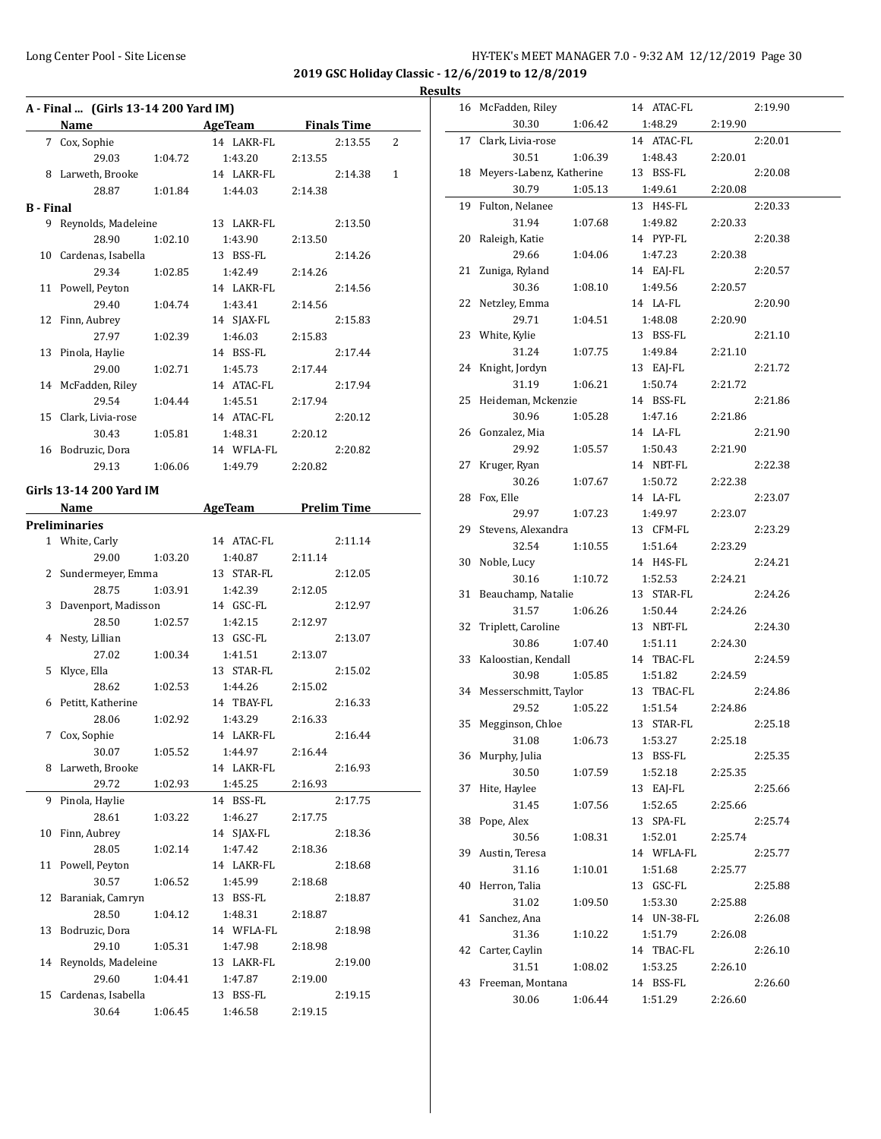**2019 GSC Holiday Classic - 12/6/2019 to 12/8/2019 Results**

 $\overline{\phantom{0}}$ 

|           | A - Final  (Girls 13-14 200 Yard IM) |                                                     |                                      |         |         |   |
|-----------|--------------------------------------|-----------------------------------------------------|--------------------------------------|---------|---------|---|
|           | Name                                 | <u> 1989 - John Barn Barn, amerikansk politiker</u> | AgeTeam Finals Time                  |         |         |   |
|           | 7 Cox, Sophie                        |                                                     | 14 LAKR-FL                           |         | 2:13.55 | 2 |
|           | 29.03 1:04.72                        |                                                     | 1:43.20                              | 2:13.55 |         |   |
|           | 8 Larweth, Brooke                    |                                                     | 14 LAKR-FL                           |         | 2:14.38 | 1 |
|           |                                      |                                                     | 28.87   1:01.84   1:44.03            | 2:14.38 |         |   |
| B - Final |                                      |                                                     |                                      |         |         |   |
|           | 9 Reynolds, Madeleine                |                                                     | 13 LAKR-FL                           |         | 2:13.50 |   |
|           | 28.90                                | 1:02.10                                             | 1:43.90                              | 2:13.50 |         |   |
|           | 10 Cardenas, Isabella                |                                                     | 13 BSS-FL                            |         | 2:14.26 |   |
|           | 29.34                                | 1:02.85                                             | 1:42.49                              | 2:14.26 |         |   |
|           | 11 Powell, Peyton                    |                                                     | 14 LAKR-FL                           |         | 2:14.56 |   |
|           | 29.40                                | 1:04.74                                             | 1:43.41                              | 2:14.56 |         |   |
|           | 12 Finn, Aubrey                      |                                                     | 14 SJAX-FL                           |         | 2:15.83 |   |
|           | 27.97                                | 1:02.39                                             | 1:46.03                              | 2:15.83 |         |   |
|           | 13 Pinola, Haylie                    |                                                     | 14 BSS-FL                            |         | 2:17.44 |   |
|           |                                      |                                                     |                                      |         |         |   |
|           | 29.00                                | 1:02.71                                             | 1:45.73                              | 2:17.44 |         |   |
|           | 14 McFadden, Riley                   |                                                     | 14 ATAC-FL                           |         | 2:17.94 |   |
|           | 29.54                                | 1:04.44                                             | 1:45.51                              | 2:17.94 |         |   |
|           | 15 Clark, Livia-rose                 |                                                     | 14 ATAC-FL                           |         | 2:20.12 |   |
|           | 30.43                                | 1:05.81                                             | 1:48.31                              | 2:20.12 |         |   |
|           | 16 Bodruzic, Dora                    |                                                     | 14 WFLA-FL                           |         | 2:20.82 |   |
|           | 29.13                                | 1:06.06                                             | 1:49.79                              | 2:20.82 |         |   |
|           | Girls 13-14 200 Yard IM              |                                                     |                                      |         |         |   |
|           | Name                                 |                                                     | <b>Example 2 AgeTeam</b> Prelim Time |         |         |   |
|           |                                      |                                                     |                                      |         |         |   |
|           | <b>Preliminaries</b>                 |                                                     |                                      |         |         |   |
|           | 1 White, Carly                       |                                                     | 14 ATAC-FL                           |         | 2:11.14 |   |
|           | 29.00                                | 1:03.20                                             | 1:40.87                              | 2:11.14 |         |   |
|           | 2 Sundermeyer, Emma                  |                                                     | 13 STAR-FL                           |         | 2:12.05 |   |
|           | 28.75                                | 1:03.91                                             | 1:42.39                              | 2:12.05 |         |   |
|           | 3 Davenport, Madisson                |                                                     | 14 GSC-FL                            |         | 2:12.97 |   |
|           | 28.50                                | 1:02.57                                             | 1:42.15                              | 2:12.97 |         |   |
|           | 4 Nesty, Lillian                     |                                                     | 13 GSC-FL                            |         | 2:13.07 |   |
|           | 27.02                                | 1:00.34                                             | 1:41.51                              | 2:13.07 |         |   |
|           | 5 Klyce, Ella                        |                                                     | 13 STAR-FL                           |         | 2:15.02 |   |
|           | 28.62                                | 1:02.53                                             | 1:44.26                              | 2:15.02 |         |   |
|           | 6 Petitt, Katherine                  |                                                     | 14 TBAY-FL                           |         | 2:16.33 |   |
|           | 28.06                                | 1:02.92                                             | 1:43.29                              | 2:16.33 |         |   |
|           | 7 Cox, Sophie                        |                                                     | 14 LAKR-FL                           |         | 2:16.44 |   |
|           | 30.07                                | 1:05.52                                             | 1:44.97                              | 2:16.44 |         |   |
| 8         | Larweth, Brooke                      |                                                     | 14 LAKR-FL                           |         | 2:16.93 |   |
|           | 29.72                                | 1:02.93                                             | 1:45.25                              | 2:16.93 |         |   |
| 9         | Pinola, Haylie                       |                                                     | 14 BSS-FL                            |         | 2:17.75 |   |
|           | 28.61                                | 1:03.22                                             | 1:46.27                              | 2:17.75 |         |   |
| 10        | Finn, Aubrey                         |                                                     | 14 SJAX-FL                           |         | 2:18.36 |   |
|           | 28.05                                | 1:02.14                                             | 1:47.42                              | 2:18.36 |         |   |
| 11        | Powell, Peyton                       |                                                     | 14 LAKR-FL                           |         | 2:18.68 |   |
|           | 30.57                                | 1:06.52                                             | 1:45.99                              | 2:18.68 |         |   |
| 12        | Baraniak, Camryn                     |                                                     | 13 BSS-FL                            |         | 2:18.87 |   |
|           | 28.50                                | 1:04.12                                             | 1:48.31                              | 2:18.87 |         |   |
| 13        | Bodruzic, Dora                       |                                                     | 14 WFLA-FL                           |         | 2:18.98 |   |
|           |                                      |                                                     |                                      |         |         |   |
|           | 29.10                                | 1:05.31                                             | 1:47.98                              | 2:18.98 |         |   |
| 14        | Reynolds, Madeleine                  |                                                     | 13 LAKR-FL                           |         | 2:19.00 |   |
|           | 29.60                                | 1:04.41                                             | 1:47.87                              | 2:19.00 |         |   |
| 15        | Cardenas, Isabella                   |                                                     | 13 BSS-FL                            |         | 2:19.15 |   |
|           | 30.64                                | 1:06.45                                             | 1:46.58                              | 2:19.15 |         |   |

| 16 | McFadden, Riley                |         | 14 ATAC-FL            |         | 2:19.90 |
|----|--------------------------------|---------|-----------------------|---------|---------|
|    | 30.30                          | 1:06.42 | 1:48.29               | 2:19.90 |         |
| 17 | Clark, Livia-rose              |         | 14 ATAC-FL            |         | 2:20.01 |
|    | 30.51                          | 1:06.39 | 1:48.43               | 2:20.01 |         |
| 18 | Meyers-Labenz, Katherine       |         | 13 BSS-FL             |         | 2:20.08 |
|    | 30.79                          | 1:05.13 | 1:49.61               | 2:20.08 |         |
| 19 | Fulton, Nelanee                |         | 13 H4S-FL             |         | 2:20.33 |
|    | 31.94                          | 1:07.68 | 1:49.82               | 2:20.33 |         |
| 20 | Raleigh, Katie                 |         | 14 PYP-FL             |         | 2:20.38 |
|    | 29.66                          | 1:04.06 | 1:47.23               | 2:20.38 |         |
| 21 | Zuniga, Ryland                 |         | 14 EAJ-FL             |         | 2:20.57 |
|    | 30.36                          | 1:08.10 | 1:49.56               | 2:20.57 |         |
| 22 | Netzley, Emma                  |         | 14 LA-FL              |         | 2:20.90 |
|    | 29.71                          | 1:04.51 | 1:48.08               | 2:20.90 |         |
| 23 | White, Kylie                   |         | 13 BSS-FL             |         | 2:21.10 |
|    | 31.24                          | 1:07.75 | 1:49.84               | 2:21.10 |         |
| 24 | Knight, Jordyn                 |         | 13 EAJ-FL             |         | 2:21.72 |
|    | 31.19                          | 1:06.21 | 1:50.74               | 2:21.72 |         |
| 25 | Heideman, Mckenzie             |         | 14 BSS-FL             |         | 2:21.86 |
|    | 30.96                          | 1:05.28 | 1:47.16               | 2:21.86 |         |
| 26 | Gonzalez, Mia                  |         | 14 LA-FL              |         | 2:21.90 |
|    | 29.92                          | 1:05.57 | 1:50.43               | 2:21.90 |         |
| 27 | Kruger, Ryan                   |         | 14 NBT-FL             |         | 2:22.38 |
|    | 30.26                          | 1:07.67 | 1:50.72               | 2:22.38 |         |
| 28 | Fox, Elle                      |         | 14 LA-FL              |         | 2:23.07 |
|    | 29.97                          | 1:07.23 | 1:49.97               | 2:23.07 |         |
| 29 | Stevens, Alexandra             |         | 13 CFM-FL             |         | 2:23.29 |
|    | 32.54                          | 1:10.55 | 1:51.64               | 2:23.29 |         |
| 30 | Noble, Lucy                    |         | 14 H4S-FL             |         | 2:24.21 |
|    | 30.16                          | 1:10.72 | 1:52.53               | 2:24.21 |         |
| 31 | Beauchamp, Natalie             |         | 13 STAR-FL            |         | 2:24.26 |
|    | 31.57                          | 1:06.26 | 1:50.44               | 2:24.26 |         |
| 32 | Triplett, Caroline             |         | 13 NBT-FL             |         | 2:24.30 |
|    | 30.86<br>Kaloostian, Kendall   | 1:07.40 | 1:51.11               | 2:24.30 | 2:24.59 |
| 33 |                                |         | 14 TBAC-FL            |         |         |
| 34 | 30.98                          | 1:05.85 | 1:51.82<br>13 TBAC-FL | 2:24.59 |         |
|    | Messerschmitt, Taylor<br>29.52 | 1:05.22 | 1:51.54               | 2:24.86 | 2:24.86 |
| 35 | Megginson, Chloe               |         | 13 STAR-FL            |         | 2:25.18 |
|    | 31.08  1:06.73                 |         | 1:53.27               | 2:25.18 |         |
| 36 | Murphy, Julia                  |         | 13 BSS-FL             |         | 2:25.35 |
|    | 30.50                          | 1:07.59 | 1:52.18               | 2:25.35 |         |
| 37 | Hite, Haylee                   |         | 13 EAJ-FL             |         | 2:25.66 |
|    | 31.45                          | 1:07.56 | 1:52.65               | 2:25.66 |         |
| 38 | Pope, Alex                     |         | 13 SPA-FL             |         | 2:25.74 |
|    | 30.56                          | 1:08.31 | 1:52.01               | 2:25.74 |         |
| 39 | Austin, Teresa                 |         | 14 WFLA-FL            |         | 2:25.77 |
|    | 31.16                          | 1:10.01 | 1:51.68               | 2:25.77 |         |
| 40 | Herron, Talia                  |         | 13 GSC-FL             |         | 2:25.88 |
|    | 31.02                          | 1:09.50 | 1:53.30               | 2:25.88 |         |
| 41 | Sanchez, Ana                   |         | 14 UN-38-FL           |         | 2:26.08 |
|    | 31.36                          | 1:10.22 | 1:51.79               | 2:26.08 |         |
| 42 | Carter, Caylin                 |         | 14 TBAC-FL            |         | 2:26.10 |
|    | 31.51                          | 1:08.02 | 1:53.25               | 2:26.10 |         |
| 43 | Freeman, Montana               |         | 14 BSS-FL             |         | 2:26.60 |
|    | 30.06                          | 1:06.44 | 1:51.29               | 2:26.60 |         |
|    |                                |         |                       |         |         |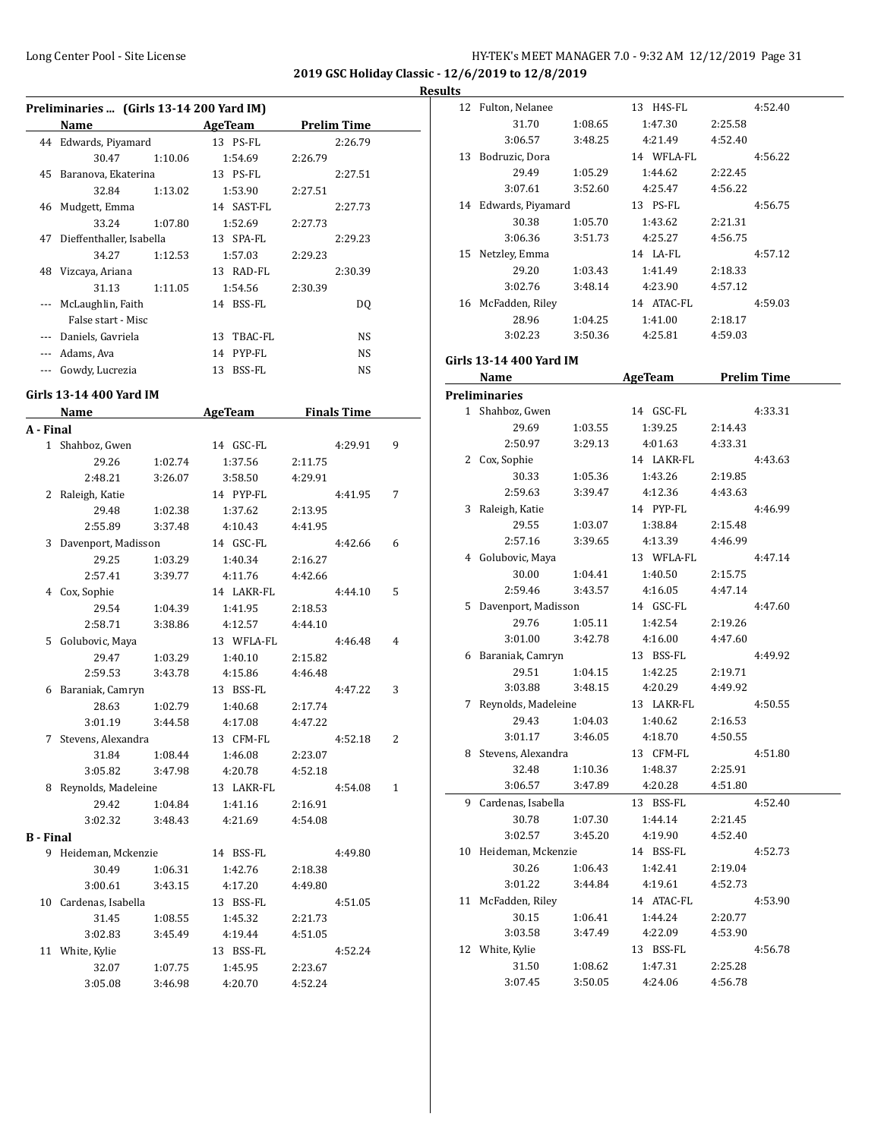**2019 GSC Holiday Classic - 12/6/2019 to 12/8/2019**

|--|

| Preliminaries  (Girls 13-14 200 Yard IM) |                          |         |               |                    |  |  |  |
|------------------------------------------|--------------------------|---------|---------------|--------------------|--|--|--|
|                                          | Name                     |         | AgeTeam       | <b>Prelim Time</b> |  |  |  |
|                                          | 44 Edwards, Piyamard     |         | 13 PS-FL      | 2:26.79            |  |  |  |
|                                          | 30.47                    | 1:10.06 | 1:54.69       | 2:26.79            |  |  |  |
| 45                                       | Baranova, Ekaterina      |         | 13 PS-FL      | 2:27.51            |  |  |  |
|                                          | 32.84                    | 1:13.02 | 1:53.90       | 2:27.51            |  |  |  |
| 46                                       | Mudgett, Emma            |         | 14 SAST-FL    | 2:27.73            |  |  |  |
|                                          | 33.24                    | 1:07.80 | 1:52.69       | 2:27.73            |  |  |  |
| 47                                       | Dieffenthaller, Isabella |         | 13 SPA-FL     | 2:29.23            |  |  |  |
|                                          | 34.27                    | 1:12.53 | 1:57.03       | 2:29.23            |  |  |  |
| 48                                       | Vizcava, Ariana          |         | 13 RAD-FL     | 2:30.39            |  |  |  |
|                                          | 31.13                    | 1:11.05 | 1:54.56       | 2:30.39            |  |  |  |
|                                          | McLaughlin, Faith        |         | 14 BSS-FL     | DQ                 |  |  |  |
|                                          | False start - Misc       |         |               |                    |  |  |  |
|                                          | Daniels, Gavriela        |         | TBAC-FL<br>13 | <b>NS</b>          |  |  |  |
|                                          | Adams, Ava               |         | PYP-FL<br>14  | <b>NS</b>          |  |  |  |
|                                          | Gowdy, Lucrezia          |         | BSS-FL<br>13  | NS                 |  |  |  |

#### **Girls 13-14 400 Yard IM**

|                  | Name                  |         | <b>AgeTeam</b> |         | <b>Finals Time</b> |   |
|------------------|-----------------------|---------|----------------|---------|--------------------|---|
| A - Final        |                       |         |                |         |                    |   |
|                  | 1 Shahboz, Gwen       |         | 14 GSC-FL      |         | 4:29.91            | 9 |
|                  | 29.26                 | 1:02.74 | 1:37.56        | 2:11.75 |                    |   |
|                  | 2:48.21               | 3:26.07 | 3:58.50        | 4:29.91 |                    |   |
|                  | 2 Raleigh, Katie      |         | 14 PYP-FL      |         | 4:41.95            | 7 |
|                  | 29.48                 | 1:02.38 | 1:37.62        | 2:13.95 |                    |   |
|                  | 2:55.89               | 3:37.48 | 4:10.43        | 4:41.95 |                    |   |
|                  | 3 Davenport, Madisson |         | 14 GSC-FL      |         | 4:42.66            | 6 |
|                  | 29.25                 | 1:03.29 | 1:40.34        | 2:16.27 |                    |   |
|                  | 2:57.41               | 3:39.77 | 4:11.76        | 4:42.66 |                    |   |
|                  | 4 Cox, Sophie         |         | 14 LAKR-FL     |         | 4:44.10            | 5 |
|                  | 29.54                 | 1:04.39 | 1:41.95        | 2:18.53 |                    |   |
|                  | 2:58.71               | 3:38.86 | 4:12.57        | 4:44.10 |                    |   |
|                  | 5 Golubovic, Maya     |         | 13 WFLA-FL     |         | 4:46.48            | 4 |
|                  | 29.47                 | 1:03.29 | 1:40.10        | 2:15.82 |                    |   |
|                  | 2:59.53               | 3:43.78 | 4:15.86        | 4:46.48 |                    |   |
|                  | 6 Baraniak, Camryn    |         | 13 BSS-FL      |         | 4:47.22            | 3 |
|                  | 28.63                 | 1:02.79 | 1:40.68        | 2:17.74 |                    |   |
|                  | 3:01.19               | 3:44.58 | 4:17.08        | 4:47.22 |                    |   |
|                  | 7 Stevens, Alexandra  |         | 13 CFM-FL      |         | 4:52.18            | 2 |
|                  | 31.84                 | 1:08.44 | 1:46.08        | 2:23.07 |                    |   |
|                  | 3:05.82               | 3:47.98 | 4:20.78        | 4:52.18 |                    |   |
|                  | 8 Reynolds, Madeleine |         | 13 LAKR-FL     |         | 4:54.08            | 1 |
|                  | 29.42                 | 1:04.84 | 1:41.16        | 2:16.91 |                    |   |
|                  | 3:02.32               | 3:48.43 | 4:21.69        | 4:54.08 |                    |   |
| <b>B</b> - Final |                       |         |                |         |                    |   |
| 9.               | Heideman, Mckenzie    |         | 14 BSS-FL      |         | 4:49.80            |   |
|                  | 30.49                 | 1:06.31 | 1:42.76        | 2:18.38 |                    |   |
|                  | 3:00.61               | 3:43.15 | 4:17.20        | 4:49.80 |                    |   |
|                  | 10 Cardenas, Isabella |         | 13 BSS-FL      |         | 4:51.05            |   |
|                  | 31.45                 | 1:08.55 | 1:45.32        | 2:21.73 |                    |   |
|                  | 3:02.83               | 3:45.49 | 4:19.44        | 4:51.05 |                    |   |
|                  | 11 White, Kylie       |         | 13 BSS-FL      |         | 4:52.24            |   |
|                  | 32.07                 | 1:07.75 | 1:45.95        | 2:23.67 |                    |   |
|                  | 3:05.08               | 3:46.98 | 4:20.70        | 4:52.24 |                    |   |
|                  |                       |         |                |         |                    |   |

|    | 12 Fulton, Nelanee           |                    | 13 H4S-FL           |         | 4:52.40 |
|----|------------------------------|--------------------|---------------------|---------|---------|
|    | 31.70                        | 1:08.65            | 1:47.30             | 2:25.58 |         |
|    | 3:06.57                      | 3:48.25            | 4:21.49             | 4:52.40 |         |
|    | 13 Bodruzic, Dora            |                    | 14 WFLA-FL          |         | 4:56.22 |
|    | 29.49                        | 1:05.29            | 1:44.62             | 2:22.45 |         |
|    | 3:07.61                      | 3:52.60            | 4:25.47             | 4:56.22 |         |
|    | 14 Edwards, Piyamard         |                    | 13 PS-FL            |         | 4:56.75 |
|    | 30.38                        | 1:05.70            | 1:43.62             | 2:21.31 |         |
|    | 3:06.36                      | 3:51.73            | 4:25.27             | 4:56.75 |         |
|    | 15 Netzley, Emma             |                    | 14 LA-FL            |         | 4:57.12 |
|    | 29.20                        | 1:03.43            | 1:41.49             | 2:18.33 |         |
|    | 3:02.76                      | 3:48.14            | 4:23.90             | 4:57.12 |         |
|    | 16 McFadden, Riley           |                    | 14 ATAC-FL          |         | 4:59.03 |
|    | 28.96                        | 1:04.25            | 1:41.00             | 2:18.17 |         |
|    | 3:02.23                      | 3:50.36            | 4:25.81             | 4:59.03 |         |
|    | Girls 13-14 400 Yard IM      |                    |                     |         |         |
|    |                              |                    | AgeTeam Prelim Time |         |         |
|    | <b>Name</b><br>Preliminaries |                    |                     |         |         |
|    | 1 Shahboz, Gwen              |                    | 14 GSC-FL           |         | 4:33.31 |
|    | 29.69                        |                    | 1:39.25             | 2:14.43 |         |
|    | 2:50.97                      | 1:03.55<br>3:29.13 | 4:01.63             | 4:33.31 |         |
|    |                              |                    |                     |         |         |
|    | 2 Cox, Sophie                |                    | 14 LAKR-FL          |         | 4:43.63 |
|    | 30.33                        | 1:05.36            | 1:43.26             | 2:19.85 |         |
|    | 2:59.63                      | 3:39.47            | 4:12.36             | 4:43.63 |         |
|    | 3 Raleigh, Katie             |                    | 14 PYP-FL           |         | 4:46.99 |
|    | 29.55                        | 1:03.07            | 1:38.84             | 2:15.48 |         |
|    | 2:57.16                      | 3:39.65            | 4:13.39             | 4:46.99 |         |
|    | 4 Golubovic, Maya            |                    | 13 WFLA-FL          |         | 4:47.14 |
|    | 30.00                        | 1:04.41            | 1:40.50             | 2:15.75 |         |
|    | 2:59.46                      | 3:43.57            | 4:16.05             | 4:47.14 |         |
|    | 5 Davenport, Madisson        |                    | 14 GSC-FL           |         | 4:47.60 |
|    | 29.76                        | 1:05.11            | 1:42.54             | 2:19.26 |         |
|    | 3:01.00                      | 3:42.78            | 4:16.00             | 4:47.60 |         |
|    | 6 Baraniak, Camryn           |                    | 13 BSS-FL           |         | 4:49.92 |
|    | 29.51                        | 1:04.15            | 1:42.25             | 2:19.71 |         |
|    | 3:03.88                      | 3:48.15            | 4:20.29             | 4:49.92 |         |
| 7  | Reynolds, Madeleine          |                    | 13 LAKR-FL          |         | 4:50.55 |
|    | 29.43                        | 1:04.03            | 1:40.62             | 2:16.53 |         |
|    | 3:01.17                      | 3:46.05            | 4:18.70             | 4:50.55 |         |
|    | 8 Stevens, Alexandra         |                    | 13 CFM-FL           |         | 4:51.80 |
|    | 32.48                        | 1:10.36            | 1:48.37             | 2:25.91 |         |
|    | 3:06.57                      | 3:47.89            | 4:20.28             | 4:51.80 |         |
| 9  | Cardenas, Isabella           |                    | 13 BSS-FL           |         | 4:52.40 |
|    | 30.78                        | 1:07.30            | 1:44.14             | 2:21.45 |         |
|    | 3:02.57                      | 3:45.20            | 4:19.90             | 4:52.40 |         |
| 10 | Heideman, Mckenzie           |                    | 14 BSS-FL           |         | 4:52.73 |
|    | 30.26                        | 1:06.43            | 1:42.41             | 2:19.04 |         |
|    | 3:01.22                      | 3:44.84            | 4:19.61             | 4:52.73 |         |
|    | 11 McFadden, Riley           |                    | 14 ATAC-FL          |         | 4:53.90 |
|    | 30.15                        | 1:06.41            | 1:44.24             | 2:20.77 |         |
|    | 3:03.58                      | 3:47.49            | 4:22.09             | 4:53.90 |         |
|    | 12 White, Kylie              |                    | 13 BSS-FL           |         | 4:56.78 |
|    | 31.50                        | 1:08.62            | 1:47.31             | 2:25.28 |         |
|    | 3:07.45                      | 3:50.05            | 4:24.06             | 4:56.78 |         |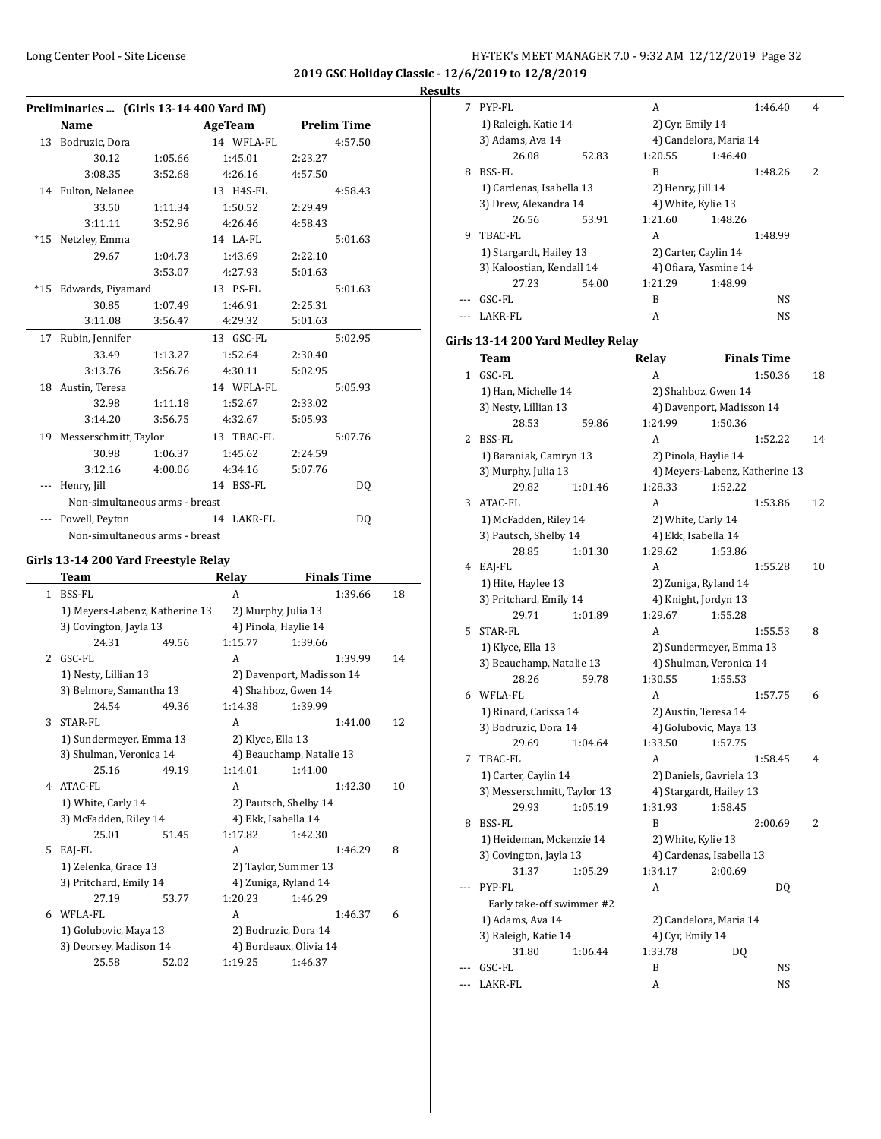**2019 GSC Holiday Classic - 12/6/2019 to 12/8/2019**

| Results |  |
|---------|--|
|         |  |

|     |                         | Preliminaries  (Girls 13-14 400 Yard IM) |                      |                           |    |
|-----|-------------------------|------------------------------------------|----------------------|---------------------------|----|
|     | Name                    |                                          | AgeTeam              | <b>Prelim Time</b>        |    |
|     | 13 Bodruzic, Dora       |                                          | 14 WFLA-FL           | 4:57.50                   |    |
|     | 30.12                   | 1:05.66                                  | 1:45.01              | 2:23.27                   |    |
|     | 3:08.35                 | 3:52.68                                  | 4:26.16              | 4:57.50                   |    |
|     | 14 Fulton, Nelanee      |                                          | 13 H4S-FL            | 4:58.43                   |    |
|     | 33.50                   | 1:11.34                                  | 1:50.52              | 2:29.49                   |    |
|     | 3:11.11                 | 3:52.96                                  | 4:26.46              | 4:58.43                   |    |
|     | *15 Netzley, Emma       |                                          | 14 LA-FL             | 5:01.63                   |    |
|     | 29.67                   | 1:04.73                                  | 1:43.69              | 2:22.10                   |    |
|     |                         | 3:53.07                                  | 4:27.93              | 5:01.63                   |    |
|     | *15 Edwards, Piyamard   |                                          | 13 PS-FL             | 5:01.63                   |    |
|     | 30.85                   | 1:07.49                                  | 1:46.91              | 2:25.31                   |    |
|     | 3:11.08                 | 3:56.47                                  | 4:29.32              | 5:01.63                   |    |
|     |                         |                                          |                      |                           |    |
| 17  | Rubin, Jennifer         |                                          | 13 GSC-FL            | 5:02.95                   |    |
|     | 33.49                   | 1:13.27                                  | 1:52.64              | 2:30.40                   |    |
|     | 3:13.76                 | 3:56.76                                  | 4:30.11              | 5:02.95                   |    |
|     | 18 Austin, Teresa       |                                          | 14 WFLA-FL           | 5:05.93                   |    |
|     | 32.98                   | 1:11.18                                  | 1:52.67              | 2:33.02                   |    |
|     | 3:14.20                 | 3:56.75                                  | 4:32.67              | 5:05.93                   |    |
| 19  | Messerschmitt, Taylor   |                                          | 13 TBAC-FL           | 5:07.76                   |    |
|     | 30.98                   | 1:06.37                                  | 1:45.62              | 2:24.59                   |    |
|     | 3:12.16                 | 4:00.06                                  | 4:34.16              | 5:07.76                   |    |
| --- | Henry, Jill             |                                          | 14 BSS-FL            | DQ                        |    |
|     |                         | Non-simultaneous arms - breast           |                      |                           |    |
| --- | Powell, Peyton          |                                          | 14 LAKR-FL           | DQ                        |    |
|     |                         | Non-simultaneous arms - breast           |                      |                           |    |
|     |                         |                                          |                      |                           |    |
|     |                         | Girls 13-14 200 Yard Freestyle Relay     |                      |                           |    |
|     | Team                    |                                          | Relay                | <b>Finals Time</b>        |    |
|     | 1 BSS-FL                |                                          | A                    | 1:39.66                   | 18 |
|     |                         | 1) Meyers-Labenz, Katherine 13           | 2) Murphy, Julia 13  |                           |    |
|     | 3) Covington, Jayla 13  |                                          | 4) Pinola, Haylie 14 |                           |    |
|     | 24.31                   | 49.56                                    | 1:15.77              | 1:39.66                   |    |
| 2   | GSC-FL                  |                                          | A                    | 1:39.99                   | 14 |
|     | 1) Nesty, Lillian 13    |                                          |                      | 2) Davenport, Madisson 14 |    |
|     | 3) Belmore, Samantha 13 |                                          |                      | 4) Shahboz, Gwen 14       |    |
|     | 24.54                   | 49.36                                    | 1:14.38              | 1:39.99                   |    |
| 3   | STAR-FL                 |                                          | A                    | 1:41.00                   | 12 |
|     | 1) Sundermeyer, Emma 13 |                                          | 2) Klyce, Ella 13    |                           |    |
|     | 3) Shulman, Veronica 14 |                                          |                      | 4) Beauchamp, Natalie 13  |    |
|     | 25.16                   | 49.19                                    | 1:14.01              | 1:41.00                   |    |
| 4   | ATAC-FL                 |                                          | A                    | 1:42.30                   | 10 |
|     | 1) White, Carly 14      |                                          |                      | 2) Pautsch, Shelby 14     |    |
|     | 3) McFadden, Riley 14   |                                          | 4) Ekk, Isabella 14  |                           |    |
|     | 25.01                   | 51.45                                    | 1:17.82              | 1:42.30                   |    |
| 5   | EAJ-FL                  |                                          | A                    | 1:46.29                   | 8  |
|     | 1) Zelenka, Grace 13    |                                          |                      | 2) Taylor, Summer 13      |    |
|     | 3) Pritchard, Emily 14  |                                          |                      | 4) Zuniga, Ryland 14      |    |
|     | 27.19                   | 53.77                                    | 1:20.23              | 1:46.29                   |    |
| 6   | WFLA-FL                 |                                          | A                    | 1:46.37                   | 6  |
|     | 1) Golubovic, Maya 13   |                                          |                      | 2) Bodruzic, Dora 14      |    |
|     | 3) Deorsey, Madison 14  |                                          |                      | 4) Bordeaux, Olivia 14    |    |
|     | 25.58                   | 52.02                                    | 1:19.25              | 1:46.37                   |    |
|     |                         |                                          |                      |                           |    |

| 7 | PYP-FL                    |       | A                    |                        | 1:46.40 | 4 |
|---|---------------------------|-------|----------------------|------------------------|---------|---|
|   | 1) Raleigh, Katie 14      |       | 2) Cyr, Emily 14     |                        |         |   |
|   | 3) Adams, Ava 14          |       |                      | 4) Candelora, Maria 14 |         |   |
|   | 26.08                     | 52.83 | 1:20.55              | 1:46.40                |         |   |
| 8 | BSS-FL                    |       | B                    |                        | 1:48.26 | 2 |
|   | 1) Cardenas, Isabella 13  |       | 2) Henry, Jill 14    |                        |         |   |
|   | 3) Drew, Alexandra 14     |       | 4) White, Kylie 13   |                        |         |   |
|   | 26.56                     | 53.91 | 1:21.60              | 1:48.26                |         |   |
| 9 | TBAC-FL                   |       | A                    |                        | 1:48.99 |   |
|   | 1) Stargardt, Hailey 13   |       | 2) Carter, Caylin 14 |                        |         |   |
|   | 3) Kaloostian, Kendall 14 |       |                      | 4) Ofiara, Yasmine 14  |         |   |
|   | 27.23                     | 54.00 | 1:21.29              | 1:48.99                |         |   |
|   | GSC-FL                    |       | B                    |                        | NS      |   |
|   | LAKR-FL                   |       | А                    |                        | NS.     |   |
|   |                           |       |                      |                        |         |   |

# **Girls 13-14 200 Yard Medley Relay**

|              | Team                        | Relay                     | <b>Finals Time</b>             |    |
|--------------|-----------------------------|---------------------------|--------------------------------|----|
| $\mathbf{1}$ | GSC-FL                      | A                         | 1:50.36                        | 18 |
|              | 1) Han, Michelle 14         | 2) Shahboz, Gwen 14       |                                |    |
|              | 3) Nesty, Lillian 13        | 4) Davenport, Madisson 14 |                                |    |
|              | 28.53<br>59.86              | 1:24.99                   | 1:50.36                        |    |
| 2            | BSS-FL                      | A                         | 1:52.22                        | 14 |
|              | 1) Baraniak, Camryn 13      |                           | 2) Pinola, Haylie 14           |    |
|              | 3) Murphy, Julia 13         |                           | 4) Meyers-Labenz, Katherine 13 |    |
|              | 29.82<br>1:01.46            | 1:28.33                   | 1:52.22                        |    |
| 3            | ATAC-FL                     | A                         | 1:53.86                        | 12 |
|              | 1) McFadden, Riley 14       |                           | 2) White, Carly 14             |    |
|              | 3) Pautsch, Shelby 14       |                           | 4) Ekk, Isabella 14            |    |
|              | 28.85<br>1:01.30            | 1:29.62                   | 1:53.86                        |    |
| 4            | EAI-FL                      | A                         | 1:55.28                        | 10 |
|              | 1) Hite, Haylee 13          |                           | 2) Zuniga, Ryland 14           |    |
|              | 3) Pritchard, Emily 14      |                           | 4) Knight, Jordyn 13           |    |
|              | 29.71<br>1:01.89            | 1:29.67                   | 1:55.28                        |    |
| 5            | STAR-FL                     | A                         | 1:55.53                        | 8  |
|              | 1) Klyce, Ella 13           |                           | 2) Sundermeyer, Emma 13        |    |
|              | 3) Beauchamp, Natalie 13    |                           | 4) Shulman, Veronica 14        |    |
|              | 28.26<br>59.78              | 1:30.55                   | 1:55.53                        |    |
| 6            | WFLA-FL                     | A                         | 1:57.75                        | 6  |
|              | 1) Rinard, Carissa 14       |                           | 2) Austin, Teresa 14           |    |
|              | 3) Bodruzic, Dora 14        |                           | 4) Golubovic, Maya 13          |    |
|              | 29.69<br>1:04.64            | 1:33.50                   | 1:57.75                        |    |
| 7            | TBAC-FL                     | A                         | 1:58.45                        | 4  |
|              | 1) Carter, Caylin 14        |                           | 2) Daniels, Gavriela 13        |    |
|              | 3) Messerschmitt, Taylor 13 |                           | 4) Stargardt, Hailey 13        |    |
|              | 29.93<br>1:05.19            | 1:31.93                   | 1:58.45                        |    |
| 8            | BSS-FL                      | B                         | 2:00.69                        | 2  |
|              | 1) Heideman, Mckenzie 14    |                           | 2) White, Kylie 13             |    |
|              | 3) Covington, Jayla 13      |                           | 4) Cardenas, Isabella 13       |    |
|              | 31.37<br>1:05.29            | 1:34.17                   | 2:00.69                        |    |
|              | PYP-FL                      | A                         | DO.                            |    |
|              | Early take-off swimmer #2   |                           |                                |    |
|              | 1) Adams, Ava 14            |                           | 2) Candelora, Maria 14         |    |
|              | 3) Raleigh, Katie 14        | 4) Cyr, Emily 14          |                                |    |
|              | 31.80<br>1:06.44            | 1:33.78                   | DQ                             |    |
|              | GSC-FL                      | B                         | NS                             |    |
| ---          | LAKR-FL                     | A                         | NS                             |    |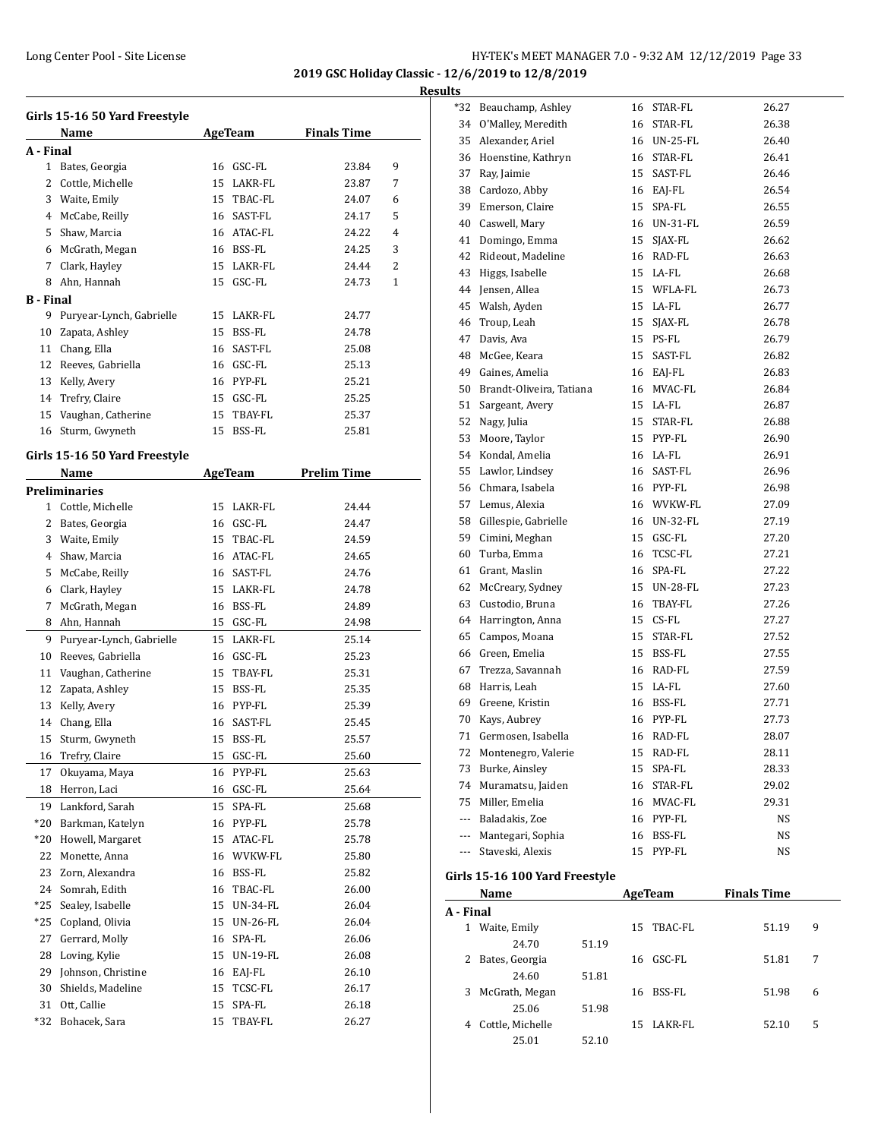**2019 GSC Holiday Classic - 12/6/2019 to 12/8/2019 Results**

|           | Girls 15-16 50 Yard Freestyle |    |                |                    |                |
|-----------|-------------------------------|----|----------------|--------------------|----------------|
|           | Name                          |    | <b>AgeTeam</b> | <b>Finals Time</b> |                |
| A - Final |                               |    |                |                    |                |
| 1         | Bates, Georgia                | 16 | GSC-FL         | 23.84              | 9              |
| 2         | Cottle, Michelle              | 15 | LAKR-FL        | 23.87              | 7              |
|           | 3 Waite, Emily                | 15 | TBAC-FL        | 24.07              | 6              |
| 4         | McCabe, Reilly                |    | 16 SAST-FL     | 24.17              | 5              |
|           | 5 Shaw, Marcia                |    | 16 ATAC-FL     | 24.22              | $\overline{4}$ |
|           | 6 McGrath, Megan              |    | 16 BSS-FL      | 24.25              | 3              |
|           | 7 Clark, Hayley               |    | 15 LAKR-FL     | 24.44              | 2              |
|           | 8 Ahn, Hannah                 |    | 15 GSC-FL      | 24.73              | 1              |
| B - Final |                               |    |                |                    |                |
| 9         | Puryear-Lynch, Gabrielle      | 15 | LAKR-FL        | 24.77              |                |
| 10        | Zapata, Ashley                | 15 | BSS-FL         | 24.78              |                |
|           | 11 Chang, Ella                |    | 16 SAST-FL     | 25.08              |                |
| 12        | Reeves, Gabriella             |    | 16 GSC-FL      | 25.13              |                |
|           | 13 Kelly, Avery               |    | 16 PYP-FL      | 25.21              |                |
|           | 14 Trefry, Claire             |    | 15 GSC-FL      | 25.25              |                |
|           | 15 Vaughan, Catherine         |    | 15 TBAY-FL     | 25.37              |                |
| 16        | Sturm, Gwyneth                | 15 | BSS-FL         | 25.81              |                |
|           | Girls 15-16 50 Yard Freestyle |    |                |                    |                |
|           | Name                          |    | AgeTeam        | <b>Prelim Time</b> |                |
|           | Preliminaries                 |    |                |                    |                |
|           | 1 Cottle, Michelle            | 15 | LAKR-FL        | 24.44              |                |
|           | 2 Bates, Georgia              |    | 16 GSC-FL      | 24.47              |                |
| 3         | Waite, Emily                  |    | 15 TBAC-FL     | 24.59              |                |
|           |                               |    | 16 ATAC-FL     | 24.65              |                |
|           | 4 Shaw, Marcia                |    | 16 SAST-FL     | 24.76              |                |
| 5         | McCabe, Reilly                |    |                |                    |                |
| 6         | Clark, Hayley                 |    | 15 LAKR-FL     | 24.78              |                |
| 7<br>8    | McGrath, Megan                |    | 16 BSS-FL      | 24.89              |                |
|           | Ahn, Hannah                   |    | 15 GSC-FL      | 24.98              |                |
| 9         | Puryear-Lynch, Gabrielle      |    | 15 LAKR-FL     | 25.14              |                |
| 10        | Reeves, Gabriella             |    | 16 GSC-FL      | 25.23              |                |
| 11        | Vaughan, Catherine            | 15 | TBAY-FL        | 25.31              |                |
| 12        | Zapata, Ashley                |    | 15 BSS-FL      | 25.35              |                |
| 13        | Kelly, Avery                  |    | 16 PYP-FL      | 25.39              |                |
| 14        | Chang, Ella                   |    | 16 SAST-FL     | 25.45              |                |
| 15        | Sturm, Gwyneth                | 15 | BSS-FL         | 25.57              |                |
| 16        | Trefry, Claire                | 15 | GSC-FL         | 25.60              |                |
| 17        | Okuyama, Maya                 | 16 | PYP-FL         | 25.63              |                |
| 18        | Herron, Laci                  | 16 | GSC-FL         | 25.64              |                |
| 19        | Lankford, Sarah               | 15 | SPA-FL         | 25.68              |                |
| $*20$     | Barkman, Katelyn              | 16 | PYP-FL         | 25.78              |                |
| $*20$     | Howell, Margaret              | 15 | ATAC-FL        | 25.78              |                |
| 22        | Monette, Anna                 | 16 | WVKW-FL        | 25.80              |                |
| 23        | Zorn, Alexandra               | 16 | BSS-FL         | 25.82              |                |
| 24        | Somrah, Edith                 | 16 | TBAC-FL        | 26.00              |                |
| *25       | Sealey, Isabelle              | 15 | UN-34-FL       | 26.04              |                |
| *25       | Copland, Olivia               | 15 | UN-26-FL       | 26.04              |                |
| 27        | Gerrard, Molly                | 16 | SPA-FL         | 26.06              |                |
| 28        | Loving, Kylie                 | 15 | UN-19-FL       | 26.08              |                |
| 29        | Johnson, Christine            | 16 | EAJ-FL         | 26.10              |                |
| 30        | Shields, Madeline             | 15 | TCSC-FL        | 26.17              |                |
| 31        | Ott, Callie                   | 15 | SPA-FL         | 26.18              |                |
| *32       | Bohacek, Sara                 | 15 | TBAY-FL        | 26.27              |                |

| *32       | Beauchamp, Ashley              |       | 16 | STAR-FL     | 26.27              |   |
|-----------|--------------------------------|-------|----|-------------|--------------------|---|
| 34        | O'Malley, Meredith             |       |    | 16 STAR-FL  | 26.38              |   |
| 35        | Alexander, Ariel               |       |    | 16 UN-25-FL | 26.40              |   |
| 36        | Hoenstine, Kathryn             |       |    | 16 STAR-FL  | 26.41              |   |
| 37        | Ray, Jaimie                    |       |    | 15 SAST-FL  | 26.46              |   |
| 38        | Cardozo, Abby                  |       |    | 16 EAJ-FL   | 26.54              |   |
| 39        | Emerson, Claire                |       |    | 15 SPA-FL   | 26.55              |   |
|           | 40 Caswell, Mary               |       |    | 16 UN-31-FL | 26.59              |   |
| 41        | Domingo, Emma                  |       |    | 15 SJAX-FL  | 26.62              |   |
| 42        | Rideout, Madeline              |       |    | 16 RAD-FL   | 26.63              |   |
| 43        | Higgs, Isabelle                |       |    | 15 LA-FL    | 26.68              |   |
| 44        | Jensen, Allea                  |       |    | 15 WFLA-FL  | 26.73              |   |
|           | 45 Walsh, Ayden                |       |    | 15 LA-FL    | 26.77              |   |
| 46        | Troup, Leah                    |       |    | 15 SJAX-FL  | 26.78              |   |
| 47        | Davis, Ava                     |       |    | 15 PS-FL    | 26.79              |   |
| 48        | McGee, Keara                   |       |    | 15 SAST-FL  | 26.82              |   |
|           | 49 Gaines, Amelia              |       |    | 16 EAJ-FL   | 26.83              |   |
|           | 50 Brandt-Oliveira, Tatiana    |       |    | 16 MVAC-FL  | 26.84              |   |
| 51        |                                |       |    | 15 LA-FL    |                    |   |
|           | Sargeant, Avery                |       |    |             | 26.87<br>26.88     |   |
| 52        | Nagy, Julia                    |       |    | 15 STAR-FL  |                    |   |
| 53        | Moore, Taylor                  |       |    | 15 PYP-FL   | 26.90              |   |
| 54        | Kondal, Amelia                 |       |    | 16 LA-FL    | 26.91              |   |
| 55        | Lawlor, Lindsey                |       |    | 16 SAST-FL  | 26.96              |   |
| 56        | Chmara, Isabela                |       |    | 16 PYP-FL   | 26.98              |   |
| 57        | Lemus, Alexia                  |       |    | 16 WVKW-FL  | 27.09              |   |
| 58        | Gillespie, Gabrielle           |       |    | 16 UN-32-FL | 27.19              |   |
| 59        | Cimini, Meghan                 |       |    | 15 GSC-FL   | 27.20              |   |
| 60        | Turba, Emma                    |       |    | 16 TCSC-FL  | 27.21              |   |
| 61        | Grant, Maslin                  |       |    | 16 SPA-FL   | 27.22              |   |
| 62        | McCreary, Sydney               |       |    | 15 UN-28-FL | 27.23              |   |
| 63        | Custodio, Bruna                |       |    | 16 TBAY-FL  | 27.26              |   |
| 64        | Harrington, Anna               |       |    | 15 CS-FL    | 27.27              |   |
| 65        | Campos, Moana                  |       |    | 15 STAR-FL  | 27.52              |   |
|           | 66 Green. Emelia               |       |    | 15 BSS-FL   | 27.55              |   |
| 67        | Trezza, Savannah               |       |    | 16 RAD-FL   | 27.59              |   |
| 68        | Harris, Leah                   |       |    | 15 LA-FL    | 27.60              |   |
| 69        | Greene, Kristin                |       |    | 16 BSS-FL   | 27.71              |   |
| 70        | Kays, Aubrey                   |       |    | 16 PYP-FL   | 27.73              |   |
| 71        | Germosen, Isabella             |       | 16 | RAD-FL      | 28.07              |   |
| 72        | Montenegro, Valerie            |       |    | 15 RAD-FL   | 28.11              |   |
| 73        | Burke, Ainsley                 |       |    | 15 SPA-FL   | 28.33              |   |
|           | 74 Muramatsu, Jaiden           |       |    | 16 STAR-FL  | 29.02              |   |
|           | 75 Miller, Emelia              |       |    | 16 MVAC-FL  | 29.31              |   |
|           | --- Baladakis, Zoe             |       |    | 16 PYP-FL   | NS                 |   |
|           | --- Mantegari, Sophia          |       | 16 | BSS-FL      | NS                 |   |
| ---       | Staveski, Alexis               |       | 15 | PYP-FL      | NS                 |   |
|           |                                |       |    |             |                    |   |
|           | Girls 15-16 100 Yard Freestyle |       |    |             |                    |   |
|           | <b>Name</b>                    |       |    | AgeTeam     | <b>Finals Time</b> |   |
| A - Final |                                |       |    |             |                    |   |
|           | 1 Waite, Emily                 |       | 15 | TBAC-FL     | 51.19              | 9 |
|           | 24.70                          | 51.19 |    |             |                    |   |
| 2         | Bates, Georgia                 |       | 16 | GSC-FL      | 51.81              | 7 |
|           | 24.60                          | 51.81 |    |             |                    |   |
| 3         | McGrath, Megan                 |       | 16 | BSS-FL      | 51.98              | 6 |

25.06 51.98

25.01 52.10

4 Cottle, Michelle 15 LAKR-FL 52.10 5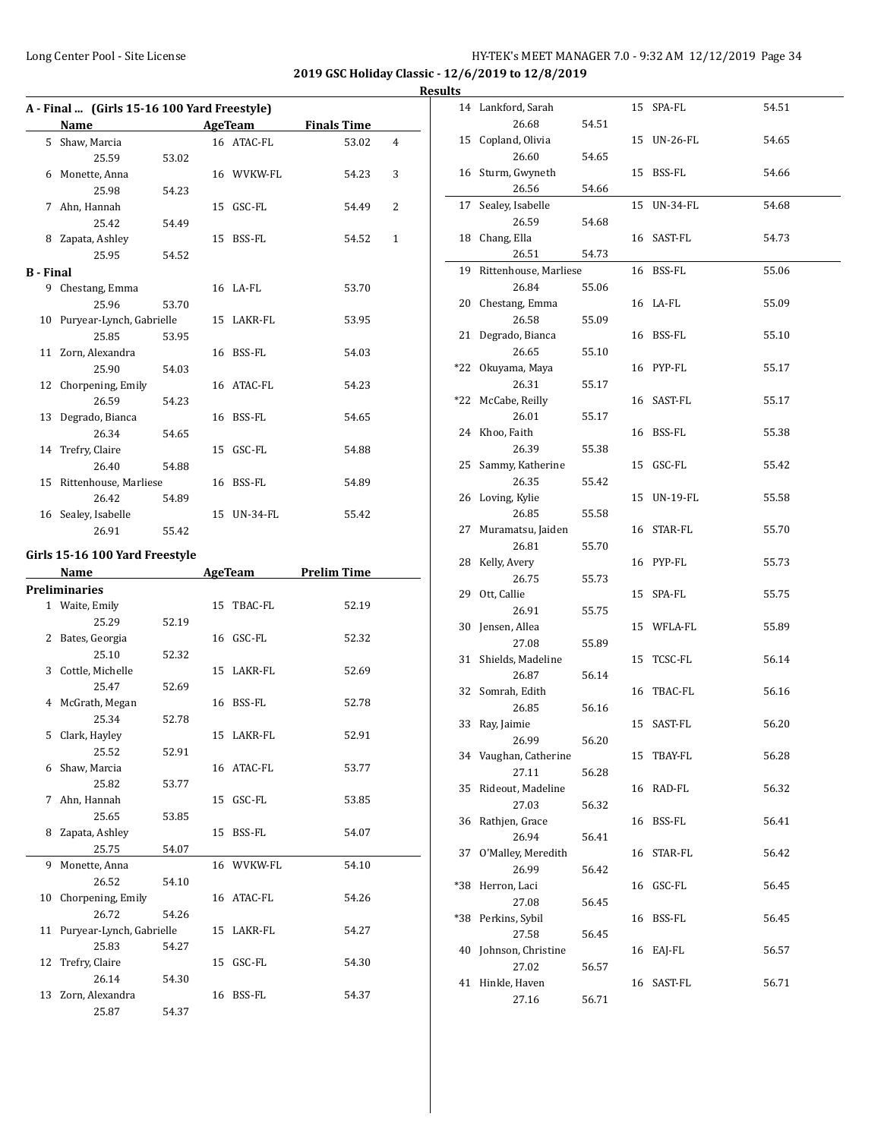|                  | A - Final  (Girls 15-16 100 Yard Freestyle)<br>Name |       |    | <b>AgeTeam</b> | <b>Finals Time</b> |   |
|------------------|-----------------------------------------------------|-------|----|----------------|--------------------|---|
|                  | 5 Shaw, Marcia                                      |       |    | 16 ATAC-FL     | 53.02              | 4 |
|                  | 25.59                                               | 53.02 |    |                |                    |   |
|                  | 6 Monette, Anna                                     |       |    | 16 WVKW-FL     | 54.23              | 3 |
|                  | 25.98                                               | 54.23 |    |                |                    |   |
|                  | 7 Ahn, Hannah                                       |       |    | 15 GSC-FL      | 54.49              | 2 |
|                  | 25.42                                               | 54.49 |    |                |                    |   |
|                  | 8 Zapata, Ashley                                    |       |    | 15 BSS-FL      | 54.52              | 1 |
|                  | 25.95                                               | 54.52 |    |                |                    |   |
| <b>B</b> - Final |                                                     |       |    |                |                    |   |
|                  | 9 Chestang, Emma                                    |       |    | 16 LA-FL       | 53.70              |   |
|                  | 25.96                                               | 53.70 |    |                |                    |   |
| 10               | Puryear-Lynch, Gabrielle                            |       |    | 15 LAKR-FL     | 53.95              |   |
|                  | 25.85                                               | 53.95 |    |                |                    |   |
|                  | 11 Zorn, Alexandra                                  |       |    | 16 BSS-FL      | 54.03              |   |
|                  | 25.90                                               | 54.03 |    |                |                    |   |
|                  | 12 Chorpening, Emily                                |       |    | 16 ATAC-FL     | 54.23              |   |
|                  | 26.59                                               | 54.23 |    |                |                    |   |
| 13               | Degrado, Bianca                                     |       |    | 16 BSS-FL      | 54.65              |   |
|                  | 26.34                                               | 54.65 |    |                |                    |   |
| 14               | Trefry, Claire                                      |       |    | 15 GSC-FL      | 54.88              |   |
|                  | 26.40                                               | 54.88 |    |                |                    |   |
| 15               | Rittenhouse, Marliese                               |       |    | 16 BSS-FL      | 54.89              |   |
|                  | 26.42                                               | 54.89 |    |                |                    |   |
|                  | 16 Sealey, Isabelle                                 |       |    | 15 UN-34-FL    | 55.42              |   |
|                  | 26.91                                               | 55.42 |    |                |                    |   |
|                  | Girls 15-16 100 Yard Freestyle                      |       |    |                |                    |   |
|                  |                                                     |       |    |                |                    |   |
|                  |                                                     |       |    |                |                    |   |
|                  | Name                                                |       |    | AgeTeam        | <b>Prelim Time</b> |   |
|                  | <b>Preliminaries</b>                                |       |    | 15 TBAC-FL     | 52.19              |   |
|                  | 1 Waite, Emily<br>25.29                             | 52.19 |    |                |                    |   |
|                  | 2 Bates, Georgia                                    |       |    | 16 GSC-FL      | 52.32              |   |
|                  | 25.10                                               | 52.32 |    |                |                    |   |
|                  | 3 Cottle, Michelle                                  |       |    | 15 LAKR-FL     | 52.69              |   |
|                  | 25.47                                               | 52.69 |    |                |                    |   |
|                  | 4 McGrath, Megan                                    |       |    | 16 BSS-FL      | 52.78              |   |
|                  | 25.34                                               | 52.78 |    |                |                    |   |
|                  | 5 Clark, Hayley                                     |       |    | 15 LAKR-FL     | 52.91              |   |
|                  | 25.52                                               | 52.91 |    |                |                    |   |
| 6                | Shaw, Marcia                                        |       |    | 16 ATAC-FL     | 53.77              |   |
|                  | 25.82                                               | 53.77 |    |                |                    |   |
| 7                | Ahn, Hannah                                         |       |    | 15 GSC-FL      | 53.85              |   |
|                  | 25.65                                               | 53.85 |    |                |                    |   |
| 8                | Zapata, Ashley                                      |       | 15 | BSS-FL         | 54.07              |   |
|                  | 25.75                                               | 54.07 |    |                |                    |   |
| 9                | Monette, Anna                                       |       |    | 16 WVKW-FL     | 54.10              |   |
|                  | 26.52                                               | 54.10 |    |                |                    |   |
| 10               | Chorpening, Emily                                   |       |    | 16 ATAC-FL     | 54.26              |   |
|                  | 26.72                                               | 54.26 |    |                |                    |   |
| 11               | Puryear-Lynch, Gabrielle                            |       |    | 15 LAKR-FL     | 54.27              |   |
|                  | 25.83                                               | 54.27 |    |                |                    |   |
| 12               | Trefry, Claire                                      |       |    | 15 GSC-FL      | 54.30              |   |
|                  | 26.14                                               | 54.30 |    |                |                    |   |
| 13               | Zorn, Alexandra<br>25.87                            | 54.37 |    | 16 BSS-FL      | 54.37              |   |

| սււა |                          |       |             |       |
|------|--------------------------|-------|-------------|-------|
|      | 14 Lankford, Sarah       |       | 15 SPA-FL   | 54.51 |
|      | 26.68                    | 54.51 |             |       |
| 15   | Copland, Olivia          |       | 15 UN-26-FL | 54.65 |
|      | 26.60                    | 54.65 |             |       |
|      | 16 Sturm, Gwyneth        |       | 15 BSS-FL   | 54.66 |
|      | 26.56                    | 54.66 |             |       |
| 17   | Sealey, Isabelle         |       | 15 UN-34-FL | 54.68 |
|      | 26.59                    | 54.68 |             |       |
|      | 18 Chang, Ella           |       | 16 SAST-FL  | 54.73 |
|      | 26.51                    | 54.73 |             |       |
|      | 19 Rittenhouse, Marliese |       | 16 BSS-FL   | 55.06 |
|      | 26.84                    | 55.06 |             |       |
|      | 20 Chestang, Emma        |       | 16 LA-FL    | 55.09 |
|      | 26.58                    | 55.09 |             |       |
|      | 21 Degrado, Bianca       |       | 16 BSS-FL   | 55.10 |
|      | 26.65                    | 55.10 |             |       |
|      | *22 Okuyama, Maya        |       | 16 PYP-FL   | 55.17 |
|      | 26.31                    | 55.17 |             |       |
|      | *22 McCabe, Reilly       |       | 16 SAST-FL  | 55.17 |
|      | 26.01                    | 55.17 |             |       |
|      | 24 Khoo, Faith           |       | 16 BSS-FL   | 55.38 |
|      | 26.39                    | 55.38 |             |       |
|      | 25 Sammy, Katherine      |       | 15 GSC-FL   | 55.42 |
|      | 26.35                    | 55.42 |             |       |
|      | 26 Loving, Kylie         |       | 15 UN-19-FL | 55.58 |
|      | 26.85                    | 55.58 |             |       |
|      | 27 Muramatsu, Jaiden     |       | 16 STAR-FL  | 55.70 |
|      | 26.81                    | 55.70 |             |       |
|      | 28 Kelly, Avery          |       | 16 PYP-FL   | 55.73 |
|      | 26.75                    | 55.73 |             |       |
|      | 29 Ott, Callie           |       | 15 SPA-FL   | 55.75 |
|      | 26.91                    | 55.75 |             |       |
|      | 30 Jensen, Allea         |       | 15 WFLA-FL  | 55.89 |
|      | 27.08                    | 55.89 |             |       |
|      | 31 Shields, Madeline     |       | 15 TCSC-FL  | 56.14 |
|      | 26.87                    | 56.14 |             |       |
|      | 32 Somrah, Edith         |       | 16 TBAC-FL  | 56.16 |
|      | 26.85                    | 56.16 |             |       |
|      | 33 Ray, Jaimie           |       | 15 SAST-FL  | 56.20 |
|      | 26.99                    | 56.20 |             |       |
|      | 34 Vaughan, Catherine    |       | 15 TBAY-FL  | 56.28 |
|      | 27.11                    | 56.28 |             |       |
| 35   | Rideout, Madeline        |       | 16 RAD-FL   | 56.32 |
|      | 27.03                    | 56.32 |             |       |
| 36   | Rathjen, Grace           |       | 16 BSS-FL   | 56.41 |
|      | 26.94                    | 56.41 |             |       |
|      | 37 O'Malley, Meredith    |       | 16 STAR-FL  | 56.42 |
|      | 26.99                    | 56.42 |             |       |
| *38  | Herron, Laci             |       | 16 GSC-FL   | 56.45 |
|      | 27.08                    | 56.45 |             |       |
| *38  | Perkins, Sybil           |       | 16 BSS-FL   | 56.45 |
|      | 27.58                    | 56.45 |             |       |
|      | 40 Johnson, Christine    |       | 16 EAJ-FL   | 56.57 |
|      | 27.02                    | 56.57 |             |       |
|      | 41 Hinkle, Haven         |       | 16 SAST-FL  | 56.71 |
|      | 27.16                    | 56.71 |             |       |
|      |                          |       |             |       |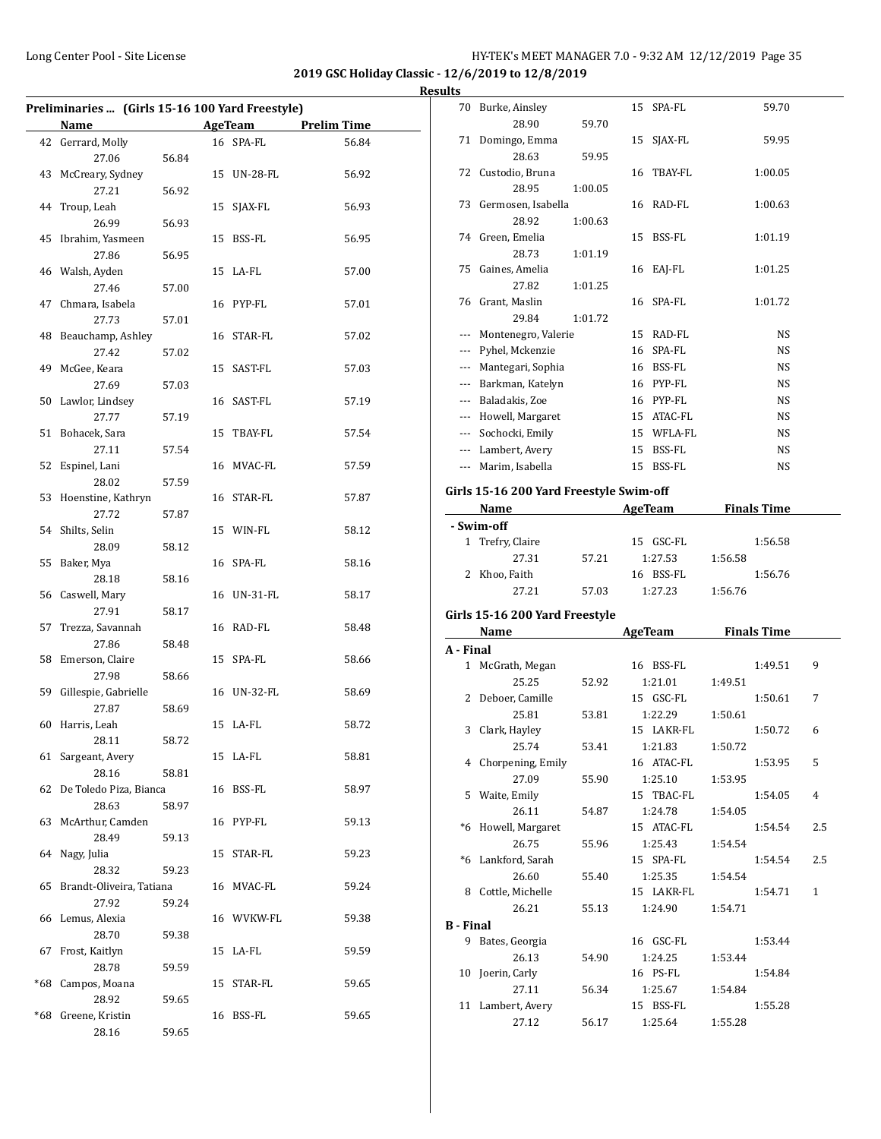| Preliminaries  (Girls 15-16 100 Yard Freestyle) |                          |       |    |                 |                    |
|-------------------------------------------------|--------------------------|-------|----|-----------------|--------------------|
|                                                 | <b>Name</b>              |       |    | <b>AgeTeam</b>  | <b>Prelim Time</b> |
|                                                 | 42 Gerrard, Molly        |       |    | 16 SPA-FL       | 56.84              |
|                                                 | 27.06                    | 56.84 |    |                 |                    |
| 43                                              | McCreary, Sydney         |       | 15 | UN-28-FL        | 56.92              |
|                                                 | 27.21                    | 56.92 |    |                 |                    |
| 44                                              | Troup, Leah              |       | 15 |                 | 56.93              |
|                                                 | 26.99                    |       |    | SJAX-FL         |                    |
| 45                                              | Ibrahim, Yasmeen         | 56.93 |    | BSS-FL          |                    |
|                                                 |                          |       | 15 |                 | 56.95              |
|                                                 | 27.86                    | 56.95 |    |                 |                    |
|                                                 | 46 Walsh, Ayden          |       | 15 | LA-FL           | 57.00              |
|                                                 | 27.46                    | 57.00 |    |                 |                    |
|                                                 | 47 Chmara, Isabela       |       |    | 16 PYP-FL       | 57.01              |
|                                                 | 27.73                    | 57.01 |    |                 |                    |
|                                                 | 48 Beauchamp, Ashley     |       |    | 16 STAR-FL      | 57.02              |
|                                                 | 27.42                    | 57.02 |    |                 |                    |
| 49                                              | McGee, Keara             |       |    | 15 SAST-FL      | 57.03              |
|                                                 | 27.69                    | 57.03 |    |                 |                    |
| 50                                              | Lawlor, Lindsey          |       |    | 16 SAST-FL      | 57.19              |
|                                                 | 27.77                    | 57.19 |    |                 |                    |
| 51                                              | Bohacek, Sara            |       | 15 | TBAY-FL         | 57.54              |
|                                                 | 27.11                    | 57.54 |    |                 |                    |
| 52                                              | Espinel, Lani            |       |    | 16 MVAC-FL      | 57.59              |
|                                                 | 28.02                    | 57.59 |    |                 |                    |
| 53                                              | Hoenstine, Kathryn       |       |    | 16 STAR-FL      | 57.87              |
|                                                 | 27.72                    | 57.87 |    |                 |                    |
|                                                 | 54 Shilts, Selin         |       |    | 15 WIN-FL       | 58.12              |
|                                                 | 28.09                    | 58.12 |    |                 |                    |
| 55                                              | Baker, Mya               |       |    | 16 SPA-FL       | 58.16              |
|                                                 | 28.18                    | 58.16 |    |                 |                    |
|                                                 | 56 Caswell, Mary         |       | 16 | <b>UN-31-FL</b> | 58.17              |
|                                                 | 27.91                    | 58.17 |    |                 |                    |
| 57                                              | Trezza, Savannah         |       | 16 | RAD-FL          | 58.48              |
|                                                 | 27.86                    | 58.48 |    |                 |                    |
| 58                                              | Emerson, Claire          |       | 15 | SPA-FL          | 58.66              |
|                                                 | 27.98                    | 58.66 |    |                 |                    |
| 59                                              | Gillespie, Gabrielle     |       | 16 | UN-32-FL        | 58.69              |
|                                                 | 27.87                    | 58.69 |    |                 |                    |
|                                                 |                          |       |    | 15 LA-FL        | 58.72              |
| 60                                              | Harris, Leah             |       |    |                 |                    |
|                                                 | 28.11                    | 58.72 |    |                 |                    |
|                                                 | 61 Sargeant, Avery       |       |    | 15 LA-FL        | 58.81              |
|                                                 | 28.16                    | 58.81 |    |                 |                    |
| 62                                              | De Toledo Piza, Bianca   |       |    | 16 BSS-FL       | 58.97              |
|                                                 | 28.63                    | 58.97 |    |                 |                    |
| 63                                              | McArthur, Camden         |       |    | 16 PYP-FL       | 59.13              |
|                                                 | 28.49                    | 59.13 |    |                 |                    |
| 64                                              | Nagy, Julia              |       |    | 15 STAR-FL      | 59.23              |
|                                                 | 28.32                    | 59.23 |    |                 |                    |
| 65                                              | Brandt-Oliveira, Tatiana |       |    | 16 MVAC-FL      | 59.24              |
|                                                 | 27.92                    | 59.24 |    |                 |                    |
| 66                                              | Lemus, Alexia            |       |    | 16 WVKW-FL      | 59.38              |
|                                                 | 28.70                    | 59.38 |    |                 |                    |
| 67                                              | Frost, Kaitlyn           |       | 15 | LA-FL           | 59.59              |
|                                                 | 28.78                    | 59.59 |    |                 |                    |
| *68                                             | Campos, Moana            |       |    | 15 STAR-FL      | 59.65              |
|                                                 | 28.92                    | 59.65 |    |                 |                    |
| *68                                             | Greene, Kristin          |       |    | 16 BSS-FL       | 59.65              |
|                                                 | 28.16                    | 59.65 |    |                 |                    |
|                                                 |                          |       |    |                 |                    |

|                  | 70 Burke, Ainsley                                                                                                                                                                                                             |         | SPA-FL<br>15  | 59.70                    |     |
|------------------|-------------------------------------------------------------------------------------------------------------------------------------------------------------------------------------------------------------------------------|---------|---------------|--------------------------|-----|
|                  | 28.90                                                                                                                                                                                                                         | 59.70   |               |                          |     |
|                  | 71 Domingo, Emma                                                                                                                                                                                                              |         | SJAX-FL<br>15 | 59.95                    |     |
|                  | 28.63                                                                                                                                                                                                                         | 59.95   |               |                          |     |
|                  | 72 Custodio, Bruna                                                                                                                                                                                                            |         | 16 TBAY-FL    | 1:00.05                  |     |
|                  | 28.95                                                                                                                                                                                                                         | 1:00.05 |               |                          |     |
|                  | 73 Germosen, Isabella                                                                                                                                                                                                         |         | 16 RAD-FL     | 1:00.63                  |     |
|                  | 28.92                                                                                                                                                                                                                         | 1:00.63 |               |                          |     |
|                  | 74 Green, Emelia                                                                                                                                                                                                              |         | 15 BSS-FL     | 1:01.19                  |     |
|                  | 28.73                                                                                                                                                                                                                         | 1:01.19 |               |                          |     |
|                  | 75 Gaines, Amelia                                                                                                                                                                                                             |         | 16 EAJ-FL     | 1:01.25                  |     |
|                  | 27.82                                                                                                                                                                                                                         | 1:01.25 |               |                          |     |
|                  | 76 Grant, Maslin                                                                                                                                                                                                              |         | 16 SPA-FL     | 1:01.72                  |     |
|                  | 29.84                                                                                                                                                                                                                         | 1:01.72 |               |                          |     |
|                  | --- Montenegro, Valerie                                                                                                                                                                                                       |         | 15 RAD-FL     | NS                       |     |
|                  | --- Pyhel, Mckenzie                                                                                                                                                                                                           |         | 16 SPA-FL     | NS                       |     |
|                  |                                                                                                                                                                                                                               |         |               |                          |     |
|                  | --- Mantegari, Sophia                                                                                                                                                                                                         |         | 16 BSS-FL     | NS                       |     |
|                  | --- Barkman, Katelyn                                                                                                                                                                                                          |         | 16 PYP-FL     | NS                       |     |
|                  | --- Baladakis, Zoe                                                                                                                                                                                                            |         | 16 PYP-FL     | NS                       |     |
|                  | --- Howell, Margaret                                                                                                                                                                                                          |         | 15 ATAC-FL    | NS                       |     |
|                  | --- Sochocki, Emily                                                                                                                                                                                                           |         | 15 WFLA-FL    | NS                       |     |
|                  | --- Lambert, Avery                                                                                                                                                                                                            |         | 15 BSS-FL     | NS                       |     |
|                  | --- Marim, Isabella                                                                                                                                                                                                           |         | 15 BSS-FL     | NS                       |     |
|                  |                                                                                                                                                                                                                               |         |               |                          |     |
|                  | Girls 15-16 200 Yard Freestyle Swim-off                                                                                                                                                                                       |         |               |                          |     |
|                  |                                                                                                                                                                                                                               |         |               | Name AgeTeam Finals Time |     |
|                  | - Swim-off                                                                                                                                                                                                                    |         |               |                          |     |
|                  | 1 Trefry, Claire                                                                                                                                                                                                              |         | 15 GSC-FL     | 1:56.58                  |     |
|                  | 27.31                                                                                                                                                                                                                         | 57.21   | 1:27.53       | 1:56.58                  |     |
|                  |                                                                                                                                                                                                                               |         |               |                          |     |
|                  | 2 Khoo, Faith                                                                                                                                                                                                                 |         | 16 BSS-FL     | 1:56.76                  |     |
|                  | 27.21                                                                                                                                                                                                                         | 57.03   | 1:27.23       | 1:56.76                  |     |
|                  |                                                                                                                                                                                                                               |         |               |                          |     |
|                  | Girls 15-16 200 Yard Freestyle                                                                                                                                                                                                |         |               |                          |     |
|                  | Name and the same state of the state of the state of the state of the state of the state of the state of the state of the state of the state of the state of the state of the state of the state of the state of the state of |         |               | AgeTeam Finals Time      |     |
| A - Final        |                                                                                                                                                                                                                               |         |               |                          |     |
|                  | 1 McGrath, Megan                                                                                                                                                                                                              |         | 16 BSS-FL     | 1:49.51                  | 9   |
|                  | 25.25                                                                                                                                                                                                                         | 52.92   | 1:21.01       | 1:49.51                  |     |
|                  | 2 Deboer, Camille                                                                                                                                                                                                             |         | 15 GSC-FL     | 1:50.61                  | 7   |
|                  | 25.81                                                                                                                                                                                                                         | 53.81   | 1:22.29       | 1:50.61                  |     |
|                  | 3 Clark, Hayley                                                                                                                                                                                                               |         | 15 LAKR-FL    | 1:50.72                  | 6   |
|                  | 25.74                                                                                                                                                                                                                         | 53.41   | 1:21.83       | 1:50.72                  |     |
|                  | 4 Chorpening, Emily                                                                                                                                                                                                           |         | 16 ATAC-FL    | 1:53.95                  | 5   |
|                  | 27.09                                                                                                                                                                                                                         | 55.90   | 1:25.10       | 1:53.95                  |     |
| 5                | Waite, Emily                                                                                                                                                                                                                  |         | 15 TBAC-FL    | 1:54.05                  | 4   |
|                  | 26.11                                                                                                                                                                                                                         | 54.87   | 1:24.78       | 1:54.05                  |     |
|                  | *6 Howell, Margaret                                                                                                                                                                                                           |         | 15 ATAC-FL    | 1:54.54                  | 2.5 |
|                  | 26.75                                                                                                                                                                                                                         | 55.96   | 1:25.43       | 1:54.54                  |     |
|                  | *6 Lankford, Sarah                                                                                                                                                                                                            |         | 15 SPA-FL     | 1:54.54                  | 2.5 |
|                  | 26.60                                                                                                                                                                                                                         | 55.40   | 1:25.35       | 1:54.54                  |     |
|                  | 8 Cottle, Michelle                                                                                                                                                                                                            |         | 15 LAKR-FL    | 1:54.71                  | 1   |
|                  | 26.21                                                                                                                                                                                                                         | 55.13   | 1:24.90       | 1:54.71                  |     |
| <b>B</b> - Final |                                                                                                                                                                                                                               |         |               |                          |     |
|                  | 9 Bates, Georgia                                                                                                                                                                                                              |         | 16 GSC-FL     | 1:53.44                  |     |
|                  | 26.13                                                                                                                                                                                                                         | 54.90   | 1:24.25       | 1:53.44                  |     |
|                  | 10 Joerin, Carly                                                                                                                                                                                                              |         | 16 PS-FL      | 1:54.84                  |     |
|                  | 27.11                                                                                                                                                                                                                         | 56.34   | 1:25.67       | 1:54.84                  |     |
|                  | 11 Lambert, Avery                                                                                                                                                                                                             |         | 15 BSS-FL     | 1:55.28                  |     |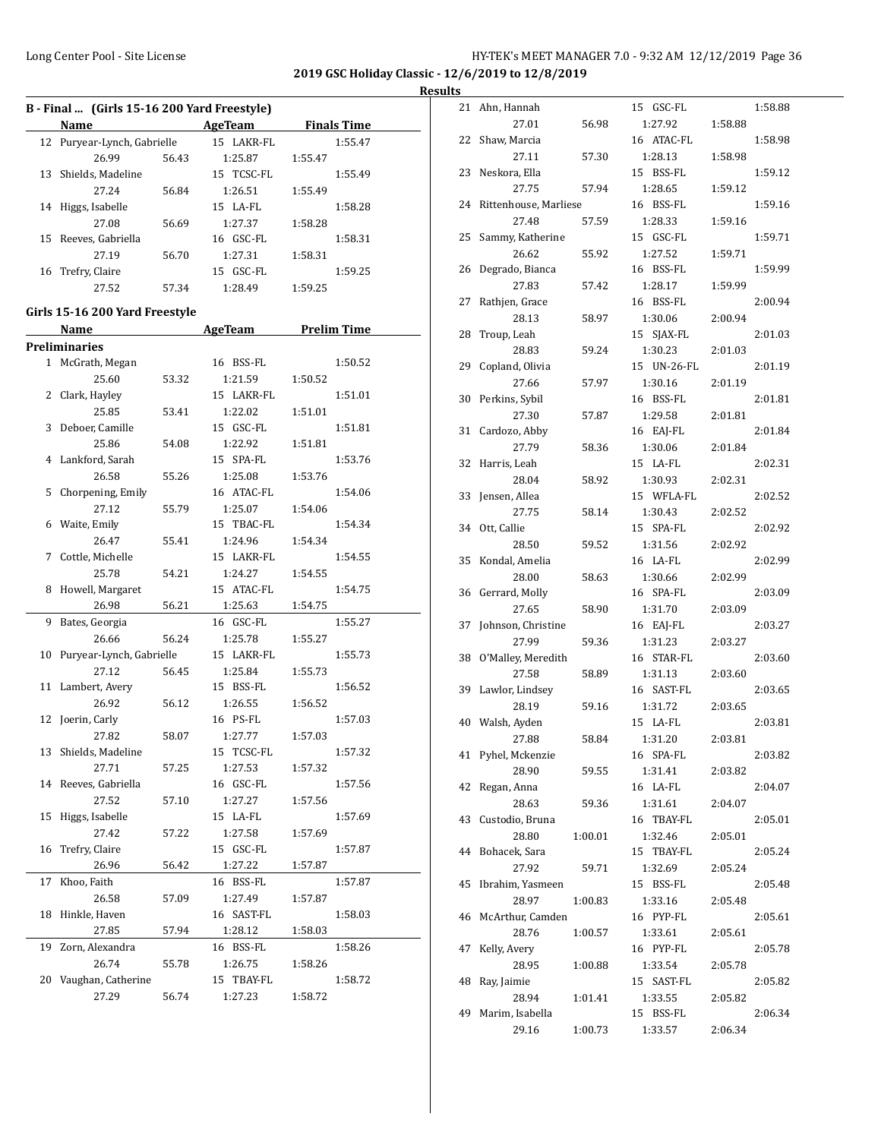|    | B - Final  (Girls 15-16 200 Yard Freestyle) |       |                     |         |                    |  |  |  |
|----|---------------------------------------------|-------|---------------------|---------|--------------------|--|--|--|
|    | Name                                        |       | <b>AgeTeam</b>      |         | <b>Finals Time</b> |  |  |  |
|    | 12 Puryear-Lynch, Gabrielle                 |       | 15 LAKR-FL          |         | 1:55.47            |  |  |  |
|    | 26.99                                       | 56.43 | 1:25.87             | 1:55.47 |                    |  |  |  |
| 13 | Shields, Madeline                           |       | 15 TCSC-FL          |         | 1:55.49            |  |  |  |
|    | 27.24                                       | 56.84 | 1:26.51             | 1:55.49 |                    |  |  |  |
| 14 | Higgs, Isabelle                             |       | 15 LA-FL            |         | 1:58.28            |  |  |  |
|    | 27.08                                       | 56.69 | 1:27.37             | 1:58.28 |                    |  |  |  |
| 15 | Reeves, Gabriella                           |       | 16 GSC-FL           |         | 1:58.31            |  |  |  |
|    | 27.19                                       | 56.70 | 1:27.31             | 1:58.31 |                    |  |  |  |
| 16 | Trefry, Claire                              |       | 15 GSC-FL           |         | 1:59.25            |  |  |  |
|    | 27.52                                       | 57.34 | 1:28.49             | 1:59.25 |                    |  |  |  |
|    |                                             |       |                     |         |                    |  |  |  |
|    | Girls 15-16 200 Yard Freestyle              |       |                     |         |                    |  |  |  |
|    | Name                                        |       | AgeTeam Prelim Time |         |                    |  |  |  |
|    | <b>Preliminaries</b>                        |       |                     |         |                    |  |  |  |
|    | 1 McGrath, Megan                            |       | 16 BSS-FL           |         | 1:50.52            |  |  |  |
|    | 25.60                                       | 53.32 | 1:21.59             | 1:50.52 |                    |  |  |  |
| 2  | Clark, Hayley                               |       | 15 LAKR-FL          |         | 1:51.01            |  |  |  |
|    | 25.85                                       | 53.41 | 1:22.02             | 1:51.01 |                    |  |  |  |
| 3  | Deboer, Camille                             |       | 15 GSC-FL           |         | 1:51.81            |  |  |  |
|    | 25.86                                       | 54.08 | 1:22.92             | 1:51.81 |                    |  |  |  |
|    | 4 Lankford, Sarah                           |       | 15 SPA-FL           |         | 1:53.76            |  |  |  |
|    | 26.58                                       | 55.26 | 1:25.08             | 1:53.76 |                    |  |  |  |
| 5  | Chorpening, Emily                           |       | 16 ATAC-FL          |         | 1:54.06            |  |  |  |
|    | 27.12                                       | 55.79 | 1:25.07             | 1:54.06 |                    |  |  |  |
|    | 6 Waite, Emily                              |       | 15 TBAC-FL          |         | 1:54.34            |  |  |  |
|    | 26.47                                       | 55.41 | 1:24.96             | 1:54.34 |                    |  |  |  |
| 7  | Cottle, Michelle                            |       | 15 LAKR-FL          |         | 1:54.55            |  |  |  |
|    |                                             |       |                     |         |                    |  |  |  |
|    | 25.78                                       | 54.21 | 1:24.27             | 1:54.55 |                    |  |  |  |
| 8  | Howell, Margaret                            |       | 15 ATAC-FL          |         | 1:54.75            |  |  |  |
|    | 26.98                                       | 56.21 | 1:25.63             | 1:54.75 |                    |  |  |  |
| 9  | Bates, Georgia                              |       | 16 GSC-FL           |         | 1:55.27            |  |  |  |
|    | 26.66                                       | 56.24 | 1:25.78             | 1:55.27 |                    |  |  |  |
| 10 | Puryear-Lynch, Gabrielle                    |       | 15 LAKR-FL          |         | 1:55.73            |  |  |  |
|    | 27.12                                       | 56.45 | 1:25.84             | 1:55.73 |                    |  |  |  |
| 11 | Lambert, Avery                              |       | 15 BSS-FL           |         | 1:56.52            |  |  |  |
|    | 26.92                                       | 56.12 | 1:26.55             | 1:56.52 |                    |  |  |  |
|    | 12 Joerin, Carly                            |       | 16 PS-FL            |         | 1:57.03            |  |  |  |
|    | 27.82                                       | 58.07 | 1:27.77             | 1:57.03 |                    |  |  |  |
| 13 | Shields, Madeline                           |       | 15 TCSC-FL          |         | 1:57.32            |  |  |  |
|    | 27.71                                       | 57.25 | 1:27.53             | 1:57.32 |                    |  |  |  |
| 14 | Reeves, Gabriella                           |       | 16 GSC-FL           |         | 1:57.56            |  |  |  |
|    | 27.52                                       | 57.10 | 1:27.27             | 1:57.56 |                    |  |  |  |
| 15 | Higgs, Isabelle                             |       | 15 LA-FL            |         | 1:57.69            |  |  |  |
|    | 27.42                                       | 57.22 | 1:27.58             | 1:57.69 |                    |  |  |  |
| 16 | Trefry, Claire                              |       | 15 GSC-FL           |         | 1:57.87            |  |  |  |
|    | 26.96                                       | 56.42 | 1:27.22             | 1:57.87 |                    |  |  |  |
| 17 | Khoo, Faith                                 |       | 16 BSS-FL           |         | 1:57.87            |  |  |  |
|    | 26.58                                       | 57.09 | 1:27.49             | 1:57.87 |                    |  |  |  |
| 18 | Hinkle, Haven                               |       | 16 SAST-FL          |         | 1:58.03            |  |  |  |
|    | 27.85                                       | 57.94 | 1:28.12             | 1:58.03 |                    |  |  |  |
| 19 | Zorn, Alexandra                             |       | 16 BSS-FL           |         | 1:58.26            |  |  |  |
|    | 26.74                                       | 55.78 | 1:26.75             | 1:58.26 |                    |  |  |  |
| 20 | Vaughan, Catherine                          |       | 15 TBAY-FL          |         |                    |  |  |  |
|    |                                             |       |                     |         | 1:58.72            |  |  |  |
|    | 27.29                                       | 56.74 | 1:27.23             | 1:58.72 |                    |  |  |  |

| 21 | Ahn, Hannah           |         | GSC-FL<br>15  |         | 1:58.88 |
|----|-----------------------|---------|---------------|---------|---------|
|    | 27.01                 | 56.98   | 1:27.92       | 1:58.88 |         |
| 22 | Shaw, Marcia          |         | 16 ATAC-FL    |         | 1:58.98 |
|    | 27.11                 | 57.30   | 1:28.13       | 1:58.98 |         |
| 23 | Neskora, Ella         |         | 15 BSS-FL     |         | 1:59.12 |
|    | 27.75                 | 57.94   | 1:28.65       | 1:59.12 |         |
| 24 | Rittenhouse, Marliese |         | 16 BSS-FL     |         | 1:59.16 |
|    | 27.48                 | 57.59   | 1:28.33       | 1:59.16 |         |
| 25 | Sammy, Katherine      |         | 15 GSC-FL     |         | 1:59.71 |
|    | 26.62                 | 55.92   | 1:27.52       | 1:59.71 |         |
| 26 | Degrado, Bianca       |         | 16 BSS-FL     |         | 1:59.99 |
|    | 27.83                 | 57.42   | 1:28.17       | 1:59.99 |         |
| 27 | Rathjen, Grace        |         | 16 BSS-FL     |         | 2:00.94 |
|    | 28.13                 | 58.97   | 1:30.06       | 2:00.94 |         |
| 28 | Troup, Leah           |         | 15<br>SJAX-FL |         | 2:01.03 |
|    | 28.83                 | 59.24   | 1:30.23       | 2:01.03 |         |
| 29 | Copland, Olivia       |         | 15 UN-26-FL   |         | 2:01.19 |
|    | 27.66                 | 57.97   | 1:30.16       | 2:01.19 |         |
| 30 | Perkins, Sybil        |         | 16 BSS-FL     |         | 2:01.81 |
|    | 27.30                 | 57.87   | 1:29.58       | 2:01.81 |         |
| 31 | Cardozo, Abby         |         | 16 EAJ-FL     |         | 2:01.84 |
|    | 27.79                 | 58.36   | 1:30.06       | 2:01.84 |         |
| 32 | Harris, Leah          |         | 15 LA-FL      |         | 2:02.31 |
|    | 28.04                 | 58.92   | 1:30.93       | 2:02.31 |         |
| 33 | Jensen, Allea         |         | 15 WFLA-FL    |         | 2:02.52 |
|    | 27.75                 | 58.14   | 1:30.43       | 2:02.52 |         |
| 34 | Ott, Callie           |         | 15 SPA-FL     |         | 2:02.92 |
|    | 28.50                 | 59.52   | 1:31.56       | 2:02.92 |         |
| 35 | Kondal, Amelia        |         | 16 LA-FL      |         | 2:02.99 |
|    | 28.00                 | 58.63   | 1:30.66       | 2:02.99 |         |
| 36 | Gerrard, Molly        |         | 16 SPA-FL     |         | 2:03.09 |
|    | 27.65                 | 58.90   | 1:31.70       | 2:03.09 |         |
| 37 | Johnson, Christine    |         | 16 EAJ-FL     |         | 2:03.27 |
|    | 27.99                 | 59.36   | 1:31.23       | 2:03.27 |         |
| 38 | O'Malley, Meredith    |         | 16 STAR-FL    |         | 2:03.60 |
|    | 27.58                 | 58.89   | 1:31.13       | 2:03.60 |         |
| 39 | Lawlor, Lindsey       |         | 16 SAST-FL    |         | 2:03.65 |
|    | 28.19                 | 59.16   | 1:31.72       | 2:03.65 |         |
| 40 | Walsh, Ayden          |         | 15 LA-FL      |         | 2:03.81 |
|    | 27.88                 | 58.84   | 1:31.20       | 2:03.81 |         |
| 41 | Pyhel, Mckenzie       |         | 16 SPA-FL     |         | 2:03.82 |
|    | 28.90                 | 59.55   | 1:31.41       | 2:03.82 |         |
| 42 | Regan, Anna           |         | 16 LA-FL      |         | 2:04.07 |
|    | 28.63                 | 59.36   | 1:31.61       | 2:04.07 |         |
| 43 | Custodio, Bruna       |         | 16 TBAY-FL    |         | 2:05.01 |
|    | 28.80                 | 1:00.01 | 1:32.46       | 2:05.01 |         |
| 44 | Bohacek, Sara         |         | 15 TBAY-FL    |         | 2:05.24 |
|    | 27.92                 | 59.71   | 1:32.69       | 2:05.24 |         |
| 45 | Ibrahim, Yasmeen      |         | 15 BSS-FL     |         | 2:05.48 |
|    | 28.97                 | 1:00.83 | 1:33.16       | 2:05.48 |         |
| 46 | McArthur, Camden      |         | 16 PYP-FL     |         | 2:05.61 |
|    | 28.76                 | 1:00.57 | 1:33.61       | 2:05.61 |         |
| 47 | Kelly, Avery          |         | 16 PYP-FL     |         | 2:05.78 |
|    | 28.95                 | 1:00.88 | 1:33.54       | 2:05.78 |         |
| 48 |                       |         | 15 SAST-FL    |         | 2:05.82 |
|    | Ray, Jaimie<br>28.94  | 1:01.41 | 1:33.55       | 2:05.82 |         |
| 49 | Marim, Isabella       |         | 15 BSS-FL     |         | 2:06.34 |
|    | 29.16                 | 1:00.73 | 1:33.57       | 2:06.34 |         |
|    |                       |         |               |         |         |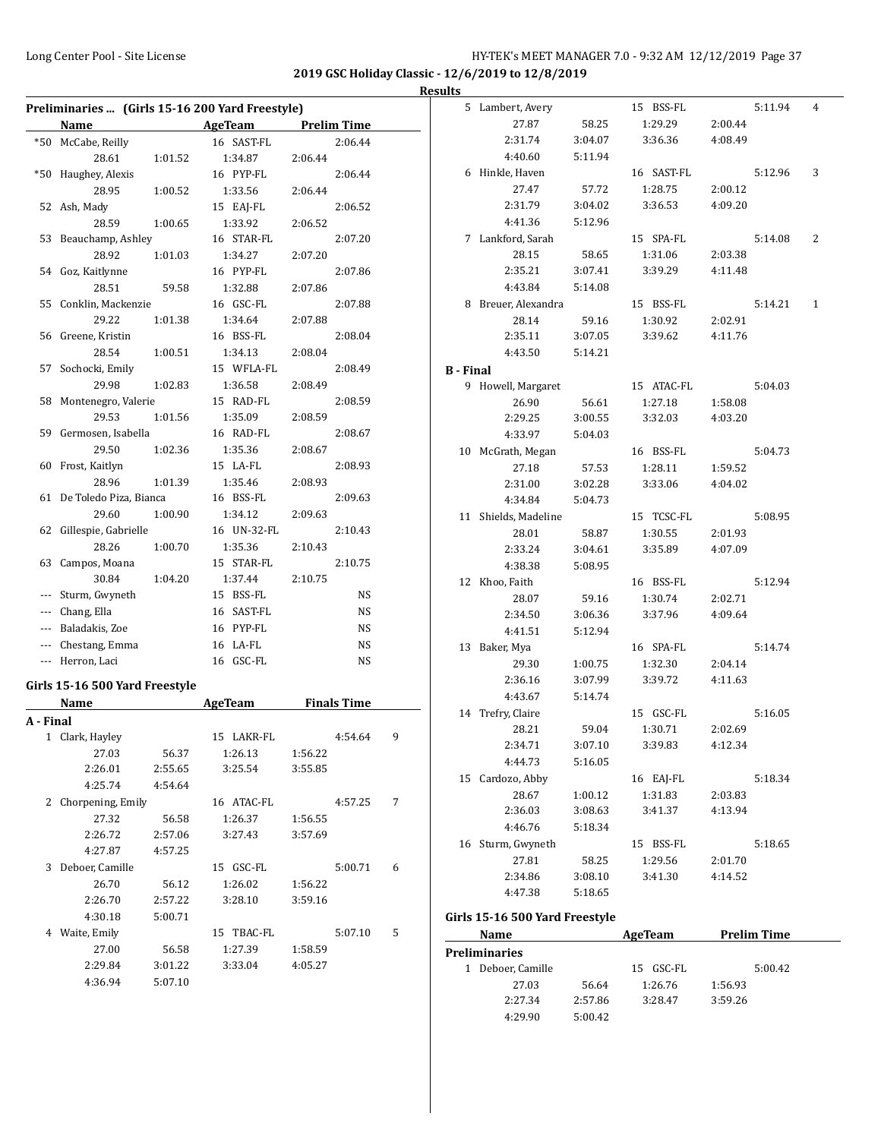| Results |  |
|---------|--|
|         |  |

|           | Preliminaries  (Girls 15-16 200 Yard Freestyle) |         |                          |         |                    |   |
|-----------|-------------------------------------------------|---------|--------------------------|---------|--------------------|---|
|           |                                                 |         | Name AgeTeam Prelim Time |         |                    |   |
|           | *50 McCabe, Reilly                              |         | 16 SAST-FL               |         | 2:06.44            |   |
|           | 28.61                                           | 1:01.52 | 1:34.87                  | 2:06.44 |                    |   |
| *50       | Haughey, Alexis                                 |         | 16 PYP-FL                |         | 2:06.44            |   |
|           | 28.95                                           | 1:00.52 | 1:33.56                  | 2:06.44 |                    |   |
|           | 52 Ash, Mady                                    |         | 15 EAJ-FL                |         | 2:06.52            |   |
|           | 28.59                                           | 1:00.65 | 1:33.92                  | 2:06.52 |                    |   |
|           | 53 Beauchamp, Ashley                            |         | 16 STAR-FL               |         | 2:07.20            |   |
|           | 28.92                                           | 1:01.03 | 1:34.27                  | 2:07.20 |                    |   |
|           | 54 Goz, Kaitlynne                               |         | 16 PYP-FL                |         | 2:07.86            |   |
|           | 28.51                                           | 59.58   | 1:32.88                  | 2:07.86 |                    |   |
|           | 55 Conklin, Mackenzie                           |         | 16 GSC-FL                |         | 2:07.88            |   |
|           | 29.22                                           | 1:01.38 | 1:34.64                  | 2:07.88 |                    |   |
| 56        | Greene, Kristin                                 |         | 16 BSS-FL                |         | 2:08.04            |   |
|           | 28.54                                           | 1:00.51 | 1:34.13                  | 2:08.04 |                    |   |
| 57        | Sochocki, Emily                                 |         | 15 WFLA-FL               |         | 2:08.49            |   |
|           | 29.98                                           | 1:02.83 | 1:36.58                  | 2:08.49 |                    |   |
| 58        | Montenegro, Valerie                             |         | 15 RAD-FL                |         | 2:08.59            |   |
|           | 29.53                                           | 1:01.56 | 1:35.09                  | 2:08.59 |                    |   |
|           | 59 Germosen, Isabella                           |         | 16 RAD-FL                |         | 2:08.67            |   |
|           | 29.50                                           | 1:02.36 | 1:35.36                  | 2:08.67 |                    |   |
|           | 60 Frost, Kaitlyn                               |         | 15 LA-FL                 |         | 2:08.93            |   |
|           | 28.96                                           | 1:01.39 | 1:35.46                  | 2:08.93 |                    |   |
|           | 61 De Toledo Piza, Bianca                       |         | 16 BSS-FL                |         | 2:09.63            |   |
|           | 29.60                                           | 1:00.90 | 1:34.12                  | 2:09.63 |                    |   |
|           | 62 Gillespie, Gabrielle                         |         | 16 UN-32-FL              |         | 2:10.43            |   |
|           | 28.26                                           |         | 1:35.36                  |         |                    |   |
|           |                                                 | 1:00.70 |                          | 2:10.43 |                    |   |
|           | 63 Campos, Moana                                |         | 15 STAR-FL               |         | 2:10.75            |   |
|           | 30.84                                           | 1:04.20 | 1:37.44                  | 2:10.75 |                    |   |
| ---       | Sturm, Gwyneth                                  |         | 15 BSS-FL                |         | NS                 |   |
| ---       | Chang, Ella                                     |         | 16 SAST-FL               |         | NS                 |   |
|           | --- Baladakis, Zoe                              |         | 16 PYP-FL                |         | NS                 |   |
|           | --- Chestang, Emma                              |         | 16 LA-FL                 |         | NS                 |   |
|           | --- Herron, Laci                                |         | 16 GSC-FL                |         | NS                 |   |
|           | Girls 15-16 500 Yard Freestyle                  |         |                          |         |                    |   |
|           | <b>Name</b>                                     |         | AgeTeam                  |         | <b>Finals Time</b> |   |
| A - Final |                                                 |         |                          |         |                    |   |
| 1         | Clark, Hayley                                   |         | 15 LAKR-FL               |         | 4:54.64            | 9 |
|           | 27.03                                           | 56.37   | 1:26.13                  | 1:56.22 |                    |   |
|           | 2:26.01                                         | 2:55.65 | 3:25.54                  | 3:55.85 |                    |   |
|           | 4:25.74                                         | 4:54.64 |                          |         |                    |   |
|           | 2 Chorpening, Emily                             |         | 16 ATAC-FL               |         | 4:57.25            | 7 |
|           |                                                 |         |                          |         |                    |   |
|           | 27.32                                           | 56.58   | 1:26.37                  | 1:56.55 |                    |   |
|           | 2:26.72                                         | 2:57.06 | 3:27.43                  | 3:57.69 |                    |   |
|           | 4:27.87                                         | 4:57.25 |                          |         |                    |   |
|           | 3 Deboer, Camille                               |         | 15 GSC-FL                |         | 5:00.71            | 6 |
|           | 26.70                                           | 56.12   | 1:26.02                  | 1:56.22 |                    |   |
|           | 2:26.70                                         | 2:57.22 | 3:28.10                  | 3:59.16 |                    |   |
|           | 4:30.18                                         | 5:00.71 |                          |         |                    |   |
|           | 4 Waite, Emily                                  |         | 15 TBAC-FL               |         | 5:07.10            | 5 |
|           | 27.00                                           | 56.58   | 1:27.39                  | 1:58.59 |                    |   |
|           | 2:29.84                                         | 3:01.22 | 3:33.04                  | 4:05.27 |                    |   |
|           | 4:36.94                                         | 5:07.10 |                          |         |                    |   |

|                  | 5 Lambert, Avery     |         | 15 BSS-FL  |         | 5:11.94 | 4            |
|------------------|----------------------|---------|------------|---------|---------|--------------|
|                  | 27.87                | 58.25   | 1:29.29    | 2:00.44 |         |              |
|                  | 2:31.74              | 3:04.07 | 3:36.36    | 4:08.49 |         |              |
|                  | 4:40.60              | 5:11.94 |            |         |         |              |
|                  | 6 Hinkle, Haven      |         | 16 SAST-FL |         | 5:12.96 | 3            |
|                  | 27.47                | 57.72   | 1:28.75    | 2:00.12 |         |              |
|                  | 2:31.79              | 3:04.02 | 3:36.53    | 4:09.20 |         |              |
|                  | 4:41.36              | 5:12.96 |            |         |         |              |
|                  | 7 Lankford, Sarah    |         | 15 SPA-FL  |         | 5:14.08 | 2            |
|                  | 28.15                | 58.65   | 1:31.06    | 2:03.38 |         |              |
|                  | 2:35.21              | 3:07.41 | 3:39.29    | 4:11.48 |         |              |
|                  | 4:43.84              | 5:14.08 |            |         |         |              |
|                  | 8 Breuer, Alexandra  |         | 15 BSS-FL  |         | 5:14.21 | $\mathbf{1}$ |
|                  | 28.14                | 59.16   | 1:30.92    | 2:02.91 |         |              |
|                  | 2:35.11              | 3:07.05 | 3:39.62    | 4:11.76 |         |              |
|                  | 4:43.50              | 5:14.21 |            |         |         |              |
| <b>B</b> - Final |                      |         |            |         |         |              |
|                  | 9 Howell, Margaret   |         | 15 ATAC-FL |         | 5:04.03 |              |
|                  | 26.90                | 56.61   | 1:27.18    | 1:58.08 |         |              |
|                  | 2:29.25              | 3:00.55 | 3:32.03    | 4:03.20 |         |              |
|                  | 4:33.97              | 5:04.03 |            |         |         |              |
|                  | 10 McGrath, Megan    |         | 16 BSS-FL  |         | 5:04.73 |              |
|                  | 27.18                | 57.53   | 1:28.11    | 1:59.52 |         |              |
|                  | 2:31.00              | 3:02.28 | 3:33.06    | 4:04.02 |         |              |
|                  | 4:34.84              | 5:04.73 |            |         |         |              |
|                  | 11 Shields, Madeline |         | 15 TCSC-FL |         | 5:08.95 |              |
|                  | 28.01                | 58.87   | 1:30.55    | 2:01.93 |         |              |
|                  | 2:33.24              | 3:04.61 | 3:35.89    | 4:07.09 |         |              |
|                  | 4:38.38              | 5:08.95 |            |         |         |              |
|                  | 12 Khoo, Faith       |         | 16 BSS-FL  |         | 5:12.94 |              |
|                  | 28.07                | 59.16   | 1:30.74    | 2:02.71 |         |              |
|                  | 2:34.50              | 3:06.36 | 3:37.96    | 4:09.64 |         |              |
|                  | 4:41.51              | 5:12.94 |            |         |         |              |
|                  | 13 Baker, Mya        |         | 16 SPA-FL  |         | 5:14.74 |              |
|                  | 29.30                | 1:00.75 | 1:32.30    | 2:04.14 |         |              |
|                  | 2:36.16              | 3:07.99 | 3:39.72    | 4:11.63 |         |              |
|                  | 4:43.67              | 5:14.74 |            |         |         |              |
|                  | 14 Trefry, Claire    |         | 15 GSC-FL  |         | 5:16.05 |              |
|                  | 28.21                | 59.04   | 1:30.71    | 2:02.69 |         |              |
|                  | 2:34.71              | 3:07.10 | 3:39.83    | 4:12.34 |         |              |
|                  | 4:44.73              | 5:16.05 |            |         |         |              |
|                  | 15 Cardozo, Abby     |         | 16 EAJ-FL  |         | 5:18.34 |              |
|                  | 28.67                | 1:00.12 | 1:31.83    | 2:03.83 |         |              |
|                  | 2:36.03              | 3:08.63 | 3:41.37    | 4:13.94 |         |              |
|                  | 4:46.76              | 5:18.34 |            |         |         |              |
|                  | 16 Sturm, Gwyneth    |         | 15 BSS-FL  |         | 5:18.65 |              |
|                  | 27.81                | 58.25   | 1:29.56    | 2:01.70 |         |              |
|                  | 2:34.86              | 3:08.10 | 3:41.30    | 4:14.52 |         |              |
|                  | 4:47.38              | 5:18.65 |            |         |         |              |

#### **Girls 15-16 500 Yard Freestyle**

| Name                 |         | AgeTeam   | <b>Prelim Time</b> |  |
|----------------------|---------|-----------|--------------------|--|
| <b>Preliminaries</b> |         |           |                    |  |
| Deboer, Camille      |         | 15 GSC-FL | 5:00.42            |  |
| 27.03                | 56.64   | 1:26.76   | 1:56.93            |  |
| 2:27.34              | 2:57.86 | 3:28.47   | 3:59.26            |  |
| 4:29.90              | 5:00.42 |           |                    |  |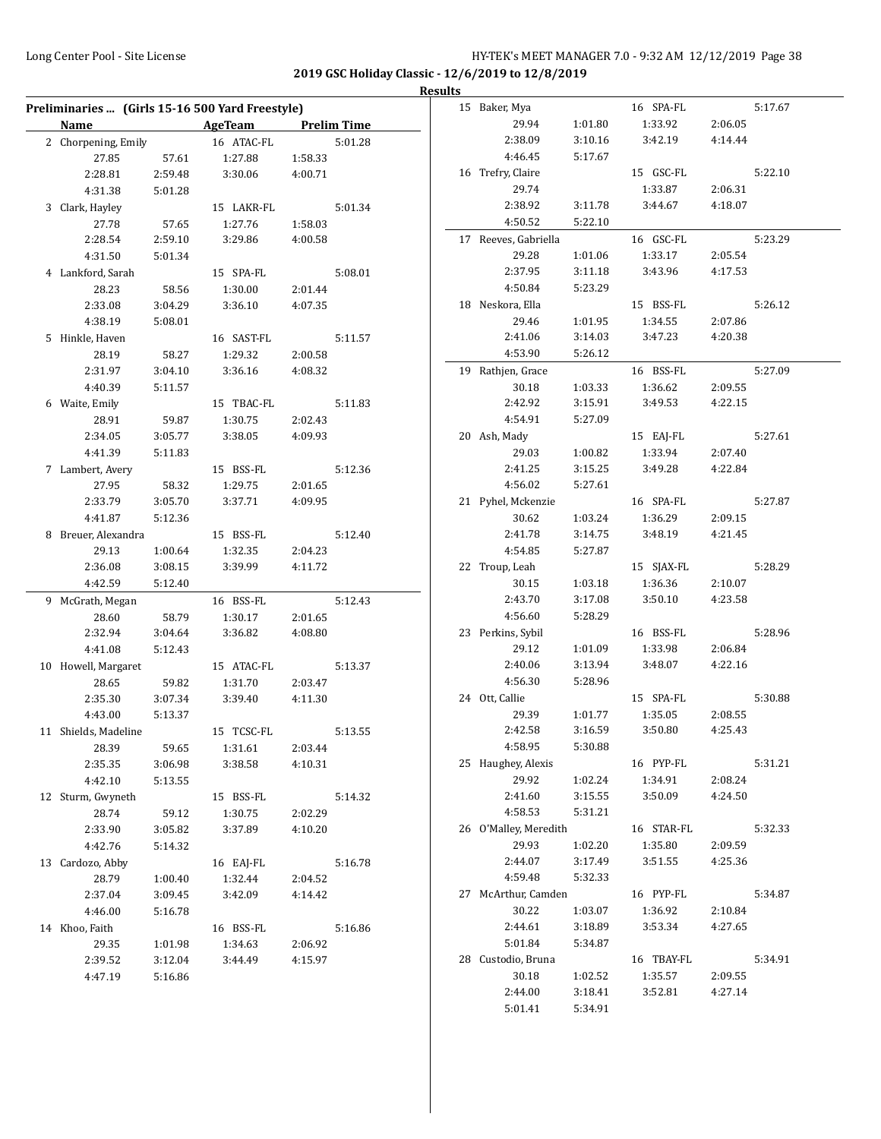L.

**2019 GSC Holiday Classic - 12/6/2019 to 12/8/2019 Results** 

|    |                     |         | Preliminaries  (Girls 15-16 500 Yard Freestyle) |                    |         |
|----|---------------------|---------|-------------------------------------------------|--------------------|---------|
|    | Name                |         | AgeTeam                                         | <b>Prelim Time</b> |         |
|    | 2 Chorpening, Emily |         | 16 ATAC-FL                                      |                    | 5:01.28 |
|    | 27.85               | 57.61   | 1:27.88                                         | 1:58.33            |         |
|    | 2:28.81             | 2:59.48 | 3:30.06                                         | 4:00.71            |         |
|    | 4:31.38             | 5:01.28 |                                                 |                    |         |
| 3  | Clark, Hayley       |         | 15 LAKR-FL                                      |                    | 5:01.34 |
|    | 27.78               | 57.65   | 1:27.76                                         |                    |         |
|    | 2:28.54             | 2:59.10 | 3:29.86                                         | 1:58.03<br>4:00.58 |         |
|    |                     |         |                                                 |                    |         |
|    | 4:31.50             | 5:01.34 |                                                 |                    | 5:08.01 |
|    | 4 Lankford, Sarah   |         | 15 SPA-FL                                       |                    |         |
|    | 28.23               | 58.56   | 1:30.00                                         | 2:01.44            |         |
|    | 2:33.08             | 3:04.29 | 3:36.10                                         | 4:07.35            |         |
|    | 4:38.19             | 5:08.01 |                                                 |                    |         |
| 5  | Hinkle, Haven       |         | 16 SAST-FL                                      |                    | 5:11.57 |
|    | 28.19               | 58.27   | 1:29.32                                         | 2:00.58            |         |
|    | 2:31.97             | 3:04.10 | 3:36.16                                         | 4:08.32            |         |
|    | 4:40.39             | 5:11.57 |                                                 |                    |         |
|    | 6 Waite, Emily      |         | 15 TBAC-FL                                      |                    | 5:11.83 |
|    | 28.91               | 59.87   | 1:30.75                                         | 2:02.43            |         |
|    | 2:34.05             | 3:05.77 | 3:38.05                                         | 4:09.93            |         |
|    | 4:41.39             | 5:11.83 |                                                 |                    |         |
|    | 7 Lambert, Avery    |         | 15 BSS-FL                                       |                    | 5:12.36 |
|    | 27.95               | 58.32   | 1:29.75                                         | 2:01.65            |         |
|    | 2:33.79             | 3:05.70 | 3:37.71                                         | 4:09.95            |         |
|    | 4:41.87             | 5:12.36 |                                                 |                    |         |
| 8  | Breuer, Alexandra   |         | 15 BSS-FL                                       |                    | 5:12.40 |
|    | 29.13               | 1:00.64 | 1:32.35                                         | 2:04.23            |         |
|    | 2:36.08             | 3:08.15 | 3:39.99                                         | 4:11.72            |         |
|    | 4:42.59             | 5:12.40 |                                                 |                    |         |
| 9  | McGrath, Megan      |         | 16 BSS-FL                                       |                    | 5:12.43 |
|    | 28.60               | 58.79   | 1:30.17                                         | 2:01.65            |         |
|    | 2:32.94             | 3:04.64 | 3:36.82                                         | 4:08.80            |         |
|    | 4:41.08             | 5:12.43 |                                                 |                    |         |
| 10 | Howell, Margaret    |         | 15 ATAC-FL                                      |                    | 5:13.37 |
|    | 28.65               | 59.82   | 1:31.70                                         | 2:03.47            |         |
|    | 2:35.30             | 3:07.34 | 3:39.40                                         | 4:11.30            |         |
|    | 4:43.00             | 5:13.37 |                                                 |                    |         |
| 11 | Shields, Madeline   |         | <b>TCSC-FL</b><br>15                            |                    | 5:13.55 |
|    | 28.39               | 59.65   | 1:31.61                                         | 2:03.44            |         |
|    | 2:35.35             | 3:06.98 | 3:38.58                                         | 4:10.31            |         |
|    | 4:42.10             | 5:13.55 |                                                 |                    |         |
| 12 | Sturm, Gwyneth      |         | 15 BSS-FL                                       |                    | 5:14.32 |
|    | 28.74               | 59.12   | 1:30.75                                         | 2:02.29            |         |
|    | 2:33.90             | 3:05.82 | 3:37.89                                         | 4:10.20            |         |
|    | 4:42.76             | 5:14.32 |                                                 |                    |         |
| 13 | Cardozo, Abby       |         | 16 EAJ-FL                                       |                    | 5:16.78 |
|    | 28.79               | 1:00.40 | 1:32.44                                         | 2:04.52            |         |
|    | 2:37.04             | 3:09.45 | 3:42.09                                         | 4:14.42            |         |
|    | 4:46.00             | 5:16.78 |                                                 |                    |         |
| 14 | Khoo, Faith         |         | 16 BSS-FL                                       |                    | 5:16.86 |
|    | 29.35               | 1:01.98 | 1:34.63                                         | 2:06.92            |         |
|    | 2:39.52             | 3:12.04 | 3:44.49                                         | 4:15.97            |         |
|    | 4:47.19             | 5:16.86 |                                                 |                    |         |
|    |                     |         |                                                 |                    |         |

| 15 | Baker, Mya            |         | 16 SPA-FL  |         | 5:17.67 |
|----|-----------------------|---------|------------|---------|---------|
|    | 29.94                 | 1:01.80 | 1:33.92    | 2:06.05 |         |
|    | 2:38.09               | 3:10.16 | 3:42.19    | 4:14.44 |         |
|    | 4:46.45               | 5:17.67 |            |         |         |
|    | 16 Trefry, Claire     |         | 15 GSC-FL  |         | 5:22.10 |
|    | 29.74                 |         | 1:33.87    | 2:06.31 |         |
|    | 2:38.92               | 3:11.78 | 3:44.67    | 4:18.07 |         |
|    | 4:50.52               | 5:22.10 |            |         |         |
|    | 17 Reeves, Gabriella  |         | 16 GSC-FL  |         | 5:23.29 |
|    | 29.28                 | 1:01.06 | 1:33.17    | 2:05.54 |         |
|    | 2:37.95               | 3:11.18 | 3:43.96    | 4:17.53 |         |
|    | 4:50.84               | 5:23.29 |            |         |         |
|    |                       |         |            |         | 5:26.12 |
|    | 18 Neskora, Ella      |         | 15 BSS-FL  |         |         |
|    | 29.46                 | 1:01.95 | 1:34.55    | 2:07.86 |         |
|    | 2:41.06               | 3:14.03 | 3:47.23    | 4:20.38 |         |
|    | 4:53.90               | 5:26.12 |            |         |         |
|    | 19 Rathjen, Grace     |         | 16 BSS-FL  |         | 5:27.09 |
|    | 30.18                 | 1:03.33 | 1:36.62    | 2:09.55 |         |
|    | 2:42.92               | 3:15.91 | 3:49.53    | 4:22.15 |         |
|    | 4:54.91               | 5:27.09 |            |         |         |
|    | 20 Ash, Mady          |         | 15 EAJ-FL  |         | 5:27.61 |
|    | 29.03                 | 1:00.82 | 1:33.94    | 2:07.40 |         |
|    | 2:41.25               | 3:15.25 | 3:49.28    | 4:22.84 |         |
|    | 4:56.02               | 5:27.61 |            |         |         |
|    | 21 Pyhel, Mckenzie    |         | 16 SPA-FL  |         | 5:27.87 |
|    | 30.62                 | 1:03.24 | 1:36.29    | 2:09.15 |         |
|    | 2:41.78               | 3:14.75 | 3:48.19    | 4:21.45 |         |
|    | 4:54.85               | 5:27.87 |            |         |         |
|    | 22 Troup, Leah        |         | 15 SJAX-FL |         | 5:28.29 |
|    | 30.15                 | 1:03.18 | 1:36.36    | 2:10.07 |         |
|    | 2:43.70               | 3:17.08 | 3:50.10    | 4:23.58 |         |
|    | 4:56.60               | 5:28.29 |            |         |         |
|    | 23 Perkins, Sybil     |         | 16 BSS-FL  |         | 5:28.96 |
|    | 29.12                 | 1:01.09 | 1:33.98    | 2:06.84 |         |
|    | 2:40.06               | 3:13.94 | 3:48.07    | 4:22.16 |         |
|    | 4:56.30               | 5:28.96 |            |         |         |
|    | 24 Ott, Callie        |         | 15 SPA-FL  |         | 5:30.88 |
|    | 29.39                 | 1:01.77 | 1:35.05    | 2:08.55 |         |
|    | 2:42.58               | 3:16.59 | 3:50.80    | 4:25.43 |         |
|    | 4:58.95               | 5:30.88 |            |         |         |
|    | 25 Haughey, Alexis    |         | 16 PYP-FL  |         | 5:31.21 |
|    | 29.92                 | 1:02.24 | 1:34.91    | 2:08.24 |         |
|    | 2:41.60               | 3:15.55 | 3:50.09    | 4:24.50 |         |
|    | 4:58.53               | 5:31.21 |            |         |         |
|    | 26 O'Malley, Meredith |         | 16 STAR-FL |         | 5:32.33 |
|    | 29.93                 | 1:02.20 | 1:35.80    | 2:09.59 |         |
|    | 2:44.07               | 3:17.49 | 3:51.55    | 4:25.36 |         |
|    | 4:59.48               | 5:32.33 |            |         |         |
|    | 27 McArthur, Camden   |         | 16 PYP-FL  |         | 5:34.87 |
|    | 30.22                 | 1:03.07 | 1:36.92    | 2:10.84 |         |
|    | 2:44.61               | 3:18.89 | 3:53.34    | 4:27.65 |         |
|    | 5:01.84               | 5:34.87 |            |         |         |
|    | 28 Custodio, Bruna    |         | 16 TBAY-FL |         | 5:34.91 |
|    | 30.18                 | 1:02.52 | 1:35.57    | 2:09.55 |         |
|    | 2:44.00               | 3:18.41 | 3:52.81    | 4:27.14 |         |
|    | 5:01.41               | 5:34.91 |            |         |         |
|    |                       |         |            |         |         |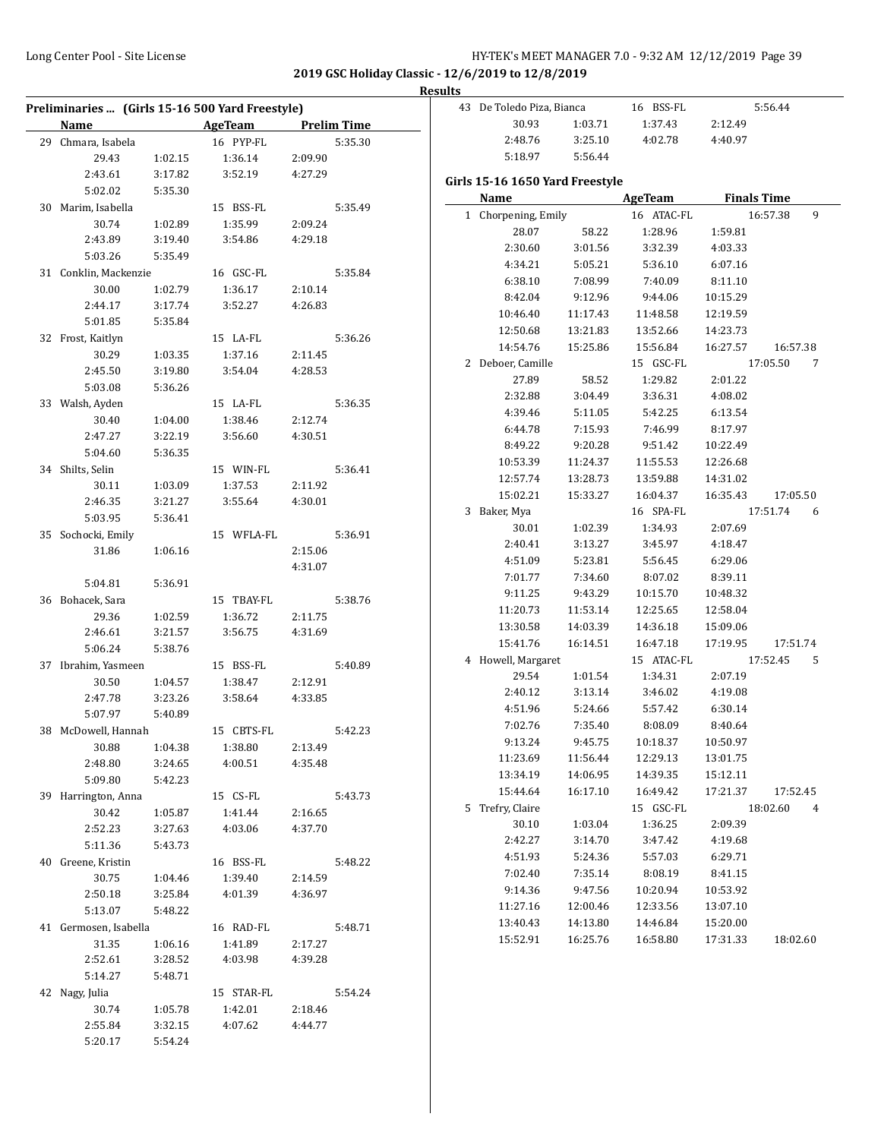**2019 GSC Holiday Classic - 12/6/2019 to 12/8/2019**

#### **Results**

|                       |         | Preliminaries  (Girls 15-16 500 Yard Freestyle) |         |                    | 43 De Toledo Piza, Bianca       |          | 16 BSS-FL  |          | 5:56.44            |
|-----------------------|---------|-------------------------------------------------|---------|--------------------|---------------------------------|----------|------------|----------|--------------------|
| Name                  |         | <b>AgeTeam</b>                                  |         | <b>Prelim Time</b> | 30.93                           | 1:03.71  | 1:37.43    | 2:12.49  |                    |
| 29 Chmara, Isabela    |         | 16 PYP-FL                                       |         | 5:35.30            | 2:48.76                         | 3:25.10  | 4:02.78    | 4:40.97  |                    |
| 29.43                 | 1:02.15 | 1:36.14                                         | 2:09.90 |                    | 5:18.97                         | 5:56.44  |            |          |                    |
| 2:43.61               | 3:17.82 | 3:52.19                                         | 4:27.29 |                    |                                 |          |            |          |                    |
| 5:02.02               | 5:35.30 |                                                 |         |                    | Girls 15-16 1650 Yard Freestyle |          |            |          |                    |
| 30 Marim, Isabella    |         | 15 BSS-FL                                       |         | 5:35.49            | Name                            |          | AgeTeam    |          | <b>Finals Time</b> |
| 30.74                 | 1:02.89 | 1:35.99                                         | 2:09.24 |                    | 1 Chorpening, Emily             |          | 16 ATAC-FL |          | 16:57.38           |
| 2:43.89               | 3:19.40 | 3:54.86                                         | 4:29.18 |                    | 28.07                           | 58.22    | 1:28.96    | 1:59.81  |                    |
| 5:03.26               | 5:35.49 |                                                 |         |                    | 2:30.60                         | 3:01.56  | 3:32.39    | 4:03.33  |                    |
| 31 Conklin, Mackenzie |         | 16 GSC-FL                                       |         | 5:35.84            | 4:34.21                         | 5:05.21  | 5:36.10    | 6:07.16  |                    |
| 30.00                 | 1:02.79 | 1:36.17                                         | 2:10.14 |                    | 6:38.10                         | 7:08.99  | 7:40.09    | 8:11.10  |                    |
| 2:44.17               | 3:17.74 | 3:52.27                                         | 4:26.83 |                    | 8:42.04                         | 9:12.96  | 9:44.06    | 10:15.29 |                    |
| 5:01.85               | 5:35.84 |                                                 |         |                    | 10:46.40                        | 11:17.43 | 11:48.58   | 12:19.59 |                    |
| 32 Frost, Kaitlyn     |         | 15 LA-FL                                        |         | 5:36.26            | 12:50.68                        | 13:21.83 | 13:52.66   | 14:23.73 |                    |
| 30.29                 | 1:03.35 | 1:37.16                                         | 2:11.45 |                    | 14:54.76                        | 15:25.86 | 15:56.84   | 16:27.57 | 16:5               |
| 2:45.50               | 3:19.80 | 3:54.04                                         | 4:28.53 |                    | 2 Deboer, Camille               |          | 15 GSC-FL  |          | 17:05.50           |
| 5:03.08               | 5:36.26 |                                                 |         |                    | 27.89                           | 58.52    | 1:29.82    | 2:01.22  |                    |
| 33 Walsh, Ayden       |         | 15 LA-FL                                        |         | 5:36.35            | 2:32.88                         | 3:04.49  | 3:36.31    | 4:08.02  |                    |
| 30.40                 | 1:04.00 | 1:38.46                                         | 2:12.74 |                    | 4:39.46                         | 5:11.05  | 5:42.25    | 6:13.54  |                    |
| 2:47.27               | 3:22.19 | 3:56.60                                         | 4:30.51 |                    | 6:44.78                         | 7:15.93  | 7:46.99    | 8:17.97  |                    |
| 5:04.60               | 5:36.35 |                                                 |         |                    | 8:49.22                         | 9:20.28  | 9:51.42    | 10:22.49 |                    |
| 34 Shilts, Selin      |         | 15 WIN-FL                                       |         | 5:36.41            | 10:53.39                        | 11:24.37 | 11:55.53   | 12:26.68 |                    |
| 30.11                 | 1:03.09 | 1:37.53                                         | 2:11.92 |                    | 12:57.74                        | 13:28.73 | 13:59.88   | 14:31.02 |                    |
| 2:46.35               | 3:21.27 | 3:55.64                                         | 4:30.01 |                    | 15:02.21                        | 15:33.27 | 16:04.37   | 16:35.43 | 17:0               |
| 5:03.95               | 5:36.41 |                                                 |         |                    | 3 Baker, Mya                    |          | 16 SPA-FL  |          | 17:51.74           |
| 35 Sochocki, Emily    |         | 15 WFLA-FL                                      |         | 5:36.91            | 30.01                           | 1:02.39  | 1:34.93    | 2:07.69  |                    |
| 31.86                 | 1:06.16 |                                                 | 2:15.06 |                    | 2:40.41                         | 3:13.27  | 3:45.97    | 4:18.47  |                    |
|                       |         |                                                 | 4:31.07 |                    | 4:51.09                         | 5:23.81  | 5:56.45    | 6:29.06  |                    |
| 5:04.81               | 5:36.91 |                                                 |         |                    | 7:01.77                         | 7:34.60  | 8:07.02    | 8:39.11  |                    |
| 36 Bohacek, Sara      |         | 15 TBAY-FL                                      |         | 5:38.76            | 9:11.25                         | 9:43.29  | 10:15.70   | 10:48.32 |                    |
| 29.36                 | 1:02.59 | 1:36.72                                         | 2:11.75 |                    | 11:20.73                        | 11:53.14 | 12:25.65   | 12:58.04 |                    |
| 2:46.61               | 3:21.57 | 3:56.75                                         | 4:31.69 |                    | 13:30.58                        | 14:03.39 | 14:36.18   | 15:09.06 |                    |
| 5:06.24               | 5:38.76 |                                                 |         |                    | 15:41.76                        | 16:14.51 | 16:47.18   | 17:19.95 | 17:5               |
| 37 Ibrahim, Yasmeen   |         | 15 BSS-FL                                       |         | 5:40.89            | 4 Howell, Margaret              |          | 15 ATAC-FL |          | 17:52.45           |
| 30.50                 | 1:04.57 | 1:38.47                                         | 2:12.91 |                    | 29.54                           | 1:01.54  | 1:34.31    | 2:07.19  |                    |
| 2:47.78               | 3:23.26 | 3:58.64                                         | 4:33.85 |                    | 2:40.12                         | 3:13.14  | 3:46.02    | 4:19.08  |                    |
| 5:07.97               | 5:40.89 |                                                 |         |                    | 4:51.96                         | 5:24.66  | 5:57.42    | 6:30.14  |                    |
| 38 McDowell, Hannah   |         | 15 CBTS-FL                                      |         | 5:42.23            | 7:02.76                         | 7:35.40  | 8:08.09    | 8:40.64  |                    |
| 30.88                 | 1:04.38 | 1:38.80                                         | 2:13.49 |                    | 9:13.24                         | 9:45.75  | 10:18.37   | 10:50.97 |                    |
| 2:48.80               | 3:24.65 | 4:00.51                                         | 4:35.48 |                    | 11:23.69                        | 11:56.44 | 12:29.13   | 13:01.75 |                    |
| 5:09.80               | 5:42.23 |                                                 |         |                    | 13:34.19                        | 14:06.95 | 14:39.35   | 15:12.11 |                    |
| 39 Harrington, Anna   |         | 15 CS-FL                                        |         | 5:43.73            | 15:44.64                        | 16:17.10 | 16:49.42   | 17:21.37 | 17:5               |
| 30.42                 | 1:05.87 | 1:41.44                                         | 2:16.65 |                    | 5 Trefry, Claire                |          | 15 GSC-FL  |          | 18:02.60           |
| 2:52.23               | 3:27.63 | 4:03.06                                         | 4:37.70 |                    | 30.10                           | 1:03.04  | 1:36.25    | 2:09.39  |                    |
| 5:11.36               | 5:43.73 |                                                 |         |                    | 2:42.27                         | 3:14.70  | 3:47.42    | 4:19.68  |                    |
| 40 Greene, Kristin    |         | 16 BSS-FL                                       |         | 5:48.22            | 4:51.93                         | 5:24.36  | 5:57.03    | 6:29.71  |                    |
| 30.75                 | 1:04.46 | 1:39.40                                         | 2:14.59 |                    | 7:02.40                         | 7:35.14  | 8:08.19    | 8:41.15  |                    |
| 2:50.18               | 3:25.84 | 4:01.39                                         | 4:36.97 |                    | 9:14.36                         | 9:47.56  | 10:20.94   | 10:53.92 |                    |
| 5:13.07               | 5:48.22 |                                                 |         |                    | 11:27.16                        | 12:00.46 | 12:33.56   | 13:07.10 |                    |
| 41 Germosen, Isabella |         | 16 RAD-FL                                       |         | 5:48.71            | 13:40.43                        | 14:13.80 | 14:46.84   | 15:20.00 |                    |
| 31.35                 | 1:06.16 | 1:41.89                                         | 2:17.27 |                    | 15:52.91                        | 16:25.76 | 16:58.80   | 17:31.33 | 18:                |
| 2:52.61               | 3:28.52 | 4:03.98                                         | 4:39.28 |                    |                                 |          |            |          |                    |
| 5:14.27               | 5:48.71 |                                                 |         |                    |                                 |          |            |          |                    |
| 42 Nagy, Julia        |         | 15 STAR-FL                                      |         | 5:54.24            |                                 |          |            |          |                    |
| 30.74                 | 1:05.78 | 1:42.01                                         | 2:18.46 |                    |                                 |          |            |          |                    |
| 2:55.84               | 3:32.15 | 4:07.62                                         | 4:44.77 |                    |                                 |          |            |          |                    |
| 5:20.17               | 5:54.24 |                                                 |         |                    |                                 |          |            |          |                    |

|   | Girls 15-16 1650 Yard Freestyle |          |                |                    |               |  |  |  |  |
|---|---------------------------------|----------|----------------|--------------------|---------------|--|--|--|--|
|   | Name                            |          | <b>AgeTeam</b> | <b>Finals Time</b> |               |  |  |  |  |
|   | 1 Chorpening, Emily             |          | 16 ATAC-FL     |                    | 16:57.38<br>9 |  |  |  |  |
|   | 28.07                           | 58.22    | 1:28.96        | 1:59.81            |               |  |  |  |  |
|   | 2:30.60                         | 3:01.56  | 3:32.39        | 4:03.33            |               |  |  |  |  |
|   | 4:34.21                         | 5:05.21  | 5:36.10        | 6:07.16            |               |  |  |  |  |
|   | 6:38.10                         | 7:08.99  | 7:40.09        | 8:11.10            |               |  |  |  |  |
|   | 8:42.04                         | 9:12.96  | 9:44.06        | 10:15.29           |               |  |  |  |  |
|   | 10:46.40                        | 11:17.43 | 11:48.58       | 12:19.59           |               |  |  |  |  |
|   | 12:50.68                        | 13:21.83 | 13:52.66       | 14:23.73           |               |  |  |  |  |
|   | 14:54.76                        | 15:25.86 | 15:56.84       | 16:27.57           | 16:57.38      |  |  |  |  |
| 2 | Deboer, Camille                 |          | 15 GSC-FL      |                    | 17:05.50<br>7 |  |  |  |  |
|   | 27.89                           | 58.52    | 1:29.82        | 2:01.22            |               |  |  |  |  |
|   | 2:32.88                         | 3:04.49  | 3:36.31        | 4:08.02            |               |  |  |  |  |
|   | 4:39.46                         | 5:11.05  | 5:42.25        | 6:13.54            |               |  |  |  |  |
|   | 6:44.78                         | 7:15.93  | 7:46.99        | 8:17.97            |               |  |  |  |  |
|   | 8:49.22                         | 9:20.28  | 9:51.42        | 10:22.49           |               |  |  |  |  |
|   | 10:53.39                        | 11:24.37 | 11:55.53       | 12:26.68           |               |  |  |  |  |
|   | 12:57.74                        | 13:28.73 | 13:59.88       | 14:31.02           |               |  |  |  |  |
|   | 15:02.21                        | 15:33.27 | 16:04.37       | 16:35.43           | 17:05.50      |  |  |  |  |
| 3 | Baker, Mya                      |          | 16 SPA-FL      |                    | 17:51.74<br>6 |  |  |  |  |
|   | 30.01                           | 1:02.39  | 1:34.93        | 2:07.69            |               |  |  |  |  |
|   | 2:40.41                         | 3:13.27  | 3:45.97        | 4:18.47            |               |  |  |  |  |
|   | 4:51.09                         | 5:23.81  | 5:56.45        | 6:29.06            |               |  |  |  |  |
|   | 7:01.77                         | 7:34.60  | 8:07.02        | 8:39.11            |               |  |  |  |  |
|   | 9:11.25                         | 9:43.29  | 10:15.70       | 10:48.32           |               |  |  |  |  |
|   | 11:20.73                        | 11:53.14 | 12:25.65       | 12:58.04           |               |  |  |  |  |
|   | 13:30.58                        | 14:03.39 | 14:36.18       | 15:09.06           |               |  |  |  |  |
|   | 15:41.76                        | 16:14.51 | 16:47.18       | 17:19.95           | 17:51.74      |  |  |  |  |
|   | 4 Howell, Margaret              |          | 15 ATAC-FL     |                    | 17:52.45<br>5 |  |  |  |  |
|   | 29.54                           | 1:01.54  | 1:34.31        | 2:07.19            |               |  |  |  |  |
|   | 2:40.12                         | 3:13.14  | 3:46.02        | 4:19.08            |               |  |  |  |  |
|   | 4:51.96                         | 5:24.66  | 5:57.42        | 6:30.14            |               |  |  |  |  |
|   | 7:02.76                         | 7:35.40  | 8:08.09        | 8:40.64            |               |  |  |  |  |
|   | 9:13.24                         | 9:45.75  | 10:18.37       | 10:50.97           |               |  |  |  |  |
|   | 11:23.69                        | 11:56.44 | 12:29.13       | 13:01.75           |               |  |  |  |  |
|   | 13:34.19                        | 14:06.95 | 14:39.35       | 15:12.11           |               |  |  |  |  |
|   | 15:44.64                        | 16:17.10 | 16:49.42       | 17:21.37           | 17:52.45      |  |  |  |  |
| 5 | Trefry, Claire                  |          | 15 GSC-FL      |                    | 18:02.60<br>4 |  |  |  |  |
|   | 30.10                           | 1:03.04  | 1:36.25        | 2:09.39            |               |  |  |  |  |
|   | 2:42.27                         | 3:14.70  | 3:47.42        | 4:19.68            |               |  |  |  |  |
|   | 4:51.93                         | 5:24.36  | 5:57.03        | 6:29.71            |               |  |  |  |  |
|   | 7:02.40                         | 7:35.14  | 8:08.19        | 8:41.15            |               |  |  |  |  |
|   | 9:14.36                         | 9:47.56  | 10:20.94       | 10:53.92           |               |  |  |  |  |
|   | 11:27.16                        | 12:00.46 | 12:33.56       | 13:07.10           |               |  |  |  |  |
|   | 13:40.43                        | 14:13.80 | 14:46.84       | 15:20.00           |               |  |  |  |  |
|   | 15:52.91                        | 16:25.76 | 16:58.80       | 17:31.33           | 18:02.60      |  |  |  |  |
|   |                                 |          |                |                    |               |  |  |  |  |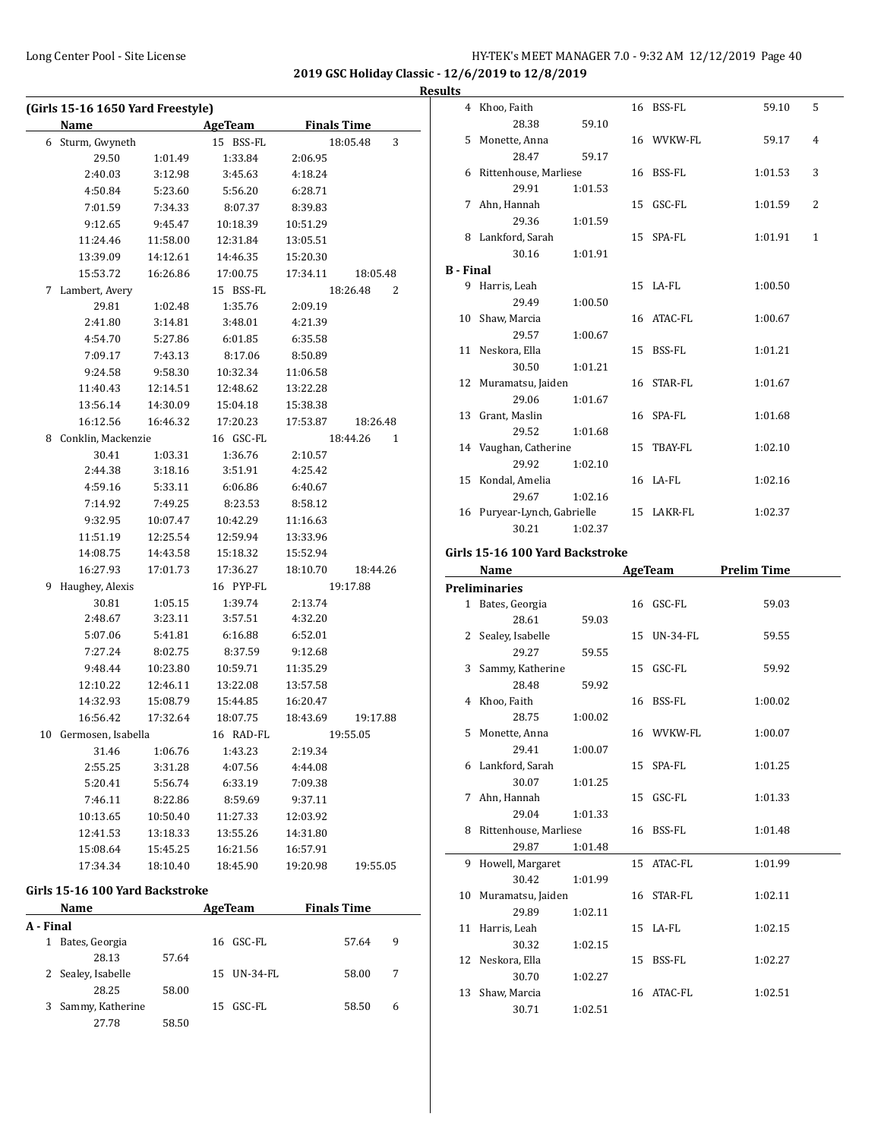4 Khoo, Faith 16 BSS-FL 59.10 5

5 Monette, Anna 16 WVKW-FL 59.17 4

6 Rittenhouse, Marliese 16 BSS-FL 1:01.53 3

7 Ahn, Hannah 15 GSC-FL 1:01.59 2

8 Lankford, Sarah 15 SPA-FL 1:01.91 1

9 Harris, Leah 15 LA-FL 1:00.50

10 Shaw, Marcia 16 ATAC-FL 1:00.67

11 Neskora, Ella 15 BSS-FL 1:01.21

12 Muramatsu, Jaiden 16 STAR-FL 1:01.67

13 Grant, Maslin 16 SPA-FL 1:01.68

14 Vaughan, Catherine 15 TBAY-FL 1:02.10

28.38 59.10

28.47 59.17

29.91 1:01.53

29.36 1:01.59

30.16 1:01.91

29.49 1:00.50

29.57 1:00.67

30.50 1:01.21

29.06 1:01.67

29.52 1:01.68

29.92 1:02.10

**2019 GSC Holiday Classic - 12/6/2019 to 12/8/2019**

#### **Results**

**B - Final**

|    | (Girls 15-16 1650 Yard Freestyle)<br><b>Name</b> |          | <b>AgeTeam</b> | <b>Finals Time</b>       |
|----|--------------------------------------------------|----------|----------------|--------------------------|
| 6  | Sturm, Gwyneth                                   |          | 15 BSS-FL      | 18:05.48<br>3            |
|    | 29.50                                            | 1:01.49  | 1:33.84        | 2:06.95                  |
|    | 2:40.03                                          | 3:12.98  | 3:45.63        | 4:18.24                  |
|    | 4:50.84                                          | 5:23.60  | 5:56.20        | 6:28.71                  |
|    | 7:01.59                                          | 7:34.33  | 8:07.37        | 8:39.83                  |
|    | 9:12.65                                          | 9:45.47  | 10:18.39       | 10:51.29                 |
|    | 11:24.46                                         | 11:58.00 | 12:31.84       | 13:05.51                 |
|    | 13:39.09                                         | 14:12.61 | 14:46.35       | 15:20.30                 |
|    | 15:53.72                                         | 16:26.86 | 17:00.75       | 17:34.11<br>18:05.48     |
| 7  | Lambert, Avery                                   |          | 15 BSS-FL      | 18:26.48<br>2            |
|    | 29.81                                            | 1:02.48  | 1:35.76        | 2:09.19                  |
|    | 2:41.80                                          | 3:14.81  | 3:48.01        | 4:21.39                  |
|    | 4:54.70                                          | 5:27.86  | 6:01.85        | 6:35.58                  |
|    | 7:09.17                                          | 7:43.13  | 8:17.06        | 8:50.89                  |
|    | 9:24.58                                          | 9:58.30  | 10:32.34       | 11:06.58                 |
|    | 11:40.43                                         | 12:14.51 | 12:48.62       | 13:22.28                 |
|    | 13:56.14                                         | 14:30.09 | 15:04.18       | 15:38.38                 |
|    | 16:12.56                                         | 16:46.32 | 17:20.23       | 17:53.87<br>18:26.48     |
| 8  | Conklin, Mackenzie                               |          | 16 GSC-FL      | 18:44.26<br>$\mathbf{1}$ |
|    | 30.41                                            | 1:03.31  | 1:36.76        | 2:10.57                  |
|    | 2:44.38                                          | 3:18.16  | 3:51.91        | 4:25.42                  |
|    | 4:59.16                                          | 5:33.11  | 6:06.86        | 6:40.67                  |
|    | 7:14.92                                          | 7:49.25  | 8:23.53        | 8:58.12                  |
|    | 9:32.95                                          | 10:07.47 | 10:42.29       | 11:16.63                 |
|    | 11:51.19                                         | 12:25.54 | 12:59.94       | 13:33.96                 |
|    | 14:08.75                                         | 14:43.58 | 15:18.32       | 15:52.94                 |
|    | 16:27.93                                         | 17:01.73 | 17:36.27       | 18:10.70<br>18:44.26     |
| 9  | Haughey, Alexis                                  |          | 16 PYP-FL      | 19:17.88                 |
|    | 30.81                                            | 1:05.15  | 1:39.74        | 2:13.74                  |
|    | 2:48.67                                          | 3:23.11  | 3:57.51        | 4:32.20                  |
|    | 5:07.06                                          | 5:41.81  | 6:16.88        | 6:52.01                  |
|    | 7:27.24                                          | 8:02.75  | 8:37.59        | 9:12.68                  |
|    | 9:48.44                                          | 10:23.80 | 10:59.71       | 11:35.29                 |
|    | 12:10.22                                         | 12:46.11 | 13:22.08       | 13:57.58                 |
|    | 14:32.93                                         | 15:08.79 | 15:44.85       | 16:20.47                 |
|    | 16:56.42                                         | 17:32.64 | 18:07.75       | 18:43.69<br>19:17.88     |
| 10 | Germosen, Isabella                               |          | 16 RAD-FL      | 19:55.05                 |
|    | 31.46                                            | 1:06.76  | 1:43.23        | 2:19.34                  |
|    | 2:55.25                                          | 3:31.28  | 4:07.56        | 4:44.08                  |
|    | 5:20.41                                          | 5:56.74  | 6:33.19        | 7:09.38                  |
|    | 7:46.11                                          | 8:22.86  | 8:59.69        | 9:37.11                  |
|    | 10:13.65                                         | 10:50.40 | 11:27.33       | 12:03.92                 |
|    |                                                  |          |                |                          |
|    | 12:41.53                                         | 13:18.33 | 13:55.26       | 14:31.80                 |
|    | 15:08.64                                         | 15:45.25 | 16:21.56       | 16:57.91                 |
|    | 17:34.34                                         | 18:10.40 | 18:45.90       | 19:20.98<br>19:55.05     |

**Name Age Team Finals Time** 

1 Bates, Georgia 16 GSC-FL 57.64 9

2 Sealey, Isabelle 15 UN-34-FL 58.00 7

3 Sammy, Katherine 15 GSC-FL 58.50 6

28.13 57.64

28.25 58.00

27.78 58.50

**A - Final**

# 15 Kondal, Amelia 16 LA-FL 1:02.16 29.67 1:02.16 16 Puryear-Lynch, Gabrielle 15 LAKR-FL 1:02.37 30.21 1:02.37 **Girls 15-16 100 Yard Backstroke Name AgeTeam Prelim Time Preliminaries** 1 Bates, Georgia 16 GSC-FL 59.03 28.61 59.03 2 Sealey, Isabelle 15 UN-34-FL 59.55 29.27 59.55 3 Sammy, Katherine 15 GSC-FL 59.92 28.48 59.92 4 Khoo, Faith 16 BSS-FL 1:00.02 28.75 1:00.02 29.41 1:00.07

30.71 1:02.51

| 5. | Monette, Anna         |         |    | 16 WVKW-FL | 1:00.07 |
|----|-----------------------|---------|----|------------|---------|
|    | 29.41                 | 1:00.07 |    |            |         |
| 6  | Lankford, Sarah       |         | 15 | SPA-FL     | 1:01.25 |
|    | 30.07                 | 1:01.25 |    |            |         |
| 7  | Ahn, Hannah           |         | 15 | GSC-FL     | 1:01.33 |
|    | 29.04                 | 1:01.33 |    |            |         |
| 8  | Rittenhouse, Marliese |         | 16 | BSS-FL     | 1:01.48 |
|    | 29.87                 | 1:01.48 |    |            |         |
| 9  | Howell, Margaret      |         |    | 15 ATAC-FL | 1:01.99 |
|    | 30.42                 | 1:01.99 |    |            |         |
|    | 10 Muramatsu, Jaiden  |         | 16 | STAR-FL    | 1:02.11 |
|    | 29.89                 | 1:02.11 |    |            |         |
| 11 | Harris, Leah          |         |    | 15 LA-FL   | 1:02.15 |
|    | 30.32                 | 1:02.15 |    |            |         |
| 12 | Neskora, Ella         |         | 15 | BSS-FL     | 1:02.27 |
|    | 30.70                 | 1:02.27 |    |            |         |
|    | 13 Shaw, Marcia       |         |    | 16 ATAC-FL | 1:02.51 |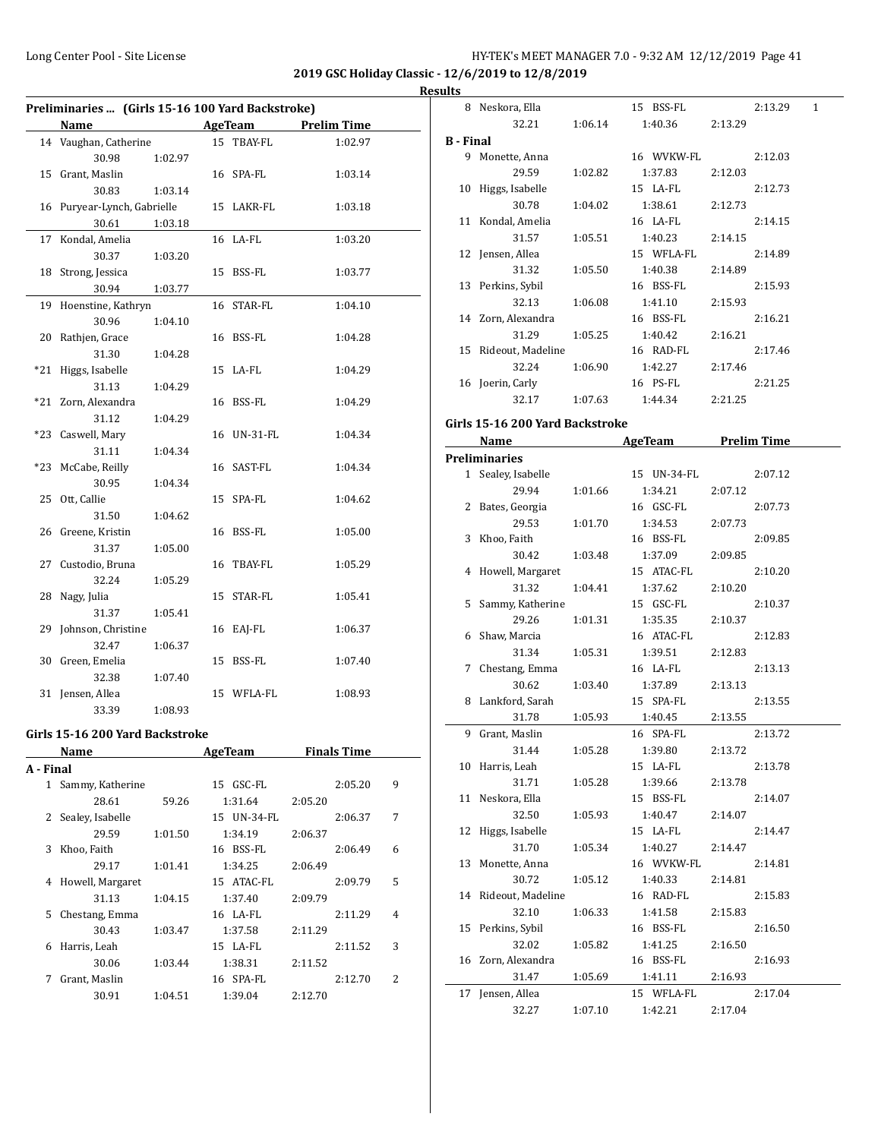**2019 GSC Holiday Classic - 12/6/2019 to 12/8/2019**

|              | Preliminaries  (Girls 15-16 100 Yard Backstroke) |         |                     |         |         | <b>Results</b> |
|--------------|--------------------------------------------------|---------|---------------------|---------|---------|----------------|
|              | Name                                             |         | AgeTeam Prelim Time |         |         |                |
|              | 14 Vaughan, Catherine                            |         | 15 TBAY-FL          |         | 1:02.97 |                |
|              | 30.98                                            | 1:02.97 |                     |         |         |                |
|              | 15 Grant, Maslin                                 |         | 16 SPA-FL           |         | 1:03.14 |                |
|              | 30.83                                            | 1:03.14 |                     |         |         |                |
|              |                                                  |         | 15 LAKR-FL          |         | 1:03.18 |                |
|              | 16 Puryear-Lynch, Gabrielle<br>30.61             | 1:03.18 |                     |         |         |                |
|              |                                                  |         |                     |         |         |                |
|              | 17 Kondal, Amelia                                |         | 16 LA-FL            |         | 1:03.20 |                |
|              | 30.37                                            | 1:03.20 |                     |         |         |                |
|              | 18 Strong, Jessica                               |         | 15 BSS-FL           |         | 1:03.77 |                |
|              | 30.94                                            | 1:03.77 |                     |         |         |                |
|              | 19 Hoenstine, Kathryn                            |         | 16 STAR-FL          |         | 1:04.10 |                |
|              | 30.96                                            | 1:04.10 |                     |         |         |                |
|              | 20 Rathjen, Grace                                |         | 16 BSS-FL           |         | 1:04.28 |                |
|              | 31.30                                            | 1:04.28 |                     |         |         |                |
|              | *21 Higgs, Isabelle                              |         | 15 LA-FL            |         | 1:04.29 |                |
|              | 31.13                                            | 1:04.29 |                     |         |         |                |
|              | *21 Zorn, Alexandra                              |         | 16 BSS-FL           |         | 1:04.29 |                |
|              | 31.12                                            | 1:04.29 |                     |         |         |                |
|              | *23 Caswell, Mary                                |         | 16 UN-31-FL         |         | 1:04.34 |                |
|              | 31.11                                            | 1:04.34 |                     |         |         |                |
|              | *23 McCabe, Reilly                               |         | 16 SAST-FL          |         | 1:04.34 |                |
|              | 30.95                                            | 1:04.34 |                     |         |         |                |
|              | 25 Ott, Callie                                   |         | 15 SPA-FL           |         | 1:04.62 |                |
|              |                                                  |         |                     |         |         |                |
|              | 31.50                                            | 1:04.62 |                     |         |         |                |
|              | 26 Greene, Kristin                               |         | 16 BSS-FL           |         | 1:05.00 |                |
|              | 31.37                                            | 1:05.00 |                     |         |         |                |
|              | 27 Custodio, Bruna                               |         | 16 TBAY-FL          |         | 1:05.29 |                |
|              | 32.24                                            | 1:05.29 |                     |         |         |                |
|              | 28 Nagy, Julia                                   |         | 15 STAR-FL          |         | 1:05.41 |                |
|              | 31.37                                            | 1:05.41 |                     |         |         |                |
|              | 29 Johnson, Christine                            |         | 16 EAJ-FL           |         | 1:06.37 |                |
|              | 32.47                                            | 1:06.37 |                     |         |         |                |
|              | 30 Green, Emelia                                 |         | 15 BSS-FL           |         | 1:07.40 |                |
|              | 32.38                                            | 1:07.40 |                     |         |         |                |
|              | 31 Jensen, Allea                                 |         | 15 WFLA-FL          |         | 1:08.93 |                |
|              | 33.39                                            | 1:08.93 |                     |         |         |                |
|              |                                                  |         |                     |         |         |                |
|              | Girls 15-16 200 Yard Backstroke                  |         |                     |         |         |                |
|              | Name                                             |         | AgeTeam Finals Time |         |         |                |
| A - Final    |                                                  |         |                     |         |         |                |
| $\mathbf{1}$ | Sammy, Katherine                                 |         | 15 GSC-FL           |         | 2:05.20 | 9              |
|              | 28.61                                            | 59.26   | 1:31.64             | 2:05.20 |         |                |
|              | 2 Sealey, Isabelle                               |         | 15 UN-34-FL         |         | 2:06.37 | 7              |
|              | 29.59                                            | 1:01.50 | 1:34.19             | 2:06.37 |         |                |
|              | 3 Khoo, Faith                                    |         | 16 BSS-FL           |         | 2:06.49 | 6              |
|              | 29.17                                            | 1:01.41 | 1:34.25             | 2:06.49 |         |                |
| 4            | Howell, Margaret                                 |         | 15 ATAC-FL          |         | 2:09.79 | 5              |
|              | 31.13                                            | 1:04.15 | 1:37.40             | 2:09.79 |         |                |
| 5            | Chestang, Emma                                   |         | 16 LA-FL            |         | 2:11.29 | $\overline{4}$ |
|              | 30.43                                            | 1:03.47 | 1:37.58             | 2:11.29 |         |                |
| 6            | Harris, Leah                                     |         | 15 LA-FL            |         | 2:11.52 | 3              |
|              | 30.06                                            |         | 1:38.31             |         |         |                |
|              |                                                  | 1:03.44 |                     | 2:11.52 |         |                |
| 7            | Grant, Maslin                                    |         | 16 SPA-FL           |         | 2:12.70 | 2              |
|              | 30.91                                            | 1:04.51 | 1:39.04             | 2:12.70 |         |                |

|                  | 8 Neskora, Ella                 |         | 15 BSS-FL            |         | 2:13.29<br>1 |
|------------------|---------------------------------|---------|----------------------|---------|--------------|
|                  | 32.21                           | 1:06.14 | 1:40.36              | 2:13.29 |              |
| <b>B</b> - Final |                                 |         |                      |         |              |
|                  | 9 Monette, Anna                 |         | 16 WVKW-FL           |         | 2:12.03      |
|                  | 29.59                           | 1:02.82 | 1:37.83              | 2:12.03 |              |
|                  | 10 Higgs, Isabelle              |         | 15 LA-FL             |         | 2:12.73      |
|                  | 30.78                           | 1:04.02 | 1:38.61              | 2:12.73 |              |
|                  | 11 Kondal, Amelia               |         | 16 LA-FL             |         | 2:14.15      |
|                  | 31.57                           | 1:05.51 | 1:40.23              | 2:14.15 |              |
|                  | 12 Jensen, Allea                |         | 15 WFLA-FL           |         | 2:14.89      |
|                  | 31.32                           | 1:05.50 | 1:40.38              | 2:14.89 |              |
|                  | 13 Perkins, Sybil               |         | 16 BSS-FL            |         | 2:15.93      |
|                  | 32.13                           | 1:06.08 | 1:41.10              | 2:15.93 |              |
|                  | 14 Zorn, Alexandra              |         | 16 BSS-FL            |         | 2:16.21      |
|                  | 31.29                           | 1:05.25 | 1:40.42              | 2:16.21 |              |
|                  | 15 Rideout, Madeline            |         | 16 RAD-FL            |         | 2:17.46      |
|                  | 32.24                           | 1:06.90 | 1:42.27              | 2:17.46 |              |
|                  | 16 Joerin, Carly                |         | 16 PS-FL             |         | 2:21.25      |
|                  | 32.17                           | 1:07.63 | 1:44.34              | 2:21.25 |              |
|                  | Girls 15-16 200 Yard Backstroke |         |                      |         |              |
|                  |                                 |         |                      |         |              |
|                  | Name                            |         | AgeTeam Prelim Time  |         |              |
|                  | <b>Preliminaries</b>            |         |                      |         |              |
|                  | 1 Sealey, Isabelle              |         | 15 UN-34-FL          |         | 2:07.12      |
|                  | 29.94                           | 1:01.66 | 1:34.21              | 2:07.12 |              |
|                  | 2 Bates, Georgia                |         | 16 GSC-FL            |         | 2:07.73      |
|                  | 29.53                           | 1:01.70 | 1:34.53              | 2:07.73 |              |
|                  | 3 Khoo, Faith                   |         | 16 BSS-FL            |         | 2:09.85      |
|                  | 30.42                           | 1:03.48 | 1:37.09              | 2:09.85 |              |
|                  | 4 Howell, Margaret              |         | 15 ATAC-FL           |         | 2:10.20      |
|                  | 31.32                           | 1:04.41 | 1:37.62              | 2:10.20 |              |
|                  | 5 Sammy, Katherine              |         | 15 GSC-FL            |         | 2:10.37      |
|                  | 29.26                           | 1:01.31 | 1:35.35              | 2:10.37 |              |
|                  | 6 Shaw, Marcia                  |         | 16 ATAC-FL           |         | 2:12.83      |
|                  | 31.34                           | 1:05.31 | 1:39.51              | 2:12.83 |              |
| 7                | Chestang, Emma                  |         | 16 LA-FL             |         | 2:13.13      |
|                  | 30.62                           | 1:03.40 | 1:37.89              | 2:13.13 |              |
|                  | 8 Lankford, Sarah               |         | 15 SPA-FL            |         | 2:13.55      |
|                  | 31.78                           | 1:05.93 | 1:40.45              | 2:13.55 |              |
|                  | 9 Grant, Maslin                 |         | 16 SPA-FL            |         | 2:13.72      |
|                  | 31.44                           | 1:05.28 | 1:39.80<br>15 LA-FL  | 2:13.72 |              |
|                  | 10 Harris, Leah                 |         |                      |         | 2:13.78      |
| 11               | 31.71<br>Neskora, Ella          | 1:05.28 | 1:39.66<br>15 BSS-FL | 2:13.78 |              |
|                  | 32.50                           |         | 1:40.47              |         | 2:14.07      |
|                  | 12 Higgs, Isabelle              | 1:05.93 | 15 LA-FL             | 2:14.07 | 2:14.47      |
|                  | 31.70                           |         | 1:40.27              | 2:14.47 |              |
| 13               | Monette, Anna                   | 1:05.34 | 16 WVKW-FL           |         | 2:14.81      |
|                  | 30.72                           |         |                      |         |              |
| 14               | Rideout, Madeline               | 1:05.12 | 1:40.33<br>16 RAD-FL | 2:14.81 | 2:15.83      |
|                  | 32.10                           |         | 1:41.58              |         |              |
|                  |                                 | 1:06.33 |                      | 2:15.83 | 2:16.50      |
| 15               | Perkins, Sybil                  |         | 16 BSS-FL            |         |              |
|                  | 32.02<br>Zorn, Alexandra        | 1:05.82 | 1:41.25<br>16 BSS-FL | 2:16.50 |              |
| 16               | 31.47                           |         |                      |         | 2:16.93      |
|                  |                                 | 1:05.69 | 1:41.11              | 2:16.93 |              |
| 17               | Jensen, Allea                   |         | 15 WFLA-FL           |         | 2:17.04      |
|                  | 32.27                           | 1:07.10 | 1:42.21              | 2:17.04 |              |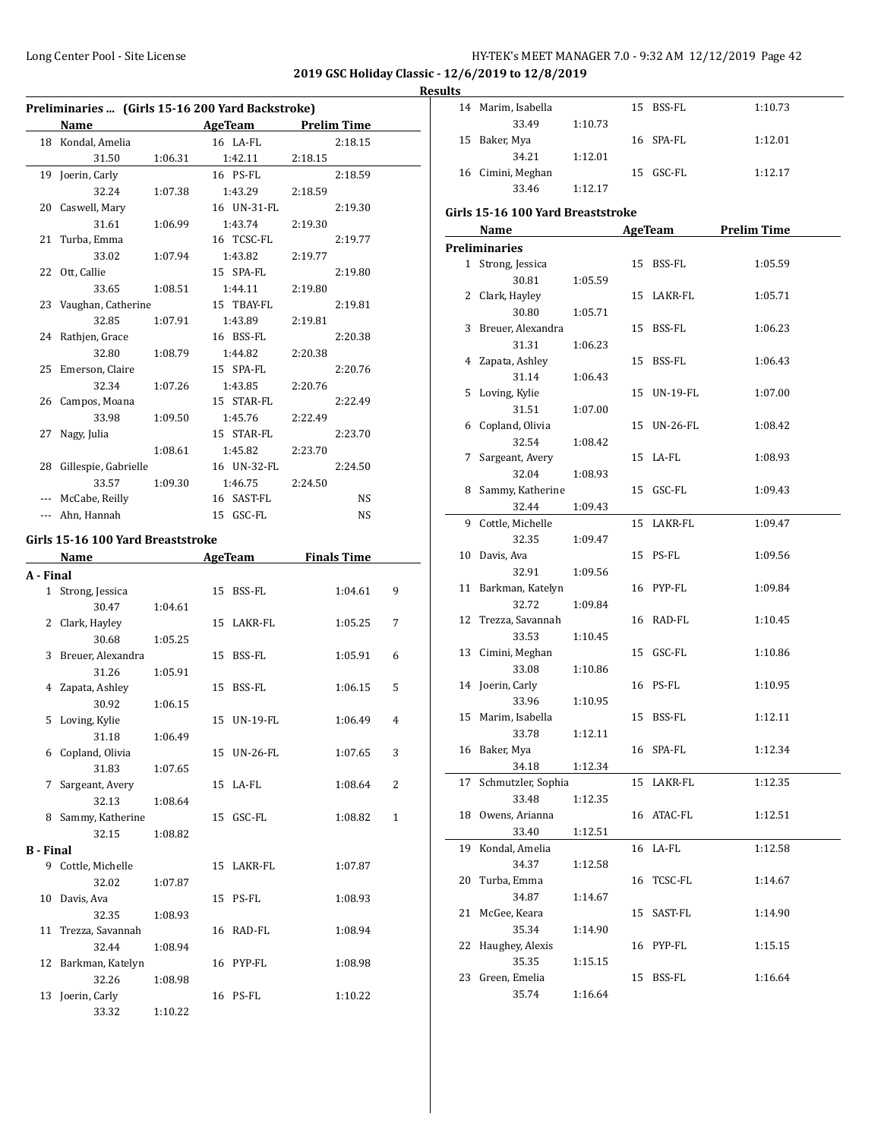# **Results**

| Preliminaries  (Girls 15-16 200 Yard Backstroke) |                                                                                                                                                                                                                               |         |  |                     |         |                    |   |
|--------------------------------------------------|-------------------------------------------------------------------------------------------------------------------------------------------------------------------------------------------------------------------------------|---------|--|---------------------|---------|--------------------|---|
|                                                  | <b>Name</b>                                                                                                                                                                                                                   |         |  | AgeTeam             |         | <b>Prelim Time</b> |   |
|                                                  | 18 Kondal, Amelia                                                                                                                                                                                                             |         |  | 16 LA-FL            |         | 2:18.15            |   |
|                                                  | 31.50                                                                                                                                                                                                                         | 1:06.31 |  | 1:42.11             | 2:18.15 |                    |   |
| 19                                               | Joerin, Carly                                                                                                                                                                                                                 |         |  | 16 PS-FL            |         | 2:18.59            |   |
|                                                  | 32.24                                                                                                                                                                                                                         | 1:07.38 |  | 1:43.29             | 2:18.59 |                    |   |
|                                                  | 20 Caswell, Mary                                                                                                                                                                                                              |         |  | 16 UN-31-FL         |         | 2:19.30            |   |
|                                                  | 31.61                                                                                                                                                                                                                         | 1:06.99 |  | 1:43.74             | 2:19.30 |                    |   |
| 21                                               | Turba, Emma                                                                                                                                                                                                                   |         |  | 16 TCSC-FL          |         | 2:19.77            |   |
|                                                  | 33.02                                                                                                                                                                                                                         | 1:07.94 |  | 1:43.82             | 2:19.77 |                    |   |
| 22                                               | Ott, Callie                                                                                                                                                                                                                   |         |  | 15 SPA-FL           |         | 2:19.80            |   |
|                                                  | 33.65                                                                                                                                                                                                                         | 1:08.51 |  | 1:44.11             | 2:19.80 |                    |   |
| 23                                               | Vaughan, Catherine                                                                                                                                                                                                            |         |  | 15 TBAY-FL          |         | 2:19.81            |   |
|                                                  | 32.85                                                                                                                                                                                                                         | 1:07.91 |  | 1:43.89             | 2:19.81 |                    |   |
|                                                  | 24 Rathjen, Grace                                                                                                                                                                                                             |         |  | 16 BSS-FL           |         | 2:20.38            |   |
|                                                  | 32.80                                                                                                                                                                                                                         | 1:08.79 |  | 1:44.82             | 2:20.38 |                    |   |
| 25                                               | Emerson, Claire                                                                                                                                                                                                               |         |  | 15 SPA-FL           |         | 2:20.76            |   |
|                                                  | 32.34                                                                                                                                                                                                                         | 1:07.26 |  | 1:43.85             | 2:20.76 |                    |   |
| 26                                               | Campos, Moana                                                                                                                                                                                                                 |         |  | 15 STAR-FL          |         | 2:22.49            |   |
|                                                  | 33.98                                                                                                                                                                                                                         | 1:09.50 |  | 1:45.76             | 2:22.49 |                    |   |
| 27                                               | Nagy, Julia                                                                                                                                                                                                                   |         |  | 15 STAR-FL          |         | 2:23.70            |   |
|                                                  |                                                                                                                                                                                                                               | 1:08.61 |  | 1:45.82             | 2:23.70 |                    |   |
| 28                                               | Gillespie, Gabrielle                                                                                                                                                                                                          |         |  | 16 UN-32-FL         |         | 2:24.50            |   |
|                                                  | 33.57                                                                                                                                                                                                                         | 1:09.30 |  | 1:46.75             | 2:24.50 |                    |   |
|                                                  | --- McCabe, Reilly                                                                                                                                                                                                            |         |  | 16 SAST-FL          |         | NS                 |   |
|                                                  | --- Ahn, Hannah                                                                                                                                                                                                               |         |  | 15 GSC-FL           |         | NS                 |   |
|                                                  |                                                                                                                                                                                                                               |         |  |                     |         |                    |   |
|                                                  | Girls 15-16 100 Yard Breaststroke                                                                                                                                                                                             |         |  |                     |         |                    |   |
|                                                  | Name and the same state of the state of the state of the state of the state of the state of the state of the state of the state of the state of the state of the state of the state of the state of the state of the state of |         |  | AgeTeam Finals Time |         |                    |   |
| A - Final                                        |                                                                                                                                                                                                                               |         |  |                     |         |                    |   |
|                                                  | 1 Strong, Jessica                                                                                                                                                                                                             |         |  | 15 BSS-FL           |         | 1:04.61            | 9 |
|                                                  | 30.47                                                                                                                                                                                                                         | 1:04.61 |  |                     |         |                    |   |
|                                                  | 2 Clark, Hayley                                                                                                                                                                                                               |         |  | 15 LAKR-FL          |         | 1:05.25            | 7 |
|                                                  | 30.68                                                                                                                                                                                                                         | 1:05.25 |  |                     |         |                    |   |
| 3                                                | Breuer, Alexandra                                                                                                                                                                                                             |         |  | 15 BSS-FL           |         | 1:05.91            | 6 |
|                                                  | 31.26                                                                                                                                                                                                                         | 1:05.91 |  |                     |         |                    |   |
|                                                  | 4 Zapata, Ashley                                                                                                                                                                                                              |         |  | 15 BSS-FL           |         | 1:06.15            | 5 |
|                                                  | 30.92                                                                                                                                                                                                                         | 1:06.15 |  |                     |         |                    |   |
| 5                                                | Loving, Kylie                                                                                                                                                                                                                 |         |  | 15 UN-19-FL         |         | 1:06.49            | 4 |
|                                                  | 31.18                                                                                                                                                                                                                         | 1:06.49 |  |                     |         |                    |   |
|                                                  | 6 Copland, Olivia                                                                                                                                                                                                             |         |  | 15 UN-26-FL         |         | 1:07.65            | 3 |
|                                                  | 31.83                                                                                                                                                                                                                         | 1:07.65 |  |                     |         |                    |   |
| 7                                                | Sargeant, Avery                                                                                                                                                                                                               |         |  | 15 LA-FL            |         | 1:08.64            | 2 |
|                                                  | 32.13                                                                                                                                                                                                                         | 1:08.64 |  |                     |         |                    |   |
| 8                                                | Sammy, Katherine                                                                                                                                                                                                              |         |  | 15 GSC-FL           |         | 1:08.82            | 1 |
|                                                  | 32.15                                                                                                                                                                                                                         | 1:08.82 |  |                     |         |                    |   |
| <b>B</b> - Final                                 |                                                                                                                                                                                                                               |         |  |                     |         |                    |   |
| 9                                                | Cottle, Michelle                                                                                                                                                                                                              |         |  | 15 LAKR-FL          |         | 1:07.87            |   |
|                                                  | 32.02                                                                                                                                                                                                                         | 1:07.87 |  |                     |         |                    |   |
| 10                                               | Davis, Ava                                                                                                                                                                                                                    |         |  | 15 PS-FL            |         | 1:08.93            |   |
|                                                  | 32.35                                                                                                                                                                                                                         | 1:08.93 |  |                     |         |                    |   |
| 11                                               | Trezza, Savannah                                                                                                                                                                                                              |         |  | 16 RAD-FL           |         | 1:08.94            |   |
|                                                  | 32.44                                                                                                                                                                                                                         | 1:08.94 |  |                     |         |                    |   |
| 12                                               | Barkman, Katelyn                                                                                                                                                                                                              |         |  | 16 PYP-FL           |         | 1:08.98            |   |
|                                                  | 32.26                                                                                                                                                                                                                         | 1:08.98 |  |                     |         |                    |   |
| 13                                               | Joerin, Carly                                                                                                                                                                                                                 |         |  | 16 PS-FL            |         | 1:10.22            |   |
|                                                  | 33.32                                                                                                                                                                                                                         | 1:10.22 |  |                     |         |                    |   |

|    | 14 Marim, Isabella                |         |    | 15 BSS-FL   | 1:10.73             |
|----|-----------------------------------|---------|----|-------------|---------------------|
|    | 33.49                             | 1:10.73 |    |             |                     |
|    | 15 Baker, Mya                     |         |    | 16 SPA-FL   | 1:12.01             |
|    | 34.21                             | 1:12.01 |    |             |                     |
|    | 16 Cimini, Meghan                 |         |    | 15 GSC-FL   | 1:12.17             |
|    | 33.46                             | 1:12.17 |    |             |                     |
|    | Girls 15-16 100 Yard Breaststroke |         |    |             |                     |
|    |                                   |         |    |             |                     |
|    | Name                              |         |    |             | AgeTeam Prelim Time |
|    | <b>Preliminaries</b>              |         |    |             |                     |
|    | 1 Strong, Jessica                 |         |    | 15 BSS-FL   | 1:05.59             |
|    | 30.81                             | 1:05.59 |    |             |                     |
|    | 2 Clark, Hayley                   |         |    | 15 LAKR-FL  | 1:05.71             |
|    | 30.80                             | 1:05.71 |    |             |                     |
|    | 3 Breuer, Alexandra               |         |    | 15 BSS-FL   | 1:06.23             |
|    | 31.31                             | 1:06.23 |    |             |                     |
|    | 4 Zapata, Ashley                  |         |    | 15 BSS-FL   | 1:06.43             |
|    | 31.14                             | 1:06.43 |    |             |                     |
|    | 5 Loving, Kylie                   |         |    | 15 UN-19-FL | 1:07.00             |
|    | 31.51                             | 1:07.00 |    |             |                     |
|    | 6 Copland, Olivia                 |         |    | 15 UN-26-FL | 1:08.42             |
|    | 32.54                             | 1:08.42 |    |             |                     |
|    | 7 Sargeant, Avery                 |         |    | 15 LA-FL    | 1:08.93             |
|    | 32.04                             | 1:08.93 |    |             |                     |
|    | 8 Sammy, Katherine                |         |    | 15 GSC-FL   | 1:09.43             |
|    | 32.44                             | 1:09.43 |    |             |                     |
|    | 9 Cottle, Michelle                |         |    | 15 LAKR-FL  | 1:09.47             |
|    | 32.35                             | 1:09.47 |    |             |                     |
|    | 10 Davis, Ava                     |         |    | 15 PS-FL    | 1:09.56             |
|    | 32.91                             | 1:09.56 |    |             |                     |
|    | 11 Barkman, Katelyn               |         |    | 16 PYP-FL   | 1:09.84             |
|    | 32.72                             | 1:09.84 |    |             |                     |
|    | 12 Trezza, Savannah               |         |    | 16 RAD-FL   | 1:10.45             |
|    | 33.53                             | 1:10.45 |    |             |                     |
|    | 13 Cimini, Meghan                 |         |    | 15 GSC-FL   |                     |
|    |                                   |         |    |             | 1:10.86             |
|    | 33.08                             | 1:10.86 |    |             |                     |
|    | 14 Joerin, Carly                  |         |    | 16 PS-FL    | 1:10.95             |
|    | 33.96                             | 1:10.95 |    |             |                     |
|    | 15 Marim, Isabella                |         |    | 15 BSS-FL   | 1:12.11             |
|    | 33.78                             | 1:12.11 |    |             |                     |
|    | 16 Baker, Mya                     |         |    | 16 SPA-FL   | 1:12.34             |
|    | 34.18                             | 1:12.34 |    |             |                     |
| 17 | Schmutzler, Sophia                |         |    | 15 LAKR-FL  | 1:12.35             |
|    | 33.48                             | 1:12.35 |    |             |                     |
| 18 | Owens, Arianna                    |         |    | 16 ATAC-FL  | 1:12.51             |
|    | 33.40                             | 1:12.51 |    |             |                     |
| 19 | Kondal, Amelia                    |         | 16 | LA-FL       | 1:12.58             |
|    | 34.37                             | 1:12.58 |    |             |                     |
| 20 | Turba, Emma                       |         | 16 | TCSC-FL     | 1:14.67             |
|    | 34.87                             | 1:14.67 |    |             |                     |
| 21 | McGee, Keara                      |         | 15 | SAST-FL     | 1:14.90             |
|    | 35.34                             | 1:14.90 |    |             |                     |
| 22 | Haughey, Alexis                   |         | 16 | PYP-FL      | 1:15.15             |
|    | 35.35                             | 1:15.15 |    |             |                     |
| 23 | Green, Emelia                     |         | 15 | BSS-FL      | 1:16.64             |
|    | 35.74                             | 1:16.64 |    |             |                     |
|    |                                   |         |    |             |                     |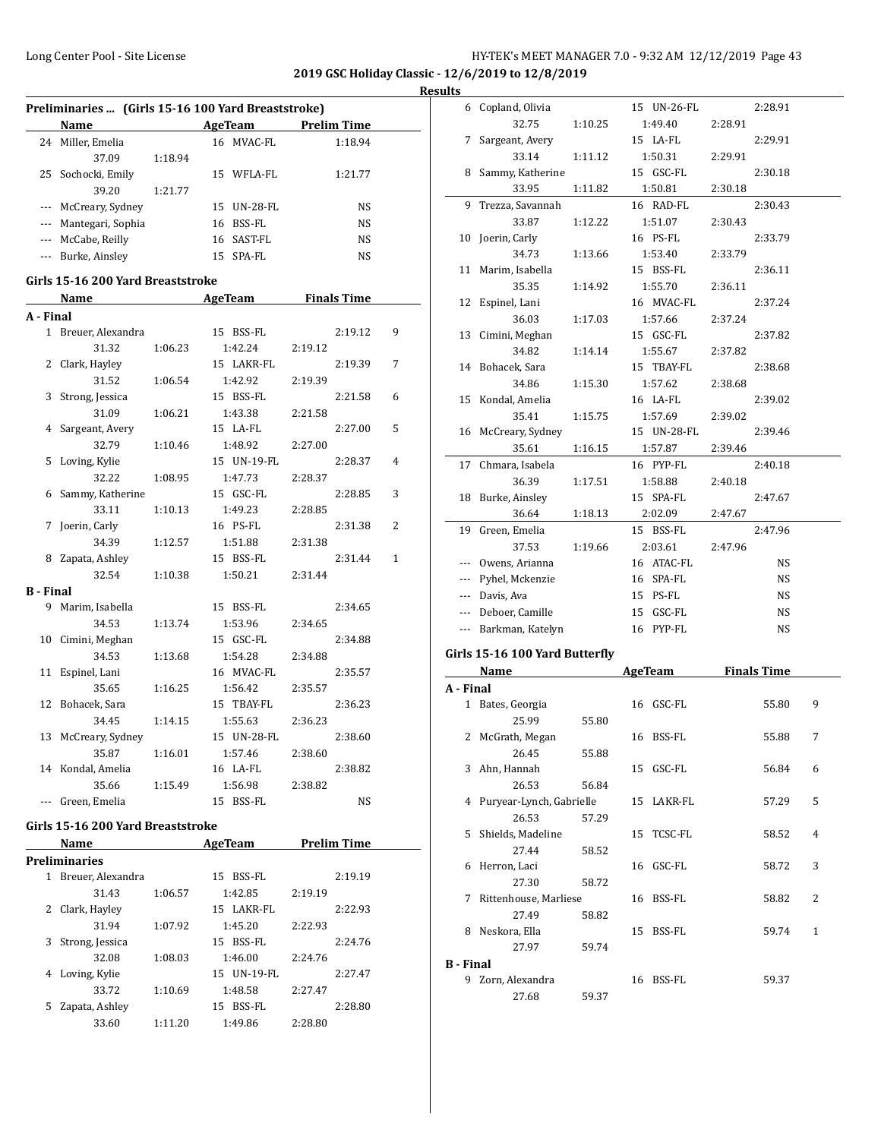**2019 GSC Holiday Classic - 12/6/2019 to 12/8/2019**

|           | Name                              |         | <b>Example 21 AgeTeam</b> Prelim Time |                     |   |
|-----------|-----------------------------------|---------|---------------------------------------|---------------------|---|
|           | 24 Miller, Emelia                 |         | 16 MVAC-FL                            | 1:18.94             |   |
|           | 37.09                             | 1:18.94 |                                       |                     |   |
|           | 25 Sochocki, Emily                |         | 15 WFLA-FL                            | 1:21.77             |   |
|           | 39.20                             | 1:21.77 |                                       |                     |   |
|           | --- McCreary, Sydney              |         | 15 UN-28-FL                           | NS                  |   |
|           | --- Mantegari, Sophia             |         | 16 BSS-FL                             | NS                  |   |
|           | --- McCabe, Reilly                |         | 16 SAST-FL                            | NS                  |   |
| ---       | Burke, Ainsley                    |         | 15 SPA-FL                             | NS                  |   |
|           | Girls 15-16 200 Yard Breaststroke |         |                                       |                     |   |
|           |                                   |         |                                       |                     |   |
|           | Name                              |         |                                       | AgeTeam Finals Time |   |
| A - Final |                                   |         |                                       |                     |   |
|           | 1 Breuer, Alexandra               |         | 15 BSS-FL                             | 2:19.12             |   |
|           | 31.32                             | 1:06.23 | 1:42.24                               | 2:19.12             |   |
| 2         | Clark, Hayley                     |         | 15 LAKR-FL                            | 2:19.39             |   |
|           | 31.52                             | 1:06.54 | 1:42.92                               | 2:19.39             |   |
| 3         | Strong, Jessica                   |         | 15 BSS-FL                             | 2:21.58             |   |
|           | 31.09                             | 1:06.21 | 1:43.38                               | 2:21.58             |   |
|           | 4 Sargeant, Avery                 |         | 15 LA-FL                              | 2:27.00             |   |
|           | 32.79                             | 1:10.46 | 1:48.92                               | 2:27.00             |   |
| 5         | Loving, Kylie                     |         | 15 UN-19-FL                           | 2:28.37             |   |
|           | 32.22                             | 1:08.95 | 1:47.73                               | 2:28.37             |   |
| 6         | Sammy, Katherine                  |         | 15 GSC-FL                             | 2:28.85             |   |
|           | 33.11                             | 1:10.13 | 1:49.23                               | 2:28.85             |   |
| 7         | Joerin, Carly                     |         | 16 PS-FL                              | 2:31.38             | 2 |
|           |                                   |         |                                       |                     |   |
|           | 34.39                             | 1:12.57 | 1:51.88                               | 2:31.38             |   |
| 8         | Zapata, Ashley                    |         | 15 BSS-FL                             | 2:31.44             |   |
|           | 32.54                             | 1:10.38 | 1:50.21                               | 2:31.44             |   |
|           | B - Final                         |         |                                       |                     |   |
|           | 9 Marim, Isabella                 |         | 15 BSS-FL                             | 2:34.65             |   |
|           | 34.53                             | 1:13.74 | 1:53.96                               | 2:34.65             |   |
|           | 10 Cimini, Meghan                 |         | 15 GSC-FL                             | 2:34.88             |   |
|           | 34.53                             | 1:13.68 | 1:54.28                               | 2:34.88             |   |
|           | 11 Espinel, Lani                  |         | 16 MVAC-FL                            | 2:35.57             |   |
|           | 35.65                             | 1:16.25 | 1:56.42                               | 2:35.57             |   |
| 12        | Bohacek, Sara                     |         | 15 TBAY-FL                            | 2:36.23             |   |
|           | 34.45                             | 1:14.15 | 1:55.63                               | 2:36.23             |   |
|           | 13 McCreary, Sydney               |         | 15 UN-28-FL                           | 2:38.60             |   |
|           | 35.87                             | 1:16.01 | 1:57.46                               | 2:38.60             |   |
|           | 14 Kondal, Amelia                 |         | 16 LA-FL                              | 2:38.82             |   |
|           | 35.66                             | 1:15.49 | 1:56.98                               | 2:38.82             |   |
|           | --- Green, Emelia                 |         | 15 BSS-FL                             | NS                  |   |
|           |                                   |         |                                       |                     |   |
|           | Girls 15-16 200 Yard Breaststroke |         |                                       |                     |   |
|           | Name                              |         |                                       | AgeTeam Prelim Time |   |
|           | <b>Preliminaries</b>              |         |                                       |                     |   |
|           | 1 Breuer, Alexandra               |         | 15 BSS-FL                             | 2:19.19             |   |
|           | 31.43                             | 1:06.57 | 1:42.85                               | 2:19.19             |   |
|           | 2 Clark, Hayley                   |         | 15 LAKR-FL                            | 2:22.93             |   |
|           | 31.94                             | 1:07.92 | 1:45.20                               | 2:22.93             |   |
| 3         | Strong, Jessica                   |         | 15 BSS-FL                             | 2:24.76             |   |
|           | 32.08                             | 1:08.03 | 1:46.00                               | 2:24.76             |   |
|           | 4 Loving, Kylie                   |         | 15 UN-19-FL                           | 2:27.47             |   |
|           | 33.72                             |         | 1:48.58                               |                     |   |
|           |                                   | 1:10.69 |                                       | 2:27.47             |   |
|           | 5 Zapata, Ashley                  | 1:11.20 | 15 BSS-FL                             | 2:28.80             |   |
|           | 33.60                             |         | 1:49.86                               | 2:28.80             |   |

| <b>Results</b>   |                                |         |             |                     |         |              |
|------------------|--------------------------------|---------|-------------|---------------------|---------|--------------|
|                  | 6 Copland, Olivia              |         | 15 UN-26-FL |                     | 2:28.91 |              |
|                  | 32.75                          | 1:10.25 | 1:49.40     | 2:28.91             |         |              |
| 7                | Sargeant, Avery                |         | 15 LA-FL    |                     | 2:29.91 |              |
|                  | 33.14                          | 1:11.12 | 1:50.31     | 2:29.91             |         |              |
|                  | 8 Sammy, Katherine             |         | 15 GSC-FL   |                     | 2:30.18 |              |
|                  | 33.95                          | 1:11.82 | 1:50.81     | 2:30.18             |         |              |
|                  | 9 Trezza, Savannah             |         | 16 RAD-FL   |                     | 2:30.43 |              |
|                  | 33.87                          | 1:12.22 | 1:51.07     | 2:30.43             |         |              |
|                  |                                |         | 16 PS-FL    |                     | 2:33.79 |              |
|                  | 10 Joerin, Carly<br>34.73      |         |             |                     |         |              |
|                  |                                | 1:13.66 | 1:53.40     | 2:33.79             |         |              |
|                  | 11 Marim, Isabella             |         | 15 BSS-FL   |                     | 2:36.11 |              |
|                  | 35.35                          | 1:14.92 | 1:55.70     | 2:36.11             |         |              |
|                  | 12 Espinel, Lani               |         | 16 MVAC-FL  |                     | 2:37.24 |              |
|                  | 36.03                          | 1:17.03 | 1:57.66     | 2:37.24             |         |              |
|                  | 13 Cimini, Meghan              |         | 15 GSC-FL   |                     | 2:37.82 |              |
|                  | 34.82                          | 1:14.14 | 1:55.67     | 2:37.82             |         |              |
|                  | 14 Bohacek, Sara               |         | 15 TBAY-FL  |                     | 2:38.68 |              |
|                  | 34.86                          | 1:15.30 | 1:57.62     | 2:38.68             |         |              |
|                  | 15 Kondal, Amelia              |         | 16 LA-FL    |                     | 2:39.02 |              |
|                  | 35.41                          | 1:15.75 | 1:57.69     | 2:39.02             |         |              |
|                  | 16 McCreary, Sydney            |         | 15 UN-28-FL |                     | 2:39.46 |              |
|                  | 35.61                          | 1:16.15 | 1:57.87     | 2:39.46             |         |              |
|                  | 17 Chmara, Isabela             |         | 16 PYP-FL   |                     | 2:40.18 |              |
|                  | 36.39                          | 1:17.51 | 1:58.88     | 2:40.18             |         |              |
|                  | 18 Burke, Ainsley              |         | 15 SPA-FL   |                     | 2:47.67 |              |
|                  | 36.64                          | 1:18.13 | 2:02.09     | 2:47.67             |         |              |
|                  | 19 Green, Emelia               |         | 15 BSS-FL   |                     | 2:47.96 |              |
|                  | 37.53                          | 1:19.66 | 2:03.61     | 2:47.96             |         |              |
|                  | --- Owens, Arianna             |         | 16 ATAC-FL  |                     | NS      |              |
|                  | --- Pyhel, Mckenzie            |         | 16 SPA-FL   |                     | NS      |              |
|                  |                                |         |             |                     |         |              |
|                  | --- Davis, Ava                 |         | 15 PS-FL    |                     | NS      |              |
|                  | --- Deboer, Camille            |         | 15 GSC-FL   |                     | NS      |              |
|                  | --- Barkman, Katelyn           |         | 16 PYP-FL   |                     | NS      |              |
|                  | Girls 15-16 100 Yard Butterfly |         |             |                     |         |              |
|                  | Name                           |         |             | AgeTeam Finals Time |         |              |
| A - Final        |                                |         |             |                     |         |              |
| $\mathbf{1}$     | Bates, Georgia                 |         | 16 GSC-FL   |                     | 55.80   | 9            |
|                  | 25.99                          | 55.80   |             |                     |         |              |
|                  | 2 McGrath, Megan               |         | 16 BSS-FL   |                     |         |              |
|                  | 26.45                          |         |             |                     | 55.88   | 7            |
|                  |                                | 55.88   |             |                     |         |              |
|                  | 3 Ahn, Hannah                  |         | 15 GSC-FL   |                     | 56.84   | 6            |
|                  | 26.53                          | 56.84   |             |                     |         |              |
|                  | 4 Puryear-Lynch, Gabrielle     |         | 15 LAKR-FL  |                     | 57.29   | 5            |
|                  | 26.53                          | 57.29   |             |                     |         |              |
|                  | 5 Shields, Madeline            |         | 15 TCSC-FL  |                     | 58.52   | 4            |
|                  | 27.44                          | 58.52   |             |                     |         |              |
|                  | 6 Herron, Laci                 |         | 16 GSC-FL   |                     | 58.72   | 3            |
|                  | 27.30                          | 58.72   |             |                     |         |              |
| 7                | Rittenhouse, Marliese          |         | 16 BSS-FL   |                     | 58.82   | 2            |
|                  | 27.49                          | 58.82   |             |                     |         |              |
|                  | 8 Neskora, Ella                |         | 15 BSS-FL   |                     | 59.74   | $\mathbf{1}$ |
|                  | 27.97                          | 59.74   |             |                     |         |              |
| <b>B</b> - Final |                                |         |             |                     |         |              |
|                  | 9 Zorn, Alexandra              |         | 16 BSS-FL   |                     | 59.37   |              |
|                  | 27.68                          | 59.37   |             |                     |         |              |
|                  |                                |         |             |                     |         |              |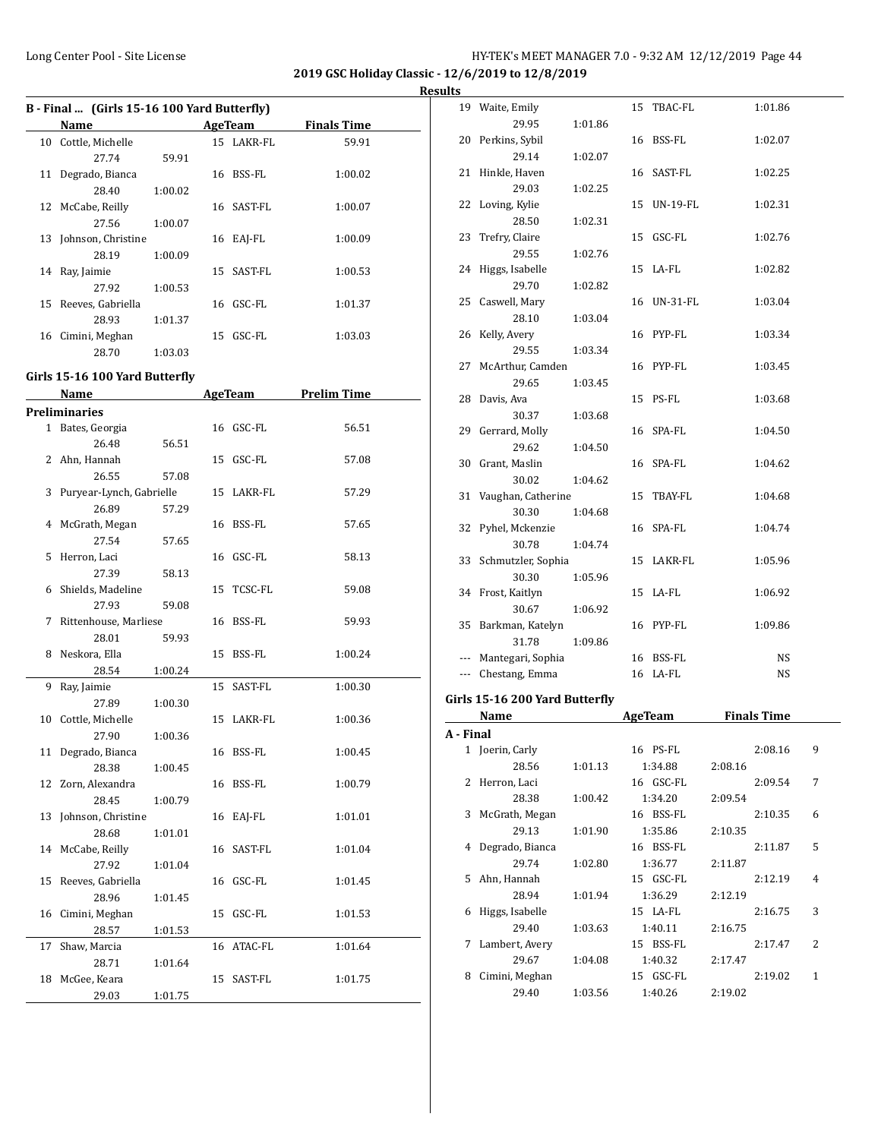**2019 GSC Holiday Classic - 12/6/2019 to 12/8/2019**

**<u>esults</u>** 

|    | B - Final  (Girls 15-16 100 Yard Butterfly)<br>Name |         |    | AgeTeam    | <b>Finals Time</b> |
|----|-----------------------------------------------------|---------|----|------------|--------------------|
|    | 10 Cottle, Michelle                                 |         |    | 15 LAKR-FL | 59.91              |
|    | 27.74                                               |         |    |            |                    |
|    | 11 Degrado, Bianca                                  | 59.91   |    | 16 BSS-FL  | 1:00.02            |
|    |                                                     |         |    |            |                    |
|    | 28.40                                               | 1:00.02 |    |            |                    |
|    | 12 McCabe, Reilly                                   |         |    | 16 SAST-FL | 1:00.07            |
|    | 27.56                                               | 1:00.07 |    |            |                    |
|    | 13 Johnson, Christine                               |         |    | 16 EAJ-FL  | 1:00.09            |
|    | 28.19                                               | 1:00.09 |    |            |                    |
|    | 14 Ray, Jaimie                                      |         |    | 15 SAST-FL | 1:00.53            |
|    | 27.92                                               | 1:00.53 |    |            |                    |
|    | 15 Reeves, Gabriella                                |         |    | 16 GSC-FL  | 1:01.37            |
|    | 28.93                                               | 1:01.37 |    |            |                    |
|    | 16 Cimini, Meghan                                   |         |    | 15 GSC-FL  | 1:03.03            |
|    | 28.70                                               | 1:03.03 |    |            |                    |
|    | Girls 15-16 100 Yard Butterfly                      |         |    |            |                    |
|    | Name                                                |         |    | AgeTeam    | <b>Prelim Time</b> |
|    | <b>Preliminaries</b>                                |         |    |            |                    |
|    | 1 Bates, Georgia                                    |         |    | 16 GSC-FL  | 56.51              |
|    | 26.48                                               | 56.51   |    |            |                    |
|    | 2 Ahn, Hannah                                       |         |    | 15 GSC-FL  | 57.08              |
|    | 26.55                                               | 57.08   |    |            |                    |
|    | 3 Puryear-Lynch, Gabrielle                          |         |    | 15 LAKR-FL | 57.29              |
|    | 26.89                                               | 57.29   |    |            |                    |
|    | 4 McGrath, Megan                                    |         |    | 16 BSS-FL  | 57.65              |
|    | 27.54                                               | 57.65   |    |            |                    |
|    | 5 Herron, Laci                                      |         |    | 16 GSC-FL  | 58.13              |
|    | 27.39                                               | 58.13   |    |            |                    |
|    | 6 Shields, Madeline                                 |         |    | 15 TCSC-FL | 59.08              |
|    | 27.93                                               |         |    |            |                    |
|    | 7 Rittenhouse, Marliese                             | 59.08   |    |            |                    |
|    |                                                     |         |    | 16 BSS-FL  | 59.93              |
|    | 28.01                                               | 59.93   |    |            |                    |
|    | 8 Neskora, Ella                                     |         |    | 15 BSS-FL  | 1:00.24            |
|    | 28.54                                               | 1:00.24 |    |            |                    |
|    | 9 Ray, Jaimie                                       |         |    | 15 SAST-FL | 1:00.30            |
|    | 27.89                                               | 1:00.30 |    |            |                    |
|    | 10 Cottle, Michelle                                 |         |    | 15 LAKR-FL | 1:00.36            |
|    | 27.90                                               | 1:00.36 |    |            |                    |
| 11 | Degrado, Bianca                                     |         |    | 16 BSS-FL  | 1:00.45            |
|    | 28.38                                               | 1:00.45 |    |            |                    |
| 12 | Zorn, Alexandra                                     |         |    | 16 BSS-FL  | 1:00.79            |
|    | 28.45                                               | 1:00.79 |    |            |                    |
| 13 | Johnson, Christine                                  |         | 16 | EAJ-FL     | 1:01.01            |
|    | 28.68                                               | 1:01.01 |    |            |                    |
| 14 | McCabe, Reilly                                      |         | 16 | SAST-FL    | 1:01.04            |
|    | 27.92                                               | 1:01.04 |    |            |                    |
| 15 | Reeves, Gabriella                                   |         | 16 | GSC-FL     | 1:01.45            |
|    | 28.96                                               | 1:01.45 |    |            |                    |
| 16 | Cimini, Meghan                                      |         | 15 | GSC-FL     | 1:01.53            |
|    | 28.57                                               | 1:01.53 |    |            |                    |
| 17 | Shaw, Marcia                                        |         | 16 | ATAC-FL    | 1:01.64            |
|    |                                                     | 1:01.64 |    |            |                    |
|    | 28.71                                               |         |    |            |                    |

18 McGee, Keara 15 SAST-FL 1:01.75

29.03 1:01.75

|           | 19 Waite, Emily                |         | 15 TBAC-FL     |         | 1:01.86            |   |
|-----------|--------------------------------|---------|----------------|---------|--------------------|---|
|           | 29.95                          | 1:01.86 |                |         |                    |   |
|           | 20 Perkins, Sybil              |         | 16 BSS-FL      |         | 1:02.07            |   |
|           | 29.14                          | 1:02.07 |                |         |                    |   |
| 21        | Hinkle, Haven                  |         | 16 SAST-FL     |         | 1:02.25            |   |
|           | 29.03                          | 1:02.25 |                |         |                    |   |
|           | 22 Loving, Kylie               |         | 15 UN-19-FL    |         | 1:02.31            |   |
|           | 28.50                          | 1:02.31 |                |         |                    |   |
| 23        | Trefry, Claire                 |         | 15 GSC-FL      |         | 1:02.76            |   |
|           | 29.55                          | 1:02.76 |                |         |                    |   |
| 24        | Higgs, Isabelle                |         | 15 LA-FL       |         | 1:02.82            |   |
|           | 29.70                          | 1:02.82 |                |         |                    |   |
|           | 25 Caswell, Mary               |         | 16 UN-31-FL    |         | 1:03.04            |   |
|           | 28.10                          | 1:03.04 |                |         |                    |   |
| 26        | Kelly, Avery                   |         | 16 PYP-FL      |         | 1:03.34            |   |
|           | 29.55                          | 1:03.34 |                |         |                    |   |
| 27        | McArthur, Camden               |         | 16 PYP-FL      |         | 1:03.45            |   |
|           | 29.65                          | 1:03.45 |                |         |                    |   |
| 28        | Davis, Ava                     |         | 15 PS-FL       |         | 1:03.68            |   |
|           | 30.37                          | 1:03.68 |                |         |                    |   |
|           | 29 Gerrard, Molly              |         | 16 SPA-FL      |         | 1:04.50            |   |
|           | 29.62                          | 1:04.50 |                |         |                    |   |
|           | 30 Grant, Maslin               |         | 16 SPA-FL      |         | 1:04.62            |   |
|           | 30.02                          | 1:04.62 |                |         |                    |   |
|           | 31 Vaughan, Catherine          |         | 15 TBAY-FL     |         | 1:04.68            |   |
|           | 30.30                          | 1:04.68 |                |         |                    |   |
|           | 32 Pyhel, Mckenzie             |         | 16 SPA-FL      |         | 1:04.74            |   |
|           | 30.78                          | 1:04.74 |                |         |                    |   |
|           | 33 Schmutzler, Sophia          |         | 15 LAKR-FL     |         | 1:05.96            |   |
|           | 30.30                          | 1:05.96 |                |         |                    |   |
|           | 34 Frost, Kaitlyn              |         | 15 LA-FL       |         | 1:06.92            |   |
|           | 30.67                          | 1:06.92 |                |         |                    |   |
|           | 35 Barkman, Katelyn            |         | 16 PYP-FL      |         | 1:09.86            |   |
|           | 31.78                          | 1:09.86 |                |         |                    |   |
|           | --- Mantegari, Sophia          |         | 16 BSS-FL      |         | NS                 |   |
|           | --- Chestang, Emma             |         | 16 LA-FL       |         | NS                 |   |
|           | Girls 15-16 200 Yard Butterfly |         |                |         |                    |   |
|           | <b>Name</b>                    |         | <b>AgeTeam</b> |         | <b>Finals Time</b> |   |
| A - Final |                                |         |                |         |                    |   |
|           | 1 Joerin, Carly                |         | 16 PS-FL       |         | 2:08.16            | 9 |
|           | 28.56                          | 1:01.13 | 1:34.88        | 2:08.16 |                    |   |
| 2         | Herron, Laci                   |         | 16 GSC-FL      |         | 2:09.54            | 7 |
|           | 28.38                          | 1:00.42 | 1:34.20        | 2:09.54 |                    |   |
| 3         | McGrath, Megan                 |         | 16 BSS-FL      |         | 2:10.35            | 6 |
|           | 29.13                          | 1:01.90 | 1:35.86        | 2:10.35 |                    |   |
| 4         | Degrado, Bianca                |         | 16 BSS-FL      |         | 2:11.87            | 5 |
|           | 29.74                          | 1:02.80 | 1:36.77        | 2:11.87 |                    |   |
| 5         | Ahn, Hannah                    |         | 15 GSC-FL      |         | 2:12.19            | 4 |
|           | 28.94                          | 1:01.94 | 1:36.29        | 2:12.19 |                    |   |
| 6         | Higgs, Isabelle                |         | 15 LA-FL       |         | 2:16.75            | 3 |
|           | 29.40                          | 1:03.63 | 1:40.11        | 2:16.75 |                    |   |
| 7         | Lambert, Avery                 |         | 15 BSS-FL      |         | 2:17.47            | 2 |
|           |                                | 1:04.08 | 1:40.32        | 2:17.47 |                    |   |

8 Cimini, Meghan 15 GSC-FL 2:19.02 1 29.40 1:03.56 1:40.26 2:19.02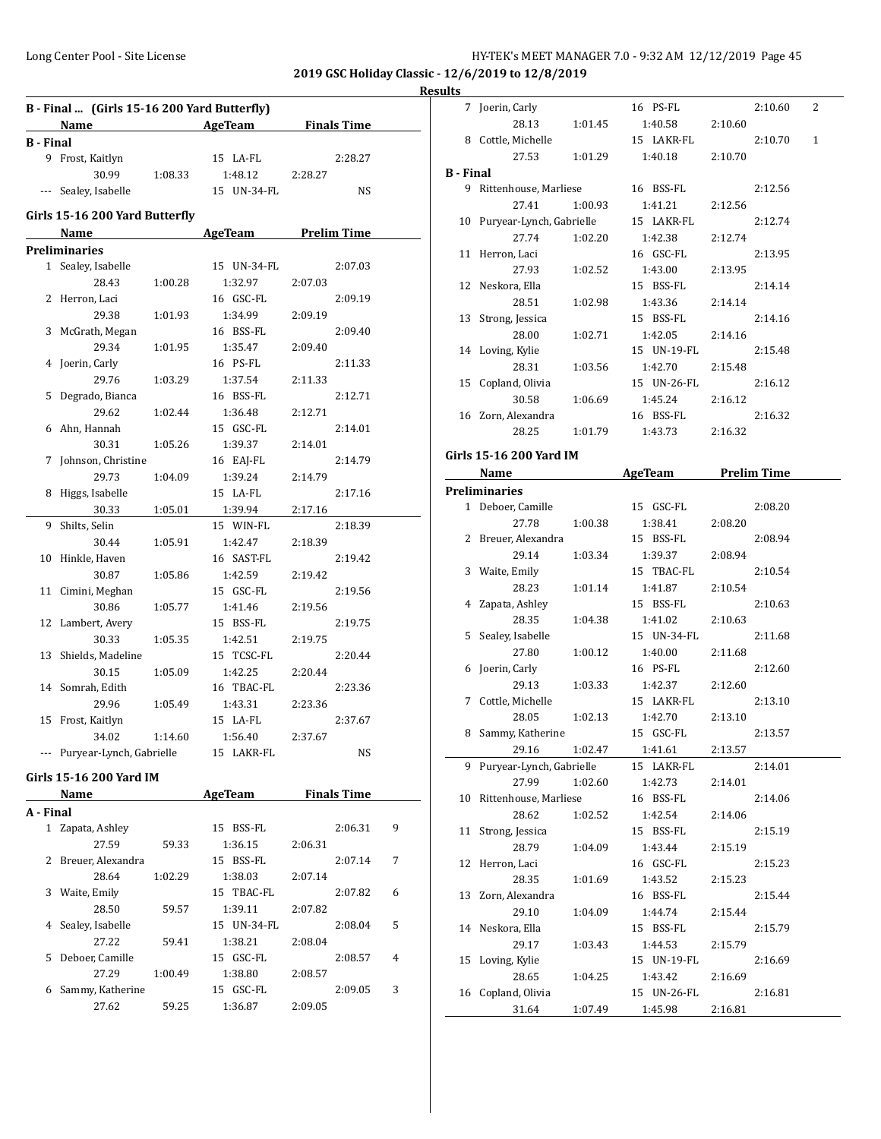7 Joerin, Carly 16 PS-FL 2:10.60 2

**2019 GSC Holiday Classic - 12/6/2019 to 12/8/2019**

# **Results**

| B - Final  (Girls 15-16 200 Yard Butterfly) |                                |         |                       |         |                    |   |  |  |  |
|---------------------------------------------|--------------------------------|---------|-----------------------|---------|--------------------|---|--|--|--|
|                                             | Name                           |         | AgeTeam               |         | <b>Finals Time</b> |   |  |  |  |
| <b>B</b> - Final                            |                                |         |                       |         |                    |   |  |  |  |
|                                             | 9 Frost, Kaitlyn               |         | 15 LA-FL              |         | 2:28.27            |   |  |  |  |
|                                             | 30.99                          | 1:08.33 | 1:48.12               | 2:28.27 |                    |   |  |  |  |
| ---                                         | Sealey, Isabelle               |         | 15 UN-34-FL           |         | NS                 |   |  |  |  |
|                                             | Girls 15-16 200 Yard Butterfly |         |                       |         |                    |   |  |  |  |
|                                             | Name                           |         | AgeTeam Prelim Time   |         |                    |   |  |  |  |
|                                             | <b>Preliminaries</b>           |         |                       |         |                    |   |  |  |  |
| $\mathbf{1}$                                | Sealey, Isabelle               |         | 15 UN-34-FL           |         | 2:07.03            |   |  |  |  |
|                                             | 28.43                          | 1:00.28 | 1:32.97               | 2:07.03 |                    |   |  |  |  |
|                                             | 2 Herron, Laci                 |         | 16 GSC-FL             |         | 2:09.19            |   |  |  |  |
|                                             | 29.38                          | 1:01.93 | 1:34.99               | 2:09.19 |                    |   |  |  |  |
| 3                                           | McGrath, Megan                 |         | 16 BSS-FL             |         | 2:09.40            |   |  |  |  |
|                                             | 29.34                          | 1:01.95 | 1:35.47               | 2:09.40 |                    |   |  |  |  |
| 4                                           | Joerin, Carly                  |         | 16 PS-FL              |         | 2:11.33            |   |  |  |  |
|                                             | 29.76                          | 1:03.29 | 1:37.54               | 2:11.33 |                    |   |  |  |  |
| 5                                           | Degrado, Bianca                |         | 16 BSS-FL             |         | 2:12.71            |   |  |  |  |
|                                             | 29.62                          | 1:02.44 | 1:36.48               | 2:12.71 |                    |   |  |  |  |
|                                             | 6 Ahn, Hannah                  |         | 15 GSC-FL             |         | 2:14.01            |   |  |  |  |
|                                             | 30.31                          | 1:05.26 | 1:39.37               | 2:14.01 |                    |   |  |  |  |
| 7                                           | Johnson, Christine             |         | 16 EAJ-FL             |         | 2:14.79            |   |  |  |  |
|                                             | 29.73                          | 1:04.09 | 1:39.24               | 2:14.79 |                    |   |  |  |  |
|                                             | 8 Higgs, Isabelle              |         | 15 LA-FL              |         | 2:17.16            |   |  |  |  |
|                                             | 30.33                          | 1:05.01 | 1:39.94               | 2:17.16 |                    |   |  |  |  |
| 9                                           | Shilts, Selin                  |         | 15 WIN-FL             |         | 2:18.39            |   |  |  |  |
|                                             | 30.44                          | 1:05.91 | 1:42.47               | 2:18.39 |                    |   |  |  |  |
| 10                                          | Hinkle, Haven                  |         | 16 SAST-FL            |         | 2:19.42            |   |  |  |  |
|                                             | 30.87                          | 1:05.86 | 1:42.59               | 2:19.42 |                    |   |  |  |  |
| 11                                          | Cimini, Meghan                 |         | 15 GSC-FL             |         | 2:19.56            |   |  |  |  |
|                                             | 30.86                          | 1:05.77 | 1:41.46               | 2:19.56 |                    |   |  |  |  |
| 12                                          | Lambert, Avery                 |         | 15 BSS-FL             |         | 2:19.75            |   |  |  |  |
|                                             | 30.33                          | 1:05.35 | 1:42.51               | 2:19.75 |                    |   |  |  |  |
| 13                                          | Shields, Madeline              |         | 15 TCSC-FL            |         | 2:20.44            |   |  |  |  |
|                                             | 30.15                          | 1:05.09 | 1:42.25               | 2:20.44 |                    |   |  |  |  |
|                                             |                                |         |                       |         |                    |   |  |  |  |
| 14                                          | Somrah, Edith                  |         | 16 TBAC-FL<br>1:43.31 |         | 2:23.36            |   |  |  |  |
|                                             | 29.96                          | 1:05.49 |                       | 2:23.36 | 2:37.67            |   |  |  |  |
| 15                                          | Frost, Kaitlyn                 |         | 15 LA-FL              |         |                    |   |  |  |  |
|                                             | 34.02                          | 1:14.60 | 1:56.40               | 2:37.67 |                    |   |  |  |  |
|                                             | --- Puryear-Lynch, Gabrielle   |         | 15 LAKR-FL            |         | NS                 |   |  |  |  |
|                                             | Girls 15-16 200 Yard IM        |         |                       |         |                    |   |  |  |  |
|                                             | Name                           |         | AgeTeam               |         | <b>Finals Time</b> |   |  |  |  |
| A - Final                                   |                                |         |                       |         |                    |   |  |  |  |
| $\mathbf{1}$                                | Zapata, Ashley                 |         | 15 BSS-FL             |         | 2:06.31            | 9 |  |  |  |
|                                             | 27.59                          | 59.33   | 1:36.15               | 2:06.31 |                    |   |  |  |  |
| 2                                           | Breuer, Alexandra              |         | 15 BSS-FL             |         | 2:07.14            | 7 |  |  |  |
|                                             | 28.64                          | 1:02.29 | 1:38.03               | 2:07.14 |                    |   |  |  |  |
| 3                                           | Waite, Emily                   |         | 15 TBAC-FL            |         | 2:07.82            | 6 |  |  |  |
|                                             | 28.50                          | 59.57   | 1:39.11               | 2:07.82 |                    |   |  |  |  |
| 4                                           | Sealey, Isabelle               |         | 15 UN-34-FL           |         | 2:08.04            | 5 |  |  |  |

27.22 59.41 1:38.21 2:08.04 5 Deboer, Camille 15 GSC-FL 2:08.57 4 27.29 1:00.49 1:38.80 2:08.57 6 Sammy, Katherine 15 GSC-FL 2:09.05 3 27.62 59.25 1:36.87 2:09.05

|                  | 28.13                       | 1:01.45 | 1:40.58                  | 2:10.60 |         |   |
|------------------|-----------------------------|---------|--------------------------|---------|---------|---|
|                  | 8 Cottle, Michelle          |         | 15 LAKR-FL               |         | 2:10.70 | 1 |
|                  | 27.53                       | 1:01.29 | 1:40.18                  | 2:10.70 |         |   |
| <b>B</b> - Final |                             |         |                          |         |         |   |
|                  | 9 Rittenhouse, Marliese     |         | 16 BSS-FL                |         | 2:12.56 |   |
|                  | 27.41                       | 1:00.93 | 1:41.21                  | 2:12.56 |         |   |
|                  | 10 Puryear-Lynch, Gabrielle |         | 15 LAKR-FL               |         | 2:12.74 |   |
|                  | 27.74                       | 1:02.20 | 1:42.38                  | 2:12.74 |         |   |
|                  | 11 Herron, Laci             |         | 16 GSC-FL                |         | 2:13.95 |   |
|                  | 27.93                       |         | 1:43.00                  | 2:13.95 |         |   |
|                  |                             | 1:02.52 | 15 BSS-FL                |         |         |   |
|                  | 12 Neskora, Ella            |         |                          |         | 2:14.14 |   |
|                  | 28.51                       | 1:02.98 | 1:43.36                  | 2:14.14 |         |   |
|                  | 13 Strong, Jessica          |         | 15 BSS-FL                |         | 2:14.16 |   |
|                  | 28.00                       | 1:02.71 | 1:42.05                  | 2:14.16 |         |   |
|                  | 14 Loving, Kylie            |         | 15 UN-19-FL              |         | 2:15.48 |   |
|                  | 28.31                       | 1:03.56 | 1:42.70                  | 2:15.48 |         |   |
|                  | 15 Copland, Olivia          |         | 15 UN-26-FL              |         | 2:16.12 |   |
|                  | 30.58                       | 1:06.69 | 1:45.24                  | 2:16.12 |         |   |
|                  | 16 Zorn, Alexandra          |         | 16 BSS-FL                |         | 2:16.32 |   |
|                  | 28.25                       |         | 1:01.79 1:43.73          | 2:16.32 |         |   |
|                  | Girls 15-16 200 Yard IM     |         |                          |         |         |   |
|                  |                             |         |                          |         |         |   |
|                  |                             |         | Name AgeTeam Prelim Time |         |         |   |
|                  | <b>Preliminaries</b>        |         |                          |         |         |   |
|                  | 1 Deboer, Camille           |         | 15 GSC-FL                |         | 2:08.20 |   |
|                  | 27.78                       | 1:00.38 | 1:38.41                  | 2:08.20 |         |   |
|                  | 2 Breuer, Alexandra         |         | 15 BSS-FL                |         | 2:08.94 |   |
|                  | 29.14                       | 1:03.34 | 1:39.37                  | 2:08.94 |         |   |
|                  | 3 Waite, Emily              |         | 15 TBAC-FL               |         | 2:10.54 |   |
|                  | 28.23                       | 1:01.14 | 1:41.87                  | 2:10.54 |         |   |
|                  | 4 Zapata, Ashley            |         | 15 BSS-FL                |         | 2:10.63 |   |
|                  | 28.35                       | 1:04.38 | 1:41.02                  | 2:10.63 |         |   |
|                  | 5 Sealey, Isabelle          |         | 15 UN-34-FL              |         | 2:11.68 |   |
|                  | 27.80                       | 1:00.12 | 1:40.00                  | 2:11.68 |         |   |
| 6                | Joerin, Carly               |         | 16 PS-FL                 |         | 2:12.60 |   |
|                  | 29.13                       | 1:03.33 | 1:42.37                  | 2:12.60 |         |   |
|                  | 7 Cottle, Michelle          |         | 15 LAKR-FL               |         | 2:13.10 |   |
|                  | 28.05                       | 1:02.13 | 1:42.70                  | 2:13.10 |         |   |
|                  | 8 Sammy, Katherine          |         | 15 GSC-FL                |         | 2:13.57 |   |
|                  | 29.16                       | 1:02.47 | 1:41.61                  | 2:13.57 |         |   |
|                  | Puryear-Lynch, Gabrielle    |         | 15 LAKR-FL               |         | 2:14.01 |   |
|                  | 27.99                       | 1:02.60 | 1:42.73                  | 2:14.01 |         |   |
| 10               | Rittenhouse, Marliese       |         | 16 BSS-FL                |         | 2:14.06 |   |
|                  | 28.62                       | 1:02.52 | 1:42.54                  | 2:14.06 |         |   |
| 11               | Strong, Jessica             |         | 15 BSS-FL                |         | 2:15.19 |   |
|                  | 28.79                       | 1:04.09 | 1:43.44                  | 2:15.19 |         |   |
| 12               | Herron, Laci                |         | 16 GSC-FL                |         | 2:15.23 |   |
|                  | 28.35                       | 1:01.69 | 1:43.52                  | 2:15.23 |         |   |
| 13               | Zorn, Alexandra             |         | 16 BSS-FL                |         | 2:15.44 |   |
|                  | 29.10                       | 1:04.09 | 1:44.74                  | 2:15.44 |         |   |
|                  | Neskora, Ella               |         |                          |         | 2:15.79 |   |
| 14               |                             |         | 15 BSS-FL                |         |         |   |
|                  | 29.17                       | 1:03.43 | 1:44.53                  | 2:15.79 |         |   |
| 15               | Loving, Kylie               |         | 15 UN-19-FL              |         | 2:16.69 |   |
|                  | 28.65                       | 1:04.25 | 1:43.42                  | 2:16.69 |         |   |
|                  | 16 Copland, Olivia          |         | 15 UN-26-FL              |         | 2:16.81 |   |
|                  | 31.64                       | 1:07.49 | 1:45.98                  | 2:16.81 |         |   |
|                  |                             |         |                          |         |         |   |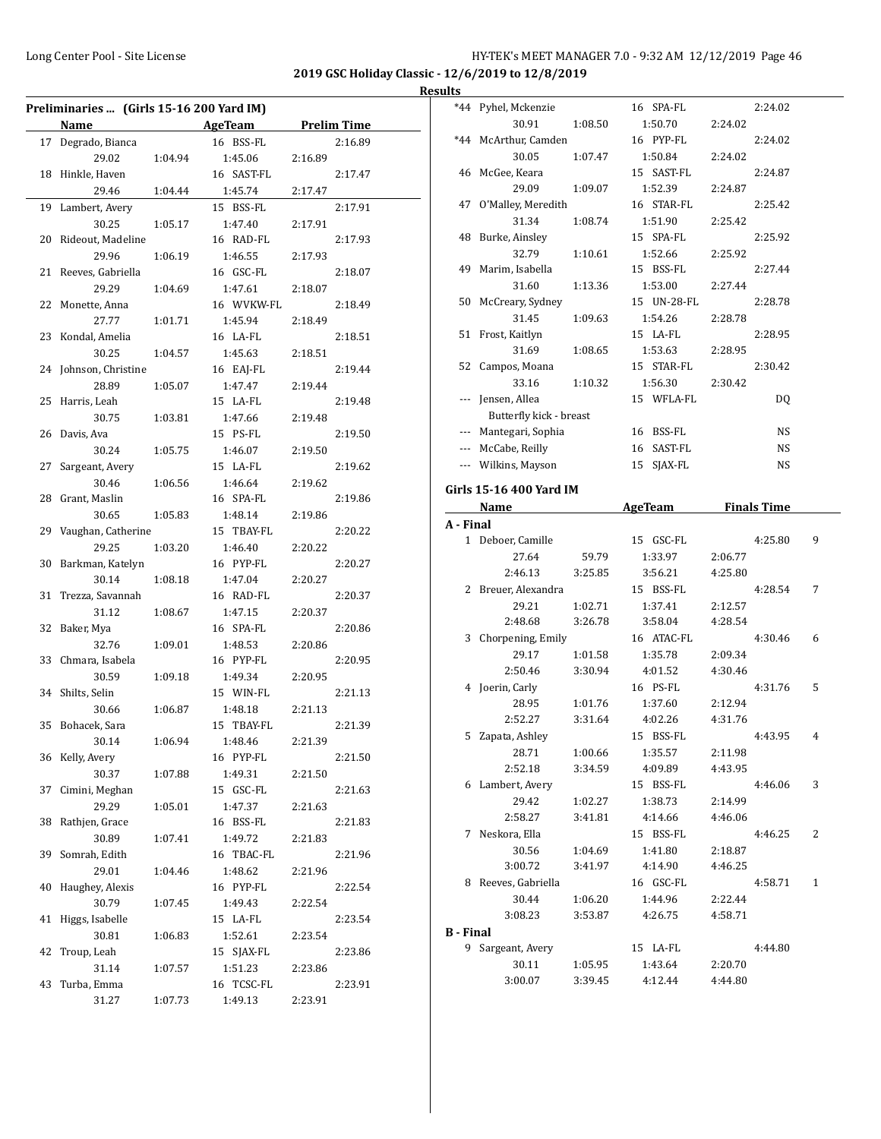**2019 GSC Holiday Classic - 12/6/2019 to 12/8/2019 Results**

| Preliminaries  (Girls 15-16 200 Yard IM) |                       |         |                          |         |                    |  |
|------------------------------------------|-----------------------|---------|--------------------------|---------|--------------------|--|
|                                          | Name                  |         | <b>Example 2</b> AgeTeam |         | <b>Prelim Time</b> |  |
|                                          | 17 Degrado, Bianca    |         | 16 BSS-FL                |         | 2:16.89            |  |
|                                          | 29.02                 | 1:04.94 | 1:45.06                  | 2:16.89 |                    |  |
| 18                                       | Hinkle, Haven         |         | 16 SAST-FL               |         | 2:17.47            |  |
|                                          | 29.46                 | 1:04.44 | 1:45.74                  | 2:17.47 |                    |  |
|                                          |                       |         | 15 BSS-FL                |         |                    |  |
| 19                                       | Lambert, Avery        |         |                          |         | 2:17.91            |  |
|                                          | 30.25                 | 1:05.17 | 1:47.40                  | 2:17.91 |                    |  |
| 20                                       | Rideout, Madeline     |         | 16 RAD-FL                |         | 2:17.93            |  |
|                                          | 29.96                 | 1:06.19 | 1:46.55                  | 2:17.93 |                    |  |
| 21                                       | Reeves, Gabriella     |         | 16 GSC-FL                |         | 2:18.07            |  |
|                                          | 29.29                 | 1:04.69 | 1:47.61                  | 2:18.07 |                    |  |
| 22                                       | Monette, Anna         |         | 16 WVKW-FL               |         | 2:18.49            |  |
|                                          | 27.77                 | 1:01.71 | 1:45.94                  | 2:18.49 |                    |  |
|                                          | 23 Kondal, Amelia     |         | 16 LA-FL                 |         | 2:18.51            |  |
|                                          | 30.25                 | 1:04.57 | 1:45.63                  | 2:18.51 |                    |  |
|                                          | 24 Johnson, Christine |         | 16 EAJ-FL                |         | 2:19.44            |  |
|                                          | 28.89                 | 1:05.07 | 1:47.47                  | 2:19.44 |                    |  |
| 25                                       | Harris, Leah          |         | 15 LA-FL                 |         | 2:19.48            |  |
|                                          | 30.75                 | 1:03.81 | 1:47.66                  | 2:19.48 |                    |  |
| 26                                       | Davis, Ava            |         | 15 PS-FL                 |         | 2:19.50            |  |
|                                          | 30.24                 | 1:05.75 | 1:46.07                  | 2:19.50 |                    |  |
| 27                                       | Sargeant, Avery       |         | 15 LA-FL                 |         | 2:19.62            |  |
|                                          | 30.46                 | 1:06.56 | 1:46.64                  | 2:19.62 |                    |  |
| 28                                       | Grant, Maslin         |         | 16 SPA-FL                |         | 2:19.86            |  |
|                                          | 30.65                 | 1:05.83 | 1:48.14                  | 2:19.86 |                    |  |
|                                          | 29 Vaughan, Catherine |         | 15 TBAY-FL               |         | 2:20.22            |  |
|                                          | 29.25                 | 1:03.20 | 1:46.40                  | 2:20.22 |                    |  |
| 30                                       | Barkman, Katelyn      |         | 16 PYP-FL                |         | 2:20.27            |  |
|                                          | 30.14                 | 1:08.18 | 1:47.04                  | 2:20.27 |                    |  |
| 31                                       | Trezza, Savannah      |         | 16 RAD-FL                |         | 2:20.37            |  |
|                                          | 31.12                 | 1:08.67 | 1:47.15                  | 2:20.37 |                    |  |
| 32                                       | Baker, Mya            |         | 16 SPA-FL                |         | 2:20.86            |  |
|                                          | 32.76                 | 1:09.01 | 1:48.53                  | 2:20.86 |                    |  |
| 33                                       | Chmara, Isabela       |         | 16 PYP-FL                |         | 2:20.95            |  |
|                                          | 30.59                 | 1:09.18 | 1:49.34                  | 2:20.95 |                    |  |
| 34                                       | Shilts, Selin         |         | 15 WIN-FL                |         | 2:21.13            |  |
|                                          | 30.66                 | 1:06.87 | 1:48.18                  | 2:21.13 |                    |  |
| 35                                       | Bohacek, Sara         |         | 15 TBAY-FL               |         | 2:21.39            |  |
|                                          | 30.14                 | 1:06.94 | 1:48.46                  | 2:21.39 |                    |  |
|                                          | 36 Kelly, Avery       |         | 16 PYP-FL                |         | 2:21.50            |  |
|                                          | 30.37                 | 1:07.88 | 1:49.31                  | 2:21.50 |                    |  |
| 37                                       | Cimini, Meghan        |         | 15 GSC-FL                |         | 2:21.63            |  |
|                                          | 29.29                 | 1:05.01 | 1:47.37                  | 2:21.63 |                    |  |
| 38                                       | Rathjen, Grace        |         | 16 BSS-FL                |         | 2:21.83            |  |
|                                          | 30.89                 | 1:07.41 | 1:49.72                  | 2:21.83 |                    |  |
| 39                                       | Somrah, Edith         |         | 16 TBAC-FL               |         | 2:21.96            |  |
|                                          | 29.01                 | 1:04.46 | 1:48.62                  | 2:21.96 |                    |  |
| 40                                       | Haughey, Alexis       |         | 16 PYP-FL                |         | 2:22.54            |  |
|                                          | 30.79                 | 1:07.45 | 1:49.43                  | 2:22.54 |                    |  |
| 41                                       | Higgs, Isabelle       |         | 15 LA-FL                 |         | 2:23.54            |  |
|                                          | 30.81                 | 1:06.83 | 1:52.61                  | 2:23.54 |                    |  |
| 42                                       | Troup, Leah           |         | 15 SJAX-FL               |         | 2:23.86            |  |
|                                          | 31.14                 | 1:07.57 | 1:51.23                  | 2:23.86 |                    |  |
| 43                                       | Turba, Emma           |         | 16 TCSC-FL               |         | 2:23.91            |  |
|                                          | 31.27                 |         | 1:49.13                  | 2:23.91 |                    |  |
|                                          |                       | 1:07.73 |                          |         |                    |  |

| uits      |                              |         |                 |                    |                             |   |
|-----------|------------------------------|---------|-----------------|--------------------|-----------------------------|---|
|           | *44 Pyhel, Mckenzie          |         | 16 SPA-FL       |                    | 2:24.02                     |   |
|           | 30.91                        | 1:08.50 | 1:50.70         | 2:24.02            |                             |   |
|           | *44 McArthur, Camden         |         | 16 PYP-FL       |                    | 2:24.02                     |   |
|           | 30.05                        | 1:07.47 | 1:50.84         | 2:24.02            |                             |   |
|           | 46 McGee, Keara              |         | 15 SAST-FL      |                    | 2:24.87                     |   |
|           | 29.09                        | 1:09.07 | 1:52.39         | 2:24.87            |                             |   |
|           | 47 O'Malley, Meredith        |         | 16 STAR-FL      |                    | 2:25.42                     |   |
|           | 31.34                        | 1:08.74 | 1:51.90         | 2:25.42            |                             |   |
|           | 48 Burke, Ainsley            |         | 15 SPA-FL       |                    | 2:25.92                     |   |
|           | 32.79                        | 1:10.61 | 1:52.66         | 2:25.92            |                             |   |
|           | 49 Marim, Isabella           |         | 15 BSS-FL       |                    | 2:27.44                     |   |
|           | 31.60                        | 1:13.36 | 1:53.00         | 2:27.44            |                             |   |
|           | 50 McCreary, Sydney          |         | 15 UN-28-FL     |                    | 2:28.78                     |   |
|           | 31.45                        | 1:09.63 | 1:54.26         | 2:28.78            |                             |   |
|           | 51 Frost, Kaitlyn            |         | 15 LA-FL        |                    | 2:28.95                     |   |
|           | 31.69                        | 1:08.65 | 1:53.63         | 2:28.95            |                             |   |
|           | 52 Campos, Moana             |         | 15 STAR-FL      |                    | 2:30.42                     |   |
|           | 33.16                        | 1:10.32 | 1:56.30         | 2:30.42            |                             |   |
|           | Jensen, Allea                |         | 15 WFLA-FL      |                    | DQ                          |   |
|           | Butterfly kick - breast      |         |                 |                    |                             |   |
|           | --- Mantegari, Sophia        |         | 16 BSS-FL       |                    | NS                          |   |
|           | --- McCabe, Reilly           |         | 16 SAST-FL      |                    | <b>NS</b>                   |   |
|           | --- Wilkins, Mayson          |         | 15 SJAX-FL      |                    | <b>NS</b>                   |   |
|           | Girls 15-16 400 Yard IM      |         |                 |                    |                             |   |
|           | Name                         |         | AgeTeam         | <b>Finals Time</b> |                             |   |
| A - Final |                              |         |                 |                    |                             |   |
|           | 1 Deboer, Camille            |         | 15 GSC-FL       |                    | 4:25.80                     | 9 |
|           | 27.64                        | 59.79   | 1:33.97         | 2:06.77            |                             |   |
|           | 2:46.13                      | 3:25.85 | 3:56.21         | 4:25.80            |                             |   |
|           | 2 Breuer, Alexandra          |         | 15 BSS-FL       |                    | 4:28.54                     | 7 |
|           | 29.21                        | 1:02.71 | 1:37.41         | 2:12.57            |                             |   |
|           | 2:48.68                      | 3:26.78 | 3:58.04         | 4:28.54            |                             |   |
|           | $CL$ and another $C$ and $C$ |         | $AC$ $APAC$ $D$ |                    | $\sqrt{4.20}$ $\sqrt{6.20}$ |   |

|                  | 29.21             | 1:02.71 | 1:37.41    | 2:12.57 |         |   |
|------------------|-------------------|---------|------------|---------|---------|---|
|                  | 2:48.68           | 3:26.78 | 3:58.04    | 4:28.54 |         |   |
| 3                | Chorpening, Emily |         | 16 ATAC-FL |         | 4:30.46 | 6 |
|                  | 29.17             | 1:01.58 | 1:35.78    | 2:09.34 |         |   |
|                  | 2:50.46           | 3:30.94 | 4:01.52    | 4:30.46 |         |   |
| 4                | Joerin, Carly     |         | 16 PS-FL   |         | 4:31.76 | 5 |
|                  | 28.95             | 1:01.76 | 1:37.60    | 2:12.94 |         |   |
|                  | 2:52.27           | 3:31.64 | 4:02.26    | 4:31.76 |         |   |
| 5                | Zapata, Ashley    |         | 15 BSS-FL  |         | 4:43.95 | 4 |
|                  | 28.71             | 1:00.66 | 1:35.57    | 2:11.98 |         |   |
|                  | 2:52.18           | 3:34.59 | 4:09.89    | 4:43.95 |         |   |
| 6                | Lambert, Avery    |         | 15 BSS-FL  |         | 4:46.06 | 3 |
|                  | 29.42             | 1:02.27 | 1:38.73    | 2:14.99 |         |   |
|                  | 2:58.27           | 3:41.81 | 4:14.66    | 4:46.06 |         |   |
| 7                | Neskora, Ella     |         | 15 BSS-FL  |         | 4:46.25 | 2 |
|                  | 30.56             | 1:04.69 | 1:41.80    | 2:18.87 |         |   |
|                  | 3:00.72           | 3:41.97 | 4:14.90    | 4:46.25 |         |   |
| 8                | Reeves, Gabriella |         | 16 GSC-FL  |         | 4:58.71 | 1 |
|                  | 30.44             | 1:06.20 | 1:44.96    | 2:22.44 |         |   |
|                  | 3:08.23           | 3:53.87 | 4:26.75    | 4:58.71 |         |   |
| <b>B</b> - Final |                   |         |            |         |         |   |
| 9                | Sargeant, Avery   |         | 15 LA-FL   |         | 4:44.80 |   |
|                  | 30.11             | 1:05.95 | 1:43.64    | 2:20.70 |         |   |
|                  | 3:00.07           | 3:39.45 | 4:12.44    | 4:44.80 |         |   |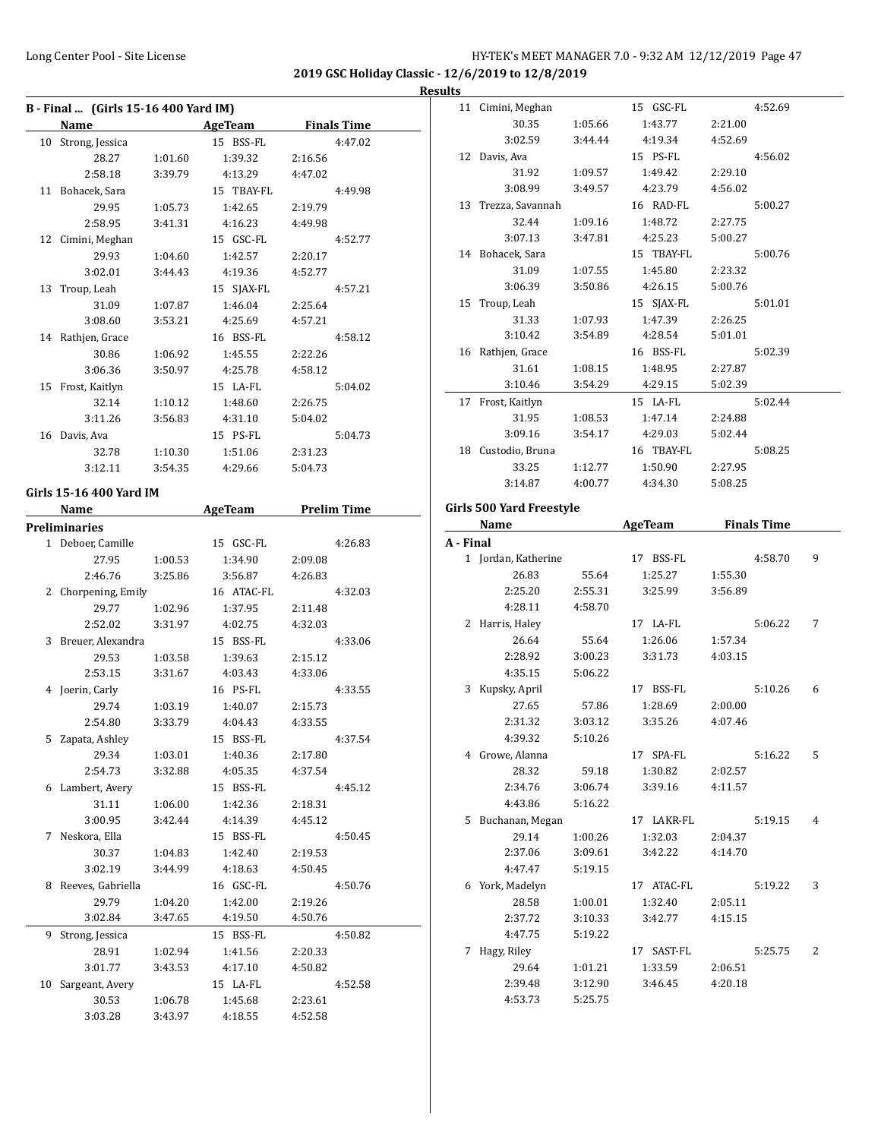#### **Results**

|    | B - Final  (Girls 15-16 400 Yard IM)                                                                                                                                                                                           |         |                |         |                    |
|----|--------------------------------------------------------------------------------------------------------------------------------------------------------------------------------------------------------------------------------|---------|----------------|---------|--------------------|
|    | Name and the second state of the second state of the second state of the second state of the second state of the second state of the second state of the second state of the second state of the second state of the second st |         | <b>AgeTeam</b> |         | <b>Finals Time</b> |
|    | 10 Strong, Jessica                                                                                                                                                                                                             |         | 15 BSS-FL      |         | 4:47.02            |
|    | 28.27                                                                                                                                                                                                                          | 1:01.60 | 1:39.32        | 2:16.56 |                    |
|    | 2:58.18                                                                                                                                                                                                                        | 3:39.79 | 4:13.29        | 4:47.02 |                    |
|    | 11 Bohacek, Sara                                                                                                                                                                                                               |         | 15 TBAY-FL     |         | 4:49.98            |
|    | 29.95                                                                                                                                                                                                                          | 1:05.73 | 1:42.65        | 2:19.79 |                    |
|    | 2:58.95                                                                                                                                                                                                                        | 3:41.31 | 4:16.23        | 4:49.98 |                    |
|    | 12 Cimini, Meghan                                                                                                                                                                                                              |         | 15 GSC-FL      |         | 4:52.77            |
|    | 29.93                                                                                                                                                                                                                          | 1:04.60 | 1:42.57        | 2:20.17 |                    |
|    | 3:02.01                                                                                                                                                                                                                        | 3:44.43 | 4:19.36        | 4:52.77 |                    |
|    | 13 Troup, Leah                                                                                                                                                                                                                 |         | 15 SJAX-FL     |         | 4:57.21            |
|    | 31.09                                                                                                                                                                                                                          | 1:07.87 | 1:46.04        | 2:25.64 |                    |
|    | 3:08.60                                                                                                                                                                                                                        | 3:53.21 | 4:25.69        | 4:57.21 |                    |
|    | 14 Rathjen, Grace                                                                                                                                                                                                              |         | 16 BSS-FL      |         | 4:58.12            |
|    | 30.86                                                                                                                                                                                                                          | 1:06.92 | 1:45.55        | 2:22.26 |                    |
|    | 3:06.36                                                                                                                                                                                                                        | 3:50.97 | 4:25.78        | 4:58.12 |                    |
|    | 15 Frost, Kaitlyn                                                                                                                                                                                                              |         | 15 LA-FL       |         | 5:04.02            |
|    | 32.14                                                                                                                                                                                                                          | 1:10.12 | 1:48.60        | 2:26.75 |                    |
|    | 3:11.26                                                                                                                                                                                                                        | 3:56.83 | 4:31.10        | 5:04.02 |                    |
|    | 16 Davis, Ava                                                                                                                                                                                                                  |         | 15 PS-FL       |         | 5:04.73            |
|    | 32.78                                                                                                                                                                                                                          | 1:10.30 | 1:51.06        | 2:31.23 |                    |
|    | 3:12.11                                                                                                                                                                                                                        | 3:54.35 | 4:29.66        | 5:04.73 |                    |
|    | Girls 15-16 400 Yard IM                                                                                                                                                                                                        |         |                |         |                    |
|    | Name                                                                                                                                                                                                                           |         | AgeTeam        |         | <b>Prelim Time</b> |
|    | <b>Preliminaries</b>                                                                                                                                                                                                           |         |                |         |                    |
|    | 1 Deboer, Camille                                                                                                                                                                                                              |         | 15 GSC-FL      |         | 4:26.83            |
|    | 27.95                                                                                                                                                                                                                          | 1:00.53 | 1:34.90        | 2:09.08 |                    |
|    | 2:46.76                                                                                                                                                                                                                        | 3:25.86 | 3:56.87        | 4:26.83 |                    |
|    | 2 Chorpening, Emily                                                                                                                                                                                                            |         | 16 ATAC-FL     |         | 4:32.03            |
|    | 29.77                                                                                                                                                                                                                          | 1:02.96 | 1:37.95        | 2:11.48 |                    |
|    | 2:52.02                                                                                                                                                                                                                        | 3:31.97 | 4:02.75        | 4:32.03 |                    |
|    | 3 Breuer, Alexandra                                                                                                                                                                                                            |         | 15 BSS-FL      |         | 4:33.06            |
|    | 29.53                                                                                                                                                                                                                          | 1:03.58 | 1:39.63        | 2:15.12 |                    |
|    | 2:53.15                                                                                                                                                                                                                        | 3:31.67 | 4:03.43        | 4:33.06 |                    |
|    | 4 Joerin, Carly                                                                                                                                                                                                                |         | 16 PS-FL       |         | 4:33.55            |
|    | 29.74                                                                                                                                                                                                                          | 1:03.19 | 1:40.07        | 2:15.73 |                    |
|    | 2:54.80                                                                                                                                                                                                                        | 3:33.79 | 4:04.43        | 4:33.55 |                    |
| 5  | Zapata, Ashley                                                                                                                                                                                                                 |         | 15 BSS-FL      |         | 4:37.54            |
|    | 29.34                                                                                                                                                                                                                          | 1:03.01 | 1:40.36        | 2:17.80 |                    |
|    | 2:54.73                                                                                                                                                                                                                        | 3:32.88 | 4:05.35        | 4:37.54 |                    |
|    | 6 Lambert, Avery                                                                                                                                                                                                               |         | 15 BSS-FL      |         | 4:45.12            |
|    | 31.11                                                                                                                                                                                                                          | 1:06.00 | 1:42.36        | 2:18.31 |                    |
|    | 3:00.95                                                                                                                                                                                                                        | 3:42.44 | 4:14.39        | 4:45.12 |                    |
| 7  | Neskora, Ella                                                                                                                                                                                                                  |         | 15 BSS-FL      |         | 4:50.45            |
|    | 30.37                                                                                                                                                                                                                          | 1:04.83 | 1:42.40        | 2:19.53 |                    |
|    | 3:02.19                                                                                                                                                                                                                        | 3:44.99 | 4:18.63        | 4:50.45 |                    |
|    | 8 Reeves, Gabriella                                                                                                                                                                                                            |         | 16 GSC-FL      |         | 4:50.76            |
|    | 29.79                                                                                                                                                                                                                          | 1:04.20 | 1:42.00        | 2:19.26 |                    |
|    | 3:02.84                                                                                                                                                                                                                        | 3:47.65 | 4:19.50        | 4:50.76 |                    |
| 9. | Strong, Jessica                                                                                                                                                                                                                |         | 15 BSS-FL      |         | 4:50.82            |
|    | 28.91                                                                                                                                                                                                                          | 1:02.94 | 1:41.56        | 2:20.33 |                    |
|    | 3:01.77                                                                                                                                                                                                                        | 3:43.53 | 4:17.10        | 4:50.82 |                    |
| 10 | Sargeant, Avery                                                                                                                                                                                                                |         | 15 LA-FL       |         | 4:52.58            |
|    | 30.53                                                                                                                                                                                                                          | 1:06.78 | 1:45.68        | 2:23.61 |                    |
|    | 3:03.28                                                                                                                                                                                                                        | 3:43.97 | 4:18.55        | 4:52.58 |                    |
|    |                                                                                                                                                                                                                                |         |                |         |                    |

|           | 11 Cimini, Meghan            |                    | 15 GSC-FL  |         | 4:52.69            |   |
|-----------|------------------------------|--------------------|------------|---------|--------------------|---|
|           | 30.35                        | 1:05.66            | 1:43.77    | 2:21.00 |                    |   |
|           | 3:02.59                      | 3:44.44            | 4:19.34    | 4:52.69 |                    |   |
|           | 12 Davis, Ava                |                    | 15 PS-FL   |         | 4:56.02            |   |
|           | 31.92                        | 1:09.57            | 1:49.42    | 2:29.10 |                    |   |
|           | 3:08.99                      | 3:49.57            | 4:23.79    | 4:56.02 |                    |   |
|           | 13 Trezza, Savannah          |                    | 16 RAD-FL  |         | 5:00.27            |   |
|           | 32.44                        | 1:09.16            | 1:48.72    | 2:27.75 |                    |   |
|           | 3:07.13                      | 3:47.81            | 4:25.23    | 5:00.27 |                    |   |
|           | 14 Bohacek, Sara             |                    | 15 TBAY-FL |         | 5:00.76            |   |
|           | 31.09                        | 1:07.55            | 1:45.80    | 2:23.32 |                    |   |
|           | 3:06.39                      | 3:50.86            | 4:26.15    | 5:00.76 |                    |   |
|           | 15 Troup, Leah               |                    | 15 SJAX-FL |         | 5:01.01            |   |
|           | 31.33                        |                    | 1:47.39    | 2:26.25 |                    |   |
|           | 3:10.42                      | 1:07.93<br>3:54.89 | 4:28.54    | 5:01.01 |                    |   |
|           |                              |                    | 16 BSS-FL  |         |                    |   |
|           | 16 Rathjen, Grace            |                    |            |         | 5:02.39            |   |
|           | 31.61                        | 1:08.15<br>3:54.29 | 1:48.95    | 2:27.87 |                    |   |
|           | 3:10.46                      |                    | 4:29.15    | 5:02.39 |                    |   |
|           | 17 Frost, Kaitlyn            |                    | 15 LA-FL   |         | 5:02.44            |   |
|           | 31.95                        | 1:08.53            | 1:47.14    | 2:24.88 |                    |   |
|           | 3:09.16                      | 3:54.17            | 4:29.03    | 5:02.44 |                    |   |
|           | 18 Custodio, Bruna           |                    | 16 TBAY-FL |         | 5:08.25            |   |
|           | 33.25                        | 1:12.77            | 1:50.90    | 2:27.95 |                    |   |
|           | 3:14.87                      | 4:00.77            | 4:34.30    | 5:08.25 |                    |   |
|           | Girls 500 Yard Freestyle     |                    |            |         |                    |   |
|           | Name                         |                    | AgeTeam    |         | <b>Finals Time</b> |   |
| A - Final |                              |                    |            |         |                    |   |
|           |                              |                    |            |         |                    |   |
|           |                              |                    |            |         | 4:58.70            | 9 |
|           | 1 Jordan, Katherine<br>26.83 | 55.64              | 17 BSS-FL  | 1:55.30 |                    |   |
|           |                              |                    | 1:25.27    |         |                    |   |
|           | 2:25.20                      | 2:55.31            | 3:25.99    | 3:56.89 |                    |   |
|           | 4:28.11                      | 4:58.70            |            |         |                    |   |
|           | 2 Harris, Haley              |                    | 17 LA-FL   |         | 5:06.22            | 7 |
|           | 26.64                        | 55.64              | 1:26.06    | 1:57.34 |                    |   |
|           | 2:28.92                      | 3:00.23            | 3:31.73    | 4:03.15 |                    |   |
|           | 4:35.15                      | 5:06.22            |            |         |                    |   |
|           | 3 Kupsky, April              |                    | 17 BSS-FL  |         | 5:10.26            | 6 |
|           | 27.65                        | 57.86              | 1:28.69    | 2:00.00 |                    |   |
|           | 2:31.32                      | 3:03.12            | 3:35.26    | 4:07.46 |                    |   |
|           | 4:39.32                      | 5:10.26            |            |         |                    |   |
|           | 4 Growe, Alanna              |                    | 17 SPA-FL  |         | 5:16.22            | 5 |
|           | 28.32                        | 59.18              | 1:30.82    | 2:02.57 |                    |   |
|           | 2:34.76                      | 3:06.74            | 3:39.16    | 4:11.57 |                    |   |
|           | 4:43.86                      | 5:16.22            |            |         |                    |   |
|           | 5 Buchanan, Megan            |                    | 17 LAKR-FL |         | 5:19.15            | 4 |
|           | 29.14                        | 1:00.26            | 1:32.03    | 2:04.37 |                    |   |
|           | 2:37.06                      | 3:09.61            | 3:42.22    | 4:14.70 |                    |   |
|           | 4:47.47                      | 5:19.15            |            |         |                    |   |
|           | 6 York, Madelyn              |                    | 17 ATAC-FL |         | 5:19.22            | 3 |
|           | 28.58                        | 1:00.01            | 1:32.40    | 2:05.11 |                    |   |
|           | 2:37.72                      | 3:10.33            | 3:42.77    | 4:15.15 |                    |   |
|           | 4:47.75                      | 5:19.22            |            |         |                    |   |
|           | 7 Hagy, Riley                |                    | 17 SAST-FL |         | 5:25.75            | 2 |
|           | 29.64                        | 1:01.21            | 1:33.59    | 2:06.51 |                    |   |
|           | 2:39.48                      | 3:12.90            | 3:46.45    | 4:20.18 |                    |   |
|           | 4:53.73                      | 5:25.75            |            |         |                    |   |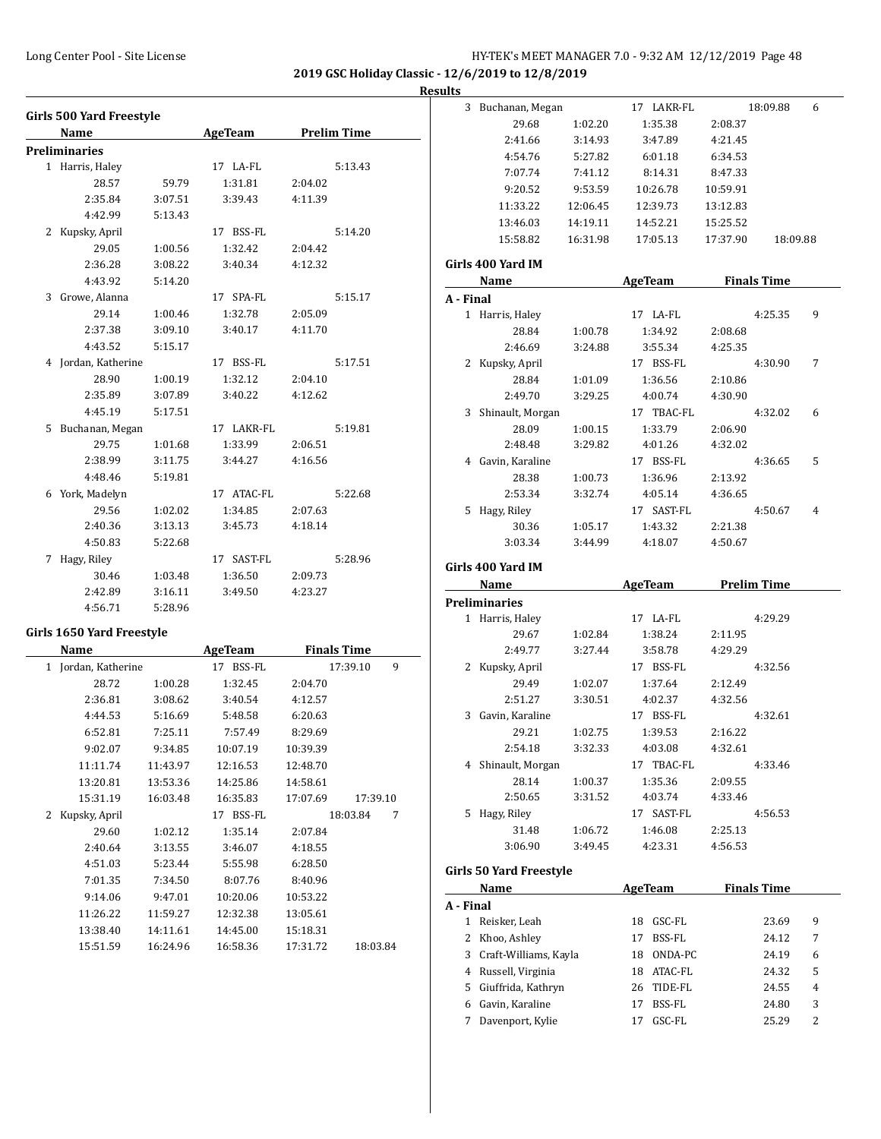**2019 GSC Holiday Classic - 12/6/2019 to 12/8/2019**

#### **Results**

| Girls 500 Yard Freestyle |                      |         |                | <b>Prelim Time</b> |         |
|--------------------------|----------------------|---------|----------------|--------------------|---------|
|                          | Name                 |         | <b>AgeTeam</b> |                    |         |
|                          | <b>Preliminaries</b> |         |                |                    |         |
|                          | 1 Harris, Haley      |         | 17 LA-FL       |                    | 5:13.43 |
|                          | 28.57                | 59.79   | 1:31.81        | 2:04.02            |         |
|                          | 2:35.84              | 3:07.51 | 3:39.43        | 4:11.39            |         |
|                          | 4:42.99              | 5:13.43 |                |                    |         |
| 2                        | Kupsky, April        |         | 17 BSS-FL      |                    | 5:14.20 |
|                          | 29.05                | 1:00.56 | 1:32.42        | 2:04.42            |         |
|                          | 2:36.28              | 3:08.22 | 3:40.34        | 4:12.32            |         |
|                          | 4:43.92              | 5:14.20 |                |                    |         |
| 3                        | Growe, Alanna        |         | 17 SPA-FL      |                    | 5:15.17 |
|                          | 29.14                | 1:00.46 | 1:32.78        | 2:05.09            |         |
|                          | 2:37.38              | 3:09.10 | 3:40.17        | 4:11.70            |         |
|                          | 4:43.52              | 5:15.17 |                |                    |         |
|                          | 4 Jordan, Katherine  |         | 17 BSS-FL      |                    | 5:17.51 |
|                          | 28.90                | 1:00.19 | 1:32.12        | 2:04.10            |         |
|                          | 2:35.89              | 3:07.89 | 3:40.22        | 4:12.62            |         |
|                          | 4:45.19              | 5:17.51 |                |                    |         |
|                          | 5 Buchanan, Megan    |         | 17 LAKR-FL     |                    | 5:19.81 |
|                          | 29.75                | 1:01.68 | 1:33.99        | 2:06.51            |         |
|                          | 2:38.99              | 3:11.75 | 3:44.27        | 4:16.56            |         |
|                          | 4:48.46              | 5:19.81 |                |                    |         |
| 6.                       | York, Madelyn        |         | 17 ATAC-FL     |                    | 5:22.68 |
|                          | 29.56                | 1:02.02 | 1:34.85        | 2:07.63            |         |
|                          | 2:40.36              | 3:13.13 | 3:45.73        | 4:18.14            |         |
|                          | 4:50.83              | 5:22.68 |                |                    |         |
| 7                        | Hagy, Riley          |         | 17 SAST-FL     |                    | 5:28.96 |
|                          | 30.46                | 1:03.48 | 1:36.50        | 2:09.73            |         |
|                          | 2:42.89              | 3:16.11 | 3:49.50        | 4:23.27            |         |
|                          | 4:56.71              | 5:28.96 |                |                    |         |

#### **Girls 1650 Yard Freestyle**

| Name                   |          | AgeTeam      | <b>Finals Time</b>   |
|------------------------|----------|--------------|----------------------|
| Jordan, Katherine<br>1 |          | 17 BSS-FL    | 9<br>17:39.10        |
| 28.72                  | 1:00.28  | 1:32.45      | 2:04.70              |
| 2:36.81                | 3:08.62  | 3:40.54      | 4:12.57              |
| 4:44.53                | 5:16.69  | 5:48.58      | 6:20.63              |
| 6:52.81                | 7:25.11  | 7:57.49      | 8:29.69              |
| 9:02.07                | 9:34.85  | 10:07.19     | 10:39.39             |
| 11:11.74               | 11:43.97 | 12:16.53     | 12:48.70             |
| 13:20.81               | 13:53.36 | 14:25.86     | 14:58.61             |
| 15:31.19               | 16:03.48 | 16:35.83     | 17:07.69<br>17:39.10 |
| Kupsky, April<br>2     |          | BSS-FL<br>17 | 18:03.84<br>7        |
| 29.60                  | 1:02.12  | 1:35.14      | 2:07.84              |
| 2:40.64                | 3:13.55  | 3:46.07      | 4:18.55              |
| 4:51.03                | 5:23.44  | 5:55.98      | 6:28.50              |
| 7:01.35                | 7:34.50  | 8:07.76      | 8:40.96              |
| 9:14.06                | 9:47.01  | 10:20.06     | 10:53.22             |
| 11:26.22               | 11:59.27 | 12:32.38     | 13:05.61             |
| 13:38.40               | 14:11.61 | 14:45.00     | 15:18.31             |
| 15:51.59               | 16:24.96 | 16:58.36     | 17:31.72<br>18:03.84 |

| 3         | Buchanan, Megan          |          | 17 LAKR-FL         |          | 18:09.88           | 6 |
|-----------|--------------------------|----------|--------------------|----------|--------------------|---|
|           | 29.68                    | 1:02.20  | 1:35.38            | 2:08.37  |                    |   |
|           | 2:41.66                  | 3:14.93  | 3:47.89            | 4:21.45  |                    |   |
|           | 4:54.76                  | 5:27.82  | 6:01.18            | 6:34.53  |                    |   |
|           | 7:07.74                  | 7:41.12  | 8:14.31            | 8:47.33  |                    |   |
|           | 9:20.52                  | 9:53.59  | 10:26.78           | 10:59.91 |                    |   |
|           | 11:33.22                 | 12:06.45 | 12:39.73           | 13:12.83 |                    |   |
|           | 13:46.03                 | 14:19.11 | 14:52.21           | 15:25.52 |                    |   |
|           | 15:58.82                 | 16:31.98 | 17:05.13           | 17:37.90 | 18:09.88           |   |
|           |                          |          |                    |          |                    |   |
|           | Girls 400 Yard IM        |          | AgeTeam            |          | <b>Finals Time</b> |   |
|           | Name                     |          |                    |          |                    |   |
| A - Final |                          |          | 17 LA-FL           |          | 4:25.35            | 9 |
|           | 1 Harris, Haley<br>28.84 |          |                    |          |                    |   |
|           |                          | 1:00.78  | 1:34.92<br>3:55.34 | 2:08.68  |                    |   |
|           | 2:46.69                  | 3:24.88  |                    | 4:25.35  |                    |   |
| 2         | Kupsky, April            |          | 17 BSS-FL          |          | 4:30.90            | 7 |
|           | 28.84                    | 1:01.09  | 1:36.56            | 2:10.86  |                    |   |
|           | 2:49.70                  | 3:29.25  | 4:00.74            | 4:30.90  |                    |   |
|           | 3 Shinault, Morgan       |          | 17 TBAC-FL         |          | 4:32.02            | 6 |
|           | 28.09                    | 1:00.15  | 1:33.79            | 2:06.90  |                    |   |
|           | 2:48.48                  | 3:29.82  | 4:01.26            | 4:32.02  |                    |   |
|           | 4 Gavin, Karaline        |          | 17 BSS-FL          |          | 4:36.65            | 5 |
|           | 28.38                    | 1:00.73  | 1:36.96            | 2:13.92  |                    |   |
|           | 2:53.34                  | 3:32.74  | 4:05.14            | 4:36.65  |                    |   |
| 5         | Hagy, Riley              |          | 17 SAST-FL         |          | 4:50.67            | 4 |
|           | 30.36                    | 1:05.17  | 1:43.32            | 2:21.38  |                    |   |
|           | 3:03.34                  | 3:44.99  | 4:18.07            | 4:50.67  |                    |   |
|           | Girls 400 Yard IM        |          |                    |          |                    |   |
|           |                          |          |                    |          |                    |   |
|           | Name                     |          | <b>AgeTeam</b>     |          | <b>Prelim Time</b> |   |
|           | <b>Preliminaries</b>     |          |                    |          |                    |   |
|           | 1 Harris, Haley          |          | 17 LA-FL           |          | 4:29.29            |   |
|           | 29.67                    | 1:02.84  | 1:38.24            | 2:11.95  |                    |   |
|           | 2:49.77                  | 3:27.44  | 3:58.78            | 4:29.29  |                    |   |
| 2         | Kupsky, April            |          | 17 BSS-FL          |          | 4:32.56            |   |
|           | 29.49                    | 1:02.07  | 1:37.64            | 2:12.49  |                    |   |
|           | 2:51.27                  | 3:30.51  | 4:02.37            | 4:32.56  |                    |   |
| 3         | Gavin, Karaline          |          | 17 BSS-FL          |          | 4:32.61            |   |
|           | 29.21                    | 1:02.75  | 1:39.53            | 2:16.22  |                    |   |
|           | 2:54.18                  | 3:32.33  | 4:03.08            | 4:32.61  |                    |   |
| 4         | Shinault, Morgan         |          | 17<br>TBAC-FL      |          | 4:33.46            |   |
|           | 28.14                    | 1:00.37  | 1:35.36            | 2:09.55  |                    |   |
|           | 2:50.65                  | 3:31.52  | 4:03.74            | 4:33.46  |                    |   |
| 5         | Hagy, Riley              |          | SAST-FL<br>17      |          | 4:56.53            |   |
|           | 31.48                    | 1:06.72  | 1:46.08            | 2:25.13  |                    |   |
|           | 3:06.90                  | 3:49.45  | 4:23.31            | 4:56.53  |                    |   |
|           |                          |          |                    |          |                    |   |
|           | Girls 50 Yard Freestyle  |          |                    |          |                    |   |
|           | Name                     |          | <b>AgeTeam</b>     |          | <b>Finals Time</b> |   |
| A - Final |                          |          |                    |          |                    |   |
| 1         | Reisker, Leah            |          | 18 GSC-FL          |          | 23.69              | 9 |
| 2         | Khoo, Ashley             |          | BSS-FL<br>17       |          | 24.12              | 7 |
| 3         | Craft-Williams, Kayla    |          | 18<br>ONDA-PC      |          | 24.19              | 6 |
|           | 4 Russell, Virginia      |          | 18 ATAC-FL         |          | 24.32              | 5 |
| 5         | Giuffrida, Kathryn       |          | 26 TIDE-FL         |          | 24.55              | 4 |
|           | 6 Gavin, Karaline        |          | BSS-FL<br>17       |          | 24.80              | 3 |
| 7         | Davenport, Kylie         |          | GSC-FL<br>17       |          | 25.29              | 2 |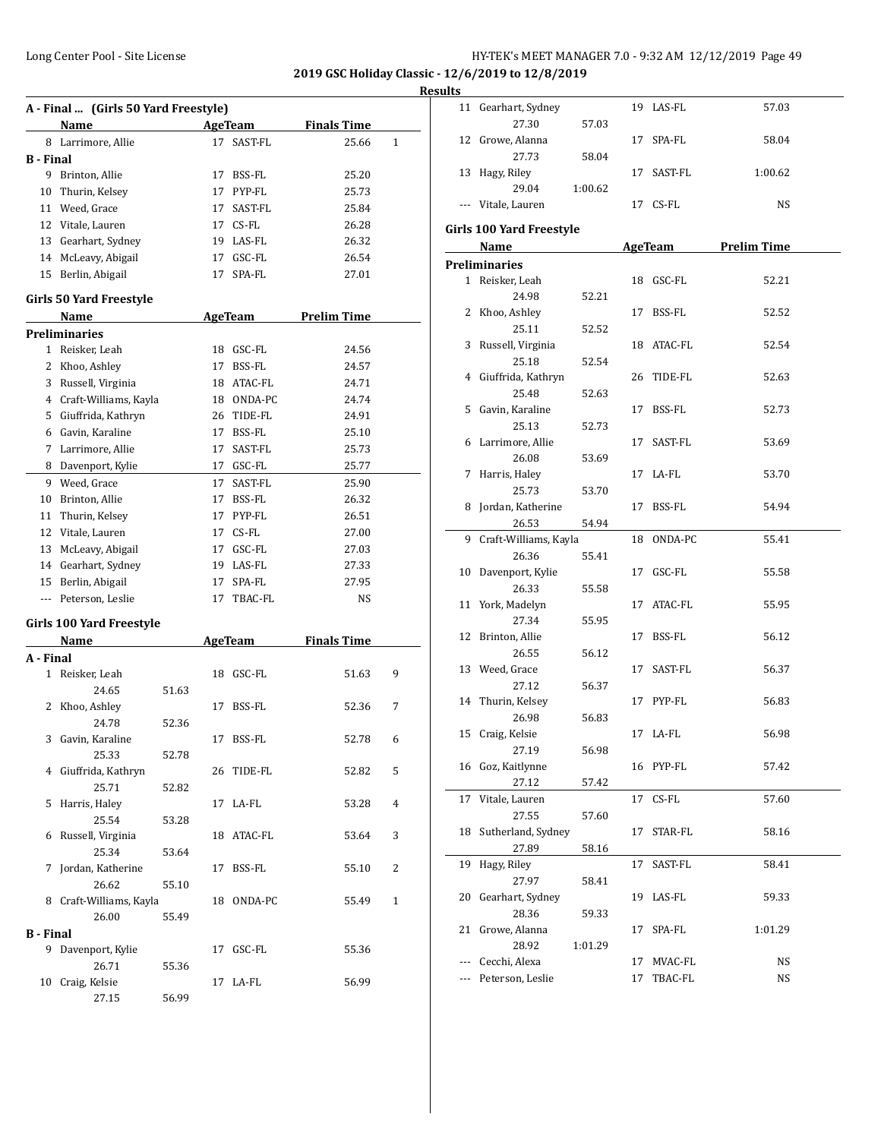|                  | A - Final  (Girls 50 Yard Freestyle) |       |    |                              |                             |   |
|------------------|--------------------------------------|-------|----|------------------------------|-----------------------------|---|
|                  |                                      |       |    |                              |                             |   |
|                  | <b>Name</b><br>8 Larrimore, Allie    |       |    | <b>AgeTeam</b><br>17 SAST-FL | <b>Finals Time</b><br>25.66 | 1 |
|                  |                                      |       |    |                              |                             |   |
| <b>B</b> - Final |                                      |       |    |                              |                             |   |
|                  | 9 Brinton, Allie                     |       | 17 | BSS-FL                       | 25.20                       |   |
| 10               | Thurin, Kelsey                       |       | 17 | PYP-FL                       | 25.73                       |   |
| 11               | Weed, Grace                          |       | 17 | SAST-FL                      | 25.84                       |   |
| 12               | Vitale, Lauren                       |       |    | 17 CS-FL                     | 26.28                       |   |
| 13               | Gearhart, Sydney                     |       |    | 19 LAS-FL                    | 26.32                       |   |
| 14               | McLeavy, Abigail                     |       | 17 | GSC-FL                       | 26.54                       |   |
|                  | 15 Berlin, Abigail                   |       | 17 | SPA-FL                       | 27.01                       |   |
|                  | Girls 50 Yard Freestyle              |       |    |                              |                             |   |
|                  | Name                                 |       |    | AgeTeam                      | <b>Prelim Time</b>          |   |
|                  | <b>Preliminaries</b>                 |       |    |                              |                             |   |
|                  | 1 Reisker, Leah                      |       |    | 18 GSC-FL                    | 24.56                       |   |
| 2                | Khoo, Ashley                         |       | 17 | BSS-FL                       | 24.57                       |   |
| 3                | Russell, Virginia                    |       |    | 18 ATAC-FL                   | 24.71                       |   |
| 4                | Craft-Williams, Kayla                |       |    | 18 ONDA-PC                   | 24.74                       |   |
| 5                | Giuffrida, Kathryn                   |       |    | 26 TIDE-FL                   | 24.91                       |   |
| 6                | Gavin, Karaline                      |       |    | 17 BSS-FL                    | 25.10                       |   |
| 7                | Larrimore, Allie                     |       | 17 | SAST-FL                      | 25.73                       |   |
| 8                | Davenport, Kylie                     |       |    | 17 GSC-FL                    | 25.77                       |   |
|                  |                                      |       |    |                              |                             |   |
| 9                | Weed, Grace                          |       | 17 | SAST-FL                      | 25.90                       |   |
| 10               | Brinton, Allie                       |       | 17 | BSS-FL                       | 26.32                       |   |
| 11               | Thurin, Kelsey                       |       | 17 | PYP-FL                       | 26.51                       |   |
| 12               | Vitale, Lauren                       |       |    | 17 CS-FL                     | 27.00                       |   |
| 13               | McLeavy, Abigail                     |       |    | 17 GSC-FL                    | 27.03                       |   |
|                  | 14 Gearhart, Sydney                  |       |    | 19 LAS-FL                    | 27.33                       |   |
|                  | 15 Berlin, Abigail                   |       | 17 | SPA-FL                       | 27.95                       |   |
|                  | --- Peterson, Leslie                 |       | 17 | TBAC-FL                      | NS                          |   |
|                  | Girls 100 Yard Freestyle             |       |    |                              |                             |   |
|                  | Name                                 |       |    | <b>AgeTeam</b>               | <b>Finals Time</b>          |   |
| A - Final        |                                      |       |    |                              |                             |   |
| 1                | Reisker, Leah                        |       | 18 | GSC-FL                       | 51.63                       | 9 |
|                  | 24.65                                | 51.63 |    |                              |                             |   |
| 2                | Khoo, Ashley                         |       | 17 | BSS-FL                       | 52.36                       | 7 |
|                  | 24.78                                | 52.36 |    |                              |                             |   |
| 3                | Gavin, Karaline                      |       | 17 | BSS-FL                       | 52.78                       | 6 |
|                  | 25.33                                | 52.78 |    |                              |                             |   |
|                  | 4 Giuffrida, Kathryn                 |       | 26 | TIDE-FL                      | 52.82                       | 5 |
|                  | 25.71                                | 52.82 |    |                              |                             |   |
| 5                | Harris, Haley                        |       | 17 | LA-FL                        | 53.28                       | 4 |
|                  | 25.54                                | 53.28 |    |                              |                             |   |
| 6                | Russell, Virginia                    |       | 18 | ATAC-FL                      | 53.64                       | 3 |
|                  | 25.34                                | 53.64 |    |                              |                             |   |
| 7                | Jordan, Katherine                    |       | 17 | BSS-FL                       | 55.10                       | 2 |
|                  | 26.62                                | 55.10 |    |                              |                             |   |
| 8                | Craft-Williams, Kayla                |       | 18 | ONDA-PC                      | 55.49                       | 1 |
|                  | 26.00                                | 55.49 |    |                              |                             |   |
| <b>B</b> - Final |                                      |       |    |                              |                             |   |
| 9.               | Davenport, Kylie                     |       | 17 | GSC-FL                       | 55.36                       |   |
|                  | 26.71                                | 55.36 |    |                              |                             |   |
| 10               | Craig, Kelsie                        |       | 17 | LA-FL                        | 56.99                       |   |
|                  | 27.15                                | 56.99 |    |                              |                             |   |
|                  |                                      |       |    |                              |                             |   |

| <b>Results</b> |                                  |         |    |            |                     |  |
|----------------|----------------------------------|---------|----|------------|---------------------|--|
|                | 11 Gearhart, Sydney<br>27.30     | 57.03   |    | 19 LAS-FL  | 57.03               |  |
|                | 12 Growe, Alanna                 |         |    | 17 SPA-FL  | 58.04               |  |
|                | 27.73<br>13 Hagy, Riley          | 58.04   |    | 17 SAST-FL | 1:00.62             |  |
|                | 29.04<br>--- Vitale, Lauren      | 1:00.62 |    | 17 CS-FL   | NS                  |  |
|                |                                  |         |    |            |                     |  |
|                | Girls 100 Yard Freestyle<br>Name |         |    |            | AgeTeam Prelim Time |  |
|                | <b>Preliminaries</b>             |         |    |            |                     |  |
|                | 1 Reisker, Leah<br>24.98         | 52.21   |    | 18 GSC-FL  | 52.21               |  |
|                | 2 Khoo, Ashley                   |         |    | 17 BSS-FL  | 52.52               |  |
|                | 25.11                            | 52.52   |    |            |                     |  |
|                | 3 Russell, Virginia              |         |    | 18 ATAC-FL | 52.54               |  |
|                | 25.18                            | 52.54   |    |            |                     |  |
|                | 4 Giuffrida, Kathryn<br>25.48    | 52.63   |    | 26 TIDE-FL | 52.63               |  |
|                | 5 Gavin, Karaline<br>25.13       | 52.73   |    | 17 BSS-FL  | 52.73               |  |
|                | 6 Larrimore, Allie               |         |    | 17 SAST-FL | 53.69               |  |
|                | 26.08                            | 53.69   |    |            |                     |  |
|                | 7 Harris, Haley                  |         |    | 17 LA-FL   | 53.70               |  |
|                | 25.73                            | 53.70   |    |            |                     |  |
|                | 8 Jordan, Katherine<br>26.53     |         |    | 17 BSS-FL  | 54.94               |  |
|                | 9 Craft-Williams, Kayla          | 54.94   |    | 18 ONDA-PC | 55.41               |  |
|                | 26.36                            | 55.41   |    |            |                     |  |
|                | 10 Davenport, Kylie              |         |    | 17 GSC-FL  | 55.58               |  |
|                | 26.33                            | 55.58   |    |            |                     |  |
|                | 11 York, Madelyn                 |         |    | 17 ATAC-FL | 55.95               |  |
|                | 27.34                            | 55.95   |    |            |                     |  |
|                | 12 Brinton, Allie                |         |    | 17 BSS-FL  | 56.12               |  |
|                | 26.55                            | 56.12   |    |            |                     |  |
|                | 13 Weed, Grace                   |         |    | 17 SAST-FL | 56.37               |  |
|                | 27.12<br>14 Thurin, Kelsey       | 56.37   |    | 17 PYP-FL  | 56.83               |  |
|                | 26.98                            | 56.83   |    |            |                     |  |
|                | 15 Craig, Kelsie                 |         |    | 17 LA-FL   | 56.98               |  |
|                | 27.19                            | 56.98   |    |            |                     |  |
|                | 16 Goz, Kaitlynne                |         |    | 16 PYP-FL  | 57.42               |  |
|                | 27.12                            | 57.42   |    |            |                     |  |
|                | 17 Vitale, Lauren                |         |    | 17 CS-FL   | 57.60               |  |
|                | 27.55                            | 57.60   |    |            |                     |  |
|                | 18 Sutherland, Sydney            |         |    | 17 STAR-FL | 58.16               |  |
|                | 27.89                            | 58.16   |    |            |                     |  |
|                | 19 Hagy, Riley<br>27.97          |         | 17 | SAST-FL    | 58.41               |  |
|                | 20 Gearhart, Sydney              | 58.41   |    | 19 LAS-FL  | 59.33               |  |
|                | 28.36                            | 59.33   |    |            |                     |  |
|                | 21 Growe, Alanna                 |         | 17 | SPA-FL     | 1:01.29             |  |
|                | 28.92                            | 1:01.29 |    |            |                     |  |
|                | --- Cecchi, Alexa                |         | 17 | MVAC-FL    | NS                  |  |
|                | Peterson, Leslie                 |         | 17 | TBAC-FL    | NS                  |  |
|                |                                  |         |    |            |                     |  |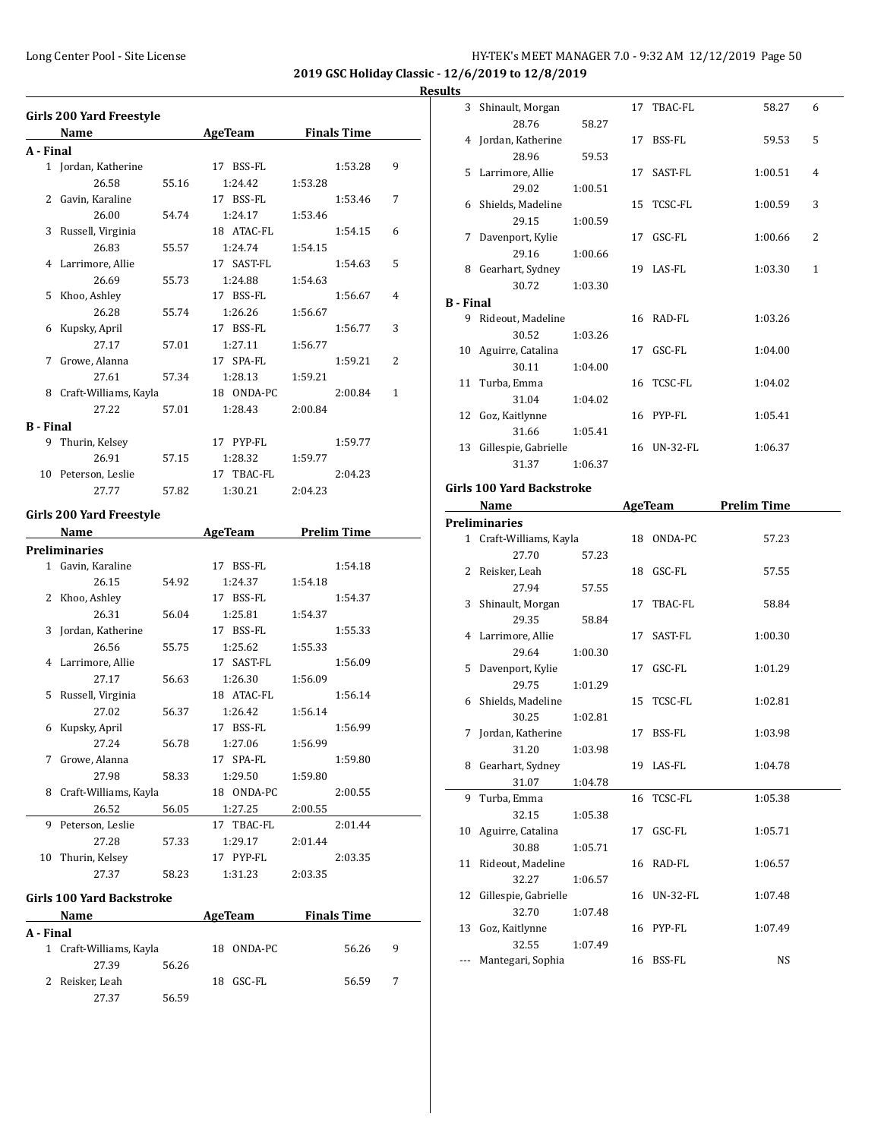**2019 GSC Holiday Classic - 12/6/2019 to 12/8/2019**

### **Results**

|           | Name                     |       | AgeTeam              | <b>Finals Time</b> |                    |   |
|-----------|--------------------------|-------|----------------------|--------------------|--------------------|---|
| A - Final |                          |       |                      |                    |                    |   |
|           | 1 Jordan, Katherine      |       | 17 BSS-FL            |                    | 1:53.28            | 9 |
|           | 26.58                    | 55.16 | 1:24.42              | 1:53.28            |                    |   |
| 2         | Gavin, Karaline          |       | 17 BSS-FL            |                    | 1:53.46            | 7 |
|           | 26.00                    | 54.74 | 1:24.17              | 1:53.46            |                    |   |
| 3         | Russell, Virginia        |       | 18 ATAC-FL           |                    | 1:54.15            | 6 |
|           | 26.83                    | 55.57 | 1:24.74              | 1:54.15            |                    |   |
| 4         | Larrimore, Allie         |       | 17 SAST-FL           |                    | 1:54.63            | 5 |
|           | 26.69                    | 55.73 | 1:24.88              | 1:54.63            |                    |   |
| 5         | Khoo, Ashley             |       | 17 BSS-FL            |                    | 1:56.67            | 4 |
|           | 26.28                    | 55.74 | 1:26.26              | 1:56.67            |                    |   |
| 6         | Kupsky, April            |       | 17 BSS-FL            |                    | 1:56.77            | 3 |
|           | 27.17                    | 57.01 | 1:27.11              | 1:56.77            |                    |   |
| 7         | Growe, Alanna            |       | 17 SPA-FL            |                    | 1:59.21            | 2 |
|           | 27.61                    | 57.34 | 1:28.13              | 1:59.21            |                    |   |
|           | 8 Craft-Williams, Kayla  |       | 18 ONDA-PC           |                    | 2:00.84            | 1 |
|           | 27.22                    | 57.01 | 1:28.43              | 2:00.84            |                    |   |
|           |                          |       |                      |                    |                    |   |
| 9         | B - Final                |       | 17 PYP-FL            |                    |                    |   |
|           | Thurin, Kelsey<br>26.91  |       | 1:28.32              |                    | 1:59.77            |   |
|           |                          | 57.15 |                      | 1:59.77            |                    |   |
|           | 10 Peterson, Leslie      |       | 17 TBAC-FL           |                    | 2:04.23            |   |
|           |                          |       |                      |                    |                    |   |
|           | 27.77                    | 57.82 | 1:30.21              | 2:04.23            |                    |   |
|           | Girls 200 Yard Freestyle |       |                      |                    |                    |   |
|           | Name                     |       | <b>AgeTeam</b>       |                    | <b>Prelim Time</b> |   |
|           | <b>Preliminaries</b>     |       |                      |                    |                    |   |
|           | 1 Gavin, Karaline        |       | 17 BSS-FL            |                    | 1:54.18            |   |
|           | 26.15                    | 54.92 | 1:24.37              | 1:54.18            |                    |   |
|           |                          |       | 17 BSS-FL            |                    | 1:54.37            |   |
|           | 2 Khoo, Ashley<br>26.31  |       |                      |                    |                    |   |
| 3         |                          | 56.04 | 1:25.81<br>17 BSS-FL | 1:54.37            | 1:55.33            |   |
|           | Jordan, Katherine        |       |                      |                    |                    |   |
|           | 26.56                    | 55.75 | 1:25.62              | 1:55.33            |                    |   |
|           | 4 Larrimore, Allie       |       | 17 SAST-FL           |                    | 1:56.09            |   |
|           | 27.17                    | 56.63 | 1:26.30              | 1:56.09            |                    |   |
| 5         | Russell, Virginia        |       | 18 ATAC-FL           |                    | 1:56.14            |   |
|           | 27.02                    | 56.37 | 1:26.42              | 1:56.14            |                    |   |
| 6         | Kupsky, April            |       | 17 BSS-FL            |                    | 1:56.99            |   |
|           | 27.24                    | 56.78 | 1:27.06              | 1:56.99            |                    |   |
| 7         | Growe, Alanna            |       | 17<br>SPA-FL         |                    | 1:59.80            |   |
|           | 27.98                    | 58.33 | 1:29.50              | 1:59.80            |                    |   |
| 8         | Craft-Williams, Kayla    |       | 18 ONDA-PC           |                    | 2:00.55            |   |
|           | 26.52                    | 56.05 | 1:27.25              | 2:00.55            |                    |   |
| 9         | Peterson, Leslie         |       | 17 TBAC-FL           |                    | 2:01.44            |   |
|           | 27.28                    | 57.33 | 1:29.17              | 2:01.44            |                    |   |
| 10        | Thurin, Kelsey           |       | 17 PYP-FL            |                    | 2:03.35            |   |

|           | <b>Name</b>             |       |     | AgeTeam    |  |       |   |  |
|-----------|-------------------------|-------|-----|------------|--|-------|---|--|
| A - Final |                         |       |     |            |  |       |   |  |
|           | 1 Craft-Williams, Kayla |       |     | 18 ONDA-PC |  | 56.26 | 9 |  |
|           | 27.39                   | 56.26 |     |            |  |       |   |  |
|           | 2 Reisker, Leah         |       | 18. | GSC-FL     |  | 56.59 |   |  |
|           | 27.37                   | 56.59 |     |            |  |       |   |  |

| 1 L.S     |                      |         |    |                 |         |                |
|-----------|----------------------|---------|----|-----------------|---------|----------------|
|           | 3 Shinault, Morgan   |         |    | 17 TBAC-FL      | 58.27   | 6              |
|           | 28.76                | 58.27   |    |                 |         |                |
|           | 4 Jordan, Katherine  |         |    | 17 BSS-FL       | 59.53   | 5              |
|           | 28.96                | 59.53   |    |                 |         |                |
| 5.        | Larrimore, Allie     |         | 17 | SAST-FL         | 1:00.51 | $\overline{4}$ |
|           | 29.02                | 1:00.51 |    |                 |         |                |
|           | 6 Shields, Madeline  |         |    | 15 TCSC-FL      | 1:00.59 | 3              |
|           | 29.15                | 1:00.59 |    |                 |         |                |
| 7         | Davenport, Kylie     |         | 17 | GSC-FL          | 1:00.66 | 2              |
|           | 29.16                | 1:00.66 |    |                 |         |                |
| 8         | Gearhart, Sydney     |         |    | 19 LAS-FL       | 1:03.30 | 1              |
|           | 30.72                | 1:03.30 |    |                 |         |                |
| B - Final |                      |         |    |                 |         |                |
| 9         | Rideout, Madeline    |         |    | 16 RAD-FL       | 1:03.26 |                |
|           | 30.52                | 1:03.26 |    |                 |         |                |
|           | 10 Aguirre, Catalina |         |    | $17$ GSC-FL     | 1:04.00 |                |
|           | 30.11                | 1:04.00 |    |                 |         |                |
|           | 11 Turba, Emma       |         |    | 16 TCSC-FL      | 1:04.02 |                |
|           | 31.04                | 1:04.02 |    |                 |         |                |
|           | 12 Goz, Kaitlynne    |         |    | 16 PYP-FL       | 1:05.41 |                |
|           | 31.66                | 1:05.41 |    |                 |         |                |
| 13        | Gillespie, Gabrielle |         | 16 | <b>UN-32-FL</b> | 1:06.37 |                |
|           | 31.37                | 1:06.37 |    |                 |         |                |

#### **Girls 100 Yard Backstroke**

 $\overline{a}$ 

 $\overline{a}$ 

|    | Name                    |         |    | AgeTeam     | <b>Prelim Time</b> |  |
|----|-------------------------|---------|----|-------------|--------------------|--|
|    | Preliminaries           |         |    |             |                    |  |
|    | 1 Craft-Williams, Kayla |         |    | 18 ONDA-PC  | 57.23              |  |
|    | 27.70                   | 57.23   |    |             |                    |  |
|    | 2 Reisker, Leah         |         |    | 18 GSC-FL   | 57.55              |  |
|    | 27.94                   | 57.55   |    |             |                    |  |
| 3  | Shinault, Morgan        |         | 17 | TBAC-FL     | 58.84              |  |
|    | 29.35                   | 58.84   |    |             |                    |  |
|    | 4 Larrimore, Allie      |         |    | 17 SAST-FL  | 1:00.30            |  |
|    | 29.64                   | 1:00.30 |    |             |                    |  |
| 5  | Davenport, Kylie        |         |    | 17 GSC-FL   | 1:01.29            |  |
|    | 29.75                   | 1:01.29 |    |             |                    |  |
| 6  | Shields, Madeline       |         |    | 15 TCSC-FL  | 1:02.81            |  |
|    | 30.25                   | 1:02.81 |    |             |                    |  |
| 7  | Jordan, Katherine       |         |    | 17 BSS-FL   | 1:03.98            |  |
|    | 31.20                   | 1:03.98 |    |             |                    |  |
|    | 8 Gearhart, Sydney      |         |    | 19 LAS-FL   | 1:04.78            |  |
|    | 31.07                   | 1:04.78 |    |             |                    |  |
|    | 9 Turba, Emma           |         |    | 16 TCSC-FL  | 1:05.38            |  |
|    | 32.15                   | 1:05.38 |    |             |                    |  |
|    | 10 Aguirre, Catalina    |         |    | 17 GSC-FL   | 1:05.71            |  |
|    | 30.88                   | 1:05.71 |    |             |                    |  |
|    | 11 Rideout, Madeline    |         |    | 16 RAD-FL   | 1:06.57            |  |
|    | 32.27                   | 1:06.57 |    |             |                    |  |
| 12 | Gillespie, Gabrielle    |         |    | 16 UN-32-FL | 1:07.48            |  |
|    | 32.70                   | 1:07.48 |    |             |                    |  |
|    | 13 Goz, Kaitlynne       |         |    | 16 PYP-FL   | 1:07.49            |  |
|    | 32.55                   | 1:07.49 |    |             |                    |  |
|    | Mantegari, Sophia       |         |    | 16 BSS-FL   | <b>NS</b>          |  |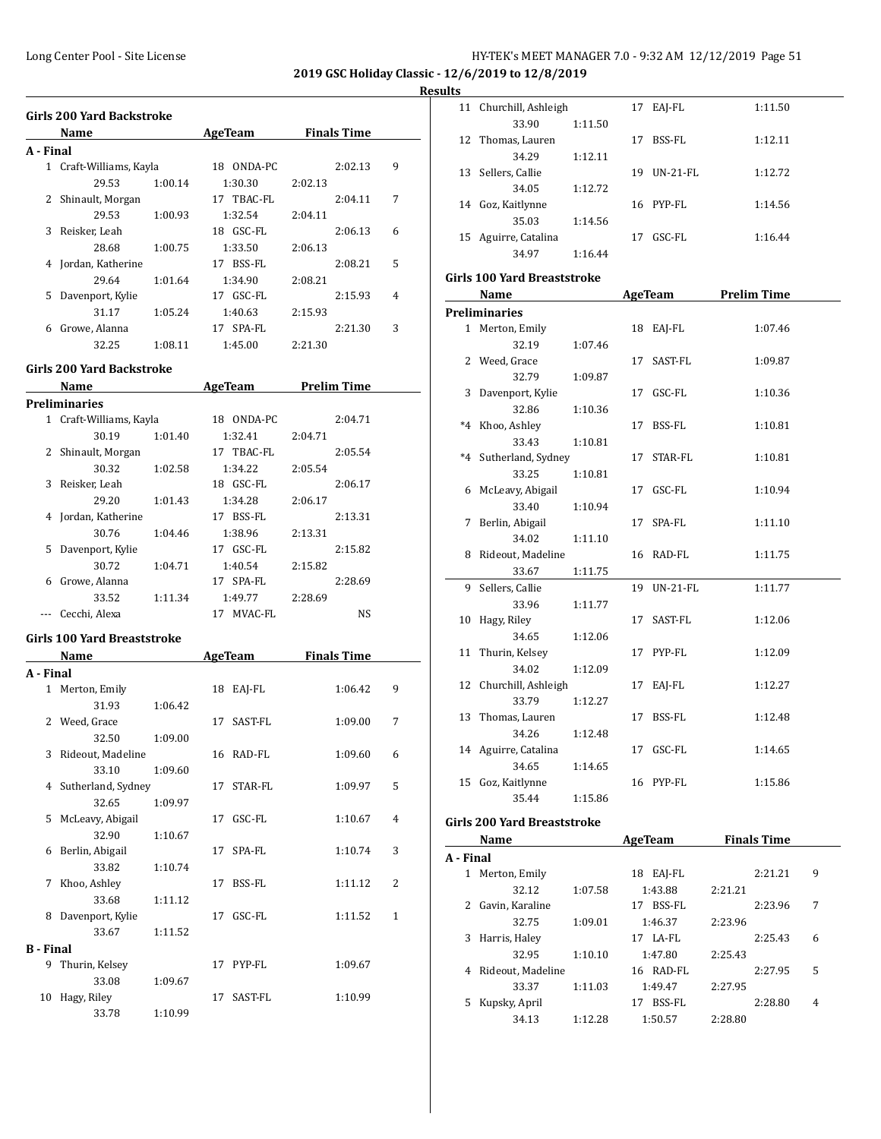**2019 GSC Holiday Classic - 12/6/2019 to 12/8/2019**

#### **Resul**

|   | Girls 200 Yard Backstroke<br><b>AgeTeam</b> Finals Time<br><b>Name</b> |         |                     |            |         |         |   |
|---|------------------------------------------------------------------------|---------|---------------------|------------|---------|---------|---|
|   | A - Final                                                              |         |                     |            |         |         |   |
|   | 1 Craft-Williams, Kayla                                                |         |                     | 18 ONDA-PC |         | 2:02.13 | 9 |
|   | 29.53                                                                  | 1:00.14 | 1:30.30             |            | 2:02.13 |         |   |
|   | 2 Shinault, Morgan                                                     |         | 17 TBAC-FL          |            |         | 2:04.11 | 7 |
|   | 29.53                                                                  | 1:00.93 | 1:32.54             |            | 2:04.11 |         |   |
|   | 3 Reisker, Leah                                                        |         | 18 GSC-FL           |            |         | 2:06.13 | 6 |
|   | 28.68                                                                  | 1:00.75 | 1:33.50             |            | 2:06.13 |         |   |
|   | 4 Jordan, Katherine                                                    |         | 17 BSS-FL           |            |         | 2:08.21 | 5 |
|   | 29.64                                                                  | 1:01.64 | 1:34.90             |            | 2:08.21 |         |   |
|   | 5 Davenport, Kylie                                                     |         | 17 GSC-FL           |            |         | 2:15.93 | 4 |
|   | 31.17                                                                  | 1:05.24 |                     | 1:40.63    | 2:15.93 |         |   |
|   | 6 Growe, Alanna                                                        |         | 17 SPA-FL           |            |         | 2:21.30 | 3 |
|   | 32.25                                                                  | 1:08.11 | 1:45.00             |            |         |         |   |
|   |                                                                        |         |                     |            | 2:21.30 |         |   |
|   | Girls 200 Yard Backstroke                                              |         |                     |            |         |         |   |
|   | Name AgeTeam Prelim Time                                               |         |                     |            |         |         |   |
|   | Preliminaries                                                          |         |                     |            |         |         |   |
|   | 1 Craft-Williams, Kayla                                                |         | 18 ONDA-PC          |            |         | 2:04.71 |   |
|   | 30.19                                                                  | 1:01.40 | 1:32.41             |            | 2:04.71 |         |   |
|   | 2 Shinault, Morgan                                                     |         |                     | 17 TBAC-FL |         | 2:05.54 |   |
|   | 30.32                                                                  | 1:02.58 | 1:34.22             |            | 2:05.54 |         |   |
|   | 3 Reisker, Leah                                                        |         | 18 GSC-FL           |            |         | 2:06.17 |   |
|   | 29.20                                                                  | 1:01.43 | 1:34.28             |            | 2:06.17 |         |   |
|   | 4 Jordan, Katherine                                                    |         | 17 BSS-FL           |            |         | 2:13.31 |   |
|   | 30.76                                                                  | 1:04.46 | 1:38.96             |            | 2:13.31 |         |   |
|   | 5 Davenport, Kylie                                                     |         | 17 GSC-FL           |            |         | 2:15.82 |   |
|   | 30.72                                                                  | 1:04.71 | 1:40.54             |            | 2:15.82 |         |   |
|   | 6 Growe, Alanna                                                        |         | 17 SPA-FL           |            |         | 2:28.69 |   |
|   | 33.52                                                                  | 1:11.34 |                     | 1:49.77    | 2:28.69 |         |   |
|   | Cecchi, Alexa                                                          |         |                     | 17 MVAC-FL |         | NS      |   |
|   | Girls 100 Yard Breaststroke                                            |         |                     |            |         |         |   |
|   | Name                                                                   |         | AgeTeam Finals Time |            |         |         |   |
|   | A - Final                                                              |         |                     |            |         |         |   |
|   | 1 Merton, Emily                                                        |         | 18 EAJ-FL           |            |         | 1:06.42 | 9 |
|   | 31.93                                                                  | 1:06.42 |                     |            |         |         |   |
|   | 2 Weed, Grace                                                          |         | 17 SAST-FL          |            |         | 1:09.00 | 7 |
|   | 32.50                                                                  | 1:09.00 |                     |            |         |         |   |
|   | 3 Rideout, Madeline                                                    |         | 16 RAD-FL           |            |         | 1:09.60 | 6 |
|   | 33.10                                                                  | 1:09.60 |                     |            |         |         |   |
|   | Sutherland, Sydney<br>4                                                |         | 17                  | STAR-FL    |         | 1:09.97 | 5 |
|   | 32.65                                                                  | 1:09.97 |                     |            |         |         |   |
| 5 | McLeavy, Abigail                                                       |         | 17 GSC-FL           |            |         | 1:10.67 | 4 |
|   | 32.90                                                                  | 1:10.67 |                     |            |         |         |   |
|   | Berlin, Abigail<br>6                                                   |         | 17                  | SPA-FL     |         | 1:10.74 | 3 |
|   | 33.82                                                                  | 1:10.74 |                     |            |         |         |   |
|   | Khoo, Ashley<br>7                                                      |         | 17                  | BSS-FL     |         | 1:11.12 | 2 |
|   | 33.68                                                                  | 1:11.12 |                     |            |         |         |   |
|   | Davenport, Kylie<br>8                                                  |         | 17 GSC-FL           |            |         | 1:11.52 | 1 |
|   | 33.67                                                                  | 1:11.52 |                     |            |         |         |   |
|   | <b>B</b> - Final                                                       |         |                     |            |         |         |   |
|   | 9<br>Thurin, Kelsey                                                    |         | 17 PYP-FL           |            |         | 1:09.67 |   |
|   | 33.08                                                                  | 1:09.67 |                     |            |         |         |   |
|   | 10 Hagy, Riley                                                         |         | 17 SAST-FL          |            |         | 1:10.99 |   |
|   | 33.78                                                                  | 1:10.99 |                     |            |         |         |   |

| ults         |                             |         |                     |         |                    |   |
|--------------|-----------------------------|---------|---------------------|---------|--------------------|---|
| 11           | Churchill, Ashleigh         |         | 17 EAJ-FL           |         | 1:11.50            |   |
|              | 33.90                       | 1:11.50 |                     |         |                    |   |
|              | 12 Thomas, Lauren           |         | 17 BSS-FL           |         | 1:12.11            |   |
|              | 34.29                       | 1:12.11 |                     |         |                    |   |
|              | 13 Sellers, Callie          |         | 19 UN-21-FL         |         | 1:12.72            |   |
|              | 34.05                       | 1:12.72 |                     |         |                    |   |
|              | 14 Goz, Kaitlynne           |         | 16 PYP-FL           |         | 1:14.56            |   |
|              | 35.03                       | 1:14.56 |                     |         |                    |   |
|              | 15 Aguirre, Catalina        |         | 17 GSC-FL           |         | 1:16.44            |   |
|              | 34.97                       | 1:16.44 |                     |         |                    |   |
|              |                             |         |                     |         |                    |   |
|              | Girls 100 Yard Breaststroke |         |                     |         |                    |   |
|              | Name                        |         | AgeTeam             |         | <b>Prelim Time</b> |   |
|              | <b>Preliminaries</b>        |         |                     |         |                    |   |
|              | 1 Merton, Emily             |         | 18 EAJ-FL           |         | 1:07.46            |   |
|              | 32.19                       | 1:07.46 |                     |         |                    |   |
|              | 2 Weed, Grace               |         | 17 SAST-FL          |         | 1:09.87            |   |
|              | 32.79                       | 1:09.87 |                     |         |                    |   |
|              | 3 Davenport, Kylie          |         | 17 GSC-FL           |         | 1:10.36            |   |
|              | 32.86                       | 1:10.36 |                     |         |                    |   |
| $*4$         | Khoo, Ashley                |         | 17 BSS-FL           |         | 1:10.81            |   |
|              | 33.43                       | 1:10.81 |                     |         |                    |   |
|              | *4 Sutherland, Sydney       |         | 17 STAR-FL          |         | 1:10.81            |   |
|              | 33.25                       | 1:10.81 |                     |         |                    |   |
|              | 6 McLeavy, Abigail          |         | 17 GSC-FL           |         | 1:10.94            |   |
|              | 33.40                       | 1:10.94 |                     |         |                    |   |
|              | 7 Berlin, Abigail           |         | 17 SPA-FL           |         | 1:11.10            |   |
|              | 34.02                       | 1:11.10 |                     |         |                    |   |
|              | 8 Rideout, Madeline         |         | 16 RAD-FL           |         | 1:11.75            |   |
|              | 33.67                       | 1:11.75 |                     |         |                    |   |
| 9            | Sellers, Callie             |         | 19 UN-21-FL         |         | 1:11.77            |   |
|              | 33.96                       | 1:11.77 |                     |         |                    |   |
|              | 10 Hagy, Riley              |         | 17 SAST-FL          |         | 1:12.06            |   |
|              | 34.65                       | 1:12.06 |                     |         |                    |   |
|              | 11 Thurin, Kelsey           |         | 17 PYP-FL           |         | 1:12.09            |   |
|              | 34.02                       | 1:12.09 |                     |         |                    |   |
|              | 12 Churchill, Ashleigh      |         | 17 EAJ-FL           |         | 1:12.27            |   |
|              | 33.79                       | 1:12.27 |                     |         |                    |   |
|              | 13 Thomas, Lauren           |         | 17 BSS-FL           |         | 1:12.48            |   |
|              | 34.26                       | 1:12.48 |                     |         |                    |   |
|              | 14 Aguirre, Catalina        |         | 17 GSC-FL           |         | 1:14.65            |   |
|              | 34.65                       | 1:14.65 |                     |         |                    |   |
|              | 15 Goz, Kaitlynne           |         | 16 PYP-FL           |         | 1:15.86            |   |
|              | 35.44                       | 1:15.86 |                     |         |                    |   |
|              | Girls 200 Yard Breaststroke |         |                     |         |                    |   |
|              | <b>Name</b>                 |         | AgeTeam Finals Time |         |                    |   |
| A - Final    |                             |         |                     |         |                    |   |
|              | 1 Merton, Emily             |         | 18 EAJ-FL           |         | 2:21.21            | 9 |
|              | 32.12                       | 1:07.58 | 1:43.88             | 2:21.21 |                    |   |
| $\mathbf{2}$ | Gavin, Karaline             |         | 17 BSS-FL           |         | 2:23.96            | 7 |
|              |                             |         |                     |         |                    |   |

32.75 1:09.01 1:46.37 2:23.96 3 Harris, Haley 17 LA-FL 2:25.43 6 32.95 1:10.10 1:47.80 2:25.43 4 Rideout, Madeline 16 RAD-FL 2:27.95 5 33.37 1:11.03 1:49.47 2:27.95 5 Kupsky, April 17 BSS-FL 2:28.80 4 34.13 1:12.28 1:50.57 2:28.80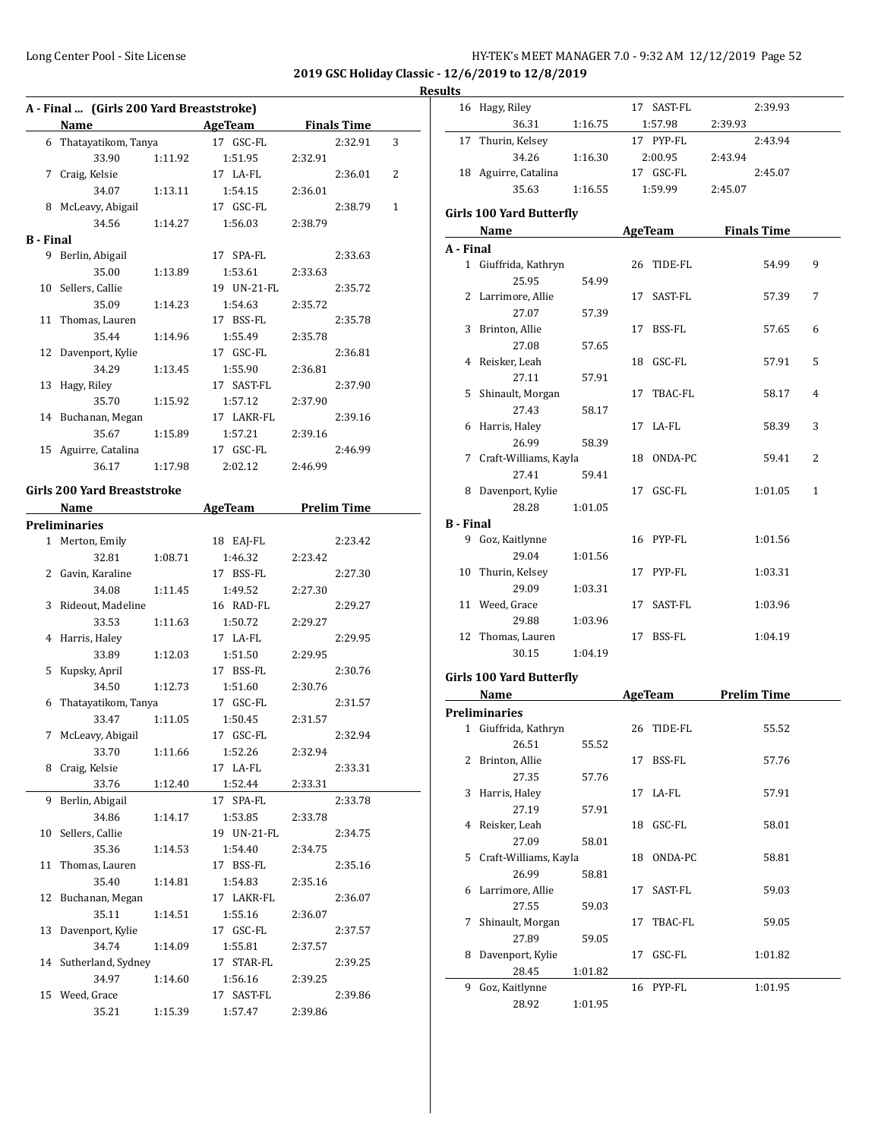**2019 GSC Holiday Classic - 12/6/2019 to 12/8/2019**

|                  |                                          |         |                                      |                    |         | <b>Results</b>       |
|------------------|------------------------------------------|---------|--------------------------------------|--------------------|---------|----------------------|
|                  | A - Final  (Girls 200 Yard Breaststroke) |         |                                      |                    |         | $\mathbf{1}$         |
|                  | Name                                     |         | <b>Example 2 AgeTeam</b>             | <b>Finals Time</b> |         |                      |
|                  | 6 Thatayatikom, Tanya                    |         | 17 GSC-FL                            |                    | 2:32.91 | $\mathbf{1}$<br>3    |
|                  | 33.90                                    | 1:11.92 | 1:51.95                              | 2:32.91            |         |                      |
|                  | 7 Craig, Kelsie                          |         | 17 LA-FL                             |                    | 2:36.01 | $\mathbf{1}$<br>2    |
|                  | 34.07                                    | 1:13.11 | 1:54.15                              | 2:36.01            |         |                      |
|                  | 8 McLeavy, Abigail                       |         | 17 GSC-FL                            |                    | 2:38.79 | $\mathbf{1}$<br>Girl |
|                  | 34.56                                    | 1:14.27 | 1:56.03                              | 2:38.79            |         |                      |
| <b>B</b> - Final |                                          |         |                                      |                    |         | $A - I$              |
|                  | 9 Berlin, Abigail                        |         | 17 SPA-FL                            |                    | 2:33.63 |                      |
|                  | 35.00                                    | 1:13.89 | 1:53.61                              | 2:33.63            |         |                      |
|                  | 10 Sellers, Callie                       |         | 19 UN-21-FL                          |                    | 2:35.72 |                      |
|                  | 35.09                                    | 1:14.23 | 1:54.63                              | 2:35.72            |         |                      |
|                  | 11 Thomas, Lauren                        |         | 17 BSS-FL                            |                    | 2:35.78 |                      |
|                  | 35.44                                    | 1:14.96 | 1:55.49                              | 2:35.78            |         |                      |
|                  | 12 Davenport, Kylie                      |         | 17 GSC-FL                            |                    | 2:36.81 |                      |
|                  | 34.29                                    | 1:13.45 | 1:55.90                              | 2:36.81            |         |                      |
|                  | 13 Hagy, Riley                           |         | 17 SAST-FL                           |                    | 2:37.90 |                      |
|                  | 35.70                                    | 1:15.92 | 1:57.12                              | 2:37.90            |         |                      |
|                  | 14 Buchanan, Megan                       |         | 17 LAKR-FL                           |                    | 2:39.16 |                      |
|                  | 35.67                                    | 1:15.89 | 1:57.21                              | 2:39.16            |         |                      |
|                  | 15 Aguirre, Catalina                     |         | 17 GSC-FL                            |                    | 2:46.99 |                      |
|                  | 36.17                                    | 1:17.98 | 2:02.12                              | 2:46.99            |         |                      |
|                  | <b>Girls 200 Yard Breaststroke</b>       |         |                                      |                    |         |                      |
|                  |                                          |         |                                      |                    |         |                      |
|                  | Name                                     |         | <b>Example 2 AgeTeam</b> Prelim Time |                    |         |                      |
|                  | <b>Preliminaries</b>                     |         |                                      |                    |         | $B - I$              |
|                  | 1 Merton, Emily                          |         | 18 EAJ-FL                            |                    | 2:23.42 |                      |
|                  | 32.81                                    | 1:08.71 | 1:46.32                              | 2:23.42            |         |                      |
|                  | 2 Gavin, Karaline                        |         | 17 BSS-FL                            |                    | 2:27.30 | 1                    |
|                  | 34.08                                    | 1:11.45 | 1:49.52                              | 2:27.30            |         |                      |
|                  | 3 Rideout, Madeline                      |         | 16 RAD-FL                            |                    | 2:29.27 | $\mathbf{1}$         |
|                  | 33.53                                    | 1:11.63 | 1:50.72                              | 2:29.27            |         |                      |
|                  | 4 Harris, Haley                          |         | 17 LA-FL                             |                    | 2:29.95 | $\mathbf{1}$         |
|                  | 33.89                                    | 1:12.03 | 1:51.50                              | 2:29.95            |         |                      |
|                  | 5 Kupsky, April                          |         | 17 BSS-FL                            |                    | 2:30.76 | Girl                 |
|                  | 34.50                                    | 1:12.73 | 1:51.60                              | 2:30.76            |         |                      |
| 6                | Thatayatikom, Tanya                      |         | 17 GSC-FL                            |                    | 2:31.57 | Pre                  |
|                  | 33.47                                    | 1:11.05 | 1:50.45                              | 2:31.57            |         |                      |
|                  | 7 McLeavy, Abigail                       |         | 17 GSC-FL                            |                    | 2:32.94 |                      |
|                  | 33.70                                    | 1:11.66 | 1:52.26                              | 2:32.94            |         |                      |
|                  | 8 Craig, Kelsie                          |         | 17 LA-FL                             |                    | 2:33.31 |                      |
|                  | 33.76                                    | 1:12.40 | 1:52.44                              | 2:33.31            |         |                      |
| 9.               | Berlin, Abigail                          |         | 17 SPA-FL                            |                    | 2:33.78 |                      |
|                  | 34.86                                    | 1:14.17 | 1:53.85                              | 2:33.78            |         |                      |
|                  | 10 Sellers, Callie                       |         | 19 UN-21-FL                          |                    | 2:34.75 |                      |
|                  | 35.36                                    | 1:14.53 | 1:54.40                              | 2:34.75            |         |                      |
| 11               | Thomas, Lauren                           |         | 17 BSS-FL                            |                    | 2:35.16 |                      |
|                  | 35.40                                    | 1:14.81 | 1:54.83                              | 2:35.16            |         |                      |
| 12               | Buchanan, Megan                          |         | 17 LAKR-FL                           |                    | 2:36.07 |                      |
|                  | 35.11                                    | 1:14.51 | 1:55.16                              | 2:36.07            |         |                      |
| 13               | Davenport, Kylie                         |         | 17 GSC-FL                            |                    | 2:37.57 |                      |
|                  | 34.74                                    | 1:14.09 | 1:55.81                              | 2:37.57            |         |                      |
|                  | 14 Sutherland, Sydney                    |         | 17 STAR-FL                           |                    | 2:39.25 |                      |
|                  | 34.97                                    | 1:14.60 | 1:56.16                              | 2:39.25            |         |                      |
|                  | 15 Weed, Grace                           |         | 17 SAST-FL                           |                    | 2:39.86 |                      |
|                  | 35.21                                    | 1:15.39 | 1:57.47                              | 2:39.86            |         |                      |

|                  | 16 Hagy, Riley                                                                                                                                                                                                                 |         |    | 17 SAST-FL          |         | 2:39.93            |              |
|------------------|--------------------------------------------------------------------------------------------------------------------------------------------------------------------------------------------------------------------------------|---------|----|---------------------|---------|--------------------|--------------|
|                  | 36.31                                                                                                                                                                                                                          | 1:16.75 |    | 1:57.98             | 2:39.93 |                    |              |
|                  | 17 Thurin, Kelsey                                                                                                                                                                                                              |         |    | 17 PYP-FL           |         | 2:43.94            |              |
|                  | 34.26                                                                                                                                                                                                                          | 1:16.30 |    | 2:00.95             | 2:43.94 |                    |              |
|                  | 18 Aguirre, Catalina                                                                                                                                                                                                           |         |    | 17 GSC-FL           |         | 2:45.07            |              |
|                  | 35.63                                                                                                                                                                                                                          | 1:16.55 |    | 1:59.99             | 2:45.07 |                    |              |
|                  | <b>Girls 100 Yard Butterfly</b>                                                                                                                                                                                                |         |    |                     |         |                    |              |
|                  | Name and the state of the state of the state of the state of the state of the state of the state of the state of the state of the state of the state of the state of the state of the state of the state of the state of the s |         |    | AgeTeam Finals Time |         |                    |              |
| A - Final        |                                                                                                                                                                                                                                |         |    |                     |         |                    |              |
|                  | 1 Giuffrida, Kathryn                                                                                                                                                                                                           |         |    | 26 TIDE-FL          |         | 54.99              | 9            |
|                  | 25.95                                                                                                                                                                                                                          | 54.99   |    |                     |         |                    |              |
|                  | 2 Larrimore, Allie                                                                                                                                                                                                             |         |    | 17 SAST-FL          |         | 57.39              | 7            |
|                  | 27.07                                                                                                                                                                                                                          | 57.39   |    |                     |         |                    |              |
|                  | 3 Brinton, Allie                                                                                                                                                                                                               |         |    | 17 BSS-FL           |         | 57.65              | 6            |
|                  | 27.08                                                                                                                                                                                                                          | 57.65   |    |                     |         |                    |              |
|                  | 4 Reisker, Leah                                                                                                                                                                                                                |         |    | 18 GSC-FL           |         | 57.91              | 5            |
|                  | 27.11                                                                                                                                                                                                                          | 57.91   |    |                     |         |                    |              |
|                  | 5 Shinault, Morgan                                                                                                                                                                                                             |         |    | 17 TBAC-FL          |         | 58.17              | 4            |
|                  | 27.43                                                                                                                                                                                                                          | 58.17   |    |                     |         |                    |              |
|                  | 6 Harris, Haley                                                                                                                                                                                                                |         |    | 17 LA-FL            |         | 58.39              | 3            |
|                  | 26.99                                                                                                                                                                                                                          | 58.39   |    |                     |         |                    |              |
|                  | 7 Craft-Williams, Kayla                                                                                                                                                                                                        |         |    | 18 ONDA-PC          |         | 59.41              | 2            |
|                  | 27.41                                                                                                                                                                                                                          |         |    |                     |         |                    |              |
|                  |                                                                                                                                                                                                                                | 59.41   |    |                     |         |                    | $\mathbf{1}$ |
|                  | 8 Davenport, Kylie                                                                                                                                                                                                             |         |    | 17 GSC-FL           |         | 1:01.05            |              |
|                  | 28.28                                                                                                                                                                                                                          | 1:01.05 |    |                     |         |                    |              |
| <b>B</b> - Final |                                                                                                                                                                                                                                |         |    |                     |         |                    |              |
|                  | 9 Goz, Kaitlynne                                                                                                                                                                                                               |         |    | 16 PYP-FL           |         | 1:01.56            |              |
|                  | 29.04                                                                                                                                                                                                                          | 1:01.56 |    |                     |         |                    |              |
|                  | 10 Thurin, Kelsey                                                                                                                                                                                                              |         |    | 17 PYP-FL           |         | 1:03.31            |              |
|                  | 29.09                                                                                                                                                                                                                          | 1:03.31 |    |                     |         |                    |              |
|                  | 11 Weed, Grace                                                                                                                                                                                                                 |         |    | 17 SAST-FL          |         | 1:03.96            |              |
|                  | 29.88                                                                                                                                                                                                                          | 1:03.96 |    |                     |         |                    |              |
|                  | 12 Thomas, Lauren                                                                                                                                                                                                              |         |    | 17 BSS-FL           |         | 1:04.19            |              |
|                  | 30.15                                                                                                                                                                                                                          | 1:04.19 |    |                     |         |                    |              |
|                  | <b>Girls 100 Yard Butterfly</b>                                                                                                                                                                                                |         |    |                     |         |                    |              |
|                  | Name                                                                                                                                                                                                                           |         |    | AgeTeam             |         | <b>Prelim Time</b> |              |
|                  | <b>Preliminaries</b>                                                                                                                                                                                                           |         |    |                     |         |                    |              |
|                  | 1 Giuffrida, Kathryn                                                                                                                                                                                                           |         |    | 26 TIDE-FL          |         | 55.52              |              |
|                  | 26.51                                                                                                                                                                                                                          | 55.52   |    |                     |         |                    |              |
|                  | 2 Brinton, Allie                                                                                                                                                                                                               |         |    | 17 BSS-FL           |         | 57.76              |              |
|                  | 27.35                                                                                                                                                                                                                          | 57.76   |    |                     |         |                    |              |
|                  | 3 Harris, Haley                                                                                                                                                                                                                |         |    | 17 LA-FL            |         | 57.91              |              |
|                  | 27.19                                                                                                                                                                                                                          | 57.91   |    |                     |         |                    |              |
|                  | 4 Reisker, Leah                                                                                                                                                                                                                |         | 18 | GSC-FL              |         | 58.01              |              |
|                  | 27.09                                                                                                                                                                                                                          | 58.01   |    |                     |         |                    |              |
|                  | 5 Craft-Williams, Kayla                                                                                                                                                                                                        |         | 18 | ONDA-PC             |         | 58.81              |              |
|                  | 26.99                                                                                                                                                                                                                          | 58.81   |    |                     |         |                    |              |
|                  | 6 Larrimore, Allie                                                                                                                                                                                                             |         | 17 | SAST-FL             |         | 59.03              |              |
|                  | 27.55                                                                                                                                                                                                                          | 59.03   |    |                     |         |                    |              |
| 7                | Shinault, Morgan                                                                                                                                                                                                               |         | 17 | TBAC-FL             |         | 59.05              |              |
|                  | 27.89                                                                                                                                                                                                                          | 59.05   |    |                     |         |                    |              |
|                  | 8 Davenport, Kylie                                                                                                                                                                                                             |         | 17 | GSC-FL              |         | 1:01.82            |              |
|                  | 28.45                                                                                                                                                                                                                          | 1:01.82 |    |                     |         |                    |              |
|                  | 9 Goz, Kaitlynne                                                                                                                                                                                                               |         |    | 16 PYP-FL           |         | 1:01.95            |              |
|                  | 28.92                                                                                                                                                                                                                          | 1:01.95 |    |                     |         |                    |              |
|                  |                                                                                                                                                                                                                                |         |    |                     |         |                    |              |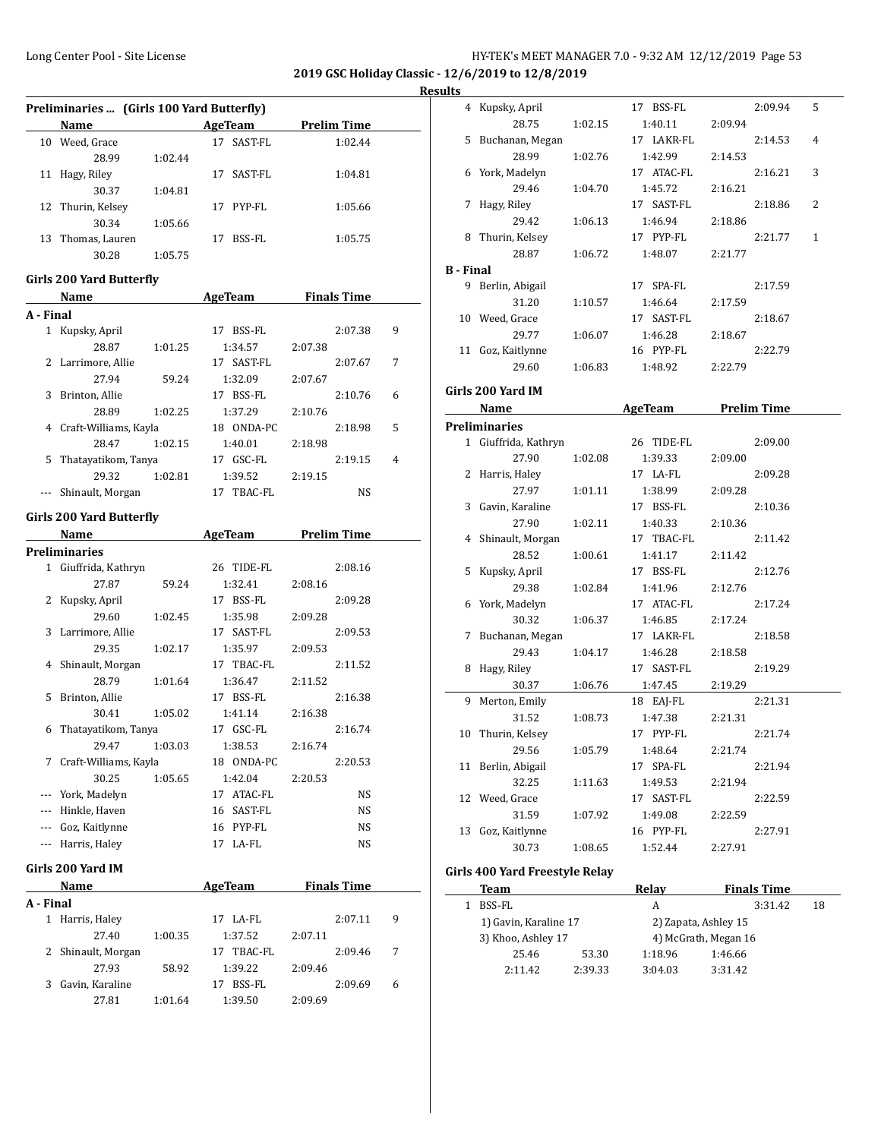**2019 GSC Holiday Classic - 12/6/2019 to 12/8/2019 Results**

| Preliminaries  (Girls 100 Yard Butterfly) |                   |         |    |         |                    |  |  |
|-------------------------------------------|-------------------|---------|----|---------|--------------------|--|--|
|                                           | <b>Name</b>       |         |    | AgeTeam | <b>Prelim Time</b> |  |  |
| 10                                        | Weed, Grace       |         | 17 | SAST-FL | 1:02.44            |  |  |
|                                           | 28.99             | 1:02.44 |    |         |                    |  |  |
| 11                                        | Hagy, Riley       |         | 17 | SAST-FL | 1:04.81            |  |  |
|                                           | 30.37             | 1:04.81 |    |         |                    |  |  |
|                                           | 12 Thurin, Kelsey |         | 17 | PYP-FL  | 1:05.66            |  |  |
|                                           | 30.34             | 1:05.66 |    |         |                    |  |  |
| 13                                        | Thomas, Lauren    |         | 17 | BSS-FL  | 1:05.75            |  |  |
|                                           | 30.28             | 1:05.75 |    |         |                    |  |  |

#### **Girls 200 Yard Butterfly**

|           | Name                  |         | <b>AgeTeam</b> |         | <b>Finals Time</b> |         |   |  |
|-----------|-----------------------|---------|----------------|---------|--------------------|---------|---|--|
| A - Final |                       |         |                |         |                    |         |   |  |
| 1         | Kupsky, April         |         | 17             | BSS-FL  |                    | 2:07.38 | 9 |  |
|           | 28.87                 | 1:01.25 |                | 1:34.57 | 2:07.38            |         |   |  |
| 2         | Larrimore, Allie      |         | 17             | SAST-FL |                    | 2:07.67 | 7 |  |
|           | 27.94                 | 59.24   |                | 1:32.09 | 2:07.67            |         |   |  |
| 3         | Brinton, Allie        |         | 17             | BSS-FL  |                    | 2:10.76 | 6 |  |
|           | 28.89                 | 1:02.25 |                | 1:37.29 | 2:10.76            |         |   |  |
| 4         | Craft-Williams, Kayla |         | 18             | ONDA-PC |                    | 2:18.98 | 5 |  |
|           | 28.47                 | 1:02.15 |                | 1:40.01 | 2:18.98            |         |   |  |
| 5         | Thatayatikom, Tanya   |         | 17             | GSC-FL  |                    | 2:19.15 | 4 |  |
|           | 29.32                 | 1:02.81 |                | 1:39.52 | 2:19.15            |         |   |  |
|           | Shinault, Morgan      |         | 17             | TBAC-FL |                    | NS      |   |  |

#### **Girls 200 Yard Butterfly**

|          | Name                  |         | AgeTeam       | Prelim Time |           |  |
|----------|-----------------------|---------|---------------|-------------|-----------|--|
|          | Preliminaries         |         |               |             |           |  |
| 1        | Giuffrida, Kathryn    |         | 26 TIDE-FL    |             | 2:08.16   |  |
|          | 27.87                 | 59.24   | 1:32.41       | 2:08.16     |           |  |
| 2        | Kupsky, April         |         | BSS-FL<br>17  |             | 2:09.28   |  |
|          | 29.60                 | 1:02.45 | 1:35.98       | 2:09.28     |           |  |
| 3        | Larrimore, Allie      |         | 17 SAST-FL    |             | 2:09.53   |  |
|          | 29.35                 | 1:02.17 | 1:35.97       | 2:09.53     |           |  |
| 4        | Shinault, Morgan      |         | 17 TBAC-FL    |             | 2:11.52   |  |
|          | 28.79                 | 1:01.64 | 1:36.47       | 2:11.52     |           |  |
| 5        | Brinton, Allie        |         | 17 BSS-FL     |             | 2:16.38   |  |
|          | 30.41                 | 1:05.02 | 1:41.14       | 2:16.38     |           |  |
| 6        | Thatayatikom, Tanya   |         | 17 GSC-FL     |             | 2:16.74   |  |
|          | 29.47                 | 1:03.03 | 1:38.53       | 2:16.74     |           |  |
| 7        | Craft-Williams, Kayla |         | 18 ONDA-PC    |             | 2:20.53   |  |
|          | 30.25                 | 1:05.65 | 1:42.04       | 2:20.53     |           |  |
|          | York, Madelyn         |         | ATAC-FL<br>17 |             | NS.       |  |
|          | Hinkle, Haven         |         | SAST-FL<br>16 |             | <b>NS</b> |  |
| $\cdots$ | Goz, Kaitlynne        |         | PYP-FL<br>16  |             | <b>NS</b> |  |
| $\cdots$ | Harris, Haley         |         | 17 LA-FL      |             | NS        |  |

#### **Girls 200 Yard IM**

| Name      |                    |         | AgeTeam       | <b>Finals Time</b> |         |   |
|-----------|--------------------|---------|---------------|--------------------|---------|---|
| A - Final |                    |         |               |                    |         |   |
|           | 1 Harris, Haley    |         | LA-FL<br>17   |                    | 2:07.11 | 9 |
|           | 27.40              | 1:00.35 | 1:37.52       | 2:07.11            |         |   |
|           | 2 Shinault, Morgan |         | TBAC-FL<br>17 |                    | 2:09.46 | 7 |
|           | 27.93              | 58.92   | 1:39.22       | 2:09.46            |         |   |
| 3.        | Gavin, Karaline    |         | BSS-FL<br>17  |                    | 2:09.69 | 6 |
|           | 27.81              | 1:01.64 | 1:39.50       | 2:09.69            |         |   |

|                  | 4 Kupsky, April      |         | 17 BSS-FL  |         | 2:09.94            | 5 |
|------------------|----------------------|---------|------------|---------|--------------------|---|
|                  | 28.75                | 1:02.15 | 1:40.11    | 2:09.94 |                    |   |
| 5                | Buchanan, Megan      |         | 17 LAKR-FL |         | 2:14.53            | 4 |
|                  | 28.99                | 1:02.76 | 1:42.99    | 2:14.53 |                    |   |
| 6                | York, Madelyn        |         | 17 ATAC-FL |         | 2:16.21            | 3 |
|                  | 29.46                | 1:04.70 | 1:45.72    | 2:16.21 |                    |   |
|                  | 7 Hagy, Riley        |         | 17 SAST-FL |         | 2:18.86            | 2 |
|                  | 29.42                | 1:06.13 | 1:46.94    | 2:18.86 |                    |   |
|                  | 8 Thurin, Kelsey     |         | 17 PYP-FL  |         | 2:21.77            | 1 |
|                  | 28.87                | 1:06.72 | 1:48.07    | 2:21.77 |                    |   |
| <b>B</b> - Final |                      |         |            |         |                    |   |
|                  | 9 Berlin, Abigail    |         | 17 SPA-FL  |         | 2:17.59            |   |
|                  | 31.20                | 1:10.57 | 1:46.64    | 2:17.59 |                    |   |
|                  | 10 Weed, Grace       |         | 17 SAST-FL |         | 2:18.67            |   |
|                  | 29.77                | 1:06.07 | 1:46.28    | 2:18.67 |                    |   |
|                  | 11 Goz, Kaitlynne    |         | 16 PYP-FL  |         | 2:22.79            |   |
|                  | 29.60                | 1:06.83 | 1:48.92    | 2:22.79 |                    |   |
|                  | Girls 200 Yard IM    |         |            |         |                    |   |
|                  | Name                 |         | AgeTeam    |         | <b>Prelim Time</b> |   |
|                  | Preliminaries        |         |            |         |                    |   |
|                  | 1 Giuffrida, Kathryn |         | 26 TIDE-FL |         | 2:09.00            |   |
|                  | 27.90                | 1:02.08 | 1:39.33    | 2:09.00 |                    |   |
|                  | 2 Harris, Haley      |         | 17 LA-FL   |         | 2:09.28            |   |
|                  | 27.97                | 1:01.11 | 1:38.99    | 2:09.28 |                    |   |
|                  | 3 Gavin, Karaline    |         | 17 BSS-FL  |         | 2:10.36            |   |
|                  | 27.90                | 1:02.11 | 1:40.33    | 2:10.36 |                    |   |
|                  | 4 Shinault, Morgan   |         | 17 TBAC-FL |         | 2:11.42            |   |
|                  | 28.52                | 1:00.61 | 1:41.17    | 2:11.42 |                    |   |
| 5                | Kupsky, April        |         | 17 BSS-FL  |         | 2:12.76            |   |
|                  | 29.38                | 1:02.84 | 1:41.96    | 2:12.76 |                    |   |
| 6                | York, Madelyn        |         | 17 ATAC-FL |         | 2:17.24            |   |
|                  | 30.32                | 1:06.37 | 1:46.85    | 2:17.24 |                    |   |
|                  | 7 Buchanan, Megan    |         | 17 LAKR-FL |         | 2:18.58            |   |
|                  | 29.43                | 1:04.17 | 1:46.28    | 2:18.58 |                    |   |
|                  | 8 Hagy, Riley        |         | 17 SAST-FL |         | 2:19.29            |   |
|                  | 30.37                | 1:06.76 | 1:47.45    | 2:19.29 |                    |   |
| 9                | Merton, Emily        |         | 18 EAJ-FL  |         | 2:21.31            |   |
|                  | 31.52                | 1:08.73 | 1:47.38    | 2:21.31 |                    |   |
| 10               | Thurin, Kelsey       |         | 17 PYP-FL  |         | 2:21.74            |   |
|                  | 29.56                | 1:05.79 | 1:48.64    | 2:21.74 |                    |   |
| 11               | Berlin, Abigail      |         | 17 SPA-FL  |         | 2:21.94            |   |
|                  | 32.25                | 1:11.63 | 1:49.53    | 2:21.94 |                    |   |
| 12               | Weed, Grace          |         | 17 SAST-FL |         | 2:22.59            |   |
|                  | 31.59                | 1:07.92 | 1:49.08    | 2:22.59 |                    |   |
| 13               | Goz, Kaitlynne       |         | 16 PYP-FL  |         | 2:27.91            |   |
|                  | 30.73                | 1:08.65 | 1:52.44    | 2:27.91 |                    |   |
|                  |                      |         |            |         |                    |   |

## **Girls 400 Yard Freestyle Relay**

| Team                  |         | Relav   | <b>Finals Time</b>   |    |  |
|-----------------------|---------|---------|----------------------|----|--|
| BSS-FL                |         | А       | 3:31.42              | 18 |  |
| 1) Gavin, Karaline 17 |         |         | 2) Zapata, Ashley 15 |    |  |
| 3) Khoo, Ashley 17    |         |         | 4) McGrath, Megan 16 |    |  |
| 25.46                 | 53.30   | 1:18.96 | 1:46.66              |    |  |
| 2:11.42               | 2:39.33 | 3:04.03 | 3:31.42              |    |  |
|                       |         |         |                      |    |  |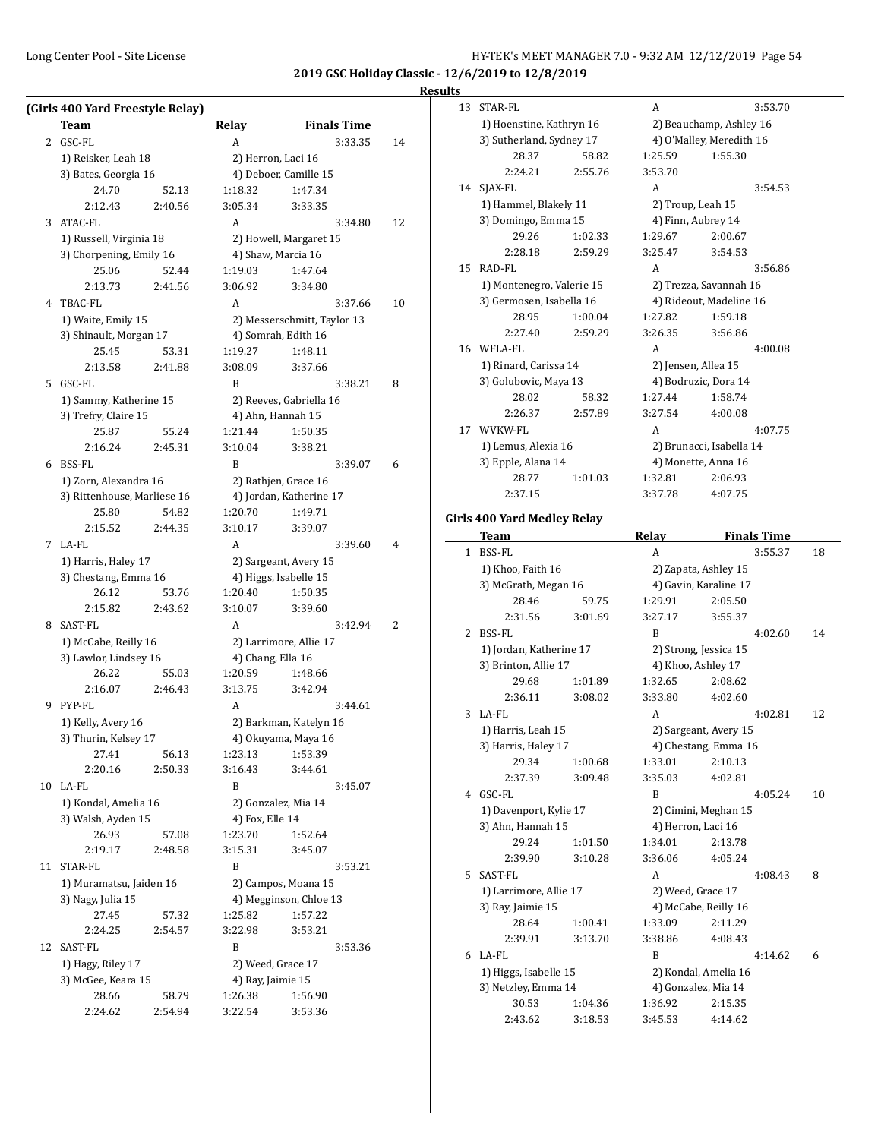# **Results**

|              | (Girls 400 Yard Freestyle Relay) |         |                        |                             |    |  |
|--------------|----------------------------------|---------|------------------------|-----------------------------|----|--|
|              | Team                             |         | Relay                  | <b>Finals Time</b>          |    |  |
| $\mathbf{2}$ | GSC-FL                           |         | A                      | 3:33.35                     | 14 |  |
|              | 1) Reisker, Leah 18              |         |                        | 2) Herron, Laci 16          |    |  |
|              | 3) Bates, Georgia 16             |         |                        | 4) Deboer, Camille 15       |    |  |
|              | 24.70                            | 52.13   | 1:18.32                | 1:47.34                     |    |  |
|              | 2:12.43                          | 2:40.56 | 3:05.34                | 3:33.35                     |    |  |
| 3            | ATAC-FL                          |         | А                      | 3:34.80                     | 12 |  |
|              | 1) Russell, Virginia 18          |         | 2) Howell, Margaret 15 |                             |    |  |
|              | 3) Chorpening, Emily 16          |         |                        | 4) Shaw, Marcia 16          |    |  |
|              | 25.06                            | 52.44   | 1:19.03                | 1:47.64                     |    |  |
|              | 2:13.73                          | 2:41.56 | 3:06.92                | 3:34.80                     |    |  |
|              | 4 TBAC-FL                        |         | A                      | 3:37.66                     | 10 |  |
|              | 1) Waite, Emily 15               |         |                        | 2) Messerschmitt, Taylor 13 |    |  |
|              | 3) Shinault, Morgan 17           |         |                        | 4) Somrah, Edith 16         |    |  |
|              | 25.45                            | 53.31   | 1:19.27                | 1:48.11                     |    |  |
|              | 2:13.58                          | 2:41.88 | 3:08.09                | 3:37.66                     |    |  |
|              | 5 GSC-FL                         |         | B                      | 3:38.21                     | 8  |  |
|              | 1) Sammy, Katherine 15           |         |                        | 2) Reeves, Gabriella 16     |    |  |
|              | 3) Trefry, Claire 15             |         |                        | 4) Ahn, Hannah 15           |    |  |
|              | 25.87                            | 55.24   | 1:21.44                | 1:50.35                     |    |  |
|              | 2:16.24                          | 2:45.31 | 3:10.04                | 3:38.21                     |    |  |
|              | 6 BSS-FL                         |         | B                      | 3:39.07                     | 6  |  |
|              | 1) Zorn, Alexandra 16            |         |                        | 2) Rathjen, Grace 16        |    |  |
|              | 3) Rittenhouse, Marliese 16      |         |                        | 4) Jordan, Katherine 17     |    |  |
|              | 25.80                            | 54.82   | 1:20.70                | 1:49.71                     |    |  |
|              | 2:15.52                          | 2:44.35 | 3:10.17                | 3:39.07                     |    |  |
|              | 7 LA-FL                          |         | A                      | 3:39.60                     | 4  |  |
|              | 1) Harris, Haley 17              |         |                        | 2) Sargeant, Avery 15       |    |  |
|              | 3) Chestang, Emma 16             |         |                        | 4) Higgs, Isabelle 15       |    |  |
|              | 26.12                            | 53.76   | 1:20.40                | 1:50.35                     |    |  |
|              | 2:15.82                          | 2:43.62 | 3:10.07                | 3:39.60                     |    |  |
|              | 8 SAST-FL                        |         | A                      | 3:42.94                     | 2  |  |
|              | 1) McCabe, Reilly 16             |         |                        | 2) Larrimore, Allie 17      |    |  |
|              | 3) Lawlor, Lindsey 16            |         | 4) Chang, Ella 16      |                             |    |  |
|              | 26.22                            | 55.03   | 1:20.59                | 1:48.66                     |    |  |
|              | 2:16.07                          | 2:46.43 | 3:13.75                | 3:42.94                     |    |  |
|              | 9 PYP-FL                         |         | A                      | 3:44.61                     |    |  |
|              | 1) Kelly, Avery 16               |         |                        | 2) Barkman, Katelyn 16      |    |  |
|              | 3) Thurin, Kelsey 17             |         |                        | 4) Okuyama, Maya 16         |    |  |
|              | 27.41                            | 56.13   | 1:23.13                | 1:53.39                     |    |  |
|              | 2:20.16                          | 2:50.33 | 3:16.43                | 3:44.61                     |    |  |
|              | 10 LA-FL                         |         | B                      | 3:45.07                     |    |  |
|              | 1) Kondal, Amelia 16             |         |                        | 2) Gonzalez, Mia 14         |    |  |
|              | 3) Walsh, Ayden 15               |         | 4) Fox, Elle 14        |                             |    |  |
|              | 26.93                            | 57.08   | 1:23.70                | 1:52.64                     |    |  |
|              | 2:19.17                          | 2:48.58 | 3:15.31                | 3:45.07                     |    |  |
|              | 11 STAR-FL                       |         | B                      | 3:53.21                     |    |  |
|              | 1) Muramatsu, Jaiden 16          |         |                        | 2) Campos, Moana 15         |    |  |
|              | 3) Nagy, Julia 15                |         |                        | 4) Megginson, Chloe 13      |    |  |
|              | 27.45                            | 57.32   | 1:25.82                | 1:57.22                     |    |  |
|              | 2:24.25                          | 2:54.57 | 3:22.98                | 3:53.21                     |    |  |
| 12           | SAST-FL                          |         | B                      | 3:53.36                     |    |  |
|              | 1) Hagy, Riley 17                |         |                        | 2) Weed, Grace 17           |    |  |
|              | 3) McGee, Keara 15               |         | 4) Ray, Jaimie 15      |                             |    |  |
|              | 28.66                            | 58.79   | 1:26.38                | 1:56.90                     |    |  |
|              | 2:24.62                          | 2:54.94 | 3:22.54                | 3:53.36                     |    |  |
|              |                                  |         |                        |                             |    |  |

| 13 | STAR-FL                            |                    | А                  | 3:53.70                        |    |
|----|------------------------------------|--------------------|--------------------|--------------------------------|----|
|    | 1) Hoenstine, Kathryn 16           |                    |                    | 2) Beauchamp, Ashley 16        |    |
|    | 3) Sutherland, Sydney 17           |                    |                    | 4) O'Malley, Meredith 16       |    |
|    | 28.37                              | 58.82              | 1:25.59            | 1:55.30                        |    |
|    | 2:24.21                            | 2:55.76            | 3:53.70            |                                |    |
| 14 | SJAX-FL                            |                    | A                  | 3:54.53                        |    |
|    | 1) Hammel, Blakely 11              |                    | 2) Troup, Leah 15  |                                |    |
|    | 3) Domingo, Emma 15                |                    |                    | 4) Finn, Aubrey 14             |    |
|    | 29.26                              | 1:02.33            | 1:29.67            | 2:00.67                        |    |
|    | 2:28.18                            | 2:59.29            | 3:25.47            | 3:54.53                        |    |
| 15 | RAD-FL                             |                    | A                  | 3:56.86                        |    |
|    | 1) Montenegro, Valerie 15          |                    |                    | 2) Trezza, Savannah 16         |    |
|    | 3) Germosen, Isabella 16           |                    |                    | 4) Rideout, Madeline 16        |    |
|    | 28.95                              | 1:00.04            | 1:27.82            | 1:59.18                        |    |
|    | 2:27.40                            | 2:59.29            | 3:26.35            | 3:56.86                        |    |
|    | 16 WFLA-FL                         |                    | A                  | 4:00.08                        |    |
|    | 1) Rinard, Carissa 14              |                    |                    | 2) Jensen, Allea 15            |    |
|    | 3) Golubovic, Maya 13              |                    |                    | 4) Bodruzic, Dora 14           |    |
|    | 28.02                              | 58.32              | 1:27.44            | 1:58.74                        |    |
|    | 2:26.37                            | 2:57.89            | 3:27.54            | 4:00.08                        |    |
| 17 | WVKW-FL                            |                    | A                  | 4:07.75                        |    |
|    | 1) Lemus, Alexia 16                |                    |                    | 2) Brunacci, Isabella 14       |    |
|    | 3) Epple, Alana 14                 |                    |                    | 4) Monette, Anna 16            |    |
|    | 28.77                              | 1:01.03            | 1:32.81            | 2:06.93                        |    |
|    | 2:37.15                            |                    | 3:37.78            | 4:07.75                        |    |
|    |                                    |                    |                    |                                |    |
|    | <b>Girls 400 Yard Medley Relay</b> |                    | Relay              | <b>Finals Time</b>             |    |
|    | Team<br>1 BSS-FL                   |                    | A                  | 3:55.37                        | 18 |
|    | 1) Khoo, Faith 16                  |                    |                    | 2) Zapata, Ashley 15           |    |
|    |                                    |                    |                    |                                |    |
|    |                                    |                    |                    |                                |    |
|    | 3) McGrath, Megan 16               |                    |                    | 4) Gavin, Karaline 17          |    |
|    | 28.46                              | 59.75              | 1:29.91            | 2:05.50                        |    |
|    | 2:31.56                            | 3:01.69            | 3:27.17            | 3:55.37                        |    |
| 2  | BSS-FL                             |                    | B                  | 4:02.60                        | 14 |
|    | 1) Jordan, Katherine 17            |                    |                    | 2) Strong, Jessica 15          |    |
|    | 3) Brinton, Allie 17               |                    |                    | 4) Khoo, Ashley 17             |    |
|    | 29.68                              | 1:01.89            | 1:32.65            | 2:08.62                        |    |
|    | 2:36.11                            | 3:08.02            | 3:33.80            | 4:02.60                        |    |
| 3  | LA-FL                              |                    | A                  | 4:02.81                        | 12 |
|    | 1) Harris, Leah 15                 |                    |                    | 2) Sargeant, Avery 15          |    |
|    | 3) Harris, Haley 17                |                    |                    | 4) Chestang, Emma 16           |    |
|    | 29.34                              | 1:00.68            | 1:33.01            | 2:10.13                        |    |
|    | 2:37.39                            | 3:09.48            | 3:35.03            | 4:02.81                        |    |
|    | 4 GSC-FL                           |                    | B                  | 4:05.24                        | 10 |
|    | 1) Davenport, Kylie 17             |                    |                    | 2) Cimini, Meghan 15           |    |
|    | 3) Ahn, Hannah 15                  |                    | 4) Herron, Laci 16 |                                |    |
|    | 29.24                              | 1:01.50            | 1:34.01            | 2:13.78                        |    |
|    | 2:39.90                            | 3:10.28            | 3:36.06            | 4:05.24                        |    |
|    | 5 SAST-FL                          |                    | A                  | 4:08.43                        | 8  |
|    | 1) Larrimore, Allie 17             |                    | 2) Weed, Grace 17  |                                |    |
|    | 3) Ray, Jaimie 15                  |                    |                    | 4) McCabe, Reilly 16           |    |
|    | 28.64<br>2:39.91                   | 1:00.41<br>3:13.70 | 1:33.09<br>3:38.86 | 2:11.29<br>4:08.43             |    |
|    |                                    |                    | B                  |                                |    |
|    | 6 LA-FL                            |                    |                    | 4:14.62                        | 6  |
|    | 1) Higgs, Isabelle 15              |                    |                    | 2) Kondal, Amelia 16           |    |
|    | 3) Netzley, Emma 14<br>30.53       | 1:04.36            | 1:36.92            | 4) Gonzalez, Mia 14<br>2:15.35 |    |
|    | 2:43.62                            | 3:18.53            | 3:45.53            | 4:14.62                        |    |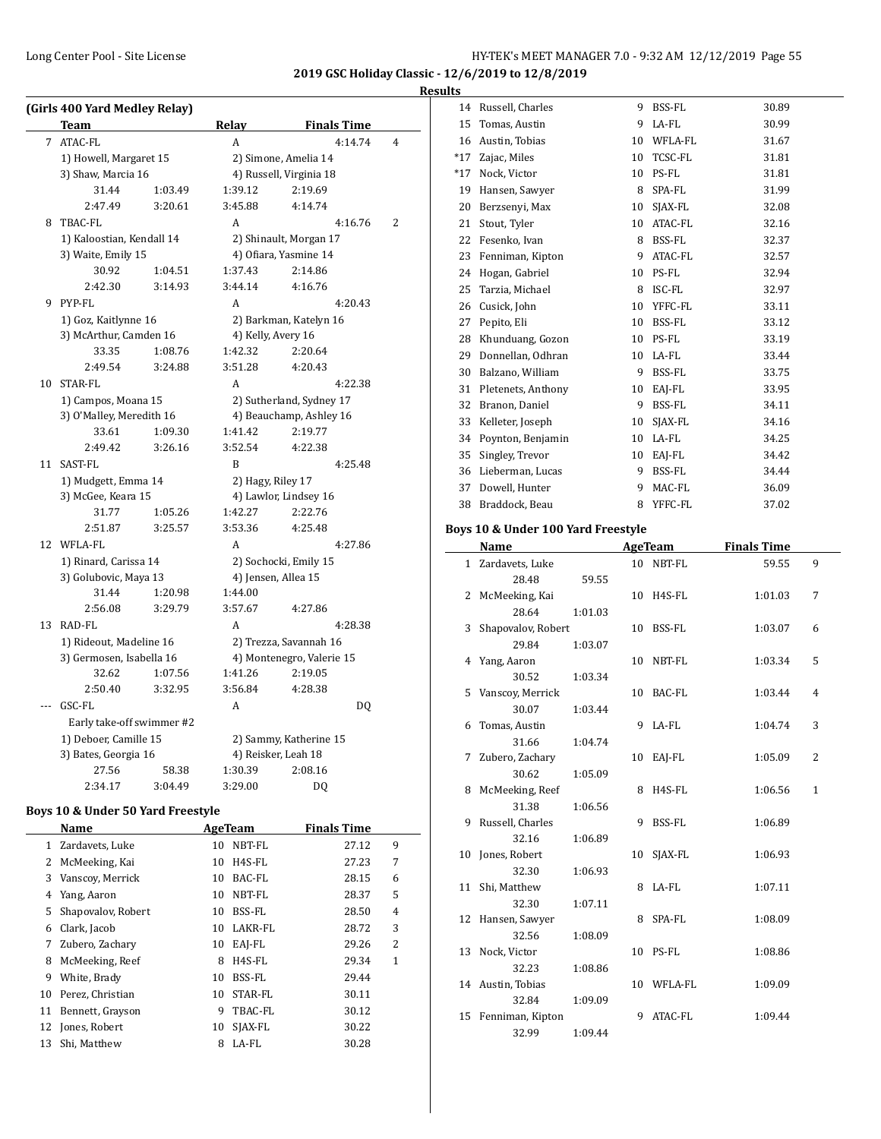#### **Results**

|    | (Girls 400 Yard Medley Relay)<br>Team          |                    | <b>Relay</b>          | <b>Finals Time</b>                              |   |
|----|------------------------------------------------|--------------------|-----------------------|-------------------------------------------------|---|
| 7  | <b>ATAC-FL</b>                                 |                    | A                     | 4:14.74                                         | 4 |
|    | 1) Howell, Margaret 15                         |                    |                       |                                                 |   |
|    | 3) Shaw, Marcia 16                             |                    |                       | 2) Simone, Amelia 14<br>4) Russell, Virginia 18 |   |
|    | 31.44                                          | 1:03.49            | 1:39.12               | 2:19.69                                         |   |
|    | 2:47.49                                        | 3:20.61            | 3:45.88               | 4:14.74                                         |   |
| 8  | <b>TBAC-FL</b>                                 |                    | A                     | 4:16.76                                         | 2 |
|    |                                                |                    |                       |                                                 |   |
|    | 1) Kaloostian, Kendall 14                      |                    |                       | 2) Shinault, Morgan 17                          |   |
|    | 3) Waite, Emily 15<br>30.92                    |                    | 1:37.43               | 4) Ofiara, Yasmine 14<br>2:14.86                |   |
|    | 2:42.30                                        | 1:04.51<br>3:14.93 | 3:44.14               |                                                 |   |
|    |                                                |                    |                       | 4:16.76                                         |   |
| 9  | PYP-FL                                         |                    | A                     | 4:20.43                                         |   |
|    | 1) Goz, Kaitlynne 16<br>3) McArthur, Camden 16 |                    |                       | 2) Barkman, Katelyn 16                          |   |
|    |                                                |                    | 4) Kelly, Avery 16    |                                                 |   |
|    | 33.35                                          | 1:08.76            | 1:42.32               | 2:20.64                                         |   |
|    | 2:49.54                                        | 3:24.88            | 3:51.28               | 4:20.43                                         |   |
|    | 10 STAR-FL                                     |                    | A                     | 4:22.38                                         |   |
|    | 1) Campos, Moana 15                            |                    |                       | 2) Sutherland, Sydney 17                        |   |
|    | 3) O'Malley, Meredith 16                       |                    |                       | 4) Beauchamp, Ashley 16                         |   |
|    | 33.61                                          | 1:09.30            | 1:41.42               | 2:19.77                                         |   |
|    | 2:49.42                                        | 3:26.16            | 3:52.54               | 4:22.38                                         |   |
| 11 | SAST-FL                                        |                    | B                     | 4:25.48                                         |   |
|    | 1) Mudgett, Emma 14                            |                    | 2) Hagy, Riley 17     |                                                 |   |
|    | 3) McGee, Keara 15                             |                    |                       | 4) Lawlor, Lindsey 16                           |   |
|    | 31.77                                          | 1:05.26            | 1:42.27               | 2:22.76                                         |   |
|    | 2:51.87                                        | 3:25.57            | 3:53.36               | 4:25.48                                         |   |
|    | 12 WFLA-FL                                     |                    | A                     | 4:27.86                                         |   |
|    | 1) Rinard, Carissa 14                          |                    | 2) Sochocki, Emily 15 |                                                 |   |
|    | 3) Golubovic, Maya 13                          |                    |                       | 4) Jensen, Allea 15                             |   |
|    | 31.44                                          | 1:20.98            | 1:44.00               |                                                 |   |
|    | 2:56.08                                        | 3:29.79            | 3:57.67               | 4:27.86                                         |   |
| 13 | RAD-FL                                         |                    | A                     | 4:28.38                                         |   |
|    | 1) Rideout, Madeline 16                        |                    |                       | 2) Trezza, Savannah 16                          |   |
|    | 3) Germosen, Isabella 16                       |                    |                       | 4) Montenegro, Valerie 15                       |   |
|    | 32.62                                          | 1:07.56            | 1:41.26               | 2:19.05                                         |   |
|    | 2:50.40                                        | 3:32.95            | 3:56.84               | 4:28.38                                         |   |
|    | GSC-FL                                         |                    | A                     | DQ                                              |   |
|    | Early take-off swimmer #2                      |                    |                       |                                                 |   |
|    | 1) Deboer, Camille 15                          |                    |                       | 2) Sammy, Katherine 15                          |   |
|    | 3) Bates, Georgia 16                           |                    |                       | 4) Reisker, Leah 18                             |   |
|    | 27.56                                          | 58.38              | 1:30.39               | 2:08.16                                         |   |
|    | 2:34.17                                        | 3:04.49            | 3:29.00               | DQ                                              |   |
|    |                                                |                    |                       |                                                 |   |

#### **Boys 10 & Under 50 Yard Freestyle**

| Name |                    |    | AgeTeam | <b>Finals Time</b> |   |
|------|--------------------|----|---------|--------------------|---|
| 1    | Zardavets, Luke    | 10 | NBT-FL  | 27.12              | 9 |
| 2    | McMeeking, Kai     | 10 | H4S-FL  | 27.23              | 7 |
| 3    | Vanscoy, Merrick   | 10 | BAC-FL  | 28.15              | 6 |
| 4    | Yang, Aaron        | 10 | NBT-FL  | 28.37              | 5 |
| 5    | Shapovalov, Robert | 10 | BSS-FL  | 28.50              | 4 |
| 6    | Clark, Jacob       | 10 | LAKR-FL | 28.72              | 3 |
| 7    | Zubero, Zachary    | 10 | EAI-FL  | 29.26              | 2 |
| 8    | McMeeking, Reef    | 8  | H4S-FL  | 29.34              | 1 |
| 9    | White, Brady       | 10 | BSS-FL  | 29.44              |   |
| 10   | Perez, Christian   | 10 | STAR-FL | 30.11              |   |
| 11   | Bennett, Grayson   | 9  | TBAC-FL | 30.12              |   |
| 12   | Jones, Robert      | 10 | SJAX-FL | 30.22              |   |
| 13   | Shi, Matthew       | 8  | LA-FL   | 30.28              |   |

| 14    | Russell, Charles   | 9  | BSS-FL  | 30.89 |
|-------|--------------------|----|---------|-------|
| 15    | Tomas, Austin      | 9  | LA-FL   | 30.99 |
| 16    | Austin, Tobias     | 10 | WFLA-FL | 31.67 |
| $*17$ | Zajac, Miles       | 10 | TCSC-FL | 31.81 |
| $*17$ | Nock, Victor       | 10 | PS-FL   | 31.81 |
| 19    | Hansen, Sawyer     | 8  | SPA-FL  | 31.99 |
| 20    | Berzsenyi, Max     | 10 | SJAX-FL | 32.08 |
| 21    | Stout, Tyler       | 10 | ATAC-FL | 32.16 |
| 22    | Fesenko, Ivan      | 8  | BSS-FL  | 32.37 |
| 23    | Fenniman, Kipton   | 9  | ATAC-FL | 32.57 |
| 24    | Hogan, Gabriel     | 10 | PS-FL   | 32.94 |
| 25    | Tarzia, Michael    | 8  | ISC-FL  | 32.97 |
| 26    | Cusick, John       | 10 | YFFC-FL | 33.11 |
| 27    | Pepito, Eli        | 10 | BSS-FL  | 33.12 |
| 28    | Khunduang, Gozon   | 10 | PS-FL   | 33.19 |
| 29    | Donnellan, Odhran  | 10 | LA-FL   | 33.44 |
| 30    | Balzano, William   | 9  | BSS-FL  | 33.75 |
| 31    | Pletenets, Anthony | 10 | EAJ-FL  | 33.95 |
| 32    | Branon, Daniel     | 9  | BSS-FL  | 34.11 |
| 33    | Kelleter, Joseph   | 10 | SJAX-FL | 34.16 |
| 34    | Poynton, Benjamin  | 10 | LA-FL   | 34.25 |
| 35    | Singley, Trevor    | 10 | EAI-FL  | 34.42 |
| 36    | Lieberman, Lucas   | 9  | BSS-FL  | 34.44 |
| 37    | Dowell, Hunter     | 9  | MAC-FL  | 36.09 |
| 38    | Braddock, Beau     | 8  | YFFC-FL | 37.02 |

#### **Boys 10 & Under 100 Yard Freestyle**

|    | Name                 |         |    | <b>AgeTeam</b> | <b>Finals Time</b> |              |
|----|----------------------|---------|----|----------------|--------------------|--------------|
|    | 1 Zardavets, Luke    |         |    | 10 NBT-FL      | 59.55              | 9            |
|    | 28.48                | 59.55   |    |                |                    |              |
|    | 2 McMeeking, Kai     |         |    | 10 H4S-FL      | 1:01.03            | 7            |
|    | 28.64                | 1:01.03 |    |                |                    |              |
|    | 3 Shapovalov, Robert |         |    | 10 BSS-FL      | 1:03.07            | 6            |
|    | 29.84                | 1:03.07 |    |                |                    |              |
|    | 4 Yang, Aaron        |         |    | 10 NBT-FL      | 1:03.34            | 5            |
|    | 30.52                | 1:03.34 |    |                |                    |              |
|    | 5 Vanscoy, Merrick   |         |    | 10 BAC-FL      | 1:03.44            | 4            |
|    | 30.07                | 1:03.44 |    |                |                    |              |
| 6  | Tomas, Austin        |         | 9  | LA-FL          | 1:04.74            | 3            |
|    | 31.66                | 1:04.74 |    |                |                    |              |
|    | 7 Zubero, Zachary    |         | 10 | EAJ-FL         | 1:05.09            | 2            |
|    | 30.62                | 1:05.09 |    |                |                    |              |
|    | 8 McMeeking, Reef    |         |    | 8 H4S-FL       | 1:06.56            | $\mathbf{1}$ |
|    | 31.38                | 1:06.56 |    |                |                    |              |
|    | 9 Russell, Charles   |         | 9  | BSS-FL         | 1:06.89            |              |
|    | 32.16                | 1:06.89 |    |                |                    |              |
|    | 10 Jones, Robert     |         |    | 10 SJAX-FL     | 1:06.93            |              |
|    | 32.30                | 1:06.93 |    |                |                    |              |
|    | 11 Shi, Matthew      |         | 8  | LA-FL          | 1:07.11            |              |
|    | 32.30                | 1:07.11 |    |                |                    |              |
|    | 12 Hansen, Sawyer    |         | 8  | SPA-FL         | 1:08.09            |              |
|    | 32.56                | 1:08.09 |    |                |                    |              |
|    | 13 Nock, Victor      |         | 10 | PS-FL          | 1:08.86            |              |
|    | 32.23                | 1:08.86 |    |                |                    |              |
|    | 14 Austin, Tobias    |         |    | 10 WFLA-FL     | 1:09.09            |              |
|    | 32.84                | 1:09.09 |    |                |                    |              |
| 15 | Fenniman, Kipton     |         | 9  | ATAC-FL        | 1:09.44            |              |
|    | 32.99                | 1:09.44 |    |                |                    |              |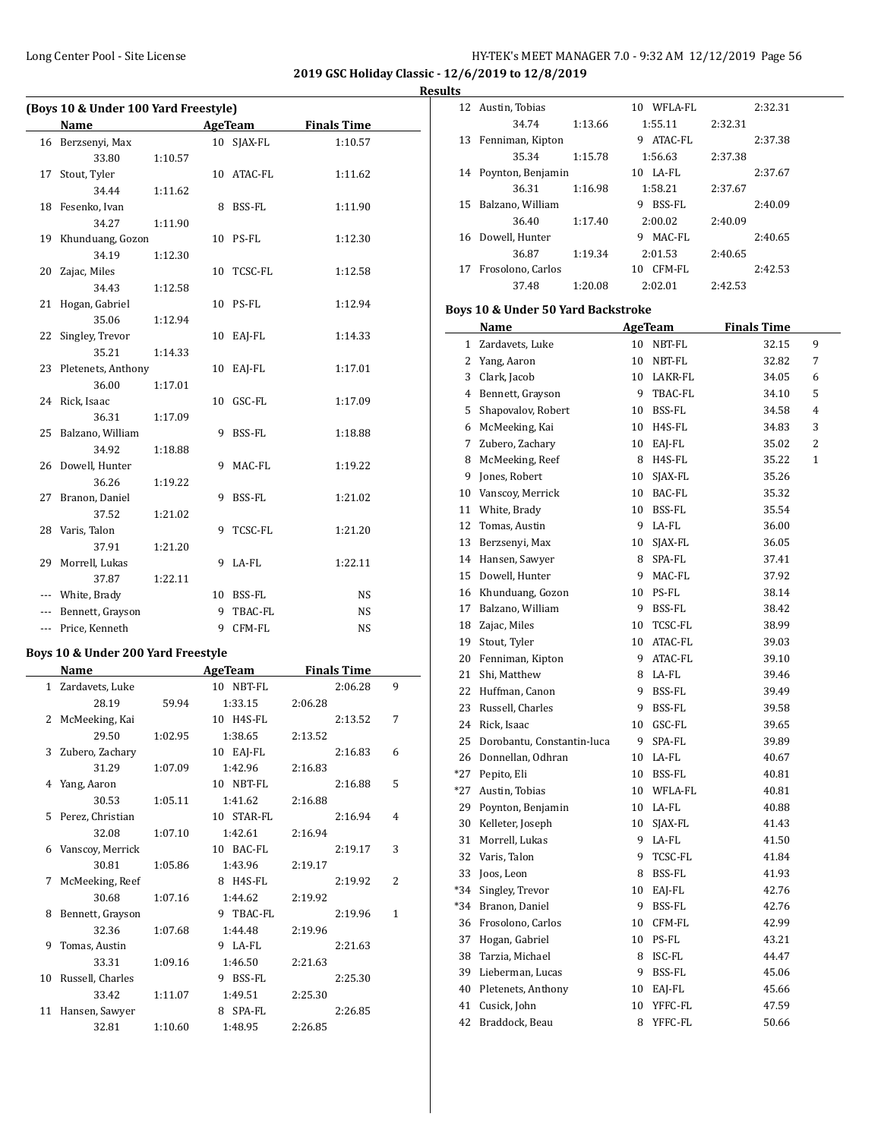$\overline{a}$ 

#### Long Center Pool - Site License **HY-TEK's MEET MANAGER 7.0 - 9:32 AM 12/12/2019** Page 56

**2019 GSC Holiday Classic - 12/6/2019 to 12/8/2019 Results**

| (Boys 10 & Under 100 Yard Freestyle) |                       |         |    |                |                    |  |  |  |
|--------------------------------------|-----------------------|---------|----|----------------|--------------------|--|--|--|
|                                      | Name                  |         |    | <b>AgeTeam</b> | <b>Finals Time</b> |  |  |  |
|                                      | 16 Berzsenyi, Max     |         |    | 10 SJAX-FL     | 1:10.57            |  |  |  |
|                                      | 33.80                 | 1:10.57 |    |                |                    |  |  |  |
| 17                                   | Stout, Tyler          |         |    | 10 ATAC-FL     | 1:11.62            |  |  |  |
|                                      | 34.44                 | 1:11.62 |    |                |                    |  |  |  |
|                                      | 18 Fesenko, Ivan      |         |    | 8 BSS-FL       | 1:11.90            |  |  |  |
|                                      | 34.27                 | 1:11.90 |    |                |                    |  |  |  |
| 19                                   | Khunduang, Gozon      |         |    | 10 PS-FL       | 1:12.30            |  |  |  |
|                                      | 34.19                 | 1:12.30 |    |                |                    |  |  |  |
| 20                                   | Zajac, Miles          |         |    | 10 TCSC-FL     | 1:12.58            |  |  |  |
|                                      | 34.43                 | 1:12.58 |    |                |                    |  |  |  |
| 21                                   | Hogan, Gabriel        |         |    | 10 PS-FL       | 1:12.94            |  |  |  |
|                                      | 35.06                 | 1:12.94 |    |                |                    |  |  |  |
| 22                                   | Singley, Trevor       |         |    | 10 EAJ-FL      | 1:14.33            |  |  |  |
|                                      | 35.21                 | 1:14.33 |    |                |                    |  |  |  |
|                                      | 23 Pletenets, Anthony |         |    | 10 EAJ-FL      | 1:17.01            |  |  |  |
|                                      | 36.00                 | 1:17.01 |    |                |                    |  |  |  |
|                                      | 24 Rick, Isaac        |         | 10 | GSC-FL         | 1:17.09            |  |  |  |
|                                      | 36.31                 | 1:17.09 |    |                |                    |  |  |  |
|                                      | 25 Balzano, William   |         |    | 9 BSS-FL       | 1:18.88            |  |  |  |
|                                      | 34.92                 | 1:18.88 |    |                |                    |  |  |  |
|                                      | 26 Dowell, Hunter     |         |    | 9 MAC-FL       | 1:19.22            |  |  |  |
|                                      | 36.26                 | 1:19.22 |    |                |                    |  |  |  |
|                                      | 27 Branon, Daniel     |         | 9  | BSS-FL         | 1:21.02            |  |  |  |
|                                      | 37.52                 | 1:21.02 |    |                |                    |  |  |  |
|                                      | 28 Varis, Talon       |         | 9  | TCSC-FL        | 1:21.20            |  |  |  |
|                                      | 37.91                 | 1:21.20 |    |                |                    |  |  |  |
|                                      | 29 Morrell, Lukas     |         |    | 9 LA-FL        | 1:22.11            |  |  |  |
|                                      | 37.87                 | 1:22.11 |    |                |                    |  |  |  |
| ---                                  | White, Brady          |         |    | 10 BSS-FL      | <b>NS</b>          |  |  |  |
| ---                                  | Bennett, Grayson      |         | 9  | TBAC-FL        | <b>NS</b>          |  |  |  |
| $\overline{a}$                       | Price, Kenneth        |         | 9  | CFM-FL         | <b>NS</b>          |  |  |  |

#### **Boys 10 & Under 200 Yard Freestyle**

|       | Name               |         | AgeTeam    | <b>Finals Time</b> |              |  |
|-------|--------------------|---------|------------|--------------------|--------------|--|
| $1\,$ | Zardavets, Luke    |         | 10 NBT-FL  | 2:06.28            | 9            |  |
|       | 28.19              | 59.94   | 1:33.15    | 2:06.28            |              |  |
|       | 2 McMeeking, Kai   |         | 10 H4S-FL  | 2:13.52            | 7            |  |
|       | 29.50              | 1:02.95 | 1:38.65    | 2:13.52            |              |  |
|       | 3 Zubero, Zachary  |         | 10 EAI-FL  | 2:16.83            | 6            |  |
|       | 31.29              | 1:07.09 | 1:42.96    | 2:16.83            |              |  |
| 4     | Yang, Aaron        |         | 10 NBT-FL  | 2:16.88            | 5            |  |
|       | 30.53              | 1:05.11 | 1:41.62    | 2:16.88            |              |  |
|       | 5 Perez, Christian |         | 10 STAR-FL | 2:16.94            | 4            |  |
|       | 32.08              | 1:07.10 | 1:42.61    | 2:16.94            |              |  |
|       | 6 Vanscoy, Merrick |         | 10 BAC-FL  | 2:19.17            | 3            |  |
|       | 30.81              | 1:05.86 | 1:43.96    | 2:19.17            |              |  |
| 7     | McMeeking, Reef    |         | 8 H4S-FL   | 2:19.92            | 2            |  |
|       | 30.68              | 1:07.16 | 1:44.62    | 2:19.92            |              |  |
| 8     | Bennett, Grayson   |         | 9 TBAC-FL  | 2:19.96            | $\mathbf{1}$ |  |
|       | 32.36              | 1:07.68 | 1:44.48    | 2:19.96            |              |  |
| 9     | Tomas, Austin      |         | 9 LA-FL    | 2:21.63            |              |  |
|       | 33.31              | 1:09.16 | 1:46.50    | 2:21.63            |              |  |
| 10    | Russell, Charles   |         | 9 BSS-FL   | 2:25.30            |              |  |
|       | 33.42              | 1:11.07 | 1:49.51    | 2:25.30            |              |  |
| 11    | Hansen, Sawyer     |         | 8 SPA-FL   | 2:26.85            |              |  |
|       | 32.81              | 1:10.60 | 1:48.95    | 2:26.85            |              |  |

| 12    | Austin, Tobias                     | 10 WFLA-FL         | 2:32.31            |   |
|-------|------------------------------------|--------------------|--------------------|---|
|       | 34.74<br>1:13.66                   | 1:55.11            | 2:32.31            |   |
| 13    | Fenniman, Kipton                   | 9 ATAC-FL          | 2:37.38            |   |
|       | 35.34<br>1:15.78                   | 1:56.63            | 2:37.38            |   |
| 14    | Poynton, Benjamin                  | 10 LA-FL           | 2:37.67            |   |
|       | 36.31<br>1:16.98                   | 1:58.21            | 2:37.67            |   |
| 15    | Balzano, William                   | 9 BSS-FL           | 2:40.09            |   |
|       | 36.40<br>1:17.40                   | 2:00.02            | 2:40.09            |   |
| 16    | Dowell, Hunter                     | MAC-FL<br>9        | 2:40.65            |   |
|       | 36.87<br>1:19.34                   |                    |                    |   |
|       |                                    | 2:01.53            | 2:40.65            |   |
| 17    | Frosolono, Carlos                  | 10 CFM-FL          | 2:42.53            |   |
|       | 37.48<br>1:20.08                   | 2:02.01            | 2:42.53            |   |
|       | Boys 10 & Under 50 Yard Backstroke |                    |                    |   |
|       | Name                               | <b>AgeTeam</b>     | <b>Finals Time</b> |   |
| 1     | Zardavets, Luke                    | 10<br>NBT-FL       | 32.15              | 9 |
|       | 2 Yang, Aaron                      | 10<br>NBT-FL       | 32.82              | 7 |
| 3     | Clark, Jacob                       | 10<br>LAKR-FL      | 34.05              | 6 |
| 4     | Bennett, Grayson                   | 9<br>TBAC-FL       | 34.10              | 5 |
| 5     | Shapovalov, Robert                 | BSS-FL<br>10       | 34.58              | 4 |
| 6     | McMeeking, Kai                     | 10<br>H4S-FL       | 34.83              | 3 |
| 7     | Zubero, Zachary                    | EAJ-FL<br>10       | 35.02              | 2 |
|       |                                    | 8                  |                    | 1 |
| 8     | McMeeking, Reef                    | H4S-FL             | 35.22              |   |
| 9     | Jones, Robert                      | 10<br>SJAX-FL      | 35.26              |   |
| 10    | Vanscoy, Merrick                   | 10<br>BAC-FL       | 35.32              |   |
| 11    | White, Brady                       | 10<br>BSS-FL       | 35.54              |   |
| 12    | Tomas, Austin                      | 9<br>LA-FL         | 36.00              |   |
| 13    | Berzsenyi, Max                     | 10<br>SJAX-FL      | 36.05              |   |
|       | 14 Hansen, Sawyer                  | SPA-FL<br>8        | 37.41              |   |
| 15    | Dowell, Hunter                     | 9<br>MAC-FL        | 37.92              |   |
| 16    | Khunduang, Gozon                   | 10<br>PS-FL        | 38.14              |   |
| 17    | Balzano, William                   | 9<br>BSS-FL        | 38.42              |   |
| 18    | Zajac, Miles                       | TCSC-FL<br>10      | 38.99              |   |
| 19    | Stout, Tyler                       | ATAC-FL<br>10      | 39.03              |   |
| 20    | Fenniman, Kipton                   | ATAC-FL<br>9       | 39.10              |   |
| 21    | Shi, Matthew                       | LA-FL<br>8         | 39.46              |   |
| 22    | Huffman, Canon                     | 9<br>BSS-FL        | 39.49              |   |
| 23    | Russell, Charles                   | 9<br><b>BSS-FL</b> | 39.58              |   |
| 24    | Rick, Isaac                        | GSC-FL<br>10       | 39.65              |   |
|       | 25 Dorobantu, Constantin-luca      | 9<br>SPA-FL        | 39.89              |   |
| 26    | Donnellan, Odhran                  | 10<br>LA-FL        | 40.67              |   |
| $*27$ | Pepito, Eli                        | 10<br>BSS-FL       | 40.81              |   |
| *27   | Austin, Tobias                     | 10<br>WFLA-FL      | 40.81              |   |
| 29    | Poynton, Benjamin                  | 10<br>LA-FL        | 40.88              |   |
| 30    | Kelleter, Joseph                   | 10<br>SJAX-FL      | 41.43              |   |
| 31    | Morrell, Lukas                     | 9<br>LA-FL         | 41.50              |   |
|       |                                    |                    |                    |   |
| 32    | Varis, Talon                       | 9<br>TCSC-FL       | 41.84              |   |
| 33    | Joos, Leon                         | 8<br>BSS-FL        | 41.93              |   |
| $*34$ | Singley, Trevor                    | 10<br>EAJ-FL       | 42.76              |   |
| *34   | Branon, Daniel                     | 9<br>BSS-FL        | 42.76              |   |
| 36    | Frosolono, Carlos                  | 10<br>CFM-FL       | 42.99              |   |
| 37    | Hogan, Gabriel                     | 10<br>PS-FL        | 43.21              |   |
| 38    | Tarzia, Michael                    | ISC-FL<br>8        | 44.47              |   |
| 39    | Lieberman, Lucas                   | 9<br>BSS-FL        | 45.06              |   |
| 40    | Pletenets, Anthony                 | 10<br>EAJ-FL       | 45.66              |   |
| 41    | Cusick, John                       | 10<br>YFFC-FL      | 47.59              |   |
| 42    | Braddock, Beau                     | 8<br>YFFC-FL       | 50.66              |   |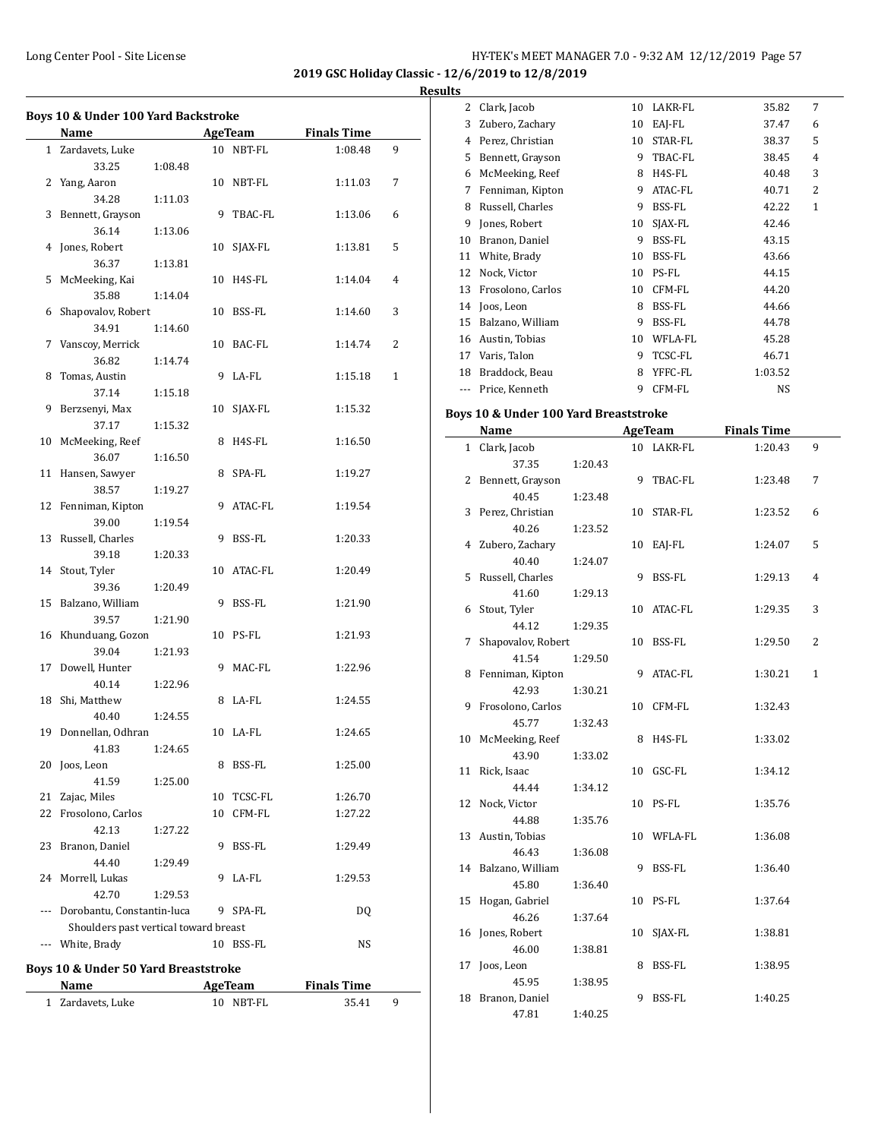**2019 GSC Holiday Classic - 12/6/2019 to 12/8/2019 Result** 

 $\frac{1}{2}$ 

|    | Name                                  |         |    | <b>AgeTeam</b> | <b>Finals Time</b> |              |
|----|---------------------------------------|---------|----|----------------|--------------------|--------------|
|    | 1 Zardavets, Luke                     |         |    | 10 NBT-FL      | 1:08.48            | 9            |
|    | 33.25                                 | 1:08.48 |    |                |                    |              |
|    | 2 Yang, Aaron                         |         |    | 10 NBT-FL      | 1:11.03            | 7            |
|    | 34.28                                 | 1:11.03 |    |                |                    |              |
|    | 3 Bennett, Grayson                    |         |    | 9 TBAC-FL      | 1:13.06            | 6            |
|    | 36.14                                 | 1:13.06 |    |                |                    |              |
|    | 4 Jones, Robert                       |         |    | 10 SJAX-FL     | 1:13.81            | 5            |
|    | 36.37                                 | 1:13.81 |    |                |                    |              |
|    | 5 McMeeking, Kai                      |         |    | 10 H4S-FL      | 1:14.04            | 4            |
|    | 35.88                                 | 1:14.04 |    |                |                    |              |
| 6  | Shapovalov, Robert                    |         |    | 10 BSS-FL      | 1:14.60            | 3            |
|    | 34.91                                 | 1:14.60 |    |                |                    |              |
|    | 7 Vanscoy, Merrick                    |         |    | 10 BAC-FL      | 1:14.74            | 2            |
|    | 36.82                                 | 1:14.74 |    |                |                    |              |
| 8  | Tomas, Austin                         |         | 9  | LA-FL          | 1:15.18            | $\mathbf{1}$ |
|    | 37.14                                 | 1:15.18 |    |                |                    |              |
| 9  | Berzsenyi, Max                        |         |    | 10 SJAX-FL     | 1:15.32            |              |
|    | 37.17                                 | 1:15.32 |    |                |                    |              |
| 10 | McMeeking, Reef                       |         | 8  | H4S-FL         | 1:16.50            |              |
|    | 36.07                                 |         |    |                |                    |              |
| 11 | Hansen, Sawyer                        | 1:16.50 |    | 8 SPA-FL       |                    |              |
|    |                                       |         |    |                | 1:19.27            |              |
|    | 38.57                                 | 1:19.27 |    |                |                    |              |
|    | 12 Fenniman, Kipton                   |         | 9  | ATAC-FL        | 1:19.54            |              |
|    | 39.00                                 | 1:19.54 |    |                |                    |              |
|    | 13 Russell, Charles                   |         | 9  | BSS-FL         | 1:20.33            |              |
|    | 39.18                                 | 1:20.33 |    |                |                    |              |
|    | 14 Stout, Tyler                       |         |    | 10 ATAC-FL     | 1:20.49            |              |
|    | 39.36                                 | 1:20.49 |    |                |                    |              |
|    | 15 Balzano, William                   |         |    | 9 BSS-FL       | 1:21.90            |              |
|    | 39.57                                 | 1:21.90 |    |                |                    |              |
|    | 16 Khunduang, Gozon                   |         |    | 10 PS-FL       | 1:21.93            |              |
|    | 39.04                                 | 1:21.93 |    |                |                    |              |
| 17 | Dowell, Hunter                        |         |    | 9 MAC-FL       | 1:22.96            |              |
|    | 40.14                                 | 1:22.96 |    |                |                    |              |
| 18 | Shi, Matthew                          |         |    | 8 LA-FL        | 1:24.55            |              |
|    | 40.40                                 | 1:24.55 |    |                |                    |              |
| 19 | Donnellan, Odhran                     |         |    | 10 LA-FL       | 1:24.65            |              |
|    | 41.83                                 | 1:24.65 |    |                |                    |              |
| 20 | Joos, Leon                            |         |    | 8 BSS-FL       | 1:25.00            |              |
|    | 41.59                                 | 1:25.00 |    |                |                    |              |
| 21 | Zajac, Miles                          |         | 10 | TCSC-FL        | 1:26.70            |              |
| 22 | Frosolono, Carlos                     |         | 10 | CFM-FL         | 1:27.22            |              |
|    | 42.13                                 | 1:27.22 |    |                |                    |              |
| 23 | Branon, Daniel                        |         | 9  | BSS-FL         | 1:29.49            |              |
|    | 44.40                                 | 1:29.49 |    |                |                    |              |
|    | 24 Morrell, Lukas                     |         | 9  | LA-FL          | 1:29.53            |              |
|    | 42.70                                 | 1:29.53 |    |                |                    |              |
|    | Dorobantu, Constantin-luca            |         |    | 9 SPA-FL       | DQ                 |              |
|    | Shoulders past vertical toward breast |         |    |                |                    |              |
|    | --- White, Brady                      |         |    | 10 BSS-FL      | NS                 |              |
|    |                                       |         |    |                |                    |              |
|    | Boys 10 & Under 50 Yard Breaststroke  |         |    |                |                    |              |

| Name<br>AgeTeam   |           | <b>Finals Time</b> |  |
|-------------------|-----------|--------------------|--|
| 1 Zardavets, Luke | 10 NBT-FL | 35.41              |  |

| ιß  |                   |    |         |         |   |  |
|-----|-------------------|----|---------|---------|---|--|
| 2   | Clark, Jacob      | 10 | LAKR-FL | 35.82   | 7 |  |
| 3   | Zubero, Zachary   | 10 | EAI-FL  | 37.47   | 6 |  |
| 4   | Perez, Christian  | 10 | STAR-FL | 38.37   | 5 |  |
| 5   | Bennett, Grayson  | 9  | TBAC-FL | 38.45   | 4 |  |
| 6   | McMeeking, Reef   | 8  | H4S-FL  | 40.48   | 3 |  |
| 7   | Fenniman, Kipton  | 9  | ATAC-FL | 40.71   | 2 |  |
| 8   | Russell, Charles  | 9  | BSS-FL  | 42.22   | 1 |  |
| 9   | Jones, Robert     | 10 | SJAX-FL | 42.46   |   |  |
| 10  | Branon, Daniel    | 9  | BSS-FL  | 43.15   |   |  |
| 11  | White, Brady      | 10 | BSS-FL  | 43.66   |   |  |
| 12  | Nock, Victor      | 10 | PS-FL   | 44.15   |   |  |
| 13  | Frosolono, Carlos | 10 | CFM-FL  | 44.20   |   |  |
| 14  | Joos, Leon        | 8  | BSS-FL  | 44.66   |   |  |
| 15  | Balzano, William  | 9  | BSS-FL  | 44.78   |   |  |
| 16  | Austin, Tobias    | 10 | WFLA-FL | 45.28   |   |  |
| 17  | Varis, Talon      | 9  | TCSC-FL | 46.71   |   |  |
| 18  | Braddock, Beau    | 8  | YFFC-FL | 1:03.52 |   |  |
| --- | Price, Kenneth    | 9  | CFM-FL  | NS      |   |  |

#### **Boys 10 & Under 100 Yard Breaststroke**

|              | Name               | <b>AgeTeam</b> |    |         | <b>Finals Time</b> |              |  |
|--------------|--------------------|----------------|----|---------|--------------------|--------------|--|
| $\mathbf{1}$ | Clark, Jacob       |                | 10 | LAKR-FL | 1:20.43            | 9            |  |
|              | 37.35              | 1:20.43        |    |         |                    |              |  |
| 2            | Bennett, Grayson   |                | 9  | TBAC-FL | 1:23.48            | 7            |  |
|              | 40.45              | 1:23.48        |    |         |                    |              |  |
| 3            | Perez, Christian   |                | 10 | STAR-FL | 1:23.52            | 6            |  |
|              | 40.26              | 1:23.52        |    |         |                    |              |  |
| 4            | Zubero, Zachary    |                | 10 | EAJ-FL  | 1:24.07            | 5            |  |
|              | 40.40              | 1:24.07        |    |         |                    |              |  |
| 5            | Russell, Charles   |                | 9  | BSS-FL  | 1:29.13            | 4            |  |
|              | 41.60              | 1:29.13        |    |         |                    |              |  |
| 6            | Stout, Tyler       |                | 10 | ATAC-FL | 1:29.35            | 3            |  |
|              | 44.12              | 1:29.35        |    |         |                    |              |  |
| 7            | Shapovalov, Robert |                | 10 | BSS-FL  | 1:29.50            | 2            |  |
|              | 41.54              | 1:29.50        |    |         |                    |              |  |
| 8            | Fenniman, Kipton   |                | 9  | ATAC-FL | 1:30.21            | $\mathbf{1}$ |  |
|              | 42.93              | 1:30.21        |    |         |                    |              |  |
| 9            | Frosolono, Carlos  |                | 10 | CFM-FL  | 1:32.43            |              |  |
|              | 45.77              | 1:32.43        |    |         |                    |              |  |
| 10           | McMeeking, Reef    |                | 8  | H4S-FL  | 1:33.02            |              |  |
|              | 43.90              | 1:33.02        |    |         |                    |              |  |
| 11           | Rick, Isaac        |                | 10 | GSC-FL  | 1:34.12            |              |  |
|              | 44.44              | 1:34.12        |    |         |                    |              |  |
| 12           | Nock, Victor       |                | 10 | PS-FL   | 1:35.76            |              |  |
|              | 44.88              | 1:35.76        |    |         |                    |              |  |
| 13           | Austin, Tobias     |                | 10 | WFLA-FL | 1:36.08            |              |  |
|              | 46.43              | 1:36.08        |    |         |                    |              |  |
| 14           | Balzano, William   |                | 9  | BSS-FL  | 1:36.40            |              |  |
|              | 45.80              | 1:36.40        |    |         |                    |              |  |
| 15           | Hogan, Gabriel     |                | 10 | PS-FL   | 1:37.64            |              |  |
|              | 46.26              | 1:37.64        |    |         |                    |              |  |
| 16           | Jones, Robert      |                | 10 | SJAX-FL | 1:38.81            |              |  |
|              | 46.00              | 1:38.81        |    |         |                    |              |  |
| 17           | Joos, Leon         |                | 8  | BSS-FL  | 1:38.95            |              |  |
|              | 45.95              | 1:38.95        |    |         |                    |              |  |
| 18           | Branon, Daniel     |                | 9  | BSS-FL  | 1:40.25            |              |  |
|              | 47.81              | 1:40.25        |    |         |                    |              |  |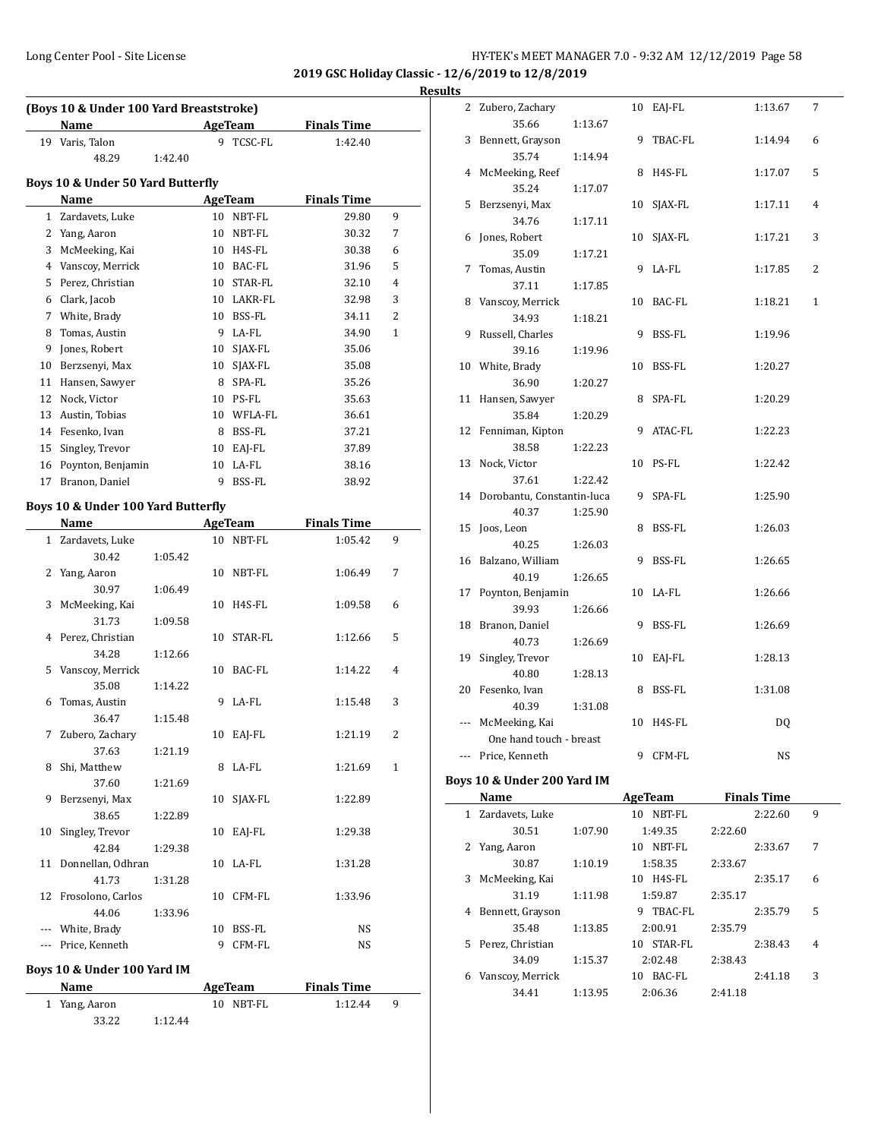$\overline{\phantom{0}}$ 

**Results**

|    | (Boys 10 & Under 100 Yard Breaststroke) |         |    |                |                    |   |
|----|-----------------------------------------|---------|----|----------------|--------------------|---|
|    | Name                                    |         |    | <b>AgeTeam</b> | <b>Finals Time</b> |   |
|    | 19 Varis, Talon                         |         |    | 9 TCSC-FL      | 1:42.40            |   |
|    | 48.29                                   | 1:42.40 |    |                |                    |   |
|    | Boys 10 & Under 50 Yard Butterfly       |         |    |                |                    |   |
|    | Name                                    |         |    | <b>AgeTeam</b> | <b>Finals Time</b> |   |
|    | 1 Zardavets, Luke                       |         |    | 10 NBT-FL      | 29.80              | 9 |
|    | 2 Yang, Aaron                           |         |    | 10 NBT-FL      | 30.32              | 7 |
|    | 3 McMeeking, Kai                        |         |    | 10 H4S-FL      | 30.38              | 6 |
|    | 4 Vanscoy, Merrick                      |         |    | 10 BAC-FL      | 31.96              | 5 |
|    |                                         |         |    |                |                    | 4 |
|    | 5 Perez, Christian                      |         |    | 10 STAR-FL     | 32.10              |   |
|    | 6 Clark, Jacob                          |         |    | 10 LAKR-FL     | 32.98              | 3 |
|    | 7 White, Brady                          |         |    | 10 BSS-FL      | 34.11              | 2 |
|    | 8 Tomas, Austin                         |         |    | 9 LA-FL        | 34.90              | 1 |
|    | 9 Jones, Robert                         |         |    | 10 SJAX-FL     | 35.06              |   |
|    | 10 Berzsenyi, Max                       |         |    | 10 SJAX-FL     | 35.08              |   |
|    | 11 Hansen, Sawyer                       |         |    | 8 SPA-FL       | 35.26              |   |
|    | 12 Nock, Victor                         |         |    | 10 PS-FL       | 35.63              |   |
|    | 13 Austin, Tobias                       |         |    | 10 WFLA-FL     | 36.61              |   |
|    | 14 Fesenko, Ivan                        |         |    | 8 BSS-FL       | 37.21              |   |
|    | 15 Singley, Trevor                      |         |    | 10 EAJ-FL      | 37.89              |   |
|    | 16 Poynton, Benjamin                    |         |    | 10 LA-FL       | 38.16              |   |
|    | 17 Branon, Daniel                       |         | 9  | BSS-FL         | 38.92              |   |
|    |                                         |         |    |                |                    |   |
|    | Boys 10 & Under 100 Yard Butterfly      |         |    |                |                    |   |
|    | Name                                    |         |    | <b>AgeTeam</b> | <b>Finals Time</b> |   |
|    | 1 Zardavets, Luke                       |         | 10 | NBT-FL         | 1:05.42            | 9 |
|    | 30.42                                   | 1:05.42 |    |                |                    |   |
| 2  | Yang, Aaron                             |         | 10 | NBT-FL         | 1:06.49            | 7 |
|    | 30.97                                   | 1:06.49 |    |                |                    |   |
| 3  | McMeeking, Kai                          |         | 10 | H4S-FL         | 1:09.58            | 6 |
|    | 31.73                                   | 1:09.58 |    |                |                    |   |
|    | 4 Perez, Christian                      |         | 10 | STAR-FL        | 1:12.66            | 5 |
|    | 34.28                                   | 1:12.66 |    |                |                    |   |
| 5  | Vanscoy, Merrick                        |         |    | 10 BAC-FL      | 1:14.22            | 4 |
|    | 35.08                                   | 1:14.22 |    |                |                    |   |
|    | 6 Tomas, Austin                         |         |    | 9 LA-FL        | 1:15.48            | 3 |
|    | 36.47                                   | 1:15.48 |    |                |                    |   |
|    | 7 Zubero, Zachary                       |         |    | 10 EAJ-FL      | 1:21.19            | 2 |
|    | 37.63                                   | 1:21.19 |    |                |                    |   |
| 8  | Shi, Matthew                            |         |    | 8 LA-FL        | 1:21.69            | 1 |
|    | 37.60                                   | 1:21.69 |    |                |                    |   |
| 9  | Berzsenyi, Max                          |         |    | 10 SJAX-FL     | 1:22.89            |   |
|    | 38.65                                   | 1:22.89 |    |                |                    |   |
|    |                                         |         |    |                |                    |   |
| 10 | Singley, Trevor                         |         |    | 10 EAJ-FL      | 1:29.38            |   |
|    | 42.84                                   | 1:29.38 |    |                |                    |   |
| 11 | Donnellan, Odhran                       |         | 10 | LA-FL          | 1:31.28            |   |
|    | 41.73                                   | 1:31.28 |    |                |                    |   |
|    | 12 Frosolono, Carlos                    |         | 10 | CFM-FL         | 1:33.96            |   |
|    | 44.06                                   | 1:33.96 |    |                |                    |   |
|    | --- White, Brady                        |         |    | 10 BSS-FL      | NS                 |   |
|    | --- Price, Kenneth                      |         | 9  | CFM-FL         | NS                 |   |
|    | Boys 10 & Under 100 Yard IM             |         |    |                |                    |   |
|    |                                         |         |    |                |                    |   |
|    | Name                                    |         |    | <b>AgeTeam</b> | <b>Finals Time</b> |   |
|    | 1 Yang, Aaron                           |         |    | 10 NBT-FL      | 1:12.44            | 9 |
|    | 33.22                                   | 1:12.44 |    |                |                    |   |

| пs           |                                                |    |                |         |                    |   |
|--------------|------------------------------------------------|----|----------------|---------|--------------------|---|
|              | 2 Zubero, Zachary                              | 10 | EAJ-FL         |         | 1:13.67            | 7 |
| 3            | 35.66<br>1:13.67<br>Bennett, Grayson           | 9  | TBAC-FL        |         | 1:14.94            | 6 |
|              | 35.74<br>1:14.94                               |    |                |         |                    |   |
|              | 4 McMeeking, Reef                              | 8  | H4S-FL         |         | 1:17.07            | 5 |
| 5            | 35.24<br>1:17.07<br>Berzsenyi, Max             | 10 | SJAX-FL        |         | 1:17.11            | 4 |
|              | 34.76<br>1:17.11                               |    |                |         |                    |   |
| 6            | Jones, Robert                                  | 10 | SJAX-FL        |         | 1:17.21            | 3 |
| 7            | 35.09<br>1:17.21<br>Tomas, Austin              | 9  | LA-FL          |         | 1:17.85            | 2 |
|              | 37.11<br>1:17.85                               |    |                |         |                    |   |
| 8            | Vanscoy, Merrick                               | 10 | BAC-FL         |         | 1:18.21            | 1 |
|              | 34.93<br>1:18.21                               |    |                |         |                    |   |
| 9            | Russell, Charles<br>39.16<br>1:19.96           | 9  | BSS-FL         |         | 1:19.96            |   |
|              | 10 White, Brady                                | 10 | BSS-FL         |         | 1:20.27            |   |
|              | 36.90<br>1:20.27                               |    |                |         |                    |   |
| 11           | Hansen, Sawyer<br>35.84<br>1:20.29             | 8  | SPA-FL         |         | 1:20.29            |   |
| 12           | Fenniman, Kipton                               | 9  | ATAC-FL        |         | 1:22.23            |   |
|              | 38.58<br>1:22.23                               |    |                |         |                    |   |
| 13           | Nock, Victor                                   |    | 10 PS-FL       |         | 1:22.42            |   |
| 14           | 37.61<br>1:22.42<br>Dorobantu, Constantin-luca | 9  | SPA-FL         |         | 1:25.90            |   |
|              | 40.37<br>1:25.90                               |    |                |         |                    |   |
| 15           | Joos, Leon                                     | 8  | BSS-FL         |         | 1:26.03            |   |
|              | 40.25<br>1:26.03<br>16 Balzano, William        | 9  | BSS-FL         |         | 1:26.65            |   |
|              | 40.19<br>1:26.65                               |    |                |         |                    |   |
| 17           | Poynton, Benjamin                              | 10 | LA-FL          |         | 1:26.66            |   |
| 18           | 39.93<br>1:26.66<br>Branon, Daniel             | 9  | BSS-FL         |         | 1:26.69            |   |
|              | 40.73<br>1:26.69                               |    |                |         |                    |   |
| 19           | Singley, Trevor                                | 10 | EAJ-FL         |         | 1:28.13            |   |
|              | 40.80<br>1:28.13                               |    |                |         |                    |   |
|              | 20 Fesenko, Ivan<br>40.39<br>1:31.08           | 8  | BSS-FL         |         | 1:31.08            |   |
| ---          | McMeeking, Kai                                 |    | 10 H4S-FL      |         | DQ                 |   |
|              | One hand touch - breast                        |    |                |         |                    |   |
|              | Price, Kenneth                                 |    | 9 CFM-FL       |         | NS                 |   |
|              | Boys 10 & Under 200 Yard IM                    |    |                |         |                    |   |
|              | Name                                           |    | <b>AgeTeam</b> |         | <b>Finals Time</b> |   |
| $\mathbf{1}$ | Zardavets, Luke                                |    | 10 NBT-FL      |         | 2:22.60            | 9 |
|              | 30.51<br>1:07.90                               |    | 1:49.35        | 2:22.60 |                    |   |
| 2            | Yang, Aaron                                    |    | 10 NBT-FL      |         | 2:33.67            | 7 |
|              | 30.87<br>1:10.19                               |    | 1:58.35        | 2:33.67 |                    |   |

3 McMeeking, Kai 10 H4S-FL 2:35.17 6 31.19 1:11.98 1:59.87 2:35.17 4 Bennett, Grayson 9 TBAC-FL 2:35.79 5 35.48 1:13.85 2:00.91 2:35.79 5 Perez, Christian 10 STAR-FL 2:38.43 4 34.09 1:15.37 2:02.48 2:38.43 6 Vanscoy, Merrick 10 BAC-FL 2:41.18 3 34.41 1:13.95 2:06.36 2:41.18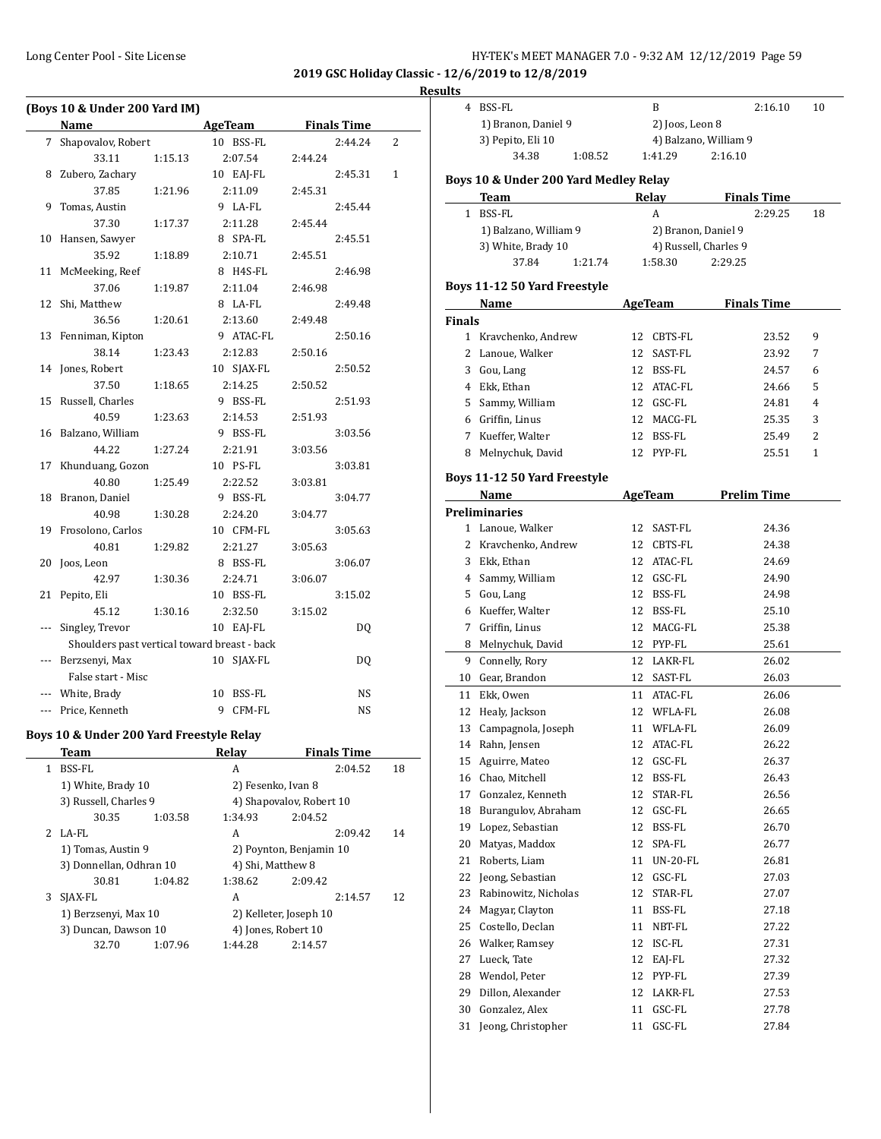| HY-TEK's MEET MANAGER 7.0 - 9:32 AM 12/12/2019 Page 59 |  |
|--------------------------------------------------------|--|
|--------------------------------------------------------|--|

**2019 GSC Holiday Classic - 12/6/2019 to 12/8/2019**

|       | (Boys 10 & Under 200 Yard IM)            |         |                                              |                    |                |
|-------|------------------------------------------|---------|----------------------------------------------|--------------------|----------------|
|       | <b>Name</b>                              |         | <b>AgeTeam</b>                               | <b>Finals Time</b> |                |
| 7     | Shapovalov, Robert                       |         | 10 BSS-FL                                    | 2:44.24            | $\overline{2}$ |
|       | 33.11                                    | 1:15.13 | 2:07.54                                      | 2:44.24            |                |
| 8     | Zubero, Zachary                          |         | 10 EAJ-FL                                    | 2:45.31            | 1              |
|       | 37.85                                    | 1:21.96 | 2:11.09                                      | 2:45.31            |                |
| 9     | Tomas, Austin                            |         | 9 LA-FL                                      | 2:45.44            |                |
|       | 37.30                                    | 1:17.37 | 2:11.28                                      | 2:45.44            |                |
| 10    | Hansen, Sawyer                           |         | 8 SPA-FL                                     | 2:45.51            |                |
|       | 35.92                                    | 1:18.89 | 2:10.71                                      | 2:45.51            |                |
| 11    | McMeeking, Reef                          |         | 8 H4S-FL                                     | 2:46.98            |                |
|       | 37.06                                    | 1:19.87 | 2:11.04                                      | 2:46.98            |                |
| 12    | Shi, Matthew                             |         | 8 LA-FL                                      | 2:49.48            |                |
|       | 36.56                                    | 1:20.61 | 2:13.60                                      | 2:49.48            |                |
| 13    | Fenniman, Kipton                         |         | 9 ATAC-FL                                    | 2:50.16            |                |
|       | 38.14                                    | 1:23.43 | 2:12.83                                      | 2:50.16            |                |
| 14    | Jones, Robert                            |         | 10 SJAX-FL                                   | 2:50.52            |                |
|       | 37.50                                    | 1:18.65 | 2:14.25                                      | 2:50.52            |                |
| 15    | Russell, Charles                         |         | 9 BSS-FL                                     | 2:51.93            |                |
|       | 40.59                                    | 1:23.63 | 2:14.53                                      | 2:51.93            |                |
| 16    | Balzano, William                         |         | 9 BSS-FL                                     | 3:03.56            |                |
|       | 44.22                                    | 1:27.24 | 2:21.91                                      | 3:03.56            |                |
| 17    | Khunduang, Gozon                         |         | 10 PS-FL                                     | 3:03.81            |                |
|       | 40.80                                    | 1:25.49 | 2:22.52                                      | 3:03.81            |                |
| 18    | Branon, Daniel                           |         | 9 BSS-FL                                     | 3:04.77            |                |
|       | 40.98                                    | 1:30.28 | 2:24.20                                      | 3:04.77            |                |
| 19    | Frosolono, Carlos                        |         | 10 CFM-FL                                    | 3:05.63            |                |
|       | 40.81                                    | 1:29.82 | 2:21.27                                      | 3:05.63            |                |
| 20    | Joos, Leon                               |         | 8 BSS-FL                                     | 3:06.07            |                |
|       | 42.97                                    | 1:30.36 | 2:24.71                                      | 3:06.07            |                |
| 21    | Pepito, Eli                              |         | 10 BSS-FL                                    | 3:15.02            |                |
|       | 45.12                                    | 1:30.16 | 2:32.50                                      | 3:15.02            |                |
| ---   | Singley, Trevor                          |         | 10 EAJ-FL                                    | DQ                 |                |
|       |                                          |         | Shoulders past vertical toward breast - back |                    |                |
| $---$ | Berzsenyi, Max                           |         | SJAX-FL<br>10                                | DQ                 |                |
|       | False start - Misc                       |         |                                              |                    |                |
|       |                                          |         |                                              |                    |                |
|       | White, Brady                             |         | 10<br>BSS-FL                                 | NS                 |                |
| $---$ | Price, Kenneth                           |         | 9<br>CFM-FL                                  | <b>NS</b>          |                |
|       | Boys 10 & Under 200 Yard Freestyle Relay |         |                                              |                    |                |
|       | Team                                     |         | Relay                                        | <b>Finals Time</b> |                |
| 1     | <b>BSS-FL</b>                            |         | А                                            | 2:04.52            | 18             |

| 1  | BSS-FL                  |         | A                       | 2:04.52                  | 18 |
|----|-------------------------|---------|-------------------------|--------------------------|----|
|    | 1) White, Brady 10      |         | 2) Fesenko, Ivan 8      |                          |    |
|    | 3) Russell, Charles 9   |         |                         | 4) Shapovalov, Robert 10 |    |
|    | 30.35                   | 1:03.58 | 1:34.93                 | 2:04.52                  |    |
| 2. | LA-FL                   |         | A                       | 2:09.42                  | 14 |
|    | 1) Tomas, Austin 9      |         | 2) Poynton, Benjamin 10 |                          |    |
|    | 3) Donnellan, Odhran 10 |         | 4) Shi, Matthew 8       |                          |    |
|    | 30.81                   | 1:04.82 | 1:38.62                 | 2:09.42                  |    |
| 3  | SJAX-FL                 |         | A                       | 2:14.57                  | 12 |
|    | 1) Berzsenyi, Max 10    |         |                         | 2) Kelleter, Joseph 10   |    |
|    | 3) Duncan, Dawson 10    |         |                         | 4) Jones, Robert 10      |    |
|    | 32.70                   | 1:07.96 | 1:44.28                 | 2:14.57                  |    |

|               | 4 BSS-FL                              | B                             | 2:16.10               |  |
|---------------|---------------------------------------|-------------------------------|-----------------------|--|
|               | 1) Branon, Daniel 9                   |                               | 2) Joos, Leon 8       |  |
|               | 3) Pepito, Eli 10                     |                               | 4) Balzano, William 9 |  |
|               | 34.38<br>1:08.52                      | 1:41.29                       | 2:16.10               |  |
|               | Boys 10 & Under 200 Yard Medley Relay |                               |                       |  |
|               | Team                                  | <b>Relay</b>                  | <b>Finals Time</b>    |  |
|               | 1 BSS-FL                              | A                             | 2:29.25               |  |
|               | 1) Balzano, William 9                 |                               | 2) Branon, Daniel 9   |  |
|               | 3) White, Brady 10                    |                               | 4) Russell, Charles 9 |  |
|               | 37.84<br>1:21.74                      | 1:58.30                       | 2:29.25               |  |
|               | Boys 11-12 50 Yard Freestyle          |                               |                       |  |
|               | Name                                  | AgeTeam                       | <b>Finals Time</b>    |  |
| <b>Finals</b> |                                       |                               |                       |  |
|               | 1 Kravchenko, Andrew                  | 12 CBTS-FL                    | 23.52                 |  |
|               | 2 Lanoue, Walker                      | 12 SAST-FL                    | 23.92                 |  |
|               | 3 Gou, Lang                           | 12 BSS-FL                     | 24.57                 |  |
|               | 4 Ekk, Ethan                          | 12 ATAC-FL                    | 24.66                 |  |
|               | 5 Sammy, William                      | 12 GSC-FL                     | 24.81                 |  |
|               | 6 Griffin, Linus                      | 12 MACG-FL                    | 25.35                 |  |
|               | 7 Kueffer, Walter                     | 12 BSS-FL                     | 25.49                 |  |
|               | 8 Melnychuk, David                    | 12 PYP-FL                     | 25.51                 |  |
|               | Boys 11-12 50 Yard Freestyle          |                               |                       |  |
|               | Name                                  | AgeTeam                       | <b>Prelim Time</b>    |  |
|               | <b>Preliminaries</b>                  |                               |                       |  |
|               | 1 Lanoue, Walker                      | 12 SAST-FL                    | 24.36                 |  |
|               | 2 Kravchenko, Andrew                  | 12 CBTS-FL                    | 24.38                 |  |
|               | 3 Ekk, Ethan                          | 12 ATAC-FL                    | 24.69                 |  |
|               | 4 Sammy, William                      | 12 GSC-FL                     | 24.90                 |  |
|               | 5 Gou, Lang                           | 12 BSS-FL                     | 24.98                 |  |
|               | 6 Kueffer, Walter                     | 12 BSS-FL                     | 25.10                 |  |
|               | 7 Griffin, Linus                      | 12 MACG-FL                    | 25.38                 |  |
|               | 8 Melnychuk, David                    | 12 PYP-FL                     | 25.61                 |  |
|               | 9 Connelly, Rory                      | 12 LAKR-FL                    | 26.02                 |  |
|               | 10 Gear, Brandon                      | 12 SAST-FL                    | 26.03                 |  |
|               | 11 Ekk, Owen                          | 11 ATAC-FL                    | 26.06                 |  |
|               | 12 Healy, Jackson                     | 12 WFLA-FL                    | 26.08                 |  |
|               | 13 Campagnola, Joseph                 | 11<br>WFLA-FL                 | 26.09                 |  |
| 14            | Rahn, Jensen                          | 12<br>ATAC-FL                 | 26.22                 |  |
| 15            | Aguirre, Mateo                        | 12<br>GSC-FL                  | 26.37                 |  |
|               | 16 Chao, Mitchell                     | 12<br>BSS-FL                  | 26.43                 |  |
| 17            | Gonzalez, Kenneth                     | STAR-FL<br>12                 | 26.56                 |  |
| 18            | Burangulov, Abraham                   | GSC-FL<br>12                  | 26.65                 |  |
| 19            | Lopez, Sebastian                      | 12<br>BSS-FL                  | 26.70                 |  |
| 20            | Matyas, Maddox                        | 12<br>SPA-FL                  | 26.77                 |  |
| 21            | Roberts, Liam                         | 11<br><b>UN-20-FL</b>         | 26.81                 |  |
| 22            | Jeong, Sebastian                      | 12 GSC-FL                     | 27.03                 |  |
| 23            | Rabinowitz, Nicholas                  | STAR-FL<br>12                 |                       |  |
|               |                                       |                               | 27.07                 |  |
| 24            | Magyar, Clayton                       | 11<br>BSS-FL                  | 27.18                 |  |
| 25            | Costello, Declan                      | 11<br>NBT-FL                  | 27.22                 |  |
| 26            | Walker, Ramsey                        | 12<br>ISC-FL                  | 27.31                 |  |
| 27            | Lueck, Tate                           | 12<br>EAJ-FL                  | 27.32                 |  |
| 28            | Wendol, Peter                         | 12<br>PYP-FL                  | 27.39                 |  |
| 29            | Dillon, Alexander<br>Gonzalez, Alex   | 12<br>LAKR-FL<br>GSC-FL<br>11 | 27.53<br>27.78        |  |
| 30            |                                       |                               |                       |  |

31 Jeong, Christopher 11 GSC-FL 27.84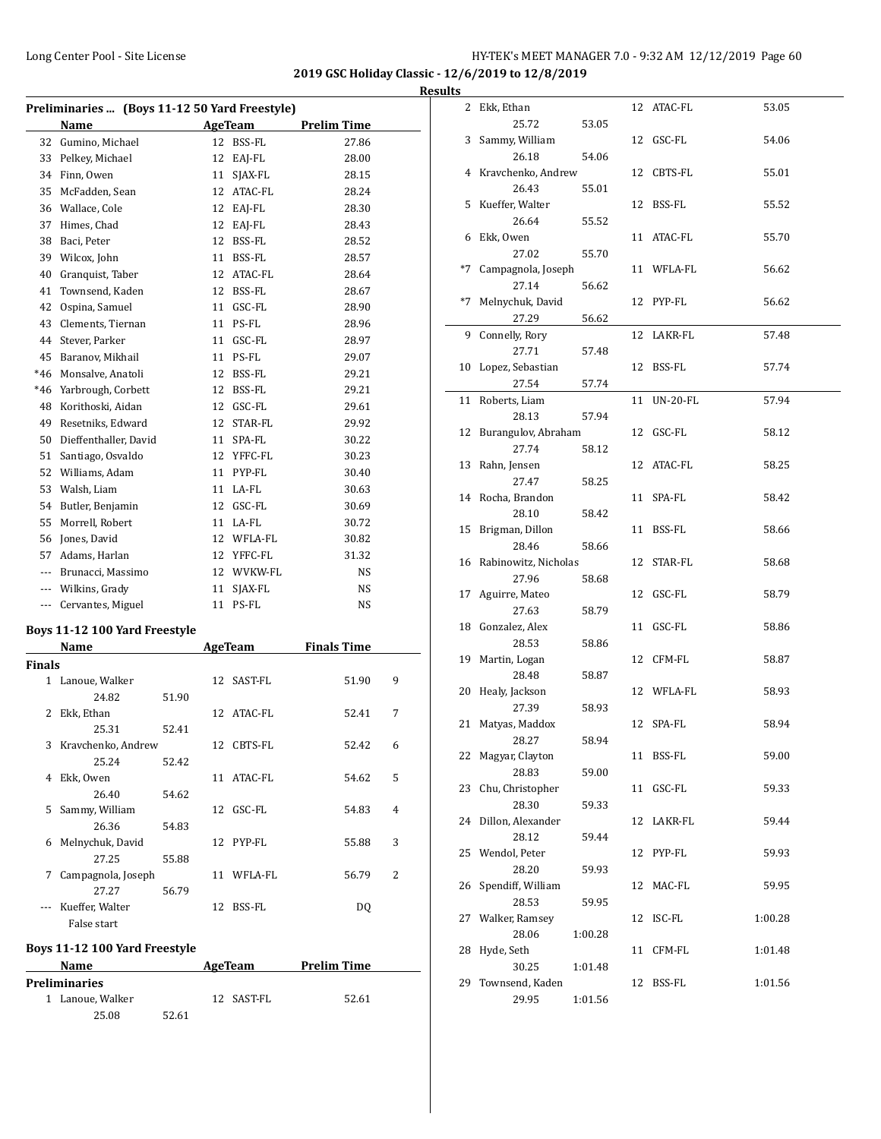**2019 GSC Holiday Classic - 12/6/2019 to 12/8/2019**

|               | Preliminaries  (Boys 11-12 50 Yard Freestyle) |       |    |            |                    |   |
|---------------|-----------------------------------------------|-------|----|------------|--------------------|---|
|               | Name                                          |       |    | AgeTeam    | <b>Prelim Time</b> |   |
| 32            | Gumino, Michael                               |       | 12 | BSS-FL     | 27.86              |   |
|               | 33 Pelkey, Michael                            |       |    | 12 EAJ-FL  | 28.00              |   |
| 34            | Finn, Owen                                    |       | 11 | SJAX-FL    | 28.15              |   |
| 35            | McFadden, Sean                                |       |    | 12 ATAC-FL | 28.24              |   |
|               | 36 Wallace, Cole                              |       |    | 12 EAJ-FL  | 28.30              |   |
| 37            | Himes, Chad                                   |       |    | 12 EAJ-FL  | 28.43              |   |
| 38            | Baci, Peter                                   |       |    | 12 BSS-FL  | 28.52              |   |
| 39            | Wilcox, John                                  |       |    | 11 BSS-FL  | 28.57              |   |
| 40            | Granquist, Taber                              |       |    | 12 ATAC-FL | 28.64              |   |
| 41            | Townsend, Kaden                               |       |    | 12 BSS-FL  | 28.67              |   |
| 42            | Ospina, Samuel                                |       |    | 11 GSC-FL  | 28.90              |   |
| 43            | Clements, Tiernan                             |       |    | 11 PS-FL   | 28.96              |   |
| 44            | Stever, Parker                                |       |    | 11 GSC-FL  | 28.97              |   |
| 45            | Baranov, Mikhail                              |       |    | 11 PS-FL   | 29.07              |   |
| $*46$         | Monsalve, Anatoli                             |       |    | 12 BSS-FL  | 29.21              |   |
| $*46$         | Yarbrough, Corbett                            |       |    | 12 BSS-FL  | 29.21              |   |
| 48            | Korithoski, Aidan                             |       |    | 12 GSC-FL  | 29.61              |   |
| 49            | Resetniks, Edward                             |       |    | 12 STAR-FL | 29.92              |   |
| 50            | Dieffenthaller, David                         |       |    | 11 SPA-FL  | 30.22              |   |
| 51            | Santiago, Osvaldo                             |       |    | 12 YFFC-FL | 30.23              |   |
| 52            | Williams, Adam                                |       |    | 11 PYP-FL  | 30.40              |   |
| 53            | Walsh, Liam                                   |       |    | 11 LA-FL   | 30.63              |   |
| 54            | Butler, Benjamin                              |       |    | 12 GSC-FL  | 30.69              |   |
| 55            | Morrell, Robert                               |       |    | 11 LA-FL   | 30.72              |   |
| 56            | Jones, David                                  |       |    | 12 WFLA-FL | 30.82              |   |
|               | 57 Adams, Harlan                              |       |    | 12 YFFC-FL | 31.32              |   |
|               | --- Brunacci, Massimo                         |       |    | 12 WVKW-FL | NS                 |   |
|               | --- Wilkins, Grady                            |       |    | 11 SJAX-FL | NS                 |   |
|               | --- Cervantes, Miguel                         |       |    | 11 PS-FL   | NS                 |   |
|               |                                               |       |    |            |                    |   |
|               | Boys 11-12 100 Yard Freestyle                 |       |    |            |                    |   |
| <b>Finals</b> | Name                                          |       |    | AgeTeam    | <b>Finals Time</b> |   |
|               | 1 Lanoue, Walker                              |       | 12 | SAST-FL    | 51.90              | 9 |
|               | 24.82                                         | 51.90 |    |            |                    |   |
| 2             | Ekk, Ethan                                    |       |    | 12 ATAC-FL | 52.41              | 7 |
|               | 25.31                                         | 52.41 |    |            |                    |   |
|               | 3 Kravchenko, Andrew                          |       |    | 12 CBTS-FL | 52.42              | 6 |
|               | 25.24                                         | 52.42 |    |            |                    |   |
| 4             | Ekk, Owen                                     |       | 11 | ATAC-FL    | 54.62              | 5 |
|               | 26.40                                         | 54.62 |    |            |                    |   |
| 5             | Sammy, William                                |       |    | 12 GSC-FL  | 54.83              | 4 |
|               | 26.36                                         | 54.83 |    |            |                    |   |
| 6             | Melnychuk, David                              |       | 12 | PYP-FL     | 55.88              | 3 |
|               |                                               |       |    |            |                    |   |

7 Campagnola, Joseph 11 WFLA-FL 56.79 2

--- Kueffer, Walter 12 BSS-FL DQ

**Name AgeTeam Prelim Time** 

1 Lanoue, Walker 12 SAST-FL 52.61

27.25 55.88

27.27 56.79

25.08 52.61

False start

**Preliminaries**

**Boys 11-12 100 Yard Freestyle**

| <b>Results</b> |                              |         |    |             |         |
|----------------|------------------------------|---------|----|-------------|---------|
|                | 2 Ekk, Ethan                 |         |    | 12 ATAC-FL  | 53.05   |
|                | 25.72                        | 53.05   |    |             |         |
|                | 3 Sammy, William             |         |    | 12 GSC-FL   | 54.06   |
|                | 26.18                        | 54.06   |    |             |         |
|                | 4 Kravchenko, Andrew         |         |    | 12 CBTS-FL  | 55.01   |
|                | 26.43                        | 55.01   |    |             |         |
|                | 5 Kueffer, Walter            |         |    | 12 BSS-FL   | 55.52   |
|                | 26.64                        | 55.52   |    |             |         |
|                | 6 Ekk, Owen                  |         |    | 11 ATAC-FL  | 55.70   |
|                | 27.02                        | 55.70   |    |             |         |
|                | *7 Campagnola, Joseph        |         |    | 11 WFLA-FL  | 56.62   |
|                | 27.14                        | 56.62   |    |             |         |
|                | *7 Melnychuk, David          |         |    | 12 PYP-FL   | 56.62   |
|                | 27.29                        | 56.62   |    |             |         |
|                | 9 Connelly, Rory             |         |    | 12 LAKR-FL  | 57.48   |
|                | 27.71<br>10 Lopez, Sebastian | 57.48   |    | 12 BSS-FL   | 57.74   |
|                | 27.54                        | 57.74   |    |             |         |
|                | 11 Roberts, Liam             |         |    | 11 UN-20-FL | 57.94   |
|                | 28.13                        | 57.94   |    |             |         |
|                | 12 Burangulov, Abraham       |         |    | 12 GSC-FL   | 58.12   |
|                | 27.74                        | 58.12   |    |             |         |
|                | 13 Rahn, Jensen              |         |    | 12 ATAC-FL  | 58.25   |
|                | 27.47                        | 58.25   |    |             |         |
|                | 14 Rocha, Brandon            |         |    | 11 SPA-FL   | 58.42   |
|                | 28.10                        | 58.42   |    |             |         |
|                | 15 Brigman, Dillon           |         |    | 11 BSS-FL   | 58.66   |
|                | 28.46                        | 58.66   |    |             |         |
|                | 16 Rabinowitz, Nicholas      |         |    | 12 STAR-FL  | 58.68   |
|                | 27.96                        | 58.68   |    |             |         |
|                | 17 Aguirre, Mateo            |         |    | 12 GSC-FL   | 58.79   |
|                | 27.63                        | 58.79   |    |             |         |
|                | 18 Gonzalez, Alex            |         |    | 11 GSC-FL   | 58.86   |
|                | 28.53<br>19 Martin, Logan    | 58.86   |    | 12 CFM-FL   | 58.87   |
|                | 28.48                        | 58.87   |    |             |         |
|                | 20 Healy, Jackson            |         |    | 12 WFLA-FL  | 58.93   |
|                | 27.39                        | 58.93   |    |             |         |
|                | 21 Matyas, Maddox            |         | 12 | SPA-FL      | 58.94   |
|                | 28.27                        | 58.94   |    |             |         |
|                | 22 Magyar, Clayton           |         |    | 11 BSS-FL   | 59.00   |
|                | 28.83                        | 59.00   |    |             |         |
|                | 23 Chu, Christopher          |         |    | 11 GSC-FL   | 59.33   |
|                | 28.30                        | 59.33   |    |             |         |
|                | 24 Dillon, Alexander         |         |    | 12 LAKR-FL  | 59.44   |
|                | 28.12                        | 59.44   |    |             |         |
|                | 25 Wendol, Peter             |         |    | 12 PYP-FL   | 59.93   |
|                | 28.20                        | 59.93   |    |             |         |
|                | 26 Spendiff, William         |         |    | 12 MAC-FL   | 59.95   |
|                | 28.53                        | 59.95   |    |             |         |
|                | 27 Walker, Ramsey            |         |    | 12 ISC-FL   | 1:00.28 |
| 28             | 28.06<br>Hyde, Seth          | 1:00.28 |    | 11 CFM-FL   | 1:01.48 |
|                | 30.25                        | 1:01.48 |    |             |         |
|                | 29 Townsend, Kaden           |         |    | 12 BSS-FL   | 1:01.56 |
|                | 29.95                        | 1:01.56 |    |             |         |
|                |                              |         |    |             |         |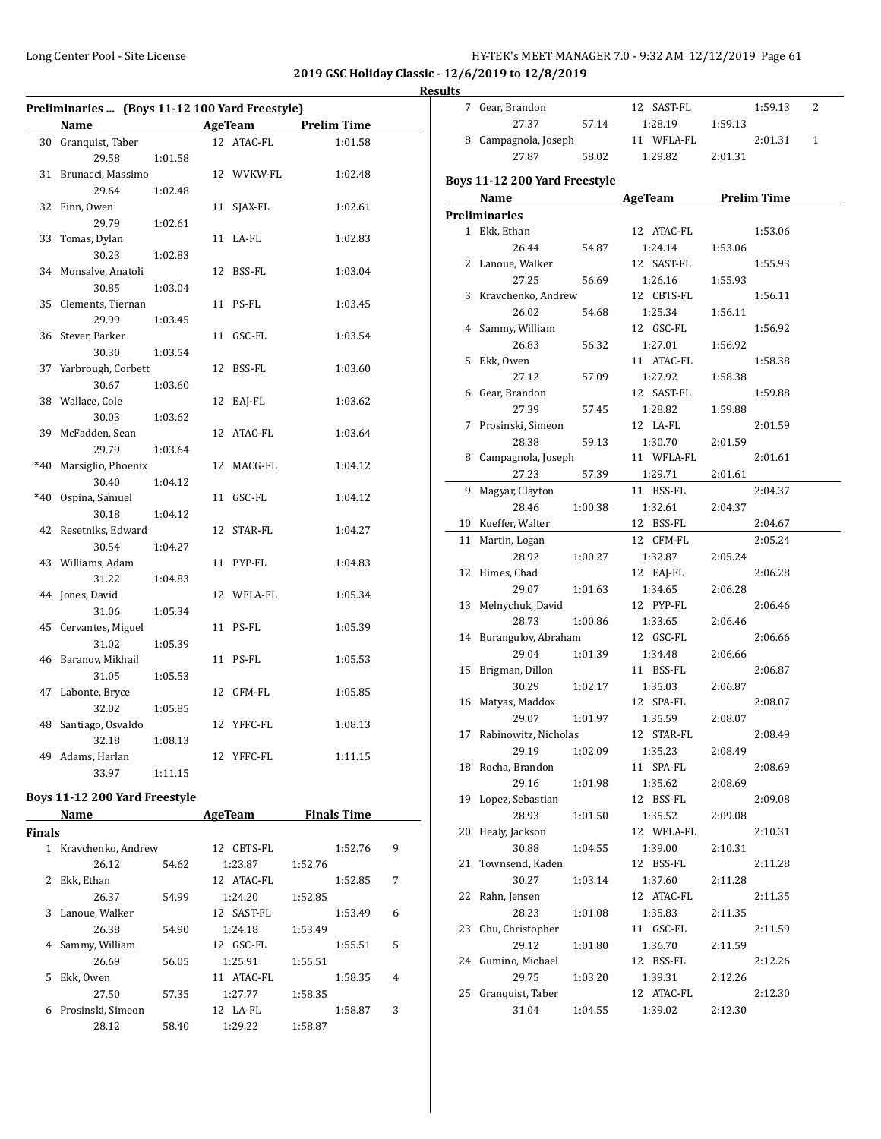**2019 GSC Holiday Classic - 12/6/2019 to 12/8/2019**

| Results |  |
|---------|--|
|         |  |

| Preliminaries  (Boys 11-12 100 Yard Freestyle) |                    |         |    |                |                    |  |  |
|------------------------------------------------|--------------------|---------|----|----------------|--------------------|--|--|
|                                                | Name               |         |    | <b>AgeTeam</b> | <b>Prelim Time</b> |  |  |
| 30                                             | Granquist, Taber   |         | 12 | <b>ATAC-FL</b> | 1:01.58            |  |  |
|                                                | 29.58              | 1:01.58 |    |                |                    |  |  |
| 31                                             | Brunacci, Massimo  |         |    | 12 WVKW-FL     | 1:02.48            |  |  |
|                                                | 29.64              | 1:02.48 |    |                |                    |  |  |
| 32                                             | Finn, Owen         |         | 11 | SJAX-FL        | 1:02.61            |  |  |
|                                                | 29.79              | 1:02.61 |    |                |                    |  |  |
| 33                                             | Tomas, Dylan       |         | 11 | LA-FL          | 1:02.83            |  |  |
|                                                | 30.23              | 1:02.83 |    |                |                    |  |  |
| 34                                             | Monsalve, Anatoli  |         | 12 | BSS-FL         | 1:03.04            |  |  |
|                                                | 30.85              | 1:03.04 |    |                |                    |  |  |
| 35                                             | Clements, Tiernan  |         | 11 | PS-FL          | 1:03.45            |  |  |
|                                                | 29.99              | 1:03.45 |    |                |                    |  |  |
| 36                                             | Stever, Parker     |         | 11 | GSC-FL         | 1:03.54            |  |  |
|                                                | 30.30              | 1:03.54 |    |                |                    |  |  |
| 37                                             | Yarbrough, Corbett |         | 12 | BSS-FL         | 1:03.60            |  |  |
|                                                | 30.67              | 1:03.60 |    |                |                    |  |  |
| 38                                             | Wallace, Cole      |         | 12 | EAJ-FL         | 1:03.62            |  |  |
|                                                | 30.03              | 1:03.62 |    |                |                    |  |  |
| 39                                             | McFadden, Sean     |         | 12 | ATAC-FL        | 1:03.64            |  |  |
|                                                | 29.79              | 1:03.64 |    |                |                    |  |  |
| $*40$                                          | Marsiglio, Phoenix |         | 12 | MACG-FL        | 1:04.12            |  |  |
|                                                | 30.40              | 1:04.12 |    |                |                    |  |  |
| $*40$                                          | Ospina, Samuel     |         | 11 | GSC-FL         | 1:04.12            |  |  |
|                                                | 30.18              | 1:04.12 |    |                |                    |  |  |
| 42                                             | Resetniks, Edward  |         |    | 12 STAR-FL     | 1:04.27            |  |  |
|                                                | 30.54              | 1:04.27 |    |                |                    |  |  |
| 43                                             | Williams, Adam     |         | 11 | PYP-FL         | 1:04.83            |  |  |
|                                                | 31.22              | 1:04.83 |    |                |                    |  |  |
| 44                                             | Jones, David       |         |    | 12 WFLA-FL     | 1:05.34            |  |  |
|                                                | 31.06              | 1:05.34 |    |                |                    |  |  |
| 45                                             | Cervantes, Miguel  |         | 11 | PS-FL          | 1:05.39            |  |  |
|                                                | 31.02              | 1:05.39 |    |                |                    |  |  |
| 46                                             | Baranov, Mikhail   |         |    | 11 PS-FL       | 1:05.53            |  |  |
|                                                | 31.05              | 1:05.53 |    |                |                    |  |  |
| 47                                             | Labonte, Bryce     |         | 12 | CFM-FL         | 1:05.85            |  |  |
|                                                | 32.02              | 1:05.85 |    |                |                    |  |  |
| 48                                             | Santiago, Osvaldo  |         | 12 | YFFC-FL        | 1:08.13            |  |  |
|                                                | 32.18              | 1:08.13 |    |                |                    |  |  |
| 49                                             | Adams, Harlan      |         |    | 12 YFFC-FL     | 1:11.15            |  |  |
|                                                | 33.97              | 1:11.15 |    |                |                    |  |  |

#### **Boys 11-12 200 Yard Freestyle**

|               | Name               |       | <b>AgeTeam</b> | <b>Finals Time</b> |   |
|---------------|--------------------|-------|----------------|--------------------|---|
| <b>Finals</b> |                    |       |                |                    |   |
| 1             | Kravchenko, Andrew |       | CBTS-FL<br>12  | 1:52.76            | 9 |
|               | 26.12              | 54.62 | 1:23.87        | 1:52.76            |   |
|               | Ekk, Ethan         |       | 12 ATAC-FL     | 1:52.85            | 7 |
|               | 26.37              | 54.99 | 1:24.20        | 1:52.85            |   |
| 3             | Lanoue, Walker     |       | 12 SAST-FL     | 1:53.49            | 6 |
|               | 26.38              | 54.90 | 1:24.18        | 1:53.49            |   |
| 4             | Sammy, William     |       | $12$ GSC-FL    | 1:55.51            | 5 |
|               | 26.69              | 56.05 | 1:25.91        | 1:55.51            |   |
| 5.            | Ekk, Owen          |       | ATAC-FL<br>11  | 1:58.35            | 4 |
|               | 27.50              | 57.35 | 1:27.77        | 1:58.35            |   |
| 6             | Prosinski, Simeon  |       | 12 LA-FL       | 1:58.87            | 3 |
|               | 28.12              | 58.40 | 1:29.22        | 1:58.87            |   |

|    | 7 Gear, Brandon               |         | 12 SAST-FL          |         | 1:59.13 | 2            |
|----|-------------------------------|---------|---------------------|---------|---------|--------------|
|    | 27.37                         | 57.14   | 1:28.19             | 1:59.13 |         |              |
|    | 8 Campagnola, Joseph          |         | 11 WFLA-FL          |         | 2:01.31 | $\mathbf{1}$ |
|    | 27.87                         | 58.02   | 1:29.82             | 2:01.31 |         |              |
|    | Boys 11-12 200 Yard Freestyle |         |                     |         |         |              |
|    | Name                          |         | AgeTeam Prelim Time |         |         |              |
|    | Preliminaries                 |         |                     |         |         |              |
|    | 1 Ekk, Ethan                  |         | 12 ATAC-FL          |         | 1:53.06 |              |
|    |                               |         | 1:24.14             | 1:53.06 |         |              |
|    | 26.44                         | 54.87   |                     |         |         |              |
|    | 2 Lanoue, Walker              |         | 12 SAST-FL          |         | 1:55.93 |              |
|    | 27.25                         | 56.69   | 1:26.16             | 1:55.93 |         |              |
|    | 3 Kravchenko, Andrew          |         | 12 CBTS-FL          |         | 1:56.11 |              |
|    | 26.02                         | 54.68   | 1:25.34             | 1:56.11 |         |              |
|    | 4 Sammy, William              |         | 12 GSC-FL           |         | 1:56.92 |              |
|    | 26.83                         | 56.32   | 1:27.01             | 1:56.92 |         |              |
|    | 5 Ekk, Owen                   |         | 11 ATAC-FL          |         | 1:58.38 |              |
|    | 27.12                         | 57.09   | 1:27.92             | 1:58.38 |         |              |
|    | 6 Gear, Brandon               |         | 12 SAST-FL          |         | 1:59.88 |              |
|    | 27.39                         | 57.45   | 1:28.82             | 1:59.88 |         |              |
| 7  | Prosinski, Simeon             |         | 12 LA-FL            |         | 2:01.59 |              |
|    | 28.38                         | 59.13   | 1:30.70             | 2:01.59 |         |              |
| 8  | Campagnola, Joseph            |         | 11 WFLA-FL          |         | 2:01.61 |              |
|    | 27.23                         | 57.39   | 1:29.71             | 2:01.61 |         |              |
| 9. | Magyar, Clayton               |         | 11 BSS-FL           |         | 2:04.37 |              |
|    | 28.46                         | 1:00.38 | 1:32.61             | 2:04.37 |         |              |
|    | 10 Kueffer, Walter            |         | 12 BSS-FL           |         | 2:04.67 |              |
| 11 | Martin, Logan                 |         | 12 CFM-FL           |         | 2:05.24 |              |
|    | 28.92                         | 1:00.27 | 1:32.87             | 2:05.24 |         |              |
|    | 12 Himes, Chad                |         | 12 EAJ-FL           |         | 2:06.28 |              |
|    | 29.07                         | 1:01.63 | 1:34.65             | 2:06.28 |         |              |
|    | 13 Melnychuk, David           |         | 12 PYP-FL           |         | 2:06.46 |              |
|    | 28.73                         | 1:00.86 | 1:33.65             |         |         |              |
|    |                               |         |                     | 2:06.46 | 2:06.66 |              |
|    | 14 Burangulov, Abraham        |         | 12 GSC-FL           |         |         |              |
|    | 29.04                         | 1:01.39 | 1:34.48             | 2:06.66 |         |              |
| 15 | Brigman, Dillon               |         | 11 BSS-FL           |         | 2:06.87 |              |
|    | 30.29                         | 1:02.17 | 1:35.03             | 2:06.87 |         |              |
|    | 16 Matyas, Maddox             |         | 12 SPA-FL           |         | 2:08.07 |              |
|    | 29.07                         | 1:01.97 | 1:35.59             | 2:08.07 |         |              |
|    | 17 Rabinowitz, Nicholas       |         | 12 STAR-FL          |         | 2:08.49 |              |
|    | 29.19                         | 1:02.09 | 1:35.23             | 2:08.49 |         |              |
|    | 18 Rocha, Brandon             |         | 11 SPA-FL           |         | 2:08.69 |              |
|    | 29.16                         | 1:01.98 | 1:35.62             | 2:08.69 |         |              |
| 19 | Lopez, Sebastian              |         | 12 BSS-FL           |         | 2:09.08 |              |
|    | 28.93                         | 1:01.50 | 1:35.52             | 2:09.08 |         |              |
| 20 | Healy, Jackson                |         | 12 WFLA-FL          |         | 2:10.31 |              |
|    | 30.88                         | 1:04.55 | 1:39.00             | 2:10.31 |         |              |
| 21 | Townsend, Kaden               |         | 12 BSS-FL           |         | 2:11.28 |              |
|    | 30.27                         | 1:03.14 | 1:37.60             | 2:11.28 |         |              |
| 22 | Rahn, Jensen                  |         | 12 ATAC-FL          |         | 2:11.35 |              |
|    | 28.23                         | 1:01.08 | 1:35.83             | 2:11.35 |         |              |
| 23 | Chu, Christopher              |         | 11 GSC-FL           |         | 2:11.59 |              |
|    | 29.12                         | 1:01.80 | 1:36.70             | 2:11.59 |         |              |
| 24 | Gumino, Michael               |         | 12 BSS-FL           |         | 2:12.26 |              |
|    | 29.75                         | 1:03.20 | 1:39.31             | 2:12.26 |         |              |
| 25 | Granquist, Taber              |         | 12 ATAC-FL          |         | 2:12.30 |              |
|    | 31.04                         | 1:04.55 | 1:39.02             | 2:12.30 |         |              |
|    |                               |         |                     |         |         |              |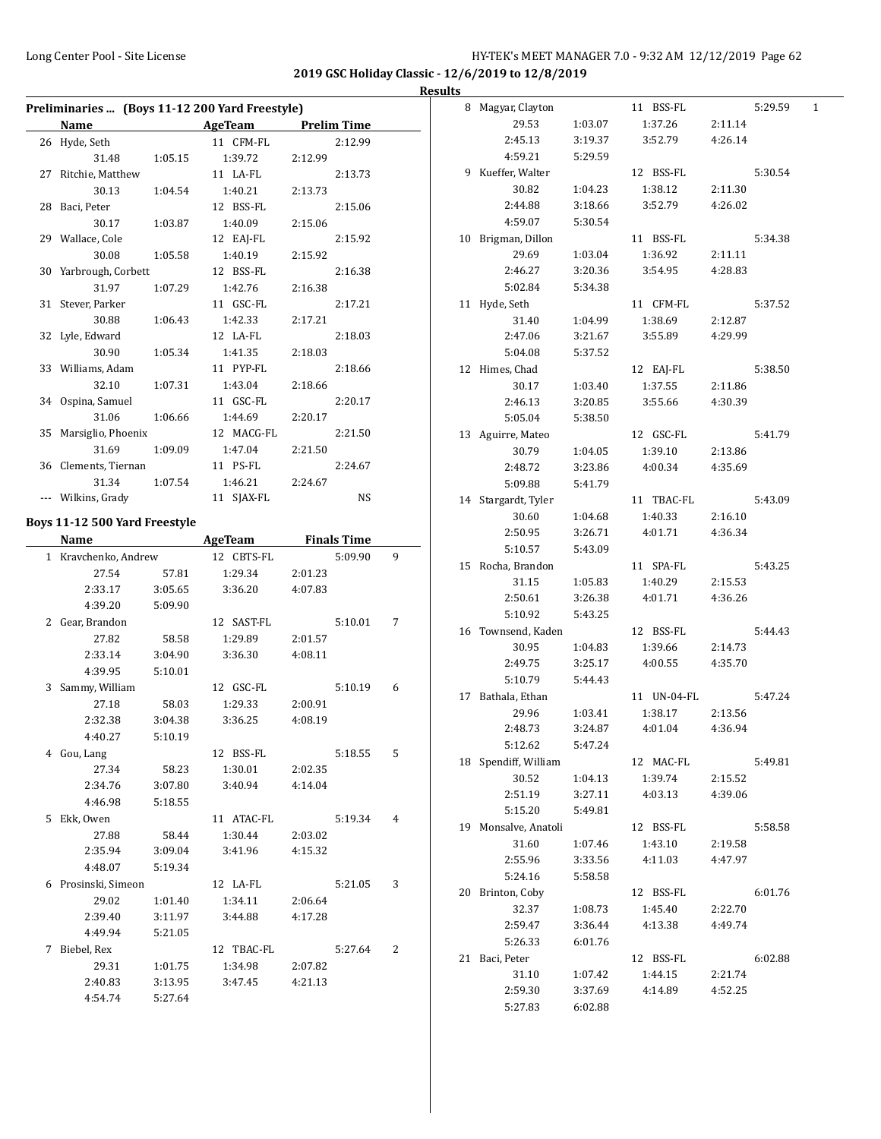#### Long Center Pool - Site License **HY-TEK's MEET MANAGER 7.0 - 9:32 AM 12/12/2019** Page 62

**2019 GSC Holiday Classic - 12/6/2019 to 12/8/2019**

|                                                |         |                |         |                    |   | <b>Results</b> |
|------------------------------------------------|---------|----------------|---------|--------------------|---|----------------|
| Preliminaries  (Boys 11-12 200 Yard Freestyle) |         |                |         |                    |   |                |
| Name AgeTeam Prelim Time                       |         |                |         |                    |   |                |
| 26 Hyde, Seth                                  |         | 11 CFM-FL      |         | 2:12.99            |   |                |
| 31.48                                          | 1:05.15 | 1:39.72        | 2:12.99 |                    |   |                |
| 27 Ritchie, Matthew                            |         | 11 LA-FL       |         | 2:13.73            |   |                |
| 30.13                                          | 1:04.54 | 1:40.21        | 2:13.73 |                    |   |                |
| 28 Baci, Peter                                 |         | 12 BSS-FL      |         | 2:15.06            |   |                |
| 30.17                                          | 1:03.87 | 1:40.09        | 2:15.06 |                    |   |                |
| 29 Wallace, Cole                               |         | 12 EAJ-FL      |         | 2:15.92            |   | 1 <sub>0</sub> |
| 30.08                                          | 1:05.58 | 1:40.19        | 2:15.92 |                    |   |                |
| 30 Yarbrough, Corbett                          |         | 12 BSS-FL      |         | 2:16.38            |   |                |
| 31.97                                          | 1:07.29 | 1:42.76        | 2:16.38 |                    |   |                |
| 31 Stever, Parker                              |         | 11 GSC-FL      |         | 2:17.21            |   | 1              |
| 30.88                                          | 1:06.43 | 1:42.33        | 2:17.21 |                    |   |                |
| 32 Lyle, Edward                                |         | 12 LA-FL       |         | 2:18.03            |   |                |
| 30.90                                          | 1:05.34 | 1:41.35        | 2:18.03 |                    |   |                |
| 33 Williams, Adam                              |         | 11 PYP-FL      |         | 2:18.66            |   | 1              |
| 32.10                                          | 1:07.31 | 1:43.04        | 2:18.66 |                    |   |                |
| 34 Ospina, Samuel                              |         | 11 GSC-FL      |         | 2:20.17            |   |                |
| 31.06                                          | 1:06.66 | 1:44.69        | 2:20.17 |                    |   |                |
| 35 Marsiglio, Phoenix                          |         | 12 MACG-FL     |         | 2:21.50            |   | 1:             |
| 31.69                                          | 1:09.09 | 1:47.04        | 2:21.50 |                    |   |                |
| 36 Clements, Tiernan                           |         | 11 PS-FL       |         | 2:24.67            |   |                |
| 31.34                                          | 1:07.54 | 1:46.21        | 2:24.67 |                    |   |                |
| --- Wilkins, Grady                             |         | 11 SJAX-FL     |         | NS                 |   | 1 <sub>1</sub> |
|                                                |         |                |         |                    |   |                |
| Boys 11-12 500 Yard Freestyle                  |         |                |         |                    |   |                |
| <b>Name</b>                                    |         | <b>AgeTeam</b> |         | <b>Finals Time</b> |   |                |
| 1 Kravchenko, Andrew                           |         | 12 CBTS-FL     |         | 5:09.90            | 9 | 1!             |
| 27.54                                          | 57.81   | 1:29.34        | 2:01.23 |                    |   |                |
| 2:33.17                                        | 3:05.65 | 3:36.20        | 4:07.83 |                    |   |                |
| 4:39.20                                        | 5:09.90 |                |         |                    |   |                |
| 2 Gear, Brandon                                |         | 12 SAST-FL     |         | 5:10.01            | 7 | 1 <sub>0</sub> |
| 27.82                                          | 58.58   | 1:29.89        | 2:01.57 |                    |   |                |
| 2:33.14                                        | 3:04.90 | 3:36.30        | 4:08.11 |                    |   |                |
| 4:39.95                                        | 5:10.01 |                |         |                    |   |                |
| 3 Sammy, William                               |         | 12 GSC-FL      |         | 5:10.19            | 6 | $1^{\prime}$   |
| 27.18                                          | 58.03   | 1:29.33        | 2:00.91 |                    |   |                |
| 2:32.38                                        | 3:04.38 | 3:36.25        | 4:08.19 |                    |   |                |
| 4:40.27                                        | 5:10.19 |                |         |                    |   |                |
| 4 Gou, Lang                                    |         | 12 BSS-FL      |         | 5:18.55            | 5 |                |
| 27.34                                          | 58.23   | 1:30.01        | 2:02.35 |                    |   | $\mathbf{1}$   |
| 2:34.76                                        | 3:07.80 | 3:40.94        | 4:14.04 |                    |   |                |
| 4:46.98                                        | 5:18.55 |                |         |                    |   |                |
| 5 Ekk, Owen                                    |         | 11 ATAC-FL     |         | 5:19.34            | 4 |                |
| 27.88                                          | 58.44   | 1:30.44        | 2:03.02 |                    |   | 1 <sup>1</sup> |
| 2:35.94                                        | 3:09.04 | 3:41.96        | 4:15.32 |                    |   |                |
| 4:48.07                                        | 5:19.34 |                |         |                    |   |                |
| 6 Prosinski, Simeon                            |         | 12 LA-FL       |         | 5:21.05            | 3 |                |
| 29.02                                          | 1:01.40 | 1:34.11        | 2:06.64 |                    |   | $\overline{2}$ |
| 2:39.40                                        | 3:11.97 | 3:44.88        | 4:17.28 |                    |   |                |
| 4:49.94                                        | 5:21.05 |                |         |                    |   |                |
| 7 Biebel, Rex                                  |         | 12 TBAC-FL     |         | 5:27.64            | 2 |                |
| 29.31                                          | 1:01.75 | 1:34.98        | 2:07.82 |                    |   | $2^{\circ}$    |
| 2:40.83                                        | 3:13.95 | 3:47.45        | 4:21.13 |                    |   |                |
| 4:54.74                                        | 5:27.64 |                |         |                    |   |                |
|                                                |         |                |         |                    |   |                |

| 8  | Magyar, Clayton      |         | 11 BSS-FL   |         | 5:29.59 | 1 |
|----|----------------------|---------|-------------|---------|---------|---|
|    | 29.53                | 1:03.07 | 1:37.26     | 2:11.14 |         |   |
|    | 2:45.13              | 3:19.37 | 3:52.79     | 4:26.14 |         |   |
|    | 4:59.21              | 5:29.59 |             |         |         |   |
| 9  | Kueffer, Walter      |         | 12 BSS-FL   |         | 5:30.54 |   |
|    | 30.82                | 1:04.23 | 1:38.12     | 2:11.30 |         |   |
|    | 2:44.88              | 3:18.66 | 3:52.79     | 4:26.02 |         |   |
|    | 4:59.07              | 5:30.54 |             |         |         |   |
| 10 | Brigman, Dillon      |         | 11 BSS-FL   |         | 5:34.38 |   |
|    | 29.69                | 1:03.04 | 1:36.92     | 2:11.11 |         |   |
|    | 2:46.27              | 3:20.36 | 3:54.95     | 4:28.83 |         |   |
|    | 5:02.84              | 5:34.38 |             |         |         |   |
| 11 | Hyde, Seth           |         | 11 CFM-FL   |         | 5:37.52 |   |
|    | 31.40                | 1:04.99 | 1:38.69     | 2:12.87 |         |   |
|    | 2:47.06              | 3:21.67 | 3:55.89     | 4:29.99 |         |   |
|    | 5:04.08              | 5:37.52 |             |         |         |   |
| 12 | Himes, Chad          |         | 12 EAJ-FL   |         | 5:38.50 |   |
|    | 30.17                | 1:03.40 | 1:37.55     | 2:11.86 |         |   |
|    | 2:46.13              | 3:20.85 | 3:55.66     | 4:30.39 |         |   |
|    | 5:05.04              | 5:38.50 |             |         |         |   |
| 13 | Aguirre, Mateo       |         | 12 GSC-FL   |         | 5:41.79 |   |
|    | 30.79                | 1:04.05 | 1:39.10     | 2:13.86 |         |   |
|    | 2:48.72              | 3:23.86 | 4:00.34     | 4:35.69 |         |   |
|    | 5:09.88              | 5:41.79 |             |         |         |   |
| 14 | Stargardt, Tyler     |         | 11 TBAC-FL  |         | 5:43.09 |   |
|    | 30.60                | 1:04.68 | 1:40.33     | 2:16.10 |         |   |
|    | 2:50.95              | 3:26.71 | 4:01.71     | 4:36.34 |         |   |
|    | 5:10.57              | 5:43.09 |             |         |         |   |
| 15 | Rocha, Brandon       |         | 11 SPA-FL   |         | 5:43.25 |   |
|    | 31.15                | 1:05.83 | 1:40.29     | 2:15.53 |         |   |
|    | 2:50.61              | 3:26.38 | 4:01.71     | 4:36.26 |         |   |
|    | 5:10.92              | 5:43.25 |             |         |         |   |
|    | 16 Townsend, Kaden   |         | 12 BSS-FL   |         | 5:44.43 |   |
|    | 30.95                | 1:04.83 | 1:39.66     | 2:14.73 |         |   |
|    | 2:49.75              | 3:25.17 | 4:00.55     | 4:35.70 |         |   |
|    | 5:10.79              | 5:44.43 |             |         |         |   |
| 17 | Bathala, Ethan       |         | 11 UN-04-FL |         | 5:47.24 |   |
|    | 29.96                | 1:03.41 | 1:38.17     | 2:13.56 |         |   |
|    | 2:48.73              | 3:24.87 | 4:01.04     | 4:36.94 |         |   |
|    | 5:12.62              | 5:47.24 |             |         |         |   |
|    | 18 Spendiff, William |         | 12 MAC-FL   |         | 5:49.81 |   |
|    | 30.52                | 1:04.13 | 1:39.74     | 2:15.52 |         |   |
|    | 2:51.19              | 3:27.11 | 4:03.13     | 4:39.06 |         |   |
|    | 5:15.20              | 5:49.81 |             |         |         |   |
| 19 | Monsalve, Anatoli    |         | 12 BSS-FL   |         | 5:58.58 |   |
|    | 31.60                | 1:07.46 | 1:43.10     | 2:19.58 |         |   |
|    | 2:55.96              | 3:33.56 | 4:11.03     | 4:47.97 |         |   |
|    | 5:24.16              | 5:58.58 |             |         |         |   |
| 20 | Brinton, Coby        |         | 12 BSS-FL   |         | 6:01.76 |   |
|    | 32.37                | 1:08.73 | 1:45.40     | 2:22.70 |         |   |
|    | 2:59.47              | 3:36.44 | 4:13.38     | 4:49.74 |         |   |
|    | 5:26.33              | 6:01.76 |             |         |         |   |
| 21 | Baci, Peter          |         | 12 BSS-FL   |         | 6:02.88 |   |
|    | 31.10                | 1:07.42 | 1:44.15     | 2:21.74 |         |   |
|    | 2:59.30              | 3:37.69 | 4:14.89     | 4:52.25 |         |   |
|    | 5:27.83              | 6:02.88 |             |         |         |   |
|    |                      |         |             |         |         |   |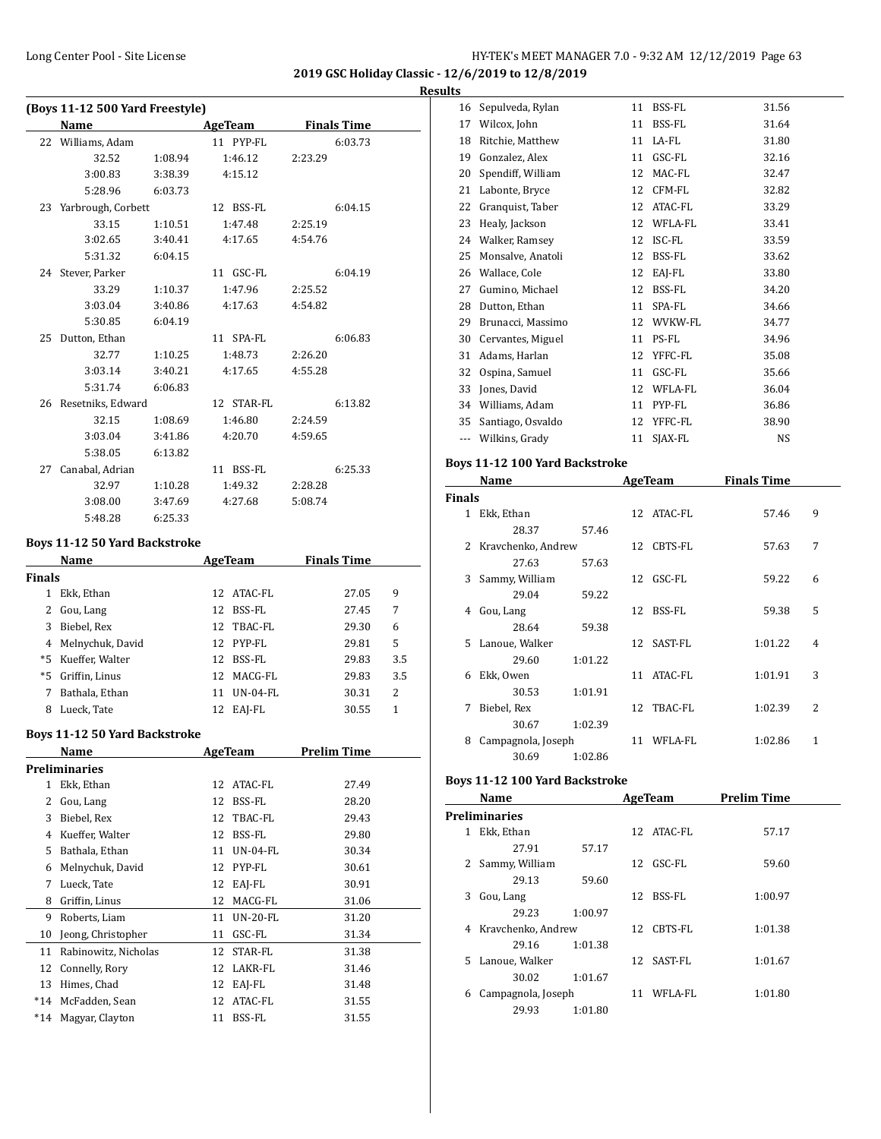#### **Results**

| (Boys 11-12 500 Yard Freestyle) |                                      |         |                |                    |  |  |
|---------------------------------|--------------------------------------|---------|----------------|--------------------|--|--|
|                                 | Name                                 |         | <b>AgeTeam</b> | <b>Finals Time</b> |  |  |
|                                 | 22 Williams, Adam                    |         | 11 PYP-FL      | 6:03.73            |  |  |
|                                 | 32.52                                | 1:08.94 | 1:46.12        | 2:23.29            |  |  |
|                                 | 3:00.83                              | 3:38.39 | 4:15.12        |                    |  |  |
|                                 | 5:28.96                              | 6:03.73 |                |                    |  |  |
|                                 | 23 Yarbrough, Corbett                |         | 12 BSS-FL      | 6:04.15            |  |  |
|                                 | 33.15                                | 1:10.51 | 1:47.48        | 2:25.19            |  |  |
|                                 | 3:02.65                              | 3:40.41 | 4:17.65        | 4:54.76            |  |  |
|                                 | 5:31.32                              | 6:04.15 |                |                    |  |  |
|                                 | 24 Stever, Parker                    |         | 11 GSC-FL      | 6:04.19            |  |  |
|                                 | 33.29                                | 1:10.37 | 1:47.96        | 2:25.52            |  |  |
|                                 | 3:03.04                              | 3:40.86 | 4:17.63        | 4:54.82            |  |  |
|                                 | 5:30.85                              | 6:04.19 |                |                    |  |  |
| 25                              | Dutton, Ethan                        |         | 11 SPA-FL      | 6:06.83            |  |  |
|                                 | 32.77                                | 1:10.25 | 1:48.73        | 2:26.20            |  |  |
|                                 | 3:03.14                              | 3:40.21 | 4:17.65        | 4:55.28            |  |  |
|                                 | 5:31.74                              | 6:06.83 |                |                    |  |  |
|                                 | 26 Resetniks, Edward                 |         | 12 STAR-FL     | 6:13.82            |  |  |
|                                 | 32.15                                | 1:08.69 | 1:46.80        | 2:24.59            |  |  |
|                                 | 3:03.04                              | 3:41.86 | 4:20.70        | 4:59.65            |  |  |
|                                 | 5:38.05                              | 6:13.82 |                |                    |  |  |
|                                 | 27 Canabal, Adrian                   |         | 11 BSS-FL      | 6:25.33            |  |  |
|                                 | 32.97                                | 1:10.28 | 1:49.32        | 2:28.28            |  |  |
|                                 | 3:08.00                              | 3:47.69 | 4:27.68        | 5:08.74            |  |  |
|                                 | 5:48.28                              | 6:25.33 |                |                    |  |  |
|                                 | <b>Boys 11-12 50 Yard Backstroke</b> |         |                |                    |  |  |
|                                 | <b>Name</b>                          |         | <b>AgeTeam</b> | <b>Finals Time</b> |  |  |

| Name   |                  |     | AgeTeam    | <b>Finals Time</b> |     |
|--------|------------------|-----|------------|--------------------|-----|
| Finals |                  |     |            |                    |     |
|        | Ekk, Ethan       | 12. | ATAC-FL    | 27.05              | 9   |
| 2      | Gou, Lang        | 12  | BSS-FL     | 27.45              | 7   |
| 3      | Biebel, Rex      | 12  | TBAC-FL    | 29.30              | 6   |
| 4      | Melnychuk, David |     | 12 PYP-FL  | 29.81              | 5   |
| *5     | Kueffer, Walter  | 12  | BSS-FL     | 29.83              | 3.5 |
| *5     | Griffin, Linus   | 12  | MACG-FL    | 29.83              | 3.5 |
| 7      | Bathala, Ethan   | 11  | $UN-04-FL$ | 30.31              | 2   |
| 8      | Lueck, Tate      | 12  | EAJ-FL     | 30.55              | 1   |
|        |                  |     |            |                    |     |

#### **Boys 11-12 50 Yard Backstroke**

|       | Name                 |    | AgeTeam    | Prelim Time |
|-------|----------------------|----|------------|-------------|
|       | Preliminaries        |    |            |             |
| 1     | Ekk, Ethan           | 12 | ATAC-FL    | 27.49       |
| 2     | Gou, Lang            | 12 | BSS-FL     | 28.20       |
| 3     | Biebel, Rex          | 12 | TBAC-FL    | 29.43       |
| 4     | Kueffer, Walter      | 12 | BSS-FL     | 29.80       |
| 5     | Bathala, Ethan       | 11 | $UN-04-FL$ | 30.34       |
| 6     | Melnychuk, David     | 12 | PYP-FL     | 30.61       |
| 7     | Lueck, Tate          | 12 | EAJ-FL     | 30.91       |
| 8     | Griffin, Linus       | 12 | MACG-FL    | 31.06       |
| 9     | Roberts, Liam        | 11 | $UN-20-FL$ | 31.20       |
| 10    | Jeong, Christopher   | 11 | GSC-FL     | 31.34       |
| 11    | Rabinowitz, Nicholas | 12 | STAR-FL    | 31.38       |
| 12    | Connelly, Rory       | 12 | LAKR-FL    | 31.46       |
| 13    | Himes, Chad          | 12 | EAI-FL     | 31.48       |
| $*14$ | McFadden, Sean       | 12 | ATAC-FL    | 31.55       |
| *14   | Magyar, Clayton      | 11 | BSS-FL     | 31.55       |

| 16  | Sepulveda, Rylan  | 11 | BSS-FL  | 31.56 |
|-----|-------------------|----|---------|-------|
| 17  | Wilcox, John      | 11 | BSS-FL  | 31.64 |
| 18  | Ritchie, Matthew  | 11 | LA-FL   | 31.80 |
| 19  | Gonzalez, Alex    | 11 | GSC-FL  | 32.16 |
| 20  | Spendiff, William | 12 | MAC-FL  | 32.47 |
| 21  | Labonte, Bryce    | 12 | CFM-FL  | 32.82 |
| 22  | Granquist, Taber  | 12 | ATAC-FL | 33.29 |
| 23  | Healy, Jackson    | 12 | WFLA-FL | 33.41 |
| 24  | Walker, Ramsey    | 12 | ISC-FL  | 33.59 |
| 25  | Monsalve, Anatoli | 12 | BSS-FL  | 33.62 |
| 26  | Wallace, Cole     | 12 | EAJ-FL  | 33.80 |
| 27  | Gumino, Michael   | 12 | BSS-FL  | 34.20 |
| 28  | Dutton, Ethan     | 11 | SPA-FL  | 34.66 |
| 29  | Brunacci, Massimo | 12 | WVKW-FL | 34.77 |
| 30  | Cervantes, Miguel | 11 | PS-FL   | 34.96 |
| 31  | Adams, Harlan     | 12 | YFFC-FL | 35.08 |
| 32  | Ospina, Samuel    | 11 | GSC-FL  | 35.66 |
| 33  | Jones, David      | 12 | WFLA-FL | 36.04 |
| 34  | Williams, Adam    | 11 | PYP-FL  | 36.86 |
| 35  | Santiago, Osvaldo | 12 | YFFC-FL | 38.90 |
| --- | Wilkins, Grady    | 11 | SJAX-FL | NS    |

#### **Boys 11-12 100 Yard Backstroke**

|               | Name               |         |    | AgeTeam    | <b>Finals Time</b> |                          |
|---------------|--------------------|---------|----|------------|--------------------|--------------------------|
| <b>Finals</b> |                    |         |    |            |                    |                          |
| 1             | Ekk, Ethan         |         |    | 12 ATAC-FL | 57.46              | 9                        |
|               | 28.37              | 57.46   |    |            |                    |                          |
| 2             | Kravchenko, Andrew |         | 12 | CBTS-FL    | 57.63              | 7                        |
|               | 27.63              | 57.63   |    |            |                    |                          |
| 3             | Sammy, William     |         |    | 12 GSC-FL  | 59.22              | 6                        |
|               | 29.04              | 59.22   |    |            |                    |                          |
| 4             | Gou, Lang          |         |    | 12 BSS-FL  | 59.38              | 5                        |
|               | 28.64              | 59.38   |    |            |                    |                          |
|               | 5 Lanoue, Walker   |         |    | 12 SAST-FL | 1:01.22            | $\overline{4}$           |
|               | 29.60              | 1:01.22 |    |            |                    |                          |
| 6             | Ekk, Owen          |         |    | 11 ATAC-FL | 1:01.91            | 3                        |
|               | 30.53              | 1:01.91 |    |            |                    |                          |
| 7             | Biebel, Rex        |         | 12 | TBAC-FL    | 1:02.39            | $\overline{\mathcal{L}}$ |
|               | 30.67              | 1:02.39 |    |            |                    |                          |
| 8             | Campagnola, Joseph |         | 11 | WFLA-FL    | 1:02.86            | 1                        |
|               | 30.69              | 1:02.86 |    |            |                    |                          |

# **Boys 11-12 100 Yard Backstroke**

|              | Name                 |         | AgeTeam |            | <b>Prelim Time</b> |  |  |
|--------------|----------------------|---------|---------|------------|--------------------|--|--|
|              | <b>Preliminaries</b> |         |         |            |                    |  |  |
| $\mathbf{1}$ | Ekk, Ethan           |         |         | 12 ATAC-FL | 57.17              |  |  |
|              | 27.91                | 57.17   |         |            |                    |  |  |
| 2            | Sammy, William       |         |         | 12 GSC-FL  | 59.60              |  |  |
|              | 29.13                | 59.60   |         |            |                    |  |  |
| 3            | Gou, Lang            |         | 12      | BSS-FL     | 1:00.97            |  |  |
|              | 29.23                | 1:00.97 |         |            |                    |  |  |
|              | 4 Kravchenko, Andrew |         |         | 12 CBTS-FL | 1:01.38            |  |  |
|              | 29.16                | 1:01.38 |         |            |                    |  |  |
| 5.           | Lanoue, Walker       |         |         | 12 SAST-FL | 1:01.67            |  |  |
|              | 30.02                | 1:01.67 |         |            |                    |  |  |
| 6            | Campagnola, Joseph   |         | 11      | WFLA-FL    | 1:01.80            |  |  |
|              | 29.93                | 1:01.80 |         |            |                    |  |  |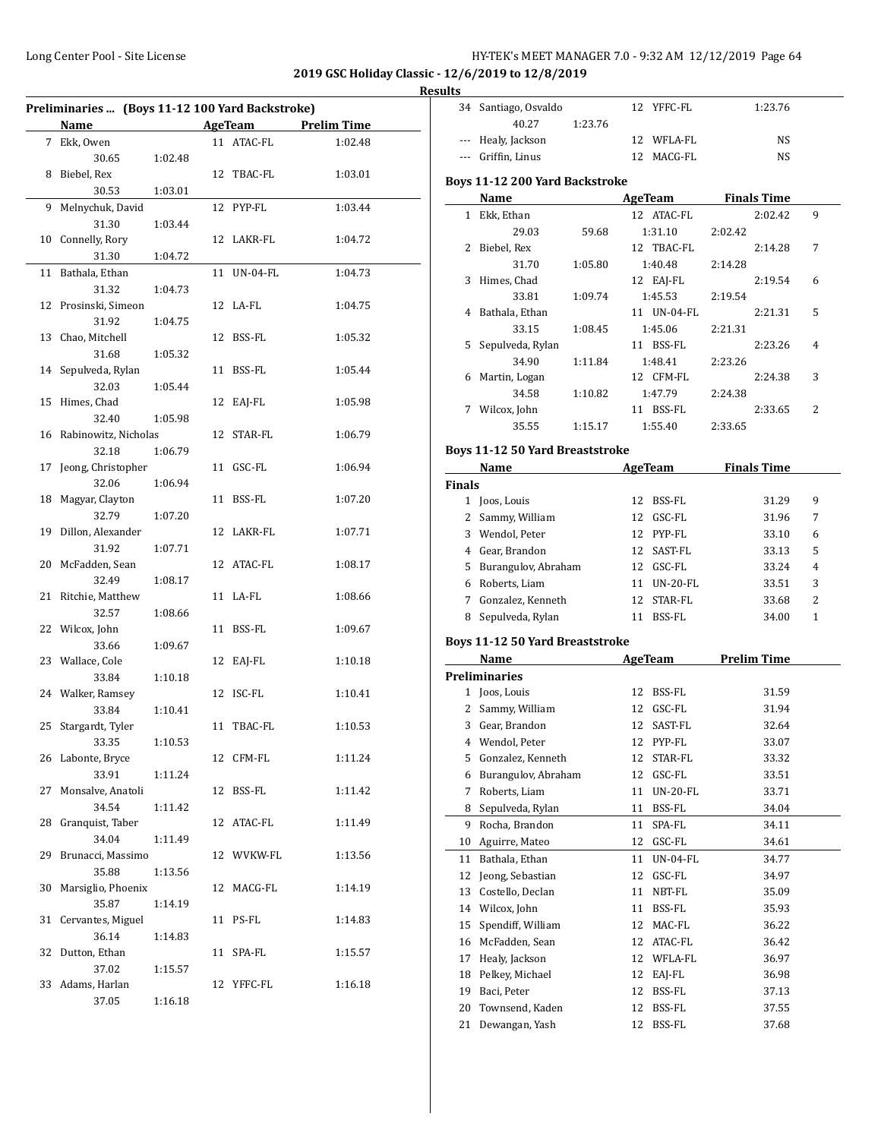| HY-TEK's MEET MANAGER 7.0 - 9:32 AM 12/12/2019 Page 64 |  |  |  |  |
|--------------------------------------------------------|--|--|--|--|
|--------------------------------------------------------|--|--|--|--|

34 Santiago, Osvaldo 12 YFFC-FL 1:23.76

**2019 GSC Holiday Classic - 12/6/2019 to 12/8/2019**

**Results**

| Preliminaries  (Boys 11-12 100 Yard Backstroke) |                                                             |         |    |             |                     |  |  |
|-------------------------------------------------|-------------------------------------------------------------|---------|----|-------------|---------------------|--|--|
|                                                 | <b>Name</b><br><u> 1990 - Jan Barnett, fransk politiker</u> |         |    |             | AgeTeam Prelim Time |  |  |
|                                                 | 7 Ekk, Owen                                                 |         |    | 11 ATAC-FL  | 1:02.48             |  |  |
|                                                 | 30.65                                                       | 1:02.48 |    |             |                     |  |  |
| 8                                               | Biebel, Rex                                                 |         |    | 12 TBAC-FL  | 1:03.01             |  |  |
|                                                 | 30.53                                                       | 1:03.01 |    |             |                     |  |  |
| 9                                               | Melnychuk, David                                            |         |    | 12 PYP-FL   | 1:03.44             |  |  |
|                                                 | 31.30                                                       | 1:03.44 |    |             |                     |  |  |
| 10                                              | Connelly, Rory                                              |         |    | 12 LAKR-FL  | 1:04.72             |  |  |
|                                                 | 31.30                                                       | 1:04.72 |    |             |                     |  |  |
| 11                                              | Bathala, Ethan                                              |         |    | 11 UN-04-FL | 1:04.73             |  |  |
|                                                 | 31.32                                                       | 1:04.73 |    |             |                     |  |  |
|                                                 | 12 Prosinski, Simeon                                        |         |    | 12 LA-FL    | 1:04.75             |  |  |
|                                                 | 31.92                                                       | 1:04.75 |    |             |                     |  |  |
| 13                                              | Chao, Mitchell                                              |         |    | 12 BSS-FL   | 1:05.32             |  |  |
|                                                 | 31.68                                                       | 1:05.32 |    |             |                     |  |  |
|                                                 | 14 Sepulveda, Rylan                                         |         |    | 11 BSS-FL   | 1:05.44             |  |  |
|                                                 | 32.03                                                       | 1:05.44 |    |             |                     |  |  |
| 15                                              | Himes, Chad                                                 |         |    | 12 EAJ-FL   | 1:05.98             |  |  |
|                                                 | 32.40                                                       | 1:05.98 |    |             |                     |  |  |
| 16                                              | Rabinowitz, Nicholas                                        |         |    | 12 STAR-FL  | 1:06.79             |  |  |
|                                                 | 32.18                                                       | 1:06.79 |    |             |                     |  |  |
| 17                                              | Jeong, Christopher                                          |         |    | 11 GSC-FL   | 1:06.94             |  |  |
|                                                 | 32.06                                                       | 1:06.94 |    |             |                     |  |  |
| 18                                              | Magyar, Clayton                                             |         |    | 11 BSS-FL   | 1:07.20             |  |  |
|                                                 | 32.79                                                       | 1:07.20 |    |             |                     |  |  |
| 19                                              | Dillon, Alexander                                           |         |    | 12 LAKR-FL  | 1:07.71             |  |  |
|                                                 | 31.92                                                       | 1:07.71 |    |             |                     |  |  |
|                                                 | 20 McFadden, Sean                                           |         |    | 12 ATAC-FL  | 1:08.17             |  |  |
|                                                 | 32.49                                                       | 1:08.17 |    |             |                     |  |  |
| 21                                              | Ritchie, Matthew                                            |         |    | 11 LA-FL    | 1:08.66             |  |  |
|                                                 | 32.57                                                       | 1:08.66 |    |             |                     |  |  |
|                                                 | 22 Wilcox, John                                             |         |    | 11 BSS-FL   | 1:09.67             |  |  |
|                                                 | 33.66                                                       | 1:09.67 |    |             |                     |  |  |
|                                                 | 23 Wallace, Cole                                            |         |    | 12 EAJ-FL   | 1:10.18             |  |  |
|                                                 | 33.84                                                       | 1:10.18 |    |             |                     |  |  |
|                                                 | 24 Walker, Ramsey                                           |         |    | 12 ISC-FL   | 1:10.41             |  |  |
|                                                 | 33.84                                                       | 1:10.41 |    |             |                     |  |  |
| 25                                              | Stargardt, Tyler                                            |         |    | 11 TBAC-FL  | 1:10.53             |  |  |
|                                                 | 33.35                                                       | 1:10.53 |    |             |                     |  |  |
|                                                 | 26 Labonte, Bryce                                           |         |    | 12 CFM-FL   | 1:11.24             |  |  |
|                                                 | 33.91                                                       | 1:11.24 |    |             |                     |  |  |
| 27                                              | Monsalve, Anatoli                                           |         |    | 12 BSS-FL   | 1:11.42             |  |  |
|                                                 | 34.54                                                       | 1:11.42 |    |             |                     |  |  |
| 28                                              | Granquist, Taber                                            |         | 12 | ATAC-FL     | 1:11.49             |  |  |
|                                                 | 34.04                                                       | 1:11.49 |    |             |                     |  |  |
| 29                                              | Brunacci, Massimo                                           |         |    | 12 WVKW-FL  | 1:13.56             |  |  |
|                                                 | 35.88                                                       | 1:13.56 |    |             |                     |  |  |
| 30                                              | Marsiglio, Phoenix                                          |         |    | 12 MACG-FL  | 1:14.19             |  |  |
|                                                 | 35.87                                                       |         |    |             |                     |  |  |
|                                                 | Cervantes, Miguel                                           | 1:14.19 |    | 11 PS-FL    |                     |  |  |
| 31                                              |                                                             |         |    |             | 1:14.83             |  |  |
|                                                 | 36.14                                                       | 1:14.83 |    |             |                     |  |  |
| 32                                              | Dutton, Ethan                                               |         |    | 11 SPA-FL   | 1:15.57             |  |  |
| 33                                              | 37.02                                                       | 1:15.57 |    |             |                     |  |  |
|                                                 | Adams, Harlan                                               |         |    | 12 YFFC-FL  | 1:16.18             |  |  |
|                                                 | 37.05                                                       | 1:16.18 |    |             |                     |  |  |

|               | 40.27                                  | 1:23.76 |                              |                 |                    |                |
|---------------|----------------------------------------|---------|------------------------------|-----------------|--------------------|----------------|
|               | --- Healy, Jackson                     |         | 12 WFLA-FL                   |                 | NS                 |                |
|               | --- Griffin, Linus                     |         | 12 MACG-FL                   |                 | NS                 |                |
|               | <b>Boys 11-12 200 Yard Backstroke</b>  |         |                              |                 |                    |                |
|               |                                        |         | AgeTeam                      |                 |                    |                |
|               | Name                                   |         |                              |                 | <b>Finals Time</b> |                |
| $\mathbf{1}$  | Ekk. Ethan                             |         | 12 ATAC-FL                   |                 | 2:02.42            | 9              |
|               | 29.03                                  | 59.68   | 1:31.10                      | 2:02.42         |                    |                |
| 2             | Biebel, Rex                            |         | 12 TBAC-FL                   |                 | 2:14.28            | 7              |
|               | 31.70                                  | 1:05.80 | 1:40.48                      | 2:14.28         |                    |                |
| 3             | Himes, Chad                            |         | 12 EAJ-FL                    |                 | 2:19.54            | 6              |
|               | 33.81                                  | 1:09.74 | 1:45.53                      | 2:19.54         |                    |                |
| 4             | Bathala, Ethan                         |         | 11 UN-04-FL                  |                 | 2:21.31            | 5              |
|               | 33.15                                  | 1:08.45 | 1:45.06                      | 2:21.31         |                    |                |
| 5             | Sepulveda, Rylan                       |         | 11 BSS-FL                    |                 | 2:23.26            | 4              |
|               | 34.90                                  | 1:11.84 | 1:48.41                      | 2:23.26         |                    |                |
| 6             | Martin, Logan                          |         | 12 CFM-FL                    |                 | 2:24.38            | 3              |
|               | 34.58                                  | 1:10.82 | 1:47.79                      | 2:24.38         |                    |                |
|               | 7 Wilcox, John                         |         | 11 BSS-FL                    |                 | 2:33.65            | $\overline{c}$ |
|               | 35.55                                  | 1:15.17 | 1:55.40                      | 2:33.65         |                    |                |
|               | <b>Boys 11-12 50 Yard Breaststroke</b> |         |                              |                 |                    |                |
|               | Name                                   |         | AgeTeam                      |                 | <b>Finals Time</b> |                |
| <b>Finals</b> |                                        |         |                              |                 |                    |                |
|               | 1 Joos, Louis                          |         | 12 BSS-FL                    |                 | 31.29              | 9              |
|               | 2 Sammy, William                       |         | 12 GSC-FL                    |                 | 31.96              | 7              |
|               | 3 Wendol, Peter                        |         | 12 PYP-FL                    |                 | 33.10              | 6              |
|               | 4 Gear, Brandon                        |         | 12 SAST-FL                   |                 | 33.13              | 5              |
|               | 5 Burangulov, Abraham                  |         | 12 GSC-FL                    |                 | 33.24              | 4              |
|               | 6 Roberts, Liam                        |         | 11 UN-20-FL                  |                 | 33.51              | 3              |
|               |                                        |         | 12 STAR-FL                   |                 |                    | 2              |
|               | 7 Gonzalez, Kenneth                    |         | 11 BSS-FL                    |                 | 33.68              | $\mathbf{1}$   |
|               | 8 Sepulveda, Rylan                     |         |                              |                 | 34.00              |                |
|               | <b>Boys 11-12 50 Yard Breaststroke</b> |         |                              |                 |                    |                |
|               | Name                                   |         | AgeTeam                      |                 | <b>Prelim Time</b> |                |
|               | <b>Preliminaries</b>                   |         |                              |                 |                    |                |
|               | 1 Joos, Louis                          |         | 12 BSS-FL                    |                 | 31.59              |                |
|               | 2 Sammy, William                       |         | 12 GSC-FL                    |                 | 31.94              |                |
|               | 3 Gear, Brandon                        |         |                              |                 |                    |                |
|               |                                        |         | 12 SAST-FL                   |                 | 32.64              |                |
| 5             | 4 Wendol, Peter                        |         | 12 PYP-FL                    |                 | 33.07              |                |
|               | Gonzalez, Kenneth                      |         | 12 STAR-FL                   |                 | 33.32              |                |
| 6             | Burangulov, Abraham                    |         | 12<br>GSC-FL                 |                 | 33.51              |                |
| 7             | Roberts, Liam                          |         | 11                           | <b>UN-20-FL</b> | 33.71              |                |
| 8             | Sepulveda, Rylan                       |         | 11<br>BSS-FL                 |                 | 34.04              |                |
| 9             | Rocha, Brandon                         |         | 11<br>SPA-FL                 |                 | 34.11              |                |
| 10            | Aguirre, Mateo                         |         | 12<br>GSC-FL                 |                 | 34.61              |                |
| 11            | Bathala, Ethan                         |         | 11                           | <b>UN-04-FL</b> | 34.77              |                |
| 12            | Jeong, Sebastian                       |         | 12<br>GSC-FL                 |                 | 34.97              |                |
| 13            | Costello, Declan                       |         | 11<br>NBT-FL                 |                 | 35.09              |                |
| 14            | Wilcox, John                           |         | 11<br>BSS-FL                 |                 | 35.93              |                |
| 15            | Spendiff, William                      |         | 12<br>MAC-FL                 |                 | 36.22              |                |
| 16            | McFadden, Sean                         |         | 12<br>ATAC-FL                |                 | 36.42              |                |
| 17            | Healy, Jackson                         |         | 12<br>WFLA-FL                |                 | 36.97              |                |
| 18            | Pelkey, Michael                        |         | 12<br>EAJ-FL                 |                 | 36.98              |                |
| 19            |                                        |         | 12                           |                 | 37.13              |                |
|               | Baci, Peter                            |         | BSS-FL                       |                 |                    |                |
| 20<br>21      | Townsend, Kaden<br>Dewangan, Yash      |         | 12<br>BSS-FL<br>12<br>BSS-FL |                 | 37.55<br>37.68     |                |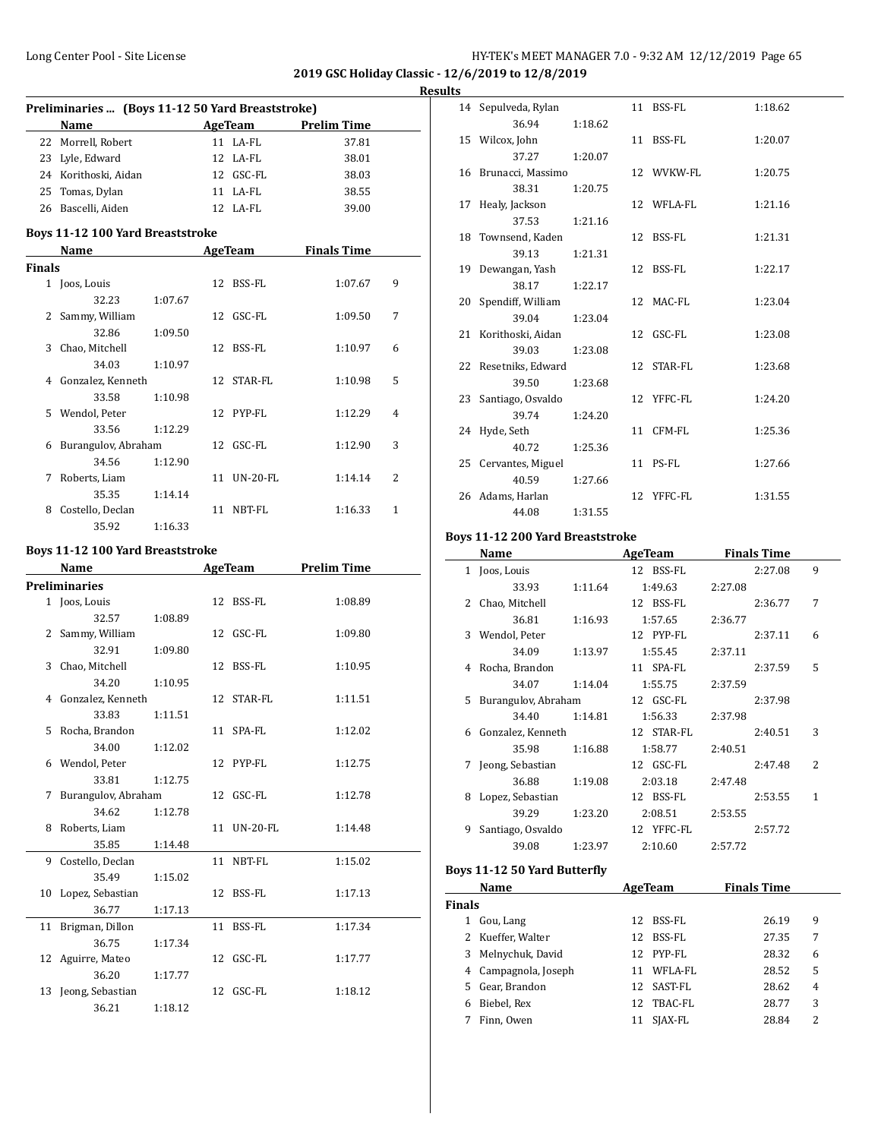**2019 GSC Holiday Classic - 12/6/2019 to 12/8/2019 Results**

| Preliminaries  (Boys 11-12 50 Yard Breaststroke) |                                                 |         |    |                |                     |   |  |
|--------------------------------------------------|-------------------------------------------------|---------|----|----------------|---------------------|---|--|
|                                                  | Name<br><u> 1980 - Johann Barbara, martxa a</u> |         |    | <b>AgeTeam</b> | <b>Prelim Time</b>  |   |  |
|                                                  | 22 Morrell, Robert                              |         |    | 11 LA-FL       | 37.81               |   |  |
|                                                  | 23 Lyle, Edward                                 |         |    | 12 LA-FL       | 38.01               |   |  |
|                                                  | 24 Korithoski, Aidan                            |         |    | 12 GSC-FL      | 38.03               |   |  |
|                                                  | 25 Tomas, Dylan                                 |         |    | 11 LA-FL       | 38.55               |   |  |
|                                                  | 26 Bascelli, Aiden                              |         |    | 12 LA-FL       | 39.00               |   |  |
|                                                  | <b>Boys 11-12 100 Yard Breaststroke</b>         |         |    |                |                     |   |  |
|                                                  | Name                                            |         |    | <b>AgeTeam</b> | <b>Finals Time</b>  |   |  |
| <b>Finals</b>                                    |                                                 |         |    |                |                     |   |  |
|                                                  | 1 Joos, Louis                                   |         | 12 | BSS-FL         | 1:07.67             | 9 |  |
|                                                  | 32.23                                           | 1:07.67 |    |                |                     |   |  |
|                                                  | 2 Sammy, William                                |         |    | 12 GSC-FL      | 1:09.50             | 7 |  |
|                                                  | 32.86                                           | 1:09.50 |    |                |                     |   |  |
|                                                  | 3 Chao, Mitchell                                |         |    | 12 BSS-FL      | 1:10.97             | 6 |  |
|                                                  | 34.03                                           | 1:10.97 |    |                |                     |   |  |
|                                                  | 4 Gonzalez, Kenneth                             |         |    | 12 STAR-FL     | 1:10.98             | 5 |  |
|                                                  | 33.58                                           | 1:10.98 |    |                |                     |   |  |
|                                                  | 5 Wendol, Peter                                 |         |    | 12 PYP-FL      | 1:12.29             | 4 |  |
|                                                  | 33.56                                           |         |    |                |                     |   |  |
|                                                  |                                                 | 1:12.29 |    | 12 GSC-FL      | 1:12.90             | 3 |  |
|                                                  | 6 Burangulov, Abraham                           |         |    |                |                     |   |  |
|                                                  | 34.56                                           | 1:12.90 |    |                |                     |   |  |
|                                                  | 7 Roberts, Liam                                 |         |    | 11 UN-20-FL    | 1:14.14             | 2 |  |
|                                                  | 35.35                                           | 1:14.14 |    |                |                     |   |  |
|                                                  | 8 Costello, Declan                              |         |    | 11 NBT-FL      | 1:16.33             | 1 |  |
|                                                  | 35.92                                           | 1:16.33 |    |                |                     |   |  |
|                                                  | <b>Boys 11-12 100 Yard Breaststroke</b>         |         |    |                |                     |   |  |
|                                                  |                                                 |         |    |                |                     |   |  |
|                                                  | Name                                            |         |    |                | AgeTeam Prelim Time |   |  |
|                                                  | Preliminaries                                   |         |    |                |                     |   |  |
|                                                  | 1 Joos, Louis                                   |         |    | 12 BSS-FL      | 1:08.89             |   |  |
|                                                  | 32.57                                           | 1:08.89 |    |                |                     |   |  |
|                                                  | 2 Sammy, William                                |         |    | 12 GSC-FL      | 1:09.80             |   |  |
|                                                  | 32.91                                           | 1:09.80 |    |                |                     |   |  |
|                                                  | 3 Chao, Mitchell                                |         | 12 | BSS-FL         | 1:10.95             |   |  |
|                                                  | 34.20                                           | 1:10.95 |    |                |                     |   |  |
|                                                  | 4 Gonzalez, Kenneth                             |         | 12 | STAR-FL        | 1:11.51             |   |  |
|                                                  | 33.83                                           | 1:11.51 |    |                |                     |   |  |
|                                                  | 5 Rocha, Brandon                                |         |    | 11 SPA-FL      | 1:12.02             |   |  |
|                                                  | 34.00                                           | 1:12.02 |    |                |                     |   |  |
|                                                  | 6 Wendol, Peter                                 |         |    | 12 PYP-FL      | 1:12.75             |   |  |
|                                                  | 33.81                                           | 1:12.75 |    |                |                     |   |  |
| 7                                                | Burangulov, Abraham                             |         |    | 12 GSC-FL      | 1:12.78             |   |  |
|                                                  | 34.62                                           | 1:12.78 |    |                |                     |   |  |
|                                                  | 8 Roberts, Liam                                 |         |    | 11 UN-20-FL    | 1:14.48             |   |  |
|                                                  | 35.85                                           | 1:14.48 |    |                |                     |   |  |
| 9                                                | Costello, Declan                                |         | 11 | NBT-FL         | 1:15.02             |   |  |
|                                                  | 35.49                                           | 1:15.02 |    |                |                     |   |  |
| 10                                               | Lopez, Sebastian                                |         | 12 | BSS-FL         | 1:17.13             |   |  |
|                                                  | 36.77                                           | 1:17.13 |    |                |                     |   |  |
| 11                                               | Brigman, Dillon                                 |         | 11 | BSS-FL         | 1:17.34             |   |  |
|                                                  | 36.75                                           | 1:17.34 |    |                |                     |   |  |
| 12                                               | Aguirre, Mateo                                  |         | 12 | GSC-FL         | 1:17.77             |   |  |
|                                                  | 36.20                                           | 1:17.77 |    |                |                     |   |  |
|                                                  | 13 Jeong, Sebastian                             |         |    | 12 GSC-FL      | 1:18.12             |   |  |

| ts |                      |         |            |         |
|----|----------------------|---------|------------|---------|
|    | 14 Sepulveda, Rylan  |         | 11 BSS-FL  | 1:18.62 |
|    | 36.94                | 1:18.62 |            |         |
|    | 15 Wilcox, John      |         | 11 BSS-FL  | 1:20.07 |
|    | 37.27                | 1:20.07 |            |         |
|    | 16 Brunacci, Massimo |         | 12 WVKW-FL | 1:20.75 |
|    | 38.31                | 1:20.75 |            |         |
|    | 17 Healy, Jackson    |         | 12 WFLA-FL | 1:21.16 |
|    | 37.53                | 1:21.16 |            |         |
|    | 18 Townsend, Kaden   |         | 12 BSS-FL  | 1:21.31 |
|    | 39.13                | 1:21.31 |            |         |
|    | 19 Dewangan, Yash    |         | 12 BSS-FL  | 1:22.17 |
|    | 38.17                | 1:22.17 |            |         |
|    | 20 Spendiff, William |         | 12 MAC-FL  | 1:23.04 |
|    | 39.04                | 1:23.04 |            |         |
|    | 21 Korithoski, Aidan |         | 12 GSC-FL  | 1:23.08 |
|    | 39.03                | 1:23.08 |            |         |
|    | 22 Resetniks, Edward |         | 12 STAR-FL | 1:23.68 |
|    | 39.50                | 1:23.68 |            |         |
|    | 23 Santiago, Osvaldo |         | 12 YFFC-FL | 1:24.20 |
|    | 39.74                | 1:24.20 |            |         |
|    | 24 Hyde, Seth        |         | 11 CFM-FL  | 1:25.36 |
|    | 40.72                | 1:25.36 |            |         |
|    | 25 Cervantes, Miguel |         | 11 PS-FL   | 1:27.66 |
|    | 40.59                | 1:27.66 |            |         |
|    | 26 Adams, Harlan     |         | 12 YFFC-FL | 1:31.55 |
|    | 44.08                | 1:31.55 |            |         |
|    |                      |         |            |         |

#### **Boys 11-12 200 Yard Breaststroke**

 $\frac{1}{2}$ 

|               | Name                |         | <b>AgeTeam</b> | <b>Finals Time</b> |                          |  |
|---------------|---------------------|---------|----------------|--------------------|--------------------------|--|
| $\mathbf{1}$  | Joos, Louis         |         | 12 BSS-FL      | 2:27.08            | 9                        |  |
|               | 33.93               | 1:11.64 | 1:49.63        | 2:27.08            |                          |  |
| $\mathcal{L}$ | Chao, Mitchell      |         | 12 BSS-FL      | 2:36.77            | 7                        |  |
|               | 36.81               | 1:16.93 | 1:57.65        | 2:36.77            |                          |  |
| 3             | Wendol, Peter       |         | 12 PYP-FL      | 2:37.11            | 6                        |  |
|               | 34.09               | 1:13.97 | 1:55.45        | 2:37.11            |                          |  |
| 4             | Rocha, Brandon      |         | 11 SPA-FL      | 2:37.59            | 5                        |  |
|               | 34.07               | 1:14.04 | 1:55.75        | 2:37.59            |                          |  |
| 5             | Burangulov, Abraham |         | 12 GSC-FL      | 2:37.98            |                          |  |
|               | 34.40               | 1:14.81 | 1:56.33        | 2:37.98            |                          |  |
| 6             | Gonzalez, Kenneth   |         | 12 STAR-FL     | 2:40.51            | 3                        |  |
|               | 35.98               | 1:16.88 | 1:58.77        | 2:40.51            |                          |  |
| 7             | Jeong, Sebastian    |         | 12 GSC-FL      | 2:47.48            | $\overline{\mathcal{L}}$ |  |
|               | 36.88               | 1:19.08 | 2:03.18        | 2:47.48            |                          |  |
| 8             | Lopez, Sebastian    |         | 12 BSS-FL      | 2:53.55            | 1                        |  |
|               | 39.29               | 1:23.20 | 2:08.51        | 2:53.55            |                          |  |
| 9             | Santiago, Osvaldo   |         | 12 YFFC-FL     | 2:57.72            |                          |  |
|               | 39.08               | 1:23.97 | 2:10.60        | 2:57.72            |                          |  |
|               |                     |         |                |                    |                          |  |

### **Boys 11-12 50 Yard Butterfly**

| Name   |                    |     | AgeTeam | <b>Finals Time</b> |                |
|--------|--------------------|-----|---------|--------------------|----------------|
| Finals |                    |     |         |                    |                |
|        | Gou, Lang          | 12  | BSS-FL  | 26.19              | 9              |
|        | 2 Kueffer, Walter  | 12  | BSS-FL  | 27.35              | 7              |
| 3      | Melnychuk, David   | 12. | PYP-FL  | 28.32              | 6              |
| 4      | Campagnola, Joseph | 11  | WFLA-FL | 28.52              | 5              |
| 5.     | Gear, Brandon      | 12  | SAST-FL | 28.62              | $\overline{4}$ |
| 6      | Biebel, Rex        | 12  | TBAC-FL | 28.77              | 3              |
|        | Finn, Owen         |     | SIAX-FL | 28.84              | 2              |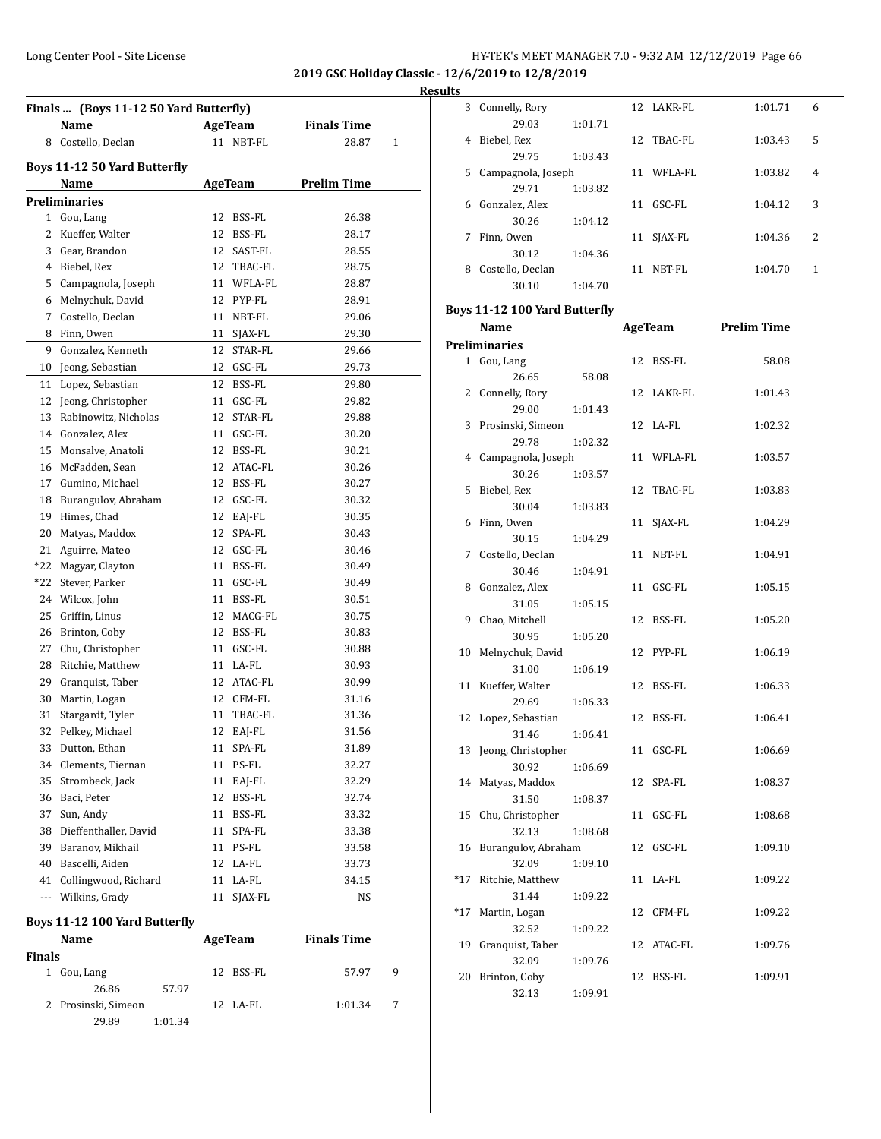**2019 GSC Holiday Classic - 12/6/2019 to 12/8/2019**

**Results**

| Finals  (Boys 11-12 50 Yard Butterfly) |                               |    |                |                    |   |  |  |  |
|----------------------------------------|-------------------------------|----|----------------|--------------------|---|--|--|--|
|                                        | Name                          |    | AgeTeam        | <b>Finals Time</b> |   |  |  |  |
|                                        | 8 Costello, Declan            |    | 11 NBT-FL      | 28.87              | 1 |  |  |  |
|                                        | Boys 11-12 50 Yard Butterfly  |    |                |                    |   |  |  |  |
|                                        | Name                          |    | <b>AgeTeam</b> | <b>Prelim Time</b> |   |  |  |  |
|                                        | <b>Preliminaries</b>          |    |                |                    |   |  |  |  |
|                                        | 1 Gou, Lang                   | 12 | BSS-FL         | 26.38              |   |  |  |  |
| 2                                      | Kueffer, Walter               | 12 | BSS-FL         | 28.17              |   |  |  |  |
|                                        | 3 Gear, Brandon               | 12 | SAST-FL        | 28.55              |   |  |  |  |
|                                        | 4 Biebel, Rex                 |    | 12 TBAC-FL     | 28.75              |   |  |  |  |
|                                        | 5 Campagnola, Joseph          |    | 11 WFLA-FL     | 28.87              |   |  |  |  |
| 6                                      | Melnychuk, David              |    | 12 PYP-FL      | 28.91              |   |  |  |  |
| 7                                      | Costello, Declan              | 11 | NBT-FL         | 29.06              |   |  |  |  |
| 8                                      | Finn, Owen                    | 11 | SJAX-FL        | 29.30              |   |  |  |  |
| 9                                      | Gonzalez, Kenneth             | 12 | STAR-FL        | 29.66              |   |  |  |  |
|                                        | 10 Jeong, Sebastian           | 12 | GSC-FL         | 29.73              |   |  |  |  |
| 11                                     | Lopez, Sebastian              | 12 | BSS-FL         | 29.80              |   |  |  |  |
|                                        | 12 Jeong, Christopher         |    | 11 GSC-FL      | 29.82              |   |  |  |  |
| 13                                     | Rabinowitz, Nicholas          | 12 | STAR-FL        | 29.88              |   |  |  |  |
|                                        | 14 Gonzalez, Alex             |    | 11 GSC-FL      | 30.20              |   |  |  |  |
|                                        | 15 Monsalve, Anatoli          |    | 12 BSS-FL      |                    |   |  |  |  |
|                                        | 16 McFadden, Sean             |    | 12 ATAC-FL     | 30.21<br>30.26     |   |  |  |  |
|                                        |                               |    |                |                    |   |  |  |  |
|                                        | 17 Gumino, Michael            |    | 12 BSS-FL      | 30.27              |   |  |  |  |
|                                        | 18 Burangulov, Abraham        |    | 12 GSC-FL      | 30.32              |   |  |  |  |
|                                        | 19 Himes, Chad                |    | 12 EAJ-FL      | 30.35              |   |  |  |  |
| 20                                     | Matyas, Maddox                |    | 12 SPA-FL      | 30.43              |   |  |  |  |
|                                        | 21 Aguirre, Mateo             |    | 12 GSC-FL      | 30.46              |   |  |  |  |
|                                        | *22 Magyar, Clayton           |    | 11 BSS-FL      | 30.49              |   |  |  |  |
| *22                                    | Stever, Parker                |    | 11 GSC-FL      | 30.49              |   |  |  |  |
|                                        | 24 Wilcox, John               |    | 11 BSS-FL      | 30.51              |   |  |  |  |
| 25                                     | Griffin, Linus                |    | 12 MACG-FL     | 30.75              |   |  |  |  |
|                                        | 26 Brinton, Coby              |    | 12 BSS-FL      | 30.83              |   |  |  |  |
|                                        | 27 Chu, Christopher           |    | 11 GSC-FL      | 30.88              |   |  |  |  |
|                                        | 28 Ritchie, Matthew           |    | 11 LA-FL       | 30.93              |   |  |  |  |
|                                        | 29 Granquist, Taber           |    | 12 ATAC-FL     | 30.99              |   |  |  |  |
| 30                                     | Martin, Logan                 |    | 12 CFM-FL      | 31.16              |   |  |  |  |
| 31                                     | Stargardt, Tyler              |    | 11 TBAC-FL     | 31.36              |   |  |  |  |
| 32                                     | Pelkey, Michael               | 12 | EAJ-FL         | 31.56              |   |  |  |  |
|                                        | 33 Dutton, Ethan              | 11 | SPA-FL         | 31.89              |   |  |  |  |
|                                        | 34 Clements, Tiernan          | 11 | PS-FL          | 32.27              |   |  |  |  |
|                                        | 35 Strombeck, Jack            |    | 11 EAJ-FL      | 32.29              |   |  |  |  |
|                                        | 36 Baci, Peter                |    | 12 BSS-FL      | 32.74              |   |  |  |  |
|                                        | 37 Sun, Andy                  |    | 11 BSS-FL      | 33.32              |   |  |  |  |
|                                        | 38 Dieffenthaller, David      | 11 | SPA-FL         | 33.38              |   |  |  |  |
|                                        | 39 Baranov, Mikhail           |    | 11 PS-FL       | 33.58              |   |  |  |  |
|                                        | 40 Bascelli, Aiden            |    | 12 LA-FL       | 33.73              |   |  |  |  |
|                                        | 41 Collingwood, Richard       |    | 11 LA-FL       | 34.15              |   |  |  |  |
| ---                                    | Wilkins, Grady                | 11 | SJAX-FL        | NS                 |   |  |  |  |
|                                        | Boys 11-12 100 Yard Butterfly |    |                |                    |   |  |  |  |
|                                        | Name                          |    | AgeTeam        | <b>Finals Time</b> |   |  |  |  |
| <b>Finals</b>                          |                               |    |                |                    |   |  |  |  |

1 Gou, Lang 12 BSS-FL 57.97 9

2 Prosinski, Simeon 12 LA-FL 1:01.34 7

26.86 57.97

29.89 1:01.34

|       | 3 Connelly, Rory              |         |    | 12 LAKR-FL | 1:01.71            | 6 |
|-------|-------------------------------|---------|----|------------|--------------------|---|
|       | 29.03                         | 1:01.71 |    |            |                    |   |
| 4     | Biebel, Rex                   |         |    | 12 TBAC-FL | 1:03.43            | 5 |
|       | 29.75                         | 1:03.43 |    |            |                    |   |
|       | 5 Campagnola, Joseph          |         |    | 11 WFLA-FL | 1:03.82            | 4 |
|       | 29.71                         | 1:03.82 |    |            |                    |   |
|       | 6 Gonzalez, Alex              |         |    | 11 GSC-FL  | 1:04.12            | 3 |
|       | 30.26                         | 1:04.12 |    |            |                    |   |
| 7     | Finn, Owen                    |         | 11 | SJAX-FL    | 1:04.36            | 2 |
|       | 30.12                         | 1:04.36 |    |            |                    |   |
|       |                               |         |    |            |                    |   |
|       | 8 Costello, Declan            |         |    | 11 NBT-FL  | 1:04.70            | 1 |
|       | 30.10                         | 1:04.70 |    |            |                    |   |
|       | Boys 11-12 100 Yard Butterfly |         |    |            |                    |   |
|       | Name                          |         |    | AgeTeam    | <b>Prelim Time</b> |   |
|       | <b>Preliminaries</b>          |         |    |            |                    |   |
|       | 1 Gou, Lang                   |         |    | 12 BSS-FL  | 58.08              |   |
|       | 26.65                         | 58.08   |    |            |                    |   |
|       | 2 Connelly, Rory              |         |    | 12 LAKR-FL | 1:01.43            |   |
|       | 29.00                         | 1:01.43 |    |            |                    |   |
|       | 3 Prosinski, Simeon           |         |    | 12 LA-FL   | 1:02.32            |   |
|       | 29.78                         | 1:02.32 |    |            |                    |   |
|       | 4 Campagnola, Joseph          |         |    | 11 WFLA-FL | 1:03.57            |   |
|       | 30.26                         | 1:03.57 |    |            |                    |   |
| 5     | Biebel, Rex                   |         |    | 12 TBAC-FL | 1:03.83            |   |
|       |                               |         |    |            |                    |   |
|       | 30.04                         | 1:03.83 |    |            |                    |   |
| 6     | Finn, Owen                    |         | 11 | SJAX-FL    | 1:04.29            |   |
|       | 30.15                         | 1:04.29 |    |            |                    |   |
|       | 7 Costello, Declan            |         |    | 11 NBT-FL  | 1:04.91            |   |
|       | 30.46                         | 1:04.91 |    |            |                    |   |
|       | 8 Gonzalez, Alex              |         |    | 11 GSC-FL  | 1:05.15            |   |
|       | 31.05                         | 1:05.15 |    |            |                    |   |
| 9     | Chao, Mitchell                |         |    | 12 BSS-FL  | 1:05.20            |   |
|       | 30.95                         | 1:05.20 |    |            |                    |   |
| 10    | Melnychuk, David              |         |    | 12 PYP-FL  | 1:06.19            |   |
|       | 31.00                         | 1:06.19 |    |            |                    |   |
| 11    | Kueffer, Walter               |         | 12 | BSS-FL     | 1:06.33            |   |
|       | 29.69                         | 1:06.33 |    |            |                    |   |
|       | 12 Lopez, Sebastian           |         | 12 | BSS-FL     | 1:06.41            |   |
|       | 31.46                         | 1:06.41 |    |            |                    |   |
|       | 13 Jeong, Christopher         |         |    | 11 GSC-FL  | 1:06.69            |   |
|       | 30.92                         | 1:06.69 |    |            |                    |   |
| 14    | Matyas, Maddox                |         | 12 | SPA-FL     | 1:08.37            |   |
|       | 31.50                         | 1:08.37 |    |            |                    |   |
|       | 15 Chu, Christopher           |         | 11 | GSC-FL     | 1:08.68            |   |
|       | 32.13                         | 1:08.68 |    |            |                    |   |
|       | 16 Burangulov, Abraham        |         | 12 | GSC-FL     | 1:09.10            |   |
|       | 32.09                         | 1:09.10 |    |            |                    |   |
| *17   | Ritchie, Matthew              |         |    | 11 LA-FL   | 1:09.22            |   |
|       | 31.44                         |         |    |            |                    |   |
|       |                               | 1:09.22 |    |            |                    |   |
| $*17$ | Martin, Logan<br>32.52        |         | 12 | CFM-FL     | 1:09.22            |   |
|       |                               | 1:09.22 |    |            |                    |   |
| 19    | Granquist, Taber              |         | 12 | ATAC-FL    | 1:09.76            |   |
|       | 32.09                         | 1:09.76 |    |            |                    |   |
| 20    | Brinton, Coby                 |         |    | 12 BSS-FL  | 1:09.91            |   |
|       | 32.13                         | 1:09.91 |    |            |                    |   |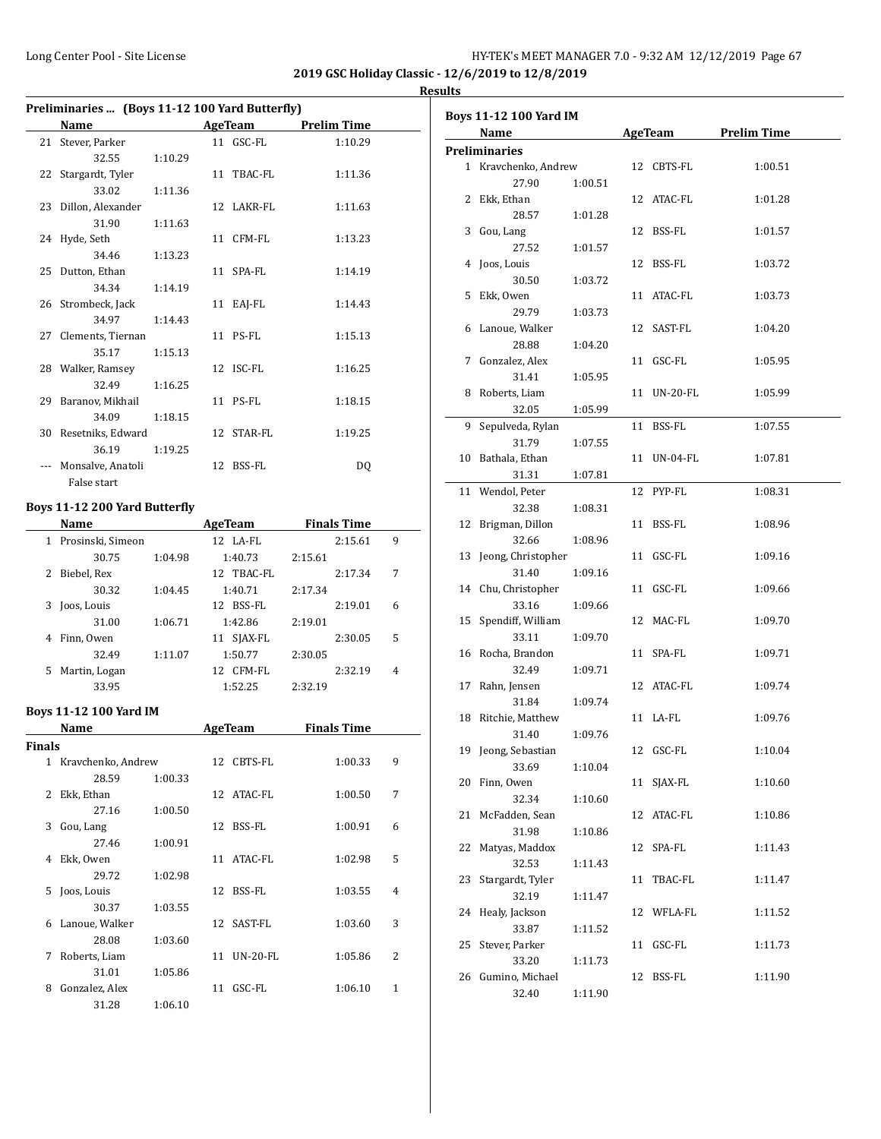$\overline{a}$ 

**2019 GSC Holiday Classic - 12/6/2019 to 12/8/2019 Results**

|    | Preliminaries  (Boys 11-12 100 Yard Butterfly) |         |    |            |                     |  |  |  |
|----|------------------------------------------------|---------|----|------------|---------------------|--|--|--|
|    | Name                                           |         |    |            | AgeTeam Prelim Time |  |  |  |
|    | 21 Stever, Parker                              |         |    | 11 GSC-FL  | 1:10.29             |  |  |  |
|    | 32.55                                          | 1:10.29 |    |            |                     |  |  |  |
|    | 22 Stargardt, Tyler                            |         |    | 11 TBAC-FL | 1:11.36             |  |  |  |
|    | 33.02                                          | 1:11.36 |    |            |                     |  |  |  |
|    | 23 Dillon, Alexander                           |         |    | 12 LAKR-FL | 1:11.63             |  |  |  |
|    | 31.90                                          | 1:11.63 |    |            |                     |  |  |  |
|    | 24 Hyde, Seth                                  |         |    | 11 CFM-FL  | 1:13.23             |  |  |  |
|    | 34.46                                          | 1:13.23 |    |            |                     |  |  |  |
|    | 25 Dutton, Ethan                               |         |    | 11 SPA-FL  | 1:14.19             |  |  |  |
|    | 34.34                                          | 1:14.19 |    |            |                     |  |  |  |
|    | 26 Strombeck, Jack                             |         |    | 11 EAI-FL  | 1:14.43             |  |  |  |
|    | 34.97                                          | 1:14.43 |    |            |                     |  |  |  |
|    | 27 Clements, Tiernan                           |         |    | 11 PS-FL   | 1:15.13             |  |  |  |
|    | 35.17                                          | 1:15.13 |    |            |                     |  |  |  |
|    | 28 Walker, Ramsey                              |         |    | 12 ISC-FL  | 1:16.25             |  |  |  |
|    | 32.49                                          | 1:16.25 |    |            |                     |  |  |  |
| 29 | Baranov, Mikhail                               |         |    | 11 PS-FL   | 1:18.15             |  |  |  |
|    | 34.09                                          | 1:18.15 |    |            |                     |  |  |  |
| 30 | Resetniks, Edward                              |         |    | 12 STAR-FL | 1:19.25             |  |  |  |
|    | 36.19                                          | 1:19.25 |    |            |                     |  |  |  |
|    | Monsalve, Anatoli                              |         | 12 | BSS-FL     | DO.                 |  |  |  |
|    | False start                                    |         |    |            |                     |  |  |  |

#### **Boys 11-12 200 Yard Butterfly**

|    | Name                |         | <b>AgeTeam</b> | <b>Finals Time</b> |   |
|----|---------------------|---------|----------------|--------------------|---|
|    | 1 Prosinski, Simeon |         | $12$ LA-FL     | 2:15.61            | 9 |
|    | 30.75               | 1:04.98 | 1:40.73        | 2:15.61            |   |
| 2  | Biebel, Rex         |         | 12 TBAC-FL     | 2:17.34            | 7 |
|    | 30.32               | 1:04.45 | 1:40.71        | 2:17.34            |   |
| 3  | Joos, Louis         |         | 12 BSS-FL      | 2:19.01            | 6 |
|    | 31.00               | 1:06.71 | 1:42.86        | 2:19.01            |   |
| 4  | Finn, Owen          |         | 11 SJAX-FL     | 2:30.05            | 5 |
|    | 32.49               | 1:11.07 | 1:50.77        | 2:30.05            |   |
| 5. | Martin, Logan       |         | CFM-FL<br>12.  | 2:32.19            | 4 |
|    | 33.95               |         | 1:52.25        | 2:32.19            |   |

#### **Boys 11-12 100 Yard IM**

|               | Name               |         |    | <b>AgeTeam</b> | <b>Finals Time</b> |   |
|---------------|--------------------|---------|----|----------------|--------------------|---|
| <b>Finals</b> |                    |         |    |                |                    |   |
| 1             | Kravchenko, Andrew |         |    | 12 CBTS-FL     | 1:00.33            | 9 |
|               | 28.59              | 1:00.33 |    |                |                    |   |
| $\mathcal{L}$ | Ekk, Ethan         |         |    | 12 ATAC-FL     | 1:00.50            | 7 |
|               | 27.16              | 1:00.50 |    |                |                    |   |
| 3             | Gou, Lang          |         | 12 | BSS-FL         | 1:00.91            | 6 |
|               | 27.46              | 1:00.91 |    |                |                    |   |
| 4             | Ekk, Owen          |         | 11 | ATAC-FL        | 1:02.98            | 5 |
|               | 29.72              | 1:02.98 |    |                |                    |   |
| 5.            | Joos, Louis        |         | 12 | BSS-FL         | 1:03.55            | 4 |
|               | 30.37              | 1:03.55 |    |                |                    |   |
| 6             | Lanoue, Walker     |         | 12 | SAST-FL        | 1:03.60            | 3 |
|               | 28.08              | 1:03.60 |    |                |                    |   |
| 7             | Roberts, Liam      |         | 11 | $UN-20$ - $FL$ | 1:05.86            | 2 |
|               | 31.01              | 1:05.86 |    |                |                    |   |
| 8             | Gonzalez, Alex     |         | 11 | GSC-FL         | 1:06.10            | 1 |
|               | 31.28              | 1:06.10 |    |                |                    |   |

| <b>Boys 11-12 100 Yard IM</b> |                              |         |    |             |                     |  |
|-------------------------------|------------------------------|---------|----|-------------|---------------------|--|
|                               | <b>Name</b>                  |         |    |             | AgeTeam Prelim Time |  |
|                               | <b>Preliminaries</b>         |         |    |             |                     |  |
|                               | 1 Kravchenko, Andrew         |         |    | 12 CBTS-FL  | 1:00.51             |  |
|                               | 27.90                        | 1:00.51 |    |             |                     |  |
|                               | 2 Ekk, Ethan                 |         |    | 12 ATAC-FL  | 1:01.28             |  |
|                               | 28.57                        | 1:01.28 |    |             |                     |  |
|                               | 3 Gou, Lang                  |         |    | 12 BSS-FL   | 1:01.57             |  |
|                               | 27.52                        | 1:01.57 |    |             |                     |  |
|                               | 4 Joos, Louis                |         |    | 12 BSS-FL   | 1:03.72             |  |
|                               | 30.50                        | 1:03.72 |    |             |                     |  |
|                               | 5 Ekk. Owen                  |         |    | 11 ATAC-FL  | 1:03.73             |  |
|                               | 29.79                        | 1:03.73 |    |             |                     |  |
|                               | 6 Lanoue, Walker             |         |    | 12 SAST-FL  | 1:04.20             |  |
|                               | 28.88                        | 1:04.20 |    |             |                     |  |
|                               | 7 Gonzalez, Alex             |         |    | 11 GSC-FL   | 1:05.95             |  |
|                               | 31.41                        | 1:05.95 |    |             |                     |  |
|                               | 8 Roberts, Liam              |         |    | 11 UN-20-FL | 1:05.99             |  |
|                               | 32.05                        | 1:05.99 |    |             |                     |  |
| 9                             | Sepulveda, Rylan             |         |    | 11 BSS-FL   | 1:07.55             |  |
|                               | 31.79                        | 1:07.55 |    |             |                     |  |
|                               | 10 Bathala, Ethan            |         |    | 11 UN-04-FL | 1:07.81             |  |
|                               | 31.31                        | 1:07.81 |    |             |                     |  |
|                               | 11 Wendol, Peter             |         |    | 12 PYP-FL   | 1:08.31             |  |
|                               | 32.38                        | 1:08.31 |    |             |                     |  |
|                               | 12 Brigman, Dillon           |         |    | 11 BSS-FL   | 1:08.96             |  |
|                               | 32.66                        | 1:08.96 |    |             |                     |  |
|                               | 13 Jeong, Christopher        |         |    | 11 GSC-FL   | 1:09.16             |  |
|                               | 31.40<br>14 Chu, Christopher | 1:09.16 |    | 11 GSC-FL   | 1:09.66             |  |
|                               | 33.16                        | 1:09.66 |    |             |                     |  |
| 15                            | Spendiff, William            |         |    | 12 MAC-FL   | 1:09.70             |  |
|                               | 33.11                        | 1:09.70 |    |             |                     |  |
|                               | 16 Rocha, Brandon            |         | 11 | SPA-FL      | 1:09.71             |  |
|                               | 32.49                        | 1:09.71 |    |             |                     |  |
| 17                            | Rahn, Jensen                 |         |    | 12 ATAC-FL  | 1:09.74             |  |
|                               | 31.84                        | 1:09.74 |    |             |                     |  |
| 18                            | Ritchie, Matthew             |         |    | 11 LA-FL    | 1:09.76             |  |
|                               | 31.40                        | 1:09.76 |    |             |                     |  |
|                               | 19 Jeong, Sebastian          |         |    | 12 GSC-FL   | 1:10.04             |  |
|                               | 33.69                        | 1:10.04 |    |             |                     |  |
| 20                            | Finn, Owen                   |         | 11 | SJAX-FL     | 1:10.60             |  |
|                               | 32.34                        | 1:10.60 |    |             |                     |  |
| 21                            | McFadden, Sean               |         |    | 12 ATAC-FL  | 1:10.86             |  |
|                               | 31.98                        | 1:10.86 |    |             |                     |  |
| 22                            | Matyas, Maddox               |         |    | 12 SPA-FL   | 1:11.43             |  |
|                               | 32.53                        | 1:11.43 |    |             |                     |  |
| 23                            | Stargardt, Tyler             |         | 11 | TBAC-FL     | 1:11.47             |  |
|                               | 32.19                        | 1:11.47 |    |             |                     |  |
| 24                            | Healy, Jackson               |         |    | 12 WFLA-FL  | 1:11.52             |  |
|                               | 33.87                        | 1:11.52 |    |             |                     |  |
| 25                            | Stever, Parker               |         |    | 11 GSC-FL   | 1:11.73             |  |
|                               | 33.20                        | 1:11.73 |    |             |                     |  |
|                               | 26 Gumino, Michael           |         |    | 12 BSS-FL   | 1:11.90             |  |
|                               | 32.40                        | 1:11.90 |    |             |                     |  |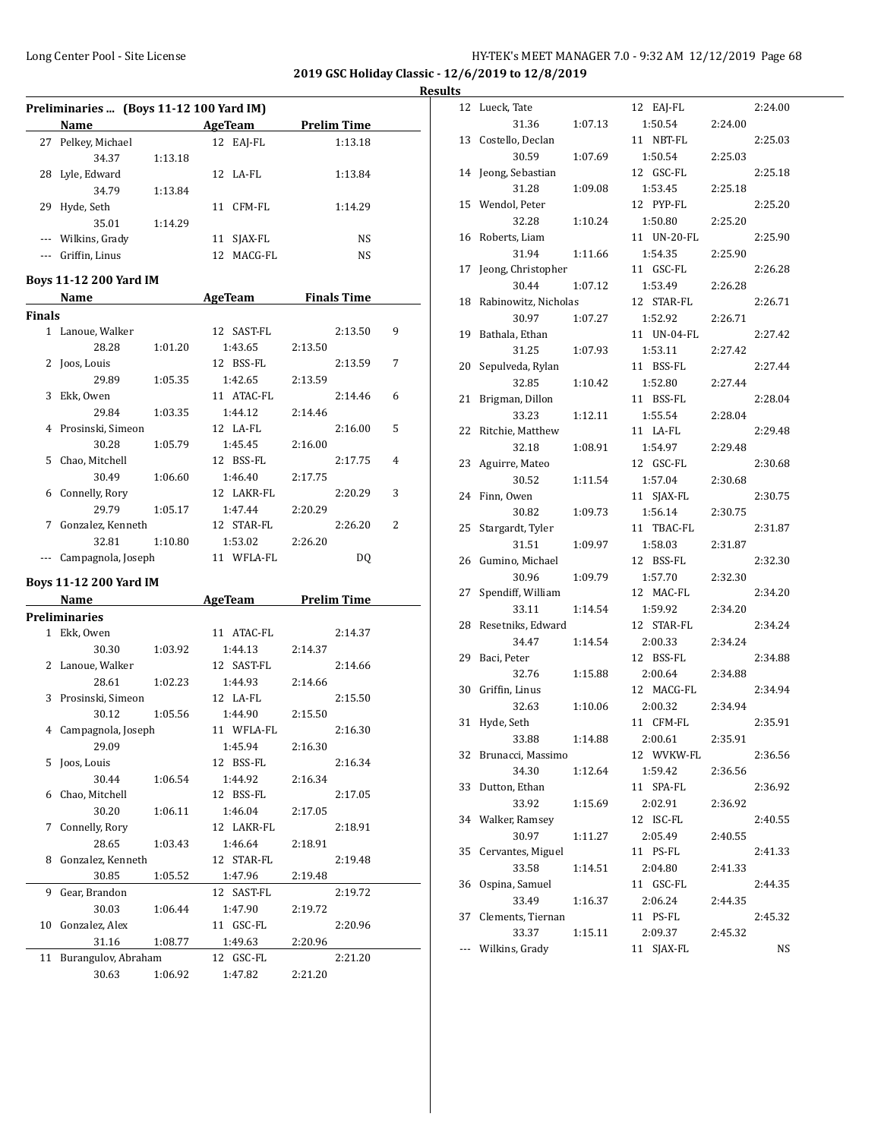**2019 GSC Holiday Classic - 12/6/2019 to 12/8/2019**

**Results**

|          | Preliminaries  (Boys 11-12 100 Yard IM)                                                                                                                                                                                        |         |                       |         |                    |   |
|----------|--------------------------------------------------------------------------------------------------------------------------------------------------------------------------------------------------------------------------------|---------|-----------------------|---------|--------------------|---|
|          | Name and the state of the state of the state of the state of the state of the state of the state of the state of the state of the state of the state of the state of the state of the state of the state of the state of the s |         | AgeTeam               |         | <b>Prelim Time</b> |   |
| 27       | Pelkey, Michael                                                                                                                                                                                                                |         | 12 EAJ-FL             |         | 1:13.18            |   |
|          | 34.37                                                                                                                                                                                                                          | 1:13.18 |                       |         |                    |   |
| 28       | Lyle, Edward                                                                                                                                                                                                                   |         | 12 LA-FL              |         | 1:13.84            |   |
|          | 34.79                                                                                                                                                                                                                          | 1:13.84 |                       |         |                    |   |
| 29       | Hyde, Seth                                                                                                                                                                                                                     |         | 11 CFM-FL             |         | 1:14.29            |   |
|          | 35.01                                                                                                                                                                                                                          | 1:14.29 |                       |         |                    |   |
|          | --- Wilkins, Grady                                                                                                                                                                                                             |         | 11 SJAX-FL            |         | NS                 |   |
|          | --- Griffin, Linus                                                                                                                                                                                                             |         | 12 MACG-FL            |         | NS                 |   |
|          |                                                                                                                                                                                                                                |         |                       |         |                    |   |
|          | <b>Boys 11-12 200 Yard IM</b>                                                                                                                                                                                                  |         |                       |         |                    |   |
|          | Name and the same state of the state of the state of the state of the state of the state of the state of the state of the state of the state of the state of the state of the state of the state of the state of the state of  |         | AgeTeam Finals Time   |         |                    |   |
| Finals   |                                                                                                                                                                                                                                |         |                       |         |                    |   |
|          | 1 Lanoue, Walker                                                                                                                                                                                                               |         | 12 SAST-FL            |         | 2:13.50            | 9 |
|          | 28.28                                                                                                                                                                                                                          | 1:01.20 | 1:43.65               | 2:13.50 |                    |   |
| 2        | Joos, Louis                                                                                                                                                                                                                    |         | 12 BSS-FL             |         | 2:13.59            | 7 |
|          | 29.89                                                                                                                                                                                                                          | 1:05.35 | 1:42.65               | 2:13.59 |                    |   |
| 3        | Ekk, Owen                                                                                                                                                                                                                      |         | 11 ATAC-FL            |         | 2:14.46            | 6 |
|          | 29.84                                                                                                                                                                                                                          | 1:03.35 | 1:44.12               | 2:14.46 |                    |   |
|          | 4 Prosinski, Simeon                                                                                                                                                                                                            |         | 12 LA-FL              |         | 2:16.00            | 5 |
|          | 30.28                                                                                                                                                                                                                          | 1:05.79 | 1:45.45               | 2:16.00 |                    |   |
|          | 5 Chao, Mitchell                                                                                                                                                                                                               |         | 12 BSS-FL             |         | 2:17.75            | 4 |
|          | 30.49                                                                                                                                                                                                                          | 1:06.60 | 1:46.40               | 2:17.75 |                    |   |
| 6        | Connelly, Rory                                                                                                                                                                                                                 |         | 12 LAKR-FL            |         | 2:20.29            | 3 |
|          | 29.79                                                                                                                                                                                                                          | 1:05.17 | 1:47.44               | 2:20.29 |                    |   |
|          | 7 Gonzalez, Kenneth                                                                                                                                                                                                            |         | 12 STAR-FL            |         | 2:26.20            | 2 |
|          | 32.81                                                                                                                                                                                                                          | 1:10.80 | 1:53.02               | 2:26.20 |                    |   |
| $\cdots$ | Campagnola, Joseph                                                                                                                                                                                                             |         | 11 WFLA-FL            |         | DQ                 |   |
|          |                                                                                                                                                                                                                                |         |                       |         |                    |   |
|          | <b>Boys 11-12 200 Yard IM</b>                                                                                                                                                                                                  |         |                       |         |                    |   |
|          | Name and the same of the same of the same of the same of the same of the same of the same of the same of the same of the same of the same of the same of the same of the same of the same of the same of the same of the same  |         | AgeTeam Prelim Time   |         |                    |   |
|          | <b>Preliminaries</b>                                                                                                                                                                                                           |         |                       |         |                    |   |
|          | 1 Ekk, Owen                                                                                                                                                                                                                    |         | 11 ATAC-FL            |         | 2:14.37            |   |
|          | 30.30                                                                                                                                                                                                                          | 1:03.92 | 1:44.13               | 2:14.37 |                    |   |
|          | 2 Lanoue, Walker                                                                                                                                                                                                               |         | 12 SAST-FL            |         | 2:14.66            |   |
|          | 28.61                                                                                                                                                                                                                          | 1:02.23 | 1:44.93               | 2:14.66 |                    |   |
|          | 3 Prosinski, Simeon                                                                                                                                                                                                            |         | 12 LA-FL              |         | 2:15.50            |   |
|          | 30.12                                                                                                                                                                                                                          | 1:05.56 | 1:44.90               | 2:15.50 |                    |   |
|          | 4 Campagnola, Joseph                                                                                                                                                                                                           |         | 11 WFLA-FL            |         | 2:16.30            |   |
|          | 29.09                                                                                                                                                                                                                          |         | 1:45.94               | 2:16.30 |                    |   |
| 5        | Joos, Louis                                                                                                                                                                                                                    |         | 12 BSS-FL             |         | 2:16.34            |   |
|          | 30.44                                                                                                                                                                                                                          | 1:06.54 | 1:44.92               | 2:16.34 |                    |   |
| 6        | Chao, Mitchell                                                                                                                                                                                                                 |         | 12 BSS-FL             |         | 2:17.05            |   |
|          | 30.20                                                                                                                                                                                                                          | 1:06.11 | 1:46.04               | 2:17.05 |                    |   |
| 7        | Connelly, Rory                                                                                                                                                                                                                 |         | 12 LAKR-FL            |         | 2:18.91            |   |
|          | 28.65                                                                                                                                                                                                                          | 1:03.43 |                       | 2:18.91 |                    |   |
| 8        | Gonzalez, Kenneth                                                                                                                                                                                                              |         | 1:46.64<br>12 STAR-FL |         | 2:19.48            |   |
|          |                                                                                                                                                                                                                                |         |                       |         |                    |   |
|          | 30.85                                                                                                                                                                                                                          | 1:05.52 | 1:47.96               | 2:19.48 |                    |   |
| 9        | Gear, Brandon                                                                                                                                                                                                                  |         | 12 SAST-FL            |         | 2:19.72            |   |
|          | 30.03                                                                                                                                                                                                                          | 1:06.44 | 1:47.90               | 2:19.72 |                    |   |
| 10       | Gonzalez, Alex                                                                                                                                                                                                                 |         | 11 GSC-FL             |         | 2:20.96            |   |
|          | 31.16                                                                                                                                                                                                                          | 1:08.77 | 1:49.63               | 2:20.96 |                    |   |
| 11       | Burangulov, Abraham                                                                                                                                                                                                            |         | 12 GSC-FL             |         | 2:21.20            |   |
|          | 30.63                                                                                                                                                                                                                          | 1:06.92 | 1:47.82               | 2:21.20 |                    |   |

| 12                   | Lueck, Tate               |         | 12 EAJ-FL     |         | 2:24.00 |
|----------------------|---------------------------|---------|---------------|---------|---------|
|                      | 31.36                     | 1:07.13 | 1:50.54       | 2:24.00 |         |
| 13                   | Costello, Declan          |         | 11 NBT-FL     |         | 2:25.03 |
|                      | 30.59                     | 1:07.69 | 1:50.54       | 2:25.03 |         |
| 14                   | Jeong, Sebastian          |         | 12 GSC-FL     |         | 2:25.18 |
|                      | 31.28                     | 1:09.08 | 1:53.45       | 2:25.18 |         |
| 15                   | Wendol, Peter             |         | 12 PYP-FL     |         | 2:25.20 |
|                      | 32.28                     | 1:10.24 | 1:50.80       | 2:25.20 |         |
| 16                   | Roberts, Liam             |         | 11 UN-20-FL   |         | 2:25.90 |
|                      | 31.94                     | 1:11.66 | 1:54.35       | 2:25.90 |         |
| 17                   | Jeong, Christopher        |         | 11 GSC-FL     |         | 2:26.28 |
|                      | 30.44                     | 1:07.12 | 1:53.49       | 2:26.28 |         |
| 18                   | Rabinowitz, Nicholas      |         | 12 STAR-FL    |         | 2:26.71 |
|                      | 30.97                     | 1:07.27 | 1:52.92       | 2:26.71 |         |
| 19                   | Bathala, Ethan            |         | 11 UN-04-FL   |         | 2:27.42 |
|                      | 31.25                     |         | 1:53.11       | 2:27.42 |         |
|                      |                           | 1:07.93 | 11 BSS-FL     |         |         |
| 20                   | Sepulveda, Rylan<br>32.85 |         |               |         | 2:27.44 |
|                      |                           | 1:10.42 | 1:52.80       | 2:27.44 |         |
| 21                   | Brigman, Dillon           |         | 11 BSS-FL     |         | 2:28.04 |
|                      | 33.23                     | 1:12.11 | 1:55.54       | 2:28.04 |         |
| 22                   | Ritchie, Matthew          |         | 11 LA-FL      |         | 2:29.48 |
|                      | 32.18                     | 1:08.91 | 1:54.97       | 2:29.48 |         |
| 23                   | Aguirre, Mateo            |         | 12 GSC-FL     |         | 2:30.68 |
|                      | 30.52                     | 1:11.54 | 1:57.04       | 2:30.68 |         |
| 24                   | Finn, Owen                |         | 11<br>SJAX-FL |         | 2:30.75 |
|                      | 30.82                     | 1:09.73 | 1:56.14       | 2:30.75 |         |
| 25                   | Stargardt, Tyler          |         | 11 TBAC-FL    |         | 2:31.87 |
|                      | 31.51                     | 1:09.97 | 1:58.03       | 2:31.87 |         |
| 26                   | Gumino, Michael           |         | 12 BSS-FL     |         | 2:32.30 |
|                      | 30.96                     | 1:09.79 | 1:57.70       | 2:32.30 |         |
| 27                   | Spendiff, William         |         | 12 MAC-FL     |         | 2:34.20 |
|                      | 33.11                     | 1:14.54 | 1:59.92       | 2:34.20 |         |
| 28                   | Resetniks, Edward         |         | 12 STAR-FL    |         | 2:34.24 |
|                      | 34.47                     | 1:14.54 | 2:00.33       | 2:34.24 |         |
| 29                   | Baci, Peter               |         | 12 BSS-FL     |         | 2:34.88 |
|                      | 32.76                     | 1:15.88 | 2:00.64       | 2:34.88 |         |
| 30                   | Griffin, Linus            |         | 12 MACG-FL    |         | 2:34.94 |
|                      | 32.63                     | 1:10.06 | 2:00.32       | 2:34.94 |         |
| 31                   | Hyde, Seth                |         | CFM-FL<br>11  |         | 2:35.91 |
|                      | 33.88                     | 1:14.88 | 2:00.61       | 2:35.91 |         |
| 32                   | Brunacci, Massimo         |         | 12 WVKW-FL    |         | 2:36.56 |
|                      | 34.30                     | 1:12.64 | 1:59.42       | 2:36.56 |         |
| 33                   | Dutton, Ethan             |         | SPA-FL<br>11  |         | 2:36.92 |
|                      | 33.92                     | 1:15.69 | 2:02.91       | 2:36.92 |         |
| 34                   | Walker, Ramsey            |         | ISC-FL<br>12  |         | 2:40.55 |
|                      | 30.97                     | 1:11.27 | 2:05.49       | 2:40.55 |         |
| 35                   | Cervantes, Miguel         |         | PS-FL<br>11   |         | 2:41.33 |
|                      | 33.58                     | 1:14.51 | 2:04.80       | 2:41.33 |         |
| 36                   | Ospina, Samuel            |         | 11 GSC-FL     |         | 2:44.35 |
|                      | 33.49                     | 1:16.37 | 2:06.24       |         |         |
|                      | Clements, Tiernan         |         |               | 2:44.35 |         |
| 37                   |                           |         | PS-FL<br>11   |         | 2:45.32 |
|                      | 33.37                     | 1:15.11 | 2:09.37       | 2:45.32 |         |
| $\scriptstyle\cdots$ | Wilkins, Grady            |         | SJAX-FL<br>11 |         | NS      |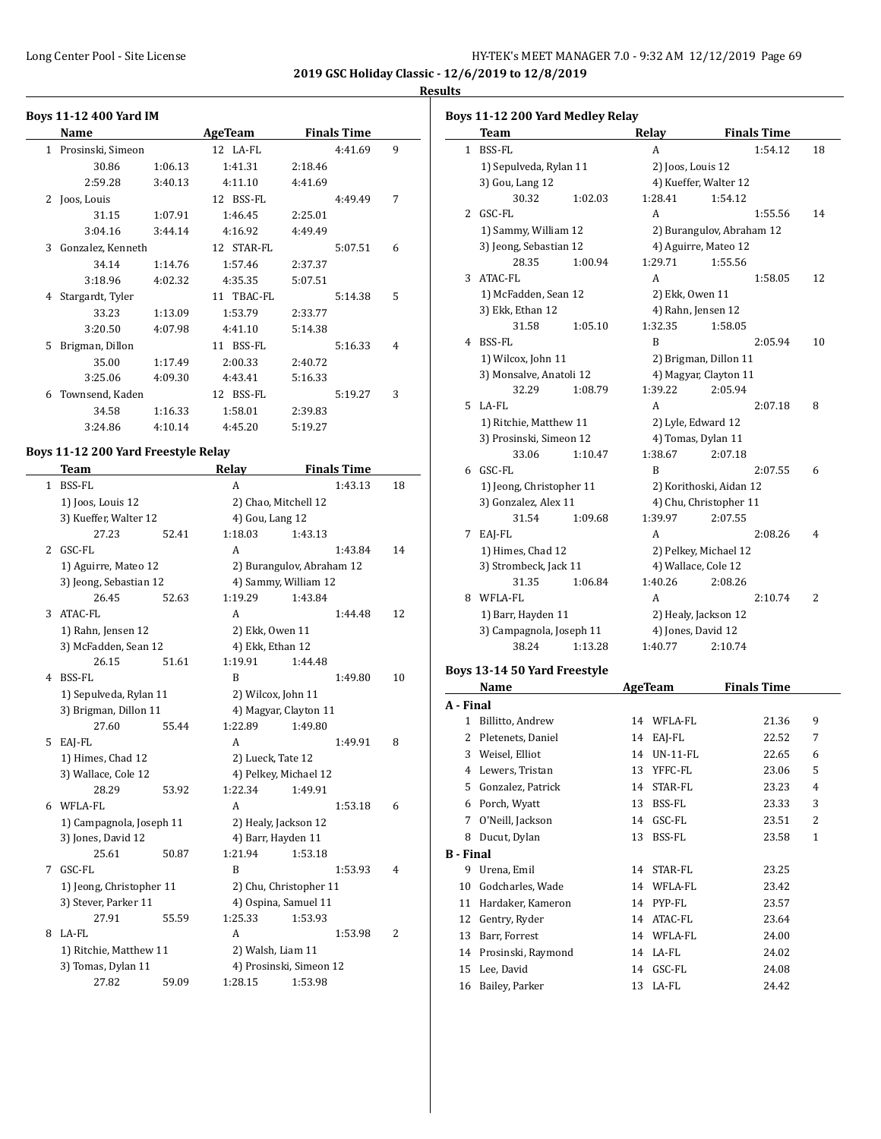**2019 GSC Holiday Classic - 12/6/2019 to 12/8/2019 Results**

 $\overline{a}$ 

#### **Boys 11-12 400 Yard IM Name AgeTeam Finals Time** 1 Prosinski, Simeon 12 LA-FL 4:41.69 9 30.86 1:06.13 1:41.31 2:18.46 2:59.28 3:40.13 4:11.10 4:41.69 2 Joos, Louis 12 BSS-FL 4:49.49 7 31.15 1:07.91 1:46.45 2:25.01 3:04.16 3:44.14 4:16.92 4:49.49 3 Gonzalez, Kenneth 12 STAR-FL 5:07.51 6 34.14 1:14.76 1:57.46 2:37.37 3:18.96 4:02.32 4:35.35 5:07.51 4 Stargardt, Tyler 11 TBAC-FL 5:14.38 5 33.23 1:13.09 1:53.79 2:33.77 3:20.50 4:07.98 4:41.10 5:14.38 5 Brigman, Dillon 11 BSS-FL 5:16.33 4 35.00 1:17.49 2:00.33 2:40.72 3:25.06 4:09.30 4:43.41 5:16.33 6 Townsend, Kaden 12 BSS-FL 5:19.27 3 34.58 1:16.33 1:58.01 2:39.83 3:24.86 4:10.14 4:45.20 5:19.27

#### **Boys 11-12 200 Yard Freestyle Relay**

|              | <b>Team</b>              |       | Relay                     |         | <b>Finals Time</b> |                |
|--------------|--------------------------|-------|---------------------------|---------|--------------------|----------------|
| $\mathbf{1}$ | <b>BSS-FL</b>            |       | А                         |         | 1:43.13            | 18             |
|              | 1) Joos, Louis 12        |       | 2) Chao, Mitchell 12      |         |                    |                |
|              | 3) Kueffer, Walter 12    |       | 4) Gou, Lang 12           |         |                    |                |
|              | 27.23                    | 52.41 | 1:18.03                   | 1:43.13 |                    |                |
| 2            | GSC-FL                   |       | A                         |         | 1:43.84            | 14             |
|              | 1) Aguirre, Mateo 12     |       | 2) Burangulov, Abraham 12 |         |                    |                |
|              | 3) Jeong, Sebastian 12   |       | 4) Sammy, William 12      |         |                    |                |
|              | 26.45                    | 52.63 | 1:19.29                   | 1:43.84 |                    |                |
| 3            | <b>ATAC-FL</b>           |       | A                         |         | 1:44.48            | 12             |
|              | 1) Rahn, Jensen 12       |       | 2) Ekk, Owen 11           |         |                    |                |
|              | 3) McFadden, Sean 12     |       | 4) Ekk, Ethan 12          |         |                    |                |
|              | 26.15                    | 51.61 | 1:19.91                   | 1:44.48 |                    |                |
| 4            | <b>BSS-FL</b>            |       | B                         |         | 1:49.80            | 10             |
|              | 1) Sepulveda, Rylan 11   |       | 2) Wilcox, John 11        |         |                    |                |
|              | 3) Brigman, Dillon 11    |       | 4) Magyar, Clayton 11     |         |                    |                |
|              | 27.60                    | 55.44 | 1:22.89                   | 1:49.80 |                    |                |
| 5            | EAJ-FL                   |       | A                         |         | 1:49.91            | 8              |
|              | 1) Himes, Chad 12        |       | 2) Lueck, Tate 12         |         |                    |                |
|              | 3) Wallace, Cole 12      |       | 4) Pelkey, Michael 12     |         |                    |                |
|              | 28.29                    | 53.92 | 1:22.34                   | 1:49.91 |                    |                |
| 6            | WFLA-FL                  |       | A                         |         | 1:53.18            | 6              |
|              | 1) Campagnola, Joseph 11 |       | 2) Healy, Jackson 12      |         |                    |                |
|              | 3) Jones, David 12       |       | 4) Barr, Hayden 11        |         |                    |                |
|              | 25.61                    | 50.87 | 1:21.94                   | 1:53.18 |                    |                |
| 7            | GSC-FL                   |       | B                         |         | 1:53.93            | 4              |
|              | 1) Jeong, Christopher 11 |       | 2) Chu, Christopher 11    |         |                    |                |
|              | 3) Stever, Parker 11     |       | 4) Ospina, Samuel 11      |         |                    |                |
|              | 27.91                    | 55.59 | 1:25.33                   | 1:53.93 |                    |                |
| 8            | LA-FL                    |       | A                         |         | 1:53.98            | $\overline{2}$ |
|              | 1) Ritchie, Matthew 11   |       | 2) Walsh, Liam 11         |         |                    |                |
|              | 3) Tomas, Dylan 11       |       | 4) Prosinski, Simeon 12   |         |                    |                |
|              | 27.82                    | 59.09 | 1:28.15                   | 1:53.98 |                    |                |

|              | Boys 11-12 200 Yard Medley Relay |         |                           |         |                    |    |
|--------------|----------------------------------|---------|---------------------------|---------|--------------------|----|
|              | <b>Team</b>                      |         | Relay                     |         | <b>Finals Time</b> |    |
| $\mathbf{1}$ | <b>BSS-FL</b>                    |         | A                         |         | 1:54.12            | 18 |
|              | 1) Sepulveda, Rylan 11           |         | 2) Joos, Louis 12         |         |                    |    |
|              | 3) Gou, Lang 12                  |         | 4) Kueffer, Walter 12     |         |                    |    |
|              | 30.32                            | 1:02.03 | 1:28.41                   | 1:54.12 |                    |    |
| 2            | GSC-FL                           |         | A                         |         | 1:55.56            | 14 |
|              | 1) Sammy, William 12             |         | 2) Burangulov, Abraham 12 |         |                    |    |
|              | 3) Jeong, Sebastian 12           |         | 4) Aguirre, Mateo 12      |         |                    |    |
|              | 28.35                            | 1:00.94 | 1:29.71                   | 1:55.56 |                    |    |
| 3            | ATAC-FL                          |         | A                         |         | 1:58.05            | 12 |
|              | 1) McFadden, Sean 12             |         | 2) Ekk, Owen 11           |         |                    |    |
|              | 3) Ekk, Ethan 12                 |         | 4) Rahn, Jensen 12        |         |                    |    |
|              | 31.58                            | 1:05.10 | 1:32.35                   | 1:58.05 |                    |    |
| 4            | <b>BSS-FL</b>                    |         | B                         |         | 2:05.94            | 10 |
|              | 1) Wilcox, John 11               |         | 2) Brigman, Dillon 11     |         |                    |    |
|              | 3) Monsalve, Anatoli 12          |         | 4) Magyar, Clayton 11     |         |                    |    |
|              | 32.29                            | 1:08.79 | 1:39.22                   | 2:05.94 |                    |    |
| 5            | LA-FL                            |         | A                         |         | 2:07.18            | 8  |
|              | 1) Ritchie, Matthew 11           |         | 2) Lyle, Edward 12        |         |                    |    |
|              | 3) Prosinski, Simeon 12          |         | 4) Tomas, Dylan 11        |         |                    |    |
|              | 33.06                            | 1:10.47 | 1:38.67                   | 2:07.18 |                    |    |
| 6            | GSC-FL                           |         | B                         |         | 2:07.55            | 6  |
|              | 1) Jeong, Christopher 11         |         | 2) Korithoski, Aidan 12   |         |                    |    |
|              | 3) Gonzalez, Alex 11             |         | 4) Chu, Christopher 11    |         |                    |    |
|              | 31.54                            | 1:09.68 | 1:39.97                   | 2:07.55 |                    |    |
| 7            | EAJ-FL                           |         | A                         |         | 2:08.26            | 4  |
|              | 1) Himes, Chad 12                |         | 2) Pelkey, Michael 12     |         |                    |    |
|              | 3) Strombeck, Jack 11            |         | 4) Wallace, Cole 12       |         |                    |    |
|              | 31.35                            | 1:06.84 | 1:40.26                   | 2:08.26 |                    |    |
| 8            | WFLA-FL                          |         | A                         |         | 2:10.74            | 2  |
|              | 1) Barr, Hayden 11               |         | 2) Healy, Jackson 12      |         |                    |    |
|              | 3) Campagnola, Joseph 11         |         | 4) Jones, David 12        |         |                    |    |
|              | 38.24                            | 1:13.28 | 1:40.77                   | 2:10.74 |                    |    |

#### **Boys 13-14 50 Yard Freestyle**

|                  | Name               |    | <b>AgeTeam</b> | Finals Time |              |
|------------------|--------------------|----|----------------|-------------|--------------|
| A - Final        |                    |    |                |             |              |
| 1                | Billitto, Andrew   | 14 | WFLA-FL        | 21.36       | 9            |
| 2                | Pletenets, Daniel  | 14 | EAI-FL         | 22.52       | 7            |
| 3                | Weisel, Elliot     | 14 | $UN-11-FL$     | 22.65       | 6            |
| 4                | Lewers, Tristan    | 13 | YFFC-FL        | 23.06       | 5            |
| 5.               | Gonzalez, Patrick  | 14 | STAR-FL        | 23.23       | 4            |
| 6                | Porch, Wyatt       | 13 | BSS-FL         | 23.33       | 3            |
| 7                | O'Neill, Jackson   | 14 | GSC-FL         | 23.51       | 2            |
| 8                | Ducut, Dylan       | 13 | BSS-FL         | 23.58       | $\mathbf{1}$ |
| <b>B</b> - Final |                    |    |                |             |              |
| 9                | Urena, Emil        | 14 | STAR-FL        | 23.25       |              |
| 10               | Godcharles, Wade   | 14 | WFLA-FL        | 23.42       |              |
| 11               | Hardaker, Kameron  | 14 | PYP-FL         | 23.57       |              |
| 12               | Gentry, Ryder      | 14 | ATAC-FL        | 23.64       |              |
| 13               | Barr, Forrest      | 14 | WFLA-FL        | 24.00       |              |
| 14               | Prosinski, Raymond | 14 | LA-FL          | 24.02       |              |
| 15               | Lee, David         | 14 | GSC-FL         | 24.08       |              |
| 16               | Bailey, Parker     |    | 13 LA-FL       | 24.42       |              |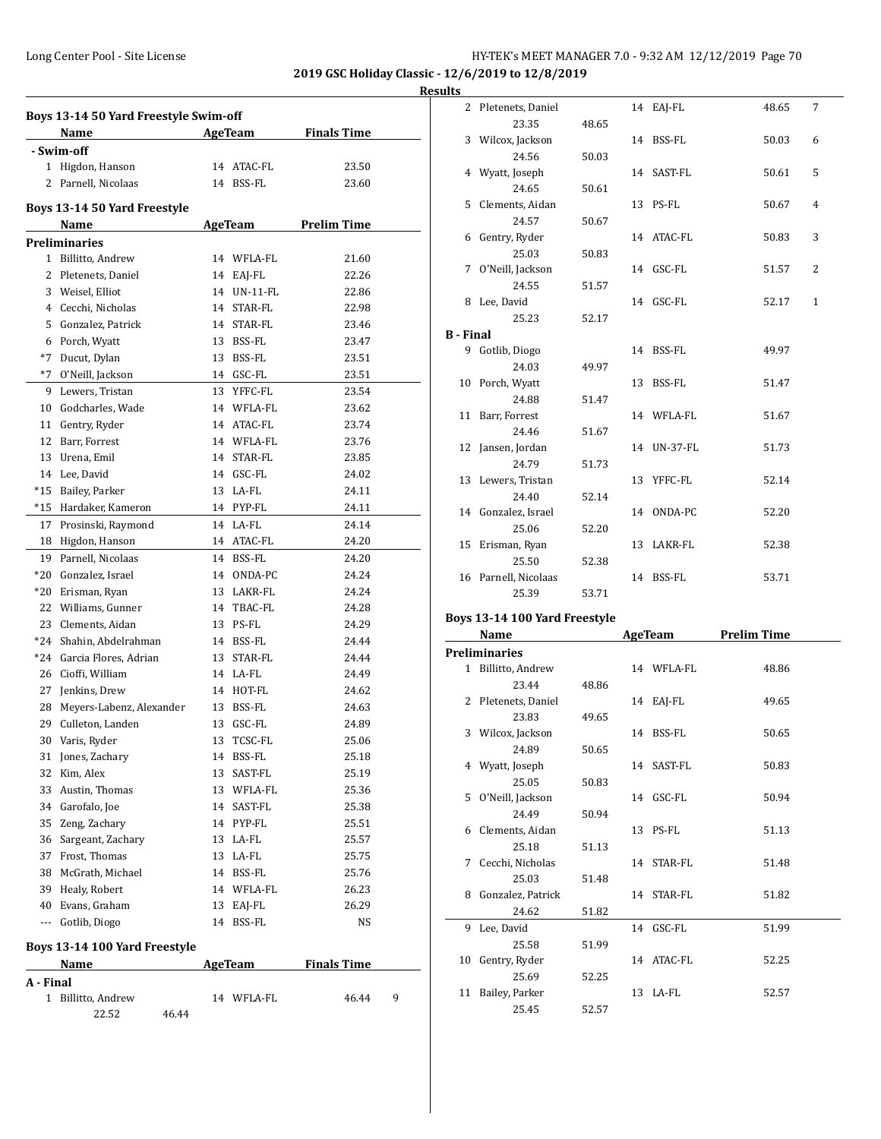**Results**

|           | Boys 13-14 50 Yard Freestyle Swim-off |    |                |                    |   |  |  |  |  |
|-----------|---------------------------------------|----|----------------|--------------------|---|--|--|--|--|
|           | <b>Name</b>                           |    | AgeTeam        | <b>Finals Time</b> |   |  |  |  |  |
|           | - Swim-off                            |    |                |                    |   |  |  |  |  |
| 1         | Higdon, Hanson                        |    | 14 ATAC-FL     | 23.50              |   |  |  |  |  |
| 2         | Parnell, Nicolaas                     |    | 14 BSS-FL      | 23.60              |   |  |  |  |  |
|           | Boys 13-14 50 Yard Freestyle          |    |                |                    |   |  |  |  |  |
|           | Name                                  |    | <b>AgeTeam</b> | <b>Prelim Time</b> |   |  |  |  |  |
|           | <b>Preliminaries</b>                  |    |                |                    |   |  |  |  |  |
|           | 1 Billitto, Andrew                    |    | 14 WFLA-FL     | 21.60              |   |  |  |  |  |
|           | 2 Pletenets, Daniel                   |    | 14 EAJ-FL      | 22.26              |   |  |  |  |  |
|           | 3 Weisel, Elliot                      |    | 14 UN-11-FL    | 22.86              |   |  |  |  |  |
|           | 4 Cecchi, Nicholas                    |    | 14 STAR-FL     | 22.98              |   |  |  |  |  |
|           | 5 Gonzalez, Patrick                   |    | 14 STAR-FL     | 23.46              |   |  |  |  |  |
|           | 6 Porch, Wyatt                        |    | 13 BSS-FL      | 23.47              |   |  |  |  |  |
|           | *7 Ducut, Dylan                       |    | 13 BSS-FL      | 23.51              |   |  |  |  |  |
|           | *7 O'Neill, Jackson                   |    | 14 GSC-FL      | 23.51              |   |  |  |  |  |
|           | 9 Lewers, Tristan                     |    | 13 YFFC-FL     | 23.54              |   |  |  |  |  |
| 10        | Godcharles, Wade                      |    | 14 WFLA-FL     | 23.62              |   |  |  |  |  |
|           | 11 Gentry, Ryder                      |    | 14 ATAC-FL     | 23.74              |   |  |  |  |  |
|           | 12 Barr, Forrest                      |    | 14 WFLA-FL     | 23.76              |   |  |  |  |  |
|           | 13 Urena, Emil                        |    | 14 STAR-FL     | 23.85              |   |  |  |  |  |
|           | 14 Lee, David                         |    | 14 GSC-FL      | 24.02              |   |  |  |  |  |
| *15       | Bailey, Parker                        |    | 13 LA-FL       | 24.11              |   |  |  |  |  |
|           | *15 Hardaker, Kameron                 |    | 14 PYP-FL      | 24.11              |   |  |  |  |  |
|           | 17 Prosinski, Raymond                 |    | 14 LA-FL       | 24.14              |   |  |  |  |  |
| 18        | Higdon, Hanson                        |    | 14 ATAC-FL     | 24.20              |   |  |  |  |  |
|           | 19 Parnell, Nicolaas                  |    | 14 BSS-FL      | 24.20              |   |  |  |  |  |
| *20       | Gonzalez, Israel                      |    | 14 ONDA-PC     | 24.24              |   |  |  |  |  |
| *20       | Erisman, Ryan                         |    | 13 LAKR-FL     | 24.24              |   |  |  |  |  |
|           |                                       |    | 14 TBAC-FL     |                    |   |  |  |  |  |
|           | 22 Williams, Gunner                   |    | 13 PS-FL       | 24.28<br>24.29     |   |  |  |  |  |
| $*24$     | 23 Clements, Aidan                    |    |                |                    |   |  |  |  |  |
| $*24$     | Shahin, Abdelrahman                   |    | 14 BSS-FL      | 24.44              |   |  |  |  |  |
|           | Garcia Flores, Adrian                 |    | 13 STAR-FL     | 24.44              |   |  |  |  |  |
| 26        | Cioffi, William                       |    | 14 LA-FL       | 24.49              |   |  |  |  |  |
|           | 27 Jenkins, Drew                      |    | 14 HOT-FL      | 24.62              |   |  |  |  |  |
| 28        | Meyers-Labenz, Alexander              |    | 13 BSS-FL      | 24.63              |   |  |  |  |  |
| 29        | Culleton, Landen                      |    | 13 GSC-FL      | 24.89              |   |  |  |  |  |
|           | 30 Varis, Ryder                       |    | 13 TCSC-FL     | 25.06              |   |  |  |  |  |
|           | 31 Jones, Zachary                     |    | 14 BSS-FL      | 25.18              |   |  |  |  |  |
|           | 32 Kim, Alex                          |    | 13 SAST-FL     | 25.19              |   |  |  |  |  |
|           | 33 Austin, Thomas                     |    | 13 WFLA-FL     | 25.36              |   |  |  |  |  |
|           | 34 Garofalo, Joe                      |    | 14 SAST-FL     | 25.38              |   |  |  |  |  |
|           | 35 Zeng, Zachary                      |    | 14 PYP-FL      | 25.51              |   |  |  |  |  |
|           | 36 Sargeant, Zachary                  |    | 13 LA-FL       | 25.57              |   |  |  |  |  |
|           | 37 Frost, Thomas                      |    | 13 LA-FL       | 25.75              |   |  |  |  |  |
|           | 38 McGrath, Michael                   |    | 14 BSS-FL      | 25.76              |   |  |  |  |  |
|           | 39 Healy, Robert                      |    | 14 WFLA-FL     | 26.23              |   |  |  |  |  |
|           | 40 Evans, Graham                      |    | 13 EAJ-FL      | 26.29              |   |  |  |  |  |
|           | --- Gotlib, Diogo                     | 14 | BSS-FL         | NS                 |   |  |  |  |  |
|           | Boys 13-14 100 Yard Freestyle         |    |                |                    |   |  |  |  |  |
|           | Name                                  |    | <b>AgeTeam</b> | <b>Finals Time</b> |   |  |  |  |  |
| A - Final |                                       |    |                |                    |   |  |  |  |  |
|           | 1 Billitto, Andrew                    |    | 14 WFLA-FL     | 46.44              | 9 |  |  |  |  |
|           | 22.52<br>46.44                        |    |                |                    |   |  |  |  |  |

| սււა             |                            |       |             |       |              |
|------------------|----------------------------|-------|-------------|-------|--------------|
|                  | 2 Pletenets, Daniel        |       | 14 EAJ-FL   | 48.65 | 7            |
|                  | 23.35                      | 48.65 |             |       |              |
|                  | 3 Wilcox, Jackson          |       | 14 BSS-FL   | 50.03 | 6            |
|                  | 24.56                      | 50.03 |             |       |              |
|                  | 4 Wyatt, Joseph            |       | 14 SAST-FL  | 50.61 | 5            |
|                  | 24.65                      | 50.61 |             |       |              |
|                  | 5 Clements, Aidan          |       | 13 PS-FL    | 50.67 | 4            |
|                  | 24.57                      | 50.67 |             |       |              |
|                  | 6 Gentry, Ryder            |       | 14 ATAC-FL  | 50.83 | 3            |
|                  | 25.03                      | 50.83 |             |       |              |
|                  | 7 O'Neill, Jackson         |       | 14 GSC-FL   | 51.57 | 2            |
|                  | 24.55                      | 51.57 |             |       |              |
|                  | 8 Lee, David               |       | 14 GSC-FL   | 52.17 | $\mathbf{1}$ |
|                  | 25.23                      | 52.17 |             |       |              |
| <b>B</b> - Final |                            |       |             |       |              |
|                  | 9 Gotlib, Diogo            |       | 14 BSS-FL   | 49.97 |              |
|                  | 24.03                      | 49.97 |             |       |              |
|                  | 10 Porch, Wyatt            |       | 13 BSS-FL   | 51.47 |              |
|                  | 24.88                      | 51.47 |             |       |              |
|                  | 11 Barr, Forrest           |       | 14 WFLA-FL  | 51.67 |              |
|                  | 24.46                      | 51.67 | 14 UN-37-FL | 51.73 |              |
|                  | 12 Jansen, Jordan<br>24.79 | 51.73 |             |       |              |
|                  | 13 Lewers, Tristan         |       | 13 YFFC-FL  | 52.14 |              |
|                  | 24.40                      | 52.14 |             |       |              |
|                  | 14 Gonzalez, Israel        |       | 14 ONDA-PC  | 52.20 |              |
|                  | 25.06                      | 52.20 |             |       |              |
|                  | 15 Erisman, Ryan           |       | 13 LAKR-FL  | 52.38 |              |
|                  | 25.50                      | 52.38 |             |       |              |
|                  | 16 Parnell, Nicolaas       |       | 14 BSS-FL   | 53.71 |              |
|                  | 25.39                      | 53.71 |             |       |              |
|                  |                            |       |             |       |              |

#### **Boys 13-14 100 Yard Freestyle**

|   | <b>Name</b>         |       | <b>AgeTeam</b> |            | <b>Prelim Time</b> |
|---|---------------------|-------|----------------|------------|--------------------|
|   | Preliminaries       |       |                |            |                    |
|   | 1 Billitto, Andrew  |       |                | 14 WFLA-FL | 48.86              |
|   | 23.44               | 48.86 |                |            |                    |
|   | 2 Pletenets, Daniel |       |                | 14 EAJ-FL  | 49.65              |
|   | 23.83               | 49.65 |                |            |                    |
|   | 3 Wilcox, Jackson   |       |                | 14 BSS-FL  | 50.65              |
|   | 24.89               | 50.65 |                |            |                    |
|   | 4 Wyatt, Joseph     |       |                | 14 SAST-FL | 50.83              |
|   | 25.05               | 50.83 |                |            |                    |
| 5 | O'Neill, Jackson    |       |                | 14 GSC-FL  | 50.94              |
|   | 24.49               | 50.94 |                |            |                    |
|   | 6 Clements, Aidan   |       |                | 13 PS-FL   | 51.13              |
|   | 25.18               | 51.13 |                |            |                    |
|   | 7 Cecchi, Nicholas  |       |                | 14 STAR-FL | 51.48              |
|   | 25.03               | 51.48 |                |            |                    |
| 8 | Gonzalez, Patrick   |       |                | 14 STAR-FL | 51.82              |
|   | 24.62               | 51.82 |                |            |                    |
| 9 | Lee, David          |       |                | 14 GSC-FL  | 51.99              |
|   | 25.58               | 51.99 |                |            |                    |
|   | 10 Gentry, Ryder    |       |                | 14 ATAC-FL | 52.25              |
|   | 25.69               | 52.25 |                |            |                    |
|   | 11 Bailey, Parker   |       |                | 13 LA-FL   | 52.57              |
|   | 25.45               | 52.57 |                |            |                    |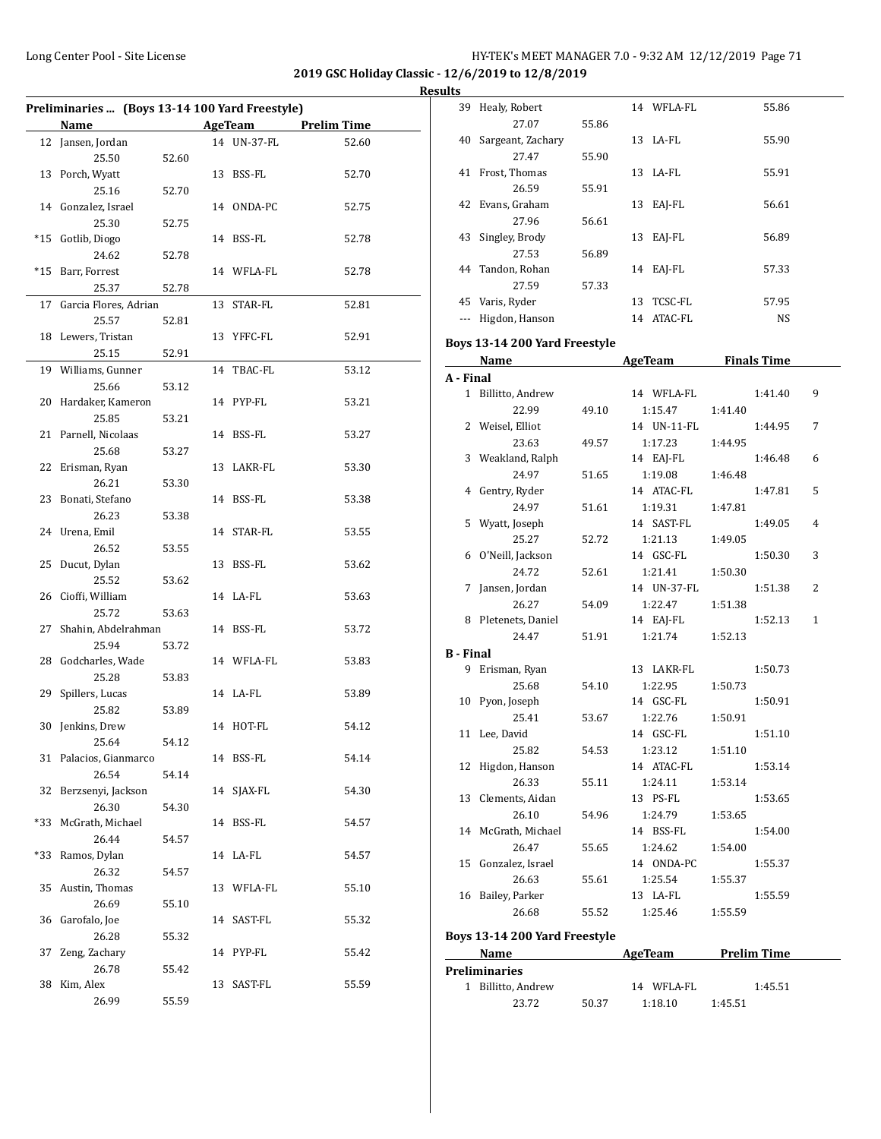**2019 GSC Holiday Classic - 12/6/2019 to 12/8/2019 Results**

|       | Preliminaries  (Boys 13-14 100 Yard Freestyle) |       |             |                    |
|-------|------------------------------------------------|-------|-------------|--------------------|
|       | <b>Name</b>                                    |       | AgeTeam     | <b>Prelim Time</b> |
|       | 12 Jansen, Jordan                              |       | 14 UN-37-FL | 52.60              |
|       | 25.50                                          | 52.60 |             |                    |
|       | 13 Porch, Wyatt                                |       | 13 BSS-FL   | 52.70              |
|       | 25.16                                          | 52.70 |             |                    |
|       | 14 Gonzalez, Israel                            |       | 14 ONDA-PC  | 52.75              |
|       | 25.30                                          | 52.75 |             |                    |
| *15   | Gotlib, Diogo                                  |       | 14 BSS-FL   | 52.78              |
|       | 24.62                                          | 52.78 |             |                    |
| $*15$ | Barr, Forrest                                  |       | 14 WFLA-FL  | 52.78              |
|       | 25.37                                          | 52.78 |             |                    |
|       | 17 Garcia Flores, Adrian                       |       | 13 STAR-FL  | 52.81              |
|       | 25.57                                          | 52.81 |             |                    |
|       | 18 Lewers, Tristan                             |       | 13 YFFC-FL  | 52.91              |
|       | 25.15                                          | 52.91 |             |                    |
|       | 19 Williams, Gunner                            |       | 14 TBAC-FL  | 53.12              |
|       | 25.66                                          | 53.12 |             |                    |
|       | 20 Hardaker, Kameron                           |       | 14 PYP-FL   | 53.21              |
|       | 25.85                                          | 53.21 |             |                    |
|       | 21 Parnell, Nicolaas                           |       | 14 BSS-FL   | 53.27              |
|       | 25.68                                          | 53.27 |             |                    |
|       | 22 Erisman, Ryan                               |       | 13 LAKR-FL  | 53.30              |
|       | 26.21                                          | 53.30 |             |                    |
|       | 23 Bonati, Stefano                             |       | 14 BSS-FL   | 53.38              |
|       | 26.23                                          | 53.38 |             |                    |
|       | 24 Urena, Emil                                 |       | 14 STAR-FL  | 53.55              |
|       | 26.52                                          | 53.55 |             |                    |
|       | 25 Ducut, Dylan                                |       | 13 BSS-FL   | 53.62              |
|       | 25.52                                          | 53.62 |             |                    |
|       | 26 Cioffi, William                             |       | 14 LA-FL    | 53.63              |
|       | 25.72                                          | 53.63 |             |                    |
| 27    | Shahin, Abdelrahman                            |       | 14 BSS-FL   | 53.72              |
|       | 25.94                                          | 53.72 |             |                    |
|       | 28 Godcharles, Wade                            |       | 14 WFLA-FL  | 53.83              |
|       | 25.28                                          | 53.83 |             |                    |
|       | 29 Spillers, Lucas                             |       | 14 LA-FL    | 53.89              |
|       | 25.82                                          | 53.89 |             |                    |
|       | 30 Jenkins, Drew                               |       | 14 HOT-FL   | 54.12              |
|       | 25.64                                          | 54.12 |             |                    |
|       | 31 Palacios, Gianmarco                         |       | 14 BSS-FL   | 54.14              |
|       | 26.54                                          | 54.14 |             |                    |
|       | 32 Berzsenyi, Jackson                          |       | 14 SJAX-FL  | 54.30              |
|       | 26.30                                          | 54.30 |             |                    |
|       | *33 McGrath, Michael                           |       | 14 BSS-FL   | 54.57              |
|       | 26.44                                          | 54.57 |             |                    |
| *33   | Ramos, Dylan                                   |       | 14 LA-FL    | 54.57              |
|       | 26.32                                          | 54.57 |             |                    |
|       | 35 Austin, Thomas                              |       | 13 WFLA-FL  | 55.10              |
|       | 26.69                                          | 55.10 |             |                    |
|       | 36 Garofalo, Joe                               |       | 14 SAST-FL  | 55.32              |
|       | 26.28                                          | 55.32 |             |                    |
|       | 37 Zeng, Zachary                               |       | 14 PYP-FL   | 55.42              |
|       | 26.78                                          | 55.42 |             |                    |
|       | 38 Kim, Alex                                   |       | 13 SAST-FL  | 55.59              |
|       | 26.99                                          | 55.59 |             |                    |

| w  |                   |       |    |            |           |
|----|-------------------|-------|----|------------|-----------|
| 39 | Healy, Robert     |       |    | 14 WFLA-FL | 55.86     |
|    | 27.07             | 55.86 |    |            |           |
| 40 | Sargeant, Zachary |       | 13 | LA-FL      | 55.90     |
|    | 27.47             | 55.90 |    |            |           |
| 41 | Frost, Thomas     |       | 13 | LA-FL      | 55.91     |
|    | 26.59             | 55.91 |    |            |           |
| 42 | Evans, Graham     |       | 13 | EAI-FL     | 56.61     |
|    | 27.96             | 56.61 |    |            |           |
| 43 | Singley, Brody    |       | 13 | EAJ-FL     | 56.89     |
|    | 27.53             | 56.89 |    |            |           |
| 44 | Tandon, Rohan     |       | 14 | EAI-FL     | 57.33     |
|    | 27.59             | 57.33 |    |            |           |
| 45 | Varis, Ryder      |       | 13 | TCSC-FL    | 57.95     |
|    | Higdon, Hanson    |       | 14 | ATAC-FL    | <b>NS</b> |

# **Boys 13-14 200 Yard Freestyle**

|                  | Name                          | <b>AgeTeam</b> |                | <b>Finals Time</b> |   |  |
|------------------|-------------------------------|----------------|----------------|--------------------|---|--|
| A - Final        |                               |                |                |                    |   |  |
|                  | 1 Billitto, Andrew            |                | 14 WFLA-FL     | 1:41.40            | 9 |  |
|                  | 22.99                         | 49.10          | 1:15.47        | 1:41.40            |   |  |
| 2                | Weisel, Elliot                |                | 14 UN-11-FL    | 1:44.95            | 7 |  |
|                  | 23.63                         | 49.57          | 1:17.23        | 1:44.95            |   |  |
| 3                | Weakland, Ralph               |                | 14 EAJ-FL      | 1:46.48            | 6 |  |
|                  | 24.97                         | 51.65          | 1:19.08        | 1:46.48            |   |  |
| 4                | Gentry, Ryder                 |                | 14 ATAC-FL     | 1:47.81            | 5 |  |
|                  | 24.97                         | 51.61          | 1:19.31        | 1:47.81            |   |  |
| 5                | Wyatt, Joseph                 |                | 14 SAST-FL     | 1:49.05            | 4 |  |
|                  | 25.27                         | 52.72          | 1:21.13        | 1:49.05            |   |  |
| 6                | O'Neill, Jackson              |                | 14 GSC-FL      | 1:50.30            | 3 |  |
|                  | 24.72                         | 52.61          | 1:21.41        | 1:50.30            |   |  |
| 7                | Jansen, Jordan                |                | 14 UN-37-FL    | 1:51.38            | 2 |  |
|                  | 26.27                         | 54.09          | 1:22.47        | 1:51.38            |   |  |
|                  | 8 Pletenets, Daniel           |                | 14 EAJ-FL      | 1:52.13            | 1 |  |
|                  | 24.47                         | 51.91          | 1:21.74        | 1:52.13            |   |  |
| <b>B</b> - Final |                               |                |                |                    |   |  |
| 9                | Erisman, Ryan                 |                | 13 LAKR-FL     | 1:50.73            |   |  |
|                  | 25.68                         | 54.10          | 1:22.95        | 1:50.73            |   |  |
| 10               | Pyon, Joseph                  |                | 14 GSC-FL      | 1:50.91            |   |  |
|                  | 25.41                         | 53.67          | 1:22.76        | 1:50.91            |   |  |
|                  | 11 Lee, David                 |                | 14 GSC-FL      | 1:51.10            |   |  |
|                  | 25.82                         | 54.53          | 1:23.12        | 1:51.10            |   |  |
| 12               | Higdon, Hanson                |                | 14 ATAC-FL     | 1:53.14            |   |  |
|                  | 26.33                         | 55.11          | 1:24.11        | 1:53.14            |   |  |
| 13               | Clements, Aidan               |                | 13 PS-FL       | 1:53.65            |   |  |
|                  | 26.10                         | 54.96          | 1:24.79        | 1:53.65            |   |  |
|                  | 14 McGrath, Michael           |                | 14 BSS-FL      | 1:54.00            |   |  |
|                  | 26.47                         | 55.65          | 1:24.62        | 1:54.00            |   |  |
| 15               | Gonzalez, Israel              |                | 14 ONDA-PC     | 1:55.37            |   |  |
|                  | 26.63                         | 55.61          | 1:25.54        | 1:55.37            |   |  |
|                  | 16 Bailey, Parker             |                | 13 LA-FL       | 1:55.59            |   |  |
|                  | 26.68                         | 55.52          | 1:25.46        | 1:55.59            |   |  |
|                  | Boys 13-14 200 Yard Freestyle |                |                |                    |   |  |
|                  | Name                          |                | <b>AgeTeam</b> | <b>Prelim Time</b> |   |  |
|                  |                               |                |                |                    |   |  |

| маше                                                                                                        |  | лестеаш | ттении типе |  |
|-------------------------------------------------------------------------------------------------------------|--|---------|-------------|--|
| <b>Preliminaries</b><br>1 Billitto, Andrew<br>1:45.51<br>14 WFLA-FL<br>50.37<br>1:45.51<br>23.72<br>1:18.10 |  |         |             |  |
|                                                                                                             |  |         |             |  |
|                                                                                                             |  |         |             |  |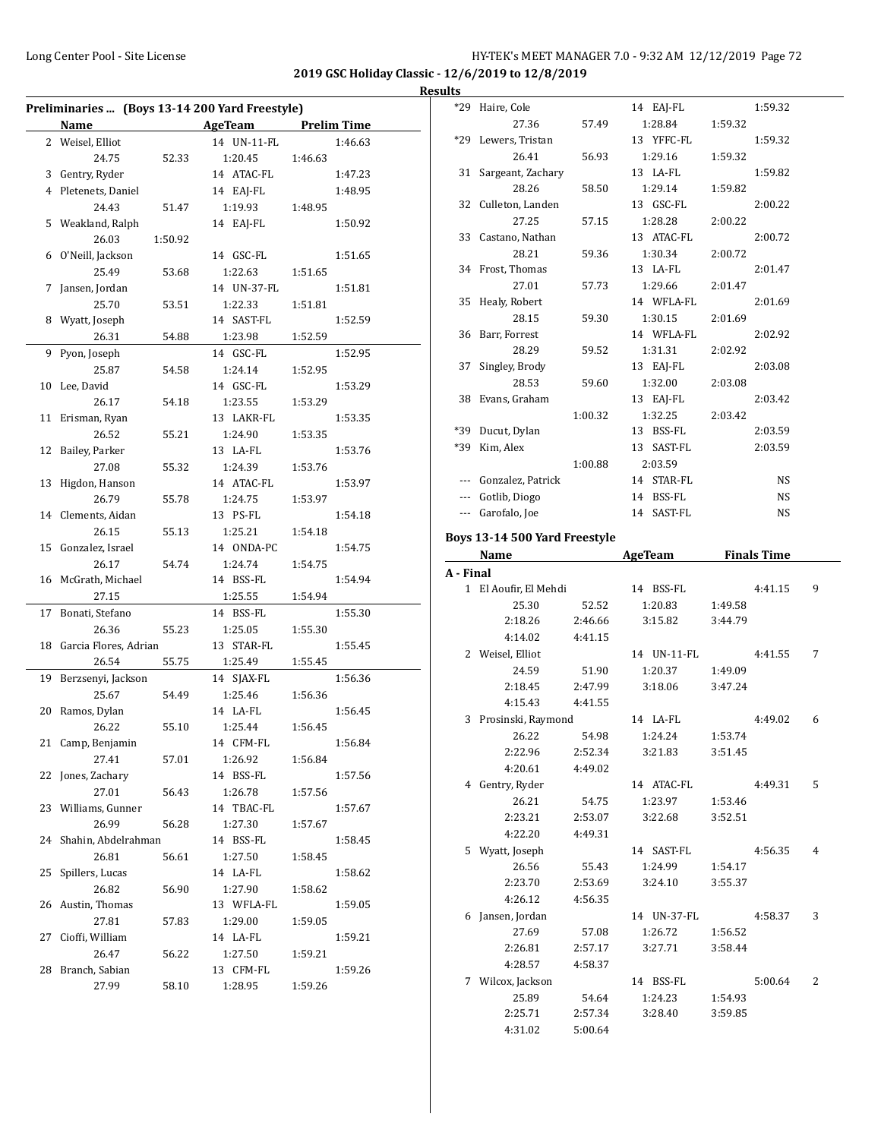**2019 GSC Holiday Classic - 12/6/2019 to 12/8/2019 Results**

|    | Preliminaries  (Boys 13-14 200 Yard Freestyle) |         |                       |         |                    |  |  |  |
|----|------------------------------------------------|---------|-----------------------|---------|--------------------|--|--|--|
|    | Name                                           |         | <b>AgeTeam</b>        |         | <b>Prelim Time</b> |  |  |  |
|    | 2 Weisel, Elliot                               |         | 14 UN-11-FL           |         | 1:46.63            |  |  |  |
|    | 24.75                                          | 52.33   | 1:20.45               | 1:46.63 |                    |  |  |  |
|    | 3 Gentry, Ryder                                |         | 14 ATAC-FL            |         | 1:47.23            |  |  |  |
| 4  | Pletenets, Daniel                              |         | 14 EAJ-FL             |         | 1:48.95            |  |  |  |
|    | 24.43                                          | 51.47   | 1:19.93               | 1:48.95 |                    |  |  |  |
| 5  | Weakland, Ralph                                |         | 14 EAJ-FL             |         | 1:50.92            |  |  |  |
|    | 26.03                                          | 1:50.92 |                       |         |                    |  |  |  |
| 6  | O'Neill, Jackson                               |         | 14 GSC-FL             |         | 1:51.65            |  |  |  |
|    | 25.49                                          | 53.68   | 1:22.63               | 1:51.65 |                    |  |  |  |
| 7  | Jansen, Jordan                                 |         | 14 UN-37-FL           |         | 1:51.81            |  |  |  |
|    | 25.70                                          | 53.51   | 1:22.33               | 1:51.81 |                    |  |  |  |
| 8  | Wyatt, Joseph                                  |         | 14 SAST-FL            |         | 1:52.59            |  |  |  |
|    | 26.31                                          | 54.88   | 1:23.98               | 1:52.59 |                    |  |  |  |
| 9  | Pyon, Joseph                                   |         | 14 GSC-FL             |         | 1:52.95            |  |  |  |
|    | 25.87                                          | 54.58   | 1:24.14               | 1:52.95 |                    |  |  |  |
| 10 | Lee, David                                     |         | 14 GSC-FL             |         | 1:53.29            |  |  |  |
|    | 26.17                                          | 54.18   | 1:23.55               | 1:53.29 |                    |  |  |  |
| 11 | Erisman, Ryan                                  |         | 13 LAKR-FL            |         | 1:53.35            |  |  |  |
|    | 26.52                                          | 55.21   | 1:24.90               | 1:53.35 |                    |  |  |  |
| 12 | Bailey, Parker                                 |         | 13 LA-FL              |         | 1:53.76            |  |  |  |
|    | 27.08                                          | 55.32   | 1:24.39               | 1:53.76 |                    |  |  |  |
| 13 | Higdon, Hanson                                 |         | 14 ATAC-FL            |         | 1:53.97            |  |  |  |
|    | 26.79                                          | 55.78   | 1:24.75               | 1:53.97 |                    |  |  |  |
| 14 | Clements, Aidan                                |         | 13 PS-FL              |         | 1:54.18            |  |  |  |
|    | 26.15                                          | 55.13   | 1:25.21               | 1:54.18 |                    |  |  |  |
| 15 | Gonzalez, Israel                               |         | 14 ONDA-PC            |         | 1:54.75            |  |  |  |
|    | 26.17                                          | 54.74   | 1:24.74               | 1:54.75 |                    |  |  |  |
| 16 | McGrath, Michael                               |         | 14 BSS-FL             |         | 1:54.94            |  |  |  |
|    | 27.15                                          |         | 1:25.55               | 1:54.94 |                    |  |  |  |
| 17 | Bonati, Stefano                                |         | 14 BSS-FL             |         | 1:55.30            |  |  |  |
|    | 26.36                                          | 55.23   | 1:25.05               | 1:55.30 |                    |  |  |  |
| 18 | Garcia Flores, Adrian                          |         | 13 STAR-FL            |         | 1:55.45            |  |  |  |
|    | 26.54                                          | 55.75   | 1:25.49               | 1:55.45 |                    |  |  |  |
| 19 | Berzsenyi, Jackson                             |         | 14 SJAX-FL            |         | 1:56.36            |  |  |  |
|    | 25.67                                          | 54.49   | 1:25.46               | 1:56.36 |                    |  |  |  |
| 20 | Ramos, Dylan                                   |         | 14 LA-FL              |         | 1:56.45            |  |  |  |
|    | 26.22                                          | 55.10   | 1:25.44               | 1:56.45 |                    |  |  |  |
|    | 21 Camp, Benjamin                              |         | 14 CFM-FL             |         | 1:56.84            |  |  |  |
|    | 27.41                                          | 57.01   | 1:26.92               | 1:56.84 |                    |  |  |  |
| 22 | Jones, Zachary                                 |         | 14 BSS-FL             |         | 1:57.56            |  |  |  |
|    | 27.01                                          | 56.43   | 1:26.78               | 1:57.56 |                    |  |  |  |
|    | 23 Williams, Gunner                            |         | 14 TBAC-FL            |         | 1:57.67            |  |  |  |
|    | 26.99                                          | 56.28   | 1:27.30               | 1:57.67 |                    |  |  |  |
| 24 | Shahin, Abdelrahman                            |         | 14 BSS-FL             |         | 1:58.45            |  |  |  |
|    | 26.81                                          | 56.61   | 1:27.50               | 1:58.45 |                    |  |  |  |
| 25 | Spillers, Lucas                                |         | 14 LA-FL              |         | 1:58.62            |  |  |  |
|    | 26.82                                          | 56.90   | 1:27.90               |         |                    |  |  |  |
|    |                                                |         |                       | 1:58.62 |                    |  |  |  |
| 26 | Austin, Thomas<br>27.81                        |         | 13 WFLA-FL<br>1:29.00 |         | 1:59.05            |  |  |  |
| 27 | Cioffi, William                                | 57.83   | 14 LA-FL              | 1:59.05 | 1:59.21            |  |  |  |
|    | 26.47                                          |         | 1:27.50               |         |                    |  |  |  |
| 28 |                                                | 56.22   |                       | 1:59.21 |                    |  |  |  |
|    | Branch, Sabian                                 |         | 13 CFM-FL             |         | 1:59.26            |  |  |  |
|    | 27.99                                          | 58.10   | 1:28.95               | 1:59.26 |                    |  |  |  |

| $*29$ | Haire, Cole          |         | 14 EAJ-FL     |         | 1:59.32   |
|-------|----------------------|---------|---------------|---------|-----------|
|       | 27.36                | 57.49   | 1:28.84       | 1:59.32 |           |
|       | *29 Lewers, Tristan  |         | 13 YFFC-FL    |         | 1:59.32   |
|       | 26.41                | 56.93   | 1:29.16       | 1:59.32 |           |
|       | 31 Sargeant, Zachary |         | 13 LA-FL      |         | 1:59.82   |
|       | 28.26                | 58.50   | 1:29.14       | 1:59.82 |           |
|       | 32 Culleton, Landen  |         | 13 GSC-FL     |         | 2:00.22   |
|       | 27.25                | 57.15   | 1:28.28       | 2:00.22 |           |
|       | 33 Castano, Nathan   |         | 13 ATAC-FL    |         | 2:00.72   |
|       | 28.21                | 59.36   | 1:30.34       | 2:00.72 |           |
|       | 34 Frost, Thomas     |         | 13 LA-FL      |         | 2:01.47   |
|       | 27.01                | 57.73   | 1:29.66       | 2:01.47 |           |
|       | 35 Healy, Robert     |         | 14 WFLA-FL    |         | 2:01.69   |
|       | 28.15                | 59.30   | 1:30.15       | 2:01.69 |           |
|       | 36 Barr, Forrest     |         | 14 WFLA-FL    |         | 2:02.92   |
|       | 28.29                | 59.52   | 1:31.31       | 2:02.92 |           |
| 37    | Singley, Brody       |         | 13 EAJ-FL     |         | 2:03.08   |
|       | 28.53                | 59.60   | 1:32.00       | 2:03.08 |           |
| 38    | Evans, Graham        |         | 13 EAI-FL     |         | 2:03.42   |
|       |                      | 1:00.32 | 1:32.25       | 2:03.42 |           |
| *39   | Ducut, Dylan         |         | 13 BSS-FL     |         | 2:03.59   |
| *39   | Kim, Alex            |         | SAST-FL<br>13 |         | 2:03.59   |
|       |                      | 1:00.88 | 2:03.59       |         |           |
|       | Gonzalez, Patrick    |         | 14 STAR-FL    |         | <b>NS</b> |
|       | Gotlib, Diogo        |         | 14 BSS-FL     |         | <b>NS</b> |
| $---$ | Garofalo, Joe        |         | 14 SAST-FL    |         | <b>NS</b> |
|       |                      |         |               |         |           |

### **Boys 13-14 500 Yard Freestyle**

| Name      |                       |         | <b>AgeTeam</b> | <b>Finals Time</b> |         |                |
|-----------|-----------------------|---------|----------------|--------------------|---------|----------------|
| A - Final |                       |         |                |                    |         |                |
|           | 1 El Aoufir, El Mehdi |         | 14 BSS-FL      |                    | 4:41.15 | 9              |
|           | 25.30                 | 52.52   | 1:20.83        | 1:49.58            |         |                |
|           | 2:18.26               | 2:46.66 | 3:15.82        | 3:44.79            |         |                |
|           | 4:14.02               | 4:41.15 |                |                    |         |                |
|           | 2 Weisel, Elliot      |         | 14 UN-11-FL    |                    | 4:41.55 | 7              |
|           | 24.59                 | 51.90   | 1:20.37        | 1:49.09            |         |                |
|           | 2:18.45               | 2:47.99 | 3:18.06        | 3:47.24            |         |                |
|           | 4:15.43               | 4:41.55 |                |                    |         |                |
| 3         | Prosinski, Raymond    |         | 14 LA-FL       |                    | 4:49.02 | 6              |
|           | 26.22                 | 54.98   | 1:24.24        | 1:53.74            |         |                |
|           | 2:22.96               | 2:52.34 | 3:21.83        | 3:51.45            |         |                |
|           | 4:20.61               | 4:49.02 |                |                    |         |                |
|           | 4 Gentry, Ryder       |         | 14 ATAC-FL     |                    | 4:49.31 | 5              |
|           | 26.21                 | 54.75   | 1:23.97        | 1:53.46            |         |                |
|           | 2:23.21               | 2:53.07 | 3:22.68        | 3:52.51            |         |                |
|           | 4:22.20               | 4:49.31 |                |                    |         |                |
| 5.        | Wyatt, Joseph         |         | 14 SAST-FL     |                    | 4:56.35 | 4              |
|           | 26.56                 | 55.43   | 1:24.99        | 1:54.17            |         |                |
|           | 2:23.70               | 2:53.69 | 3:24.10        | 3:55.37            |         |                |
|           | 4:26.12               | 4:56.35 |                |                    |         |                |
| 6         | Jansen, Jordan        |         | 14 UN-37-FL    |                    | 4:58.37 | 3              |
|           | 27.69                 | 57.08   | 1:26.72        | 1:56.52            |         |                |
|           | 2:26.81               | 2:57.17 | 3:27.71        | 3:58.44            |         |                |
|           | 4:28.57               | 4:58.37 |                |                    |         |                |
|           | 7 Wilcox, Jackson     |         | 14 BSS-FL      |                    | 5:00.64 | $\overline{2}$ |
|           | 25.89                 | 54.64   | 1:24.23        | 1:54.93            |         |                |
|           | 2:25.71               | 2:57.34 | 3:28.40        | 3:59.85            |         |                |
|           | 4:31.02               | 5:00.64 |                |                    |         |                |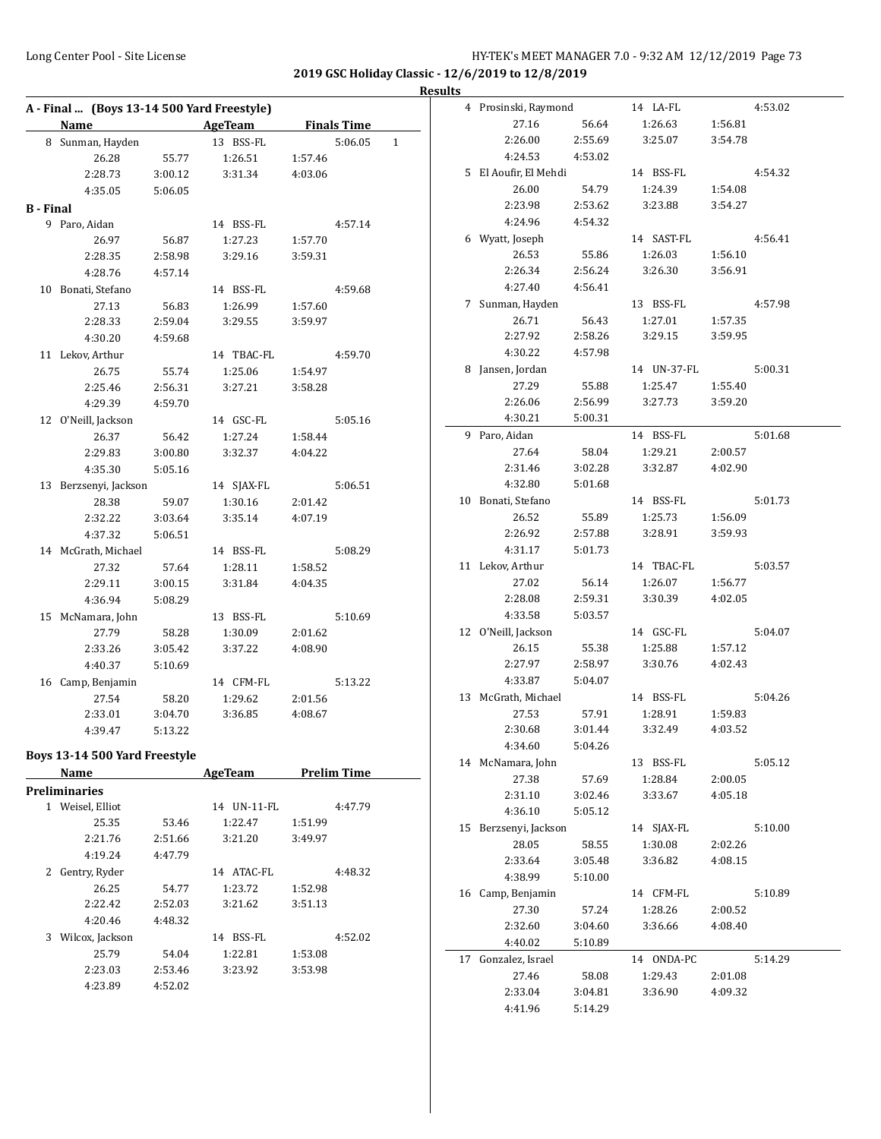**Results**

|                  | A - Final  (Boys 13-14 500 Yard Freestyle)<br>Name AgeTeam Finals Time |                    |                |         |                    |   |
|------------------|------------------------------------------------------------------------|--------------------|----------------|---------|--------------------|---|
|                  | 8 Sunman, Hayden                                                       |                    | 13 BSS-FL      |         | 5:06.05            | 1 |
|                  | 26.28                                                                  | 55.77              | 1:26.51        | 1:57.46 |                    |   |
|                  | 2:28.73                                                                | 3:00.12            | 3:31.34        | 4:03.06 |                    |   |
|                  | 4:35.05                                                                | 5:06.05            |                |         |                    |   |
| <b>B</b> - Final |                                                                        |                    |                |         |                    |   |
|                  | 9 Paro, Aidan                                                          |                    | 14 BSS-FL      |         | 4:57.14            |   |
|                  | 26.97                                                                  | 56.87              | 1:27.23        | 1:57.70 |                    |   |
|                  | 2:28.35                                                                | 2:58.98            | 3:29.16        | 3:59.31 |                    |   |
|                  | 4:28.76                                                                | 4:57.14            |                |         |                    |   |
|                  | 10 Bonati, Stefano                                                     |                    | 14 BSS-FL      |         | 4:59.68            |   |
|                  | 27.13                                                                  | 56.83              | 1:26.99        | 1:57.60 |                    |   |
|                  | 2:28.33                                                                | 2:59.04            | 3:29.55        | 3:59.97 |                    |   |
|                  | 4:30.20                                                                | 4:59.68            |                |         |                    |   |
|                  | 11 Lekov, Arthur                                                       |                    | 14 TBAC-FL     |         | 4:59.70            |   |
|                  |                                                                        |                    |                |         |                    |   |
|                  | 26.75<br>2:25.46                                                       | 55.74              | 1:25.06        | 1:54.97 |                    |   |
|                  |                                                                        | 2:56.31<br>4:59.70 | 3:27.21        | 3:58.28 |                    |   |
|                  | 4:29.39                                                                |                    |                |         |                    |   |
|                  | 12 O'Neill, Jackson                                                    |                    | 14 GSC-FL      |         | 5:05.16            |   |
|                  | 26.37                                                                  | 56.42              | 1:27.24        | 1:58.44 |                    |   |
|                  | 2:29.83                                                                | 3:00.80            | 3:32.37        | 4:04.22 |                    |   |
|                  | 4:35.30                                                                | 5:05.16            |                |         |                    |   |
|                  | 13 Berzsenyi, Jackson                                                  |                    | 14 SJAX-FL     |         | 5:06.51            |   |
|                  | 28.38                                                                  | 59.07              | 1:30.16        | 2:01.42 |                    |   |
|                  | 2:32.22                                                                | 3:03.64            | 3:35.14        | 4:07.19 |                    |   |
|                  | 4:37.32                                                                | 5:06.51            |                |         |                    |   |
|                  | 14 McGrath, Michael                                                    |                    | 14 BSS-FL      |         | 5:08.29            |   |
|                  | 27.32                                                                  | 57.64              | 1:28.11        | 1:58.52 |                    |   |
|                  | 2:29.11                                                                | 3:00.15            | 3:31.84        | 4:04.35 |                    |   |
|                  | 4:36.94                                                                | 5:08.29            |                |         |                    |   |
|                  | 15 McNamara, John                                                      |                    | 13 BSS-FL      |         | 5:10.69            |   |
|                  | 27.79                                                                  | 58.28              | 1:30.09        | 2:01.62 |                    |   |
|                  | 2:33.26                                                                | 3:05.42            | 3:37.22        | 4:08.90 |                    |   |
|                  | 4:40.37                                                                | 5:10.69            |                |         |                    |   |
|                  | 16 Camp, Benjamin                                                      |                    | 14 CFM-FL      |         | 5:13.22            |   |
|                  | 27.54                                                                  | 58.20              | 1:29.62        | 2:01.56 |                    |   |
|                  | 2:33.01                                                                | 3:04.70            | 3:36.85        | 4:08.67 |                    |   |
|                  | 4:39.47                                                                | 5:13.22            |                |         |                    |   |
|                  | Boys 13-14 500 Yard Freestyle                                          |                    |                |         |                    |   |
|                  | Name                                                                   |                    |                |         | <b>Prelim Time</b> |   |
|                  |                                                                        |                    | <b>AgeTeam</b> |         |                    |   |
|                  | <b>Preliminaries</b>                                                   |                    |                |         |                    |   |
|                  | 1 Weisel, Elliot                                                       |                    | 14 UN-11-FL    |         | 4:47.79            |   |
|                  | 25.35                                                                  | 53.46              | 1:22.47        | 1:51.99 |                    |   |
|                  | 2:21.76                                                                | 2:51.66            | 3:21.20        | 3:49.97 |                    |   |
|                  | 4:19.24                                                                | 4:47.79            |                |         |                    |   |
|                  | 2 Gentry, Ryder                                                        |                    | 14 ATAC-FL     |         | 4:48.32            |   |
|                  | 26.25                                                                  | 54.77              | 1:23.72        | 1:52.98 |                    |   |
|                  | 2:22.42                                                                | 2:52.03            | 3:21.62        | 3:51.13 |                    |   |
|                  | 4:20.46                                                                | 4:48.32            |                |         |                    |   |
|                  | 3 Wilcox, Jackson                                                      |                    | 14 BSS-FL      |         | 4:52.02            |   |
|                  | 25.79                                                                  | 54.04              | 1:22.81        | 1:53.08 |                    |   |
|                  | 2:23.03                                                                | 2:53.46            | 3:23.92        | 3:53.98 |                    |   |
|                  | 4:23.89                                                                | 4:52.02            |                |         |                    |   |

|    | 4 Prosinski, Raymond  |         | 14 LA-FL    |         | 4:53.02 |
|----|-----------------------|---------|-------------|---------|---------|
|    | 27.16                 | 56.64   | 1:26.63     | 1:56.81 |         |
|    | 2:26.00               | 2:55.69 | 3:25.07     | 3:54.78 |         |
|    | 4:24.53               | 4:53.02 |             |         |         |
|    | 5 El Aoufir, El Mehdi |         | 14 BSS-FL   |         | 4:54.32 |
|    |                       |         |             |         |         |
|    | 26.00                 | 54.79   | 1:24.39     | 1:54.08 |         |
|    | 2:23.98               | 2:53.62 | 3:23.88     | 3:54.27 |         |
|    | 4:24.96               | 4:54.32 |             |         |         |
|    | 6 Wyatt, Joseph       |         | 14 SAST-FL  |         | 4:56.41 |
|    | 26.53                 | 55.86   | 1:26.03     | 1:56.10 |         |
|    | 2:26.34               | 2:56.24 | 3:26.30     | 3:56.91 |         |
|    | 4:27.40               | 4:56.41 |             |         |         |
|    | 7 Sunman, Hayden      |         | 13 BSS-FL   |         | 4:57.98 |
|    | 26.71                 | 56.43   | 1:27.01     | 1:57.35 |         |
|    | 2:27.92               | 2:58.26 | 3:29.15     | 3:59.95 |         |
|    | 4:30.22               | 4:57.98 |             |         |         |
|    | 8 Jansen, Jordan      |         | 14 UN-37-FL |         | 5:00.31 |
|    | 27.29                 | 55.88   | 1:25.47     | 1:55.40 |         |
|    | 2:26.06               | 2:56.99 | 3:27.73     | 3:59.20 |         |
|    | 4:30.21               | 5:00.31 |             |         |         |
|    | 9 Paro, Aidan         |         | 14 BSS-FL   |         | 5:01.68 |
|    | 27.64                 | 58.04   | 1:29.21     | 2:00.57 |         |
|    | 2:31.46               | 3:02.28 | 3:32.87     | 4:02.90 |         |
|    | 4:32.80               | 5:01.68 |             |         |         |
| 10 | Bonati, Stefano       |         | 14 BSS-FL   |         | 5:01.73 |
|    | 26.52                 | 55.89   | 1:25.73     | 1:56.09 |         |
|    | 2:26.92               | 2:57.88 | 3:28.91     | 3:59.93 |         |
|    | 4:31.17               | 5:01.73 |             |         |         |
|    | 11 Lekov, Arthur      |         | 14 TBAC-FL  |         | 5:03.57 |
|    | 27.02                 | 56.14   | 1:26.07     | 1:56.77 |         |
|    | 2:28.08               | 2:59.31 | 3:30.39     | 4:02.05 |         |
|    | 4:33.58               | 5:03.57 |             |         |         |
| 12 | O'Neill, Jackson      |         | 14 GSC-FL   |         | 5:04.07 |
|    | 26.15                 | 55.38   | 1:25.88     | 1:57.12 |         |
|    | 2:27.97               | 2:58.97 | 3:30.76     | 4:02.43 |         |
|    | 4:33.87               | 5:04.07 |             |         |         |
|    | 13 McGrath, Michael   |         | 14 BSS-FL   |         | 5:04.26 |
|    | 27.53                 | 57.91   | 1:28.91     | 1:59.83 |         |
|    | 2:30.68               | 3:01.44 | 3:32.49     | 4:03.52 |         |
|    | 4:34.60               | 5:04.26 |             |         |         |
| 14 | McNamara, John        |         | 13 BSS-FL   |         | 5:05.12 |
|    | 27.38                 | 57.69   | 1:28.84     | 2:00.05 |         |
|    | 2:31.10               | 3:02.46 | 3:33.67     | 4:05.18 |         |
|    | 4:36.10               | 5:05.12 |             |         |         |
|    |                       |         |             |         |         |
| 15 | Berzsenyi, Jackson    |         | 14 SJAX-FL  |         | 5:10.00 |
|    | 28.05                 | 58.55   | 1:30.08     | 2:02.26 |         |
|    | 2:33.64               | 3:05.48 | 3:36.82     | 4:08.15 |         |
|    | 4:38.99               | 5:10.00 |             |         |         |
| 16 | Camp, Benjamin        |         | 14 CFM-FL   |         | 5:10.89 |
|    | 27.30                 | 57.24   | 1:28.26     | 2:00.52 |         |
|    | 2:32.60               | 3:04.60 | 3:36.66     | 4:08.40 |         |
|    | 4:40.02               | 5:10.89 |             |         |         |
| 17 | Gonzalez, Israel      |         | 14 ONDA-PC  |         | 5:14.29 |
|    | 27.46                 | 58.08   | 1:29.43     | 2:01.08 |         |
|    | 2:33.04               | 3:04.81 | 3:36.90     | 4:09.32 |         |
|    | 4:41.96               | 5:14.29 |             |         |         |
|    |                       |         |             |         |         |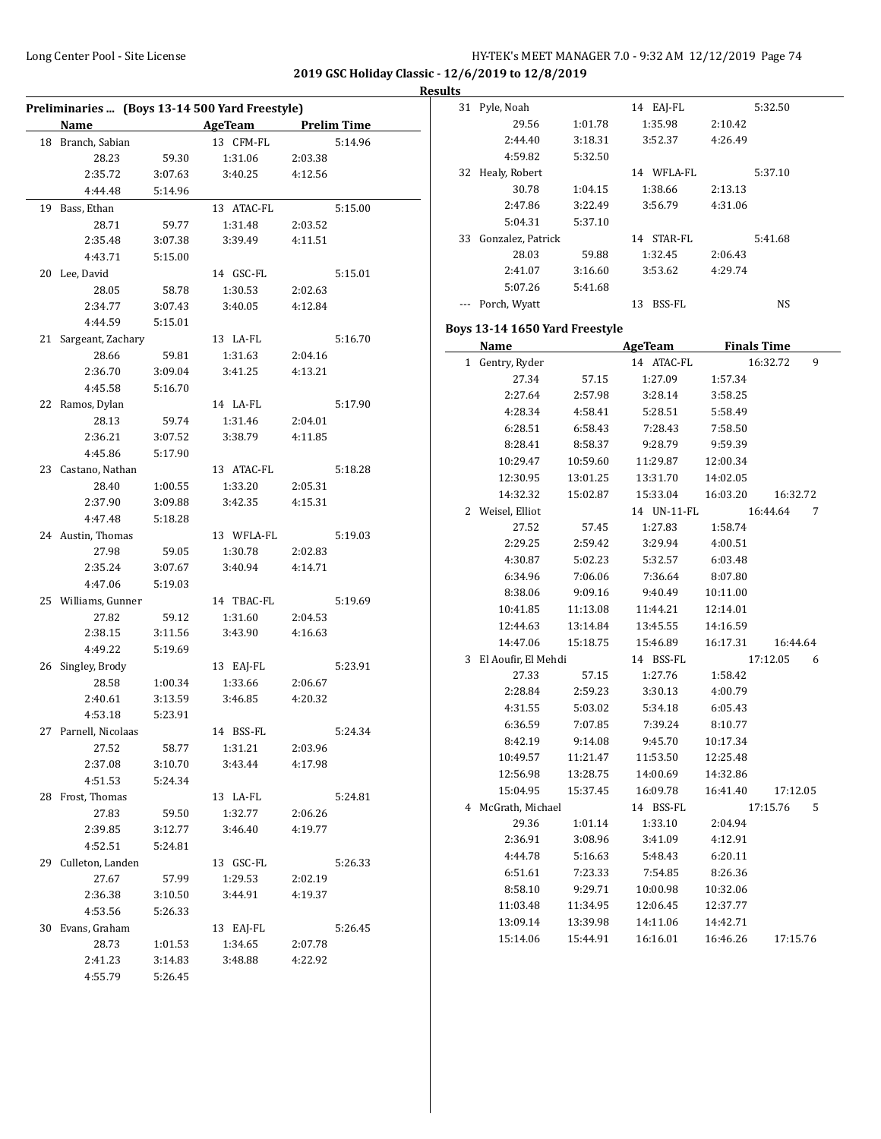$\overline{\phantom{a}}$ 

|  | Results |  |
|--|---------|--|
|--|---------|--|

| Preliminaries  (Boys 13-14 500 Yard Freestyle) |                      |                    |                                       |                    |         |  |  |
|------------------------------------------------|----------------------|--------------------|---------------------------------------|--------------------|---------|--|--|
|                                                | Name                 |                    | <b>Example 21 AgeTeam</b> Prelim Time |                    |         |  |  |
|                                                | 18 Branch, Sabian    |                    | 13 CFM-FL                             |                    | 5:14.96 |  |  |
|                                                | 28.23                | 59.30              | 1:31.06                               | 2:03.38            |         |  |  |
|                                                | 2:35.72              | 3:07.63            | 3:40.25                               | 4:12.56            |         |  |  |
|                                                | 4:44.48              | 5:14.96            |                                       |                    |         |  |  |
| 19                                             | Bass, Ethan          |                    | 13 ATAC-FL                            |                    | 5:15.00 |  |  |
|                                                | 28.71                | 59.77              | 1:31.48                               | 2:03.52            |         |  |  |
|                                                | 2:35.48              | 3:07.38            | 3:39.49                               | 4:11.51            |         |  |  |
|                                                | 4:43.71              | 5:15.00            |                                       |                    |         |  |  |
|                                                | 20 Lee, David        |                    | 14 GSC-FL                             |                    | 5:15.01 |  |  |
|                                                | 28.05                | 58.78              | 1:30.53                               | 2:02.63            |         |  |  |
|                                                | 2:34.77              | 3:07.43            | 3:40.05                               | 4:12.84            |         |  |  |
|                                                | 4:44.59              | 5:15.01            |                                       |                    |         |  |  |
| 21                                             | Sargeant, Zachary    |                    | 13 LA-FL                              |                    | 5:16.70 |  |  |
|                                                | 28.66                | 59.81              | 1:31.63                               | 2:04.16            |         |  |  |
|                                                | 2:36.70              | 3:09.04            | 3:41.25                               | 4:13.21            |         |  |  |
|                                                | 4:45.58              | 5:16.70            |                                       |                    |         |  |  |
|                                                | 22 Ramos, Dylan      |                    | 14 LA-FL                              |                    | 5:17.90 |  |  |
|                                                | 28.13                | 59.74              | 1:31.46                               | 2:04.01            |         |  |  |
|                                                | 2:36.21              | 3:07.52            | 3:38.79                               | 4:11.85            |         |  |  |
|                                                | 4:45.86              | 5:17.90            |                                       |                    |         |  |  |
|                                                | 23 Castano, Nathan   |                    | 13 ATAC-FL                            |                    | 5:18.28 |  |  |
|                                                | 28.40                | 1:00.55            | 1:33.20                               | 2:05.31            |         |  |  |
|                                                | 2:37.90              | 3:09.88            | 3:42.35                               | 4:15.31            |         |  |  |
|                                                | 4:47.48              | 5:18.28            |                                       |                    |         |  |  |
|                                                | 24 Austin, Thomas    |                    | 13 WFLA-FL                            |                    | 5:19.03 |  |  |
|                                                | 27.98                | 59.05              | 1:30.78                               | 2:02.83            |         |  |  |
|                                                | 2:35.24              | 3:07.67            | 3:40.94                               | 4:14.71            |         |  |  |
|                                                | 4:47.06              | 5:19.03            |                                       |                    |         |  |  |
|                                                | 25 Williams, Gunner  |                    | 14 TBAC-FL                            |                    | 5:19.69 |  |  |
|                                                | 27.82                | 59.12              | 1:31.60                               |                    |         |  |  |
|                                                | 2:38.15              | 3:11.56            | 3:43.90                               | 2:04.53<br>4:16.63 |         |  |  |
|                                                | 4:49.22              | 5:19.69            |                                       |                    |         |  |  |
|                                                | 26 Singley, Brody    |                    |                                       |                    | 5:23.91 |  |  |
|                                                | 28.58                |                    | 13 EAJ-FL<br>1:33.66                  | 2:06.67            |         |  |  |
|                                                |                      | 1:00.34            | 3:46.85                               | 4:20.32            |         |  |  |
|                                                | 2:40.61              | 3:13.59<br>5:23.91 |                                       |                    |         |  |  |
|                                                | 4:53.18              |                    | 14 BSS-FL                             |                    |         |  |  |
|                                                | 27 Parnell, Nicolaas |                    |                                       |                    | 5:24.34 |  |  |
|                                                | 27.52                | 58.77              | 1:31.21                               | 2:03.96<br>4:17.98 |         |  |  |
|                                                | 2:37.08              | 3:10.70            | 3:43.44                               |                    |         |  |  |
|                                                | 4:51.53              | 5:24.34            |                                       |                    |         |  |  |
|                                                | 28 Frost, Thomas     |                    | 13 LA-FL                              |                    | 5:24.81 |  |  |
|                                                | 27.83                | 59.50              | 1:32.77                               | 2:06.26            |         |  |  |
|                                                | 2:39.85              | 3:12.77            | 3:46.40                               | 4:19.77            |         |  |  |
|                                                | 4:52.51              | 5:24.81            |                                       |                    |         |  |  |
|                                                | 29 Culleton, Landen  |                    | 13 GSC-FL                             |                    | 5:26.33 |  |  |
|                                                | 27.67                | 57.99              | 1:29.53                               | 2:02.19            |         |  |  |
|                                                | 2:36.38              | 3:10.50            | 3:44.91                               | 4:19.37            |         |  |  |
|                                                | 4:53.56              | 5:26.33            |                                       |                    |         |  |  |
| 30                                             | Evans, Graham        |                    | 13 EAJ-FL                             |                    | 5:26.45 |  |  |
|                                                | 28.73                | 1:01.53            | 1:34.65                               | 2:07.78            |         |  |  |
|                                                | 2:41.23              | 3:14.83            | 3:48.88                               | 4:22.92            |         |  |  |
|                                                | 4:55.79              | 5:26.45            |                                       |                    |         |  |  |

| 31 | Pyle, Noah                     |          | 14 EAJ-FL                |          | 5:32.50         |
|----|--------------------------------|----------|--------------------------|----------|-----------------|
|    | 29.56                          | 1:01.78  | 1:35.98                  | 2:10.42  |                 |
|    | 2:44.40                        | 3:18.31  | 3:52.37                  | 4:26.49  |                 |
|    | 4:59.82                        | 5:32.50  |                          |          |                 |
| 32 | Healy, Robert                  |          | 14 WFLA-FL               |          | 5:37.10         |
|    | 30.78                          | 1:04.15  | 1:38.66                  | 2:13.13  |                 |
|    | 2:47.86                        | 3:22.49  | 3:56.79                  | 4:31.06  |                 |
|    | 5:04.31                        | 5:37.10  |                          |          |                 |
| 33 | Gonzalez, Patrick              |          | 14 STAR-FL               |          | 5:41.68         |
|    | 28.03                          | 59.88    | 1:32.45                  | 2:06.43  |                 |
|    | 2:41.07                        | 3:16.60  | 3:53.62                  | 4:29.74  |                 |
|    | 5:07.26                        | 5:41.68  |                          |          |                 |
|    | --- Porch, Wyatt               |          | 13 BSS-FL                |          | NS              |
|    | Boys 13-14 1650 Yard Freestyle |          |                          |          |                 |
|    |                                |          | Name AgeTeam Finals Time |          |                 |
|    | 1 Gentry, Ryder                |          | 14 ATAC-FL               |          | 16:32.72<br>9   |
|    | 27.34                          | 57.15    | 1:27.09                  | 1:57.34  |                 |
|    | 2:27.64                        | 2:57.98  | 3:28.14                  | 3:58.25  |                 |
|    | 4:28.34                        | 4:58.41  | 5:28.51                  | 5:58.49  |                 |
|    | 6:28.51                        | 6:58.43  | 7:28.43                  | 7:58.50  |                 |
|    | 8:28.41                        | 8:58.37  | 9:28.79                  | 9:59.39  |                 |
|    | 10:29.47                       | 10:59.60 | 11:29.87                 | 12:00.34 |                 |
|    | 12:30.95                       | 13:01.25 | 13:31.70                 | 14:02.05 |                 |
|    | 14:32.32                       | 15:02.87 | 15:33.04                 | 16:03.20 | 16:32.72        |
|    | 2 Weisel, Elliot               |          | 14 UN-11-FL              |          | 16:44.64<br>7   |
|    | 27.52                          | 57.45    | 1:27.83                  | 1:58.74  |                 |
|    | 2:29.25                        | 2:59.42  | 3:29.94                  | 4:00.51  |                 |
|    | 4:30.87                        | 5:02.23  | 5:32.57                  | 6:03.48  |                 |
|    | 6:34.96                        | 7:06.06  | 7:36.64                  | 8:07.80  |                 |
|    | 8:38.06                        | 9:09.16  | 9:40.49                  | 10:11.00 |                 |
|    | 10:41.85                       | 11:13.08 | 11:44.21                 | 12:14.01 |                 |
|    | 12:44.63                       | 13:14.84 | 13:45.55                 | 14:16.59 |                 |
|    | 14:47.06                       | 15:18.75 | 15:46.89                 | 16:17.31 | 16:44.64        |
|    | 3 El Aoufir, El Mehdi          |          | 14 BSS-FL                |          | 17:12.05<br>6   |
|    | 27.33                          | 57.15    | 1:27.76                  | 1:58.42  |                 |
|    | 2:28.84                        | 2:59.23  | 3:30.13                  | 4:00.79  |                 |
|    | 4:31.55                        | 5:03.02  | 5:34.18                  | 6:05.43  |                 |
|    | 6:36.59                        | 7:07.85  | 7:39.24                  | 8:10.77  |                 |
|    | 8:42.19                        | 9:14.08  | 9:45.70                  | 10:17.34 |                 |
|    | 10:49.57                       | 11:21.47 | 11:53.50                 | 12:25.48 |                 |
|    | 12:56.98                       | 13:28.75 | 14:00.69                 | 14:32.86 |                 |
|    | 15:04.95                       | 15:37.45 | 16:09.78                 | 16:41.40 | 17:12.05        |
|    | 4 McGrath, Michael             |          | 14 BSS-FL                |          | 17:15.76<br>- 5 |
|    | 29.36                          | 1:01.14  | 1:33.10                  | 2:04.94  |                 |
|    | 2:36.91                        | 3:08.96  | 3:41.09                  | 4:12.91  |                 |
|    | 4:44.78                        | 5:16.63  | 5:48.43                  | 6:20.11  |                 |
|    | 6:51.61                        | 7:23.33  | 7:54.85                  | 8:26.36  |                 |
|    | 8:58.10                        | 9:29.71  | 10:00.98                 | 10:32.06 |                 |
|    | 11:03.48                       | 11:34.95 | 12:06.45                 | 12:37.77 |                 |
|    | 13:09.14                       | 13:39.98 | 14:11.06                 | 14:42.71 |                 |
|    | 15:14.06                       | 15:44.91 | 16:16.01                 | 16:46.26 | 17:15.76        |
|    |                                |          |                          |          |                 |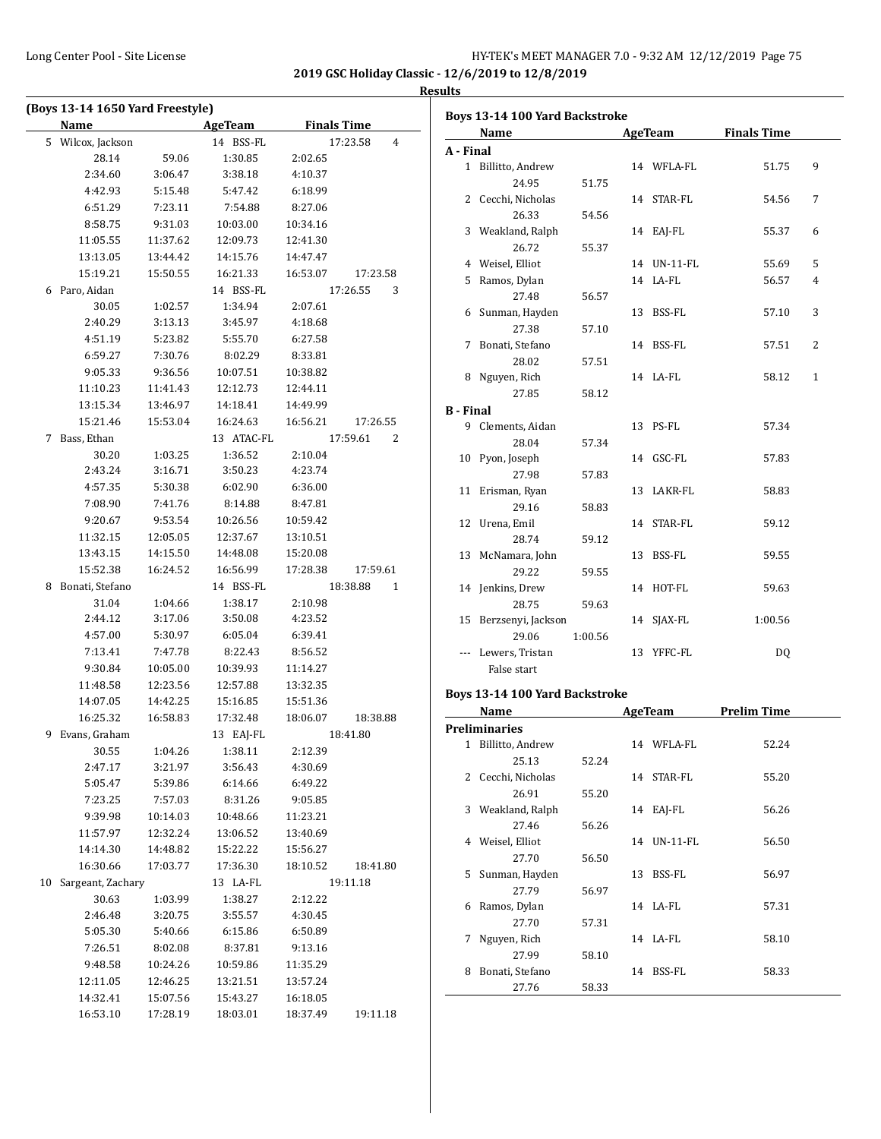|    | (Boys 13-14 1650 Yard Freestyle) |          |                |                      |
|----|----------------------------------|----------|----------------|----------------------|
|    | Name                             |          | <b>AgeTeam</b> | <b>Finals Time</b>   |
|    | 5 Wilcox, Jackson                |          | 14 BSS-FL      | 17:23.58<br>4        |
|    | 28.14                            | 59.06    | 1:30.85        | 2:02.65              |
|    | 2:34.60                          | 3:06.47  | 3:38.18        | 4:10.37              |
|    | 4:42.93                          | 5:15.48  | 5:47.42        | 6:18.99              |
|    | 6:51.29                          | 7:23.11  | 7:54.88        | 8:27.06              |
|    | 8:58.75                          | 9:31.03  | 10:03.00       | 10:34.16             |
|    | 11:05.55                         | 11:37.62 | 12:09.73       | 12:41.30             |
|    | 13:13.05                         | 13:44.42 | 14:15.76       | 14:47.47             |
|    | 15:19.21                         | 15:50.55 | 16:21.33       | 16:53.07<br>17:23.58 |
| 6  | Paro, Aidan                      |          | 14 BSS-FL      | 17:26.55<br>3        |
|    | 30.05                            | 1:02.57  | 1:34.94        | 2:07.61              |
|    | 2:40.29                          | 3:13.13  | 3:45.97        | 4:18.68              |
|    | 4:51.19                          | 5:23.82  | 5:55.70        | 6:27.58              |
|    | 6:59.27                          | 7:30.76  | 8:02.29        | 8:33.81              |
|    | 9:05.33                          | 9:36.56  | 10:07.51       | 10:38.82             |
|    | 11:10.23                         | 11:41.43 | 12:12.73       | 12:44.11             |
|    | 13:15.34                         | 13:46.97 | 14:18.41       | 14:49.99             |
|    | 15:21.46                         | 15:53.04 | 16:24.63       | 16:56.21<br>17:26.55 |
| 7  | Bass, Ethan                      |          | 13 ATAC-FL     | 17:59.61<br>2        |
|    | 30.20                            | 1:03.25  | 1:36.52        | 2:10.04              |
|    | 2:43.24                          | 3:16.71  | 3:50.23        | 4:23.74              |
|    | 4:57.35                          | 5:30.38  | 6:02.90        | 6:36.00              |
|    | 7:08.90                          | 7:41.76  | 8:14.88        | 8:47.81              |
|    | 9:20.67                          | 9:53.54  | 10:26.56       | 10:59.42             |
|    | 11:32.15                         | 12:05.05 | 12:37.67       | 13:10.51             |
|    | 13:43.15                         | 14:15.50 | 14:48.08       | 15:20.08             |
|    | 15:52.38                         | 16:24.52 | 16:56.99       | 17:28.38<br>17:59.61 |
| 8  | Bonati, Stefano                  |          | 14 BSS-FL      | 18:38.88<br>1        |
|    | 31.04                            | 1:04.66  | 1:38.17        | 2:10.98              |
|    | 2:44.12                          | 3:17.06  | 3:50.08        | 4:23.52              |
|    | 4:57.00                          | 5:30.97  | 6:05.04        | 6:39.41              |
|    | 7:13.41                          | 7:47.78  | 8:22.43        | 8:56.52              |
|    | 9:30.84                          | 10:05.00 | 10:39.93       | 11:14.27             |
|    | 11:48.58                         | 12:23.56 | 12:57.88       | 13:32.35             |
|    | 14:07.05                         | 14:42.25 | 15:16.85       | 15:51.36             |
|    | 16:25.32                         | 16:58.83 | 17:32.48       | 18:06.07<br>18:38.88 |
|    | 9 Evans, Graham                  |          | 13 EAJ-FL      | 18:41.80             |
|    | 30.55                            | 1:04.26  | 1:38.11        | 2:12.39              |
|    | 2:47.17                          | 3:21.97  | 3:56.43        | 4:30.69              |
|    | 5:05.47                          | 5:39.86  | 6:14.66        | 6:49.22              |
|    | 7:23.25                          | 7:57.03  | 8:31.26        | 9:05.85              |
|    | 9:39.98                          | 10:14.03 | 10:48.66       | 11:23.21             |
|    | 11:57.97                         | 12:32.24 | 13:06.52       | 13:40.69             |
|    | 14:14.30                         | 14:48.82 | 15:22.22       | 15:56.27             |
|    | 16:30.66                         | 17:03.77 | 17:36.30       | 18:10.52<br>18:41.80 |
| 10 | Sargeant, Zachary                |          | 13 LA-FL       | 19:11.18             |
|    | 30.63                            | 1:03.99  | 1:38.27        | 2:12.22              |
|    | 2:46.48                          | 3:20.75  | 3:55.57        | 4:30.45              |
|    | 5:05.30                          | 5:40.66  | 6:15.86        | 6:50.89              |
|    | 7:26.51                          | 8:02.08  | 8:37.81        | 9:13.16              |
|    | 9:48.58                          | 10:24.26 | 10:59.86       | 11:35.29             |
|    | 12:11.05                         | 12:46.25 | 13:21.51       | 13:57.24             |
|    | 14:32.41                         | 15:07.56 | 15:43.27       | 16:18.05             |
|    | 16:53.10                         | 17:28.19 | 18:03.01       | 18:37.49<br>19:11.18 |

| Boys 13-14 100 Yard Backstroke |                                |         |    |                |                     |              |  |  |
|--------------------------------|--------------------------------|---------|----|----------------|---------------------|--------------|--|--|
|                                | Name                           |         |    |                | AgeTeam Finals Time |              |  |  |
| A - Final                      |                                |         |    |                |                     |              |  |  |
|                                | 1 Billitto, Andrew             |         |    | 14 WFLA-FL     | 51.75               | 9            |  |  |
|                                | 24.95                          | 51.75   |    |                |                     |              |  |  |
|                                | 2 Cecchi, Nicholas             |         |    | 14 STAR-FL     | 54.56               | 7            |  |  |
|                                | 26.33                          | 54.56   |    |                |                     |              |  |  |
|                                | 3 Weakland, Ralph              |         |    | 14 EAJ-FL      | 55.37               | 6            |  |  |
|                                | 26.72                          | 55.37   |    |                |                     |              |  |  |
|                                | 4 Weisel, Elliot               |         |    | 14 UN-11-FL    | 55.69               | 5            |  |  |
|                                | 5 Ramos, Dylan                 |         |    | 14 LA-FL       | 56.57               | 4            |  |  |
|                                | 27.48                          | 56.57   |    |                |                     |              |  |  |
|                                | 6 Sunman, Hayden               |         |    | 13 BSS-FL      | 57.10               | 3            |  |  |
|                                | 27.38                          | 57.10   |    |                |                     |              |  |  |
|                                | 7 Bonati, Stefano              |         |    | 14 BSS-FL      | 57.51               | 2            |  |  |
|                                | 28.02                          | 57.51   |    |                |                     |              |  |  |
|                                | 8 Nguyen, Rich                 |         |    | 14 LA-FL       | 58.12               | $\mathbf{1}$ |  |  |
|                                | 27.85                          | 58.12   |    |                |                     |              |  |  |
| <b>B</b> - Final               |                                |         |    |                |                     |              |  |  |
|                                | 9 Clements, Aidan              |         |    | 13 PS-FL       | 57.34               |              |  |  |
|                                | 28.04                          | 57.34   |    |                |                     |              |  |  |
|                                | 10 Pyon, Joseph                |         |    | 14 GSC-FL      | 57.83               |              |  |  |
|                                | 27.98                          | 57.83   |    |                |                     |              |  |  |
|                                | 11 Erisman, Ryan               |         |    | 13 LAKR-FL     | 58.83               |              |  |  |
|                                | 29.16                          | 58.83   |    |                |                     |              |  |  |
|                                | 12 Urena, Emil                 |         |    | 14 STAR-FL     | 59.12               |              |  |  |
|                                | 28.74                          | 59.12   |    |                |                     |              |  |  |
|                                | 13 McNamara, John              |         |    | 13 BSS-FL      | 59.55               |              |  |  |
|                                | 29.22                          | 59.55   |    |                |                     |              |  |  |
|                                | 14 Jenkins, Drew               |         |    | 14 HOT-FL      | 59.63               |              |  |  |
|                                | 28.75                          | 59.63   |    |                |                     |              |  |  |
|                                | 15 Berzsenyi, Jackson          |         |    | 14 SJAX-FL     | 1:00.56             |              |  |  |
|                                | 29.06                          | 1:00.56 |    |                |                     |              |  |  |
|                                | --- Lewers, Tristan            |         |    | 13 YFFC-FL     | DQ                  |              |  |  |
|                                | False start                    |         |    |                |                     |              |  |  |
|                                |                                |         |    |                |                     |              |  |  |
|                                | Boys 13-14 100 Yard Backstroke |         |    |                |                     |              |  |  |
|                                | Name                           |         |    | <b>AgeTeam</b> | <b>Prelim Time</b>  |              |  |  |
|                                | <b>Preliminaries</b>           |         |    |                |                     |              |  |  |
|                                | 1 Billitto. Andrew             |         |    | 14 WFLA-FL     | 52.24               |              |  |  |
|                                | 25.13                          | 52.24   |    |                |                     |              |  |  |
|                                | 2 Cecchi, Nicholas             |         |    | 14 STAR-FL     | 55.20               |              |  |  |
|                                | 26.91                          | 55.20   |    |                |                     |              |  |  |
|                                | 3 Weakland, Ralph              |         |    | 14 EAJ-FL      | 56.26               |              |  |  |
|                                | 27.46                          | 56.26   |    |                |                     |              |  |  |
| 4                              | Weisel, Elliot                 |         |    | 14 UN-11-FL    | 56.50               |              |  |  |
|                                | 27.70                          | 56.50   |    |                |                     |              |  |  |
| 5                              | Sunman, Hayden                 |         | 13 | <b>BSS-FL</b>  | 56.97               |              |  |  |
|                                | 27.79                          | 56.97   |    |                |                     |              |  |  |
|                                | 6 Ramos, Dylan                 |         |    | 14 LA-FL       | 57.31               |              |  |  |
|                                | 27.70                          | 57.31   |    |                |                     |              |  |  |
| 7                              | Nguyen, Rich                   |         |    | 14 LA-FL       | 58.10               |              |  |  |
|                                | 27.99                          | 58.10   |    |                |                     |              |  |  |
|                                | 8 Bonati, Stefano              |         |    | 14 BSS-FL      | 58.33               |              |  |  |
|                                | 27.76                          | 58.33   |    |                |                     |              |  |  |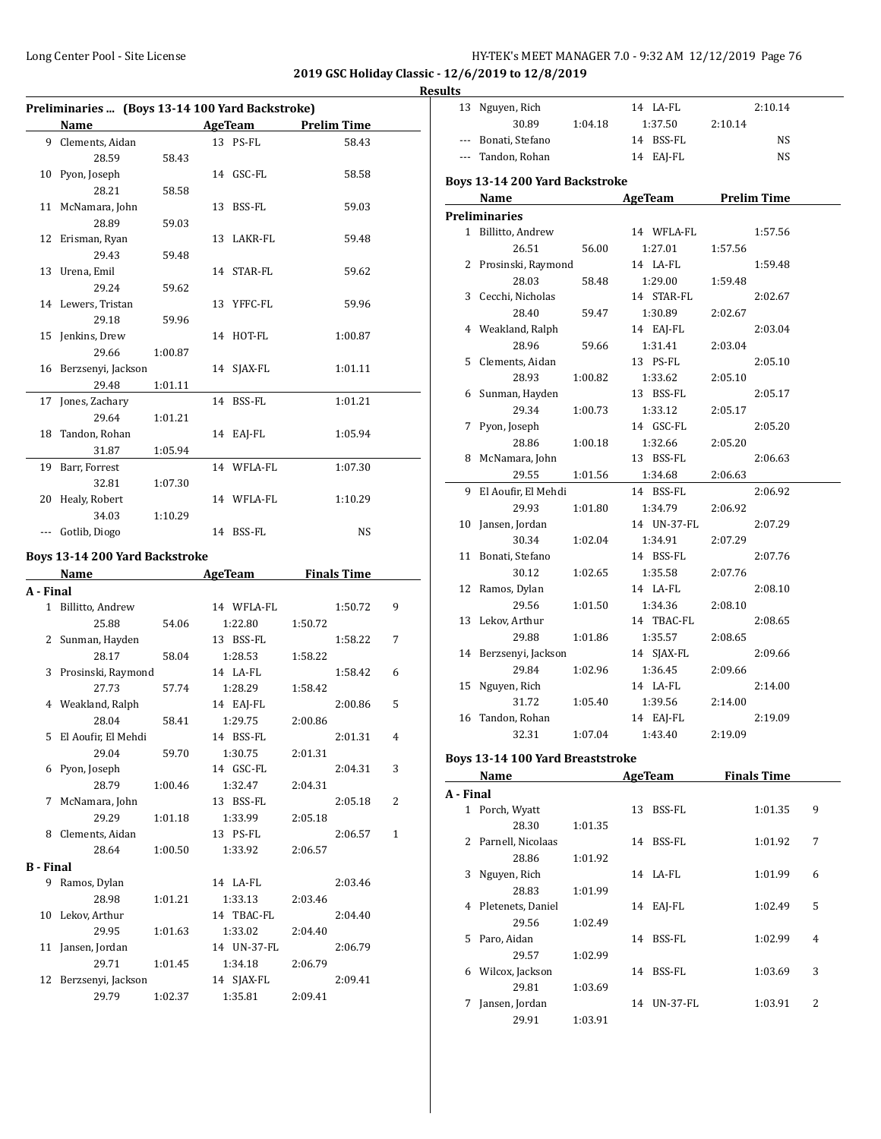| HY-TEK's MEET MANAGER 7.0 - 9:32 AM 12/12/2019 Page 76 |  |  |  |
|--------------------------------------------------------|--|--|--|
|--------------------------------------------------------|--|--|--|

# **Results**

| Preliminaries  (Boys 13-14 100 Yard Backstroke) |                                                                                                                                    |         |  |                      |         |                    |                |
|-------------------------------------------------|------------------------------------------------------------------------------------------------------------------------------------|---------|--|----------------------|---------|--------------------|----------------|
|                                                 | Name<br><u> 1990 - Jan James Barnett, politik e</u> ta idazlea (h. 1918).<br>1901 - Johann Barnett, politik eta idazlea (h. 1918). |         |  | <b>AgeTeam</b>       |         | <b>Prelim Time</b> |                |
|                                                 | 9 Clements, Aidan                                                                                                                  |         |  | 13 PS-FL             |         | 58.43              |                |
|                                                 | 28.59                                                                                                                              | 58.43   |  |                      |         |                    |                |
|                                                 | 10 Pyon, Joseph                                                                                                                    |         |  | 14 GSC-FL            |         | 58.58              |                |
|                                                 | 28.21                                                                                                                              | 58.58   |  |                      |         |                    |                |
|                                                 | 11 McNamara, John                                                                                                                  |         |  | 13 BSS-FL            |         | 59.03              |                |
|                                                 | 28.89                                                                                                                              | 59.03   |  |                      |         |                    |                |
|                                                 | 12 Erisman, Ryan                                                                                                                   |         |  | 13 LAKR-FL           |         | 59.48              |                |
|                                                 | 29.43                                                                                                                              | 59.48   |  |                      |         |                    |                |
|                                                 | 13 Urena, Emil                                                                                                                     |         |  | 14 STAR-FL           |         | 59.62              |                |
|                                                 | 29.24                                                                                                                              | 59.62   |  |                      |         |                    |                |
|                                                 | 14 Lewers, Tristan                                                                                                                 |         |  | 13 YFFC-FL           |         | 59.96              |                |
|                                                 | 29.18                                                                                                                              | 59.96   |  |                      |         |                    |                |
|                                                 | 15 Jenkins, Drew                                                                                                                   |         |  | 14 HOT-FL            |         | 1:00.87            |                |
|                                                 | 29.66                                                                                                                              | 1:00.87 |  |                      |         |                    |                |
|                                                 | 16 Berzsenyi, Jackson                                                                                                              |         |  | 14 SJAX-FL           |         | 1:01.11            |                |
|                                                 | 29.48                                                                                                                              | 1:01.11 |  |                      |         |                    |                |
| 17                                              | Jones, Zachary                                                                                                                     |         |  | 14 BSS-FL            |         | 1:01.21            |                |
|                                                 | 29.64                                                                                                                              | 1:01.21 |  |                      |         |                    |                |
| 18                                              | Tandon, Rohan                                                                                                                      |         |  | 14 EAJ-FL            |         | 1:05.94            |                |
|                                                 | 31.87                                                                                                                              | 1:05.94 |  |                      |         |                    |                |
| 19                                              | Barr, Forrest                                                                                                                      |         |  | 14 WFLA-FL           |         | 1:07.30            |                |
|                                                 | 32.81                                                                                                                              | 1:07.30 |  |                      |         |                    |                |
|                                                 | 20 Healy, Robert                                                                                                                   |         |  | 14 WFLA-FL           |         | 1:10.29            |                |
|                                                 | 34.03                                                                                                                              | 1:10.29 |  |                      |         |                    |                |
|                                                 | --- Gotlib, Diogo                                                                                                                  |         |  | 14 BSS-FL            |         | NS                 |                |
|                                                 |                                                                                                                                    |         |  |                      |         |                    |                |
|                                                 | Boys 13-14 200 Yard Backstroke                                                                                                     |         |  |                      |         |                    |                |
|                                                 | Name                                                                                                                               |         |  | <b>AgeTeam</b>       |         | <b>Finals Time</b> |                |
| A - Final                                       |                                                                                                                                    |         |  |                      |         |                    |                |
|                                                 | 1 Billitto, Andrew                                                                                                                 |         |  | 14 WFLA-FL           |         | 1:50.72            | 9              |
|                                                 | 25.88                                                                                                                              | 54.06   |  | 1:22.80              | 1:50.72 |                    |                |
|                                                 | 2 Sunman, Hayden                                                                                                                   |         |  | 13 BSS-FL            |         | 1:58.22            | 7              |
|                                                 | 28.17                                                                                                                              | 58.04   |  | 1:28.53              | 1:58.22 |                    |                |
|                                                 | 3 Prosinski, Raymond                                                                                                               |         |  | 14 LA-FL             |         | 1:58.42            | 6              |
|                                                 | 27.73                                                                                                                              | 57.74   |  | 1:28.29              | 1:58.42 |                    |                |
|                                                 | 4 Weakland, Ralph                                                                                                                  |         |  | 14 EAJ-FL            |         | 2:00.86            | 5              |
|                                                 | 28.04                                                                                                                              | 58.41   |  | 1:29.75              | 2:00.86 |                    |                |
| 5.                                              | El Aoufir, El Mehdi                                                                                                                |         |  | 14 BSS-FL            |         | 2:01.31            | $\overline{4}$ |
|                                                 | 29.04                                                                                                                              | 59.70   |  | 1:30.75<br>14 GSC-FL | 2:01.31 |                    | 3              |
|                                                 | 6 Pyon, Joseph<br>28.79                                                                                                            |         |  | 1:32.47              |         | 2:04.31            |                |
| 7                                               | McNamara, John                                                                                                                     | 1:00.46 |  | 13 BSS-FL            | 2:04.31 | 2:05.18            | 2              |
|                                                 | 29.29                                                                                                                              | 1:01.18 |  | 1:33.99              | 2:05.18 |                    |                |
| 8                                               | Clements, Aidan                                                                                                                    |         |  | 13 PS-FL             |         | 2:06.57            | 1              |
|                                                 | 28.64                                                                                                                              | 1:00.50 |  | 1:33.92              | 2:06.57 |                    |                |
| <b>B</b> - Final                                |                                                                                                                                    |         |  |                      |         |                    |                |
| 9                                               | Ramos, Dylan                                                                                                                       |         |  | 14 LA-FL             |         | 2:03.46            |                |
|                                                 | 28.98                                                                                                                              | 1:01.21 |  | 1:33.13              | 2:03.46 |                    |                |
|                                                 | 10 Lekov, Arthur                                                                                                                   |         |  | 14 TBAC-FL           |         | 2:04.40            |                |
|                                                 | 29.95                                                                                                                              | 1:01.63 |  | 1:33.02              | 2:04.40 |                    |                |
| 11                                              | Jansen, Jordan                                                                                                                     |         |  | 14 UN-37-FL          |         | 2:06.79            |                |
|                                                 | 29.71                                                                                                                              | 1:01.45 |  | 1:34.18              | 2:06.79 |                    |                |
| 12                                              | Berzsenyi, Jackson                                                                                                                 |         |  | 14 SJAX-FL           |         | 2:09.41            |                |
|                                                 | 29.79                                                                                                                              | 1:02.37 |  | 1:35.81              | 2:09.41 |                    |                |
|                                                 |                                                                                                                                    |         |  |                      |         |                    |                |

|           | 13 Nguyen, Rich                  |         | 14 LA-FL            |         | 2:10.14            |   |
|-----------|----------------------------------|---------|---------------------|---------|--------------------|---|
|           | 30.89                            | 1:04.18 | 1:37.50             | 2:10.14 |                    |   |
|           | Bonati, Stefano                  |         | 14 BSS-FL           |         | NS                 |   |
| $\cdots$  | Tandon, Rohan                    |         | 14 EAJ-FL           |         | NS                 |   |
|           |                                  |         |                     |         |                    |   |
|           | Boys 13-14 200 Yard Backstroke   |         |                     |         |                    |   |
|           | Name                             |         | AgeTeam             |         | <b>Prelim Time</b> |   |
|           | <b>Preliminaries</b>             |         |                     |         |                    |   |
|           | 1 Billitto, Andrew               |         | 14 WFLA-FL          |         | 1:57.56            |   |
|           | 26.51                            | 56.00   | 1:27.01             | 1:57.56 |                    |   |
|           | 2 Prosinski, Raymond             |         | 14 LA-FL            |         | 1:59.48            |   |
|           | 28.03                            | 58.48   | 1:29.00             | 1:59.48 |                    |   |
|           | 3 Cecchi, Nicholas               |         | 14 STAR-FL          |         | 2:02.67            |   |
|           | 28.40                            | 59.47   | 1:30.89             | 2:02.67 |                    |   |
|           | 4 Weakland, Ralph                |         | 14 EAJ-FL           |         | 2:03.04            |   |
|           | 28.96                            | 59.66   | 1:31.41             | 2:03.04 |                    |   |
|           | 5 Clements, Aidan                |         | 13 PS-FL            |         | 2:05.10            |   |
|           | 28.93                            | 1:00.82 | 1:33.62             | 2:05.10 |                    |   |
|           | 6 Sunman, Hayden                 |         | 13 BSS-FL           |         | 2:05.17            |   |
|           | 29.34                            | 1:00.73 | 1:33.12             | 2:05.17 |                    |   |
| 7         | Pyon, Joseph                     |         | 14 GSC-FL           |         | 2:05.20            |   |
|           | 28.86                            | 1:00.18 | 1:32.66             | 2:05.20 |                    |   |
|           | 8 McNamara, John                 |         | 13 BSS-FL           |         | 2:06.63            |   |
|           | 29.55                            | 1:01.56 | 1:34.68             | 2:06.63 |                    |   |
| 9         | El Aoufir, El Mehdi              |         | 14 BSS-FL           |         | 2:06.92            |   |
|           | 29.93                            | 1:01.80 | 1:34.79             | 2:06.92 |                    |   |
| 10        | Jansen, Jordan                   |         | 14 UN-37-FL         |         | 2:07.29            |   |
|           | 30.34                            | 1:02.04 | 1:34.91             | 2:07.29 |                    |   |
|           | 11 Bonati, Stefano               |         | 14 BSS-FL           |         | 2:07.76            |   |
|           | 30.12                            | 1:02.65 | 1:35.58             | 2:07.76 |                    |   |
|           | 12 Ramos, Dylan                  |         | 14 LA-FL            |         | 2:08.10            |   |
|           | 29.56                            | 1:01.50 | 1:34.36             | 2:08.10 |                    |   |
|           | 13 Lekov, Arthur                 |         | 14 TBAC-FL          |         | 2:08.65            |   |
|           | 29.88                            | 1:01.86 | 1:35.57             | 2:08.65 |                    |   |
|           | 14 Berzsenyi, Jackson            |         | 14 SJAX-FL          |         | 2:09.66            |   |
|           | 29.84                            | 1:02.96 | 1:36.45             | 2:09.66 |                    |   |
| 15        | Nguyen, Rich                     |         | 14 LA-FL            |         | 2:14.00            |   |
|           | 31.72                            | 1:05.40 | 1:39.56             | 2:14.00 |                    |   |
|           | 16 Tandon, Rohan                 |         | 14 EAJ-FL           |         |                    |   |
|           |                                  |         |                     |         | 2:19.09            |   |
|           | 32.31                            | 1:07.04 | 1:43.40             | 2:19.09 |                    |   |
|           | Boys 13-14 100 Yard Breaststroke |         |                     |         |                    |   |
|           | Name                             |         | AgeTeam Finals Time |         |                    |   |
| A - Final |                                  |         |                     |         |                    |   |
|           | 1 Porch, Wyatt                   |         | 13 BSS-FL           |         | 1:01.35            | 9 |
|           | 28.30                            | 1:01.35 |                     |         |                    |   |
|           | 2 Parnell, Nicolaas              |         | 14 BSS-FL           |         | 1:01.92            | 7 |
|           | 28.86                            | 1:01.92 |                     |         |                    |   |
|           | 3 Nguyen, Rich                   |         | 14 LA-FL            |         | 1:01.99            | 6 |
|           | 28.83                            | 1:01.99 |                     |         |                    |   |
|           | 4 Pletenets, Daniel              |         | 14 EAJ-FL           |         | 1:02.49            | 5 |
|           | 29.56                            | 1:02.49 |                     |         |                    |   |
|           | 5 Paro, Aidan                    |         | 14 BSS-FL           |         | 1:02.99            | 4 |
|           | 29.57                            | 1:02.99 |                     |         |                    |   |
|           | 6 Wilcox, Jackson                |         | 14 BSS-FL           |         | 1:03.69            | 3 |
|           | 29.81                            | 1:03.69 |                     |         |                    |   |
|           |                                  |         |                     |         |                    |   |

7 Jansen, Jordan 14 UN-37-FL 1:03.91 2

29.91 1:03.91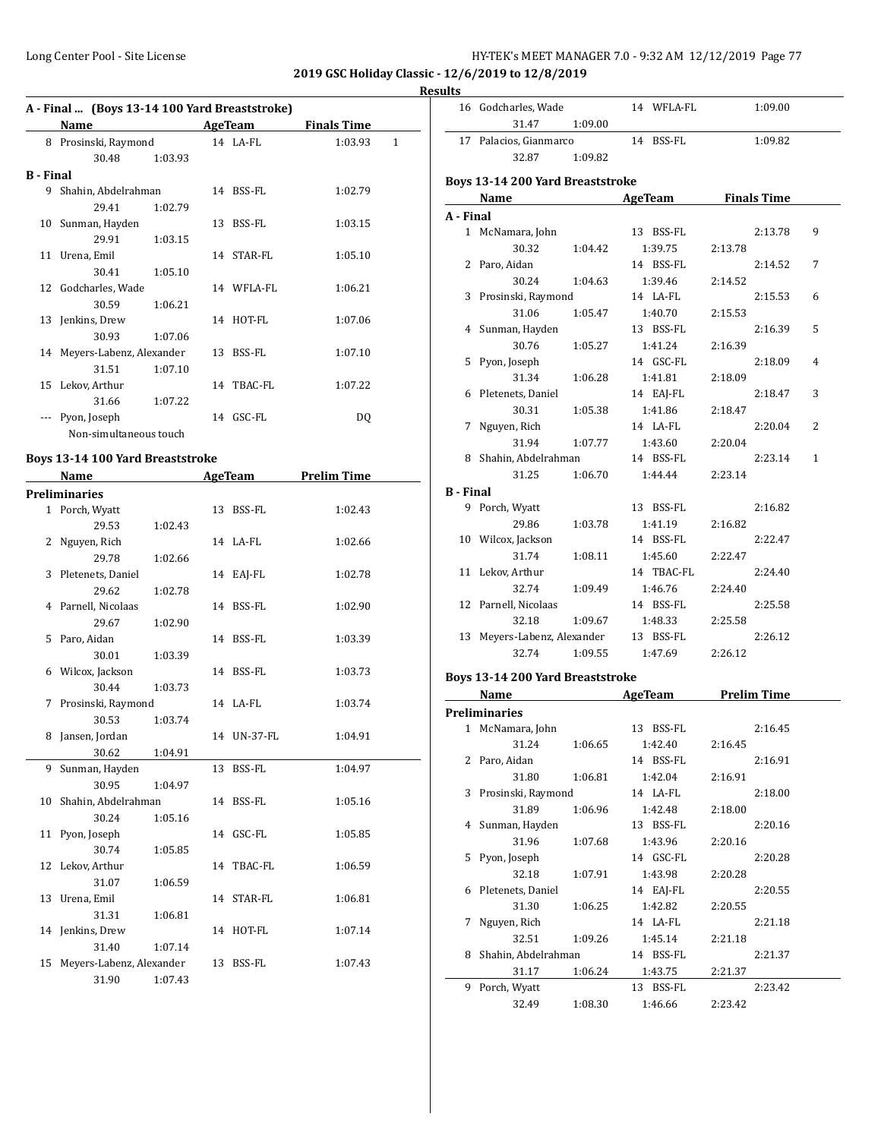# **Results**

|                  | Name                              |         | AgeTeam    | <b>Finals Time</b> |   |
|------------------|-----------------------------------|---------|------------|--------------------|---|
| 8                | Prosinski, Raymond                |         | 14 LA-FL   | 1:03.93            | 1 |
|                  | 30.48                             | 1:03.93 |            |                    |   |
| <b>B</b> - Final |                                   |         |            |                    |   |
| 9                | Shahin, Abdelrahman               |         | 14 BSS-FL  | 1:02.79            |   |
|                  | 29.41                             | 1:02.79 |            |                    |   |
| 10               | Sunman, Hayden                    |         | 13 BSS-FL  | 1:03.15            |   |
|                  | 29.91                             | 1:03.15 |            |                    |   |
|                  | 11 Urena, Emil                    |         | 14 STAR-FL | 1:05.10            |   |
|                  | 30.41                             | 1:05.10 |            |                    |   |
|                  | 12 Godcharles, Wade               |         | 14 WFLA-FL | 1:06.21            |   |
|                  | 30.59                             | 1:06.21 |            |                    |   |
|                  | 13 Jenkins, Drew                  |         | 14 HOT-FL  | 1:07.06            |   |
|                  | 30.93                             | 1:07.06 |            |                    |   |
|                  | 14 Meyers-Labenz, Alexander       |         | 13 BSS-FL  | 1:07.10            |   |
|                  | 31.51                             | 1:07.10 |            |                    |   |
|                  | 15 Lekov, Arthur                  |         | 14 TBAC-FL | 1:07.22            |   |
|                  | 31.66                             | 1:07.22 |            |                    |   |
|                  | Pyon, Joseph                      |         | 14 GSC-FL  | DQ                 |   |
|                  | Non-simultaneous touch            |         |            |                    |   |
|                  | Boys 12.14.100 Voud Brooststuslys |         |            |                    |   |

#### **Boys 13-14 100 Yard Breaststroke**

|    | Name                     |         | <b>AgeTeam</b> | <b>Prelim Time</b> |  |
|----|--------------------------|---------|----------------|--------------------|--|
|    | <b>Preliminaries</b>     |         |                |                    |  |
|    | 1 Porch, Wyatt           |         | 13 BSS-FL      | 1:02.43            |  |
|    | 29.53                    | 1:02.43 |                |                    |  |
|    | 2 Nguyen, Rich           |         | 14 LA-FL       | 1:02.66            |  |
|    | 29.78                    | 1:02.66 |                |                    |  |
| 3  | Pletenets, Daniel        |         | 14 EAJ-FL      | 1:02.78            |  |
|    | 29.62                    | 1:02.78 |                |                    |  |
|    | 4 Parnell, Nicolaas      |         | 14 BSS-FL      | 1:02.90            |  |
|    | 29.67                    | 1:02.90 |                |                    |  |
|    | 5 Paro, Aidan            |         | 14 BSS-FL      | 1:03.39            |  |
|    | 30.01                    | 1:03.39 |                |                    |  |
| 6  | Wilcox, Jackson          |         | 14 BSS-FL      | 1:03.73            |  |
|    | 30.44                    | 1:03.73 |                |                    |  |
| 7  | Prosinski, Raymond       |         | 14 LA-FL       | 1:03.74            |  |
|    | 30.53                    | 1:03.74 |                |                    |  |
| 8  | Jansen, Jordan           |         | 14 UN-37-FL    | 1:04.91            |  |
|    | 30.62                    | 1:04.91 |                |                    |  |
|    | 9 Sunman, Hayden         |         | 13 BSS-FL      | 1:04.97            |  |
|    | 30.95                    | 1:04.97 |                |                    |  |
|    | 10 Shahin, Abdelrahman   |         | 14 BSS-FL      | 1:05.16            |  |
|    | 30.24                    | 1:05.16 |                |                    |  |
|    | 11 Pyon, Joseph          |         | 14 GSC-FL      | 1:05.85            |  |
|    | 30.74                    | 1:05.85 |                |                    |  |
|    | 12 Lekov, Arthur         |         | 14 TBAC-FL     | 1:06.59            |  |
|    | 31.07                    | 1:06.59 |                |                    |  |
|    | 13 Urena, Emil           |         | 14 STAR-FL     | 1:06.81            |  |
|    | 31.31                    | 1:06.81 |                |                    |  |
|    | 14 Jenkins, Drew         |         | 14 HOT-FL      | 1:07.14            |  |
|    | 31.40                    | 1:07.14 |                |                    |  |
| 15 | Meyers-Labenz, Alexander |         | 13 BSS-FL      | 1:07.43            |  |
|    | 31.90                    | 1:07.43 |                |                    |  |

| սււծ             |                                  |         |                     |                    |              |
|------------------|----------------------------------|---------|---------------------|--------------------|--------------|
|                  | 16 Godcharles, Wade              |         | 14 WFLA-FL          | 1:09.00            |              |
|                  | 31.47                            | 1:09.00 |                     |                    |              |
| 17               | Palacios, Gianmarco              |         | 14 BSS-FL           | 1:09.82            |              |
|                  | 32.87                            | 1:09.82 |                     |                    |              |
|                  | Boys 13-14 200 Yard Breaststroke |         |                     |                    |              |
|                  | Name                             |         | AgeTeam Finals Time |                    |              |
| A - Final        |                                  |         |                     |                    |              |
|                  | 1 McNamara, John                 |         | 13 BSS-FL           | 2:13.78            | 9            |
|                  | 30.32                            | 1:04.42 | 1:39.75             | 2:13.78            |              |
|                  | 2 Paro, Aidan                    |         | 14 BSS-FL           | 2:14.52            | 7            |
|                  | 30.24                            | 1:04.63 | 1:39.46             | 2:14.52            |              |
|                  | 3 Prosinski, Raymond             |         | 14 LA-FL            | 2:15.53            | 6            |
|                  | 31.06                            | 1:05.47 | 1:40.70             | 2:15.53            |              |
|                  | 4 Sunman, Hayden                 |         | 13 BSS-FL           | 2:16.39            | 5            |
|                  | 30.76                            | 1:05.27 | 1:41.24             | 2:16.39            |              |
|                  | 5 Pyon, Joseph                   |         | 14 GSC-FL           | 2:18.09            | 4            |
|                  | 31.34                            | 1:06.28 | 1:41.81             | 2:18.09            |              |
|                  | 6 Pletenets, Daniel              |         | 14 EAJ-FL           | 2:18.47            | 3            |
|                  | 30.31                            | 1:05.38 | 1:41.86             | 2:18.47            |              |
| 7                | Nguyen, Rich                     |         | 14 LA-FL            | 2:20.04            | 2            |
|                  | 31.94                            | 1:07.77 | 1:43.60             | 2:20.04            |              |
|                  | 8 Shahin, Abdelrahman            |         | 14 BSS-FL           | 2:23.14            | $\mathbf{1}$ |
|                  | 31.25                            | 1:06.70 | 1:44.44             | 2:23.14            |              |
| <b>B</b> - Final |                                  |         |                     |                    |              |
| 9                | Porch, Wyatt                     |         | 13 BSS-FL           | 2:16.82            |              |
|                  | 29.86                            | 1:03.78 | 1:41.19             | 2:16.82            |              |
|                  | 10 Wilcox, Jackson               |         | 14 BSS-FL           | 2:22.47            |              |
|                  | 31.74                            | 1:08.11 | 1:45.60             | 2:22.47            |              |
|                  | 11 Lekov, Arthur                 |         | 14 TBAC-FL          | 2:24.40            |              |
|                  | 32.74                            | 1:09.49 | 1:46.76             | 2:24.40            |              |
|                  | 12 Parnell, Nicolaas             |         | 14 BSS-FL           | 2:25.58            |              |
|                  | 32.18                            | 1:09.67 | 1:48.33             | 2:25.58            |              |
|                  | 13 Meyers-Labenz, Alexander      |         | 13 BSS-FL           | 2:26.12            |              |
|                  | 32.74                            | 1:09.55 | 1:47.69             | 2:26.12            |              |
|                  | Boys 13-14 200 Yard Breaststroke |         |                     |                    |              |
|                  | <b>Name</b>                      |         | AgeTeam             | <b>Prelim Time</b> |              |
|                  |                                  |         |                     |                    |              |

|   | маше                 |         | детеаш    | гтении типе |
|---|----------------------|---------|-----------|-------------|
|   | <b>Preliminaries</b> |         |           |             |
|   | 1 McNamara, John     |         | 13 BSS-FL | 2:16.45     |
|   | 31.24                | 1:06.65 | 1:42.40   | 2:16.45     |
|   | 2 Paro, Aidan        |         | 14 BSS-FL | 2:16.91     |
|   | 31.80                | 1:06.81 | 1:42.04   | 2:16.91     |
|   | 3 Prosinski, Raymond |         | 14 LA-FL  | 2:18.00     |
|   | 31.89                | 1:06.96 | 1:42.48   | 2:18.00     |
|   | 4 Sunman, Hayden     |         | 13 BSS-FL | 2:20.16     |
|   | 31.96                | 1:07.68 | 1:43.96   | 2:20.16     |
|   | 5 Pyon, Joseph       |         | 14 GSC-FL | 2:20.28     |
|   | 32.18                | 1:07.91 | 1:43.98   | 2:20.28     |
|   | 6 Pletenets, Daniel  |         | 14 EAJ-FL | 2:20.55     |
|   | 31.30                | 1:06.25 | 1:42.82   | 2:20.55     |
| 7 | Nguyen, Rich         |         | 14 LA-FL  | 2:21.18     |
|   | 32.51                | 1:09.26 | 1:45.14   | 2:21.18     |
| 8 | Shahin, Abdelrahman  |         | 14 BSS-FL | 2:21.37     |
|   | 31.17                | 1:06.24 | 1:43.75   | 2:21.37     |
| 9 | Porch, Wyatt         |         | 13 BSS-FL | 2:23.42     |
|   | 32.49                | 1:08.30 | 1:46.66   | 2:23.42     |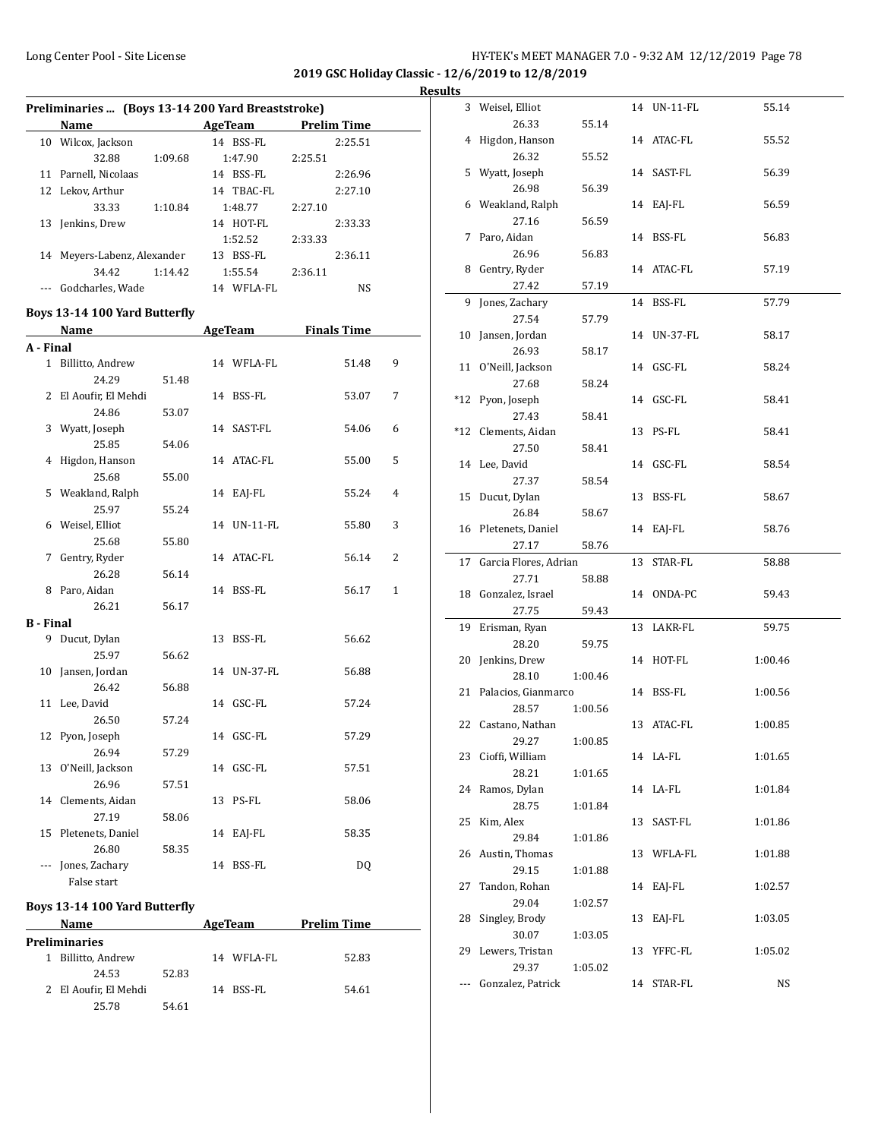# Long Center Pool - Site License **HY-TEK's MEET MANAGER 7.0 - 9:32 AM 12/12/2019** Page 78

**2019 GSC Holiday Classic - 12/6/2019 to 12/8/2019 Results** 

| Preliminaries  (Boys 13-14 200 Yard Breaststroke) |                                                                                                                                                                                                                               |         |    |                     |         |                    |   |
|---------------------------------------------------|-------------------------------------------------------------------------------------------------------------------------------------------------------------------------------------------------------------------------------|---------|----|---------------------|---------|--------------------|---|
|                                                   | Name and the same state of the state of the state of the state of the state of the state of the state of the state of the state of the state of the state of the state of the state of the state of the state of the state of |         |    | AgeTeam             |         | <b>Prelim Time</b> |   |
|                                                   | 10 Wilcox, Jackson                                                                                                                                                                                                            |         |    | 14 BSS-FL           |         | 2:25.51            |   |
|                                                   | 32.88                                                                                                                                                                                                                         | 1:09.68 |    | 1:47.90             | 2:25.51 |                    |   |
|                                                   | 11 Parnell, Nicolaas                                                                                                                                                                                                          |         |    | 14 BSS-FL           |         | 2:26.96            |   |
|                                                   | 12 Lekov, Arthur                                                                                                                                                                                                              |         |    | 14 TBAC-FL          |         |                    |   |
|                                                   |                                                                                                                                                                                                                               |         |    |                     |         | 2:27.10            |   |
|                                                   | 33.33                                                                                                                                                                                                                         | 1:10.84 |    | 1:48.77             | 2:27.10 |                    |   |
|                                                   | 13 Jenkins, Drew                                                                                                                                                                                                              |         |    | 14 HOT-FL           |         | 2:33.33            |   |
|                                                   |                                                                                                                                                                                                                               |         |    | 1:52.52             | 2:33.33 |                    |   |
|                                                   | 14 Meyers-Labenz, Alexander                                                                                                                                                                                                   |         |    | 13 BSS-FL           |         | 2:36.11            |   |
|                                                   | 34.42                                                                                                                                                                                                                         | 1:14.42 |    | 1:55.54             | 2:36.11 |                    |   |
|                                                   | --- Godcharles. Wade                                                                                                                                                                                                          |         |    | 14 WFLA-FL          |         | NS                 |   |
|                                                   | Boys 13-14 100 Yard Butterfly                                                                                                                                                                                                 |         |    |                     |         |                    |   |
|                                                   | <b>Name</b>                                                                                                                                                                                                                   |         |    | AgeTeam Finals Time |         |                    |   |
| A - Final                                         |                                                                                                                                                                                                                               |         |    |                     |         |                    |   |
|                                                   | 1 Billitto, Andrew                                                                                                                                                                                                            |         |    | 14 WFLA-FL          |         | 51.48              | 9 |
|                                                   | 24.29                                                                                                                                                                                                                         | 51.48   |    |                     |         |                    |   |
|                                                   | 2 El Aoufir, El Mehdi                                                                                                                                                                                                         |         |    | 14 BSS-FL           |         | 53.07              | 7 |
|                                                   | 24.86                                                                                                                                                                                                                         | 53.07   |    |                     |         |                    |   |
|                                                   | 3 Wyatt, Joseph                                                                                                                                                                                                               |         |    | 14 SAST-FL          |         | 54.06              | 6 |
|                                                   | 25.85                                                                                                                                                                                                                         | 54.06   |    |                     |         |                    |   |
|                                                   | 4 Higdon, Hanson                                                                                                                                                                                                              |         |    | 14 ATAC-FL          |         | 55.00              | 5 |
|                                                   | 25.68                                                                                                                                                                                                                         | 55.00   |    |                     |         |                    |   |
|                                                   | 5 Weakland, Ralph                                                                                                                                                                                                             |         |    | 14 EAJ-FL           |         | 55.24              | 4 |
|                                                   | 25.97                                                                                                                                                                                                                         | 55.24   |    |                     |         |                    |   |
|                                                   | 6 Weisel, Elliot                                                                                                                                                                                                              |         |    | 14 UN-11-FL         |         | 55.80              | 3 |
|                                                   | 25.68                                                                                                                                                                                                                         |         |    |                     |         |                    |   |
| 7                                                 |                                                                                                                                                                                                                               | 55.80   |    | 14 ATAC-FL          |         |                    | 2 |
|                                                   | Gentry, Ryder                                                                                                                                                                                                                 |         |    |                     |         | 56.14              |   |
|                                                   | 26.28                                                                                                                                                                                                                         | 56.14   |    |                     |         |                    |   |
|                                                   | 8 Paro, Aidan                                                                                                                                                                                                                 |         |    | 14 BSS-FL           |         | 56.17              | 1 |
|                                                   | 26.21                                                                                                                                                                                                                         | 56.17   |    |                     |         |                    |   |
| <b>B</b> - Final                                  |                                                                                                                                                                                                                               |         |    |                     |         |                    |   |
|                                                   | 9 Ducut, Dylan                                                                                                                                                                                                                |         |    | 13 BSS-FL           |         | 56.62              |   |
|                                                   | 25.97                                                                                                                                                                                                                         | 56.62   |    |                     |         |                    |   |
|                                                   | 10 Jansen, Jordan                                                                                                                                                                                                             |         |    | 14 UN-37-FL         |         | 56.88              |   |
|                                                   | 26.42                                                                                                                                                                                                                         | 56.88   |    |                     |         |                    |   |
|                                                   | 11 Lee, David                                                                                                                                                                                                                 |         |    | 14 GSC-FL           |         | 57.24              |   |
|                                                   | 26.50                                                                                                                                                                                                                         | 57.24   |    |                     |         |                    |   |
|                                                   | 12 Pyon, Joseph                                                                                                                                                                                                               |         |    | 14 GSC-FL           |         | 57.29              |   |
|                                                   | 26.94                                                                                                                                                                                                                         | 57.29   |    |                     |         |                    |   |
| 13                                                | O'Neill, Jackson                                                                                                                                                                                                              |         |    | 14 GSC-FL           |         | 57.51              |   |
|                                                   | 26.96                                                                                                                                                                                                                         | 57.51   |    |                     |         |                    |   |
| 14                                                | Clements, Aidan                                                                                                                                                                                                               |         | 13 | PS-FL               |         | 58.06              |   |
|                                                   | 27.19                                                                                                                                                                                                                         | 58.06   |    |                     |         |                    |   |
| 15                                                | Pletenets, Daniel                                                                                                                                                                                                             |         | 14 | EAJ-FL              |         | 58.35              |   |
|                                                   | 26.80                                                                                                                                                                                                                         | 58.35   |    |                     |         |                    |   |
|                                                   | Jones, Zachary                                                                                                                                                                                                                |         | 14 | BSS-FL              |         | DQ                 |   |
|                                                   | False start                                                                                                                                                                                                                   |         |    |                     |         |                    |   |

# **Boys 13-14 100 Yard Butterfly**

|    | Name                  |       |  | AgeTeam    | <b>Prelim Time</b> |  |
|----|-----------------------|-------|--|------------|--------------------|--|
|    | <b>Preliminaries</b>  |       |  |            |                    |  |
| 1. | Billitto, Andrew      |       |  | 14 WFLA-FL | 52.83              |  |
|    | 24.53                 | 52.83 |  |            |                    |  |
|    | 2 El Aoufir, El Mehdi |       |  | 14 BSS-FL  | 54.61              |  |
|    | 25.78                 | 54.61 |  |            |                    |  |

| ults |                             |         |    |             |         |
|------|-----------------------------|---------|----|-------------|---------|
|      | 3 Weisel, Elliot            |         |    | 14 UN-11-FL | 55.14   |
|      | 26.33<br>4 Higdon, Hanson   | 55.14   |    | 14 ATAC-FL  | 55.52   |
|      | 26.32                       | 55.52   |    |             |         |
|      | 5 Wyatt, Joseph             |         |    | 14 SAST-FL  | 56.39   |
|      | 26.98                       | 56.39   |    |             |         |
|      | 6 Weakland, Ralph           |         |    | 14 EAJ-FL   | 56.59   |
|      | 27.16                       | 56.59   |    |             |         |
|      | 7 Paro, Aidan               |         |    | 14 BSS-FL   | 56.83   |
|      | 26.96                       | 56.83   |    |             |         |
|      | 8 Gentry, Ryder             |         |    | 14 ATAC-FL  | 57.19   |
|      | 27.42                       | 57.19   |    |             |         |
|      | 9 Jones, Zachary            |         |    | 14 BSS-FL   | 57.79   |
|      | 27.54                       | 57.79   |    |             |         |
|      | 10 Jansen, Jordan           |         |    | 14 UN-37-FL | 58.17   |
|      | 26.93                       | 58.17   |    |             |         |
|      | 11 O'Neill, Jackson         |         |    | 14 GSC-FL   | 58.24   |
|      | 27.68                       | 58.24   |    |             |         |
|      | *12 Pyon, Joseph            |         |    | 14 GSC-FL   | 58.41   |
|      | 27.43                       | 58.41   |    |             |         |
|      | *12 Clements, Aidan         |         |    | 13 PS-FL    | 58.41   |
|      | 27.50                       | 58.41   |    |             |         |
|      | 14 Lee, David               |         |    | 14 GSC-FL   | 58.54   |
|      | 27.37                       | 58.54   |    |             |         |
|      | 15 Ducut, Dylan             |         |    | 13 BSS-FL   | 58.67   |
|      | 26.84                       | 58.67   |    |             |         |
|      | 16 Pletenets, Daniel        |         |    | 14 EAJ-FL   | 58.76   |
|      | 27.17                       | 58.76   |    |             |         |
|      | 17 Garcia Flores, Adrian    |         |    | 13 STAR-FL  | 58.88   |
|      | 27.71                       | 58.88   |    |             |         |
|      | 18 Gonzalez, Israel         |         |    | 14 ONDA-PC  | 59.43   |
|      | 27.75                       | 59.43   |    |             |         |
|      | 19 Erisman, Ryan            |         |    | 13 LAKR-FL  | 59.75   |
|      | 28.20                       | 59.75   |    |             |         |
|      | 20 Jenkins, Drew            |         |    | 14 HOT-FL   | 1:00.46 |
|      | 28.10                       | 1:00.46 |    |             |         |
|      | 21 Palacios, Gianmarco      |         |    | 14 BSS-FL   | 1:00.56 |
|      | 28.57                       | 1:00.56 |    |             |         |
|      | 22 Castano, Nathan          |         |    | 13 ATAC-FL  | 1:00.85 |
|      | 29.27<br>23 Cioffi, William | 1:00.85 |    |             |         |
|      | 28.21                       | 1:01.65 |    | 14 LA-FL    | 1:01.65 |
|      | 24 Ramos, Dylan             |         |    | 14 LA-FL    | 1:01.84 |
|      | 28.75                       | 1:01.84 |    |             |         |
| 25   | Kim, Alex                   |         | 13 | SAST-FL     | 1:01.86 |
|      | 29.84                       | 1:01.86 |    |             |         |
|      | 26 Austin, Thomas           |         |    | 13 WFLA-FL  | 1:01.88 |
|      | 29.15                       | 1:01.88 |    |             |         |
| 27   | Tandon, Rohan               |         | 14 | EAJ-FL      | 1:02.57 |
|      | 29.04                       | 1:02.57 |    |             |         |
| 28   | Singley, Brody              |         | 13 | EAI-FL      | 1:03.05 |
|      | 30.07                       | 1:03.05 |    |             |         |
| 29   | Lewers, Tristan             |         | 13 | YFFC-FL     | 1:05.02 |
|      | 29.37                       | 1:05.02 |    |             |         |
|      | Gonzalez, Patrick           |         | 14 | STAR-FL     | NS      |
|      |                             |         |    |             |         |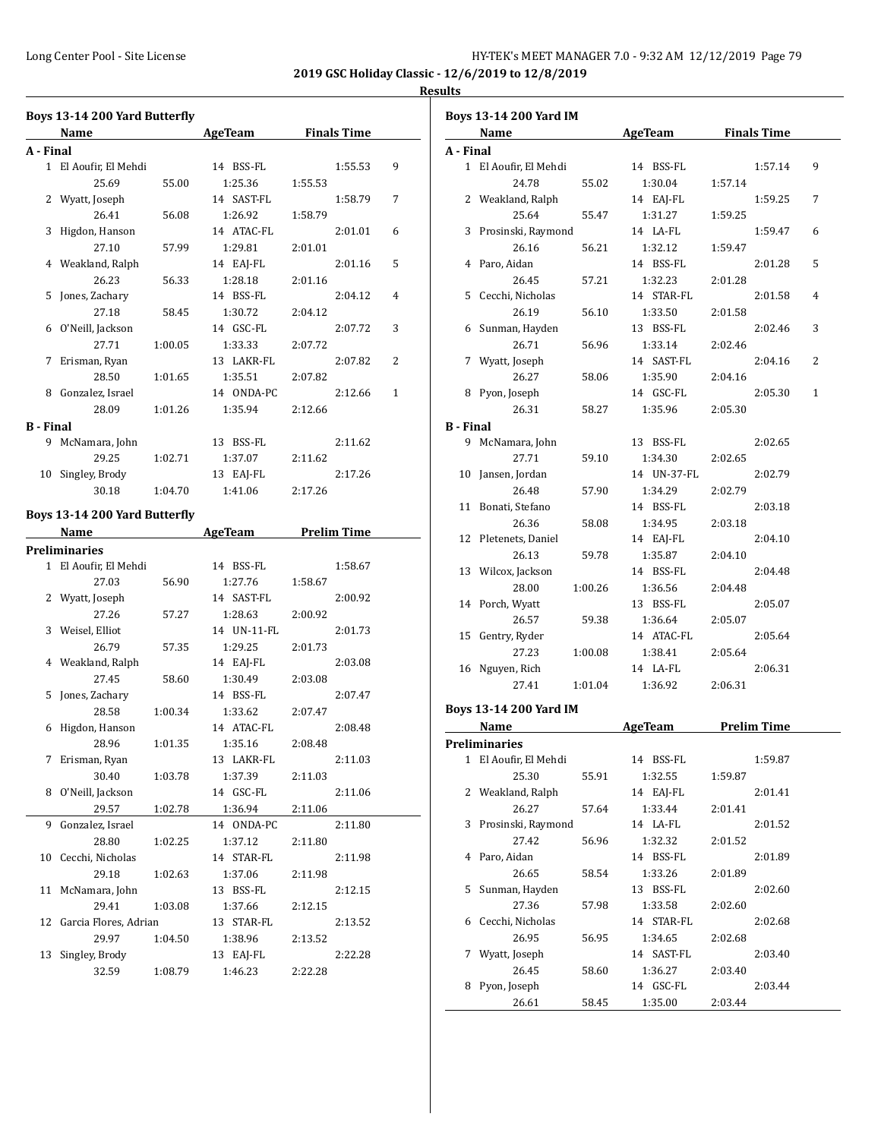# **Boys 13-14 200 Yard Butterfly Name Age Team Finals Time A - Final** 1 El Aoufir, El Mehdi 14 BSS-FL 1:55.53 9 25.69 55.00 1:25.36 1:55.53 2 Wyatt, Joseph 14 SAST-FL 1:58.79 7 26.41 56.08 1:26.92 1:58.79 3 Higdon, Hanson 14 ATAC-FL 2:01.01 6 27.10 57.99 1:29.81 2:01.01 4 Weakland, Ralph 14 EAJ-FL 2:01.16 5 26.23 56.33 1:28.18 2:01.16 5 Jones, Zachary 14 BSS-FL 2:04.12 4 27.18 58.45 1:30.72 2:04.12 6 O'Neill, Jackson 14 GSC-FL 2:07.72 3 27.71 1:00.05 1:33.33 2:07.72 7 Erisman, Ryan 13 LAKR-FL 2:07.82 2 28.50 1:01.65 1:35.51 2:07.82 8 Gonzalez, Israel 14 ONDA-PC 2:12.66 1 28.09 1:01.26 1:35.94 2:12.66 **B - Final** 9 McNamara, John 13 BSS-FL 2:11.62 29.25 1:02.71 1:37.07 2:11.62 10 Singley, Brody 13 EAJ-FL 2:17.26 30.18 1:04.70 1:41.06 2:17.26 **Boys 13-14 200 Yard Butterfly Name Age Team Prelim Time Preliminaries** 1 El Aoufir, El Mehdi 14 BSS-FL 1:58.67 27.03 56.90 1:27.76 1:58.67 2 Wyatt, Joseph 14 SAST-FL 2:00.92 27.26 57.27 1:28.63 2:00.92 3 Weisel, Elliot 14 UN-11-FL 2:01.73 26.79 57.35 1:29.25 2:01.73 4 Weakland, Ralph 14 EAJ-FL 2:03.08 27.45 58.60 1:30.49 2:03.08 5 Jones, Zachary 14 BSS-FL 2:07.47 28.58 1:00.34 1:33.62 2:07.47 6 Higdon, Hanson 14 ATAC-FL 2:08.48 28.96 1:01.35 1:35.16 2:08.48 7 Erisman, Ryan 13 LAKR-FL 2:11.03 30.40 1:03.78 1:37.39 2:11.03 8 O'Neill, Jackson 14 GSC-FL 2:11.06 29.57 1:02.78 1:36.94 2:11.06 9 Gonzalez, Israel 14 ONDA-PC 2:11.80 28.80 1:02.25 1:37.12 2:11.80 10 Cecchi, Nicholas 14 STAR-FL 2:11.98 29.18 1:02.63 1:37.06 2:11.98 11 McNamara, John 13 BSS-FL 2:12.15 29.41 1:03.08 1:37.66 2:12.15 12 Garcia Flores, Adrian 13 STAR-FL 2:13.52 29.97 1:04.50 1:38.96 2:13.52 13 Singley, Brody 13 EAJ-FL 2:22.28 32.59 1:08.79 1:46.23 2:22.28

|                  | <b>Boys 13-14 200 Yard IM</b>               |         |                            |                    |                         |
|------------------|---------------------------------------------|---------|----------------------------|--------------------|-------------------------|
|                  | <b>Name</b>                                 |         | <b>AgeTeam</b>             | <b>Finals Time</b> |                         |
| A - Final        |                                             |         |                            |                    |                         |
|                  | 1 El Aoufir, El Mehdi                       |         | 14 BSS-FL                  |                    | 9<br>1:57.14            |
|                  | 24.78                                       | 55.02   | 1:30.04                    | 1:57.14            |                         |
|                  | 2 Weakland, Ralph                           |         | 14 EAJ-FL                  |                    | 1:59.25<br>7            |
|                  | 25.64                                       | 55.47   | 1:31.27                    | 1:59.25            |                         |
| 3                | Prosinski, Raymond                          |         | 14 LA-FL                   |                    | 6<br>1:59.47            |
|                  | 26.16                                       | 56.21   | 1:32.12                    | 1:59.47            |                         |
| 4                | Paro, Aidan                                 |         | 14 BSS-FL                  |                    | 2:01.28<br>5            |
|                  | 26.45                                       | 57.21   | 1:32.23                    | 2:01.28            |                         |
|                  | 5 Cecchi, Nicholas                          |         | 14 STAR-FL                 |                    | 2:01.58<br>4            |
|                  | 26.19                                       | 56.10   | 1:33.50                    | 2:01.58            |                         |
|                  | 6 Sunman, Hayden                            |         | 13 BSS-FL                  |                    | 3<br>2:02.46            |
|                  | 26.71                                       | 56.96   | 1:33.14                    | 2:02.46            |                         |
|                  | 7 Wyatt, Joseph                             |         | 14 SAST-FL                 |                    | 2:04.16<br>2            |
|                  | 26.27                                       | 58.06   | 1:35.90                    | 2:04.16            |                         |
|                  | 8 Pyon, Joseph                              |         | 14 GSC-FL                  |                    | 2:05.30<br>$\mathbf{1}$ |
|                  | 26.31                                       | 58.27   | 1:35.96                    | 2:05.30            |                         |
| <b>B</b> - Final |                                             |         |                            |                    |                         |
|                  | 9 McNamara, John                            |         | 13 BSS-FL                  |                    | 2:02.65                 |
|                  | 27.71                                       | 59.10   | 1:34.30                    | 2:02.65            |                         |
| 10               | Jansen, Jordan                              |         | 14 UN-37-FL                |                    | 2:02.79                 |
|                  | 26.48                                       | 57.90   | 1:34.29                    | 2:02.79            |                         |
| 11               | Bonati, Stefano                             |         | 14 BSS-FL                  |                    | 2:03.18                 |
|                  | 26.36                                       | 58.08   | 1:34.95                    | 2:03.18            |                         |
| 12               | Pletenets, Daniel                           |         | 14 EAJ-FL                  |                    | 2:04.10                 |
|                  | 26.13                                       | 59.78   | 1:35.87                    | 2:04.10            |                         |
|                  | 13 Wilcox, Jackson                          |         | 14 BSS-FL                  |                    | 2:04.48                 |
|                  | 28.00                                       | 1:00.26 | 1:36.56                    | 2:04.48            |                         |
|                  | 14 Porch, Wyatt                             |         | 13 BSS-FL                  |                    | 2:05.07                 |
|                  | 26.57                                       | 59.38   | 1:36.64                    | 2:05.07            |                         |
| 15               | Gentry, Ryder                               |         | 14 ATAC-FL                 |                    | 2:05.64                 |
|                  | 27.23                                       | 1:00.08 | 1:38.41                    | 2:05.64            |                         |
|                  | 16 Nguyen, Rich                             |         | 14 LA-FL                   |                    | 2:06.31                 |
|                  | 27.41                                       | 1:01.04 | 1:36.92                    | 2:06.31            |                         |
|                  | <b>Boys 13-14 200 Yard IM</b>               |         |                            |                    |                         |
|                  | Name                                        |         | <b>AgeTeam</b> Prelim Time |                    |                         |
|                  |                                             |         |                            |                    |                         |
|                  | <b>Preliminaries</b><br>El Aoufir, El Mehdi |         |                            |                    |                         |
| $\mathbf{1}$     | 25.30                                       |         | 14 BSS-FL                  |                    | 1:59.87                 |
|                  |                                             | 55.91   | 1:32.55                    | 1:59.87            | 2:01.41                 |
| 2                | Weakland, Ralph<br>26.27                    |         | 14 EAJ-FL                  |                    |                         |
|                  |                                             | 57.64   | 1:33.44                    | 2:01.41            |                         |
| 3                | Prosinski, Raymond                          |         | 14 LA-FL                   |                    | 2:01.52                 |
|                  | 27.42                                       | 56.96   | 1:32.32                    | 2:01.52            |                         |
| 4                | Paro, Aidan                                 |         | 14 BSS-FL                  |                    | 2:01.89                 |
|                  | 26.65<br>Sunman, Hayden                     | 58.54   | 1:33.26                    | 2:01.89            |                         |
| 5                |                                             |         | 13 BSS-FL                  |                    | 2:02.60                 |
|                  | 27.36                                       | 57.98   | 1:33.58                    | 2:02.60            |                         |
| 6                | Cecchi, Nicholas                            |         | 14 STAR-FL                 |                    | 2:02.68                 |
|                  | 26.95                                       | 56.95   | 1:34.65                    | 2:02.68            |                         |
| 7                | Wyatt, Joseph                               |         | 14 SAST-FL                 |                    | 2:03.40                 |
|                  | 26.45                                       | 58.60   | 1:36.27                    | 2:03.40            |                         |
| 8                | Pyon, Joseph                                |         | 14 GSC-FL                  |                    | 2:03.44                 |
|                  | 26.61                                       | 58.45   | 1:35.00                    | 2:03.44            |                         |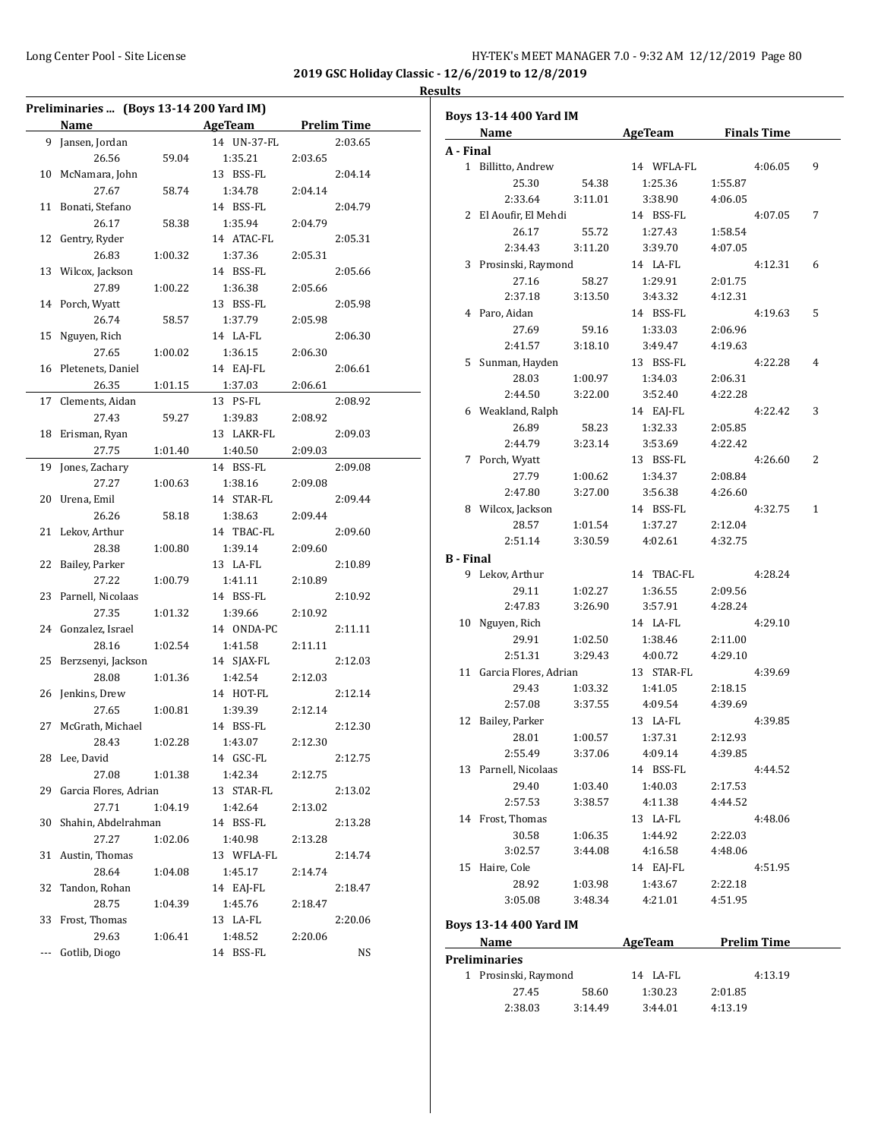| Preliminaries  (Boys 13-14 200 Yard IM) |                       |         |             |         |                    |  |
|-----------------------------------------|-----------------------|---------|-------------|---------|--------------------|--|
|                                         | Name                  |         | AgeTeam     |         | <b>Prelim Time</b> |  |
| 9                                       | Jansen, Jordan        |         | 14 UN-37-FL |         | 2:03.65            |  |
|                                         | 26.56                 | 59.04   | 1:35.21     | 2:03.65 |                    |  |
| 10                                      | McNamara, John        |         | 13 BSS-FL   |         | 2:04.14            |  |
|                                         | 27.67                 | 58.74   | 1:34.78     | 2:04.14 |                    |  |
| 11                                      | Bonati, Stefano       |         | 14 BSS-FL   |         | 2:04.79            |  |
|                                         | 26.17                 | 58.38   | 1:35.94     | 2:04.79 |                    |  |
| 12                                      | Gentry, Ryder         |         | 14 ATAC-FL  |         | 2:05.31            |  |
|                                         | 26.83                 | 1:00.32 | 1:37.36     | 2:05.31 |                    |  |
| 13                                      | Wilcox, Jackson       |         | 14 BSS-FL   |         | 2:05.66            |  |
|                                         | 27.89                 | 1:00.22 | 1:36.38     | 2:05.66 |                    |  |
| 14                                      | Porch, Wyatt          |         | 13 BSS-FL   |         | 2:05.98            |  |
|                                         | 26.74                 | 58.57   | 1:37.79     | 2:05.98 |                    |  |
| 15                                      | Nguyen, Rich          |         | 14 LA-FL    |         | 2:06.30            |  |
|                                         | 27.65                 | 1:00.02 | 1:36.15     | 2:06.30 |                    |  |
| 16                                      | Pletenets, Daniel     |         | 14 EAJ-FL   |         | 2:06.61            |  |
|                                         | 26.35                 | 1:01.15 | 1:37.03     | 2:06.61 |                    |  |
| 17                                      | Clements, Aidan       |         | 13 PS-FL    |         | 2:08.92            |  |
|                                         | 27.43                 | 59.27   | 1:39.83     | 2:08.92 |                    |  |
| 18                                      | Erisman, Ryan         |         | 13 LAKR-FL  |         | 2:09.03            |  |
|                                         | 27.75                 | 1:01.40 | 1:40.50     | 2:09.03 |                    |  |
| 19                                      | Jones, Zachary        |         | 14 BSS-FL   |         | 2:09.08            |  |
|                                         | 27.27                 | 1:00.63 | 1:38.16     | 2:09.08 |                    |  |
| 20                                      | Urena, Emil           |         | 14 STAR-FL  |         | 2:09.44            |  |
|                                         | 26.26                 | 58.18   | 1:38.63     | 2:09.44 |                    |  |
| 21                                      | Lekov, Arthur         |         | 14 TBAC-FL  |         | 2:09.60            |  |
|                                         | 28.38                 | 1:00.80 | 1:39.14     | 2:09.60 |                    |  |
| 22                                      | Bailey, Parker        |         | 13 LA-FL    |         | 2:10.89            |  |
|                                         | 27.22                 | 1:00.79 | 1:41.11     | 2:10.89 |                    |  |
| 23                                      | Parnell, Nicolaas     |         | 14 BSS-FL   |         | 2:10.92            |  |
|                                         | 27.35                 | 1:01.32 | 1:39.66     | 2:10.92 |                    |  |
| 24                                      | Gonzalez, Israel      |         | 14 ONDA-PC  |         | 2:11.11            |  |
|                                         | 28.16                 | 1:02.54 | 1:41.58     | 2:11.11 |                    |  |
| 25                                      | Berzsenyi, Jackson    |         | 14 SJAX-FL  |         | 2:12.03            |  |
|                                         | 28.08                 | 1:01.36 | 1:42.54     | 2:12.03 |                    |  |
| 26                                      | Jenkins, Drew         |         | 14 HOT-FL   |         | 2:12.14            |  |
|                                         | 27.65                 | 1:00.81 | 1:39.39     | 2:12.14 |                    |  |
| 27                                      | McGrath, Michael      |         | 14 BSS-FL   |         | 2:12.30            |  |
|                                         | 28.43                 | 1:02.28 | 1:43.07     | 2:12.30 |                    |  |
| 28                                      | Lee, David            |         | 14 GSC-FL   |         | 2:12.75            |  |
|                                         | 27.08                 | 1:01.38 | 1:42.34     | 2:12.75 |                    |  |
| 29                                      | Garcia Flores, Adrian |         | 13 STAR-FL  |         | 2:13.02            |  |
|                                         | 27.71                 | 1:04.19 | 1:42.64     | 2:13.02 |                    |  |
| 30                                      | Shahin, Abdelrahman   |         | 14 BSS-FL   |         | 2:13.28            |  |
|                                         | 27.27                 | 1:02.06 | 1:40.98     | 2:13.28 |                    |  |
| 31                                      | Austin, Thomas        |         | 13 WFLA-FL  |         | 2:14.74            |  |
|                                         | 28.64                 | 1:04.08 | 1:45.17     | 2:14.74 |                    |  |
| 32                                      | Tandon, Rohan         |         | 14 EAJ-FL   |         | 2:18.47            |  |
|                                         | 28.75                 | 1:04.39 | 1:45.76     | 2:18.47 |                    |  |
| 33                                      | Frost, Thomas         |         | 13 LA-FL    |         | 2:20.06            |  |
|                                         | 29.63                 | 1:06.41 | 1:48.52     | 2:20.06 |                    |  |
| ---                                     | Gotlib, Diogo         |         | 14 BSS-FL   |         | NS                 |  |

|           |  | <b>Boys 13-14 400 Yard IM</b>  |                  |                      |                     |                    |              |
|-----------|--|--------------------------------|------------------|----------------------|---------------------|--------------------|--------------|
| Name      |  |                                |                  |                      | AgeTeam Finals Time |                    |              |
| A - Final |  |                                |                  |                      |                     |                    |              |
|           |  | 1 Billitto, Andrew             |                  | 14 WFLA-FL           |                     | 4:06.05            | 9            |
|           |  | 25.30<br>2:33.64               | 54.38<br>3:11.01 | 1:25.36<br>3:38.90   | 1:55.87<br>4:06.05  |                    |              |
|           |  |                                |                  |                      |                     |                    | 7            |
|           |  | 2 El Aoufir, El Mehdi<br>26.17 | 55.72            | 14 BSS-FL<br>1:27.43 | 1:58.54             | 4:07.05            |              |
|           |  | 2:34.43                        | 3:11.20          | 3:39.70              | 4:07.05             |                    |              |
|           |  | 3 Prosinski, Raymond           |                  | 14 LA-FL             |                     |                    |              |
|           |  | 27.16                          |                  |                      |                     | 4:12.31            | 6            |
|           |  | 2:37.18                        | 58.27<br>3:13.50 | 1:29.91<br>3:43.32   | 2:01.75<br>4:12.31  |                    |              |
|           |  |                                |                  | 14 BSS-FL            |                     |                    | 5            |
|           |  | 4 Paro, Aidan<br>27.69         |                  |                      |                     | 4:19.63            |              |
|           |  | 2:41.57                        | 59.16<br>3:18.10 | 1:33.03<br>3:49.47   | 2:06.96<br>4:19.63  |                    |              |
|           |  |                                |                  |                      |                     | 4:22.28            | 4            |
|           |  | 5 Sunman, Hayden               |                  | 13 BSS-FL            |                     |                    |              |
|           |  | 28.03                          | 1:00.97          | 1:34.03<br>3:52.40   | 2:06.31             |                    |              |
|           |  | 2:44.50                        | 3:22.00          |                      | 4:22.28             |                    |              |
|           |  | 6 Weakland, Ralph              |                  | 14 EAJ-FL            |                     | 4:22.42            | 3            |
|           |  | 26.89                          | 58.23            | 1:32.33              | 2:05.85             |                    |              |
|           |  | 2:44.79                        | 3:23.14          | 3:53.69              | 4:22.42             |                    |              |
|           |  | 7 Porch, Wyatt                 |                  | 13 BSS-FL            |                     | 4:26.60            | 2            |
|           |  | 27.79                          | 1:00.62          | 1:34.37              | 2:08.84             |                    |              |
|           |  | 2:47.80                        | 3:27.00          | 3:56.38              | 4:26.60             |                    |              |
|           |  | 8 Wilcox, Jackson              |                  | 14 BSS-FL            |                     | 4:32.75            | $\mathbf{1}$ |
|           |  | 28.57                          | 1:01.54          | 1:37.27              | 2:12.04             |                    |              |
|           |  | 2:51.14                        | 3:30.59          | 4:02.61              | 4:32.75             |                    |              |
|           |  | <b>B</b> - Final               |                  |                      |                     |                    |              |
|           |  | 9 Lekov, Arthur                |                  | 14 TBAC-FL           |                     | 4:28.24            |              |
|           |  | 29.11                          | 1:02.27          | 1:36.55              | 2:09.56             |                    |              |
|           |  | 2:47.83                        | 3:26.90          | 3:57.91              | 4:28.24             |                    |              |
|           |  | 10 Nguyen, Rich                |                  | 14 LA-FL             |                     | 4:29.10            |              |
|           |  | 29.91                          | 1:02.50          | 1:38.46              | 2:11.00             |                    |              |
|           |  | 2:51.31                        | 3:29.43          | 4:00.72              | 4:29.10             |                    |              |
|           |  | 11 Garcia Flores, Adrian       |                  | 13 STAR-FL           |                     | 4:39.69            |              |
|           |  | 29.43                          | 1:03.32          | 1:41.05              | 2:18.15             |                    |              |
|           |  | 2:57.08                        | 3:37.55          | 4:09.54              | 4:39.69             |                    |              |
|           |  | 12 Bailey, Parker              |                  | 13 LA-FL             |                     | 4:39.85            |              |
|           |  | 28.01                          | 1:00.57          | 1:37.31              | 2:12.93             |                    |              |
|           |  | 2:55.49                        | 3:37.06          | 4:09.14              | 4:39.85             |                    |              |
|           |  | 13 Parnell, Nicolaas           |                  | 14 BSS-FL            |                     | 4:44.52            |              |
|           |  | 29.40                          | 1:03.40          | 1:40.03              | 2:17.53             |                    |              |
|           |  | 2:57.53                        | 3:38.57          | 4:11.38              | 4:44.52             |                    |              |
|           |  | 14 Frost, Thomas               |                  | 13 LA-FL             |                     | 4:48.06            |              |
|           |  | 30.58                          | 1:06.35          | 1:44.92              | 2:22.03             |                    |              |
|           |  | 3:02.57                        | 3:44.08          | 4:16.58              | 4:48.06             |                    |              |
|           |  | 15 Haire, Cole                 |                  | 14 EAJ-FL            |                     | 4:51.95            |              |
|           |  | 28.92                          | 1:03.98          | 1:43.67              | 2:22.18             |                    |              |
|           |  | 3:05.08                        | 3:48.34          | 4:21.01              | 4:51.95             |                    |              |
|           |  |                                |                  |                      |                     |                    |              |
|           |  | Boys 13-14 400 Yard IM         |                  |                      |                     |                    |              |
|           |  | Name                           |                  | AgeTeam              |                     | <b>Prelim Time</b> |              |
|           |  | <b>Preliminaries</b>           |                  |                      |                     |                    |              |
|           |  | 1 Prosinski, Raymond           |                  | 14 LA-FL             |                     | 4:13.19            |              |
|           |  | 27.45                          | 58.60            | 1:30.23              | 2:01.85             |                    |              |
|           |  | 2:38.03                        | 3:14.49          | 3:44.01              | 4:13.19             |                    |              |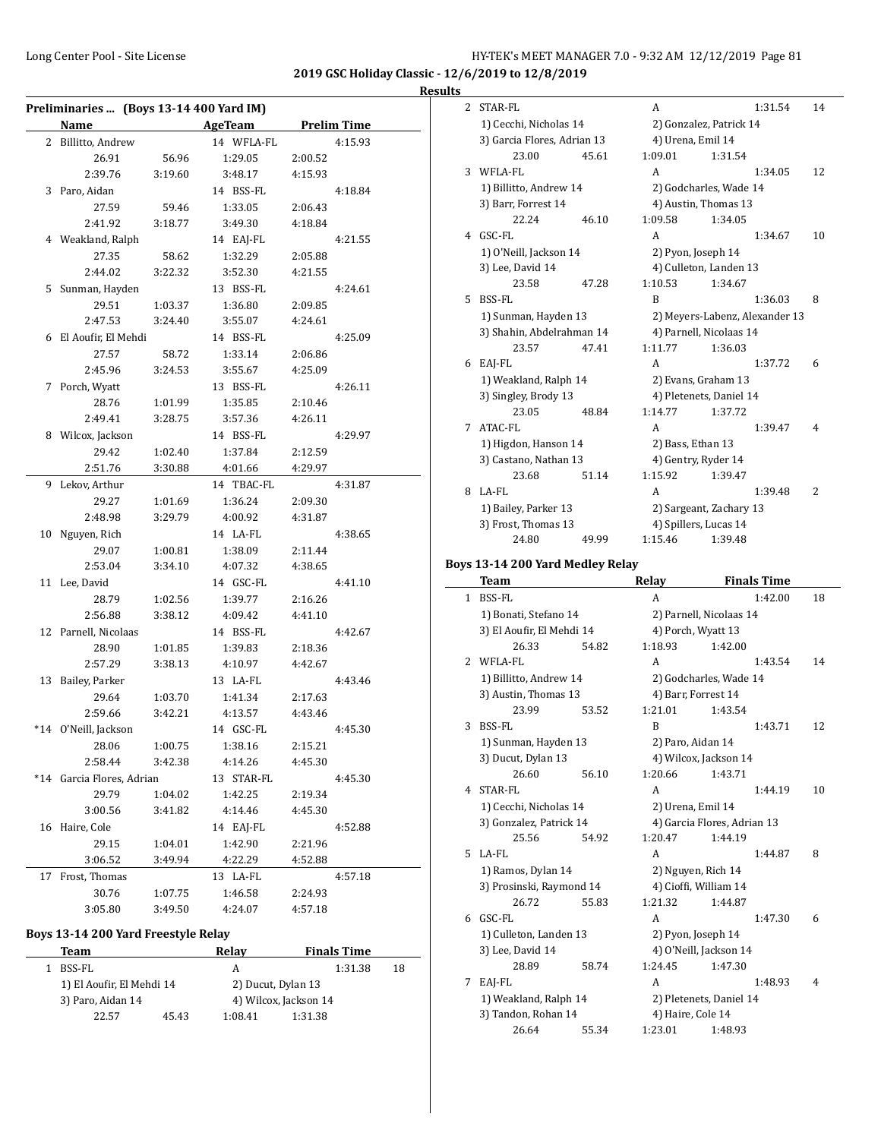| Results |  |
|---------|--|
|         |  |

|    | Preliminaries  (Boys 13-14 400 Yard IM) |         |            |         |                    |
|----|-----------------------------------------|---------|------------|---------|--------------------|
|    | Name                                    |         | AgeTeam    |         | <b>Prelim Time</b> |
|    | 2 Billitto, Andrew                      |         | 14 WFLA-FL |         | 4:15.93            |
|    | 26.91                                   | 56.96   | 1:29.05    | 2:00.52 |                    |
|    | 2:39.76                                 | 3:19.60 | 3:48.17    | 4:15.93 |                    |
|    | 3 Paro, Aidan                           |         | 14 BSS-FL  |         | 4:18.84            |
|    | 27.59                                   | 59.46   | 1:33.05    | 2:06.43 |                    |
|    | 2:41.92                                 | 3:18.77 | 3:49.30    | 4:18.84 |                    |
|    | 4 Weakland, Ralph                       |         | 14 EAJ-FL  |         | 4:21.55            |
|    | 27.35                                   | 58.62   | 1:32.29    | 2:05.88 |                    |
|    | 2:44.02                                 | 3:22.32 | 3:52.30    | 4:21.55 |                    |
|    | 5 Sunman, Hayden                        |         | 13 BSS-FL  |         | 4:24.61            |
|    | 29.51                                   | 1:03.37 | 1:36.80    | 2:09.85 |                    |
|    | 2:47.53                                 | 3:24.40 | 3:55.07    | 4:24.61 |                    |
|    | 6 El Aoufir, El Mehdi                   |         | 14 BSS-FL  |         | 4:25.09            |
|    | 27.57                                   | 58.72   | 1:33.14    | 2:06.86 |                    |
|    | 2:45.96                                 | 3:24.53 | 3:55.67    | 4:25.09 |                    |
|    | 7 Porch, Wyatt                          |         | 13 BSS-FL  |         | 4:26.11            |
|    | 28.76                                   | 1:01.99 | 1:35.85    | 2:10.46 |                    |
|    | 2:49.41                                 | 3:28.75 | 3:57.36    | 4:26.11 |                    |
|    | 8 Wilcox, Jackson                       |         | 14 BSS-FL  |         | 4:29.97            |
|    | 29.42                                   | 1:02.40 | 1:37.84    | 2:12.59 |                    |
|    | 2:51.76                                 | 3:30.88 | 4:01.66    | 4:29.97 |                    |
|    | 9 Lekov, Arthur                         |         | 14 TBAC-FL |         | 4:31.87            |
|    | 29.27                                   | 1:01.69 | 1:36.24    | 2:09.30 |                    |
|    | 2:48.98                                 | 3:29.79 | 4:00.92    | 4:31.87 |                    |
|    | 10 Nguyen, Rich                         |         | 14 LA-FL   |         | 4:38.65            |
|    | 29.07                                   | 1:00.81 | 1:38.09    | 2:11.44 |                    |
|    | 2:53.04                                 | 3:34.10 | 4:07.32    | 4:38.65 |                    |
|    | 11 Lee, David                           |         | 14 GSC-FL  |         | 4:41.10            |
|    | 28.79                                   | 1:02.56 | 1:39.77    | 2:16.26 |                    |
|    | 2:56.88                                 | 3:38.12 | 4:09.42    | 4:41.10 |                    |
|    | 12 Parnell, Nicolaas                    |         | 14 BSS-FL  |         | 4:42.67            |
|    | 28.90                                   | 1:01.85 | 1:39.83    | 2:18.36 |                    |
|    | 2:57.29                                 | 3:38.13 | 4:10.97    | 4:42.67 |                    |
|    | 13 Bailey, Parker                       |         | 13 LA-FL   |         | 4:43.46            |
|    | 29.64                                   | 1:03.70 | 1:41.34    | 2:17.63 |                    |
|    | 2:59.66                                 | 3:42.21 | 4:13.57    | 4:43.46 |                    |
|    | *14 O'Neill, Jackson                    |         | 14 GSC-FL  |         | 4:45.30            |
|    | 28.06                                   | 1:00.75 | 1:38.16    | 2:15.21 |                    |
|    | 2:58.44                                 | 3:42.38 | 4:14.26    | 4:45.30 |                    |
|    | *14 Garcia Flores, Adrian               |         | 13 STAR-FL |         | 4:45.30            |
|    | 29.79                                   | 1:04.02 | 1:42.25    | 2:19.34 |                    |
|    | 3:00.56                                 | 3:41.82 | 4:14.46    | 4:45.30 |                    |
|    | 16 Haire, Cole                          |         | 14 EAJ-FL  |         | 4:52.88            |
|    | 29.15                                   | 1:04.01 | 1:42.90    | 2:21.96 |                    |
|    | 3:06.52                                 | 3:49.94 | 4:22.29    | 4:52.88 |                    |
| 17 | Frost, Thomas                           |         | 13 LA-FL   |         | 4:57.18            |
|    | 30.76                                   | 1:07.75 | 1:46.58    | 2:24.93 |                    |
|    | 3:05.80                                 | 3:49.50 | 4:24.07    | 4:57.18 |                    |
|    |                                         |         |            |         |                    |

# **Boys 13-14 200 Yard Freestyle Relay**

| Team |                           | Relav | <b>Finals Time</b> |                       |  |
|------|---------------------------|-------|--------------------|-----------------------|--|
|      | BSS-FL                    |       | А                  | 18                    |  |
|      | 1) El Aoufir, El Mehdi 14 |       | 2) Ducut, Dylan 13 |                       |  |
|      | 3) Paro, Aidan 14         |       |                    | 4) Wilcox, Jackson 14 |  |
|      | 22.57                     | 45.43 | 1:08.41            | 1:31.38               |  |

| 2 | STAR-FL                     |       | A                       |         | 1:31.54                        | 14 |
|---|-----------------------------|-------|-------------------------|---------|--------------------------------|----|
|   | 1) Cecchi, Nicholas 14      |       | 2) Gonzalez, Patrick 14 |         |                                |    |
|   | 3) Garcia Flores, Adrian 13 |       | 4) Urena, Emil 14       |         |                                |    |
|   | 23.00                       | 45.61 | 1:09.01                 | 1:31.54 |                                |    |
| 3 | WFLA-FL                     |       | A                       |         | 1:34.05                        | 12 |
|   | 1) Billitto, Andrew 14      |       | 2) Godcharles, Wade 14  |         |                                |    |
|   | 3) Barr, Forrest 14         |       | 4) Austin, Thomas 13    |         |                                |    |
|   | 22.24                       | 46.10 | 1:09.58                 | 1:34.05 |                                |    |
| 4 | GSC-FL                      |       | A                       |         | 1:34.67                        | 10 |
|   | 1) O'Neill, Jackson 14      |       | 2) Pyon, Joseph 14      |         |                                |    |
|   | 3) Lee, David 14            |       | 4) Culleton, Landen 13  |         |                                |    |
|   | 23.58                       | 47.28 | 1:10.53                 | 1:34.67 |                                |    |
| 5 | BSS-FL                      |       | B                       |         | 1:36.03                        | 8  |
|   | 1) Sunman, Hayden 13        |       |                         |         | 2) Meyers-Labenz, Alexander 13 |    |
|   | 3) Shahin, Abdelrahman 14   |       | 4) Parnell, Nicolaas 14 |         |                                |    |
|   | 23.57                       | 47.41 | 1:11.77                 | 1:36.03 |                                |    |
| 6 | EAJ-FL                      |       | A                       |         | 1:37.72                        | 6  |
|   | 1) Weakland, Ralph 14       |       | 2) Evans, Graham 13     |         |                                |    |
|   | 3) Singley, Brody 13        |       | 4) Pletenets, Daniel 14 |         |                                |    |
|   | 23.05                       | 48.84 | 1:14.77                 | 1:37.72 |                                |    |
| 7 | ATAC-FL                     |       | A                       |         | 1:39.47                        | 4  |
|   | 1) Higdon, Hanson 14        |       | 2) Bass, Ethan 13       |         |                                |    |
|   | 3) Castano, Nathan 13       |       | 4) Gentry, Ryder 14     |         |                                |    |
|   | 23.68                       | 51.14 | 1:15.92                 | 1:39.47 |                                |    |
| 8 | LA-FL                       |       | A                       |         | 1:39.48                        | 2  |
|   | 1) Bailey, Parker 13        |       | 2) Sargeant, Zachary 13 |         |                                |    |
|   | 3) Frost, Thomas 13         |       | 4) Spillers, Lucas 14   |         |                                |    |
|   | 24.80                       | 49.99 | 1:15.46                 | 1:39.48 |                                |    |

# **Boys 13-14 200 Yard Medley Relay**

 $\overline{\phantom{0}}$ 

|   | <b>Team</b>               |       | Relay   |                             | <b>Finals Time</b> |    |
|---|---------------------------|-------|---------|-----------------------------|--------------------|----|
| 1 | BSS-FL                    |       | A       |                             | 1:42.00            | 18 |
|   | 1) Bonati, Stefano 14     |       |         | 2) Parnell, Nicolaas 14     |                    |    |
|   | 3) El Aoufir, El Mehdi 14 |       |         | 4) Porch, Wyatt 13          |                    |    |
|   | 26.33                     | 54.82 | 1:18.93 | 1:42.00                     |                    |    |
| 2 | WFLA-FL                   |       | A       |                             | 1:43.54            | 14 |
|   | 1) Billitto, Andrew 14    |       |         | 2) Godcharles, Wade 14      |                    |    |
|   | 3) Austin, Thomas 13      |       |         | 4) Barr, Forrest 14         |                    |    |
|   | 23.99                     | 53.52 | 1:21.01 | 1:43.54                     |                    |    |
| 3 | BSS-FL                    |       | B       |                             | 1:43.71            | 12 |
|   | 1) Sunman, Hayden 13      |       |         | 2) Paro, Aidan 14           |                    |    |
|   | 3) Ducut, Dylan 13        |       |         | 4) Wilcox, Jackson 14       |                    |    |
|   | 26.60                     | 56.10 | 1:20.66 | 1:43.71                     |                    |    |
| 4 | STAR-FL                   |       | A       |                             | 1:44.19            | 10 |
|   | 1) Cecchi, Nicholas 14    |       |         | 2) Urena, Emil 14           |                    |    |
|   | 3) Gonzalez, Patrick 14   |       |         | 4) Garcia Flores, Adrian 13 |                    |    |
|   | 25.56                     | 54.92 | 1:20.47 | 1:44.19                     |                    |    |
| 5 | LA-FL                     |       | A       |                             | 1:44.87            | 8  |
|   | 1) Ramos, Dylan 14        |       |         | 2) Nguyen, Rich 14          |                    |    |
|   | 3) Prosinski, Raymond 14  |       |         | 4) Cioffi, William 14       |                    |    |
|   | 26.72                     | 55.83 | 1:21.32 | 1:44.87                     |                    |    |
| 6 | GSC-FL                    |       | A       |                             | 1:47.30            | 6  |
|   | 1) Culleton, Landen 13    |       |         | 2) Pyon, Joseph 14          |                    |    |
|   | 3) Lee, David 14          |       |         | 4) O'Neill, Jackson 14      |                    |    |
|   | 28.89                     | 58.74 | 1:24.45 | 1:47.30                     |                    |    |
| 7 | EAJ-FL                    |       | A       |                             | 1:48.93            | 4  |
|   | 1) Weakland, Ralph 14     |       |         | 2) Pletenets, Daniel 14     |                    |    |
|   | 3) Tandon, Rohan 14       |       |         | 4) Haire, Cole 14           |                    |    |
|   | 26.64                     | 55.34 | 1:23.01 | 1:48.93                     |                    |    |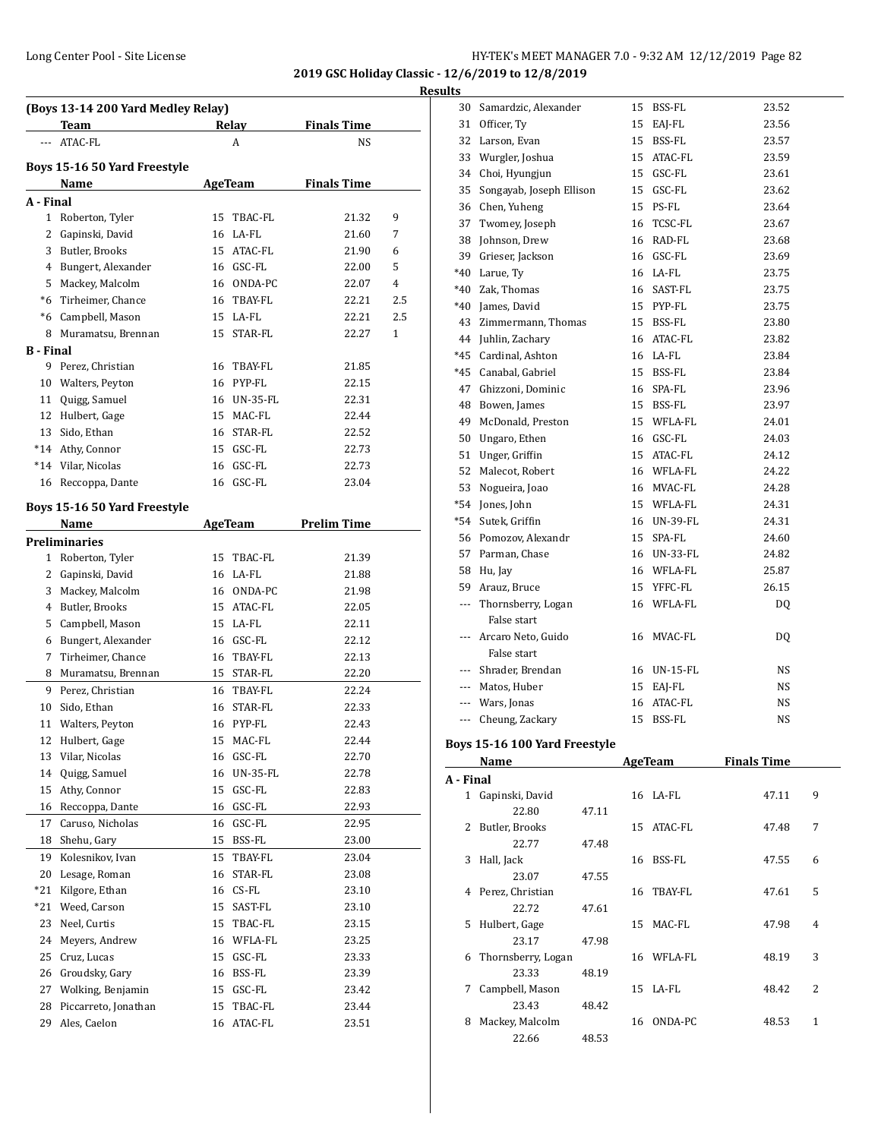**2019 GSC Holiday Classic - 12/6/2019 to 12/8/2019**

**Results**

|                  | (Boys 13-14 200 Yard Medley Relay)<br>Team |    | <b>Relay</b>    | <b>Finals Time</b> |     |
|------------------|--------------------------------------------|----|-----------------|--------------------|-----|
| ---              | ATAC-FL                                    |    | A               | NS                 |     |
|                  | Boys 15-16 50 Yard Freestyle               |    |                 |                    |     |
|                  | Name                                       |    | <b>AgeTeam</b>  | <b>Finals Time</b> |     |
| A - Final        |                                            |    |                 |                    |     |
| 1                | Roberton, Tyler                            | 15 | TBAC-FL         | 21.32              | 9   |
| 2                | Gapinski, David                            | 16 | LA-FL           | 21.60              | 7   |
|                  | 3 Butler, Brooks                           | 15 | ATAC-FL         | 21.90              | 6   |
|                  | 4 Bungert, Alexander                       |    | 16 GSC-FL       | 22.00              | 5   |
|                  | 5 Mackey, Malcolm                          |    | 16 ONDA-PC      | 22.07              | 4   |
|                  | *6 Tirheimer, Chance                       | 16 | TBAY-FL         | 22.21              | 2.5 |
|                  | *6 Campbell, Mason                         |    | 15 LA-FL        | 22.21              | 2.5 |
| 8                | Muramatsu, Brennan                         |    | 15 STAR-FL      | 22.27              | 1   |
| <b>B</b> - Final |                                            |    |                 |                    |     |
| 9                | Perez, Christian                           | 16 | TBAY-FL         | 21.85              |     |
|                  | 10 Walters, Peyton                         |    | 16 PYP-FL       | 22.15              |     |
|                  | 11 Quigg, Samuel                           | 16 | <b>UN-35-FL</b> | 22.31              |     |
|                  | 12 Hulbert, Gage                           | 15 | MAC-FL          | 22.44              |     |
|                  | 13 Sido, Ethan                             | 16 | STAR-FL         | 22.52              |     |
|                  | *14 Athy, Connor                           |    | 15 GSC-FL       | 22.73              |     |
|                  | *14 Vilar, Nicolas                         | 16 | GSC-FL          | 22.73              |     |
| 16               | Reccoppa, Dante                            |    | 16 GSC-FL       | 23.04              |     |
|                  |                                            |    |                 |                    |     |
|                  | Boys 15-16 50 Yard Freestyle               |    |                 |                    |     |
|                  | Name                                       |    | AgeTeam         | <b>Prelim Time</b> |     |
|                  | <b>Preliminaries</b>                       |    |                 |                    |     |
|                  | 1 Roberton, Tyler                          | 15 | TBAC-FL         | 21.39              |     |
|                  | 2 Gapinski, David                          |    | 16 LA-FL        | 21.88              |     |
|                  | 3 Mackey, Malcolm                          |    | 16 ONDA-PC      | 21.98              |     |
|                  | 4 Butler, Brooks                           | 15 | ATAC-FL         | 22.05              |     |
|                  | 5 Campbell, Mason                          | 15 | LA-FL           | 22.11              |     |
|                  | 6 Bungert, Alexander                       |    | 16 GSC-FL       | 22.12              |     |
| 7                | Tirheimer, Chance                          | 16 | TBAY-FL         | 22.13              |     |
| 8                | Muramatsu, Brennan                         | 15 | STAR-FL         | 22.20              |     |
| 9                | Perez, Christian                           | 16 | TBAY-FL         | 22.24              |     |
| 10               | Sido, Ethan                                | 16 | STAR-FL         | 22.33              |     |
| 11               | Walters, Peyton                            |    | 16 PYP-FL       | 22.43              |     |
| 12               | Hulbert, Gage                              | 15 | MAC-FL          | 22.44              |     |
| 13               | Vilar, Nicolas                             | 16 | GSC-FL          | 22.70              |     |
| 14               | Quigg, Samuel                              | 16 | <b>UN-35-FL</b> | 22.78              |     |
| 15               | Athy, Connor                               | 15 | GSC-FL          | 22.83              |     |
| 16               | Reccoppa, Dante                            | 16 | GSC-FL          | 22.93              |     |
| 17               | Caruso, Nicholas                           | 16 | GSC-FL          | 22.95              |     |
|                  | 18 Shehu, Gary                             | 15 | BSS-FL          | 23.00              |     |
| 19               | Kolesnikov, Ivan                           | 15 | TBAY-FL         | 23.04              |     |
| 20               | Lesage, Roman                              | 16 | STAR-FL         | 23.08              |     |
| $*21$            | Kilgore, Ethan                             | 16 | $CS$ -FL        | 23.10              |     |
| *21              | Weed, Carson                               | 15 | SAST-FL         | 23.10              |     |
| 23               | Neel, Curtis                               | 15 | TBAC-FL         | 23.15              |     |
| 24               | Meyers, Andrew                             | 16 | WFLA-FL         | 23.25              |     |
| 25               | Cruz, Lucas                                | 15 | GSC-FL          | 23.33              |     |
|                  | 26 Groudsky, Gary                          | 16 | BSS-FL          | 23.39              |     |
| 27               | Wolking, Benjamin                          | 15 | GSC-FL          | 23.42              |     |
| 28               | Piccarreto, Jonathan                       | 15 | TBAC-FL         | 23.44              |     |
| 29               | Ales, Caelon                               | 16 | ATAC-FL         | 23.51              |     |
|                  |                                            |    |                 |                    |     |

| 30       | Samardzic, Alexander                                                       | 15 | <b>BSS-FL</b> | 23.52 |
|----------|----------------------------------------------------------------------------|----|---------------|-------|
| 31       | Officer, Ty                                                                | 15 | EAJ-FL        | 23.56 |
| 32       | Larson, Evan                                                               | 15 | BSS-FL        | 23.57 |
| 33       | Wurgler, Joshua                                                            | 15 | ATAC-FL       | 23.59 |
| 34       | Choi, Hyungjun                                                             | 15 | GSC-FL        | 23.61 |
| 35       | Songayab, Joseph Ellison                                                   | 15 | GSC-FL        | 23.62 |
| 36       | Chen, Yuheng                                                               | 15 | PS-FL         | 23.64 |
| 37       | Twomey, Joseph                                                             | 16 | TCSC-FL       | 23.67 |
| 38       | Johnson, Drew                                                              |    | 16 RAD-FL     | 23.68 |
| 39       | Grieser, Jackson                                                           | 16 | GSC-FL        | 23.69 |
| *40      | Larue, Ty                                                                  |    | 16 LA-FL      | 23.75 |
| *40      | Zak, Thomas                                                                | 16 | SAST-FL       | 23.75 |
| *40      | James, David                                                               |    | 15 PYP-FL     | 23.75 |
| 43       | Zimmermann, Thomas                                                         | 15 | BSS-FL        | 23.80 |
| 44       | Juhlin, Zachary                                                            |    | 16 ATAC-FL    | 23.82 |
| $*45$    | Cardinal, Ashton                                                           |    | 16 LA-FL      | 23.84 |
| *45      | Canabal, Gabriel                                                           | 15 | BSS-FL        | 23.84 |
| 47       | Ghizzoni, Dominic                                                          | 16 | SPA-FL        | 23.96 |
| 48       | Bowen, James                                                               | 15 | BSS-FL        | 23.97 |
| 49       | McDonald, Preston                                                          | 15 | WFLA-FL       | 24.01 |
| 50       | Ungaro, Ethen                                                              |    | 16 GSC-FL     | 24.03 |
| 51       | Unger, Griffin                                                             | 15 | ATAC-FL       | 24.12 |
| 52       | Malecot, Robert                                                            |    | 16 WFLA-FL    | 24.22 |
| 53       | Nogueira, Joao                                                             |    | 16 MVAC-FL    | 24.28 |
| $*54$    | Jones, John                                                                |    | 15 WFLA-FL    | 24.31 |
| *54      | Sutek, Griffin                                                             |    | 16 UN-39-FL   | 24.31 |
| 56       | Pomozov, Alexandr                                                          | 15 | SPA-FL        | 24.60 |
| 57       | Parman, Chase                                                              |    | 16 UN-33-FL   | 24.82 |
| 58       | Hu, Jay                                                                    |    | 16 WFLA-FL    | 25.87 |
| 59       | Arauz, Bruce                                                               | 15 | YFFC-FL       | 26.15 |
| ---      | Thornsberry, Logan                                                         | 16 | WFLA-FL       | DQ    |
|          | False start                                                                |    |               |       |
| $\cdots$ | Arcaro Neto, Guido                                                         | 16 | MVAC-FL       | DQ    |
|          | False start                                                                |    |               |       |
|          | --- Shrader, Brendan                                                       |    | 16 UN-15-FL   | NS    |
|          | --- Matos, Huber                                                           | 15 | EAJ-FL        | NS    |
|          | --- Wars, Jonas                                                            | 16 | ATAC-FL       | NS    |
| $\cdots$ | Cheung, Zackary                                                            | 15 | BSS-FL        | NS    |
|          | $\overline{1}$ $\overline{2}$ $\overline{3}$ $\overline{0}$ $\overline{0}$ |    |               |       |

# **Boys 15-16 100 Yard Freestyle**

| Name      |                    |       |    | <b>AgeTeam</b> | <b>Finals Time</b> |   |  |
|-----------|--------------------|-------|----|----------------|--------------------|---|--|
| A - Final |                    |       |    |                |                    |   |  |
| 1         | Gapinski, David    |       |    | 16 LA-FL       | 47.11              | 9 |  |
|           | 22.80              | 47.11 |    |                |                    |   |  |
| 2         | Butler, Brooks     |       | 15 | ATAC-FL        | 47.48              | 7 |  |
|           | 22.77              | 47.48 |    |                |                    |   |  |
| 3         | Hall, Jack         |       | 16 | BSS-FL         | 47.55              | 6 |  |
|           | 23.07              | 47.55 |    |                |                    |   |  |
| 4         | Perez, Christian   |       | 16 | TBAY-FL        | 47.61              | 5 |  |
|           | 22.72              | 47.61 |    |                |                    |   |  |
| 5.        | Hulbert, Gage      |       | 15 | MAC-FL         | 47.98              | 4 |  |
|           | 23.17              | 47.98 |    |                |                    |   |  |
| 6         | Thornsberry, Logan |       | 16 | WFLA-FL        | 48.19              | 3 |  |
|           | 23.33              | 48.19 |    |                |                    |   |  |
| 7         | Campbell, Mason    |       |    | $15$ LA-FL     | 48.42              | 2 |  |
|           | 23.43              | 48.42 |    |                |                    |   |  |
| 8         | Mackey, Malcolm    |       | 16 | ONDA-PC        | 48.53              | 1 |  |
|           | 22.66              | 48.53 |    |                |                    |   |  |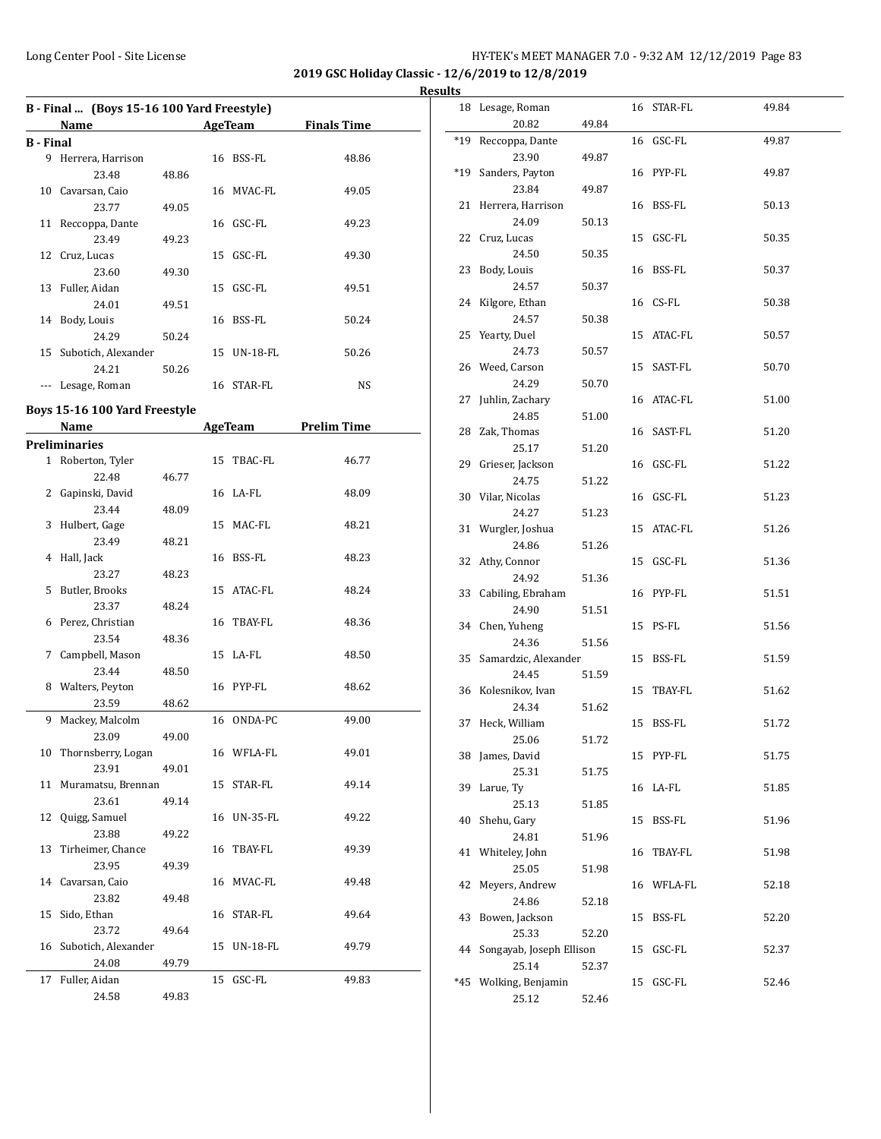**2019 GSC Holiday Classic - 12/6/2019 to 12/8/2019 Results**

|                  | B - Final  (Boys 15-16 100 Yard Freestyle) |       |    |             |       |  |  |  |  |  |
|------------------|--------------------------------------------|-------|----|-------------|-------|--|--|--|--|--|
|                  | Name<br>AgeTeam<br><b>Finals Time</b>      |       |    |             |       |  |  |  |  |  |
| <b>B</b> - Final |                                            |       |    |             |       |  |  |  |  |  |
| 9                | Herrera, Harrison                          |       |    | 16 BSS-FL   | 48.86 |  |  |  |  |  |
|                  | 23.48                                      | 48.86 |    |             |       |  |  |  |  |  |
| 10               | Cavarsan, Caio                             |       |    | 16 MVAC-FL  | 49.05 |  |  |  |  |  |
|                  | 23.77                                      | 49.05 |    |             |       |  |  |  |  |  |
| 11               | Reccoppa, Dante                            |       |    | 16 GSC-FL   | 49.23 |  |  |  |  |  |
|                  | 23.49                                      | 49.23 |    |             |       |  |  |  |  |  |
|                  | 12 Cruz, Lucas                             |       | 15 | GSC-FL      | 49.30 |  |  |  |  |  |
|                  | 23.60                                      | 49.30 |    |             |       |  |  |  |  |  |
| 13               | Fuller, Aidan                              |       | 15 | GSC-FL      | 49.51 |  |  |  |  |  |
|                  | 24.01                                      | 49.51 |    |             |       |  |  |  |  |  |
| 14               | Body, Louis                                |       | 16 | BSS-FL      | 50.24 |  |  |  |  |  |
|                  | 24.29                                      | 50.24 |    |             |       |  |  |  |  |  |
|                  | 15 Subotich, Alexander                     |       |    | 15 UN-18-FL | 50.26 |  |  |  |  |  |
|                  | 24.21                                      | 50.26 |    |             |       |  |  |  |  |  |
|                  | Lesage, Roman                              |       |    | 16 STAR-FL  | NS    |  |  |  |  |  |

# **Boys 15-16 100 Yard Freestyle**

|    | <b>Name</b>            |       |    | <b>AgeTeam</b> | <b>Prelim Time</b> |
|----|------------------------|-------|----|----------------|--------------------|
|    | <b>Preliminaries</b>   |       |    |                |                    |
|    | 1 Roberton, Tyler      |       |    | 15 TBAC-FL     | 46.77              |
|    | 22.48                  | 46.77 |    |                |                    |
|    | 2 Gapinski, David      |       |    | 16 LA-FL       | 48.09              |
|    | 23.44                  | 48.09 |    |                |                    |
| 3  | Hulbert, Gage          |       |    | 15 MAC-FL      | 48.21              |
|    | 23.49                  | 48.21 |    |                |                    |
| 4  | Hall, Jack             |       |    | 16 BSS-FL      | 48.23              |
|    | 23.27                  | 48.23 |    |                |                    |
| 5. | Butler, Brooks         |       |    | 15 ATAC-FL     | 48.24              |
|    | 23.37                  | 48.24 |    |                |                    |
|    | 6 Perez, Christian     |       |    | 16 TBAY-FL     | 48.36              |
|    | 23.54                  | 48.36 |    |                |                    |
|    | 7 Campbell, Mason      |       |    | 15 LA-FL       | 48.50              |
|    | 23.44                  | 48.50 |    |                |                    |
|    | 8 Walters, Peyton      |       |    | 16 PYP-FL      | 48.62              |
|    | 23.59                  | 48.62 |    |                |                    |
| 9  | Mackey, Malcolm        |       |    | 16 ONDA-PC     | 49.00              |
|    | 23.09                  | 49.00 |    |                |                    |
| 10 | Thornsberry, Logan     |       |    | 16 WFLA-FL     | 49.01              |
|    | 23.91                  | 49.01 |    |                |                    |
|    | 11 Muramatsu, Brennan  |       |    | 15 STAR-FL     | 49.14              |
|    | 23.61                  | 49.14 |    |                |                    |
|    | 12 Quigg, Samuel       |       |    | 16 UN-35-FL    | 49.22              |
|    | 23.88                  | 49.22 |    |                |                    |
| 13 | Tirheimer, Chance      |       |    | 16 TBAY-FL     | 49.39              |
|    | 23.95                  | 49.39 |    |                |                    |
|    | 14 Cavarsan, Caio      |       |    | 16 MVAC-FL     | 49.48              |
|    | 23.82                  | 49.48 |    |                |                    |
|    | 15 Sido, Ethan         |       |    | 16 STAR-FL     | 49.64              |
|    | 23.72                  | 49.64 |    |                |                    |
|    | 16 Subotich, Alexander |       |    | 15 UN-18-FL    | 49.79              |
|    | 24.08                  | 49.79 |    |                |                    |
| 17 | Fuller, Aidan          |       | 15 | GSC-FL         | 49.83              |
|    | 24.58                  | 49.83 |    |                |                    |

|       | 18 Lesage, Roman         |       |    | 16 STAR-FL    | 49.84 |
|-------|--------------------------|-------|----|---------------|-------|
|       | 20.82                    | 49.84 |    |               |       |
| $*19$ | Reccoppa, Dante          |       |    | 16 GSC-FL     | 49.87 |
|       | 23.90                    | 49.87 |    |               |       |
| $*19$ | Sanders, Payton          |       |    | 16 PYP-FL     | 49.87 |
|       | 23.84                    | 49.87 |    |               |       |
|       | 21 Herrera, Harrison     |       |    | 16 BSS-FL     | 50.13 |
|       | 24.09                    | 50.13 |    |               |       |
|       | 22 Cruz, Lucas           |       |    | 15 GSC-FL     | 50.35 |
|       | 24.50                    | 50.35 |    |               |       |
| 23    | Body, Louis              |       |    | 16 BSS-FL     | 50.37 |
|       | 24.57                    | 50.37 |    |               |       |
| 24    | Kilgore, Ethan           |       |    | 16 CS-FL      | 50.38 |
|       | 24.57                    | 50.38 |    |               |       |
| 25    | Yearty, Duel             |       |    | 15 ATAC-FL    | 50.57 |
|       | 24.73                    | 50.57 |    |               |       |
|       | 26 Weed, Carson          |       |    | 15 SAST-FL    | 50.70 |
|       | 24.29                    | 50.70 |    |               |       |
|       | 27 Juhlin, Zachary       |       |    | 16 ATAC-FL    | 51.00 |
|       | 24.85                    | 51.00 |    |               |       |
|       | 28 Zak, Thomas           |       |    | 16 SAST-FL    | 51.20 |
|       | 25.17                    | 51.20 |    |               |       |
|       | 29 Grieser, Jackson      |       |    | 16 GSC-FL     | 51.22 |
|       | 24.75                    | 51.22 |    |               |       |
|       | 30 Vilar, Nicolas        |       |    | 16 GSC-FL     | 51.23 |
|       | 24.27                    | 51.23 |    |               |       |
|       | 31 Wurgler, Joshua       |       |    | 15 ATAC-FL    | 51.26 |
|       | 24.86                    | 51.26 |    |               |       |
|       | 32 Athy, Connor          |       |    | 15 GSC-FL     | 51.36 |
|       | 24.92                    | 51.36 |    |               |       |
|       | 33 Cabiling, Ebraham     |       |    | 16 PYP-FL     | 51.51 |
|       | 24.90                    | 51.51 |    |               |       |
|       | 34 Chen, Yuheng          |       |    | 15 PS-FL      | 51.56 |
|       | 24.36                    | 51.56 |    |               |       |
|       | 35 Samardzic, Alexander  |       |    | 15 BSS-FL     | 51.59 |
|       | 24.45                    | 51.59 |    |               |       |
|       | 36 Kolesnikov, Ivan      |       |    | 15 TBAY-FL    | 51.62 |
|       | 24.34                    | 51.62 |    |               |       |
| 37    | Heck, William            |       |    | 15 BSS-FL     | 51.72 |
|       | 25.06                    | 51.72 |    |               |       |
|       | 38 James, David          |       |    | 15 PYP-FL     | 51.75 |
|       | 25.31                    | 51.75 |    |               |       |
|       | 39 Larue, Ty             |       |    | 16 LA-FL      | 51.85 |
|       | 25.13                    | 51.85 |    |               |       |
| 40    | Shehu, Gary              |       |    | 15 BSS-FL     | 51.96 |
|       | 24.81                    | 51.96 |    |               |       |
|       | 41 Whiteley, John        |       | 16 | TBAY-FL       | 51.98 |
|       | 25.05                    | 51.98 |    |               |       |
| 42    | Meyers, Andrew           |       |    | 16 WFLA-FL    | 52.18 |
|       | 24.86                    | 52.18 |    |               |       |
| 43    | Bowen, Jackson           |       | 15 | <b>BSS-FL</b> | 52.20 |
|       | 25.33                    | 52.20 |    |               |       |
| 44    | Songayab, Joseph Ellison |       | 15 | GSC-FL        | 52.37 |
|       | 25.14                    | 52.37 |    |               |       |
| *45   | Wolking, Benjamin        |       | 15 | GSC-FL        | 52.46 |
|       | 25.12                    | 52.46 |    |               |       |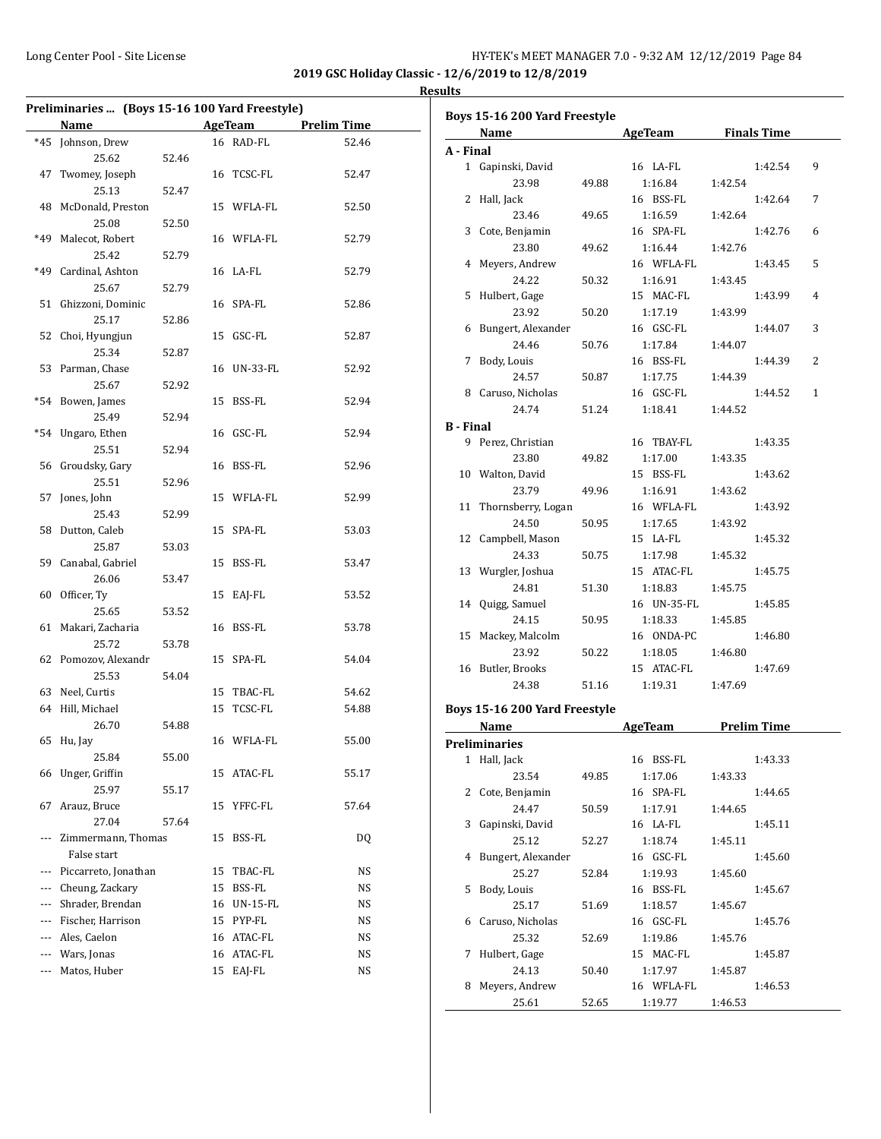| Preliminaries  (Boys 15-16 100 Yard Freestyle) |                      |       |    |                 |                    |  |
|------------------------------------------------|----------------------|-------|----|-----------------|--------------------|--|
|                                                | Name                 |       |    | AgeTeam         | <b>Prelim Time</b> |  |
| $*45$                                          | Johnson, Drew        |       |    | 16 RAD-FL       | 52.46              |  |
|                                                | 25.62                | 52.46 |    |                 |                    |  |
| 47                                             | Twomey, Joseph       |       | 16 | TCSC-FL         | 52.47              |  |
|                                                | 25.13                | 52.47 |    |                 |                    |  |
| 48                                             | McDonald, Preston    |       | 15 | WFLA-FL         | 52.50              |  |
|                                                | 25.08                | 52.50 |    |                 |                    |  |
| *49                                            | Malecot, Robert      |       |    | 16 WFLA-FL      | 52.79              |  |
|                                                | 25.42                | 52.79 |    |                 |                    |  |
| *49                                            | Cardinal, Ashton     |       | 16 | LA-FL           | 52.79              |  |
|                                                | 25.67                | 52.79 |    |                 |                    |  |
| 51                                             | Ghizzoni, Dominic    |       | 16 | SPA-FL          | 52.86              |  |
|                                                | 25.17                | 52.86 |    |                 |                    |  |
| 52                                             | Choi, Hyungjun       |       | 15 | GSC-FL          | 52.87              |  |
|                                                | 25.34                | 52.87 |    |                 |                    |  |
| 53                                             | Parman, Chase        |       | 16 | <b>UN-33-FL</b> | 52.92              |  |
|                                                | 25.67                | 52.92 |    |                 |                    |  |
| $*54$                                          | Bowen, James         |       | 15 | BSS-FL          | 52.94              |  |
|                                                | 25.49                | 52.94 |    |                 |                    |  |
| $*54$                                          | Ungaro, Ethen        |       | 16 | GSC-FL          | 52.94              |  |
|                                                | 25.51                | 52.94 |    |                 |                    |  |
| 56                                             | Groudsky, Gary       |       | 16 | BSS-FL          | 52.96              |  |
|                                                | 25.51                | 52.96 |    |                 |                    |  |
| 57                                             | Jones, John          |       | 15 | WFLA-FL         | 52.99              |  |
|                                                | 25.43                | 52.99 |    |                 |                    |  |
| 58                                             | Dutton, Caleb        |       | 15 | SPA-FL          | 53.03              |  |
|                                                | 25.87                | 53.03 |    |                 |                    |  |
| 59                                             | Canabal, Gabriel     |       | 15 | BSS-FL          | 53.47              |  |
|                                                | 26.06                | 53.47 |    |                 |                    |  |
| 60                                             | Officer, Ty          |       | 15 | EAJ-FL          | 53.52              |  |
|                                                | 25.65                | 53.52 |    |                 |                    |  |
| 61                                             | Makari, Zacharia     |       | 16 | BSS-FL          | 53.78              |  |
|                                                | 25.72                | 53.78 |    |                 |                    |  |
| 62                                             | Pomozov, Alexandr    |       | 15 | SPA-FL          | 54.04              |  |
|                                                | 25.53                | 54.04 |    |                 |                    |  |
| 63                                             | Neel, Curtis         |       |    | 15 TBAC-FL      | 54.62              |  |
|                                                | 64 Hill, Michael     |       | 15 | TCSC-FL         | 54.88              |  |
|                                                | 26.70                | 54.88 |    |                 |                    |  |
|                                                | 65 Hu, Jay           |       |    | 16 WFLA-FL      | 55.00              |  |
|                                                | 25.84                | 55.00 |    |                 |                    |  |
| 66                                             | Unger, Griffin       |       | 15 | ATAC-FL         | 55.17              |  |
|                                                | 25.97                | 55.17 |    |                 |                    |  |
| 67                                             | Arauz, Bruce         |       | 15 | YFFC-FL         | 57.64              |  |
|                                                | 27.04                | 57.64 |    |                 |                    |  |
| ---                                            | Zimmermann, Thomas   |       | 15 | BSS-FL          | DQ                 |  |
|                                                | False start          |       |    |                 |                    |  |
| ---                                            | Piccarreto, Jonathan |       | 15 | TBAC-FL         | NS                 |  |
| ---                                            | Cheung, Zackary      |       | 15 | BSS-FL          | NS                 |  |
| ---                                            | Shrader, Brendan     |       | 16 | UN-15-FL        | NS                 |  |
| ---                                            | Fischer, Harrison    |       | 15 | PYP-FL          | NS                 |  |
| ---                                            | Ales, Caelon         |       | 16 | ATAC-FL         | NS                 |  |
| ---                                            | Wars, Jonas          |       | 16 | ATAC-FL         | NS                 |  |
| ---                                            | Matos, Huber         |       | 15 | EAJ-FL          | NS                 |  |

|                  | Boys 15-16 200 Yard Freestyle                                                                                                                                                                                                  |       |                     |         |                    |                |
|------------------|--------------------------------------------------------------------------------------------------------------------------------------------------------------------------------------------------------------------------------|-------|---------------------|---------|--------------------|----------------|
|                  | Name and the second second second second second second second second second second second second second second second second second second second second second second second second second second second second second second |       | AgeTeam Finals Time |         |                    |                |
| A - Final        |                                                                                                                                                                                                                                |       |                     |         |                    |                |
|                  | 1 Gapinski, David                                                                                                                                                                                                              |       | 16 LA-FL            |         | 1:42.54            | 9              |
|                  | 23.98                                                                                                                                                                                                                          | 49.88 | 1:16.84             | 1:42.54 |                    |                |
|                  | 2 Hall, Jack                                                                                                                                                                                                                   |       | 16 BSS-FL           |         | 1:42.64            | 7              |
|                  | 23.46                                                                                                                                                                                                                          | 49.65 | 1:16.59             | 1:42.64 |                    |                |
|                  | 3 Cote, Benjamin                                                                                                                                                                                                               |       | 16 SPA-FL           |         | 1:42.76            | 6              |
|                  | 23.80                                                                                                                                                                                                                          | 49.62 | 1:16.44             | 1:42.76 |                    |                |
|                  | 4 Meyers, Andrew                                                                                                                                                                                                               |       | 16 WFLA-FL          |         | 1:43.45            | 5              |
|                  | 24.22                                                                                                                                                                                                                          | 50.32 | 1:16.91             | 1:43.45 |                    |                |
|                  | 5 Hulbert, Gage                                                                                                                                                                                                                |       | 15 MAC-FL           |         | 1:43.99            | $\overline{4}$ |
|                  | 23.92                                                                                                                                                                                                                          | 50.20 | 1:17.19             | 1:43.99 |                    |                |
|                  | 6 Bungert, Alexander                                                                                                                                                                                                           |       | 16 GSC-FL           |         | 1:44.07            | 3              |
|                  | 24.46                                                                                                                                                                                                                          | 50.76 | 1:17.84             | 1:44.07 |                    |                |
| 7                | Body, Louis                                                                                                                                                                                                                    |       | 16 BSS-FL           |         | 1:44.39            | 2              |
|                  | 24.57                                                                                                                                                                                                                          | 50.87 | 1:17.75             | 1:44.39 |                    |                |
|                  | 8 Caruso, Nicholas                                                                                                                                                                                                             |       | 16 GSC-FL           |         | 1:44.52            | $\mathbf{1}$   |
|                  | 24.74                                                                                                                                                                                                                          | 51.24 | 1:18.41             | 1:44.52 |                    |                |
| <b>B</b> - Final |                                                                                                                                                                                                                                |       |                     |         |                    |                |
|                  | 9 Perez, Christian                                                                                                                                                                                                             |       | 16 TBAY-FL          |         | 1:43.35            |                |
|                  | 23.80                                                                                                                                                                                                                          | 49.82 | 1:17.00             | 1:43.35 |                    |                |
|                  | 10 Walton, David                                                                                                                                                                                                               |       | 15 BSS-FL           |         | 1:43.62            |                |
|                  | 23.79                                                                                                                                                                                                                          | 49.96 | 1:16.91             | 1:43.62 |                    |                |
|                  | 11 Thornsberry, Logan                                                                                                                                                                                                          |       | 16 WFLA-FL          |         | 1:43.92            |                |
|                  | 24.50                                                                                                                                                                                                                          | 50.95 | 1:17.65             | 1:43.92 |                    |                |
|                  | 12 Campbell, Mason                                                                                                                                                                                                             |       | 15 LA-FL            |         | 1:45.32            |                |
|                  | 24.33                                                                                                                                                                                                                          | 50.75 | 1:17.98             | 1:45.32 |                    |                |
|                  | 13 Wurgler, Joshua                                                                                                                                                                                                             |       | 15 ATAC-FL          |         | 1:45.75            |                |
|                  | 24.81                                                                                                                                                                                                                          | 51.30 | 1:18.83             | 1:45.75 |                    |                |
|                  | 14 Quigg, Samuel                                                                                                                                                                                                               |       | 16 UN-35-FL         |         | 1:45.85            |                |
|                  | 24.15                                                                                                                                                                                                                          | 50.95 | 1:18.33             | 1:45.85 |                    |                |
| 15               | Mackey, Malcolm                                                                                                                                                                                                                |       | 16 ONDA-PC          |         | 1:46.80            |                |
|                  | 23.92                                                                                                                                                                                                                          | 50.22 | 1:18.05             | 1:46.80 |                    |                |
|                  | 16 Butler, Brooks                                                                                                                                                                                                              |       | 15 ATAC-FL          |         | 1:47.69            |                |
|                  | 24.38                                                                                                                                                                                                                          | 51.16 |                     | 1:47.69 |                    |                |
|                  |                                                                                                                                                                                                                                |       | 1:19.31             |         |                    |                |
|                  | Boys 15-16 200 Yard Freestyle                                                                                                                                                                                                  |       |                     |         |                    |                |
|                  | Name                                                                                                                                                                                                                           |       | AgeTeam             |         | <b>Prelim Time</b> |                |
|                  | <b>Preliminaries</b>                                                                                                                                                                                                           |       |                     |         |                    |                |
|                  | 1 Hall, Jack                                                                                                                                                                                                                   |       | 16 BSS-FL           |         | 1:43.33            |                |
|                  | 23.54                                                                                                                                                                                                                          | 49.85 | 1:17.06             | 1:43.33 |                    |                |
| 2                | Cote, Benjamin                                                                                                                                                                                                                 |       | 16 SPA-FL           |         | 1:44.65            |                |
|                  | 24.47                                                                                                                                                                                                                          | 50.59 | 1:17.91             | 1:44.65 |                    |                |
| 3                | Gapinski, David                                                                                                                                                                                                                |       | 16 LA-FL            |         | 1:45.11            |                |
|                  | 25.12                                                                                                                                                                                                                          | 52.27 | 1:18.74             | 1:45.11 |                    |                |
| 4                | Bungert, Alexander                                                                                                                                                                                                             |       | 16 GSC-FL           |         | 1:45.60            |                |
|                  | 25.27                                                                                                                                                                                                                          | 52.84 | 1:19.93             | 1:45.60 |                    |                |
| 5                | Body, Louis                                                                                                                                                                                                                    |       | 16 BSS-FL           |         | 1:45.67            |                |
|                  | 25.17                                                                                                                                                                                                                          | 51.69 | 1:18.57             | 1:45.67 |                    |                |
| 6                | Caruso, Nicholas                                                                                                                                                                                                               |       | 16 GSC-FL           |         | 1:45.76            |                |
|                  | 25.32                                                                                                                                                                                                                          | 52.69 | 1:19.86             | 1:45.76 |                    |                |
| 7                | Hulbert, Gage                                                                                                                                                                                                                  |       | 15 MAC-FL           |         | 1:45.87            |                |
|                  | 24.13                                                                                                                                                                                                                          | 50.40 | 1:17.97             | 1:45.87 |                    |                |
| 8                | Meyers, Andrew                                                                                                                                                                                                                 |       | 16 WFLA-FL          |         | 1:46.53            |                |
|                  |                                                                                                                                                                                                                                |       |                     |         |                    |                |
|                  | 25.61                                                                                                                                                                                                                          | 52.65 | 1:19.77             | 1:46.53 |                    |                |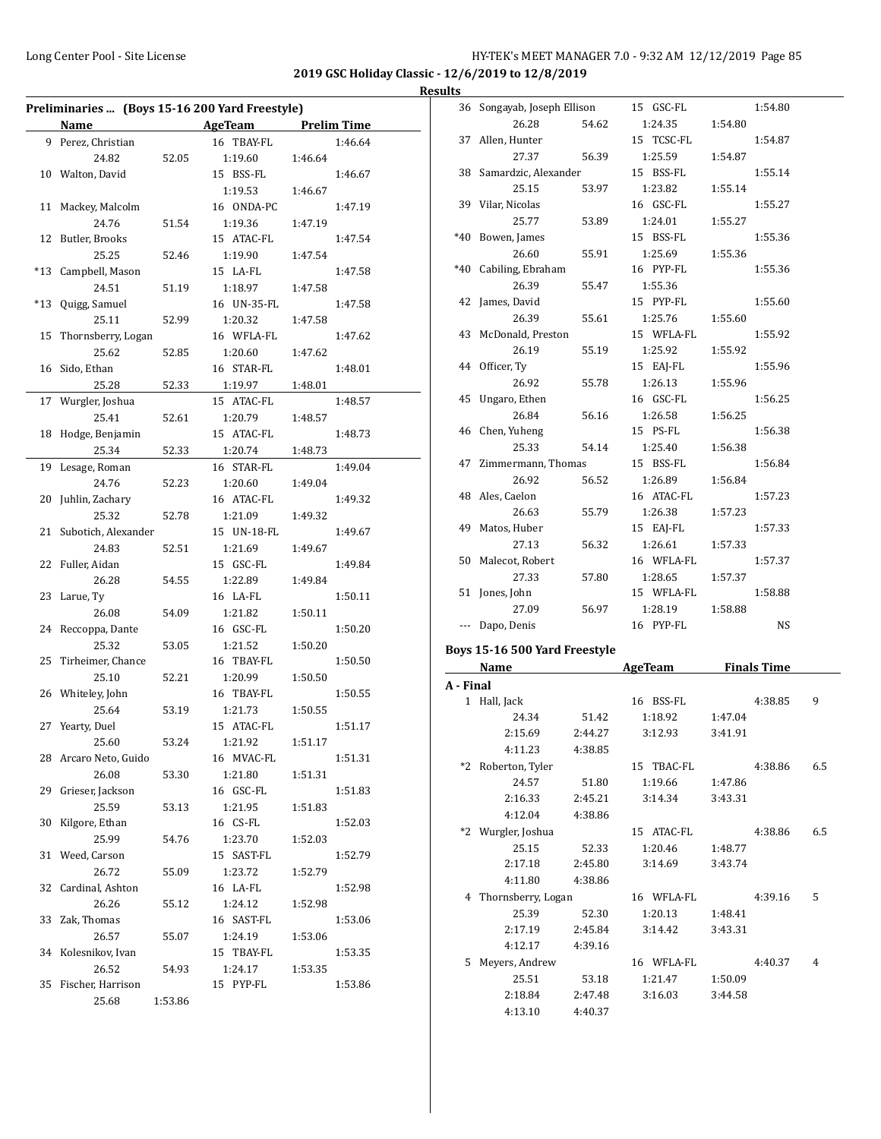$\overline{a}$ 

# Long Center Pool - Site License **HY-TEK's MEET MANAGER 7.0 - 9:32 AM 12/12/2019** Page 85

**2019 GSC Holiday Classic - 12/6/2019 to 12/8/2019 Results**

| Preliminaries  (Boys 15-16 200 Yard Freestyle) |                        |         |                     |         |         |  |
|------------------------------------------------|------------------------|---------|---------------------|---------|---------|--|
|                                                | Name                   |         | AgeTeam Prelim Time |         |         |  |
|                                                | 9 Perez, Christian     |         | 16 TBAY-FL          |         | 1:46.64 |  |
|                                                | 24.82                  | 52.05   | 1:19.60             | 1:46.64 |         |  |
|                                                | 10 Walton, David       |         | 15 BSS-FL           |         | 1:46.67 |  |
|                                                |                        |         | 1:19.53             | 1:46.67 |         |  |
| 11                                             | Mackey, Malcolm        |         | 16 ONDA-PC          |         | 1:47.19 |  |
|                                                | 24.76                  | 51.54   | 1:19.36             | 1:47.19 |         |  |
| 12                                             | Butler, Brooks         |         | 15 ATAC-FL          |         | 1:47.54 |  |
|                                                | 25.25                  | 52.46   | 1:19.90             | 1:47.54 |         |  |
| $*13$                                          | Campbell, Mason        |         | 15 LA-FL            |         | 1:47.58 |  |
|                                                | 24.51                  | 51.19   | 1:18.97             | 1:47.58 |         |  |
|                                                | *13 Quigg, Samuel      |         | 16 UN-35-FL         |         | 1:47.58 |  |
|                                                | 25.11                  | 52.99   | 1:20.32             | 1:47.58 |         |  |
| 15                                             | Thornsberry, Logan     |         | 16 WFLA-FL          |         | 1:47.62 |  |
|                                                | 25.62                  | 52.85   | 1:20.60             | 1:47.62 |         |  |
|                                                | 16 Sido, Ethan         |         | 16 STAR-FL          |         | 1:48.01 |  |
|                                                | 25.28                  | 52.33   | 1:19.97             | 1:48.01 |         |  |
| 17                                             | Wurgler, Joshua        |         | 15 ATAC-FL          |         | 1:48.57 |  |
|                                                | 25.41                  | 52.61   | 1:20.79             | 1:48.57 |         |  |
| 18                                             | Hodge, Benjamin        |         | 15 ATAC-FL          |         | 1:48.73 |  |
|                                                | 25.34                  | 52.33   | 1:20.74             | 1:48.73 |         |  |
| 19                                             | Lesage, Roman          |         | 16 STAR-FL          |         | 1:49.04 |  |
|                                                | 24.76                  | 52.23   | 1:20.60             | 1:49.04 |         |  |
| 20                                             | Juhlin, Zachary        |         | 16 ATAC-FL          |         | 1:49.32 |  |
|                                                | 25.32                  | 52.78   | 1:21.09             | 1:49.32 |         |  |
|                                                | 21 Subotich, Alexander |         | 15 UN-18-FL         |         | 1:49.67 |  |
|                                                | 24.83                  | 52.51   | 1:21.69             | 1:49.67 |         |  |
|                                                | 22 Fuller, Aidan       |         | 15 GSC-FL           |         | 1:49.84 |  |
|                                                | 26.28                  | 54.55   | 1:22.89             | 1:49.84 |         |  |
|                                                | 23 Larue, Ty           |         | 16 LA-FL            |         | 1:50.11 |  |
|                                                | 26.08                  | 54.09   | 1:21.82             | 1:50.11 |         |  |
|                                                | 24 Reccoppa, Dante     |         | 16 GSC-FL           |         | 1:50.20 |  |
|                                                | 25.32                  | 53.05   | 1:21.52             | 1:50.20 |         |  |
| 25                                             | Tirheimer, Chance      |         | 16 TBAY-FL          |         | 1:50.50 |  |
|                                                | 25.10                  | 52.21   | 1:20.99             | 1:50.50 |         |  |
|                                                | 26 Whiteley, John      |         | 16 TBAY-FL          |         | 1:50.55 |  |
|                                                | 25.64                  | 53.19   | 1:21.73             | 1:50.55 |         |  |
|                                                | 27 Yearty, Duel        |         | 15 ATAC-FL          |         | 1:51.17 |  |
|                                                | 25.60                  | 53.24   | 1:21.92             | 1:51.17 |         |  |
|                                                | 28 Arcaro Neto, Guido  |         | 16 MVAC-FL          |         | 1:51.31 |  |
|                                                | 26.08                  | 53.30   | 1:21.80             | 1:51.31 |         |  |
| 29                                             | Grieser, Jackson       |         | 16 GSC-FL           |         | 1:51.83 |  |
|                                                | 25.59                  | 53.13   | 1:21.95             | 1:51.83 |         |  |
| 30                                             | Kilgore, Ethan         |         | 16 CS-FL            |         | 1:52.03 |  |
|                                                | 25.99                  | 54.76   | 1:23.70             | 1:52.03 |         |  |
| 31                                             | Weed, Carson           |         | 15 SAST-FL          |         | 1:52.79 |  |
|                                                | 26.72                  | 55.09   | 1:23.72             | 1:52.79 |         |  |
| 32                                             | Cardinal, Ashton       |         | 16 LA-FL            |         | 1:52.98 |  |
|                                                | 26.26                  | 55.12   | 1:24.12             | 1:52.98 |         |  |
| 33                                             | Zak, Thomas            |         | 16 SAST-FL          |         | 1:53.06 |  |
|                                                | 26.57                  | 55.07   | 1:24.19             | 1:53.06 |         |  |
| 34                                             | Kolesnikov, Ivan       |         | 15 TBAY-FL          |         | 1:53.35 |  |
|                                                | 26.52                  | 54.93   | 1:24.17             | 1:53.35 |         |  |
| 35                                             | Fischer, Harrison      |         | 15 PYP-FL           |         | 1:53.86 |  |
|                                                | 25.68                  | 1:53.86 |                     |         |         |  |
|                                                |                        |         |                     |         |         |  |

| πь          |                               |       |                |         |                    |
|-------------|-------------------------------|-------|----------------|---------|--------------------|
| 36          | Songayab, Joseph Ellison      |       | 15 GSC-FL      |         | 1:54.80            |
|             | 26.28                         | 54.62 | 1:24.35        | 1:54.80 |                    |
| 37          | Allen, Hunter                 |       | 15 TCSC-FL     |         | 1:54.87            |
|             | 27.37                         | 56.39 | 1:25.59        | 1:54.87 |                    |
| 38          | Samardzic, Alexander          |       | 15 BSS-FL      |         | 1:55.14            |
|             | 25.15                         | 53.97 | 1:23.82        | 1:55.14 |                    |
|             | 39 Vilar, Nicolas             |       | 16 GSC-FL      |         | 1:55.27            |
|             | 25.77                         | 53.89 | 1:24.01        | 1:55.27 |                    |
| $*40$       | Bowen, James                  |       | 15 BSS-FL      |         | 1:55.36            |
|             | 26.60                         | 55.91 | 1:25.69        | 1:55.36 |                    |
| $^{\ast}40$ | Cabiling, Ebraham             |       | 16 PYP-FL      |         | 1:55.36            |
|             | 26.39                         | 55.47 | 1:55.36        |         |                    |
| 42          | James, David                  |       | 15 PYP-FL      |         | 1:55.60            |
|             | 26.39                         | 55.61 | 1:25.76        | 1:55.60 |                    |
| 43          | McDonald, Preston             |       | 15 WFLA-FL     |         | 1:55.92            |
|             | 26.19                         | 55.19 | 1:25.92        | 1:55.92 |                    |
|             | 44 Officer, Tv                |       | 15 EAJ-FL      |         | 1:55.96            |
|             | 26.92                         | 55.78 | 1:26.13        | 1:55.96 |                    |
| 45          | Ungaro, Ethen                 |       | 16 GSC-FL      |         | 1:56.25            |
|             | 26.84                         | 56.16 | 1:26.58        | 1:56.25 |                    |
|             | 46 Chen, Yuheng               |       | 15 PS-FL       |         | 1:56.38            |
|             | 25.33                         | 54.14 | 1:25.40        | 1:56.38 |                    |
| 47          | Zimmermann, Thomas            |       | 15 BSS-FL      |         | 1:56.84            |
|             | 26.92                         | 56.52 | 1:26.89        | 1:56.84 |                    |
|             | 48 Ales, Caelon               |       | 16 ATAC-FL     |         | 1:57.23            |
|             | 26.63                         | 55.79 | 1:26.38        | 1:57.23 |                    |
| 49          | Matos, Huber                  |       | 15 EAJ-FL      |         | 1:57.33            |
|             | 27.13                         | 56.32 | 1:26.61        | 1:57.33 |                    |
| 50          | Malecot, Robert               |       | 16 WFLA-FL     |         | 1:57.37            |
|             | 27.33                         | 57.80 | 1:28.65        | 1:57.37 |                    |
| 51          | Jones, John                   |       | 15 WFLA-FL     |         | 1:58.88            |
|             | 27.09                         | 56.97 | 1:28.19        | 1:58.88 |                    |
| $---$       | Dapo, Denis                   |       | 16 PYP-FL      |         | NS                 |
|             | Boys 15-16 500 Yard Freestyle |       |                |         |                    |
|             | Name                          |       | <b>AgeTeam</b> |         | <b>Finals Time</b> |
| A - Final   |                               |       |                |         |                    |

|              | Name               |         | AgeTeam    |         | Finals Time |     |
|--------------|--------------------|---------|------------|---------|-------------|-----|
| A - Final    |                    |         |            |         |             |     |
| $\mathbf{1}$ | Hall, Jack         |         | 16 BSS-FL  |         | 4:38.85     | 9   |
|              | 24.34              | 51.42   | 1:18.92    | 1:47.04 |             |     |
|              | 2:15.69            | 2:44.27 | 3:12.93    | 3:41.91 |             |     |
|              | 4:11.23            | 4:38.85 |            |         |             |     |
| $*2$         | Roberton, Tyler    |         | 15 TBAC-FL |         | 4:38.86     | 6.5 |
|              | 24.57              | 51.80   | 1:19.66    | 1:47.86 |             |     |
|              | 2:16.33            | 2:45.21 | 3:14.34    | 3:43.31 |             |     |
|              | 4:12.04            | 4:38.86 |            |         |             |     |
| $*2$         | Wurgler, Joshua    |         | 15 ATAC-FL |         | 4:38.86     | 6.5 |
|              | 25.15              | 52.33   | 1:20.46    | 1:48.77 |             |     |
|              | 2:17.18            | 2:45.80 | 3:14.69    | 3:43.74 |             |     |
|              | 4:11.80            | 4:38.86 |            |         |             |     |
| 4            | Thornsberry, Logan |         | 16 WFLA-FL |         | 4:39.16     | 5   |
|              | 25.39              | 52.30   | 1:20.13    | 1:48.41 |             |     |
|              | 2:17.19            | 2:45.84 | 3:14.42    | 3:43.31 |             |     |
|              | 4:12.17            | 4:39.16 |            |         |             |     |
| 5.           | Meyers, Andrew     |         | 16 WFLA-FL |         | 4:40.37     | 4   |
|              | 25.51              | 53.18   | 1:21.47    | 1:50.09 |             |     |
|              | 2:18.84            | 2:47.48 | 3:16.03    | 3:44.58 |             |     |
|              | 4:13.10            | 4:40.37 |            |         |             |     |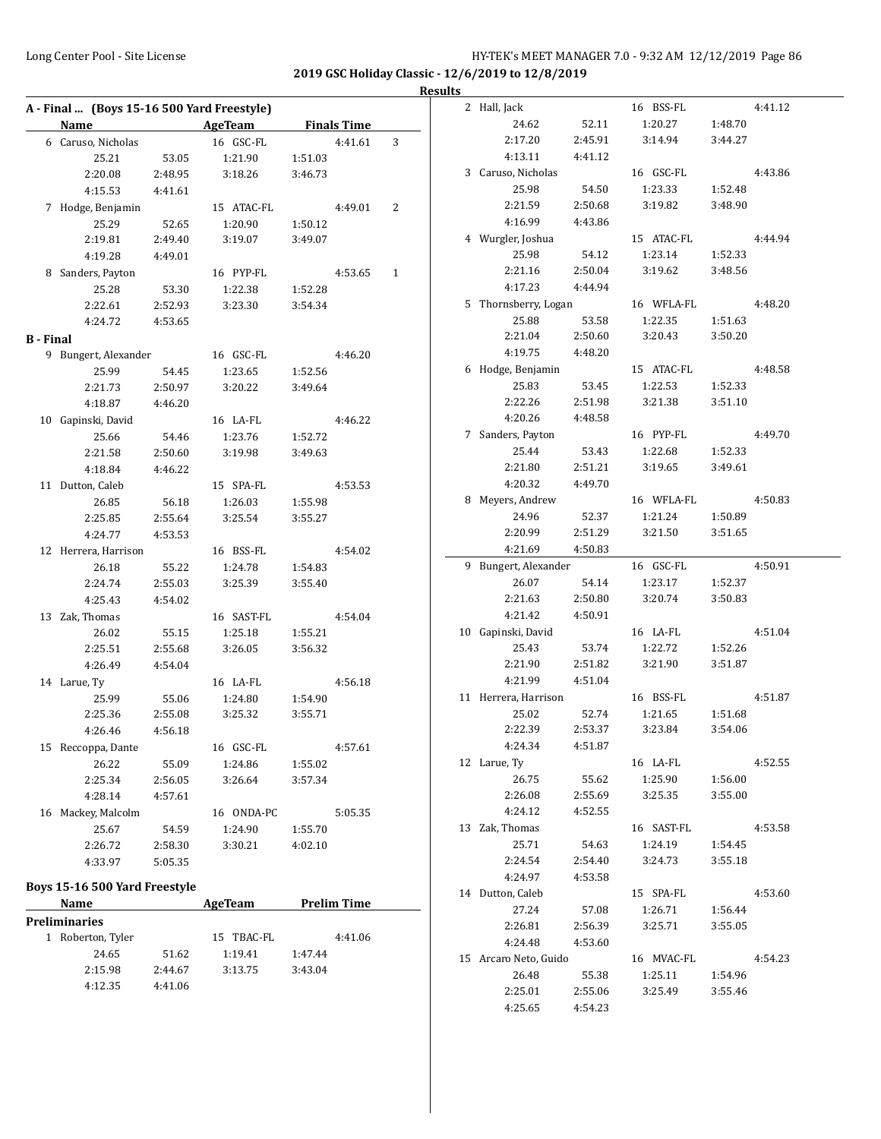$\overline{\phantom{0}}$ 

#### **Results**

| A - Final  (Boys 15-16 500 Yard Freestyle) |                      |         |            |         |                    |   |  |  |
|--------------------------------------------|----------------------|---------|------------|---------|--------------------|---|--|--|
|                                            | Name                 |         | AgeTeam    |         | <b>Finals Time</b> |   |  |  |
|                                            | 6 Caruso, Nicholas   |         | 16 GSC-FL  |         | 4:41.61            | 3 |  |  |
|                                            | 25.21                | 53.05   | 1:21.90    | 1:51.03 |                    |   |  |  |
|                                            | 2:20.08              | 2:48.95 | 3:18.26    | 3:46.73 |                    |   |  |  |
|                                            | 4:15.53              | 4:41.61 |            |         |                    |   |  |  |
|                                            | 7 Hodge, Benjamin    |         | 15 ATAC-FL |         | 4:49.01            | 2 |  |  |
|                                            | 25.29                | 52.65   | 1:20.90    | 1:50.12 |                    |   |  |  |
|                                            | 2:19.81              | 2:49.40 | 3:19.07    | 3:49.07 |                    |   |  |  |
|                                            | 4:19.28              | 4:49.01 |            |         |                    |   |  |  |
|                                            | 8 Sanders, Payton    |         | 16 PYP-FL  |         | 4:53.65            | 1 |  |  |
|                                            | 25.28                | 53.30   | 1:22.38    | 1:52.28 |                    |   |  |  |
|                                            | 2:22.61              | 2:52.93 | 3:23.30    | 3:54.34 |                    |   |  |  |
|                                            | 4:24.72              | 4:53.65 |            |         |                    |   |  |  |
| <b>B</b> - Final                           |                      |         |            |         |                    |   |  |  |
|                                            | 9 Bungert, Alexander |         | 16 GSC-FL  |         | 4:46.20            |   |  |  |
|                                            | 25.99                | 54.45   | 1:23.65    | 1:52.56 |                    |   |  |  |
|                                            | 2:21.73              | 2:50.97 | 3:20.22    | 3:49.64 |                    |   |  |  |
|                                            | 4:18.87              | 4:46.20 |            |         |                    |   |  |  |
|                                            | 10 Gapinski, David   |         | 16 LA-FL   |         | 4:46.22            |   |  |  |
|                                            | 25.66                | 54.46   | 1:23.76    | 1:52.72 |                    |   |  |  |
|                                            | 2:21.58              | 2:50.60 | 3:19.98    | 3:49.63 |                    |   |  |  |
|                                            | 4:18.84              | 4:46.22 |            |         |                    |   |  |  |
|                                            | 11 Dutton, Caleb     |         | 15 SPA-FL  |         | 4:53.53            |   |  |  |
|                                            | 26.85                | 56.18   | 1:26.03    | 1:55.98 |                    |   |  |  |
|                                            | 2:25.85              | 2:55.64 | 3:25.54    | 3:55.27 |                    |   |  |  |
|                                            | 4:24.77              | 4:53.53 |            |         |                    |   |  |  |
|                                            | 12 Herrera, Harrison |         | 16 BSS-FL  |         | 4:54.02            |   |  |  |
|                                            | 26.18                | 55.22   | 1:24.78    | 1:54.83 |                    |   |  |  |
|                                            | 2:24.74              | 2:55.03 | 3:25.39    | 3:55.40 |                    |   |  |  |
|                                            | 4:25.43              | 4:54.02 |            |         |                    |   |  |  |
|                                            | 13 Zak, Thomas       |         | 16 SAST-FL |         | 4:54.04            |   |  |  |
|                                            | 26.02                | 55.15   | 1:25.18    | 1:55.21 |                    |   |  |  |
|                                            | 2:25.51              | 2:55.68 | 3:26.05    | 3:56.32 |                    |   |  |  |
|                                            | 4:26.49              | 4:54.04 |            |         |                    |   |  |  |
|                                            | 14 Larue, Ty         |         | 16 LA-FL   |         | 4:56.18            |   |  |  |
|                                            | 25.99                | 55.06   | 1:24.80    | 1:54.90 |                    |   |  |  |
|                                            | 2:25.36              | 2:55.08 | 3:25.32    | 3:55.71 |                    |   |  |  |
|                                            | 4:26.46              | 4:56.18 |            |         |                    |   |  |  |
|                                            | 15 Reccoppa, Dante   |         | 16 GSC-FL  |         | 4:57.61            |   |  |  |
|                                            | 26.22                | 55.09   | 1:24.86    | 1:55.02 |                    |   |  |  |
|                                            | 2:25.34              | 2:56.05 | 3:26.64    | 3:57.34 |                    |   |  |  |
|                                            | 4:28.14              | 4:57.61 |            |         |                    |   |  |  |
| 16                                         | Mackey, Malcolm      |         | 16 ONDA-PC |         | 5:05.35            |   |  |  |
|                                            | 25.67                | 54.59   | 1:24.90    | 1:55.70 |                    |   |  |  |
|                                            | 2:26.72              | 2:58.30 | 3:30.21    | 4:02.10 |                    |   |  |  |
|                                            | 4:33.97              | 5:05.35 |            |         |                    |   |  |  |
|                                            |                      |         |            |         |                    |   |  |  |

# **Boys 15-16 500 Yard Freestyle**

| <b>Name</b>                     |         | AgeTeam    | <b>Prelim Time</b> |  |  |
|---------------------------------|---------|------------|--------------------|--|--|
| <b>Preliminaries</b>            |         |            |                    |  |  |
| Roberton, Tyler<br>$\mathbf{1}$ |         | 15 TBAC-FL | 4:41.06            |  |  |
| 24.65                           | 51.62   | 1:19.41    | 1:47.44            |  |  |
| 2:15.98                         | 2:44.67 | 3:13.75    | 3:43.04            |  |  |
| 4:12.35                         | 4:41.06 |            |                    |  |  |

|    | 2 Hall, Jack          |         | 16 BSS-FL  |         | 4:41.12 |
|----|-----------------------|---------|------------|---------|---------|
|    | 24.62                 | 52.11   | 1:20.27    | 1:48.70 |         |
|    | 2:17.20               | 2:45.91 | 3:14.94    | 3:44.27 |         |
|    | 4:13.11               | 4:41.12 |            |         |         |
|    | 3 Caruso, Nicholas    |         | 16 GSC-FL  |         | 4:43.86 |
|    | 25.98                 | 54.50   | 1:23.33    | 1:52.48 |         |
|    | 2:21.59               | 2:50.68 | 3:19.82    | 3:48.90 |         |
|    | 4:16.99               | 4:43.86 |            |         |         |
|    | 4 Wurgler, Joshua     |         | 15 ATAC-FL |         | 4:44.94 |
|    | 25.98                 | 54.12   | 1:23.14    | 1:52.33 |         |
|    | 2:21.16               | 2:50.04 | 3:19.62    | 3:48.56 |         |
|    | 4:17.23               | 4:44.94 |            |         |         |
|    | 5 Thornsberry, Logan  |         | 16 WFLA-FL |         | 4:48.20 |
|    | 25.88                 | 53.58   | 1:22.35    | 1:51.63 |         |
|    | 2:21.04               |         |            | 3:50.20 |         |
|    |                       | 2:50.60 | 3:20.43    |         |         |
|    | 4:19.75               | 4:48.20 |            |         |         |
|    | 6 Hodge, Benjamin     |         | 15 ATAC-FL |         | 4:48.58 |
|    | 25.83                 | 53.45   | 1:22.53    | 1:52.33 |         |
|    | 2:22.26               | 2:51.98 | 3:21.38    | 3:51.10 |         |
|    | 4:20.26               | 4:48.58 |            |         |         |
|    | 7 Sanders, Payton     |         | 16 PYP-FL  |         | 4:49.70 |
|    | 25.44                 | 53.43   | 1:22.68    | 1:52.33 |         |
|    | 2:21.80               | 2:51.21 | 3:19.65    | 3:49.61 |         |
|    | 4:20.32               | 4:49.70 |            |         |         |
| 8  | Meyers, Andrew        |         | 16 WFLA-FL |         | 4:50.83 |
|    | 24.96                 | 52.37   | 1:21.24    | 1:50.89 |         |
|    | 2:20.99               | 2:51.29 | 3:21.50    | 3:51.65 |         |
|    | 4:21.69               | 4:50.83 |            |         |         |
|    |                       |         |            |         | 4:50.91 |
| 9  | Bungert, Alexander    |         | 16 GSC-FL  |         |         |
|    | 26.07                 | 54.14   | 1:23.17    | 1:52.37 |         |
|    | 2:21.63               | 2:50.80 | 3:20.74    | 3:50.83 |         |
|    | 4:21.42               | 4:50.91 |            |         |         |
| 10 | Gapinski, David       |         | 16 LA-FL   |         | 4:51.04 |
|    | 25.43                 | 53.74   | 1:22.72    | 1:52.26 |         |
|    | 2:21.90               | 2:51.82 | 3:21.90    | 3:51.87 |         |
|    | 4:21.99               | 4:51.04 |            |         |         |
|    | 11 Herrera, Harrison  |         | 16 BSS-FL  |         | 4:51.87 |
|    | 25.02                 | 52.74   | 1:21.65    | 1:51.68 |         |
|    | 2:22.39               | 2:53.37 | 3:23.84    | 3:54.06 |         |
|    | 4:24.34               | 4:51.87 |            |         |         |
|    | 12 Larue, Ty          |         | 16 LA-FL   |         | 4:52.55 |
|    | 26.75                 | 55.62   | 1:25.90    | 1:56.00 |         |
|    | 2:26.08               | 2:55.69 | 3:25.35    | 3:55.00 |         |
|    | 4:24.12               | 4:52.55 |            |         |         |
|    | 13 Zak, Thomas        |         | 16 SAST-FL |         | 4:53.58 |
|    | 25.71                 | 54.63   | 1:24.19    | 1:54.45 |         |
|    | 2:24.54               | 2:54.40 | 3:24.73    | 3:55.18 |         |
|    | 4:24.97               | 4:53.58 |            |         |         |
|    | 14 Dutton, Caleb      |         | 15 SPA-FL  |         | 4:53.60 |
|    | 27.24                 | 57.08   | 1:26.71    | 1:56.44 |         |
|    | 2:26.81               | 2:56.39 | 3:25.71    | 3:55.05 |         |
|    | 4:24.48               | 4:53.60 |            |         |         |
|    | 15 Arcaro Neto, Guido |         | 16 MVAC-FL |         | 4:54.23 |
|    | 26.48                 | 55.38   | 1:25.11    | 1:54.96 |         |
|    | 2:25.01               | 2:55.06 | 3:25.49    | 3:55.46 |         |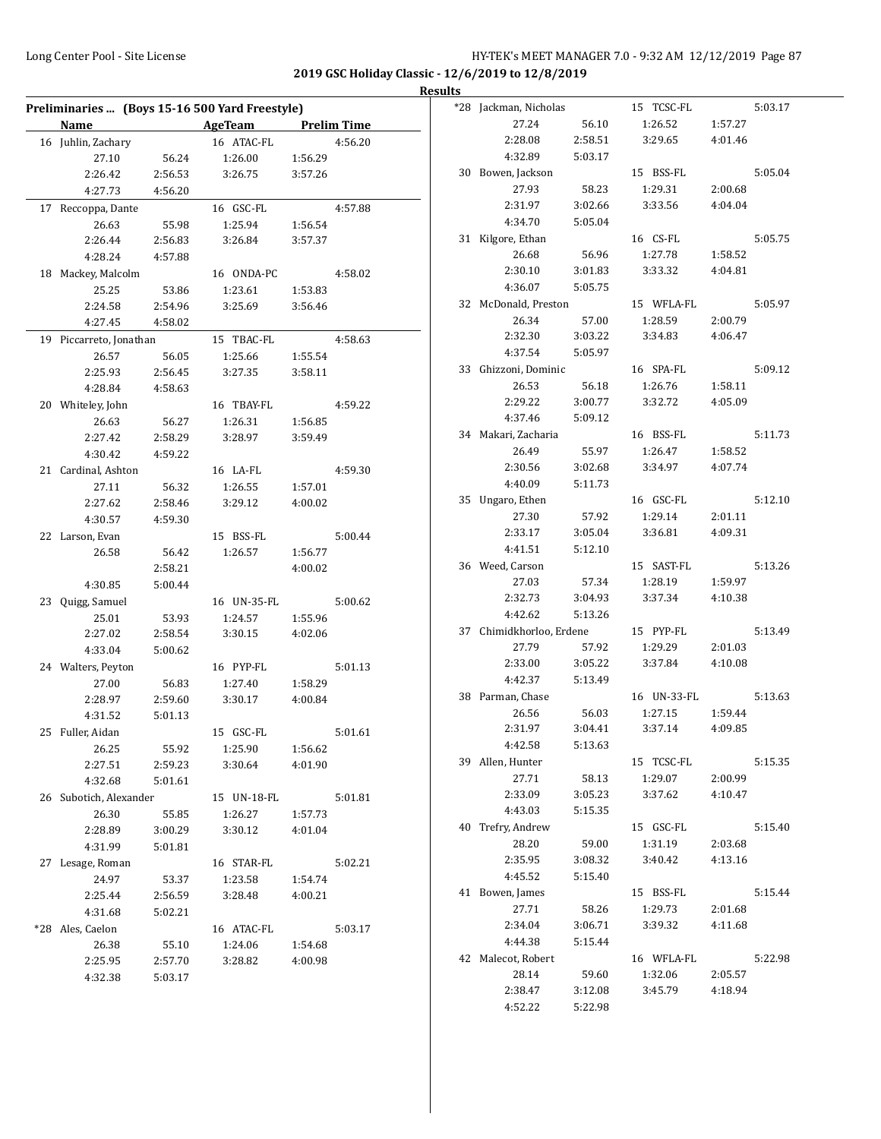|                         |         | Preliminaries  (Boys 15-16 500 Yard Freestyle) |         |         |
|-------------------------|---------|------------------------------------------------|---------|---------|
| Name                    |         | AgeTeam Prelim Time                            |         |         |
| 16 Juhlin, Zachary      |         | 16 ATAC-FL                                     |         | 4:56.20 |
| 27.10                   | 56.24   | 1:26.00                                        | 1:56.29 |         |
| 2:26.42                 | 2:56.53 | 3:26.75                                        | 3:57.26 |         |
| 4:27.73                 | 4:56.20 |                                                |         |         |
| 17 Reccoppa, Dante      |         | 16 GSC-FL                                      |         | 4:57.88 |
| 26.63                   | 55.98   | 1:25.94                                        | 1:56.54 |         |
| 2:26.44                 | 2:56.83 | 3:26.84                                        | 3:57.37 |         |
| 4:28.24                 | 4:57.88 |                                                |         |         |
| 18 Mackey, Malcolm      |         | 16 ONDA-PC                                     |         | 4:58.02 |
| 25.25                   | 53.86   | 1:23.61                                        | 1:53.83 |         |
| 2:24.58                 | 2:54.96 | 3:25.69                                        | 3:56.46 |         |
| 4:27.45                 | 4:58.02 |                                                |         |         |
| 19 Piccarreto, Jonathan |         | 15 TBAC-FL                                     |         | 4:58.63 |
| 26.57                   | 56.05   | 1:25.66                                        | 1:55.54 |         |
| 2:25.93                 | 2:56.45 | 3:27.35                                        | 3:58.11 |         |
| 4:28.84                 | 4:58.63 |                                                |         |         |
| 20 Whiteley, John       |         | 16 TBAY-FL                                     |         | 4:59.22 |
| 26.63                   | 56.27   | 1:26.31                                        | 1:56.85 |         |
| 2:27.42                 | 2:58.29 | 3:28.97                                        | 3:59.49 |         |
| 4:30.42                 | 4:59.22 |                                                |         |         |
| 21 Cardinal, Ashton     |         | 16 LA-FL                                       |         | 4:59.30 |
| 27.11                   | 56.32   | 1:26.55                                        | 1:57.01 |         |
| 2:27.62                 | 2:58.46 | 3:29.12                                        | 4:00.02 |         |
| 4:30.57                 | 4:59.30 |                                                |         |         |
| 22 Larson, Evan         |         | 15 BSS-FL                                      |         | 5:00.44 |
| 26.58                   | 56.42   | 1:26.57                                        | 1:56.77 |         |
|                         | 2:58.21 |                                                | 4:00.02 |         |
| 4:30.85                 | 5:00.44 |                                                |         |         |
| 23 Quigg, Samuel        |         | 16 UN-35-FL                                    |         | 5:00.62 |
| 25.01                   | 53.93   | 1:24.57                                        | 1:55.96 |         |
| 2:27.02                 | 2:58.54 | 3:30.15                                        | 4:02.06 |         |
| 4:33.04                 | 5:00.62 |                                                |         |         |
| 24 Walters, Peyton      |         | 16 PYP-FL                                      |         | 5:01.13 |
| 27.00                   | 56.83   | 1:27.40                                        | 1:58.29 |         |
| 2:28.97                 | 2:59.60 | 3:30.17                                        | 4:00.84 |         |
| 4:31.52                 | 5:01.13 |                                                |         |         |
| 25 Fuller, Aidan        |         | 15 GSC-FL                                      |         | 5:01.61 |
| 26.25                   | 55.92   | 1:25.90                                        | 1:56.62 |         |
| 2:27.51                 | 2:59.23 | 3:30.64                                        | 4:01.90 |         |
| 4:32.68                 | 5:01.61 |                                                |         |         |
| 26 Subotich, Alexander  |         | 15 UN-18-FL                                    |         | 5:01.81 |
| 26.30                   | 55.85   | 1:26.27                                        | 1:57.73 |         |
| 2:28.89                 | 3:00.29 | 3:30.12                                        | 4:01.04 |         |
| 4:31.99                 | 5:01.81 |                                                |         |         |
| 27 Lesage, Roman        |         | 16 STAR-FL                                     |         | 5:02.21 |
| 24.97                   | 53.37   | 1:23.58                                        | 1:54.74 |         |
| 2:25.44                 | 2:56.59 | 3:28.48                                        | 4:00.21 |         |
| 4:31.68                 | 5:02.21 |                                                |         |         |
| *28 Ales, Caelon        |         | 16 ATAC-FL                                     |         | 5:03.17 |
| 26.38                   | 55.10   | 1:24.06                                        | 1:54.68 |         |
| 2:25.95                 | 2:57.70 | 3:28.82                                        | 4:00.98 |         |
| 4:32.38                 | 5:03.17 |                                                |         |         |
|                         |         |                                                |         |         |

|    | *28 Jackman, Nicholas    |         | 15 TCSC-FL  |         | 5:03.17 |
|----|--------------------------|---------|-------------|---------|---------|
|    | 27.24                    | 56.10   | 1:26.52     | 1:57.27 |         |
|    | 2:28.08                  | 2:58.51 | 3:29.65     | 4:01.46 |         |
|    | 4:32.89                  | 5:03.17 |             |         |         |
|    | 30 Bowen, Jackson        |         | 15 BSS-FL   |         | 5:05.04 |
|    | 27.93                    | 58.23   | 1:29.31     | 2:00.68 |         |
|    | 2:31.97                  | 3:02.66 | 3:33.56     | 4:04.04 |         |
|    | 4:34.70                  | 5:05.04 |             |         |         |
| 31 | Kilgore, Ethan           |         | 16 CS-FL    |         | 5:05.75 |
|    | 26.68                    | 56.96   | 1:27.78     | 1:58.52 |         |
|    | 2:30.10                  | 3:01.83 | 3:33.32     | 4:04.81 |         |
|    | 4:36.07                  | 5:05.75 |             |         |         |
|    | 32 McDonald, Preston     |         | 15 WFLA-FL  |         | 5:05.97 |
|    | 26.34                    | 57.00   | 1:28.59     | 2:00.79 |         |
|    | 2:32.30                  | 3:03.22 | 3:34.83     | 4:06.47 |         |
|    | 4:37.54                  | 5:05.97 |             |         |         |
|    | 33 Ghizzoni, Dominic     |         | 16 SPA-FL   |         | 5:09.12 |
|    | 26.53                    | 56.18   | 1:26.76     | 1:58.11 |         |
|    | 2:29.22                  | 3:00.77 | 3:32.72     | 4:05.09 |         |
|    | 4:37.46                  | 5:09.12 |             |         |         |
|    | 34 Makari, Zacharia      |         | 16 BSS-FL   |         | 5:11.73 |
|    | 26.49                    | 55.97   | 1:26.47     | 1:58.52 |         |
|    | 2:30.56                  | 3:02.68 | 3:34.97     | 4:07.74 |         |
|    | 4:40.09                  | 5:11.73 |             |         |         |
|    | 35 Ungaro, Ethen         |         | 16 GSC-FL   |         | 5:12.10 |
|    | 27.30                    | 57.92   | 1:29.14     | 2:01.11 |         |
|    | 2:33.17                  | 3:05.04 | 3:36.81     | 4:09.31 |         |
|    | 4:41.51                  | 5:12.10 |             |         |         |
|    | 36 Weed, Carson          |         | 15 SAST-FL  |         | 5:13.26 |
|    | 27.03                    | 57.34   | 1:28.19     | 1:59.97 |         |
|    | 2:32.73                  | 3:04.93 | 3:37.34     | 4:10.38 |         |
|    | 4:42.62                  | 5:13.26 |             |         |         |
|    | 37 Chimidkhorloo, Erdene |         | 15 PYP-FL   |         | 5:13.49 |
|    | 27.79                    | 57.92   | 1:29.29     | 2:01.03 |         |
|    | 2:33.00                  | 3:05.22 | 3:37.84     | 4:10.08 |         |
|    | 4:42.37                  | 5:13.49 |             |         |         |
|    | 38 Parman, Chase         |         | 16 UN-33-FL |         | 5:13.63 |
|    | 26.56                    | 56.03   | 1:27.15     | 1:59.44 |         |
|    | 2:31.97                  | 3:04.41 | 3:37.14     | 4:09.85 |         |
|    | 4:42.58                  | 5:13.63 |             |         |         |
|    | 39 Allen, Hunter         |         | 15 TCSC-FL  |         | 5:15.35 |
|    | 27.71                    | 58.13   | 1:29.07     | 2:00.99 |         |
|    | 2:33.09                  | 3:05.23 | 3:37.62     | 4:10.47 |         |
|    | 4:43.03                  | 5:15.35 |             |         |         |
|    | 40 Trefry, Andrew        |         | 15 GSC-FL   |         | 5:15.40 |
|    | 28.20                    | 59.00   | 1:31.19     | 2:03.68 |         |
|    | 2:35.95                  | 3:08.32 | 3:40.42     | 4:13.16 |         |
|    | 4:45.52                  | 5:15.40 |             |         |         |
|    | 41 Bowen, James          |         | 15 BSS-FL   |         | 5:15.44 |
|    | 27.71                    | 58.26   | 1:29.73     | 2:01.68 |         |
|    | 2:34.04                  | 3:06.71 | 3:39.32     | 4:11.68 |         |
|    | 4:44.38                  | 5:15.44 |             |         |         |
|    | 42 Malecot, Robert       |         | 16 WFLA-FL  |         | 5:22.98 |
|    | 28.14                    | 59.60   | 1:32.06     | 2:05.57 |         |
|    | 2:38.47                  | 3:12.08 | 3:45.79     | 4:18.94 |         |
|    | 4:52.22                  | 5:22.98 |             |         |         |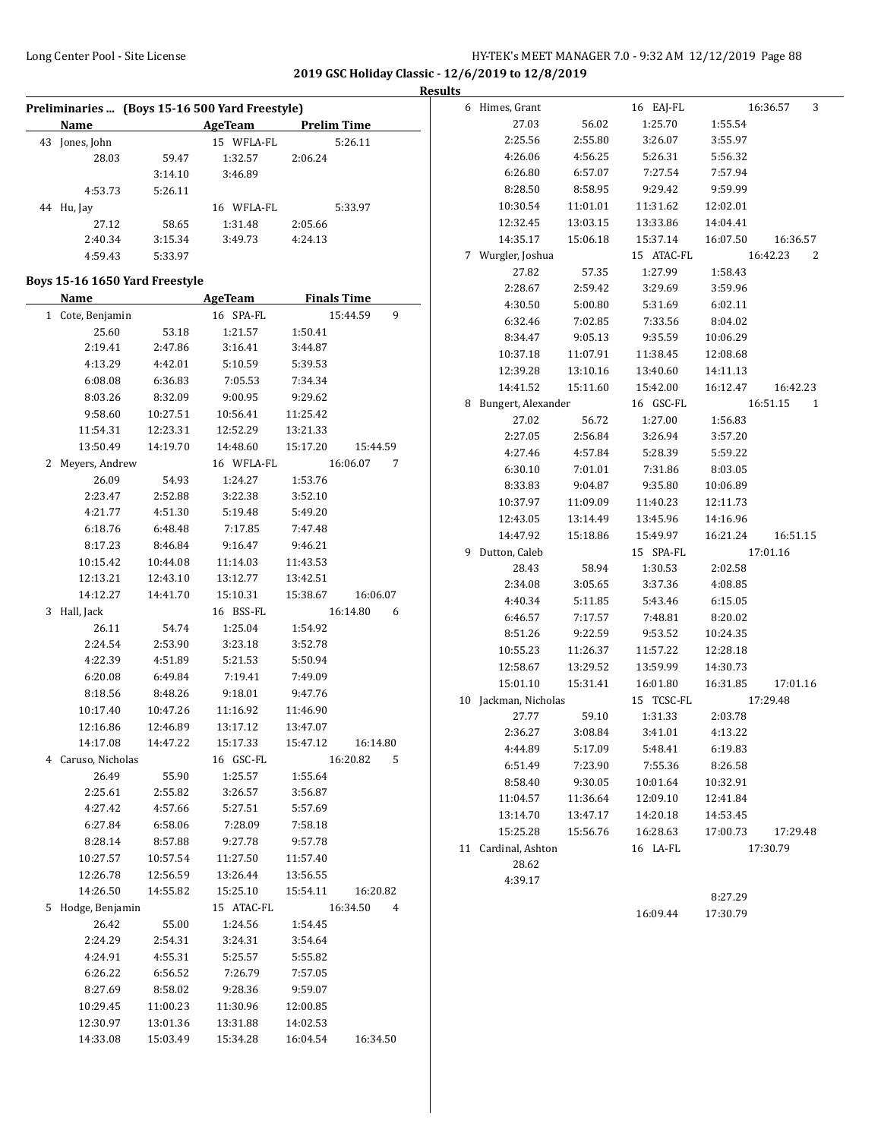**2019 GSC Holiday Classic - 12/6/2019 to 12/8/2019**

**Results**

|   |                      |                                | Preliminaries  (Boys 15-16 500 Yard Freestyle) |          |               |  |
|---|----------------------|--------------------------------|------------------------------------------------|----------|---------------|--|
|   | Name                 |                                | <b>Example 21 AgeTeam</b> Prelim Time          |          |               |  |
|   | 43 Jones, John       |                                | 15 WFLA-FL                                     |          | 5:26.11       |  |
|   | 28.03                | 59.47                          | 1:32.57                                        | 2:06.24  |               |  |
|   |                      | 3:14.10                        | 3:46.89                                        |          |               |  |
|   | 4:53.73              | 5:26.11                        |                                                |          |               |  |
|   | 44 Hu, Jay           |                                | 16 WFLA-FL                                     |          | 5:33.97       |  |
|   | 27.12                | 58.65                          | 1:31.48                                        | 2:05.66  |               |  |
|   | 2:40.34              | 3:15.34                        | 3:49.73                                        | 4:24.13  |               |  |
|   | 4:59.43              | 5:33.97                        |                                                |          |               |  |
|   |                      |                                |                                                |          |               |  |
|   |                      | Boys 15-16 1650 Yard Freestyle |                                                |          |               |  |
|   | Name                 |                                | <b>ExamPedia AgeTeam</b> Finals Time           |          |               |  |
|   | 1 Cote, Benjamin     |                                | 16 SPA-FL                                      |          | 15:44.59<br>9 |  |
|   | 25.60                | 53.18                          | 1:21.57                                        | 1:50.41  |               |  |
|   | 2:19.41              | 2:47.86                        | 3:16.41                                        | 3:44.87  |               |  |
|   | 4:13.29              | 4:42.01                        | 5:10.59                                        | 5:39.53  |               |  |
|   | 6:08.08              | 6:36.83                        | 7:05.53                                        | 7:34.34  |               |  |
|   | 8:03.26              | 8:32.09                        | 9:00.95                                        | 9:29.62  |               |  |
|   |                      |                                |                                                | 11:25.42 |               |  |
|   | 9:58.60              | 10:27.51<br>12:23.31           | 10:56.41                                       |          |               |  |
|   | 11:54.31<br>13:50.49 |                                | 12:52.29                                       | 13:21.33 |               |  |
|   |                      | 14:19.70                       | 14:48.60                                       | 15:17.20 | 15:44.59      |  |
|   | 2 Meyers, Andrew     |                                | 16 WFLA-FL                                     |          | 16:06.07<br>7 |  |
|   | 26.09                | 54.93                          | 1:24.27                                        | 1:53.76  |               |  |
|   | 2:23.47              | 2:52.88                        | 3:22.38                                        | 3:52.10  |               |  |
|   | 4:21.77              | 4:51.30                        | 5:19.48                                        | 5:49.20  |               |  |
|   | 6:18.76              | 6:48.48                        | 7:17.85                                        | 7:47.48  |               |  |
|   | 8:17.23              | 8:46.84                        | 9:16.47                                        | 9:46.21  |               |  |
|   | 10:15.42             | 10:44.08                       | 11:14.03                                       | 11:43.53 |               |  |
|   | 12:13.21             | 12:43.10                       | 13:12.77                                       | 13:42.51 |               |  |
|   | 14:12.27             | 14:41.70                       | 15:10.31                                       | 15:38.67 | 16:06.07      |  |
| 3 | Hall, Jack           |                                | 16 BSS-FL                                      |          | 16:14.80<br>6 |  |
|   | 26.11                | 54.74                          | 1:25.04                                        | 1:54.92  |               |  |
|   | 2:24.54              | 2:53.90                        | 3:23.18                                        | 3:52.78  |               |  |
|   | 4:22.39              | 4:51.89                        | 5:21.53                                        | 5:50.94  |               |  |
|   | 6:20.08              | 6:49.84                        | 7:19.41                                        | 7:49.09  |               |  |
|   | 8:18.56              | 8:48.26                        | 9:18.01                                        | 9:47.76  |               |  |
|   | 10:17.40             | 10:47.26                       | 11:16.92                                       | 11:46.90 |               |  |
|   | 12:16.86             | 12:46.89                       | 13:17.12                                       | 13:47.07 |               |  |
|   | 14:17.08             | 14:47.22                       | 15:17.33                                       | 15:47.12 | 16:14.80      |  |
|   | 4 Caruso, Nicholas   |                                | 16 GSC-FL                                      |          | 16:20.82<br>5 |  |
|   | 26.49                | 55.90                          | 1:25.57                                        | 1:55.64  |               |  |
|   | 2:25.61              | 2:55.82                        | 3:26.57                                        | 3:56.87  |               |  |
|   |                      |                                |                                                |          |               |  |
|   | 4:27.42              | 4:57.66                        | 5:27.51                                        | 5:57.69  |               |  |
|   | 6:27.84              | 6:58.06                        | 7:28.09                                        | 7:58.18  |               |  |
|   | 8:28.14              | 8:57.88                        | 9:27.78                                        | 9:57.78  |               |  |
|   | 10:27.57             | 10:57.54                       | 11:27.50                                       | 11:57.40 |               |  |
|   | 12:26.78             | 12:56.59                       | 13:26.44                                       | 13:56.55 |               |  |
|   | 14:26.50             | 14:55.82                       | 15:25.10                                       | 15:54.11 | 16:20.82      |  |
| 5 | Hodge, Benjamin      |                                | 15 ATAC-FL                                     |          | 16:34.50<br>4 |  |
|   | 26.42                | 55.00                          | 1:24.56                                        | 1:54.45  |               |  |
|   | 2:24.29              | 2:54.31                        | 3:24.31                                        | 3:54.64  |               |  |
|   | 4:24.91              | 4:55.31                        | 5:25.57                                        | 5:55.82  |               |  |
|   | 6:26.22              | 6:56.52                        | 7:26.79                                        | 7:57.05  |               |  |
|   | 8:27.69              | 8:58.02                        | 9:28.36                                        | 9:59.07  |               |  |
|   | 10:29.45             | 11:00.23                       | 11:30.96                                       | 12:00.85 |               |  |
|   | 12:30.97             | 13:01.36                       | 13:31.88                                       | 14:02.53 |               |  |
|   | 14:33.08             | 15:03.49                       | 15:34.28                                       | 16:04.54 | 16:34.50      |  |
|   |                      |                                |                                                |          |               |  |

|    | 6 Himes, Grant     |          | 16 EAJ-FL  |          | 3<br>16:36.57 |
|----|--------------------|----------|------------|----------|---------------|
|    | 27.03              | 56.02    | 1:25.70    | 1:55.54  |               |
|    | 2:25.56            | 2:55.80  | 3:26.07    | 3:55.97  |               |
|    | 4:26.06            | 4:56.25  | 5:26.31    | 5:56.32  |               |
|    | 6:26.80            | 6:57.07  | 7:27.54    | 7:57.94  |               |
|    | 8:28.50            | 8:58.95  | 9:29.42    | 9:59.99  |               |
|    | 10:30.54           | 11:01.01 | 11:31.62   | 12:02.01 |               |
|    | 12:32.45           | 13:03.15 | 13:33.86   | 14:04.41 |               |
|    | 14:35.17           | 15:06.18 | 15:37.14   | 16:07.50 | 16:36.57      |
| 7  | Wurgler, Joshua    |          | 15 ATAC-FL |          | 16:42.23<br>2 |
|    | 27.82              | 57.35    | 1:27.99    | 1:58.43  |               |
|    | 2:28.67            | 2:59.42  | 3:29.69    | 3:59.96  |               |
|    | 4:30.50            | 5:00.80  | 5:31.69    | 6:02.11  |               |
|    | 6:32.46            | 7:02.85  | 7:33.56    | 8:04.02  |               |
|    | 8:34.47            | 9:05.13  | 9:35.59    | 10:06.29 |               |
|    | 10:37.18           | 11:07.91 | 11:38.45   | 12:08.68 |               |
|    | 12:39.28           | 13:10.16 | 13:40.60   | 14:11.13 |               |
|    | 14:41.52           | 15:11.60 | 15:42.00   | 16:12.47 | 16:42.23      |
| 8  | Bungert, Alexander |          | 16 GSC-FL  |          | 16:51.15<br>1 |
|    | 27.02              | 56.72    | 1:27.00    | 1:56.83  |               |
|    | 2:27.05            | 2:56.84  | 3:26.94    | 3:57.20  |               |
|    | 4:27.46            | 4:57.84  | 5:28.39    | 5:59.22  |               |
|    | 6:30.10            | 7:01.01  | 7:31.86    | 8:03.05  |               |
|    | 8:33.83            | 9:04.87  | 9:35.80    | 10:06.89 |               |
|    | 10:37.97           | 11:09.09 | 11:40.23   | 12:11.73 |               |
|    | 12:43.05           | 13:14.49 | 13:45.96   | 14:16.96 |               |
|    | 14:47.92           | 15:18.86 | 15:49.97   | 16:21.24 | 16:51.15      |
| 9  | Dutton, Caleb      |          | 15 SPA-FL  |          | 17:01.16      |
|    | 28.43              | 58.94    | 1:30.53    | 2:02.58  |               |
|    | 2:34.08            | 3:05.65  | 3:37.36    | 4:08.85  |               |
|    | 4:40.34            | 5:11.85  | 5:43.46    | 6:15.05  |               |
|    | 6:46.57            | 7:17.57  | 7:48.81    | 8:20.02  |               |
|    | 8:51.26            | 9:22.59  | 9:53.52    | 10:24.35 |               |
|    | 10:55.23           | 11:26.37 | 11:57.22   | 12:28.18 |               |
|    | 12:58.67           | 13:29.52 | 13:59.99   | 14:30.73 |               |
|    | 15:01.10           | 15:31.41 | 16:01.80   | 16:31.85 | 17:01.16      |
| 10 | Jackman, Nicholas  |          | 15 TCSC-FL |          | 17:29.48      |
|    | 27.77              | 59.10    | 1:31.33    | 2:03.78  |               |
|    | 2:36.27            | 3:08.84  | 3:41.01    | 4:13.22  |               |
|    | 4:44.89            | 5:17.09  | 5:48.41    | 6:19.83  |               |
|    | 6:51.49            | 7:23.90  | 7:55.36    | 8:26.58  |               |
|    | 8:58.40            | 9:30.05  | 10:01.64   | 10:32.91 |               |
|    | 11:04.57           | 11:36.64 | 12:09.10   | 12:41.84 |               |
|    | 13:14.70           | 13:47.17 | 14:20.18   | 14:53.45 |               |
|    | 15:25.28           | 15:56.76 | 16:28.63   | 17:00.73 | 17:29.48      |
| 11 | Cardinal, Ashton   |          | 16 LA-FL   |          | 17:30.79      |
|    | 28.62              |          |            |          |               |
|    | 4:39.17            |          |            |          |               |
|    |                    |          |            | 8:27.29  |               |
|    |                    |          | 16:09.44   | 17:30.79 |               |
|    |                    |          |            |          |               |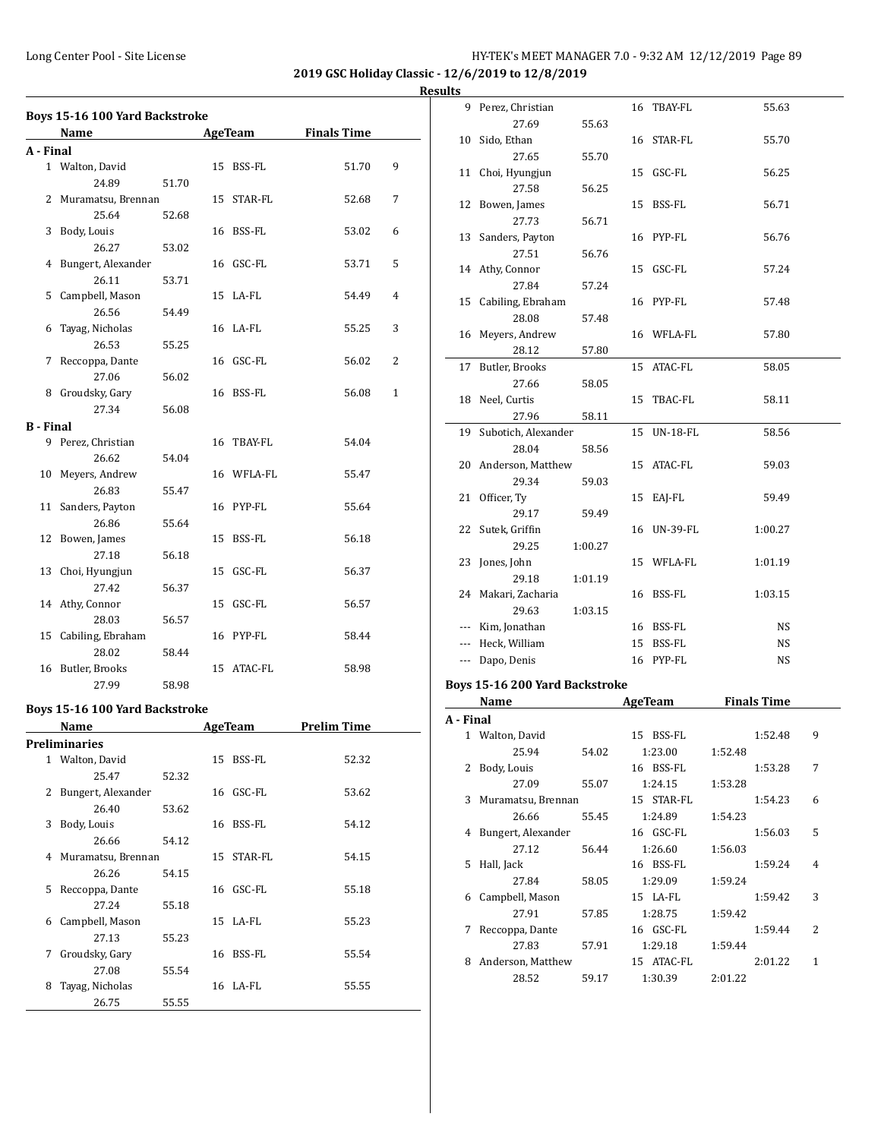**2019 GSC Holiday Classic - 12/6/2019 to 12/8/2019 Results**

|                  | Boys 15-16 100 Yard Backstroke |       |                |                    |                |
|------------------|--------------------------------|-------|----------------|--------------------|----------------|
|                  | Name                           |       | <b>AgeTeam</b> | <b>Finals Time</b> |                |
| A - Final        |                                |       |                |                    |                |
|                  | 1 Walton, David                |       | 15 BSS-FL      | 51.70              | 9              |
|                  | 24.89                          | 51.70 |                |                    |                |
|                  | 2 Muramatsu, Brennan           |       | 15 STAR-FL     | 52.68              | 7              |
|                  | 25.64                          | 52.68 |                |                    |                |
|                  | 3 Body, Louis                  |       | 16 BSS-FL      | 53.02              | 6              |
|                  | 26.27                          | 53.02 |                |                    |                |
|                  | 4 Bungert, Alexander           |       | 16 GSC-FL      | 53.71              | 5              |
|                  | 26.11                          | 53.71 |                |                    |                |
| 5                | Campbell, Mason                |       | 15 LA-FL       | 54.49              | $\overline{4}$ |
|                  | 26.56                          | 54.49 |                |                    |                |
| 6                | Tayag, Nicholas                |       | 16 LA-FL       | 55.25              | 3              |
|                  | 26.53                          | 55.25 |                |                    |                |
| 7                | Reccoppa, Dante                |       | 16 GSC-FL      | 56.02              | 2              |
|                  | 27.06                          | 56.02 |                |                    |                |
| 8                | Groudsky, Gary                 |       | 16 BSS-FL      | 56.08              | 1              |
|                  | 27.34                          | 56.08 |                |                    |                |
| <b>B</b> - Final |                                |       |                |                    |                |
|                  | 9 Perez, Christian             |       | 16 TBAY-FL     | 54.04              |                |
|                  | 26.62                          | 54.04 |                |                    |                |
| 10               | Meyers, Andrew                 |       | 16 WFLA-FL     | 55.47              |                |
|                  | 26.83                          | 55.47 |                |                    |                |
| 11               | Sanders, Payton                |       | 16 PYP-FL      | 55.64              |                |
|                  | 26.86                          | 55.64 |                |                    |                |
|                  | 12 Bowen, James                |       | 15 BSS-FL      | 56.18              |                |
|                  | 27.18                          | 56.18 |                |                    |                |
|                  | 13 Choi, Hyungjun              |       | 15 GSC-FL      | 56.37              |                |
|                  | 27.42                          | 56.37 |                |                    |                |
|                  | 14 Athy, Connor                |       | 15 GSC-FL      | 56.57              |                |
|                  | 28.03                          | 56.57 |                |                    |                |
|                  | 15 Cabiling, Ebraham           |       | 16 PYP-FL      | 58.44              |                |
|                  | 28.02                          | 58.44 |                |                    |                |
|                  | 16 Butler, Brooks              |       | 15 ATAC-FL     | 58.98              |                |
|                  | 27.99                          | 58.98 |                |                    |                |
|                  |                                |       |                |                    |                |

# **Boys 15-16 100 Yard Backstroke**

|   | Name               |       |    | <b>AgeTeam</b> | Prelim Time |
|---|--------------------|-------|----|----------------|-------------|
|   | Preliminaries      |       |    |                |             |
| 1 | Walton, David      |       | 15 | BSS-FL         | 52.32       |
|   | 25.47              | 52.32 |    |                |             |
| 2 | Bungert, Alexander |       | 16 | GSC-FL         | 53.62       |
|   | 26.40              | 53.62 |    |                |             |
| 3 | Body, Louis        |       | 16 | BSS-FL         | 54.12       |
|   | 26.66              | 54.12 |    |                |             |
| 4 | Muramatsu, Brennan |       |    | 15 STAR-FL     | 54.15       |
|   | 26.26              | 54.15 |    |                |             |
| 5 | Reccoppa, Dante    |       |    | 16 GSC-FL      | 55.18       |
|   | 27.24              | 55.18 |    |                |             |
| 6 | Campbell, Mason    |       |    | 15 LA-FL       | 55.23       |
|   | 27.13              | 55.23 |    |                |             |
| 7 | Groudsky, Gary     |       | 16 | BSS-FL         | 55.54       |
|   | 27.08              | 55.54 |    |                |             |
| 8 | Tayag, Nicholas    |       |    | $16$ LA-FL     | 55.55       |
|   | 26.75              | 55.55 |    |                |             |

| սււა      |                                |         |    |                       |         |                    |   |
|-----------|--------------------------------|---------|----|-----------------------|---------|--------------------|---|
| 9         | Perez, Christian               |         |    | 16 TBAY-FL            |         | 55.63              |   |
|           | 27.69                          | 55.63   |    |                       |         |                    |   |
| 10        | Sido, Ethan                    |         |    | 16 STAR-FL            |         | 55.70              |   |
|           | 27.65                          | 55.70   |    |                       |         |                    |   |
|           | 11 Choi, Hyungjun              |         |    | 15 GSC-FL             |         | 56.25              |   |
|           | 27.58                          | 56.25   |    |                       |         |                    |   |
|           | 12 Bowen, James                |         |    | 15 BSS-FL             |         | 56.71              |   |
|           | 27.73                          | 56.71   |    |                       |         |                    |   |
|           | 13 Sanders, Payton             |         |    | 16 PYP-FL             |         | 56.76              |   |
|           | 27.51                          | 56.76   |    |                       |         |                    |   |
|           | 14 Athy, Connor                |         |    | 15 GSC-FL             |         | 57.24              |   |
|           | 27.84                          | 57.24   |    |                       |         |                    |   |
|           | 15 Cabiling, Ebraham           |         |    | 16 PYP-FL             |         | 57.48              |   |
|           | 28.08                          | 57.48   |    |                       |         |                    |   |
|           | 16 Meyers, Andrew              |         |    | 16 WFLA-FL            |         | 57.80              |   |
|           | 28.12                          | 57.80   |    |                       |         |                    |   |
| 17        | Butler, Brooks                 |         | 15 | ATAC-FL               |         | 58.05              |   |
|           | 27.66                          | 58.05   |    |                       |         |                    |   |
|           | 18 Neel, Curtis                |         |    | 15 TBAC-FL            |         | 58.11              |   |
|           | 27.96                          | 58.11   |    |                       |         |                    |   |
| 19        | Subotich, Alexander            |         |    | 15 UN-18-FL           |         | 58.56              |   |
|           | 28.04                          | 58.56   |    |                       |         |                    |   |
|           | 20 Anderson, Matthew           |         |    | 15 ATAC-FL            |         | 59.03              |   |
|           | 29.34                          | 59.03   |    |                       |         |                    |   |
|           | 21 Officer, Ty                 |         |    | 15 EAJ-FL             |         | 59.49              |   |
|           | 29.17                          | 59.49   |    |                       |         |                    |   |
|           | 22 Sutek, Griffin              |         |    | 16 UN-39-FL           |         | 1:00.27            |   |
|           | 29.25                          | 1:00.27 |    |                       |         |                    |   |
|           | 23 Jones, John                 |         |    | 15 WFLA-FL            |         | 1:01.19            |   |
|           | 29.18                          | 1:01.19 |    |                       |         |                    |   |
|           | 24 Makari, Zacharia            |         |    | 16 BSS-FL             |         | 1:03.15            |   |
|           | 29.63                          | 1:03.15 |    |                       |         |                    |   |
|           | --- Kim, Jonathan              |         |    | 16 BSS-FL             |         | NS                 |   |
|           | --- Heck, William              |         |    | 15 BSS-FL             |         | NS                 |   |
|           | --- Dapo, Denis                |         |    | 16 PYP-FL             |         | NS                 |   |
|           | Boys 15-16 200 Yard Backstroke |         |    |                       |         |                    |   |
|           | Name                           |         |    | AgeTeam               |         | <b>Finals Time</b> |   |
| A - Final |                                |         |    |                       |         |                    |   |
|           | 1 Walton, David                |         |    | 15 BSS-FL             |         | 1:52.48            | 9 |
|           | 25.94                          | 54.02   |    | 1:23.00               | 1:52.48 |                    |   |
| 2         | Body, Louis                    |         |    | 16 BSS-FL             |         | 1:53.28            | 7 |
|           | 27.09                          | 55.07   |    | 1:24.15               | 1:53.28 |                    |   |
| 3         | Muramatsu, Brennan             |         |    | 15 STAR-FL            |         | 1:54.23            | 6 |
|           | 26.66                          | 55.45   |    | 1:24.89               | 1:54.23 |                    |   |
| 4         | Bungert, Alexander             |         |    | 16 GSC-FL             |         | 1:56.03            | 5 |
|           | 27.12                          | 56.44   |    | 1:26.60               | 1:56.03 |                    |   |
| 5         | Hall, Jack                     |         |    | 16 BSS-FL             |         | 1:59.24            | 4 |
|           | 27.84                          | 58.05   |    | 1:29.09               | 1:59.24 |                    |   |
| 6         | Campbell, Mason                |         |    | 15 LA-FL              |         | 1:59.42            | 3 |
|           | 27.91                          | 57.85   |    | 1:28.75               | 1:59.42 |                    |   |
| 7         |                                |         |    | 16 GSC-FL             |         | 1:59.44            | 2 |
|           |                                |         |    |                       |         |                    |   |
|           | Reccoppa, Dante                |         |    |                       |         |                    |   |
|           | 27.83                          | 57.91   |    | 1:29.18               | 1:59.44 |                    |   |
| 8         | Anderson, Matthew<br>28.52     | 59.17   |    | 15 ATAC-FL<br>1:30.39 | 2:01.22 | 2:01.22            | 1 |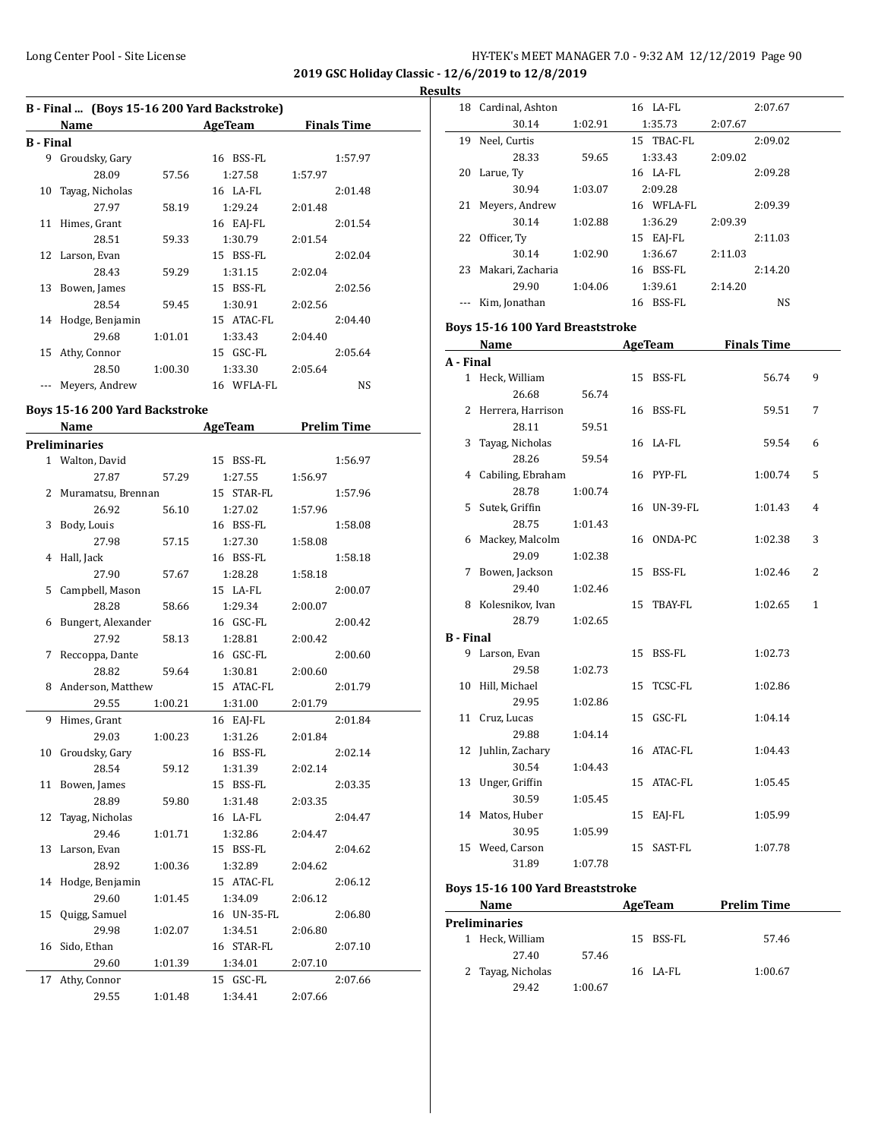#### **Results**

| B - Final  (Boys 15-16 200 Yard Backstroke) |                 |         |            |                    |  |  |  |  |
|---------------------------------------------|-----------------|---------|------------|--------------------|--|--|--|--|
|                                             | Name            |         | AgeTeam    | <b>Finals Time</b> |  |  |  |  |
| B - Final                                   |                 |         |            |                    |  |  |  |  |
| 9                                           | Groudsky, Gary  |         | 16 BSS-FL  | 1:57.97            |  |  |  |  |
|                                             | 28.09           | 57.56   | 1:27.58    | 1:57.97            |  |  |  |  |
| 10                                          | Tayag, Nicholas |         | 16 LA-FL   | 2:01.48            |  |  |  |  |
|                                             | 27.97           | 58.19   | 1:29.24    | 2:01.48            |  |  |  |  |
| 11                                          | Himes, Grant    |         | 16 EAJ-FL  | 2:01.54            |  |  |  |  |
|                                             | 28.51           | 59.33   | 1:30.79    | 2:01.54            |  |  |  |  |
|                                             | 12 Larson, Evan |         | 15 BSS-FL  | 2:02.04            |  |  |  |  |
|                                             | 28.43           | 59.29   | 1:31.15    | 2:02.04            |  |  |  |  |
| 13                                          | Bowen, James    |         | 15 BSS-FL  | 2:02.56            |  |  |  |  |
|                                             | 28.54           | 59.45   | 1:30.91    | 2:02.56            |  |  |  |  |
| 14                                          | Hodge, Benjamin |         | 15 ATAC-FL | 2:04.40            |  |  |  |  |
|                                             | 29.68           | 1:01.01 | 1:33.43    | 2:04.40            |  |  |  |  |
| 15                                          | Athy, Connor    |         | 15 GSC-FL  | 2:05.64            |  |  |  |  |
|                                             | 28.50           | 1:00.30 | 1:33.30    | 2:05.64            |  |  |  |  |
|                                             | Meyers, Andrew  |         | 16 WFLA-FL | <b>NS</b>          |  |  |  |  |

# **Boys 15-16 200 Yard Backstroke**

|    | <b>Name</b>          |         | <b>AgeTeam</b> |         | <b>Prelim Time</b> |
|----|----------------------|---------|----------------|---------|--------------------|
|    | <b>Preliminaries</b> |         |                |         |                    |
|    | 1 Walton, David      |         | 15 BSS-FL      |         | 1:56.97            |
|    | 27.87                | 57.29   | 1:27.55        | 1:56.97 |                    |
| 2  | Muramatsu, Brennan   |         | 15 STAR-FL     |         | 1:57.96            |
|    | 26.92                | 56.10   | 1:27.02        | 1:57.96 |                    |
| 3  | Body, Louis          |         | 16 BSS-FL      |         | 1:58.08            |
|    | 27.98                | 57.15   | 1:27.30        | 1:58.08 |                    |
| 4  | Hall, Jack           |         | 16 BSS-FL      |         | 1:58.18            |
|    | 27.90                | 57.67   | 1:28.28        | 1:58.18 |                    |
| 5  | Campbell, Mason      |         | 15 LA-FL       |         | 2:00.07            |
|    | 28.28                | 58.66   | 1:29.34        | 2:00.07 |                    |
| 6  | Bungert, Alexander   |         | 16 GSC-FL      |         | 2:00.42            |
|    | 27.92                | 58.13   | 1:28.81        | 2:00.42 |                    |
| 7  | Reccoppa, Dante      |         | 16 GSC-FL      |         | 2:00.60            |
|    | 28.82                | 59.64   | 1:30.81        | 2:00.60 |                    |
| 8  | Anderson, Matthew    |         | 15 ATAC-FL     |         | 2:01.79            |
|    | 29.55                | 1:00.21 | 1:31.00        | 2:01.79 |                    |
| 9  | Himes, Grant         |         | 16 EAJ-FL      |         | 2:01.84            |
|    | 29.03                | 1:00.23 | 1:31.26        | 2:01.84 |                    |
| 10 | Groudsky, Gary       |         | 16 BSS-FL      |         | 2:02.14            |
|    | 28.54                | 59.12   | 1:31.39        | 2:02.14 |                    |
| 11 | Bowen, James         |         | 15 BSS-FL      |         | 2:03.35            |
|    | 28.89                | 59.80   | 1:31.48        | 2:03.35 |                    |
| 12 | Tayag, Nicholas      |         | 16 LA-FL       |         | 2:04.47            |
|    | 29.46                | 1:01.71 | 1:32.86        | 2:04.47 |                    |
| 13 | Larson, Evan         |         | 15 BSS-FL      |         | 2:04.62            |
|    | 28.92                | 1:00.36 | 1:32.89        | 2:04.62 |                    |
| 14 | Hodge, Benjamin      |         | 15 ATAC-FL     |         | 2:06.12            |
|    | 29.60                | 1:01.45 | 1:34.09        | 2:06.12 |                    |
| 15 | Quigg, Samuel        |         | 16 UN-35-FL    |         | 2:06.80            |
|    | 29.98                | 1:02.07 | 1:34.51        | 2:06.80 |                    |
| 16 | Sido, Ethan          |         | 16 STAR-FL     |         | 2:07.10            |
|    | 29.60                | 1:01.39 | 1:34.01        | 2:07.10 |                    |
| 17 | Athy, Connor         |         | 15 GSC-FL      |         | 2:07.66            |
|    | 29.55                | 1:01.48 | 1:34.41        | 2:07.66 |                    |

|                  | 18 Cardinal, Ashton              |         |    | 16 LA-FL    |         | 2:07.67            |   |
|------------------|----------------------------------|---------|----|-------------|---------|--------------------|---|
|                  | 30.14                            | 1:02.91 |    | 1:35.73     | 2:07.67 |                    |   |
|                  | 19 Neel, Curtis                  |         |    | 15 TBAC-FL  |         | 2:09.02            |   |
|                  | 28.33                            | 59.65   |    | 1:33.43     | 2:09.02 |                    |   |
|                  | 20 Larue, Tv                     |         |    | 16 LA-FL    |         | 2:09.28            |   |
|                  | 30.94                            | 1:03.07 |    | 2:09.28     |         |                    |   |
| 21               | Meyers, Andrew                   |         |    | 16 WFLA-FL  |         | 2:09.39            |   |
|                  | 30.14                            | 1:02.88 |    | 1:36.29     | 2:09.39 |                    |   |
|                  | 22 Officer, Ty                   |         |    | 15 EAJ-FL   |         | 2:11.03            |   |
|                  | 30.14                            | 1:02.90 |    | 1:36.67     | 2:11.03 |                    |   |
|                  | 23 Makari, Zacharia              |         |    | 16 BSS-FL   |         | 2:14.20            |   |
|                  | 29.90                            | 1:04.06 |    | 1:39.61     | 2:14.20 |                    |   |
| $---$            | Kim, Jonathan                    |         |    | 16 BSS-FL   |         | NS                 |   |
|                  | Boys 15-16 100 Yard Breaststroke |         |    |             |         |                    |   |
|                  |                                  |         |    |             |         | <b>Finals Time</b> |   |
|                  | Name                             |         |    | AgeTeam     |         |                    |   |
| A - Final        |                                  |         |    | 15 BSS-FL   |         | 56.74              | 9 |
|                  | 1 Heck, William<br>26.68         | 56.74   |    |             |         |                    |   |
|                  | 2 Herrera, Harrison              |         |    | 16 BSS-FL   |         | 59.51              | 7 |
|                  | 28.11                            | 59.51   |    |             |         |                    |   |
|                  | 3 Tayag, Nicholas                |         |    | 16 LA-FL    |         | 59.54              | 6 |
|                  | 28.26                            | 59.54   |    |             |         |                    |   |
|                  | 4 Cabiling, Ebraham              |         |    | 16 PYP-FL   |         | 1:00.74            | 5 |
|                  | 28.78                            | 1:00.74 |    |             |         |                    |   |
|                  | 5 Sutek, Griffin                 |         |    | 16 UN-39-FL |         | 1:01.43            | 4 |
|                  | 28.75                            | 1:01.43 |    |             |         |                    |   |
|                  | 6 Mackey, Malcolm                |         |    | 16 ONDA-PC  |         | 1:02.38            | 3 |
|                  | 29.09                            | 1:02.38 |    |             |         |                    |   |
|                  | 7 Bowen, Jackson                 |         |    | 15 BSS-FL   |         | 1:02.46            | 2 |
|                  | 29.40                            | 1:02.46 |    |             |         |                    |   |
|                  | 8 Kolesnikov, Ivan               |         |    | 15 TBAY-FL  |         | 1:02.65            | 1 |
|                  | 28.79                            | 1:02.65 |    |             |         |                    |   |
| <b>B</b> - Final |                                  |         |    |             |         |                    |   |
| 9                | Larson, Evan                     |         |    | 15 BSS-FL   |         | 1:02.73            |   |
|                  | 29.58                            | 1:02.73 |    |             |         |                    |   |
|                  | 10 Hill, Michael                 |         | 15 | TCSC-FL     |         | 1:02.86            |   |
|                  | 29.95                            | 1:02.86 |    |             |         |                    |   |
|                  | 11 Cruz, Lucas                   |         |    | 15 GSC-FL   |         | 1:04.14            |   |
|                  | 29.88                            | 1:04.14 |    |             |         |                    |   |
|                  | 12 Juhlin, Zachary               |         |    | 16 ATAC-FL  |         | 1:04.43            |   |
|                  | 30.54                            | 1:04.43 |    |             |         |                    |   |
| 13               | Unger, Griffin                   |         | 15 | ATAC-FL     |         | 1:05.45            |   |
|                  | 30.59                            | 1:05.45 |    |             |         |                    |   |
| 14               | Matos, Huber                     |         | 15 | EAJ-FL      |         | 1:05.99            |   |
|                  | 30.95                            | 1:05.99 |    |             |         |                    |   |
|                  | 15 Weed, Carson                  |         | 15 | SAST-FL     |         | 1:07.78            |   |
|                  | 31.89                            | 1:07.78 |    |             |         |                    |   |
|                  | Boys 15-16 100 Yard Breaststroke |         |    |             |         |                    |   |
|                  |                                  |         |    |             |         |                    |   |

| Name              |         | AgeTeam   | <b>Prelim Time</b> |  |
|-------------------|---------|-----------|--------------------|--|
| Preliminaries     |         |           |                    |  |
| Heck, William     |         | 15 BSS-FL | 57.46              |  |
| 27.40             | 57.46   |           |                    |  |
| 2 Tayag, Nicholas |         | 16 LA-FL  | 1:00.67            |  |
| 29.42             | 1:00.67 |           |                    |  |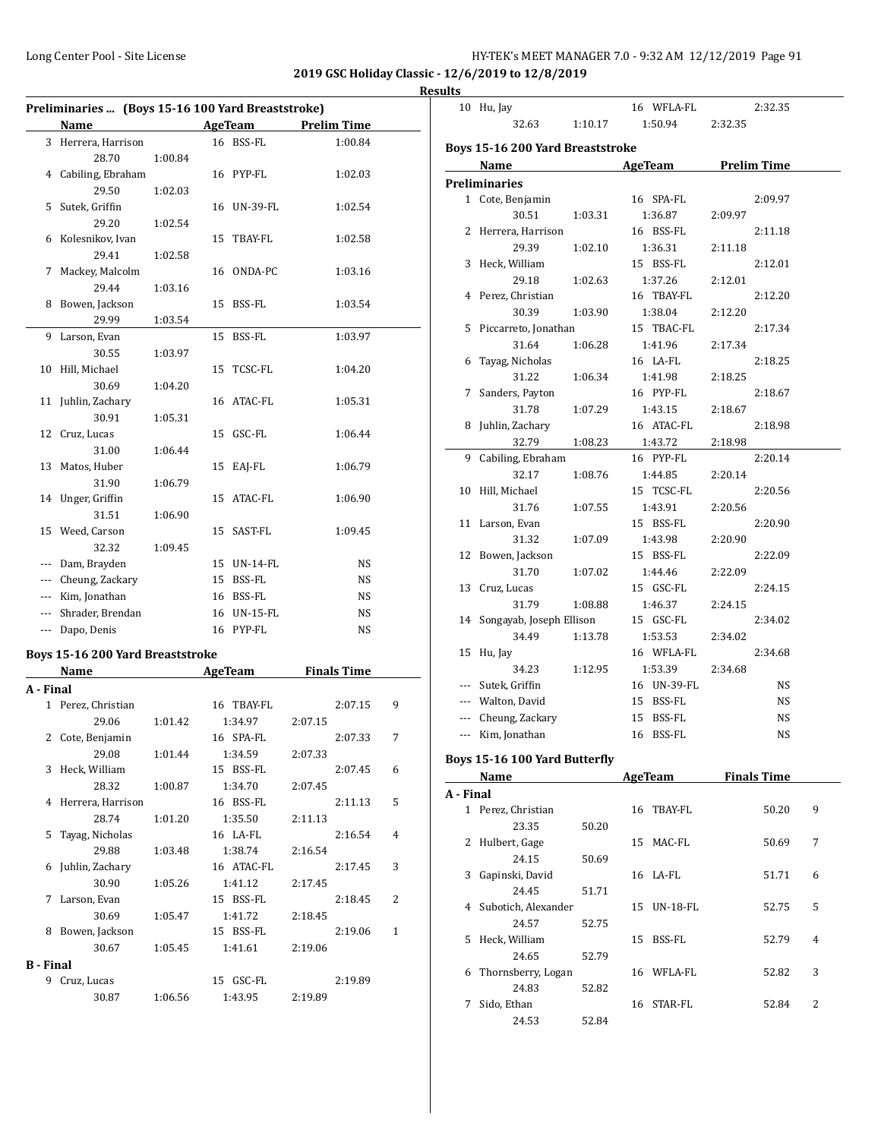| HY-TEK's MEET MANAGER 7.0 - 9:32 AM 12/12/2019 Page 91 |  |  |  |
|--------------------------------------------------------|--|--|--|
|--------------------------------------------------------|--|--|--|

10 Hu, Jay 16 WFLA-FL 2:32.35

**2019 GSC Holiday Classic - 12/6/2019 to 12/8/2019**

**Results**

|                  | Preliminaries  (Boys 15-16 100 Yard Breaststroke) |         |    |                |         |                    |              |
|------------------|---------------------------------------------------|---------|----|----------------|---------|--------------------|--------------|
|                  | Name                                              |         |    | <b>AgeTeam</b> |         | <b>Prelim Time</b> |              |
|                  | 3 Herrera, Harrison                               |         |    | 16 BSS-FL      |         | 1:00.84            |              |
|                  | 28.70                                             | 1:00.84 |    |                |         |                    |              |
| 4                | Cabiling, Ebraham                                 |         |    | 16 PYP-FL      |         | 1:02.03            |              |
|                  | 29.50                                             | 1:02.03 |    |                |         |                    |              |
| 5                | Sutek, Griffin                                    |         |    | 16 UN-39-FL    |         | 1:02.54            |              |
|                  | 29.20                                             | 1:02.54 |    |                |         |                    |              |
| 6                | Kolesnikov, Ivan                                  |         | 15 | TBAY-FL        |         | 1:02.58            |              |
|                  | 29.41                                             | 1:02.58 |    |                |         |                    |              |
| 7                | Mackey, Malcolm                                   |         |    | 16 ONDA-PC     |         | 1:03.16            |              |
|                  | 29.44                                             | 1:03.16 |    |                |         |                    |              |
| 8                | Bowen, Jackson                                    |         | 15 | BSS-FL         |         | 1:03.54            |              |
|                  | 29.99                                             | 1:03.54 |    |                |         |                    |              |
| 9                | Larson, Evan                                      |         | 15 | BSS-FL         |         | 1:03.97            |              |
|                  | 30.55                                             | 1:03.97 |    |                |         |                    |              |
| 10               | Hill, Michael                                     |         | 15 | TCSC-FL        |         | 1:04.20            |              |
|                  | 30.69                                             | 1:04.20 |    |                |         |                    |              |
| 11               | Juhlin, Zachary                                   |         |    | 16 ATAC-FL     |         | 1:05.31            |              |
|                  | 30.91                                             | 1:05.31 |    |                |         |                    |              |
| 12               | Cruz, Lucas                                       |         | 15 | GSC-FL         |         | 1:06.44            |              |
|                  | 31.00                                             | 1:06.44 |    |                |         |                    |              |
| 13               | Matos, Huber                                      |         |    | 15 EAJ-FL      |         | 1:06.79            |              |
|                  |                                                   | 1:06.79 |    |                |         |                    |              |
|                  | 31.90                                             |         |    | 15 ATAC-FL     |         |                    |              |
| 14               | Unger, Griffin                                    |         |    |                |         | 1:06.90            |              |
|                  | 31.51                                             | 1:06.90 |    |                |         |                    |              |
|                  | 15 Weed, Carson                                   |         |    | 15 SAST-FL     |         | 1:09.45            |              |
|                  | 32.32                                             | 1:09.45 |    |                |         |                    |              |
| ---              | Dam, Brayden                                      |         |    | 15 UN-14-FL    |         | NS                 |              |
|                  | --- Cheung, Zackary                               |         |    | 15 BSS-FL      |         | NS                 |              |
|                  | --- Kim, Jonathan                                 |         |    | 16 BSS-FL      |         | NS                 |              |
|                  | --- Shrader, Brendan                              |         |    | 16 UN-15-FL    |         | NS                 |              |
|                  | --- Dapo, Denis                                   |         |    | 16 PYP-FL      |         | NS                 |              |
|                  | Boys 15-16 200 Yard Breaststroke                  |         |    |                |         |                    |              |
|                  | <b>Name</b>                                       |         |    | AgeTeam        |         | <b>Finals Time</b> |              |
| A - Final        |                                                   |         |    |                |         |                    |              |
|                  | 1 Perez, Christian                                |         |    | 16 TBAY-FL     |         | 2:07.15            | 9            |
|                  | 29.06                                             | 1:01.42 |    | 1:34.97        | 2:07.15 |                    |              |
|                  |                                                   |         |    | 16 SPA-FL      |         | 2:07.33            | 7            |
|                  | 2 Cote, Benjamin<br>29.08                         | 1:01.44 |    | 1:34.59        | 2:07.33 |                    |              |
| 3                | Heck, William                                     |         |    | 15 BSS-FL      |         |                    | 6            |
|                  | 28.32                                             |         |    |                |         | 2:07.45            |              |
|                  |                                                   | 1:00.87 |    | 1:34.70        | 2:07.45 |                    |              |
| 4                | Herrera, Harrison                                 |         |    | 16 BSS-FL      |         | 2:11.13            | 5            |
|                  | 28.74                                             | 1:01.20 |    | 1:35.50        | 2:11.13 |                    |              |
| 5                | Tayag, Nicholas                                   |         |    | 16 LA-FL       |         | 2:16.54            | 4            |
|                  | 29.88                                             | 1:03.48 |    | 1:38.74        | 2:16.54 |                    |              |
| 6                | Juhlin, Zachary                                   |         |    | 16 ATAC-FL     |         | 2:17.45            | 3            |
|                  | 30.90                                             | 1:05.26 |    | 1:41.12        | 2:17.45 |                    |              |
| 7                | Larson, Evan                                      |         |    | 15 BSS-FL      |         | 2:18.45            | 2            |
|                  | 30.69                                             | 1:05.47 |    | 1:41.72        | 2:18.45 |                    |              |
|                  | 8 Bowen, Jackson                                  |         |    | 15 BSS-FL      |         | 2:19.06            | $\mathbf{1}$ |
|                  | 30.67                                             | 1:05.45 |    | 1:41.61        | 2:19.06 |                    |              |
| <b>B</b> - Final |                                                   |         |    |                |         |                    |              |
|                  | 9 Cruz, Lucas                                     |         |    | 15 GSC-FL      |         | 2:19.89            |              |
|                  | 30.87                                             | 1:06.56 |    | 1:43.95        | 2:19.89 |                    |              |

|           | 32.63                            | 1:10.17 |                | 1:50.94        | 2:32.35 |                    |   |
|-----------|----------------------------------|---------|----------------|----------------|---------|--------------------|---|
|           | Boys 15-16 200 Yard Breaststroke |         |                |                |         |                    |   |
|           | Name                             |         |                | <b>AgeTeam</b> |         | <b>Prelim Time</b> |   |
|           | <b>Preliminaries</b>             |         |                |                |         |                    |   |
|           | 1 Cote, Benjamin                 |         |                | 16 SPA-FL      |         | 2:09.97            |   |
|           | 30.51                            | 1:03.31 |                | 1:36.87        | 2:09.97 |                    |   |
|           | 2 Herrera, Harrison              |         |                | 16 BSS-FL      |         | 2:11.18            |   |
|           | 29.39                            | 1:02.10 |                | 1:36.31        | 2:11.18 |                    |   |
|           | 3 Heck, William                  |         |                | 15 BSS-FL      |         | 2:12.01            |   |
|           | 29.18                            | 1:02.63 |                | 1:37.26        | 2:12.01 |                    |   |
|           | 4 Perez, Christian               |         |                | 16 TBAY-FL     |         | 2:12.20            |   |
|           | 30.39                            | 1:03.90 |                | 1:38.04        | 2:12.20 |                    |   |
|           | 5 Piccarreto, Jonathan           |         |                | 15 TBAC-FL     |         | 2:17.34            |   |
|           | 31.64                            | 1:06.28 |                | 1:41.96        |         |                    |   |
|           | Tayag, Nicholas                  |         |                | 16 LA-FL       | 2:17.34 | 2:18.25            |   |
| 6         |                                  |         |                |                |         |                    |   |
|           | 31.22                            | 1:06.34 |                | 1:41.98        | 2:18.25 |                    |   |
| 7         | Sanders, Payton                  |         |                | 16 PYP-FL      |         | 2:18.67            |   |
|           | 31.78                            | 1:07.29 |                | 1:43.15        | 2:18.67 |                    |   |
| 8         | Juhlin, Zachary                  |         |                | 16 ATAC-FL     |         | 2:18.98            |   |
|           | 32.79                            | 1:08.23 |                | 1:43.72        | 2:18.98 |                    |   |
| 9         | Cabiling, Ebraham                |         |                | 16 PYP-FL      |         | 2:20.14            |   |
|           | 32.17                            | 1:08.76 |                | 1:44.85        | 2:20.14 |                    |   |
| 10        | Hill, Michael                    |         |                | 15 TCSC-FL     |         | 2:20.56            |   |
|           | 31.76                            | 1:07.55 |                | 1:43.91        | 2:20.56 |                    |   |
|           | 11 Larson, Evan                  |         |                | 15 BSS-FL      |         | 2:20.90            |   |
|           | 31.32                            | 1:07.09 |                | 1:43.98        | 2:20.90 |                    |   |
|           | 12 Bowen, Jackson                |         |                | 15 BSS-FL      |         | 2:22.09            |   |
|           | 31.70                            | 1:07.02 |                | 1:44.46        | 2:22.09 |                    |   |
|           | 13 Cruz, Lucas                   |         |                | 15 GSC-FL      |         | 2:24.15            |   |
|           | 31.79                            | 1:08.88 |                | 1:46.37        | 2:24.15 |                    |   |
| 14        | Songayab, Joseph Ellison         |         |                | 15 GSC-FL      |         | 2:34.02            |   |
|           | 34.49                            | 1:13.78 |                | 1:53.53        | 2:34.02 |                    |   |
| 15        | Hu, Jay                          |         |                | 16 WFLA-FL     |         | 2:34.68            |   |
|           | 34.23                            | 1:12.95 |                | 1:53.39        | 2:34.68 |                    |   |
|           | --- Sutek, Griffin               |         |                | 16 UN-39-FL    |         | NS                 |   |
|           | --- Walton, David                |         |                | 15 BSS-FL      |         | NS                 |   |
|           | --- Cheung, Zackary              |         |                | 15 BSS-FL      |         | NS                 |   |
|           | --- Kim, Jonathan                |         |                | 16 BSS-FL      |         | NS                 |   |
|           |                                  |         |                |                |         |                    |   |
|           | Boys 15-16 100 Yard Butterfly    |         |                |                |         |                    |   |
|           | Name                             |         | <b>AgeTeam</b> |                |         | <b>Finals Time</b> |   |
| A - Final |                                  |         |                |                |         |                    |   |
|           | 1 Perez, Christian               |         |                | 16 TBAY-FL     |         | 50.20              | 9 |
|           | 23.35                            | 50.20   |                |                |         |                    |   |
| 2         | Hulbert, Gage                    |         |                | 15 MAC-FL      |         | 50.69              | 7 |
|           | 24.15                            | 50.69   |                |                |         |                    |   |
|           | 3 Gapinski, David                |         |                | 16 LA-FL       |         | 51.71              | 6 |
|           | 24.45                            | 51.71   |                |                |         |                    |   |
|           | 4 Subotich, Alexander            |         | 15             | UN-18-FL       |         | 52.75              | 5 |
|           | 24.57                            | 52.75   |                |                |         |                    |   |
|           | 5 Heck, William                  |         |                | 15 BSS-FL      |         | 52.79              | 4 |
|           | 24.65                            | 52.79   |                |                |         |                    |   |
| 6         | Thornsberry, Logan               |         |                | 16 WFLA-FL     |         | 52.82              | 3 |
|           | 24.83                            | 52.82   |                |                |         |                    |   |
| 7         | Sido, Ethan                      |         |                | 16 STAR-FL     |         | 52.84              | 2 |
|           | 24.53                            | 52.84   |                |                |         |                    |   |
|           |                                  |         |                |                |         |                    |   |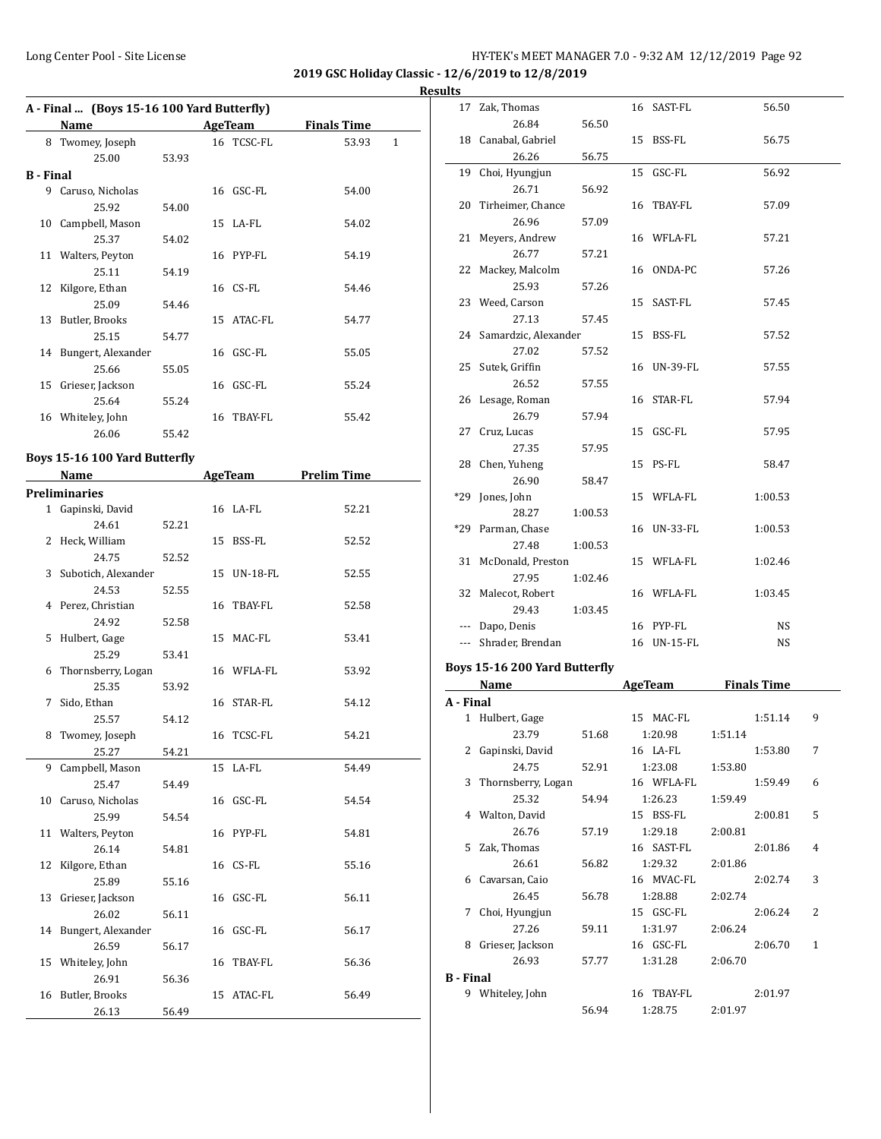**2019 GSC Holiday Classic - 12/6/2019 to 12/8/2019**

**Results**

|           | A - Final  (Boys 15-16 100 Yard Butterfly) |       |            |                    |              |
|-----------|--------------------------------------------|-------|------------|--------------------|--------------|
|           | Name                                       |       | AgeTeam    | <b>Finals Time</b> |              |
|           | 8 Twomey, Joseph                           |       | 16 TCSC-FL | 53.93              | $\mathbf{1}$ |
|           | 25.00                                      | 53.93 |            |                    |              |
| B - Final |                                            |       |            |                    |              |
|           | 9 Caruso, Nicholas                         |       | 16 GSC-FL  | 54.00              |              |
|           | 25.92                                      | 54.00 |            |                    |              |
| 10        | Campbell, Mason                            |       | $15$ LA-FL | 54.02              |              |
|           | 25.37                                      | 54.02 |            |                    |              |
|           | 11 Walters, Peyton                         |       | 16 PYP-FL  | 54.19              |              |
|           | 25.11                                      | 54.19 |            |                    |              |
|           | 12 Kilgore, Ethan                          |       | $16$ CS-FL | 54.46              |              |
|           | 25.09                                      | 54.46 |            |                    |              |
|           | 13 Butler, Brooks                          |       | 15 ATAC-FL | 54.77              |              |
|           | 25.15                                      | 54.77 |            |                    |              |
|           | 14 Bungert, Alexander                      |       | 16 GSC-FL  | 55.05              |              |
|           | 25.66                                      | 55.05 |            |                    |              |
|           | 15 Grieser, Jackson                        |       | 16 GSC-FL  | 55.24              |              |
|           | 25.64                                      | 55.24 |            |                    |              |
|           | 16 Whiteley, John                          |       | 16 TBAY-FL | 55.42              |              |
|           | 26.06                                      | 55.42 |            |                    |              |
|           |                                            |       |            |                    |              |

# **Boys 15-16 100 Yard Butterfly**

|   | Name                  |       | <b>AgeTeam</b> | <b>Prelim Time</b> |
|---|-----------------------|-------|----------------|--------------------|
|   | <b>Preliminaries</b>  |       |                |                    |
|   | 1 Gapinski, David     |       | 16 LA-FL       | 52.21              |
|   | 24.61                 | 52.21 |                |                    |
|   | 2 Heck, William       |       | 15 BSS-FL      | 52.52              |
|   | 24.75                 | 52.52 |                |                    |
|   | 3 Subotich, Alexander |       | 15 UN-18-FL    | 52.55              |
|   | 24.53                 | 52.55 |                |                    |
|   | 4 Perez, Christian    |       | 16 TBAY-FL     | 52.58              |
|   | 24.92                 | 52.58 |                |                    |
| 5 | Hulbert, Gage         |       | 15 MAC-FL      | 53.41              |
|   | 25.29                 | 53.41 |                |                    |
| 6 | Thornsberry, Logan    |       | 16 WFLA-FL     | 53.92              |
|   | 25.35                 | 53.92 |                |                    |
| 7 | Sido, Ethan           |       | 16 STAR-FL     | 54.12              |
|   | 25.57                 | 54.12 |                |                    |
| 8 | Twomey, Joseph        |       | 16 TCSC-FL     | 54.21              |
|   | 25.27                 | 54.21 |                |                    |
| 9 | Campbell, Mason       |       | 15 LA-FL       | 54.49              |
|   | 25.47                 | 54.49 |                |                    |
|   | 10 Caruso, Nicholas   |       | 16 GSC-FL      | 54.54              |
|   | 25.99                 | 54.54 |                |                    |
|   | 11 Walters, Peyton    |       | 16 PYP-FL      | 54.81              |
|   | 26.14                 | 54.81 |                |                    |
|   | 12 Kilgore, Ethan     |       | 16 CS-FL       | 55.16              |
|   | 25.89                 | 55.16 |                |                    |
|   | 13 Grieser, Jackson   |       | 16 GSC-FL      | 56.11              |
|   | 26.02                 | 56.11 |                |                    |
|   | 14 Bungert, Alexander |       | 16 GSC-FL      | 56.17              |
|   | 26.59                 | 56.17 |                |                    |
|   | 15 Whiteley, John     |       | 16 TBAY-FL     | 56.36              |
|   | 26.91                 | 56.36 |                |                    |
|   | 16 Butler, Brooks     |       | 15 ATAC-FL     | 56.49              |
|   | 26.13                 | 56.49 |                |                    |

| 17      | Zak, Thomas             |         | 16 SAST-FL  | 56.50   |
|---------|-------------------------|---------|-------------|---------|
|         | 26.84                   | 56.50   |             |         |
|         | 18 Canabal, Gabriel     |         | 15 BSS-FL   | 56.75   |
|         | 26.26                   | 56.75   |             |         |
|         | 19 Choi, Hyungjun       |         | 15 GSC-FL   | 56.92   |
|         | 26.71                   | 56.92   |             |         |
|         | 20 Tirheimer, Chance    |         | 16 TBAY-FL  | 57.09   |
|         | 26.96                   | 57.09   |             |         |
|         | 21 Meyers, Andrew       |         | 16 WFLA-FL  | 57.21   |
|         | 26.77                   | 57.21   |             |         |
|         | 22 Mackey, Malcolm      |         | 16 ONDA-PC  | 57.26   |
|         | 25.93                   | 57.26   |             |         |
|         | 23 Weed, Carson         |         | 15 SAST-FL  | 57.45   |
|         | 27.13                   | 57.45   |             |         |
|         | 24 Samardzic, Alexander |         | 15 BSS-FL   | 57.52   |
|         | 27.02                   | 57.52   |             |         |
|         | 25 Sutek, Griffin       |         | 16 UN-39-FL | 57.55   |
|         | 26.52                   | 57.55   |             |         |
|         | 26 Lesage, Roman        |         | 16 STAR-FL  | 57.94   |
|         | 26.79                   | 57.94   |             |         |
|         | 27 Cruz, Lucas          |         | 15 GSC-FL   | 57.95   |
|         | 27.35                   | 57.95   |             |         |
|         | 28 Chen, Yuheng         |         | 15 PS-FL    | 58.47   |
|         | 26.90                   | 58.47   |             |         |
| $*29$   | Jones, John             |         | 15 WFLA-FL  | 1:00.53 |
|         | 28.27                   | 1:00.53 |             |         |
|         | *29 Parman, Chase       |         | 16 UN-33-FL | 1:00.53 |
|         | 27.48                   | 1:00.53 |             |         |
|         | 31 McDonald, Preston    |         | 15 WFLA-FL  | 1:02.46 |
|         | 27.95                   | 1:02.46 |             |         |
|         | 32 Malecot, Robert      |         | 16 WFLA-FL  | 1:03.45 |
|         | 29.43                   | 1:03.45 |             |         |
|         | --- Dapo, Denis         |         | 16 PYP-FL   | NS      |
| $- - -$ | Shrader, Brendan        |         | 16 UN-15-FL | NS      |

# **Boys 15-16 200 Yard Butterfly**

|                  | Name               |       | AgeTeam    | <b>Finals Time</b> |                          |
|------------------|--------------------|-------|------------|--------------------|--------------------------|
| A - Final        |                    |       |            |                    |                          |
| $\mathbf{1}$     | Hulbert, Gage      |       | 15 MAC-FL  | 1:51.14            | 9                        |
|                  | 23.79              | 51.68 | 1:20.98    | 1:51.14            |                          |
| 2                | Gapinski, David    |       | $16$ LA-FL | 1:53.80            | 7                        |
|                  | 24.75              | 52.91 | 1:23.08    | 1:53.80            |                          |
| 3                | Thornsberry, Logan |       | 16 WFLA-FL | 1:59.49            | 6                        |
|                  | 25.32              | 54.94 | 1:26.23    | 1:59.49            |                          |
|                  | 4 Walton, David    |       | 15 BSS-FL  | 2:00.81            | 5                        |
|                  | 26.76              | 57.19 | 1:29.18    | 2:00.81            |                          |
|                  | 5 Zak, Thomas      |       | 16 SAST-FL | 2:01.86            | 4                        |
|                  | 26.61              | 56.82 | 1:29.32    | 2:01.86            |                          |
| 6                | Cavarsan, Caio     |       | 16 MVAC-FL | 2:02.74            | 3                        |
|                  | 26.45              | 56.78 | 1:28.88    | 2:02.74            |                          |
| 7                | Choi, Hyungjun     |       | 15 GSC-FL  | 2:06.24            | $\overline{\mathcal{L}}$ |
|                  | 27.26              | 59.11 | 1:31.97    | 2:06.24            |                          |
| 8                | Grieser, Jackson   |       | 16 GSC-FL  | 2:06.70            | 1                        |
|                  | 26.93              | 57.77 | 1:31.28    | 2:06.70            |                          |
| <b>B</b> - Final |                    |       |            |                    |                          |
| 9                | Whiteley, John     |       | 16 TBAY-FL | 2:01.97            |                          |
|                  |                    | 56.94 | 1:28.75    | 2:01.97            |                          |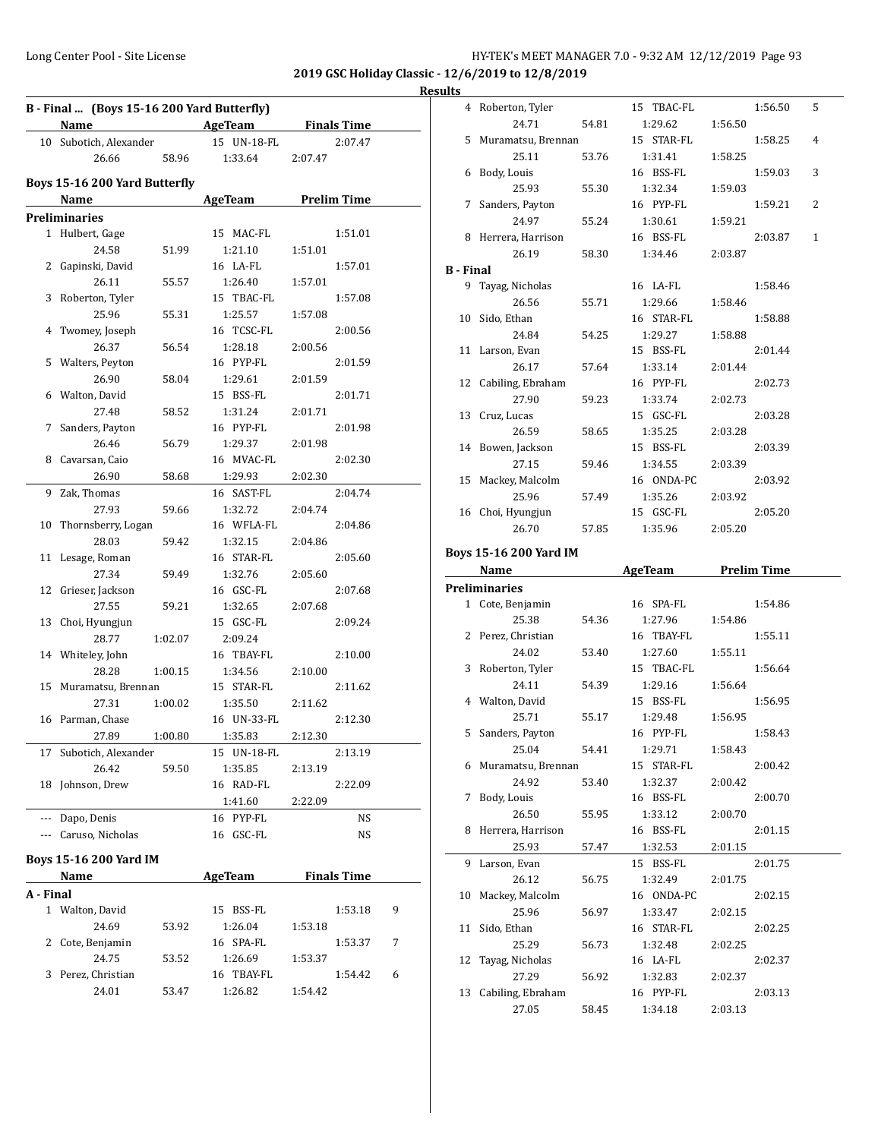4 Roberton, Tyler 15 TBAC-FL 1:56.50 5 24.71 54.81 1:29.62 1:56.50 5 Muramatsu, Brennan 15 STAR-FL 1:58.25 4

**2019 GSC Holiday Classic - 12/6/2019 to 12/8/2019 Results**

|           | B - Final  (Boys 15-16 200 Yard Butterfly) |         |                          |                    |   |
|-----------|--------------------------------------------|---------|--------------------------|--------------------|---|
|           | Name                                       |         | <b>Example 2</b> AgeTeam | <b>Finals Time</b> |   |
|           | 10 Subotich, Alexander                     |         | 15 UN-18-FL              | 2:07.47            |   |
|           | 26.66                                      | 58.96   | 1:33.64                  | 2:07.47            |   |
|           | Boys 15-16 200 Yard Butterfly              |         |                          |                    |   |
|           | Name                                       |         | AgeTeam                  | <b>Prelim Time</b> |   |
|           | <b>Preliminaries</b>                       |         |                          |                    |   |
|           | 1 Hulbert, Gage                            |         | 15 MAC-FL                | 1:51.01            |   |
|           | 24.58                                      | 51.99   | 1:21.10                  | 1:51.01            |   |
|           | 2 Gapinski, David                          |         | 16 LA-FL                 | 1:57.01            |   |
|           | 26.11                                      | 55.57   | 1:26.40                  | 1:57.01            |   |
| 3         | Roberton, Tyler                            |         | 15 TBAC-FL               | 1:57.08            |   |
|           | 25.96                                      | 55.31   | 1:25.57                  | 1:57.08            |   |
| 4         | Twomey, Joseph                             |         | 16 TCSC-FL               | 2:00.56            |   |
|           | 26.37                                      | 56.54   | 1:28.18                  | 2:00.56            |   |
| 5         | Walters, Peyton                            |         | 16 PYP-FL                | 2:01.59            |   |
|           | 26.90                                      | 58.04   | 1:29.61                  | 2:01.59            |   |
| 6         | Walton, David                              |         | 15 BSS-FL                | 2:01.71            |   |
|           | 27.48                                      | 58.52   | 1:31.24                  | 2:01.71            |   |
| 7         | Sanders, Payton                            |         | 16 PYP-FL                | 2:01.98            |   |
|           | 26.46                                      | 56.79   | 1:29.37                  | 2:01.98            |   |
| 8         | Cavarsan, Caio                             |         | 16 MVAC-FL               | 2:02.30            |   |
|           | 26.90                                      | 58.68   | 1:29.93                  | 2:02.30            |   |
| 9         | Zak, Thomas                                |         | 16 SAST-FL               | 2:04.74            |   |
|           | 27.93                                      | 59.66   | 1:32.72                  | 2:04.74            |   |
| 10        | Thornsberry, Logan                         |         | 16 WFLA-FL               | 2:04.86            |   |
|           | 28.03                                      | 59.42   | 1:32.15                  | 2:04.86            |   |
| 11        | Lesage, Roman                              |         | 16 STAR-FL               | 2:05.60            |   |
|           | 27.34                                      | 59.49   | 1:32.76                  | 2:05.60            |   |
| 12        | Grieser, Jackson                           |         | 16 GSC-FL                | 2:07.68            |   |
|           | 27.55                                      | 59.21   | 1:32.65                  | 2:07.68            |   |
| 13        | Choi, Hyungjun                             |         | 15 GSC-FL                | 2:09.24            |   |
|           | 28.77                                      | 1:02.07 | 2:09.24                  |                    |   |
|           | 14 Whiteley, John                          |         | 16 TBAY-FL               | 2:10.00            |   |
|           | 28.28                                      | 1:00.15 | 1:34.56                  | 2:10.00            |   |
| 15        | Muramatsu, Brennan                         |         | 15 STAR-FL               | 2:11.62            |   |
|           | 27.31                                      | 1:00.02 | 1:35.50                  | 2:11.62            |   |
|           | 16 Parman, Chase                           |         | 16 UN-33-FL              | 2:12.30            |   |
|           | 27.89                                      | 1:00.80 | 1:35.83                  | 2:12.30            |   |
| 17        | Subotich, Alexander                        |         | 15 UN-18-FL              | 2:13.19            |   |
|           | 26.42                                      | 59.50   | 1:35.85                  | 2:13.19            |   |
| 18        | Johnson, Drew                              |         | 16 RAD-FL                | 2:22.09            |   |
|           |                                            |         | 1:41.60                  | 2:22.09            |   |
|           | --- Dapo, Denis                            |         | 16 PYP-FL                | NS                 |   |
|           | --- Caruso, Nicholas                       |         | 16 GSC-FL                | NS                 |   |
|           |                                            |         |                          |                    |   |
|           | <b>Boys 15-16 200 Yard IM</b>              |         |                          |                    |   |
|           | Name                                       |         | AgeTeam                  | <b>Finals Time</b> |   |
| A - Final |                                            |         |                          |                    |   |
|           | 1 Walton, David                            |         | 15<br>BSS-FL             | 1:53.18            | 9 |

24.69 53.92 1:26.04 1:53.18 2 Cote, Benjamin 16 SPA-FL 1:53.37 7 24.75 53.52 1:26.69 1:53.37 3 Perez, Christian 16 TBAY-FL 1:54.42 6 24.01 53.47 1:26.82 1:54.42

|                  | 25.11                         | 53.76 | 1:31.41                              | 1:58.25 |         |              |
|------------------|-------------------------------|-------|--------------------------------------|---------|---------|--------------|
|                  | 6 Body, Louis                 |       | 16 BSS-FL                            |         | 1:59.03 | 3            |
|                  | 25.93                         | 55.30 | 1:32.34                              | 1:59.03 |         |              |
| 7                | Sanders, Payton               |       | 16 PYP-FL                            |         | 1:59.21 | 2            |
|                  | 24.97                         | 55.24 | 1:30.61                              | 1:59.21 |         |              |
| 8                | Herrera, Harrison             |       | 16 BSS-FL                            |         | 2:03.87 | $\mathbf{1}$ |
|                  | 26.19                         | 58.30 | 1:34.46                              | 2:03.87 |         |              |
| <b>B</b> - Final |                               |       |                                      |         |         |              |
| 9                | Tayag, Nicholas               |       | 16 LA-FL                             |         | 1:58.46 |              |
|                  | 26.56                         | 55.71 | 1:29.66                              | 1:58.46 |         |              |
| 10               | Sido, Ethan                   |       | 16 STAR-FL                           |         | 1:58.88 |              |
|                  | 24.84                         | 54.25 | 1:29.27                              | 1:58.88 |         |              |
|                  | 11 Larson, Evan               |       | 15 BSS-FL                            |         | 2:01.44 |              |
|                  | 26.17                         | 57.64 | 1:33.14                              | 2:01.44 |         |              |
|                  | 12 Cabiling, Ebraham          |       | 16 PYP-FL                            |         | 2:02.73 |              |
|                  | 27.90                         | 59.23 | 1:33.74                              | 2:02.73 |         |              |
|                  | 13 Cruz, Lucas                |       | 15 GSC-FL                            |         | 2:03.28 |              |
|                  | 26.59                         | 58.65 | 1:35.25                              | 2:03.28 |         |              |
|                  | 14 Bowen, Jackson             |       | 15 BSS-FL                            |         | 2:03.39 |              |
|                  | 27.15                         | 59.46 | 1:34.55                              | 2:03.39 |         |              |
|                  | 15 Mackey, Malcolm            |       | 16 ONDA-PC                           |         | 2:03.92 |              |
|                  | 25.96                         | 57.49 | 1:35.26                              | 2:03.92 |         |              |
|                  | 16 Choi, Hyungjun             |       | 15 GSC-FL                            |         | 2:05.20 |              |
|                  | 26.70                         | 57.85 | 1:35.96                              | 2:05.20 |         |              |
|                  |                               |       |                                      |         |         |              |
|                  | <b>Boys 15-16 200 Yard IM</b> |       |                                      |         |         |              |
|                  | Name                          |       | <b>Example 2 AgeTeam</b> Prelim Time |         |         |              |
|                  | <b>Preliminaries</b>          |       |                                      |         |         |              |
|                  |                               |       |                                      |         |         |              |
|                  | 1 Cote, Benjamin              |       | 16 SPA-FL                            |         | 1:54.86 |              |
|                  | 25.38                         | 54.36 | 1:27.96                              | 1:54.86 |         |              |
|                  | 2 Perez, Christian            |       | 16 TBAY-FL                           |         | 1:55.11 |              |
|                  | 24.02                         | 53.40 | 1:27.60                              | 1:55.11 |         |              |
|                  | 3 Roberton, Tyler             |       | 15 TBAC-FL                           |         | 1:56.64 |              |
|                  | 24.11                         | 54.39 | 1:29.16                              | 1:56.64 |         |              |
|                  | 4 Walton, David               |       | 15 BSS-FL                            |         | 1:56.95 |              |
|                  | 25.71                         | 55.17 | 1:29.48                              | 1:56.95 |         |              |
| 5                | Sanders, Payton               |       | 16 PYP-FL                            |         | 1:58.43 |              |
|                  | 25.04                         | 54.41 | 1:29.71                              | 1:58.43 |         |              |
|                  | 6 Muramatsu, Brennan          |       | 15 STAR-FL                           |         | 2:00.42 |              |
|                  | 24.92                         | 53.40 | 1:32.37                              | 2:00.42 |         |              |
| 7                | Body, Louis                   |       | 16 BSS-FL                            |         | 2:00.70 |              |
|                  | 26.50                         | 55.95 | 1:33.12                              | 2:00.70 |         |              |
| 8                | Herrera, Harrison             |       | 16 BSS-FL                            |         | 2:01.15 |              |
|                  | 25.93                         | 57.47 | 1:32.53                              | 2:01.15 |         |              |
| 9                | Larson, Evan                  |       | 15 BSS-FL                            |         | 2:01.75 |              |
|                  | 26.12                         | 56.75 | 1:32.49                              | 2:01.75 |         |              |
| 10               | Mackey, Malcolm               |       | 16 ONDA-PC                           |         | 2:02.15 |              |
|                  | 25.96                         | 56.97 | 1:33.47                              | 2:02.15 |         |              |
| 11               | Sido, Ethan                   |       | 16 STAR-FL                           |         | 2:02.25 |              |
|                  | 25.29                         | 56.73 | 1:32.48                              | 2:02.25 |         |              |
| 12               | Tayag, Nicholas               |       | 16 LA-FL                             |         | 2:02.37 |              |
|                  | 27.29                         | 56.92 | 1:32.83                              | 2:02.37 |         |              |
| 13               | Cabiling, Ebraham             |       | 16 PYP-FL                            |         | 2:03.13 |              |
|                  | 27.05                         | 58.45 | 1:34.18                              | 2:03.13 |         |              |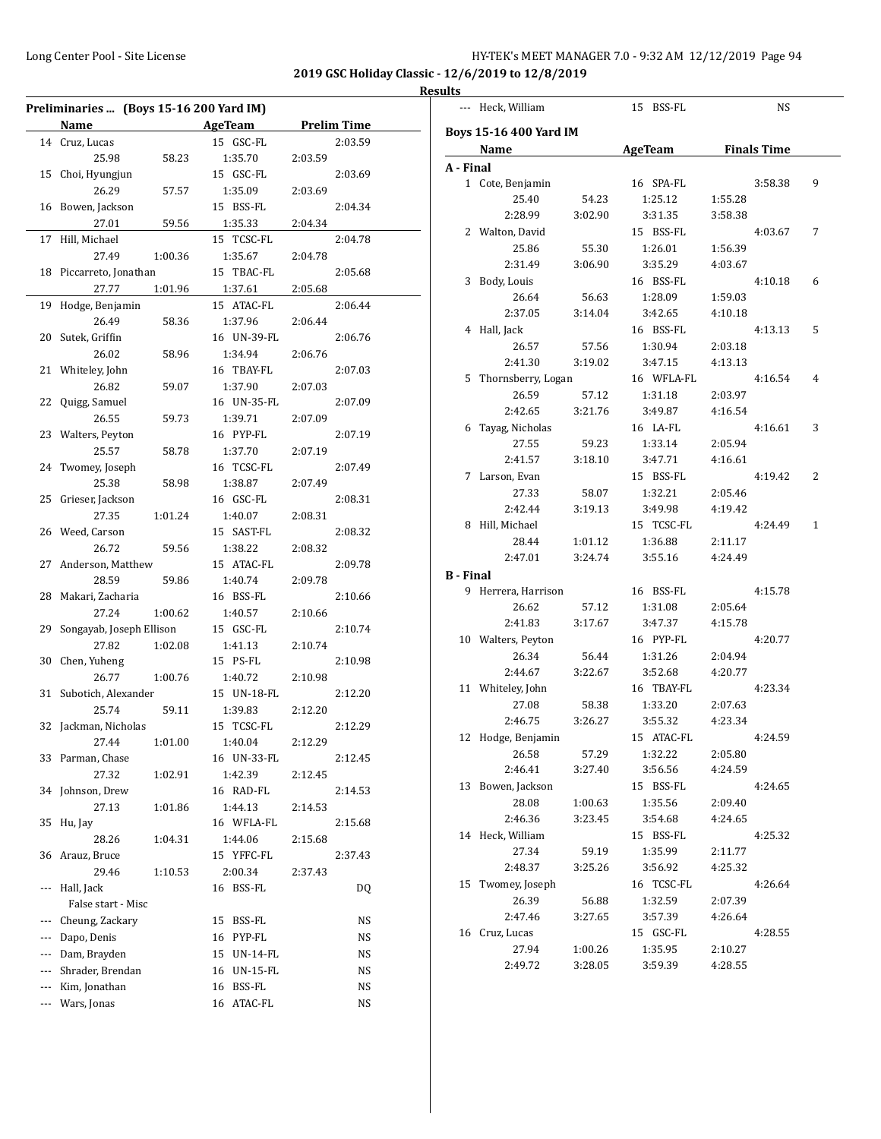|          | Preliminaries  (Boys 15-16 200 Yard IM) |         |                       |         |                    |
|----------|-----------------------------------------|---------|-----------------------|---------|--------------------|
|          | Name                                    |         | AgeTeam               |         | <b>Prelim Time</b> |
|          | 14 Cruz, Lucas                          |         | 15 GSC-FL             |         | 2:03.59            |
|          | 25.98                                   | 58.23   | 1:35.70               | 2:03.59 |                    |
|          | 15 Choi, Hyungjun                       |         | 15 GSC-FL             |         | 2:03.69            |
|          | 26.29                                   | 57.57   | 1:35.09               | 2:03.69 |                    |
|          | 16 Bowen, Jackson                       |         | 15 BSS-FL             |         | 2:04.34            |
|          | 27.01                                   | 59.56   | 1:35.33               | 2:04.34 |                    |
|          | 17 Hill, Michael                        |         | 15 TCSC-FL            |         | 2:04.78            |
|          | 27.49                                   | 1:00.36 | 1:35.67               | 2:04.78 |                    |
|          | 18 Piccarreto, Jonathan                 |         | 15 TBAC-FL            |         | 2:05.68            |
|          | 27.77<br>19 Hodge, Benjamin             | 1:01.96 | 1:37.61<br>15 ATAC-FL | 2:05.68 | 2:06.44            |
|          | 26.49                                   | 58.36   | 1:37.96               | 2:06.44 |                    |
|          | 20 Sutek, Griffin                       |         | 16 UN-39-FL           |         | 2:06.76            |
|          | 26.02                                   | 58.96   | 1:34.94               | 2:06.76 |                    |
|          | 21 Whiteley, John                       |         | 16 TBAY-FL            |         | 2:07.03            |
|          | 26.82                                   | 59.07   | 1:37.90               | 2:07.03 |                    |
|          | 22 Quigg, Samuel                        |         | 16 UN-35-FL           |         | 2:07.09            |
|          | 26.55                                   | 59.73   | 1:39.71               | 2:07.09 |                    |
|          | 23 Walters, Peyton                      |         | 16 PYP-FL             |         | 2:07.19            |
|          | 25.57                                   | 58.78   | 1:37.70               | 2:07.19 |                    |
|          | 24 Twomey, Joseph                       |         | 16 TCSC-FL            |         | 2:07.49            |
|          | 25.38                                   | 58.98   | 1:38.87               | 2:07.49 |                    |
|          | 25 Grieser, Jackson                     |         | 16 GSC-FL             |         | 2:08.31            |
|          | 27.35                                   | 1:01.24 | 1:40.07               | 2:08.31 |                    |
|          | 26 Weed, Carson                         |         | 15 SAST-FL            |         | 2:08.32            |
|          | 26.72                                   | 59.56   | 1:38.22               | 2:08.32 |                    |
|          | 27 Anderson, Matthew                    |         | 15 ATAC-FL            |         | 2:09.78            |
|          | 28.59                                   | 59.86   | 1:40.74               | 2:09.78 |                    |
|          | 28 Makari, Zacharia                     |         | 16 BSS-FL             |         | 2:10.66            |
|          | 27.24                                   | 1:00.62 | 1:40.57               | 2:10.66 |                    |
|          | 29 Songayab, Joseph Ellison             |         | 15 GSC-FL             |         | 2:10.74            |
|          | 27.82                                   | 1:02.08 | 1:41.13               | 2:10.74 |                    |
|          | 30 Chen, Yuheng                         |         | 15 PS-FL              |         | 2:10.98            |
|          | 26.77                                   | 1:00.76 | 1:40.72               | 2:10.98 |                    |
|          | 31 Subotich, Alexander                  |         | 15 UN-18-FL           |         | 2:12.20            |
|          | 25.74                                   | 59.11   | 1:39.83               | 2:12.20 |                    |
|          | 32 Jackman, Nicholas                    |         | 15 TCSC-FL            |         | 2:12.29            |
|          | 27.44                                   | 1:01.00 | 1:40.04               | 2:12.29 |                    |
|          | 33 Parman, Chase                        |         | 16 UN-33-FL           |         | 2:12.45            |
|          | 27.32                                   | 1:02.91 | 1:42.39               | 2:12.45 |                    |
|          | 34 Johnson, Drew                        |         | 16 RAD-FL             |         | 2:14.53            |
|          | 27.13                                   | 1:01.86 | 1:44.13               | 2:14.53 |                    |
|          | 35 Hu, Jay                              |         | 16 WFLA-FL            |         | 2:15.68            |
|          | 28.26                                   | 1:04.31 | 1:44.06               | 2:15.68 |                    |
|          | 36 Arauz, Bruce                         |         | 15 YFFC-FL            |         | 2:37.43            |
|          | 29.46                                   | 1:10.53 | 2:00.34               | 2:37.43 |                    |
|          | --- Hall, Jack                          |         | 16 BSS-FL             |         | DQ                 |
|          | False start - Misc                      |         |                       |         |                    |
|          | Cheung, Zackary                         |         | 15 BSS-FL             |         | NS                 |
| $---$    | Dapo, Denis                             |         | 16 PYP-FL             |         | <b>NS</b>          |
|          | Dam, Brayden                            |         | 15 UN-14-FL           |         | <b>NS</b>          |
| $---$    | Shrader, Brendan                        |         | 16 UN-15-FL           |         | <b>NS</b>          |
| $\cdots$ | Kim, Jonathan                           |         | 16 BSS-FL             |         | NS                 |
|          | Wars, Jonas                             |         | 16 ATAC-FL            |         | NS                 |
|          |                                         |         |                       |         |                    |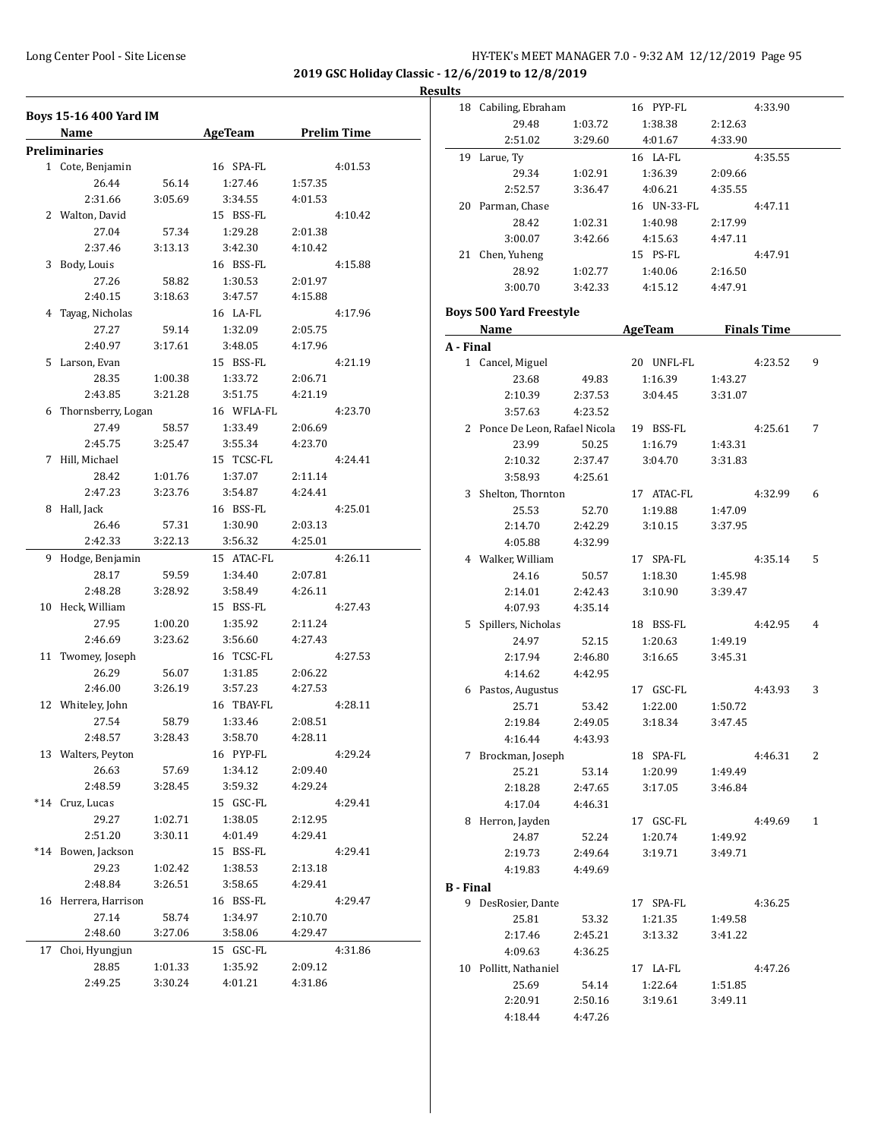#### **Results**

|    | <b>Boys 15-16 400 Yard IM</b> |                  |                       |                    |
|----|-------------------------------|------------------|-----------------------|--------------------|
|    | Name                          |                  | AgeTeam               | <b>Prelim Time</b> |
|    | <b>Preliminaries</b>          |                  |                       |                    |
|    | 1 Cote, Benjamin              |                  | 16 SPA-FL             | 4:01.53            |
|    | 26.44                         | 56.14            | 1:27.46               | 1:57.35            |
|    | 2:31.66                       | 3:05.69          | 3:34.55               | 4:01.53            |
|    | 2 Walton, David               |                  | 15 BSS-FL             | 4:10.42            |
|    | 27.04                         | 57.34            | 1:29.28               | 2:01.38            |
|    | 2:37.46                       | 3:13.13          | 3:42.30               | 4:10.42            |
|    | 3 Body, Louis                 |                  | 16 BSS-FL             | 4:15.88            |
|    | 27.26                         | 58.82            | 1:30.53               | 2:01.97            |
|    | 2:40.15                       | 3:18.63          | 3:47.57               | 4:15.88            |
|    | 4 Tayag, Nicholas             |                  | 16 LA-FL              | 4:17.96            |
|    | 27.27                         | 59.14            | 1:32.09               | 2:05.75            |
|    | 2:40.97                       | 3:17.61          | 3:48.05               | 4:17.96            |
|    | 5 Larson, Evan                |                  | 15 BSS-FL             | 4:21.19            |
|    | 28.35                         | 1:00.38          | 1:33.72               | 2:06.71            |
|    | 2:43.85                       | 3:21.28          | 3:51.75               | 4:21.19            |
|    | 6 Thornsberry, Logan          |                  | 16 WFLA-FL            | 4:23.70            |
|    | 27.49                         | 58.57            | 1:33.49               | 2:06.69            |
|    | 2:45.75                       | 3:25.47          | 3:55.34               | 4:23.70            |
|    | 7 Hill, Michael               |                  | 15 TCSC-FL            | 4:24.41            |
|    | 28.42                         | 1:01.76          | 1:37.07               | 2:11.14            |
|    | 2:47.23                       | 3:23.76          | 3:54.87               | 4:24.41            |
|    | 8 Hall, Jack                  |                  | 16 BSS-FL             | 4:25.01            |
|    | 26.46                         | 57.31            | 1:30.90               | 2:03.13            |
|    | 2:42.33                       | 3:22.13          | 3:56.32               | 4:25.01            |
|    | 9 Hodge, Benjamin             |                  | 15 ATAC-FL            | 4:26.11            |
|    | 28.17                         | 59.59            | 1:34.40               | 2:07.81            |
|    | 2:48.28                       | 3:28.92          | 3:58.49               | 4:26.11            |
|    | 10 Heck, William              |                  | 15 BSS-FL             | 4:27.43            |
|    | 27.95                         | 1:00.20          | 1:35.92               | 2:11.24            |
|    | 2:46.69                       | 3:23.62          | 3:56.60               | 4:27.43            |
|    | 11 Twomey, Joseph             |                  | 16 TCSC-FL            | 4:27.53            |
|    | 26.29                         |                  |                       | 2:06.22            |
|    | 2:46.00                       | 56.07<br>3:26.19 | 1:31.85<br>3:57.23    | 4:27.53            |
|    |                               |                  |                       |                    |
|    | 12 Whiteley, John<br>27.54    |                  | 16 TBAY-FL<br>1:33.46 | 4:28.11            |
|    |                               | 58.79<br>3:28.43 | 3:58.70               | 2:08.51            |
|    | 2:48.57                       |                  |                       | 4:28.11            |
|    | 13 Walters, Peyton            |                  | 16 PYP-FL             | 4:29.24            |
|    | 26.63                         | 57.69            | 1:34.12               | 2:09.40            |
|    | 2:48.59                       | 3:28.45          | 3:59.32               | 4:29.24            |
|    | *14 Cruz, Lucas               |                  | 15 GSC-FL             | 4:29.41            |
|    | 29.27                         | 1:02.71          | 1:38.05               | 2:12.95            |
|    | 2:51.20                       | 3:30.11          | 4:01.49               | 4:29.41            |
|    | *14 Bowen, Jackson            |                  | 15 BSS-FL             | 4:29.41            |
|    | 29.23                         | 1:02.42          | 1:38.53               | 2:13.18            |
|    | 2:48.84                       | 3:26.51          | 3:58.65               | 4:29.41            |
|    | 16 Herrera, Harrison          |                  | 16 BSS-FL             | 4:29.47            |
|    | 27.14                         | 58.74            | 1:34.97               | 2:10.70            |
|    | 2:48.60                       | 3:27.06          | 3:58.06               | 4:29.47            |
| 17 | Choi, Hyungjun                |                  | 15 GSC-FL             | 4:31.86            |
|    | 28.85                         | 1:01.33          | 1:35.92               | 2:09.12            |
|    | 2:49.25                       | 3:30.24          | 4:01.21               | 4:31.86            |

|                  | 18 Cabiling, Ebraham           |         | 16 PYP-FL      |         | 4:33.90            |   |
|------------------|--------------------------------|---------|----------------|---------|--------------------|---|
|                  | 29.48                          | 1:03.72 | 1:38.38        | 2:12.63 |                    |   |
|                  | 2:51.02                        | 3:29.60 | 4:01.67        | 4:33.90 |                    |   |
|                  | 19 Larue, Ty                   |         | 16 LA-FL       |         | 4:35.55            |   |
|                  | 29.34                          | 1:02.91 | 1:36.39        | 2:09.66 |                    |   |
|                  | 2:52.57                        | 3:36.47 | 4:06.21        | 4:35.55 |                    |   |
|                  | 20 Parman, Chase               |         | 16 UN-33-FL    |         | 4:47.11            |   |
|                  | 28.42                          | 1:02.31 | 1:40.98        | 2:17.99 |                    |   |
|                  | 3:00.07                        | 3:42.66 | 4:15.63        | 4:47.11 |                    |   |
|                  | 21 Chen, Yuheng                |         | 15 PS-FL       |         | 4:47.91            |   |
|                  | 28.92                          | 1:02.77 | 1:40.06        | 2:16.50 |                    |   |
|                  | 3:00.70                        | 3:42.33 | 4:15.12        | 4:47.91 |                    |   |
|                  |                                |         |                |         |                    |   |
|                  | <b>Boys 500 Yard Freestyle</b> |         |                |         |                    |   |
|                  | Name                           |         | <u>AgeTeam</u> |         | <b>Finals Time</b> |   |
| A - Final        |                                |         |                |         |                    |   |
|                  | 1 Cancel, Miguel               |         | 20 UNFL-FL     |         | 4:23.52            | 9 |
|                  | 23.68                          | 49.83   | 1:16.39        | 1:43.27 |                    |   |
|                  | 2:10.39                        | 2:37.53 | 3:04.45        | 3:31.07 |                    |   |
|                  | 3:57.63                        | 4:23.52 |                |         |                    |   |
|                  | 2 Ponce De Leon, Rafael Nicola |         | 19 BSS-FL      |         | 4:25.61            | 7 |
|                  | 23.99                          | 50.25   | 1:16.79        | 1:43.31 |                    |   |
|                  | 2:10.32                        | 2:37.47 | 3:04.70        | 3:31.83 |                    |   |
|                  | 3:58.93                        | 4:25.61 |                |         |                    |   |
|                  | 3 Shelton, Thornton            |         | 17 ATAC-FL     |         | 4:32.99            | 6 |
|                  | 25.53                          | 52.70   | 1:19.88        | 1:47.09 |                    |   |
|                  | 2:14.70                        | 2:42.29 | 3:10.15        | 3:37.95 |                    |   |
|                  | 4:05.88                        | 4:32.99 |                |         |                    |   |
|                  | 4 Walker, William              |         | 17 SPA-FL      |         | 4:35.14            | 5 |
|                  | 24.16                          | 50.57   | 1:18.30        | 1:45.98 |                    |   |
|                  | 2:14.01                        | 2:42.43 | 3:10.90        | 3:39.47 |                    |   |
|                  | 4:07.93                        | 4:35.14 |                |         |                    |   |
|                  | 5 Spillers, Nicholas           |         | 18 BSS-FL      |         | 4:42.95            | 4 |
|                  | 24.97                          | 52.15   | 1:20.63        | 1:49.19 |                    |   |
|                  | 2:17.94                        | 2:46.80 | 3:16.65        | 3:45.31 |                    |   |
|                  | 4:14.62                        | 4:42.95 |                |         |                    |   |
|                  | 6 Pastos, Augustus             |         | 17 GSC-FL      |         | 4:43.93            | 3 |
|                  | 25.71                          | 53.42   | 1:22.00        | 1:50.72 |                    |   |
|                  | 2:19.84                        | 2:49.05 | 3:18.34        | 3:47.45 |                    |   |
|                  | 4:16.44                        | 4:43.93 |                |         |                    |   |
|                  | 7 Brockman, Joseph             |         | 18 SPA-FL      |         | 4:46.31            | 2 |
|                  | 25.21                          | 53.14   | 1:20.99        | 1:49.49 |                    |   |
|                  | 2:18.28                        | 2:47.65 | 3:17.05        | 3:46.84 |                    |   |
|                  | 4:17.04                        | 4:46.31 |                |         |                    |   |
|                  | 8 Herron, Jayden               |         | 17 GSC-FL      |         | 4:49.69            | 1 |
|                  | 24.87                          | 52.24   | 1:20.74        | 1:49.92 |                    |   |
|                  | 2:19.73                        | 2:49.64 | 3:19.71        | 3:49.71 |                    |   |
|                  | 4:19.83                        | 4:49.69 |                |         |                    |   |
|                  |                                |         |                |         |                    |   |
| <b>B</b> - Final |                                |         | 17 SPA-FL      |         | 4:36.25            |   |
|                  | 9 DesRosier, Dante             |         |                |         |                    |   |
|                  | 25.81                          | 53.32   | 1:21.35        | 1:49.58 |                    |   |
|                  | 2:17.46                        | 2:45.21 | 3:13.32        | 3:41.22 |                    |   |
|                  | 4:09.63                        | 4:36.25 |                |         |                    |   |
|                  | 10 Pollitt, Nathaniel          |         | 17 LA-FL       |         | 4:47.26            |   |
|                  | 25.69                          | 54.14   | 1:22.64        | 1:51.85 |                    |   |
|                  | 2:20.91                        | 2:50.16 | 3:19.61        | 3:49.11 |                    |   |
|                  | 4:18.44                        | 4:47.26 |                |         |                    |   |
|                  |                                |         |                |         |                    |   |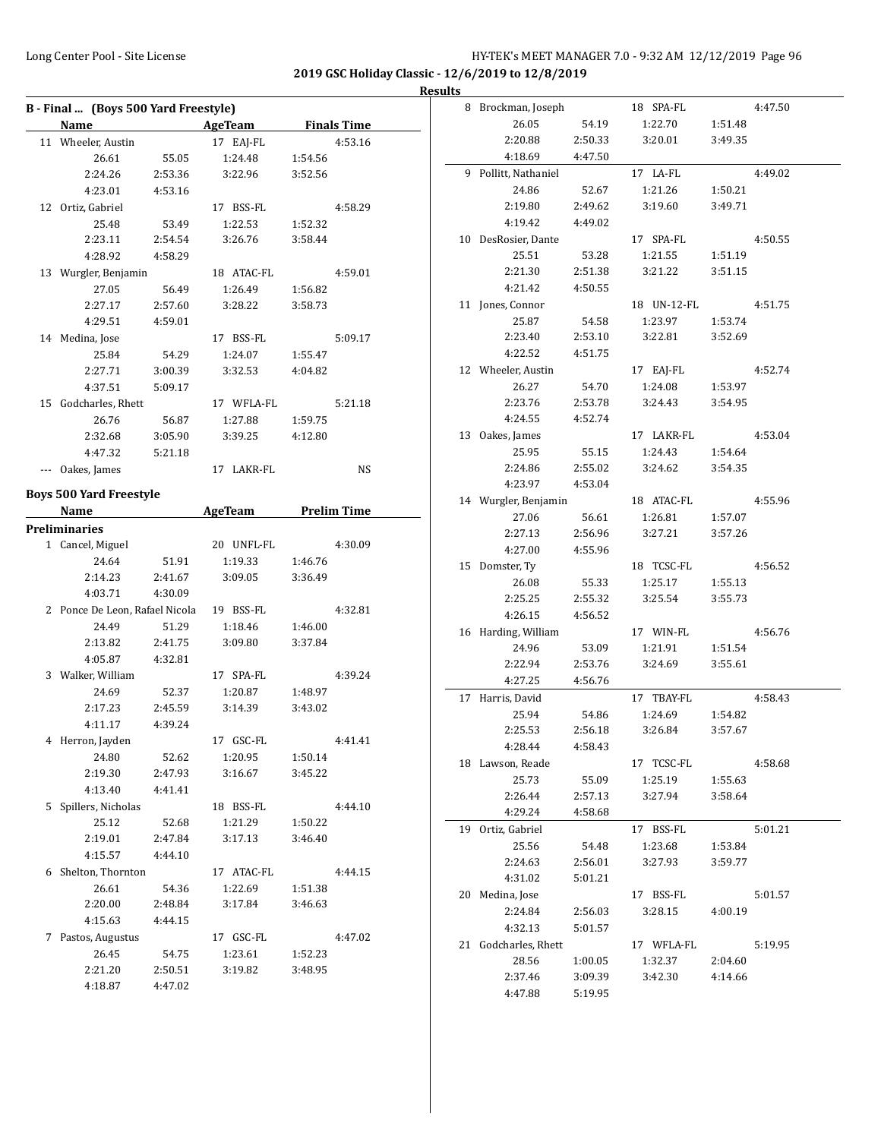**2019 GSC Holiday Classic - 12/6/2019 to 12/8/2019**

**Results** 

| B - Final  (Boys 500 Yard Freestyle) |                                |         |                                       |         |         |  |  |
|--------------------------------------|--------------------------------|---------|---------------------------------------|---------|---------|--|--|
|                                      | Name AgeTeam Finals Time       |         |                                       |         |         |  |  |
|                                      | 11 Wheeler, Austin             |         | 17 EAI-FL                             |         | 4:53.16 |  |  |
|                                      | 26.61                          | 55.05   | 1:24.48                               | 1:54.56 |         |  |  |
|                                      | 2:24.26                        | 2:53.36 | 3:22.96                               | 3:52.56 |         |  |  |
|                                      | 4:23.01                        | 4:53.16 |                                       |         |         |  |  |
|                                      | 12 Ortiz, Gabriel              |         | 17 BSS-FL                             |         | 4:58.29 |  |  |
|                                      | 25.48                          | 53.49   | 1:22.53                               | 1:52.32 |         |  |  |
|                                      | 2:23.11                        | 2:54.54 | 3:26.76                               | 3:58.44 |         |  |  |
|                                      | 4:28.92                        | 4:58.29 |                                       |         |         |  |  |
|                                      | 13 Wurgler, Benjamin           |         | 18 ATAC-FL                            |         | 4:59.01 |  |  |
|                                      | 27.05                          | 56.49   | 1:26.49                               | 1:56.82 |         |  |  |
|                                      | 2:27.17                        | 2:57.60 | 3:28.22                               | 3:58.73 |         |  |  |
|                                      | 4:29.51                        | 4:59.01 |                                       |         |         |  |  |
|                                      | 14 Medina, Jose                |         | 17 BSS-FL                             |         | 5:09.17 |  |  |
|                                      | 25.84                          | 54.29   | 1:24.07                               | 1:55.47 |         |  |  |
|                                      | 2:27.71                        | 3:00.39 | 3:32.53                               | 4:04.82 |         |  |  |
|                                      | 4:37.51                        | 5:09.17 |                                       |         |         |  |  |
|                                      | 15 Godcharles, Rhett           |         | 17 WFLA-FL                            |         | 5:21.18 |  |  |
|                                      | 26.76                          | 56.87   | 1:27.88                               | 1:59.75 |         |  |  |
|                                      | 2:32.68                        | 3:05.90 | 3:39.25                               | 4:12.80 |         |  |  |
|                                      | 4:47.32                        | 5:21.18 |                                       |         |         |  |  |
|                                      | --- Oakes, James               |         | 17 LAKR-FL                            |         | NS      |  |  |
|                                      | <b>Boys 500 Yard Freestyle</b> |         |                                       |         |         |  |  |
|                                      | Name                           |         | <b>Example 21 AgeTeam</b> Prelim Time |         |         |  |  |
|                                      | Preliminaries                  |         |                                       |         |         |  |  |
|                                      | 1 Cancel, Miguel               |         | 20 UNFL-FL                            |         | 4:30.09 |  |  |
|                                      | 24.64                          | 51.91   | 1:19.33                               | 1:46.76 |         |  |  |
|                                      | 2:14.23                        | 2:41.67 | 3:09.05                               | 3:36.49 |         |  |  |
|                                      | 4:03.71                        | 4:30.09 |                                       |         |         |  |  |
|                                      | 2 Ponce De Leon, Rafael Nicola |         | 19 BSS-FL                             |         | 4:32.81 |  |  |
|                                      | 24.49                          | 51.29   | 1:18.46                               | 1:46.00 |         |  |  |
|                                      | 2:13.82                        | 2:41.75 | 3:09.80                               | 3:37.84 |         |  |  |
|                                      | 4:05.87                        | 4:32.81 |                                       |         |         |  |  |
|                                      | 3 Walker, William              |         | 17 SPA-FL                             |         | 4:39.24 |  |  |
|                                      | 24.69                          | 52.37   | 1:20.87                               | 1:48.97 |         |  |  |
|                                      | 2:17.23                        | 2:45.59 | 3:14.39                               | 3:43.02 |         |  |  |
|                                      | 4:11.17                        | 4:39.24 |                                       |         |         |  |  |
|                                      | 4 Herron, Jayden               |         | 17 GSC-FL                             |         | 4:41.41 |  |  |
|                                      | 24.80                          | 52.62   | 1:20.95                               | 1:50.14 |         |  |  |
|                                      | 2:19.30                        | 2:47.93 | 3:16.67                               | 3:45.22 |         |  |  |
|                                      | 4:13.40                        | 4:41.41 |                                       |         |         |  |  |
|                                      | 5 Spillers, Nicholas           |         | 18 BSS-FL                             |         | 4:44.10 |  |  |
|                                      | 25.12                          | 52.68   | 1:21.29                               | 1:50.22 |         |  |  |
|                                      | 2:19.01                        | 2:47.84 | 3:17.13 3:46.40                       |         |         |  |  |
|                                      | 4:15.57                        | 4:44.10 |                                       |         |         |  |  |
| 6                                    | Shelton, Thornton              |         | 17 ATAC-FL                            |         | 4:44.15 |  |  |
|                                      | 26.61                          | 54.36   | 1:22.69                               | 1:51.38 |         |  |  |
|                                      | 2:20.00                        | 2:48.84 | 3:17.84                               | 3:46.63 |         |  |  |
|                                      | 4:15.63                        | 4:44.15 |                                       |         |         |  |  |
| 7                                    | Pastos, Augustus               |         | 17 GSC-FL                             |         | 4:47.02 |  |  |
|                                      | 26.45                          | 54.75   | 1:23.61                               | 1:52.23 |         |  |  |
|                                      | 2:21.20 2:50.51                |         | 3:19.82                               | 3:48.95 |         |  |  |
|                                      | 4:18.87                        | 4:47.02 |                                       |         |         |  |  |

| 8 Brockman, Joseph   |         | 18 SPA-FL       |         | 4:47.50 |
|----------------------|---------|-----------------|---------|---------|
| 26.05                | 54.19   | 1:22.70         | 1:51.48 |         |
| 2:20.88              | 2:50.33 | 3:20.01         | 3:49.35 |         |
| 4:18.69              | 4:47.50 |                 |         |         |
| 9 Pollitt, Nathaniel |         | 17 LA-FL        |         | 4:49.02 |
| 24.86                | 52.67   | 1:21.26         | 1:50.21 |         |
| 2:19.80              | 2:49.62 | 3:19.60         | 3:49.71 |         |
| 4:19.42              | 4:49.02 |                 |         |         |
| 10 DesRosier, Dante  |         | 17 SPA-FL       |         | 4:50.55 |
| 25.51                | 53.28   | 1:21.55         | 1:51.19 |         |
| 2:21.30              | 2:51.38 | 3:21.22         | 3:51.15 |         |
| 4:21.42              | 4:50.55 |                 |         |         |
| 11 Jones, Connor     |         | 18 UN-12-FL     |         | 4:51.75 |
| 25.87                | 54.58   | 1:23.97         | 1:53.74 |         |
| 2:23.40              | 2:53.10 | 3:22.81         | 3:52.69 |         |
| 4:22.52              | 4:51.75 |                 |         |         |
| 12 Wheeler, Austin   |         | 17 EAJ-FL       |         | 4:52.74 |
| 26.27                | 54.70   | 1:24.08         | 1:53.97 |         |
| 2:23.76              | 2:53.78 | 3:24.43         | 3:54.95 |         |
| 4:24.55              | 4:52.74 |                 |         |         |
| 13 Oakes, James      |         | 17 LAKR-FL      |         | 4:53.04 |
| 25.95                | 55.15   | 1:24.43         | 1:54.64 |         |
| 2:24.86              | 2:55.02 | 3:24.62 3:54.35 |         |         |
| 4:23.97              | 4:53.04 |                 |         |         |
| 14 Wurgler, Benjamin |         | 18 ATAC-FL      |         | 4:55.96 |
| 27.06                | 56.61   | 1:26.81         | 1:57.07 |         |
| 2:27.13              | 2:56.96 | 3:27.21         | 3:57.26 |         |
| 4:27.00              | 4:55.96 |                 |         |         |
| 15 Domster, Ty       |         | 18 TCSC-FL      |         | 4:56.52 |
| 26.08                | 55.33   | 1:25.17         | 1:55.13 |         |
| 2:25.25              | 2:55.32 | 3:25.54         | 3:55.73 |         |
| 4:26.15              | 4:56.52 |                 |         |         |
| 16 Harding, William  |         | 17 WIN-FL       |         | 4:56.76 |
| 24.96                | 53.09   | 1:21.91         | 1:51.54 |         |
| 2:22.94              | 2:53.76 | 3:24.69         | 3:55.61 |         |
| 4:27.25              | 4:56.76 |                 |         |         |
| 17 Harris, David     |         | 17 TBAY-FL      |         | 4:58.43 |
| 25.94                | 54.86   | 1:24.69         | 1:54.82 |         |
| 2:25.53              | 2:56.18 | 3:26.84         | 3:57.67 |         |
| 4:28.44              | 4:58.43 |                 |         |         |
| 18 Lawson, Reade     |         | 17 TCSC-FL      |         | 4:58.68 |
| 25.73                | 55.09   | 1:25.19         | 1:55.63 |         |
| 2:26.44              | 2:57.13 | 3:27.94         | 3:58.64 |         |
| 4:29.24              | 4:58.68 |                 |         |         |
| 19 Ortiz, Gabriel    |         | 17 BSS-FL       |         | 5:01.21 |
| 25.56                | 54.48   | 1:23.68         | 1:53.84 |         |
| 2:24.63              | 2:56.01 | 3:27.93         | 3:59.77 |         |
| 4:31.02              | 5:01.21 |                 |         |         |
| 20 Medina, Jose      |         | 17 BSS-FL       |         | 5:01.57 |
| 2:24.84              | 2:56.03 | 3:28.15         | 4:00.19 |         |
| 4:32.13              | 5:01.57 |                 |         |         |
| 21 Godcharles, Rhett |         | 17 WFLA-FL      |         | 5:19.95 |
| 28.56                | 1:00.05 | 1:32.37         | 2:04.60 |         |
| 2:37.46              | 3:09.39 | 3:42.30         | 4:14.66 |         |
| 4:47.88              | 5:19.95 |                 |         |         |
|                      |         |                 |         |         |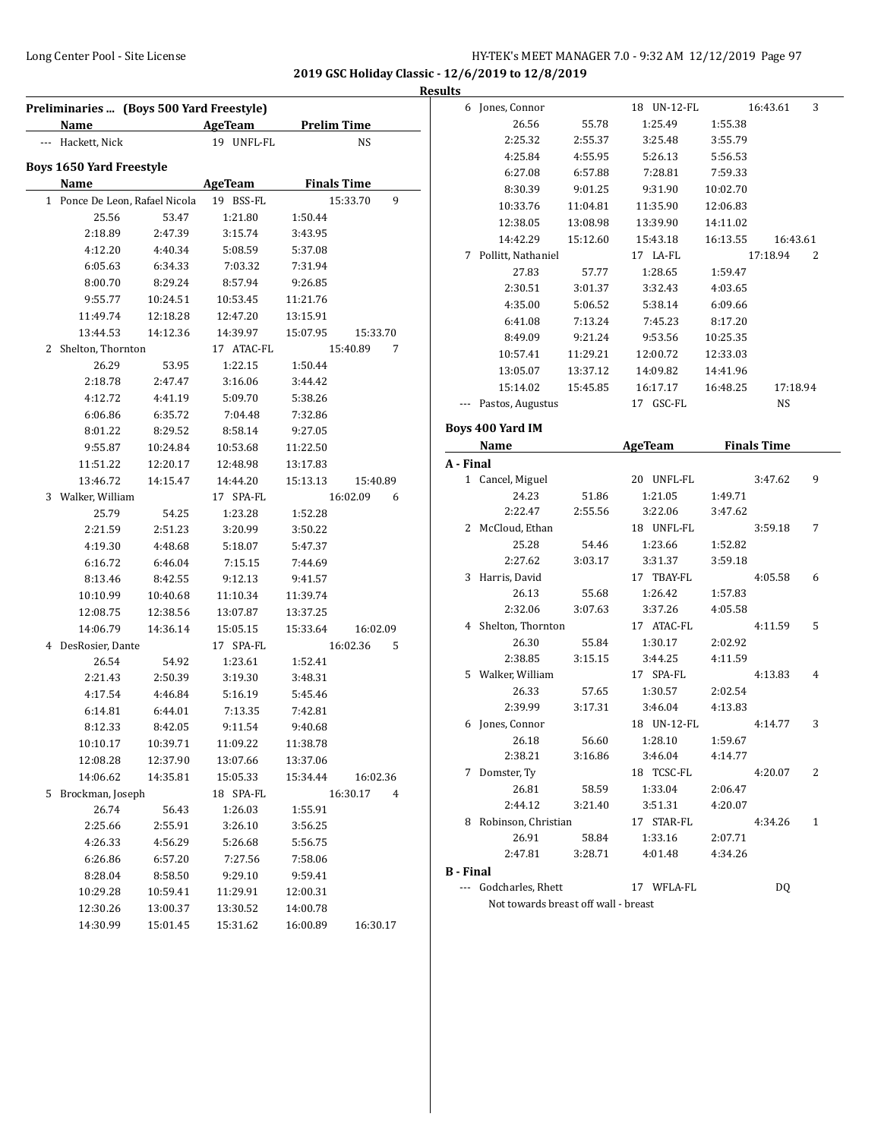**2019 GSC Holiday Classic - 12/6/2019 to 12/8/2019**

**Results**

|              |                                 | Preliminaries  (Boys 500 Yard Freestyle) |                       |                    |               |
|--------------|---------------------------------|------------------------------------------|-----------------------|--------------------|---------------|
|              | Name                            |                                          | <b>AgeTeam</b>        | <b>Prelim Time</b> |               |
|              | --- Hackett, Nick               |                                          | 19 UNFL-FL            |                    | NS            |
|              | <b>Boys 1650 Yard Freestyle</b> |                                          |                       |                    |               |
|              | Name                            |                                          | <b>AgeTeam</b>        | <b>Finals Time</b> |               |
| $\mathbf{1}$ |                                 | Ponce De Leon, Rafael Nicola             | 19 BSS-FL             |                    | 15:33.70<br>9 |
|              | 25.56                           | 53.47                                    | 1:21.80               | 1:50.44            |               |
|              | 2:18.89                         | 2:47.39                                  | 3:15.74               | 3:43.95            |               |
|              | 4:12.20                         | 4:40.34                                  | 5:08.59               | 5:37.08            |               |
|              | 6:05.63                         | 6:34.33                                  | 7:03.32               | 7:31.94            |               |
|              | 8:00.70                         | 8:29.24                                  | 8:57.94               | 9:26.85            |               |
|              | 9:55.77                         | 10:24.51                                 | 10:53.45              | 11:21.76           |               |
|              | 11:49.74                        | 12:18.28                                 | 12:47.20              | 13:15.91           |               |
|              | 13:44.53                        | 14:12.36                                 | 14:39.97              | 15:07.95           |               |
|              |                                 |                                          |                       |                    | 15:33.70      |
| 2            | Shelton, Thornton<br>26.29      | 53.95                                    | 17 ATAC-FL<br>1:22.15 |                    | 15:40.89<br>7 |
|              |                                 |                                          |                       | 1:50.44            |               |
|              | 2:18.78                         | 2:47.47                                  | 3:16.06               | 3:44.42            |               |
|              | 4:12.72                         | 4:41.19                                  | 5:09.70               | 5:38.26            |               |
|              | 6:06.86                         | 6:35.72                                  | 7:04.48               | 7:32.86            |               |
|              | 8:01.22                         | 8:29.52                                  | 8:58.14               | 9:27.05            |               |
|              | 9:55.87                         | 10:24.84                                 | 10:53.68              | 11:22.50           |               |
|              | 11:51.22                        | 12:20.17                                 | 12:48.98              | 13:17.83           |               |
|              | 13:46.72                        | 14:15.47                                 | 14:44.20              | 15:13.13           | 15:40.89      |
| 3            | Walker, William                 |                                          | 17 SPA-FL             |                    | 16:02.09<br>6 |
|              | 25.79                           | 54.25                                    | 1:23.28               | 1:52.28            |               |
|              | 2:21.59                         | 2:51.23                                  | 3:20.99               | 3:50.22            |               |
|              | 4:19.30                         | 4:48.68                                  | 5:18.07               | 5:47.37            |               |
|              | 6:16.72                         | 6:46.04                                  | 7:15.15               | 7:44.69            |               |
|              | 8:13.46                         | 8:42.55                                  | 9:12.13               | 9:41.57            |               |
|              | 10:10.99                        | 10:40.68                                 | 11:10.34              | 11:39.74           |               |
|              | 12:08.75                        | 12:38.56                                 | 13:07.87              | 13:37.25           |               |
|              | 14:06.79                        | 14:36.14                                 | 15:05.15              | 15:33.64           | 16:02.09      |
| 4            | DesRosier, Dante                |                                          | 17 SPA-FL             |                    | 16:02.36<br>5 |
|              | 26.54                           | 54.92                                    | 1:23.61               | 1:52.41            |               |
|              | 2:21.43                         | 2:50.39                                  | 3:19.30               | 3:48.31            |               |
|              | 4:17.54                         | 4:46.84                                  | 5:16.19               | 5:45.46            |               |
|              | 6:14.81                         | 6:44.01                                  | 7:13.35               | 7:42.81            |               |
|              | 8:12.33                         | 8:42.05                                  | 9:11.54               | 9:40.68            |               |
|              | 10:10.17                        | 10:39.71                                 | 11:09.22              | 11:38.78           |               |
|              | 12:08.28                        | 12:37.90                                 | 13:07.66              | 13:37.06           |               |
|              | 14:06.62                        | 14:35.81                                 | 15:05.33              | 15:34.44           | 16:02.36      |
| 5            | Brockman, Joseph                |                                          | 18 SPA-FL             |                    | 16:30.17<br>4 |
|              | 26.74                           | 56.43                                    | 1:26.03               | 1:55.91            |               |
|              | 2:25.66                         | 2:55.91                                  | 3:26.10               | 3:56.25            |               |
|              | 4:26.33                         | 4:56.29                                  | 5:26.68               | 5:56.75            |               |
|              | 6:26.86                         | 6:57.20                                  | 7:27.56               | 7:58.06            |               |
|              | 8:28.04                         | 8:58.50                                  | 9:29.10               | 9:59.41            |               |
|              | 10:29.28                        | 10:59.41                                 | 11:29.91              | 12:00.31           |               |
|              | 12:30.26                        | 13:00.37                                 | 13:30.52              | 14:00.78           |               |
|              | 14:30.99                        | 15:01.45                                 | 15:31.62              | 16:00.89           | 16:30.17      |

|                  | 6 Jones, Connor       |          | 18 UN-12-FL    |          | 16:43.61           | 3 |
|------------------|-----------------------|----------|----------------|----------|--------------------|---|
|                  | 26.56                 | 55.78    | 1:25.49        | 1:55.38  |                    |   |
|                  | 2:25.32               | 2:55.37  | 3:25.48        | 3:55.79  |                    |   |
|                  | 4:25.84               | 4:55.95  | 5:26.13        | 5:56.53  |                    |   |
|                  | 6:27.08               | 6:57.88  | 7:28.81        | 7:59.33  |                    |   |
|                  | 8:30.39               | 9:01.25  | 9:31.90        | 10:02.70 |                    |   |
|                  | 10:33.76              | 11:04.81 | 11:35.90       | 12:06.83 |                    |   |
|                  | 12:38.05              | 13:08.98 | 13:39.90       | 14:11.02 |                    |   |
|                  | 14:42.29              | 15:12.60 | 15:43.18       | 16:13.55 | 16:43.61           |   |
|                  | 7 Pollitt, Nathaniel  |          | 17 LA-FL       |          | 17:18.94           | 2 |
|                  | 27.83                 | 57.77    | 1:28.65        | 1:59.47  |                    |   |
|                  | 2:30.51               | 3:01.37  | 3:32.43        | 4:03.65  |                    |   |
|                  | 4:35.00               | 5:06.52  | 5:38.14        | 6:09.66  |                    |   |
|                  | 6:41.08               | 7:13.24  | 7:45.23        | 8:17.20  |                    |   |
|                  | 8:49.09               | 9:21.24  | 9:53.56        | 10:25.35 |                    |   |
|                  | 10:57.41              | 11:29.21 | 12:00.72       | 12:33.03 |                    |   |
|                  | 13:05.07              | 13:37.12 | 14:09.82       | 14:41.96 |                    |   |
|                  | 15:14.02              | 15:45.85 | 16:17.17       | 16:48.25 | 17:18.94           |   |
|                  | --- Pastos, Augustus  |          | 17 GSC-FL      |          | NS                 |   |
|                  |                       |          |                |          |                    |   |
|                  | Boys 400 Yard IM      |          |                |          |                    |   |
|                  | Name                  |          | <b>AgeTeam</b> |          | <b>Finals Time</b> |   |
| A - Final        |                       |          |                |          |                    |   |
|                  | 1 Cancel, Miguel      |          | 20 UNFL-FL     |          | 3:47.62            | 9 |
|                  | 24.23                 | 51.86    | 1:21.05        | 1:49.71  |                    |   |
|                  | 2:22.47               | 2:55.56  | 3:22.06        | 3:47.62  |                    |   |
|                  | 2 McCloud, Ethan      |          | 18 UNFL-FL     |          | 3:59.18            | 7 |
|                  | 25.28                 | 54.46    | 1:23.66        | 1:52.82  |                    |   |
|                  | 2:27.62               | 3:03.17  | 3:31.37        | 3:59.18  |                    |   |
| 3                | Harris, David         |          | 17 TBAY-FL     |          | 4:05.58            | 6 |
|                  | 26.13                 | 55.68    | 1:26.42        | 1:57.83  |                    |   |
|                  | 2:32.06               | 3:07.63  | 3:37.26        | 4:05.58  |                    |   |
|                  | 4 Shelton, Thornton   |          | 17 ATAC-FL     |          | 4:11.59            | 5 |
|                  | 26.30                 | 55.84    | 1:30.17        | 2:02.92  |                    |   |
|                  | 2:38.85               | 3:15.15  | 3:44.25        | 4:11.59  |                    |   |
|                  | 5 Walker, William     |          | 17 SPA-FL      |          | 4:13.83            | 4 |
|                  | 26.33                 | 57.65    | 1:30.57        | 2:02.54  |                    |   |
|                  | 2:39.99               | 3:17.31  | 3:46.04        | 4:13.83  |                    |   |
| 6                | Jones, Connor         |          | 18 UN-12-FL    |          | 4:14.77            | 3 |
|                  | 26.18                 | 56.60    | 1:28.10        | 1:59.67  |                    |   |
|                  | 2:38.21               | 3:16.86  | 3:46.04        | 4:14.77  |                    |   |
|                  | 7 Domster, Ty         |          | 18 TCSC-FL     |          | 4:20.07            | 2 |
|                  | 26.81                 | 58.59    | 1:33.04        | 2:06.47  |                    |   |
|                  | 2:44.12               | 3:21.40  | 3:51.31        | 4:20.07  |                    |   |
| 8                | Robinson, Christian   |          | 17 STAR-FL     |          | 4:34.26            | 1 |
|                  | 26.91                 | 58.84    | 1:33.16        | 2:07.71  |                    |   |
|                  |                       |          |                |          |                    |   |
|                  | 2:47.81               | 3:28.71  | 4:01.48        | 4:34.26  |                    |   |
| <b>B</b> - Final |                       |          |                |          |                    |   |
|                  | --- Godcharles, Rhett |          | 17 WFLA-FL     |          | DQ                 |   |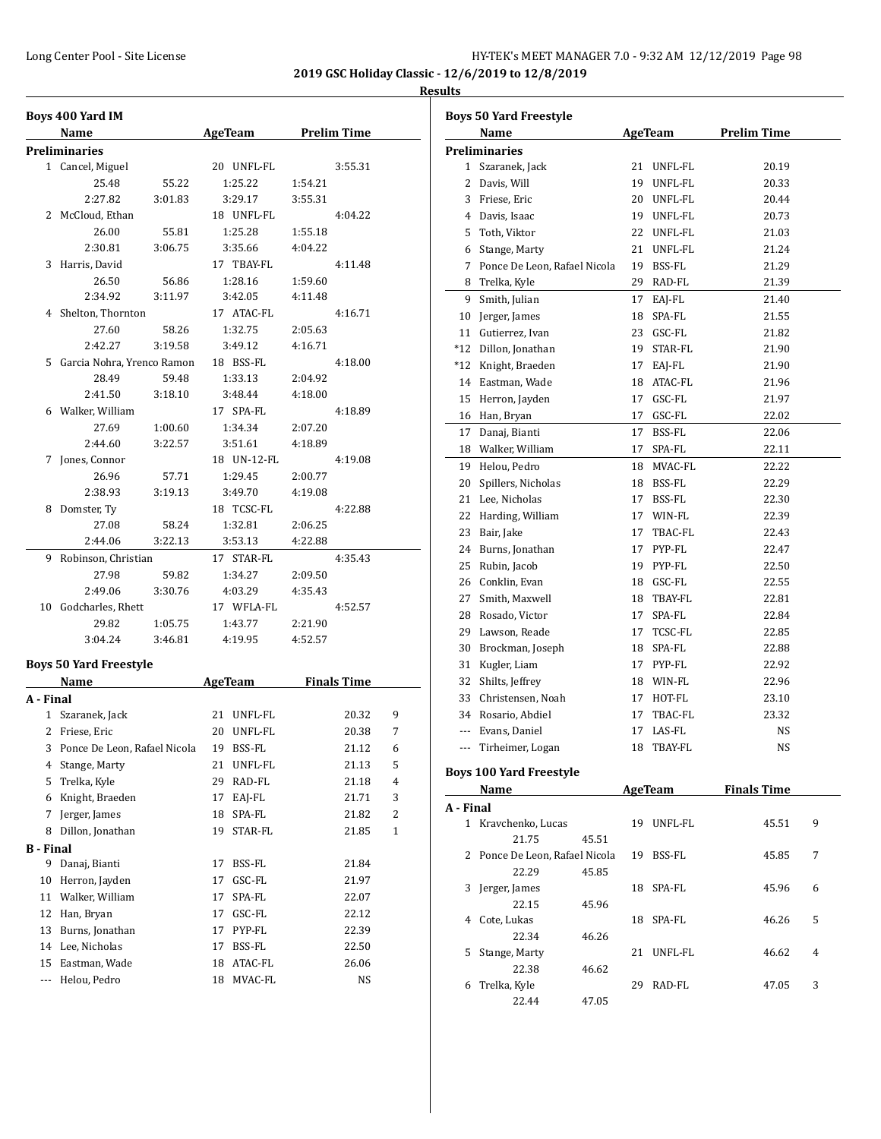#### **Results**

|                  | Boys 400 Yard IM              |         |    |                     |         |         |                |
|------------------|-------------------------------|---------|----|---------------------|---------|---------|----------------|
|                  | Name                          |         |    | AgeTeam Prelim Time |         |         |                |
|                  | Preliminaries                 |         |    |                     |         |         |                |
|                  | 1 Cancel, Miguel              |         |    | 20 UNFL-FL          |         | 3:55.31 |                |
|                  | 25.48                         | 55.22   |    | 1:25.22             | 1:54.21 |         |                |
|                  | 2:27.82                       | 3:01.83 |    | 3:29.17             | 3:55.31 |         |                |
|                  | 2 McCloud, Ethan              |         |    | 18 UNFL-FL          |         | 4:04.22 |                |
|                  | 26.00                         | 55.81   |    | 1:25.28             | 1:55.18 |         |                |
|                  | 2:30.81                       | 3:06.75 |    | 3:35.66             | 4:04.22 |         |                |
|                  | 3 Harris, David               |         |    | 17 TBAY-FL          |         | 4:11.48 |                |
|                  | 26.50                         | 56.86   |    | 1:28.16             | 1:59.60 |         |                |
|                  | 2:34.92                       | 3:11.97 |    | 3:42.05             | 4:11.48 |         |                |
|                  | 4 Shelton, Thornton           |         |    | 17 ATAC-FL          |         | 4:16.71 |                |
|                  | 27.60                         | 58.26   |    | 1:32.75             | 2:05.63 |         |                |
|                  | 2:42.27                       | 3:19.58 |    | 3:49.12             | 4:16.71 |         |                |
|                  | 5 Garcia Nohra, Yrenco Ramon  |         |    | 18 BSS-FL           |         | 4:18.00 |                |
|                  | 28.49                         | 59.48   |    | 1:33.13             | 2:04.92 |         |                |
|                  | 2:41.50                       | 3:18.10 |    | 3:48.44             | 4:18.00 |         |                |
|                  | 6 Walker, William             |         |    | 17 SPA-FL           |         | 4:18.89 |                |
|                  | 27.69                         | 1:00.60 |    | 1:34.34             | 2:07.20 |         |                |
|                  | 2:44.60                       | 3:22.57 |    | 3:51.61             | 4:18.89 |         |                |
| 7                | Jones, Connor                 |         |    | 18 UN-12-FL         |         | 4:19.08 |                |
|                  | 26.96                         | 57.71   |    | 1:29.45             | 2:00.77 |         |                |
|                  | 2:38.93                       | 3:19.13 |    | 3:49.70             | 4:19.08 |         |                |
|                  | 8 Domster, Ty                 |         |    | 18 TCSC-FL          |         | 4:22.88 |                |
|                  | 27.08                         | 58.24   |    | 1:32.81             | 2:06.25 |         |                |
|                  | 2:44.06                       | 3:22.13 |    | 3:53.13             | 4:22.88 |         |                |
|                  | 9 Robinson, Christian         |         |    | 17 STAR-FL          |         | 4:35.43 |                |
|                  | 27.98                         | 59.82   |    | 1:34.27             | 2:09.50 |         |                |
|                  | 2:49.06                       | 3:30.76 |    | 4:03.29             | 4:35.43 |         |                |
|                  | 10 Godcharles, Rhett          |         |    | 17 WFLA-FL          |         | 4:52.57 |                |
|                  | 29.82                         | 1:05.75 |    | 1:43.77             | 2:21.90 |         |                |
|                  | 3:04.24                       | 3:46.81 |    | 4:19.95             | 4:52.57 |         |                |
|                  |                               |         |    |                     |         |         |                |
|                  | <b>Boys 50 Yard Freestyle</b> |         |    |                     |         |         |                |
|                  | <b>Name</b>                   |         |    | AgeTeam Finals Time |         |         |                |
| A - Final        | 1 Szaranek, Jack              |         |    | 21 UNFL-FL          |         |         | 9              |
|                  |                               |         |    |                     |         | 20.32   |                |
|                  | 2 Friese, Eric                |         |    | 20 UNFL-FL          |         | 20.38   | 7              |
| 3                | Ponce De Leon, Rafael Nicola  |         | 19 | BSS-FL              |         | 21.12   | 6              |
| 4                | Stange, Marty                 |         | 21 | UNFL-FL             |         | 21.13   | 5              |
| 5                | Trelka, Kyle                  |         | 29 | RAD-FL              |         | 21.18   | 4              |
| 6                | Knight, Braeden               |         | 17 | EAJ-FL              |         | 21.71   | 3              |
| 7                | Jerger, James                 |         | 18 | SPA-FL              |         | 21.82   | $\overline{c}$ |
| 8                | Dillon, Jonathan              |         | 19 | STAR-FL             |         | 21.85   | 1              |
| <b>B</b> - Final |                               |         |    |                     |         |         |                |
| 9                | Danaj, Bianti                 |         | 17 | BSS-FL              |         | 21.84   |                |
| 10               | Herron, Jayden                |         | 17 | GSC-FL              |         | 21.97   |                |
| 11               | Walker, William               |         | 17 | SPA-FL              |         | 22.07   |                |
| 12               | Han, Bryan                    |         | 17 | GSC-FL              |         | 22.12   |                |
| 13               | Burns, Jonathan               |         | 17 | PYP-FL              |         | 22.39   |                |
| 14               | Lee, Nicholas                 |         | 17 | BSS-FL              |         | 22.50   |                |
| 15               | Eastman, Wade                 |         | 18 | ATAC-FL             |         | 26.06   |                |
| ---              | Helou, Pedro                  |         | 18 | MVAC-FL             |         | NS      |                |

|           | <b>Boys 50 Yard Freestyle</b>          |       |            |                     |   |
|-----------|----------------------------------------|-------|------------|---------------------|---|
|           | Name                                   |       | AgeTeam    | <b>Prelim Time</b>  |   |
|           | <b>Preliminaries</b>                   |       |            |                     |   |
|           | 1 Szaranek, Jack                       |       | 21 UNFL-FL | 20.19               |   |
|           | 2 Davis, Will                          |       | 19 UNFL-FL | 20.33               |   |
|           | 3 Friese, Eric                         |       | 20 UNFL-FL | 20.44               |   |
|           | 4 Davis, Isaac                         |       | 19 UNFL-FL | 20.73               |   |
|           | 5 Toth, Viktor                         |       | 22 UNFL-FL | 21.03               |   |
|           | 6 Stange, Marty                        | 21    | UNFL-FL    | 21.24               |   |
|           | 7 Ponce De Leon, Rafael Nicola         |       | 19 BSS-FL  | 21.29               |   |
|           | 8 Trelka, Kyle                         |       | 29 RAD-FL  | 21.39               |   |
| 9         | Smith, Julian                          |       | 17 EAI-FL  | 21.40               |   |
|           | 10 Jerger, James                       |       | 18 SPA-FL  | 21.55               |   |
|           | 11 Gutierrez, Ivan                     |       | 23 GSC-FL  | 21.82               |   |
|           | *12 Dillon, Jonathan                   |       | 19 STAR-FL | 21.90               |   |
|           | *12 Knight, Braeden                    |       | 17 EAJ-FL  | 21.90               |   |
|           | 14 Eastman, Wade                       |       | 18 ATAC-FL | 21.96               |   |
|           | 15 Herron, Jayden                      |       | 17 GSC-FL  | 21.97               |   |
|           | 16 Han, Bryan                          | 17    | GSC-FL     | 22.02               |   |
|           |                                        |       |            |                     |   |
|           | 17 Danaj, Bianti<br>18 Walker, William | 17    | BSS-FL     | 22.06               |   |
|           |                                        |       | 17 SPA-FL  | 22.11               |   |
|           | 19 Helou, Pedro                        | 18    | MVAC-FL    | 22.22               |   |
| 20        | Spillers, Nicholas                     |       | 18 BSS-FL  | 22.29               |   |
|           | 21 Lee, Nicholas                       |       | 17 BSS-FL  | 22.30               |   |
|           | 22 Harding, William                    |       | 17 WIN-FL  | 22.39               |   |
|           | 23 Bair, Jake                          | 17    | TBAC-FL    | 22.43               |   |
|           | 24 Burns, Jonathan                     |       | 17 PYP-FL  | 22.47               |   |
|           | 25 Rubin, Jacob                        |       | 19 PYP-FL  | 22.50               |   |
|           | 26 Conklin, Evan                       |       | 18 GSC-FL  | 22.55               |   |
|           | 27 Smith, Maxwell                      |       | 18 TBAY-FL | 22.81               |   |
|           | 28 Rosado, Victor                      | 17    | SPA-FL     | 22.84               |   |
|           | 29 Lawson, Reade                       | 17    | TCSC-FL    | 22.85               |   |
|           | 30 Brockman, Joseph                    |       | 18 SPA-FL  | 22.88               |   |
|           | 31 Kugler, Liam                        | 17    | PYP-FL     | 22.92               |   |
| 32        | Shilts, Jeffrey                        |       | 18 WIN-FL  | 22.96               |   |
|           | 33 Christensen, Noah                   |       | 17 HOT-FL  | 23.10               |   |
|           | 34 Rosario, Abdiel                     | 17    | TBAC-FL    | 23.32               |   |
|           | --- Evans, Daniel                      |       | 17 LAS-FL  | NS                  |   |
| $---$     | Tirheimer, Logan                       | 18    | TBAY-FL    | NS                  |   |
|           |                                        |       |            |                     |   |
|           | <b>Boys 100 Yard Freestyle</b>         |       |            |                     |   |
|           | Name                                   |       |            | AgeTeam Finals Time |   |
| A - Final |                                        |       |            |                     |   |
|           | 1 Kravchenko, Lucas                    |       | 19 UNFL-FL | 45.51               | 9 |
|           | 21.75                                  | 45.51 |            |                     |   |
|           | 2 Ponce De Leon, Rafael Nicola         |       | 19 BSS-FL  | 45.85               | 7 |
|           | 22.29                                  | 45.85 |            |                     |   |
|           | 3 Jerger, James                        |       | 18 SPA-FL  | 45.96               | 6 |
|           | 22.15                                  | 45.96 |            |                     |   |
|           | 4 Cote, Lukas                          |       | 18 SPA-FL  | 46.26               | 5 |
|           | 22.34                                  | 46.26 |            |                     |   |
|           | 5 Stange, Marty                        |       | 21 UNFL-FL | 46.62               | 4 |
|           | 22.38                                  | 46.62 |            |                     |   |
|           | 6 Trelka, Kyle                         |       | 29 RAD-FL  | 47.05               | 3 |
|           | 22.44                                  | 47.05 |            |                     |   |
|           |                                        |       |            |                     |   |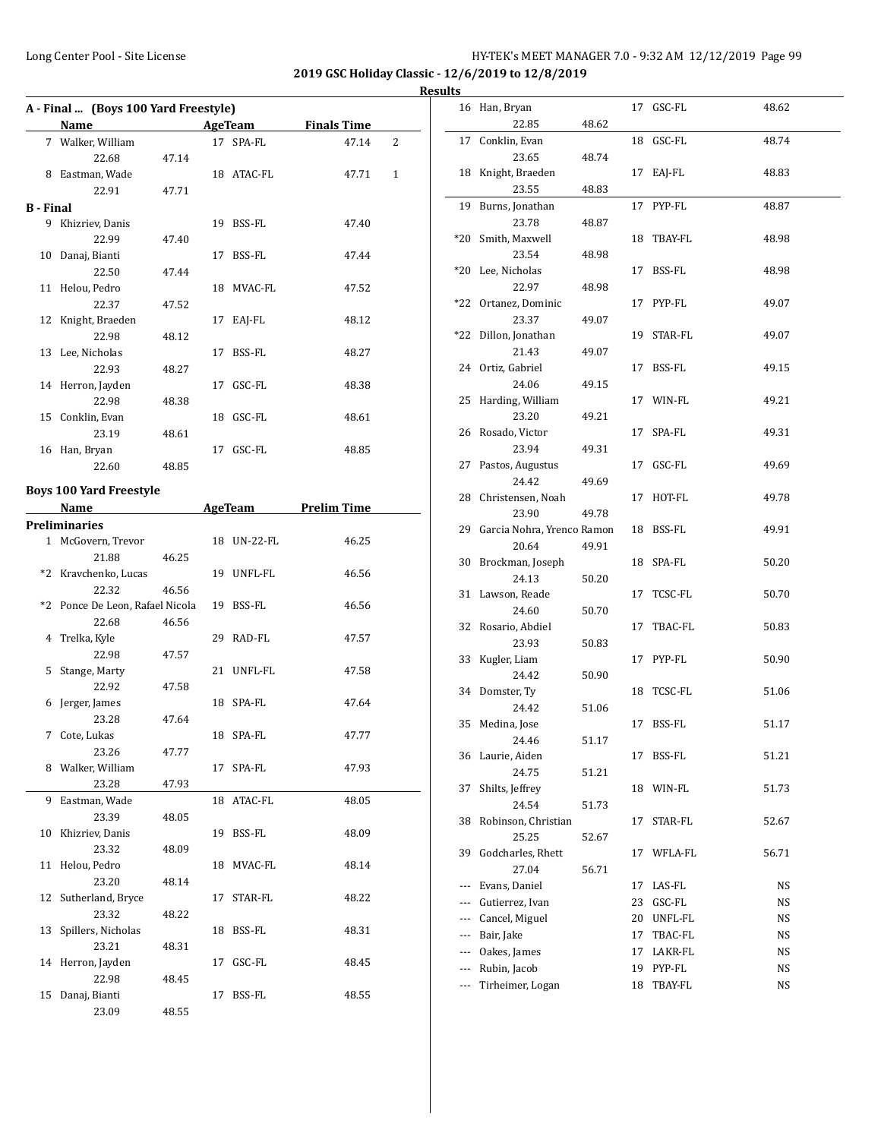**2019 GSC Holiday Classic - 12/6/2019 to 12/8/2019**

|           | A - Final  (Boys 100 Yard Freestyle) |       |  |                |                    |                |  |  |  |
|-----------|--------------------------------------|-------|--|----------------|--------------------|----------------|--|--|--|
|           | Name                                 |       |  | <b>AgeTeam</b> | <b>Finals Time</b> |                |  |  |  |
|           | 7 Walker, William                    |       |  | 17 SPA-FL      | 47.14              | $\overline{2}$ |  |  |  |
|           | 22.68                                | 47.14 |  |                |                    |                |  |  |  |
| 8         | Eastman, Wade                        |       |  | 18 ATAC-FL     | 47.71              | 1              |  |  |  |
|           | 22.91                                | 47.71 |  |                |                    |                |  |  |  |
| B - Final |                                      |       |  |                |                    |                |  |  |  |
| 9         | Khizriev, Danis                      |       |  | 19 BSS-FL      | 47.40              |                |  |  |  |
|           | 22.99                                | 47.40 |  |                |                    |                |  |  |  |
| 10        | Danaj, Bianti                        |       |  | 17 BSS-FL      | 47.44              |                |  |  |  |
|           | 22.50                                | 47.44 |  |                |                    |                |  |  |  |
|           | 11 Helou, Pedro                      |       |  | 18 MVAC-FL     | 47.52              |                |  |  |  |
|           | 22.37                                | 47.52 |  |                |                    |                |  |  |  |
|           | 12 Knight, Braeden                   |       |  | 17 EAJ-FL      | 48.12              |                |  |  |  |
|           | 22.98                                | 48.12 |  |                |                    |                |  |  |  |
|           | 13 Lee, Nicholas                     |       |  | 17 BSS-FL      | 48.27              |                |  |  |  |
|           | 22.93                                | 48.27 |  |                |                    |                |  |  |  |
|           | 14 Herron, Jayden                    |       |  | 17 GSC-FL      | 48.38              |                |  |  |  |
|           | 22.98                                | 48.38 |  |                |                    |                |  |  |  |
|           | 15 Conklin, Evan                     |       |  | 18 GSC-FL      | 48.61              |                |  |  |  |
|           | 23.19                                | 48.61 |  |                |                    |                |  |  |  |
| 16        | Han, Bryan                           |       |  | 17 GSC-FL      | 48.85              |                |  |  |  |
|           | 22.60                                | 48.85 |  |                |                    |                |  |  |  |
|           |                                      |       |  |                |                    |                |  |  |  |

# **Boys 100 Yard Freestyle**

|   | Name                            |       |    | <b>AgeTeam</b> | <b>Prelim Time</b> |
|---|---------------------------------|-------|----|----------------|--------------------|
|   | <b>Preliminaries</b>            |       |    |                |                    |
|   | 1 McGovern, Trevor              |       |    | 18 UN-22-FL    | 46.25              |
|   | 21.88                           | 46.25 |    |                |                    |
|   | *2 Kravchenko, Lucas            |       |    | 19 UNFL-FL     | 46.56              |
|   | 22.32                           | 46.56 |    |                |                    |
|   | *2 Ponce De Leon, Rafael Nicola |       |    | 19 BSS-FL      | 46.56              |
|   | 22.68                           | 46.56 |    |                |                    |
|   | 4 Trelka, Kyle                  |       |    | 29 RAD-FL      | 47.57              |
|   | 22.98                           | 47.57 |    |                |                    |
| 5 | Stange, Marty                   |       |    | 21 UNFL-FL     | 47.58              |
|   | 22.92                           | 47.58 |    |                |                    |
| 6 | Jerger, James                   |       |    | 18 SPA-FL      | 47.64              |
|   | 23.28                           | 47.64 |    |                |                    |
| 7 | Cote, Lukas                     |       |    | 18 SPA-FL      | 47.77              |
|   | 23.26                           | 47.77 |    |                |                    |
|   | 8 Walker, William               |       |    | 17 SPA-FL      | 47.93              |
|   | 23.28                           | 47.93 |    |                |                    |
|   | 9 Eastman, Wade                 |       |    | 18 ATAC-FL     | 48.05              |
|   | 23.39                           | 48.05 |    |                |                    |
|   | 10 Khizriev, Danis              |       |    | 19 BSS-FL      | 48.09              |
|   | 23.32                           | 48.09 |    |                |                    |
|   | 11 Helou, Pedro                 |       |    | 18 MVAC-FL     | 48.14              |
|   | 23.20                           | 48.14 |    |                |                    |
|   | 12 Sutherland, Bryce            |       |    | 17 STAR-FL     | 48.22              |
|   | 23.32                           | 48.22 |    |                |                    |
|   | 13 Spillers, Nicholas           |       |    | 18 BSS-FL      | 48.31              |
|   | 23.21                           | 48.31 |    |                |                    |
|   | 14 Herron, Jayden               |       |    | 17 GSC-FL      | 48.45              |
|   | 22.98                           | 48.45 |    |                |                    |
|   | 15 Danaj, Bianti                |       | 17 | <b>BSS-FL</b>  | 48.55              |
|   | 23.09                           | 48.55 |    |                |                    |

| <b>Results</b> |                                        |       |    |            |       |
|----------------|----------------------------------------|-------|----|------------|-------|
|                | 16 Han, Bryan<br>22.85                 | 48.62 |    | 17 GSC-FL  | 48.62 |
|                |                                        |       |    |            |       |
|                | 17 Conklin, Evan<br>23.65              | 48.74 |    | 18 GSC-FL  | 48.74 |
|                | 18 Knight, Braeden                     |       |    | 17 EAJ-FL  | 48.83 |
|                | 23.55                                  | 48.83 |    |            |       |
|                | 19 Burns, Jonathan                     |       |    | 17 PYP-FL  | 48.87 |
|                | 23.78                                  | 48.87 |    |            |       |
|                | *20 Smith, Maxwell                     |       |    | 18 TBAY-FL | 48.98 |
|                | 23.54                                  | 48.98 |    |            |       |
|                | *20 Lee, Nicholas                      |       |    | 17 BSS-FL  | 48.98 |
|                | 22.97                                  | 48.98 |    |            |       |
|                | *22 Ortanez, Dominic                   |       |    | 17 PYP-FL  | 49.07 |
|                | 23.37                                  | 49.07 |    |            |       |
|                | *22 Dillon, Jonathan                   |       |    | 19 STAR-FL | 49.07 |
|                | 21.43                                  | 49.07 |    |            |       |
|                | 24 Ortiz, Gabriel                      |       |    | 17 BSS-FL  | 49.15 |
|                | 24.06                                  | 49.15 |    |            |       |
|                | 25 Harding, William                    |       |    | 17 WIN-FL  | 49.21 |
|                | 23.20                                  | 49.21 |    |            |       |
|                | 26 Rosado, Victor                      |       |    | 17 SPA-FL  | 49.31 |
|                | 23.94                                  | 49.31 |    |            |       |
|                | 27 Pastos, Augustus                    |       |    | 17 GSC-FL  | 49.69 |
|                | 24.42                                  | 49.69 |    |            |       |
|                | 28 Christensen, Noah                   |       |    | 17 HOT-FL  | 49.78 |
|                | 23.90<br>29 Garcia Nohra, Yrenco Ramon | 49.78 |    | 18 BSS-FL  | 49.91 |
|                | 20.64                                  | 49.91 |    |            |       |
|                | 30 Brockman, Joseph                    |       |    | 18 SPA-FL  | 50.20 |
|                | 24.13                                  | 50.20 |    |            |       |
|                | 31 Lawson, Reade                       |       |    | 17 TCSC-FL | 50.70 |
|                | 24.60                                  | 50.70 |    |            |       |
|                | 32 Rosario, Abdiel                     |       |    | 17 TBAC-FL | 50.83 |
|                | 23.93                                  | 50.83 |    |            |       |
|                | 33 Kugler, Liam                        |       |    | 17 PYP-FL  | 50.90 |
|                | 24.42                                  | 50.90 |    |            |       |
|                | 34 Domster, Ty                         |       |    | 18 TCSC-FL | 51.06 |
|                | 24.42                                  | 51.06 |    |            |       |
|                | 35 Medina, Jose                        |       |    | 17 BSS-FL  | 51.17 |
|                | 24.46                                  | 51.17 |    |            |       |
|                | 36 Laurie, Aiden                       |       |    | 17 BSS-FL  | 51.21 |
|                | 24.75                                  | 51.21 |    |            |       |
| 37             | Shilts, Jeffrey                        |       | 18 | WIN-FL     | 51.73 |
|                | 24.54                                  | 51.73 |    |            |       |
| 38             | Robinson, Christian<br>25.25           |       | 17 | STAR-FL    | 52.67 |
| 39             | Godcharles, Rhett                      | 52.67 | 17 | WFLA-FL    | 56.71 |
|                | 27.04                                  | 56.71 |    |            |       |
|                | --- Evans, Daniel                      |       | 17 | LAS-FL     | NS    |
|                | --- Gutierrez, Ivan                    |       | 23 | GSC-FL     | NS    |
|                | --- Cancel, Miguel                     |       | 20 | UNFL-FL    | NS    |
|                | --- Bair, Jake                         |       | 17 | TBAC-FL    | NS    |
|                | --- Oakes, James                       |       | 17 | LAKR-FL    | NS    |
|                | --- Rubin, Jacob                       |       | 19 | PYP-FL     | NS    |
| ---            | Tirheimer, Logan                       |       | 18 | TBAY-FL    | NS    |
|                |                                        |       |    |            |       |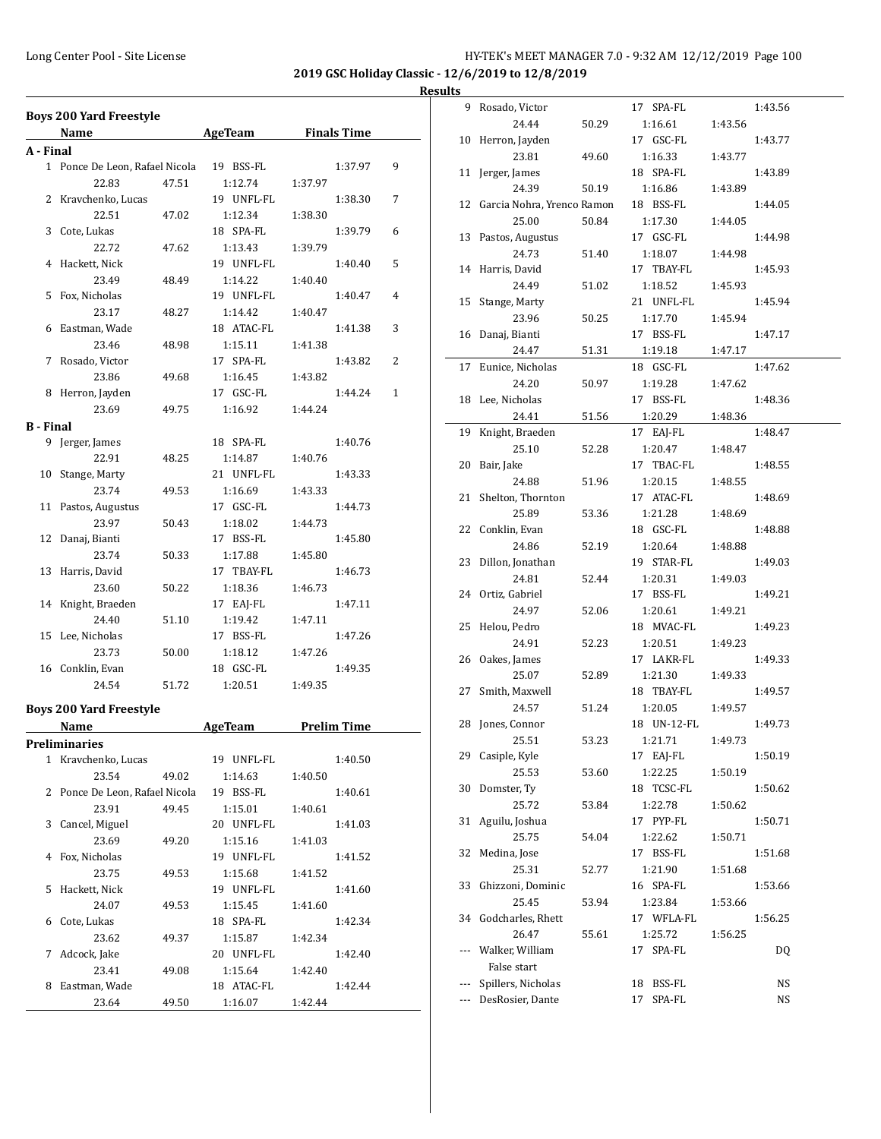**2019 GSC Holiday Classic - 12/6/2019 to 12/8/2019**

# **Results**

|                  | <b>Boys 200 Yard Freestyle</b><br>Name   |       | <b>Example 2.1 AgeTeam</b> Finals Time |         |         |   |
|------------------|------------------------------------------|-------|----------------------------------------|---------|---------|---|
| A - Final        |                                          |       |                                        |         |         |   |
|                  | 1 Ponce De Leon, Rafael Nicola 19 BSS-FL |       |                                        |         | 1:37.97 | 9 |
|                  | 22.83                                    | 47.51 | 1:12.74                                | 1:37.97 |         |   |
| 2                | Kravchenko, Lucas                        |       | 19 UNFL-FL                             |         | 1:38.30 | 7 |
|                  | 22.51                                    |       | 1:12.34                                |         |         |   |
|                  |                                          | 47.02 |                                        | 1:38.30 |         |   |
| 3                | Cote, Lukas                              |       | 18 SPA-FL                              |         | 1:39.79 | 6 |
|                  | 22.72                                    | 47.62 | 1:13.43                                | 1:39.79 |         |   |
| 4                | Hackett, Nick                            |       | 19 UNFL-FL                             |         | 1:40.40 | 5 |
|                  | 23.49                                    | 48.49 | 1:14.22                                | 1:40.40 |         |   |
| 5                | Fox, Nicholas                            |       | 19 UNFL-FL                             |         | 1:40.47 | 4 |
|                  | 23.17                                    | 48.27 | 1:14.42                                | 1:40.47 |         |   |
| 6                | Eastman, Wade                            |       | 18 ATAC-FL                             |         | 1:41.38 | 3 |
|                  | 23.46                                    | 48.98 | 1:15.11                                | 1:41.38 |         |   |
| 7                | Rosado, Victor                           |       | 17 SPA-FL                              |         | 1:43.82 | 2 |
|                  | 23.86                                    | 49.68 | 1:16.45                                | 1:43.82 |         |   |
|                  | 8 Herron, Jayden                         |       | 17 GSC-FL                              |         | 1:44.24 | 1 |
|                  | 23.69                                    | 49.75 | 1:16.92                                | 1:44.24 |         |   |
| <b>B</b> - Final |                                          |       |                                        |         |         |   |
|                  | 9 Jerger, James                          |       | 18 SPA-FL                              |         | 1:40.76 |   |
|                  | 22.91                                    | 48.25 | 1:14.87                                | 1:40.76 |         |   |
| 10               | Stange, Marty                            |       | 21 UNFL-FL                             |         | 1:43.33 |   |
|                  | 23.74                                    | 49.53 | 1:16.69                                | 1:43.33 |         |   |
|                  | 11 Pastos, Augustus                      |       | 17 GSC-FL                              |         | 1:44.73 |   |
|                  | 23.97                                    | 50.43 | 1:18.02                                | 1:44.73 |         |   |
| 12               | Danaj, Bianti                            |       | 17 BSS-FL                              |         | 1:45.80 |   |
|                  | 23.74                                    | 50.33 | 1:17.88                                | 1:45.80 |         |   |
| 13               | Harris, David                            |       | 17 TBAY-FL                             |         | 1:46.73 |   |
|                  | 23.60                                    | 50.22 | 1:18.36                                | 1:46.73 |         |   |
|                  | 14 Knight, Braeden                       |       | 17 EAJ-FL                              |         | 1:47.11 |   |
|                  | 24.40                                    | 51.10 | 1:19.42                                | 1:47.11 |         |   |
|                  | 15 Lee, Nicholas                         |       | 17 BSS-FL                              |         | 1:47.26 |   |
|                  | 23.73                                    | 50.00 | 1:18.12                                | 1:47.26 |         |   |
|                  |                                          |       | 18 GSC-FL                              |         |         |   |
|                  | 16 Conklin, Evan                         |       |                                        |         | 1:49.35 |   |
|                  | 24.54                                    | 51.72 | 1:20.51                                | 1:49.35 |         |   |
|                  | <b>Boys 200 Yard Freestyle</b>           |       |                                        |         |         |   |
|                  | Name                                     |       | <b>Example 2.1 AgeTeam</b> Prelim Time |         |         |   |
|                  | Preliminaries                            |       |                                        |         |         |   |
|                  | 1 Kravchenko, Lucas                      |       | 19 UNFL-FL                             |         | 1:40.50 |   |
|                  | 23.54                                    | 49.02 | 1:14.63                                | 1:40.50 |         |   |
| 2                | Ponce De Leon, Rafael Nicola             |       | 19 BSS-FL                              |         | 1:40.61 |   |
|                  | 23.91                                    | 49.45 | 1:15.01                                | 1:40.61 |         |   |
| 3                | Cancel, Miguel                           |       | 20 UNFL-FL                             |         | 1:41.03 |   |
|                  | 23.69                                    | 49.20 | 1:15.16                                | 1:41.03 |         |   |
| 4                | Fox, Nicholas                            |       | 19 UNFL-FL                             |         | 1:41.52 |   |
|                  | 23.75                                    | 49.53 | 1:15.68                                | 1:41.52 |         |   |
| 5                | Hackett, Nick                            |       | 19 UNFL-FL                             |         | 1:41.60 |   |
|                  | 24.07                                    |       |                                        | 1:41.60 |         |   |
|                  | Cote, Lukas                              | 49.53 | 1:15.45                                |         |         |   |
| 6                |                                          |       | 18 SPA-FL                              |         | 1:42.34 |   |
|                  | 23.62                                    | 49.37 | 1:15.87                                | 1:42.34 |         |   |
| 7                | Adcock, Jake                             |       | 20 UNFL-FL                             |         | 1:42.40 |   |
|                  | 23.41                                    | 49.08 | 1:15.64                                | 1:42.40 |         |   |
| 8                | Eastman, Wade                            |       | 18 ATAC-FL                             |         | 1:42.44 |   |
|                  | 23.64                                    | 49.50 | 1:16.07                                | 1:42.44 |         |   |

|            | 9 Rosado, Victor                       |       | 17 SPA-FL                    |         | 1:43.56  |
|------------|----------------------------------------|-------|------------------------------|---------|----------|
|            | 24.44                                  | 50.29 | 1:16.61                      | 1:43.56 |          |
|            | 10 Herron, Jayden                      |       | 17 GSC-FL                    |         | 1:43.77  |
|            | 23.81                                  | 49.60 | 1:16.33                      | 1:43.77 |          |
|            | 11 Jerger, James                       |       | 18 SPA-FL                    |         | 1:43.89  |
|            | 24.39                                  | 50.19 | 1:16.86                      | 1:43.89 |          |
|            | 12 Garcia Nohra, Yrenco Ramon          |       | 18 BSS-FL                    |         | 1:44.05  |
|            | 25.00                                  | 50.84 | 1:17.30                      | 1:44.05 |          |
|            | 13 Pastos, Augustus                    |       | 17 GSC-FL                    |         | 1:44.98  |
|            | 24.73                                  | 51.40 | 1:18.07                      | 1:44.98 |          |
|            | 14 Harris, David                       |       | 17 TBAY-FL                   |         | 1:45.93  |
|            | 24.49                                  | 51.02 | 1:18.52                      | 1:45.93 |          |
| 15         | Stange, Marty                          |       | 21 UNFL-FL                   |         | 1:45.94  |
|            | 23.96                                  | 50.25 | 1:17.70                      | 1:45.94 |          |
|            |                                        |       | 17 BSS-FL                    |         |          |
|            | 16 Danaj, Bianti                       |       |                              |         | 1:47.17  |
|            | 24.47                                  | 51.31 | 1:19.18                      | 1:47.17 |          |
|            | 17 Eunice, Nicholas                    |       | 18 GSC-FL                    |         | 1:47.62  |
|            | 24.20                                  | 50.97 | 1:19.28                      | 1:47.62 |          |
|            | 18 Lee, Nicholas                       |       | 17 BSS-FL                    |         | 1:48.36  |
|            | 24.41                                  | 51.56 | 1:20.29                      | 1:48.36 |          |
|            | 19 Knight, Braeden                     |       | 17 EAJ-FL                    |         | 1:48.47  |
|            | 25.10                                  | 52.28 | 1:20.47                      | 1:48.47 |          |
|            | 20 Bair, Jake                          |       | 17 TBAC-FL                   |         | 1:48.55  |
|            | 24.88                                  | 51.96 | 1:20.15                      | 1:48.55 |          |
| 21         | Shelton, Thornton                      |       | 17 ATAC-FL                   |         | 1:48.69  |
|            | 25.89                                  | 53.36 | 1:21.28                      | 1:48.69 |          |
|            | 22 Conklin, Evan                       |       | 18 GSC-FL                    |         | 1:48.88  |
|            | 24.86                                  | 52.19 | 1:20.64                      | 1:48.88 |          |
| 23         | Dillon, Jonathan                       |       | 19 STAR-FL                   |         | 1:49.03  |
|            | 24.81                                  | 52.44 | 1:20.31                      | 1:49.03 |          |
| 24         | Ortiz, Gabriel                         |       | 17 BSS-FL                    |         | 1:49.21  |
|            | 24.97                                  | 52.06 | 1:20.61                      | 1:49.21 |          |
| 25         | Helou, Pedro                           |       | 18 MVAC-FL                   |         | 1:49.23  |
|            | 24.91                                  | 52.23 | 1:20.51                      | 1:49.23 |          |
|            | 26 Oakes, James                        |       | 17 LAKR-FL                   |         | 1:49.33  |
|            | 25.07                                  | 52.89 | 1:21.30                      | 1:49.33 |          |
|            | 27 Smith, Maxwell                      |       | 18 TBAY-FL                   |         | 1:49.57  |
|            | 24.57                                  | 51.24 | 1:20.05                      | 1:49.57 |          |
| 28         | Jones, Connor                          |       | 18 UN-12-FL                  |         | 1:49.73  |
|            | 25.51                                  | 53.23 | 1:21.71                      | 1:49.73 |          |
| 29         | Casiple, Kyle                          |       | 17 EAJ-FL                    |         | 1:50.19  |
|            | 25.53                                  | 53.60 | 1:22.25                      | 1:50.19 |          |
| 30         | Domster, Ty                            |       | 18 TCSC-FL                   |         | 1:50.62  |
|            | 25.72                                  | 53.84 | 1:22.78                      | 1:50.62 |          |
| 31         | Aguilu, Joshua                         |       | 17 PYP-FL                    |         | 1:50.71  |
|            | 25.75                                  | 54.04 | 1:22.62                      | 1:50.71 |          |
| 32         | Medina, Jose                           |       | 17 BSS-FL                    |         | 1:51.68  |
|            | 25.31                                  | 52.77 | 1:21.90                      | 1:51.68 |          |
| 33         | Ghizzoni, Dominic                      |       | 16 SPA-FL                    |         | 1:53.66  |
|            | 25.45                                  | 53.94 | 1:23.84                      | 1:53.66 |          |
| 34         | Godcharles, Rhett                      |       | 17 WFLA-FL                   |         | 1:56.25  |
|            | 26.47                                  | 55.61 |                              | 1:56.25 |          |
|            | Walker, William                        |       | 1:25.72<br>17 SPA-FL         |         |          |
| ---        | False start                            |       |                              |         | DQ       |
|            |                                        |       |                              |         |          |
|            |                                        |       |                              |         |          |
| ---<br>--- | Spillers, Nicholas<br>DesRosier, Dante |       | BSS-FL<br>18<br>SPA-FL<br>17 |         | NS<br>NS |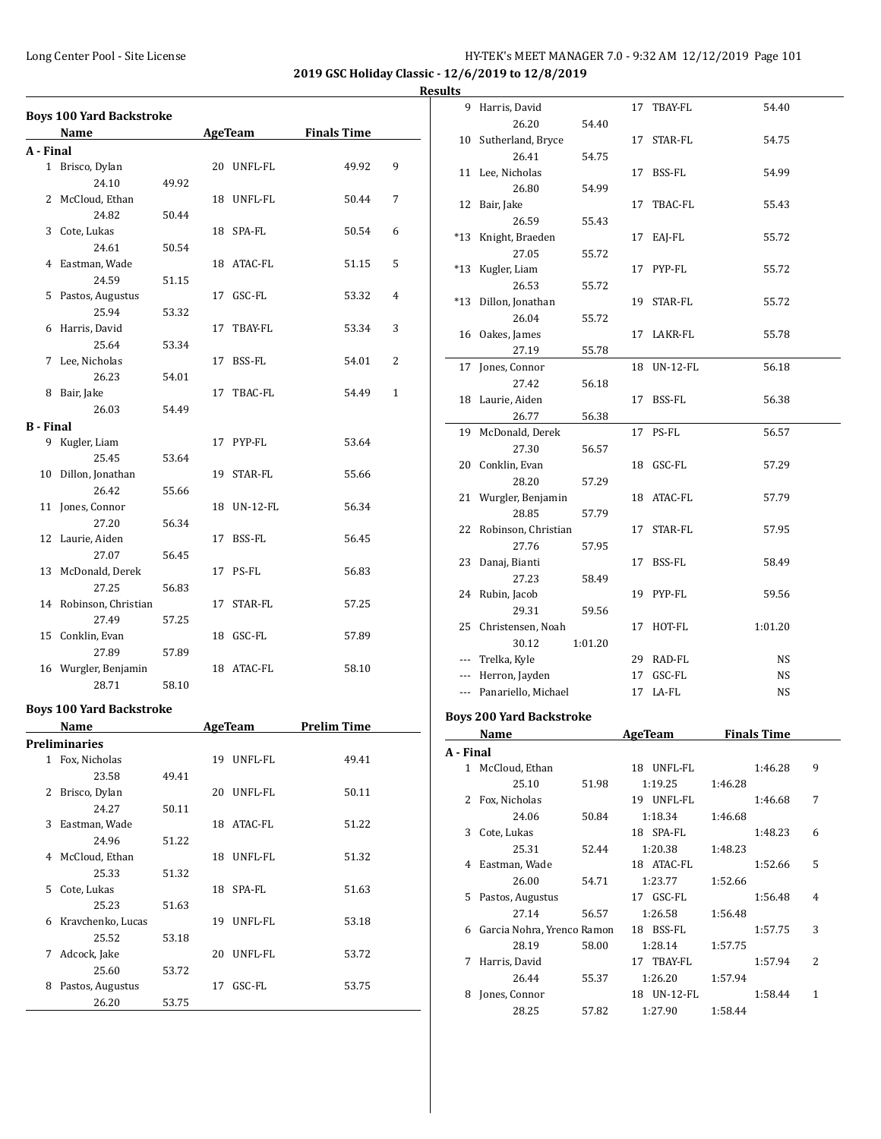#### Long Center Pool - Site License HY-TEK's MEET MANAGER 7.0 - 9:32 AM 12/12/2019 Page 101

**2019 GSC Holiday Classic - 12/6/2019 to 12/8/2019**

|              | <b>Boys 100 Yard Backstroke</b> |       |    |                |                    |   |
|--------------|---------------------------------|-------|----|----------------|--------------------|---|
|              | Name                            |       |    | <b>AgeTeam</b> | <b>Finals Time</b> |   |
| A - Final    |                                 |       |    |                |                    |   |
| $\mathbf{1}$ | Brisco, Dylan                   |       | 20 | UNFL-FL        | 49.92              | 9 |
|              | 24.10                           | 49.92 |    |                |                    |   |
|              | 2 McCloud, Ethan                |       | 18 | UNFL-FL        | 50.44              | 7 |
|              | 24.82                           | 50.44 |    |                |                    |   |
| 3            | Cote, Lukas                     |       | 18 | SPA-FL         | 50.54              | 6 |
|              | 24.61                           | 50.54 |    |                |                    |   |
| 4            | Eastman, Wade                   |       | 18 | ATAC-FL        | 51.15              | 5 |
|              | 24.59                           | 51.15 |    |                |                    |   |
| 5.           | Pastos, Augustus                |       | 17 | GSC-FL         | 53.32              | 4 |
|              | 25.94                           | 53.32 |    |                |                    |   |
| 6            | Harris, David                   |       | 17 | TBAY-FL        | 53.34              | 3 |
|              | 25.64                           | 53.34 |    |                |                    |   |
| 7            | Lee, Nicholas                   |       | 17 | BSS-FL         | 54.01              | 2 |
|              | 26.23                           | 54.01 |    |                |                    |   |
|              | 0 Doir John                     |       | 17 | TDAC EI        | $TA$ $AO$          | 1 |

|                  | 26.23                  | 54.01 |    |                 |            |
|------------------|------------------------|-------|----|-----------------|------------|
| 8                | Bair, Jake             |       | 17 | TBAC-FL         | 54.49<br>1 |
|                  | 26.03                  | 54.49 |    |                 |            |
| <b>B</b> - Final |                        |       |    |                 |            |
| 9                | Kugler, Liam           |       | 17 | PYP-FL          | 53.64      |
|                  | 25.45                  | 53.64 |    |                 |            |
| 10               | Dillon, Jonathan       |       | 19 | STAR-FL         | 55.66      |
|                  | 26.42                  | 55.66 |    |                 |            |
|                  | 11 Jones, Connor       |       | 18 | <b>UN-12-FL</b> | 56.34      |
|                  | 27.20                  | 56.34 |    |                 |            |
|                  | 12 Laurie, Aiden       |       | 17 | BSS-FL          | 56.45      |
|                  | 27.07                  | 56.45 |    |                 |            |
|                  | 13 McDonald, Derek     |       | 17 | PS-FL           | 56.83      |
|                  | 27.25                  | 56.83 |    |                 |            |
|                  | 14 Robinson, Christian |       | 17 | STAR-FL         | 57.25      |
|                  | 27.49                  | 57.25 |    |                 |            |
| 15               | Conklin, Evan          |       | 18 | GSC-FL          | 57.89      |
|                  | 27.89                  | 57.89 |    |                 |            |
|                  | 16 Wurgler, Benjamin   |       | 18 | ATAC-FL         | 58.10      |
|                  | 28.71                  | 58.10 |    |                 |            |

#### **Boys 100 Yard Backstroke**

|    | Name              |       |    | <b>AgeTeam</b> | <b>Prelim Time</b> |
|----|-------------------|-------|----|----------------|--------------------|
|    | Preliminaries     |       |    |                |                    |
| 1  | Fox, Nicholas     |       | 19 | UNFL-FL        | 49.41              |
|    | 23.58             | 49.41 |    |                |                    |
| 2  | Brisco, Dylan     |       | 20 | UNFL-FL        | 50.11              |
|    | 24.27             | 50.11 |    |                |                    |
| 3  | Eastman, Wade     |       | 18 | ATAC-FL        | 51.22              |
|    | 24.96             | 51.22 |    |                |                    |
| 4  | McCloud, Ethan    |       | 18 | UNFL-FL        | 51.32              |
|    | 25.33             | 51.32 |    |                |                    |
| 5. | Cote, Lukas       |       | 18 | SPA-FL         | 51.63              |
|    | 25.23             | 51.63 |    |                |                    |
| 6  | Kravchenko, Lucas |       | 19 | UNFL-FL        | 53.18              |
|    | 25.52             | 53.18 |    |                |                    |
| 7  | Adcock, Jake      |       | 20 | UNFL-FL        | 53.72              |
|    | 25.60             | 53.72 |    |                |                    |
| 8  | Pastos, Augustus  |       | 17 | GSC-FL         | 53.75              |
|    | 26.20             | 53.75 |    |                |                    |

| esults       |                                 |         |             |                    |   |
|--------------|---------------------------------|---------|-------------|--------------------|---|
|              | 9 Harris, David                 |         | 17 TBAY-FL  | 54.40              |   |
|              | 26.20                           | 54.40   |             |                    |   |
|              | 10 Sutherland, Bryce            |         | 17 STAR-FL  | 54.75              |   |
|              | 26.41                           | 54.75   |             |                    |   |
|              | 11 Lee, Nicholas                |         | 17 BSS-FL   | 54.99              |   |
|              | 26.80                           | 54.99   |             |                    |   |
|              | 12 Bair, Jake                   |         | 17 TBAC-FL  | 55.43              |   |
|              | 26.59                           | 55.43   |             |                    |   |
|              | *13 Knight, Braeden             |         | 17 EAJ-FL   | 55.72              |   |
|              | 27.05                           | 55.72   |             |                    |   |
|              | *13 Kugler, Liam                |         | 17 PYP-FL   | 55.72              |   |
|              | 26.53                           | 55.72   |             |                    |   |
|              | *13 Dillon, Jonathan            |         | 19 STAR-FL  | 55.72              |   |
|              | 26.04                           | 55.72   |             |                    |   |
|              | 16 Oakes, James                 |         | 17 LAKR-FL  | 55.78              |   |
|              | 27.19                           | 55.78   |             |                    |   |
| 17           | Jones, Connor                   |         | 18 UN-12-FL | 56.18              |   |
|              | 27.42                           | 56.18   |             |                    |   |
|              | 18 Laurie, Aiden                |         | 17 BSS-FL   | 56.38              |   |
|              | 26.77                           | 56.38   |             |                    |   |
|              | 19 McDonald, Derek              |         | 17 PS-FL    | 56.57              |   |
|              | 27.30                           | 56.57   |             |                    |   |
|              | 20 Conklin, Evan                |         | 18 GSC-FL   | 57.29              |   |
|              | 28.20                           | 57.29   |             |                    |   |
|              | 21 Wurgler, Benjamin            |         | 18 ATAC-FL  | 57.79              |   |
|              | 28.85                           | 57.79   |             |                    |   |
|              | 22 Robinson, Christian          |         | 17 STAR-FL  | 57.95              |   |
|              | 27.76                           | 57.95   |             |                    |   |
|              | 23 Danaj, Bianti                |         | 17 BSS-FL   | 58.49              |   |
|              | 27.23                           | 58.49   |             |                    |   |
|              | 24 Rubin, Jacob                 |         | 19 PYP-FL   | 59.56              |   |
|              | 29.31                           | 59.56   |             |                    |   |
|              | 25 Christensen, Noah            |         | 17 HOT-FL   | 1:01.20            |   |
|              | 30.12                           | 1:01.20 |             |                    |   |
|              | --- Trelka, Kyle                |         | 29 RAD-FL   | <b>NS</b>          |   |
|              | --- Herron, Jayden              |         | 17 GSC-FL   | <b>NS</b>          |   |
|              | --- Panariello, Michael         |         | 17 LA-FL    | <b>NS</b>          |   |
|              |                                 |         |             |                    |   |
|              | <b>Boys 200 Yard Backstroke</b> |         |             |                    |   |
|              | Name                            |         | AgeTeam     | <b>Finals Time</b> |   |
| A - Final    |                                 |         |             |                    |   |
|              | 1 McCloud, Ethan                |         | 18 UNFL-FL  | 1:46.28            | 9 |
|              | 25.10                           | 51.98   | 1:19.25     | 1:46.28            |   |
| $\mathbf{2}$ | Fox, Nicholas                   |         | 19 UNFL-FL  | 1:46.68            | 7 |

|   | 25.10                      | 51.98 | 1:19.25        | 1:46.28 |         |                |
|---|----------------------------|-------|----------------|---------|---------|----------------|
| 2 | Fox, Nicholas              |       | UNFL-FL<br>19  |         | 1:46.68 | 7              |
|   | 24.06                      | 50.84 | 1:18.34        | 1:46.68 |         |                |
| 3 | Cote, Lukas                |       | SPA-FL<br>18   |         | 1:48.23 | 6              |
|   | 25.31                      | 52.44 | 1:20.38        | 1:48.23 |         |                |
| 4 | Eastman, Wade              |       | ATAC-FL<br>18. |         | 1:52.66 | 5              |
|   | 26.00                      | 54.71 | 1:23.77        | 1:52.66 |         |                |
| 5 | Pastos, Augustus           |       | GSC-FL<br>17   |         | 1:56.48 | $\overline{4}$ |
|   | 27.14                      | 56.57 | 1:26.58        | 1:56.48 |         |                |
| 6 | Garcia Nohra, Yrenco Ramon |       | BSS-FL<br>18   |         | 1:57.75 | 3              |
|   | 28.19                      | 58.00 | 1:28.14        | 1:57.75 |         |                |
| 7 | Harris, David              |       | 17 TBAY-FL     |         | 1:57.94 | 2              |
|   | 26.44                      | 55.37 | 1:26.20        | 1:57.94 |         |                |
| 8 | Jones, Connor              |       | UN-12-FL<br>18 |         | 1:58.44 | 1              |
|   | 28.25                      | 57.82 | 1:27.90        | 1:58.44 |         |                |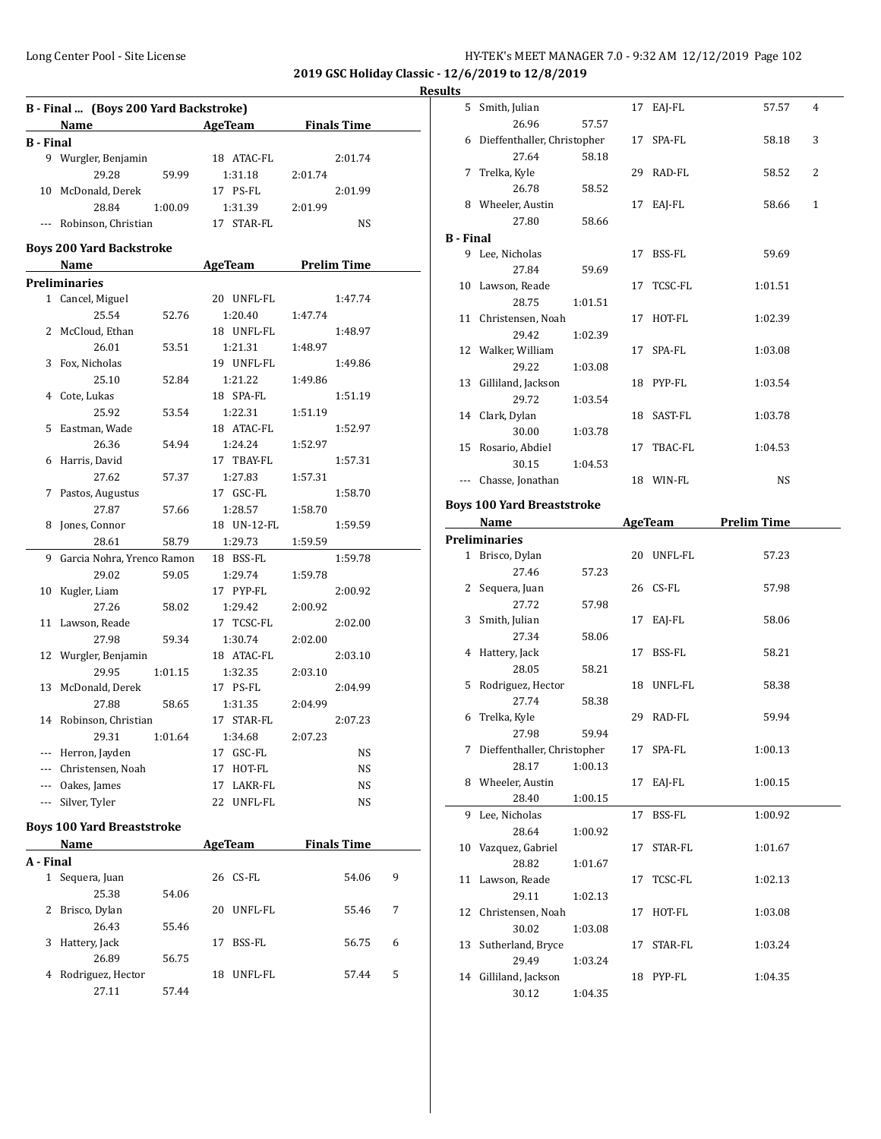**2019 GSC Holiday Classic - 12/6/2019 to 12/8/2019**

# **Results**

| B - Final  (Boys 200 Yard Backstroke) |                                   |         |                          |                     |   |  |  |
|---------------------------------------|-----------------------------------|---------|--------------------------|---------------------|---|--|--|
|                                       | <b>Name</b>                       |         | <b>Example 2</b> AgeTeam | <b>Finals Time</b>  |   |  |  |
| <b>B</b> - Final                      |                                   |         |                          |                     |   |  |  |
|                                       | 9 Wurgler, Benjamin               |         | 18 ATAC-FL               | 2:01.74             |   |  |  |
|                                       | 29.28                             | 59.99   | 1:31.18                  | 2:01.74             |   |  |  |
| 10                                    | McDonald, Derek                   |         | 17 PS-FL                 | 2:01.99             |   |  |  |
|                                       | 28.84                             | 1:00.09 | 1:31.39                  | 2:01.99             |   |  |  |
| $\overline{\phantom{a}}$              | Robinson, Christian               |         | 17 STAR-FL               | NS                  |   |  |  |
|                                       |                                   |         |                          |                     |   |  |  |
|                                       | <b>Boys 200 Yard Backstroke</b>   |         |                          |                     |   |  |  |
|                                       | Name                              |         |                          | AgeTeam Prelim Time |   |  |  |
|                                       | <b>Preliminaries</b>              |         |                          |                     |   |  |  |
|                                       | 1 Cancel, Miguel                  |         | 20 UNFL-FL               | 1:47.74             |   |  |  |
|                                       | 25.54                             | 52.76   | 1:20.40                  | 1:47.74             |   |  |  |
| 2                                     | McCloud, Ethan                    |         | 18 UNFL-FL               | 1:48.97             |   |  |  |
|                                       | 26.01                             | 53.51   | 1:21.31                  | 1:48.97             |   |  |  |
| 3                                     | Fox, Nicholas                     |         | 19 UNFL-FL               | 1:49.86             |   |  |  |
|                                       | 25.10                             | 52.84   | 1:21.22                  | 1:49.86             |   |  |  |
| 4                                     | Cote, Lukas                       |         | 18 SPA-FL                | 1:51.19             |   |  |  |
|                                       | 25.92                             | 53.54   | 1:22.31                  | 1:51.19             |   |  |  |
| 5                                     | Eastman, Wade                     |         | 18 ATAC-FL               | 1:52.97             |   |  |  |
|                                       | 26.36                             | 54.94   | 1:24.24                  | 1:52.97             |   |  |  |
|                                       | 6 Harris, David                   |         | 17 TBAY-FL               | 1:57.31             |   |  |  |
|                                       | 27.62                             | 57.37   | 1:27.83                  | 1:57.31             |   |  |  |
| 7                                     | Pastos, Augustus                  |         | 17 GSC-FL                | 1:58.70             |   |  |  |
|                                       | 27.87                             | 57.66   | 1:28.57                  | 1:58.70             |   |  |  |
| 8                                     | Jones, Connor                     |         | 18 UN-12-FL              | 1:59.59             |   |  |  |
|                                       | 28.61                             | 58.79   | 1:29.73                  | 1:59.59             |   |  |  |
| 9                                     | Garcia Nohra, Yrenco Ramon        |         | 18 BSS-FL                | 1:59.78             |   |  |  |
|                                       | 29.02                             | 59.05   | 1:29.74                  | 1:59.78             |   |  |  |
| 10                                    | Kugler, Liam                      |         | 17 PYP-FL                | 2:00.92             |   |  |  |
|                                       | 27.26                             | 58.02   | 1:29.42                  | 2:00.92             |   |  |  |
| 11                                    | Lawson, Reade                     |         | 17 TCSC-FL               | 2:02.00             |   |  |  |
|                                       | 27.98                             | 59.34   | 1:30.74                  | 2:02.00             |   |  |  |
| 12                                    | Wurgler, Benjamin                 |         | 18 ATAC-FL               | 2:03.10             |   |  |  |
|                                       | 29.95                             | 1:01.15 | 1:32.35                  | 2:03.10             |   |  |  |
| 13                                    | McDonald, Derek                   |         | 17 PS-FL                 | 2:04.99             |   |  |  |
|                                       | 27.88                             | 58.65   | 1:31.35                  | 2:04.99             |   |  |  |
|                                       | 14 Robinson, Christian            |         | 17 STAR-FL               | 2:07.23             |   |  |  |
|                                       | 29.31                             | 1:01.64 | 1:34.68                  | 2:07.23             |   |  |  |
| ---                                   | Herron, Jayden                    |         | GSC-FL<br>17             | NS                  |   |  |  |
| ---                                   | Christensen, Noah                 |         | 17<br>HOT-FL             | NS                  |   |  |  |
|                                       | --- Oakes, James                  |         | 17<br>LAKR-FL            | NS                  |   |  |  |
| ---                                   | Silver, Tyler                     |         | 22<br>UNFL-FL            | NS                  |   |  |  |
|                                       | <b>Boys 100 Yard Breaststroke</b> |         |                          |                     |   |  |  |
|                                       | Name                              |         |                          | <b>Finals Time</b>  |   |  |  |
| A - Final                             |                                   |         | <b>AgeTeam</b>           |                     |   |  |  |
|                                       |                                   |         |                          |                     |   |  |  |
| $\mathbf{1}$                          | Sequera, Juan<br>25.38            |         | 26<br>CS-FL              | 54.06               | 9 |  |  |
|                                       |                                   | 54.06   |                          |                     |   |  |  |
| 2                                     | Brisco, Dylan                     |         | 20<br>UNFL-FL            | 55.46               | 7 |  |  |
|                                       | 26.43                             | 55.46   |                          |                     |   |  |  |
| 3                                     | Hattery, Jack<br>26.89            | 56.75   | 17<br>BSS-FL             | 56.75               | 6 |  |  |
|                                       |                                   |         |                          |                     |   |  |  |

4 Rodriguez, Hector 18 UNFL-FL 57.44 5

27.11 57.44

|                  | 5 Smith, Julian                   |         |    | 17 EAJ-FL      | 57.57              | 4            |
|------------------|-----------------------------------|---------|----|----------------|--------------------|--------------|
|                  | 26.96                             | 57.57   |    |                |                    |              |
|                  | 6 Dieffenthaller, Christopher     |         | 17 | SPA-FL         | 58.18              | 3            |
|                  | 27.64                             | 58.18   |    |                |                    |              |
| 7                | Trelka, Kyle                      |         |    | 29 RAD-FL      | 58.52              | 2            |
|                  | 26.78                             | 58.52   |    |                |                    |              |
|                  | 8 Wheeler, Austin                 |         |    | 17 EAJ-FL      | 58.66              | $\mathbf{1}$ |
|                  | 27.80                             | 58.66   |    |                |                    |              |
| <b>B</b> - Final |                                   |         |    |                |                    |              |
|                  | 9 Lee, Nicholas                   |         |    | 17 BSS-FL      | 59.69              |              |
|                  | 27.84                             | 59.69   |    |                |                    |              |
|                  | 10 Lawson, Reade                  |         |    | 17 TCSC-FL     | 1:01.51            |              |
|                  | 28.75                             | 1:01.51 |    |                |                    |              |
|                  | 11 Christensen, Noah              |         |    | 17 HOT-FL      | 1:02.39            |              |
|                  | 29.42                             | 1:02.39 |    |                |                    |              |
|                  | 12 Walker, William                |         | 17 | SPA-FL         | 1:03.08            |              |
|                  | 29.22                             | 1:03.08 |    |                |                    |              |
|                  | 13 Gilliland, Jackson             |         |    | 18 PYP-FL      | 1:03.54            |              |
|                  | 29.72                             | 1:03.54 |    |                |                    |              |
|                  | 14 Clark, Dylan                   |         |    | 18 SAST-FL     | 1:03.78            |              |
|                  | 30.00                             | 1:03.78 |    |                |                    |              |
|                  | 15 Rosario, Abdiel                |         | 17 | TBAC-FL        | 1:04.53            |              |
|                  | 30.15                             | 1:04.53 |    |                |                    |              |
|                  | --- Chasse, Jonathan              |         |    | 18 WIN-FL      | NS                 |              |
|                  |                                   |         |    |                |                    |              |
|                  | <b>Boys 100 Yard Breaststroke</b> |         |    |                |                    |              |
|                  | Name                              |         |    | <b>AgeTeam</b> | <b>Prelim Time</b> |              |
|                  | <b>Preliminaries</b>              |         |    |                |                    |              |
|                  |                                   |         |    |                |                    |              |
|                  | 1 Brisco, Dylan                   |         |    | 20 UNFL-FL     | 57.23              |              |
|                  | 27.46                             | 57.23   |    |                |                    |              |
|                  | 2 Sequera, Juan                   |         |    | 26 CS-FL       | 57.98              |              |
|                  | 27.72                             | 57.98   |    |                |                    |              |
|                  | 3 Smith, Julian                   |         | 17 | EAJ-FL         | 58.06              |              |
|                  | 27.34                             | 58.06   |    |                |                    |              |
|                  | 4 Hattery, Jack                   |         | 17 | BSS-FL         | 58.21              |              |
|                  | 28.05                             | 58.21   |    |                |                    |              |
|                  | 5 Rodriguez, Hector               |         |    | 18 UNFL-FL     | 58.38              |              |
|                  | 27.74                             | 58.38   |    |                |                    |              |
| 6                | Trelka, Kyle                      |         |    | 29 RAD-FL      | 59.94              |              |
|                  | 27.98                             | 59.94   |    |                |                    |              |
| 7.               | Dieffenthaller, Christopher       |         | 17 | SPA-FL         | 1:00.13            |              |
|                  | 28.17                             | 1:00.13 |    |                |                    |              |
|                  | 8 Wheeler, Austin                 |         | 17 | EAI-FL         | 1:00.15            |              |
|                  | 28.40                             | 1:00.15 |    |                |                    |              |
| 9                | Lee, Nicholas                     |         | 17 | BSS-FL         | 1:00.92            |              |
|                  | 28.64                             | 1:00.92 |    |                |                    |              |
| 10               | Vazquez, Gabriel                  |         | 17 | STAR-FL        | 1:01.67            |              |
|                  | 28.82                             | 1:01.67 |    |                |                    |              |
| 11               | Lawson, Reade                     |         | 17 | TCSC-FL        | 1:02.13            |              |
|                  | 29.11                             | 1:02.13 |    |                |                    |              |
| 12               | Christensen, Noah                 |         | 17 | HOT-FL         | 1:03.08            |              |
|                  | 30.02                             | 1:03.08 |    |                |                    |              |
| 13               | Sutherland, Bryce                 |         | 17 | STAR-FL        | 1:03.24            |              |
|                  | 29.49                             | 1:03.24 |    |                |                    |              |
| 14               | Gilliland, Jackson                |         | 18 | PYP-FL         | 1:04.35            |              |
|                  | 30.12                             | 1:04.35 |    |                |                    |              |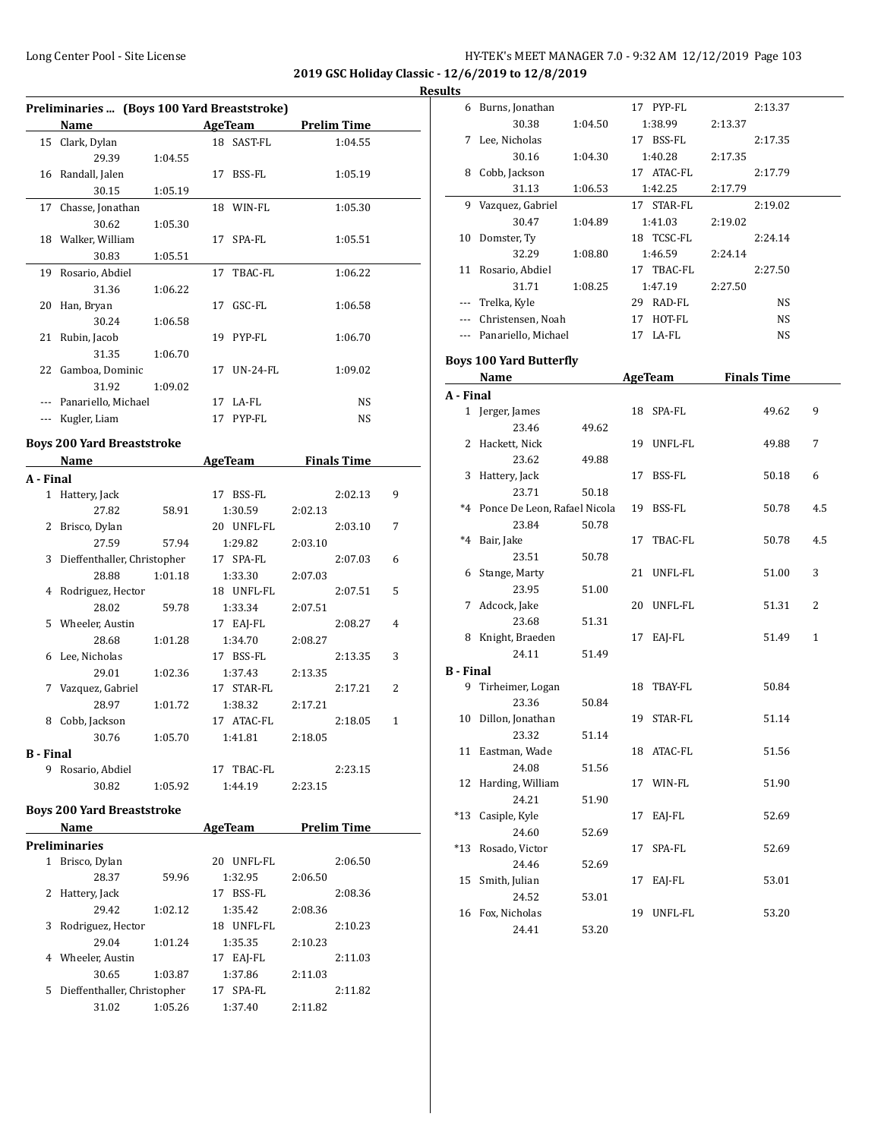**2019 GSC Holiday Classic - 12/6/2019 to 12/8/2019**

**Results**

|    | Preliminaries  (Boys 100 Yard Breaststroke) |                                                                                                                                                                              |             |                                      |   |
|----|---------------------------------------------|------------------------------------------------------------------------------------------------------------------------------------------------------------------------------|-------------|--------------------------------------|---|
|    | Name                                        | $\mathcal{L}^{\mathcal{L}}(\mathcal{L}^{\mathcal{L}})$ and $\mathcal{L}^{\mathcal{L}}(\mathcal{L}^{\mathcal{L}})$ and $\mathcal{L}^{\mathcal{L}}(\mathcal{L}^{\mathcal{L}})$ |             | AgeTeam Prelim Time                  |   |
| 15 | Clark, Dylan<br>29.39                       |                                                                                                                                                                              | 18 SAST-FL  | 1:04.55                              |   |
|    |                                             | 1:04.55                                                                                                                                                                      |             |                                      |   |
|    | 16 Randall, Jalen<br>30.15                  |                                                                                                                                                                              | 17 BSS-FL   | 1:05.19                              |   |
|    |                                             | 1:05.19                                                                                                                                                                      |             |                                      |   |
| 17 | Chasse, Jonathan                            |                                                                                                                                                                              | 18 WIN-FL   | 1:05.30                              |   |
|    | 30.62                                       | 1:05.30                                                                                                                                                                      |             |                                      |   |
|    | 18 Walker, William                          |                                                                                                                                                                              | 17 SPA-FL   | 1:05.51                              |   |
|    | 30.83                                       | 1:05.51                                                                                                                                                                      |             |                                      |   |
| 19 | Rosario, Abdiel                             |                                                                                                                                                                              | 17 TBAC-FL  | 1:06.22                              |   |
|    | 31.36                                       | 1:06.22                                                                                                                                                                      |             |                                      |   |
| 20 | Han, Bryan                                  |                                                                                                                                                                              | 17 GSC-FL   | 1:06.58                              |   |
|    | 30.24                                       | 1:06.58                                                                                                                                                                      |             |                                      |   |
| 21 | Rubin, Jacob                                |                                                                                                                                                                              | 19 PYP-FL   | 1:06.70                              |   |
|    | 31.35                                       | 1:06.70                                                                                                                                                                      |             |                                      |   |
|    | 22 Gamboa, Dominic                          |                                                                                                                                                                              | 17 UN-24-FL | 1:09.02                              |   |
|    | 31.92                                       | 1:09.02                                                                                                                                                                      |             |                                      |   |
|    | --- Panariello, Michael                     |                                                                                                                                                                              | 17 LA-FL    | NS                                   |   |
|    | --- Kugler, Liam                            |                                                                                                                                                                              | 17 PYP-FL   | NS                                   |   |
|    | <b>Boys 200 Yard Breaststroke</b>           |                                                                                                                                                                              |             |                                      |   |
|    | Name                                        |                                                                                                                                                                              |             | <b>Example 2 AgeTeam</b> Finals Time |   |
|    | A - Final                                   |                                                                                                                                                                              |             |                                      |   |
|    | 1 Hattery, Jack                             |                                                                                                                                                                              | 17 BSS-FL   | 2:02.13                              | 9 |
|    | 27.82                                       | 58.91                                                                                                                                                                        | 1:30.59     | 2:02.13                              |   |
|    | 2 Brisco, Dylan                             |                                                                                                                                                                              | 20 UNFL-FL  | 2:03.10                              | 7 |
|    | 27.59                                       | 57.94                                                                                                                                                                        | 1:29.82     | 2:03.10                              |   |
|    | 3 Dieffenthaller, Christopher               |                                                                                                                                                                              | 17 SPA-FL   | 2:07.03                              | 6 |
|    | 28.88                                       | 1:01.18                                                                                                                                                                      | 1:33.30     | 2:07.03                              |   |
| 4  | Rodriguez, Hector                           |                                                                                                                                                                              | 18 UNFL-FL  | 2:07.51                              | 5 |
|    | 28.02                                       | 59.78                                                                                                                                                                        | 1:33.34     | 2:07.51                              |   |
|    | 5 Wheeler, Austin                           |                                                                                                                                                                              | 17 EAJ-FL   | 2:08.27                              | 4 |
|    | 28.68                                       | 1:01.28                                                                                                                                                                      | 1:34.70     | 2:08.27                              |   |
|    | 6 Lee, Nicholas                             |                                                                                                                                                                              | 17 BSS-FL   | 2:13.35                              | 3 |
|    | 29.01                                       | 1:02.36                                                                                                                                                                      | 1:37.43     | 2:13.35                              |   |
|    | 7 Vazquez, Gabriel                          |                                                                                                                                                                              | 17 STAR-FL  | 2:17.21                              | 2 |
|    | 28.97                                       | 1:01.72                                                                                                                                                                      | 1:38.32     | 2:17.21                              |   |
|    | 8 Cobb, Jackson                             |                                                                                                                                                                              | 17 ATAC-FL  | 2:18.05                              | 1 |
|    | 30.76                                       | 1:05.70                                                                                                                                                                      | 1:41.81     | 2:18.05                              |   |
|    | <b>B</b> - Final                            |                                                                                                                                                                              |             |                                      |   |
|    | 9 Rosario, Abdiel                           |                                                                                                                                                                              | 17 TBAC-FL  | 2:23.15                              |   |
|    | 30.82                                       | 1:05.92                                                                                                                                                                      | 1:44.19     | 2:23.15                              |   |
|    |                                             |                                                                                                                                                                              |             |                                      |   |
|    | <b>Boys 200 Yard Breaststroke</b>           |                                                                                                                                                                              |             |                                      |   |
|    | Name                                        |                                                                                                                                                                              | AgeTeam     | <b>Prelim Time</b>                   |   |
|    | <b>Preliminaries</b>                        |                                                                                                                                                                              |             |                                      |   |
|    | 1 Brisco, Dylan                             |                                                                                                                                                                              | 20 UNFL-FL  | 2:06.50                              |   |
|    | 28.37                                       | 59.96                                                                                                                                                                        | 1:32.95     | 2:06.50                              |   |
|    | 2 Hattery, Jack                             |                                                                                                                                                                              | 17 BSS-FL   | 2:08.36                              |   |
|    | 29.42                                       | 1:02.12                                                                                                                                                                      | 1:35.42     | 2:08.36                              |   |
|    | 3 Rodriguez, Hector                         |                                                                                                                                                                              | 18 UNFL-FL  | 2:10.23                              |   |
|    | 29.04                                       | 1:01.24                                                                                                                                                                      | 1:35.35     | 2:10.23                              |   |
|    | 4 Wheeler, Austin                           |                                                                                                                                                                              | 17 EAJ-FL   | 2:11.03                              |   |
|    | 30.65                                       | 1:03.87                                                                                                                                                                      | 1:37.86     | 2:11.03                              |   |
|    |                                             |                                                                                                                                                                              | 17 SPA-FL   | 2:11.82                              |   |
|    | 5 Dieffenthaller, Christopher               |                                                                                                                                                                              |             |                                      |   |

| 1 L.J     |                                 |         |    |            |         |                    |              |
|-----------|---------------------------------|---------|----|------------|---------|--------------------|--------------|
|           | 6 Burns, Jonathan               |         |    | 17 PYP-FL  |         | 2:13.37            |              |
|           | 30.38                           | 1:04.50 |    | 1:38.99    | 2:13.37 |                    |              |
| 7         | Lee, Nicholas                   |         |    | 17 BSS-FL  |         | 2:17.35            |              |
|           | 30.16                           | 1:04.30 |    | 1:40.28    | 2:17.35 |                    |              |
| 8         | Cobb, Jackson                   |         |    | 17 ATAC-FL |         | 2:17.79            |              |
|           | 31.13                           | 1:06.53 |    | 1:42.25    | 2:17.79 |                    |              |
| 9         | Vazquez, Gabriel                |         |    | 17 STAR-FL |         | 2:19.02            |              |
|           | 30.47                           | 1:04.89 |    | 1:41.03    | 2:19.02 |                    |              |
| 10        | Domster, Ty                     |         |    | 18 TCSC-FL |         | 2:24.14            |              |
|           | 32.29                           | 1:08.80 |    | 1:46.59    | 2:24.14 |                    |              |
|           | 11 Rosario, Abdiel              |         |    | 17 TBAC-FL |         | 2:27.50            |              |
|           | 31.71                           | 1:08.25 |    | 1:47.19    | 2:27.50 |                    |              |
|           | --- Trelka, Kyle                |         |    | 29 RAD-FL  |         | NS                 |              |
|           | --- Christensen, Noah           |         |    | 17 HOT-FL  |         | NS                 |              |
|           | --- Panariello, Michael         |         |    | 17 LA-FL   |         | NS                 |              |
|           |                                 |         |    |            |         |                    |              |
|           | <b>Boys 100 Yard Butterfly</b>  |         |    |            |         |                    |              |
|           | Name                            |         |    | AgeTeam    |         | <b>Finals Time</b> |              |
| A - Final |                                 |         |    |            |         |                    |              |
|           | 1 Jerger, James                 |         |    | 18 SPA-FL  |         | 49.62              | 9            |
|           | 23.46                           | 49.62   |    |            |         |                    |              |
| 2         | Hackett, Nick                   |         | 19 | UNFL-FL    |         | 49.88              | 7            |
|           | 23.62                           | 49.88   |    |            |         |                    |              |
| 3         | Hattery, Jack                   |         | 17 | BSS-FL     |         | 50.18              | 6            |
|           | 23.71                           | 50.18   |    |            |         |                    |              |
|           | *4 Ponce De Leon, Rafael Nicola |         |    | 19 BSS-FL  |         | 50.78              | 4.5          |
|           | 23.84                           | 50.78   |    |            |         |                    |              |
| $^*4$     | Bair, Jake                      |         | 17 | TBAC-FL    |         | 50.78              | 4.5          |
|           | 23.51                           | 50.78   |    |            |         |                    |              |
| 6         | Stange, Marty                   |         | 21 | UNFL-FL    |         | 51.00              | 3            |
|           | 23.95                           | 51.00   |    |            |         |                    |              |
| 7         | Adcock, Jake                    |         |    | 20 UNFL-FL |         | 51.31              | 2            |
|           | 23.68                           | 51.31   |    |            |         |                    |              |
|           | 8 Knight, Braeden               |         | 17 | EAJ-FL     |         | 51.49              | $\mathbf{1}$ |
|           | 24.11                           | 51.49   |    |            |         |                    |              |
| B - Final |                                 |         |    |            |         |                    |              |
| 9         | Tirheimer, Logan                |         |    | 18 TBAY-FL |         | 50.84              |              |
|           | 23.36                           | 50.84   |    |            |         |                    |              |
| 10        | Dillon, Jonathan                |         |    | 19 STAR-FL |         | 51.14              |              |
|           | 23.32                           | 51.14   |    |            |         |                    |              |
| 11        | Eastman, Wade                   |         |    | 18 ATAC-FL |         | 51.56              |              |
|           | 24.08                           | 51.56   |    |            |         |                    |              |
| 12        | Harding, William                |         | 17 | WIN-FL     |         | 51.90              |              |
|           | 24.21                           | 51.90   |    |            |         |                    |              |
| $*13$     | Casiple, Kyle                   |         | 17 | EAJ-FL     |         | 52.69              |              |
|           | 24.60                           | 52.69   |    |            |         |                    |              |
| $*13$     | Rosado, Victor                  |         | 17 | SPA-FL     |         | 52.69              |              |
|           | 24.46                           | 52.69   |    |            |         |                    |              |
| 15        | Smith, Julian                   |         | 17 | EAJ-FL     |         | 53.01              |              |
|           | 24.52                           | 53.01   |    |            |         |                    |              |
| 16        | Fox, Nicholas                   |         | 19 | UNFL-FL    |         | 53.20              |              |
|           | 24.41                           | 53.20   |    |            |         |                    |              |
|           |                                 |         |    |            |         |                    |              |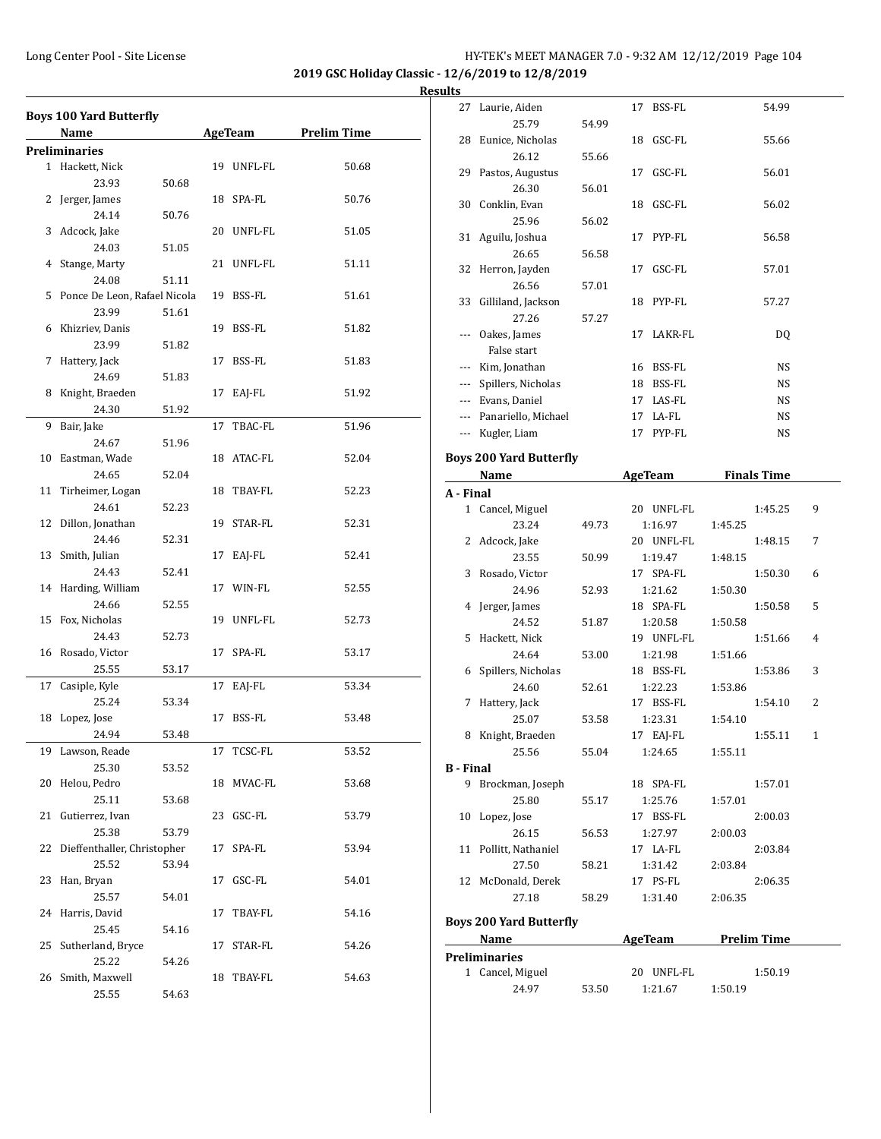**2019 GSC Holiday Classic - 12/6/2019 to 12/8/2019 Results**

|    | <b>Boys 100 Yard Butterfly</b><br>Name |       |    | AgeTeam    | <b>Prelim Time</b> |
|----|----------------------------------------|-------|----|------------|--------------------|
|    | <b>Preliminaries</b>                   |       |    |            |                    |
|    | 1 Hackett, Nick                        |       |    | 19 UNFL-FL | 50.68              |
|    | 23.93                                  | 50.68 |    |            |                    |
|    | 2 Jerger, James                        |       |    | 18 SPA-FL  | 50.76              |
|    | 24.14                                  | 50.76 |    |            |                    |
| 3  | Adcock, Jake                           |       |    | 20 UNFL-FL | 51.05              |
|    | 24.03                                  | 51.05 |    |            |                    |
|    | 4 Stange, Marty                        |       |    | 21 UNFL-FL | 51.11              |
|    | 24.08                                  | 51.11 |    |            |                    |
| 5  | Ponce De Leon, Rafael Nicola           |       |    | 19 BSS-FL  | 51.61              |
|    | 23.99                                  | 51.61 |    |            |                    |
|    | 6 Khizriev, Danis                      |       |    | 19 BSS-FL  | 51.82              |
|    | 23.99                                  | 51.82 |    |            |                    |
| 7  | Hattery, Jack                          |       |    | 17 BSS-FL  | 51.83              |
|    | 24.69                                  | 51.83 |    |            |                    |
| 8  | Knight, Braeden                        |       |    | 17 EAJ-FL  | 51.92              |
|    | 24.30                                  | 51.92 |    |            |                    |
| 9  | Bair, Jake                             |       | 17 | TBAC-FL    | 51.96              |
|    | 24.67                                  | 51.96 |    |            |                    |
|    | 10 Eastman, Wade                       |       |    | 18 ATAC-FL | 52.04              |
|    | 24.65                                  | 52.04 |    |            |                    |
| 11 | Tirheimer, Logan                       |       |    | 18 TBAY-FL | 52.23              |
|    | 24.61                                  | 52.23 |    |            |                    |
|    | 12 Dillon, Jonathan                    |       |    | 19 STAR-FL | 52.31              |
|    | 24.46                                  | 52.31 |    |            |                    |
|    | 13 Smith, Julian                       |       | 17 | EAJ-FL     | 52.41              |
|    | 24.43                                  | 52.41 |    |            |                    |
|    | 14 Harding, William                    |       |    | 17 WIN-FL  | 52.55              |
|    | 24.66                                  | 52.55 |    |            |                    |
| 15 | Fox, Nicholas                          |       |    | 19 UNFL-FL | 52.73              |
|    | 24.43                                  | 52.73 |    |            |                    |
|    | 16 Rosado, Victor                      |       |    | 17 SPA-FL  | 53.17              |
|    | 25.55                                  | 53.17 |    |            |                    |
| 17 | Casiple, Kyle                          |       |    | 17 EAJ-FL  | 53.34              |
|    | 25.24                                  | 53.34 |    |            |                    |
| 18 | Lopez, Jose                            |       | 17 | BSS-FL     | 53.48              |
|    | 24.94                                  | 53.48 |    |            |                    |
| 19 | Lawson, Reade                          |       | 17 | TCSC-FL    | 53.52              |
|    | 25.30                                  | 53.52 |    |            |                    |
| 20 | Helou, Pedro                           |       |    | 18 MVAC-FL | 53.68              |
|    | 25.11                                  | 53.68 |    |            |                    |
| 21 | Gutierrez, Ivan                        |       |    | 23 GSC-FL  | 53.79              |
|    | 25.38                                  | 53.79 |    |            |                    |
| 22 | Dieffenthaller, Christopher            |       | 17 | SPA-FL     | 53.94              |
|    | 25.52                                  | 53.94 |    |            |                    |
| 23 | Han, Bryan                             |       | 17 | GSC-FL     | 54.01              |
|    | 25.57                                  | 54.01 |    |            |                    |
| 24 | Harris, David                          |       | 17 | TBAY-FL    | 54.16              |
|    | 25.45                                  | 54.16 |    |            |                    |
| 25 | Sutherland, Bryce                      |       | 17 | STAR-FL    | 54.26              |
|    | 25.22                                  | 54.26 |    |            |                    |
| 26 | Smith, Maxwell                         |       | 18 | TBAY-FL    | 54.63              |
|    | 25.55                                  | 54.63 |    |            |                    |
|    |                                        |       |    |            |                    |

|                  | 27 Laurie, Aiden                      |       | 17 BSS-FL      | 54.99              |   |  |  |
|------------------|---------------------------------------|-------|----------------|--------------------|---|--|--|
|                  | 25.79                                 |       |                |                    |   |  |  |
|                  |                                       | 54.99 |                |                    |   |  |  |
|                  | 28 Eunice, Nicholas                   |       | 18 GSC-FL      | 55.66              |   |  |  |
|                  | 26.12                                 | 55.66 |                |                    |   |  |  |
|                  | 29 Pastos, Augustus                   |       | 17 GSC-FL      | 56.01              |   |  |  |
|                  | 26.30                                 | 56.01 |                |                    |   |  |  |
|                  | 30 Conklin, Evan                      |       | 18 GSC-FL      | 56.02              |   |  |  |
|                  | 25.96                                 | 56.02 |                |                    |   |  |  |
|                  | 31 Aguilu, Joshua                     |       | 17 PYP-FL      | 56.58              |   |  |  |
|                  | 26.65                                 | 56.58 |                |                    |   |  |  |
|                  | 32 Herron, Jayden                     |       | 17 GSC-FL      | 57.01              |   |  |  |
|                  | 26.56                                 | 57.01 |                |                    |   |  |  |
|                  | 33 Gilliland, Jackson                 |       | 18 PYP-FL      | 57.27              |   |  |  |
|                  | 27.26                                 | 57.27 |                |                    |   |  |  |
|                  | --- Oakes, James                      |       | 17 LAKR-FL     | DQ                 |   |  |  |
|                  | False start                           |       |                |                    |   |  |  |
|                  | --- Kim, Jonathan                     |       | 16 BSS-FL      | NS                 |   |  |  |
|                  | --- Spillers, Nicholas                |       | 18 BSS-FL      | NS                 |   |  |  |
|                  | --- Evans, Daniel                     |       | 17 LAS-FL      | NS                 |   |  |  |
|                  |                                       |       |                |                    |   |  |  |
|                  | --- Panariello, Michael               |       | 17 LA-FL       | NS                 |   |  |  |
|                  | --- Kugler, Liam                      |       | 17 PYP-FL      | NS                 |   |  |  |
|                  | <b>Boys 200 Yard Butterfly</b>        |       |                |                    |   |  |  |
|                  | Name                                  |       | <b>AgeTeam</b> | <b>Finals Time</b> |   |  |  |
| A - Final        |                                       |       |                |                    |   |  |  |
|                  | 1 Cancel, Miguel                      |       | 20 UNFL-FL     | 1:45.25            | 9 |  |  |
|                  | 23.24                                 | 49.73 | 1:16.97        | 1:45.25            |   |  |  |
|                  |                                       |       |                |                    |   |  |  |
|                  | 2 Adcock, Jake                        |       | 20 UNFL-FL     | 1:48.15            | 7 |  |  |
|                  | 23.55                                 | 50.99 | 1:19.47        | 1:48.15            |   |  |  |
| 3                | Rosado, Victor                        |       | 17 SPA-FL      | 1:50.30            | 6 |  |  |
|                  | 24.96                                 | 52.93 | 1:21.62        | 1:50.30            |   |  |  |
| 4                | Jerger, James                         |       | 18 SPA-FL      | 1:50.58            | 5 |  |  |
|                  | 24.52                                 | 51.87 | 1:20.58        | 1:50.58            |   |  |  |
| 5                | Hackett, Nick                         |       | 19 UNFL-FL     | 1:51.66            | 4 |  |  |
|                  | 24.64                                 | 53.00 | 1:21.98        | 1:51.66            |   |  |  |
|                  | 6 Spillers, Nicholas                  |       | 18 BSS-FL      | 1:53.86            | 3 |  |  |
|                  | 24.60                                 | 52.61 | 1:22.23        | 1:53.86            |   |  |  |
| 7                | Hattery, Jack                         |       | 17 BSS-FL      | 1:54.10            | 2 |  |  |
|                  | 25.07                                 | 53.58 | 1:23.31        | 1:54.10            |   |  |  |
| 8                | Knight, Braeden                       |       | 17 EAJ-FL      | 1:55.11            | 1 |  |  |
|                  | 25.56                                 | 55.04 | 1:24.65        | 1:55.11            |   |  |  |
| <b>B</b> - Final |                                       |       |                |                    |   |  |  |
|                  | 9 Brockman, Joseph                    |       | 18 SPA-FL      | 1:57.01            |   |  |  |
|                  | 25.80                                 | 55.17 | 1:25.76        | 1:57.01            |   |  |  |
|                  | 10 Lopez, Jose                        |       | 17 BSS-FL      | 2:00.03            |   |  |  |
|                  | 26.15                                 | 56.53 | 1:27.97        | 2:00.03            |   |  |  |
|                  | 11 Pollitt, Nathaniel                 |       | 17 LA-FL       | 2:03.84            |   |  |  |
|                  | 27.50                                 | 58.21 | 1:31.42        | 2:03.84            |   |  |  |
|                  | 12 McDonald, Derek                    |       | 17 PS-FL       | 2:06.35            |   |  |  |
|                  | 27.18                                 | 58.29 | 1:31.40        | 2:06.35            |   |  |  |
|                  |                                       |       |                |                    |   |  |  |
|                  | <b>Boys 200 Yard Butterfly</b>        |       |                |                    |   |  |  |
|                  | <b>Prelim Time</b><br>Name<br>AgeTeam |       |                |                    |   |  |  |
|                  | Preliminaries                         |       |                |                    |   |  |  |
|                  | 1 Cancel, Miguel                      |       | 20 UNFL-FL     | 1:50.19            |   |  |  |
|                  | 24.97                                 | 53.50 | 1:21.67        | 1:50.19            |   |  |  |
|                  |                                       |       |                |                    |   |  |  |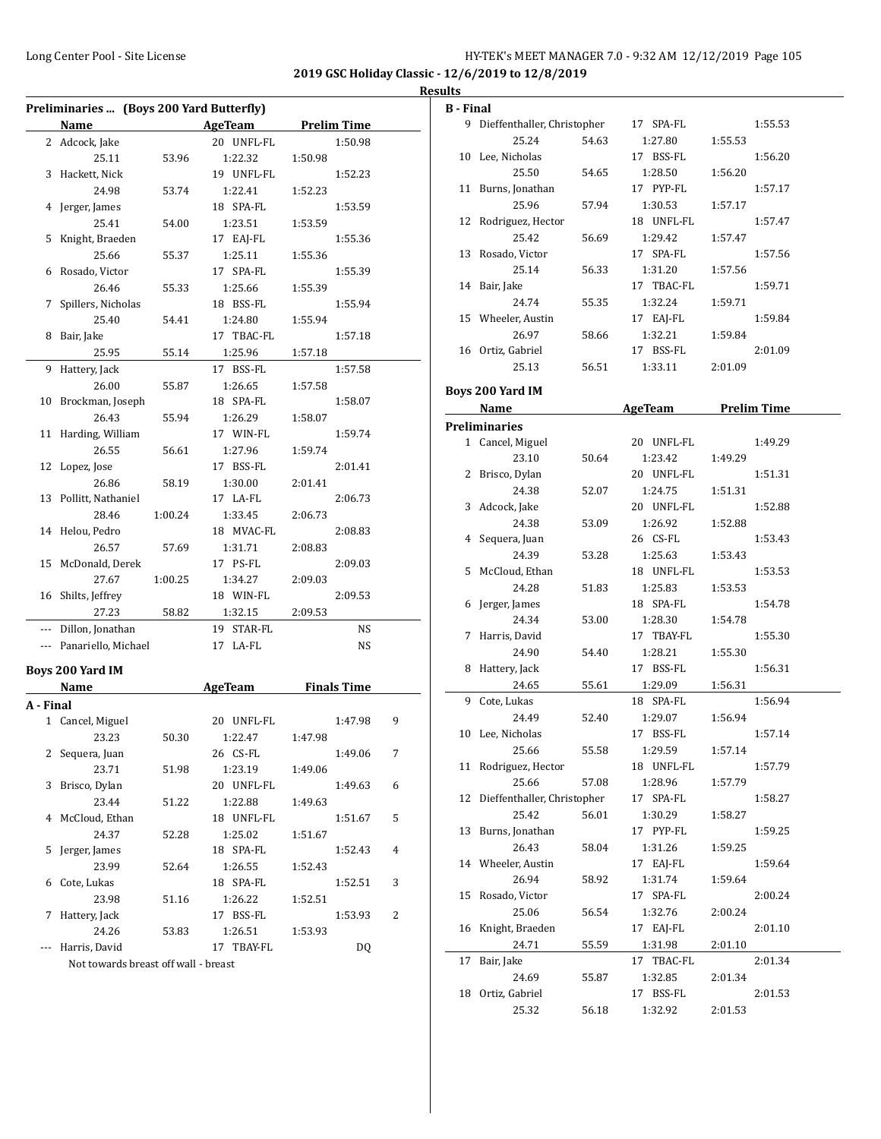| HY-TEK's MEET MANAGER 7.0 - 9:32 AM 12/12/2019 Page 105 |  |  |  |
|---------------------------------------------------------|--|--|--|
|---------------------------------------------------------|--|--|--|

|           | Preliminaries  (Boys 200 Yard Butterfly) |         |                |         |                    |   |  |
|-----------|------------------------------------------|---------|----------------|---------|--------------------|---|--|
|           | Name                                     |         | AgeTeam        |         | <b>Prelim Time</b> |   |  |
|           | 2 Adcock, Jake                           |         | 20 UNFL-FL     |         | 1:50.98            |   |  |
|           | 25.11                                    | 53.96   | 1:22.32        | 1:50.98 |                    |   |  |
| 3         | Hackett, Nick                            |         | 19 UNFL-FL     |         | 1:52.23            |   |  |
|           | 24.98                                    | 53.74   | 1:22.41        | 1:52.23 |                    |   |  |
| 4         | Jerger, James                            |         | 18 SPA-FL      |         | 1:53.59            |   |  |
|           | 25.41                                    | 54.00   | 1:23.51        | 1:53.59 |                    |   |  |
| 5         | Knight, Braeden                          |         | 17 EAJ-FL      |         | 1:55.36            |   |  |
|           | 25.66                                    | 55.37   | 1:25.11        | 1:55.36 |                    |   |  |
| 6         | Rosado, Victor                           |         | 17 SPA-FL      |         | 1:55.39            |   |  |
|           | 26.46                                    | 55.33   | 1:25.66        | 1:55.39 |                    |   |  |
| 7         | Spillers, Nicholas                       |         | 18 BSS-FL      |         | 1:55.94            |   |  |
|           | 25.40                                    | 54.41   | 1:24.80        | 1:55.94 |                    |   |  |
| 8         | Bair, Jake                               |         | 17 TBAC-FL     |         | 1:57.18            |   |  |
|           | 25.95                                    | 55.14   | 1:25.96        | 1:57.18 |                    |   |  |
| 9         | Hattery, Jack                            |         | 17 BSS-FL      |         | 1:57.58            |   |  |
|           | 26.00                                    | 55.87   | 1:26.65        | 1:57.58 |                    |   |  |
| 10        | Brockman, Joseph                         |         | 18 SPA-FL      |         | 1:58.07            |   |  |
|           | 26.43                                    | 55.94   | 1:26.29        | 1:58.07 |                    |   |  |
| 11        | Harding, William                         |         | 17 WIN-FL      |         | 1:59.74            |   |  |
|           | 26.55                                    | 56.61   | 1:27.96        | 1:59.74 |                    |   |  |
| 12        | Lopez, Jose                              |         | 17 BSS-FL      |         | 2:01.41            |   |  |
|           | 26.86                                    | 58.19   | 1:30.00        | 2:01.41 |                    |   |  |
| 13        | Pollitt, Nathaniel                       |         | 17 LA-FL       |         | 2:06.73            |   |  |
|           | 28.46                                    | 1:00.24 | 1:33.45        | 2:06.73 |                    |   |  |
|           | 14 Helou, Pedro                          |         | 18 MVAC-FL     |         | 2:08.83            |   |  |
|           | 26.57                                    | 57.69   | 1:31.71        | 2:08.83 |                    |   |  |
|           | 15 McDonald, Derek                       |         | 17 PS-FL       |         | 2:09.03            |   |  |
|           | 27.67                                    | 1:00.25 | 1:34.27        | 2:09.03 |                    |   |  |
|           | 16 Shilts, Jeffrey                       |         | 18 WIN-FL      |         | 2:09.53            |   |  |
|           | 27.23                                    | 58.82   | 1:32.15        | 2:09.53 |                    |   |  |
|           | --- Dillon, Jonathan                     |         | 19 STAR-FL     |         | NS                 |   |  |
|           | --- Panariello, Michael                  |         | 17 LA-FL       |         | NS                 |   |  |
|           |                                          |         |                |         |                    |   |  |
|           | Boys 200 Yard IM                         |         |                |         |                    |   |  |
|           | Name                                     |         | <b>AgeTeam</b> |         | <b>Finals Time</b> |   |  |
| A - Final |                                          |         |                |         |                    |   |  |
|           | 1 Cancel, Miguel                         |         | 20 UNFL-FL     |         | 1:47.98            | 9 |  |
|           | 23.23                                    | 50.30   | 1:22.47        | 1:47.98 |                    |   |  |
|           | 2 Sequera, Juan                          |         | 26 CS-FL       |         | 1:49.06            | 7 |  |
|           | 23.71                                    | 51.98   | 1:23.19        | 1:49.06 |                    |   |  |
| 3         | Brisco, Dylan                            |         | 20 UNFL-FL     |         | 1:49.63            | 6 |  |
|           | 23.44                                    | 51.22   | 1:22.88        | 1:49.63 |                    |   |  |
| 4         | McCloud, Ethan                           |         | 18 UNFL-FL     |         | 1:51.67            | 5 |  |
|           | 24.37                                    | 52.28   | 1:25.02        | 1:51.67 |                    |   |  |
| 5         | Jerger, James                            |         | 18 SPA-FL      |         | 1:52.43            | 4 |  |
|           | 23.99                                    | 52.64   | 1:26.55        | 1:52.43 |                    |   |  |
| 6         | Cote, Lukas                              |         | 18 SPA-FL      |         | 1:52.51            | 3 |  |
|           | 23.98                                    | 51.16   | 1:26.22        | 1:52.51 |                    |   |  |
| 7         | Hattery, Jack                            |         | 17 BSS-FL      |         | 1:53.93            | 2 |  |
|           | 24.26                                    | 53.83   | 1:26.51        | 1:53.93 |                    |   |  |
| ---       | Harris, David                            |         | 17 TBAY-FL     |         | DQ                 |   |  |
|           | Not towards breast off wall - breast     |         |                |         |                    |   |  |

| <b>B</b> - Final |                               |       |                |         |                    |  |
|------------------|-------------------------------|-------|----------------|---------|--------------------|--|
|                  | 9 Dieffenthaller, Christopher |       | 17 SPA-FL      |         | 1:55.53            |  |
|                  | 25.24                         | 54.63 | 1:27.80        | 1:55.53 |                    |  |
|                  | 10 Lee, Nicholas              |       | 17 BSS-FL      |         | 1:56.20            |  |
|                  | 25.50                         | 54.65 | 1:28.50        | 1:56.20 |                    |  |
|                  | 11 Burns, Jonathan            |       | 17 PYP-FL      |         | 1:57.17            |  |
|                  | 25.96                         | 57.94 | 1:30.53        | 1:57.17 |                    |  |
|                  | 12 Rodriguez, Hector          |       | 18 UNFL-FL     |         | 1:57.47            |  |
|                  | 25.42                         | 56.69 | 1:29.42        | 1:57.47 |                    |  |
|                  | 13 Rosado, Victor             |       | 17 SPA-FL      |         | 1:57.56            |  |
|                  | 25.14                         | 56.33 | 1:31.20        | 1:57.56 |                    |  |
|                  | 14 Bair, Jake                 |       | 17 TBAC-FL     |         | 1:59.71            |  |
|                  | 24.74                         | 55.35 | 1:32.24        | 1:59.71 |                    |  |
|                  | 15 Wheeler, Austin            |       | 17 EAJ-FL      |         | 1:59.84            |  |
|                  | 26.97                         | 58.66 | 1:32.21        | 1:59.84 |                    |  |
|                  | 16 Ortiz, Gabriel             |       | 17 BSS-FL      |         | 2:01.09            |  |
|                  | 25.13                         | 56.51 | 1:33.11        | 2:01.09 |                    |  |
|                  |                               |       |                |         |                    |  |
|                  | <b>Boys 200 Yard IM</b>       |       |                |         |                    |  |
|                  | Name                          |       | <b>AgeTeam</b> |         | <b>Prelim Time</b> |  |
|                  | <b>Preliminaries</b>          |       |                |         |                    |  |
|                  | 1 Cancel, Miguel              |       | 20 UNFL-FL     |         | 1:49.29            |  |
|                  | 23.10                         | 50.64 | 1:23.42        | 1:49.29 |                    |  |
|                  | 2 Brisco, Dylan               |       | 20 UNFL-FL     |         | 1:51.31            |  |
|                  | 24.38                         | 52.07 | 1:24.75        | 1:51.31 |                    |  |
|                  | 3 Adcock, Jake                |       | 20 UNFL-FL     |         | 1:52.88            |  |
|                  | 24.38                         | 53.09 | 1:26.92        | 1:52.88 |                    |  |
|                  | 4 Sequera, Juan               |       | 26 CS-FL       |         | 1:53.43            |  |
|                  | 24.39                         | 53.28 | 1:25.63        | 1:53.43 |                    |  |
|                  | 5 McCloud, Ethan              |       | 18 UNFL-FL     |         | 1:53.53            |  |
|                  | 24.28                         | 51.83 | 1:25.83        | 1:53.53 |                    |  |
|                  | 6 Jerger, James               |       | 18 SPA-FL      |         | 1:54.78            |  |
|                  | 24.34                         | 53.00 | 1:28.30        | 1:54.78 |                    |  |
|                  | 7 Harris, David               |       | 17 TBAY-FL     |         | 1:55.30            |  |
|                  | 24.90                         | 54.40 | 1:28.21        | 1:55.30 |                    |  |
|                  | 8 Hattery, Jack               |       | 17 BSS-FL      |         | 1:56.31            |  |
|                  |                               |       |                |         |                    |  |
|                  | 24.65                         | 55.61 | 1:29.09        | 1:56.31 |                    |  |
|                  | 9 Cote, Lukas                 |       | 18 SPA-FL      |         | 1:56.94            |  |
|                  | 24.49                         | 52.40 | 1:29.07        | 1:56.94 |                    |  |
|                  | 10 Lee, Nicholas              |       | 17 BSS-FL      |         | 1:57.14            |  |
|                  | 25.66                         | 55.58 | 1:29.59        | 1:57.14 |                    |  |
| 11               | Rodriguez, Hector             |       | 18 UNFL-FL     |         | 1:57.79            |  |
|                  | 25.66                         | 57.08 | 1:28.96        | 1:57.79 |                    |  |
| 12               | Dieffenthaller, Christopher   |       | 17 SPA-FL      |         | 1:58.27            |  |
|                  | 25.42                         | 56.01 | 1:30.29        | 1:58.27 |                    |  |
| 13               | Burns, Jonathan               |       | 17 PYP-FL      |         | 1:59.25            |  |
|                  | 26.43                         | 58.04 | 1:31.26        | 1:59.25 |                    |  |
| 14               | Wheeler, Austin               |       | 17 EAJ-FL      |         | 1:59.64            |  |
|                  | 26.94                         | 58.92 | 1:31.74        | 1:59.64 |                    |  |
| 15               | Rosado, Victor                |       | 17 SPA-FL      |         | 2:00.24            |  |
|                  | 25.06                         | 56.54 | 1:32.76        | 2:00.24 |                    |  |
| 16               | Knight, Braeden               |       | 17 EAJ-FL      |         | 2:01.10            |  |
|                  | 24.71                         | 55.59 | 1:31.98        | 2:01.10 |                    |  |
| 17               | Bair, Jake                    |       | 17 TBAC-FL     |         | 2:01.34            |  |
|                  | 24.69                         | 55.87 | 1:32.85        | 2:01.34 |                    |  |
| 18               | Ortiz, Gabriel                |       | 17 BSS-FL      |         | 2:01.53            |  |
|                  | 25.32                         | 56.18 | 1:32.92        | 2:01.53 |                    |  |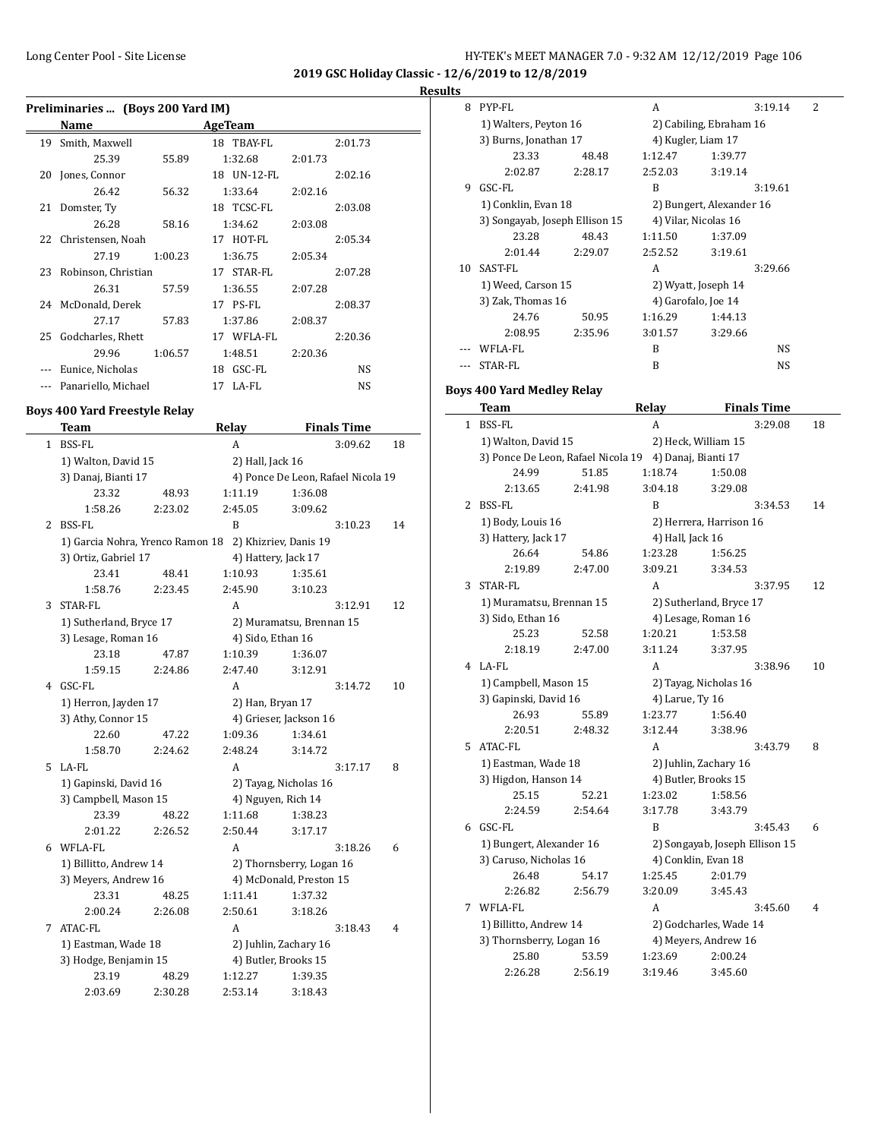| HY-TEK's MEET MANAGER 7.0 - 9:32 AM 12/12/2019 Page 106 |  |  |  |
|---------------------------------------------------------|--|--|--|
|---------------------------------------------------------|--|--|--|

| Results |  |
|---------|--|
|         |  |

|    | Preliminaries  (Boys 200 Yard IM) |         |              |         |         |  |
|----|-----------------------------------|---------|--------------|---------|---------|--|
|    | Name                              |         | AgeTeam      |         |         |  |
| 19 | Smith, Maxwell                    |         | 18 TBAY-FL   |         | 2:01.73 |  |
|    | 25.39                             | 55.89   | 1:32.68      | 2:01.73 |         |  |
| 20 | Jones, Connor                     |         | 18 UN-12-FL  |         | 2:02.16 |  |
|    | 26.42                             | 56.32   | 1:33.64      | 2:02.16 |         |  |
| 21 | Domster, Ty                       |         | 18 TCSC-FL   |         | 2:03.08 |  |
|    | 26.28                             | 58.16   | 1:34.62      | 2:03.08 |         |  |
|    | 22 Christensen, Noah              |         | 17 HOT-FL    |         | 2:05.34 |  |
|    | 27.19                             | 1:00.23 | 1:36.75      | 2:05.34 |         |  |
| 23 | Robinson, Christian               |         | 17 STAR-FL   |         | 2:07.28 |  |
|    | 26.31                             | 57.59   | 1:36.55      | 2:07.28 |         |  |
|    | 24 McDonald, Derek                |         | 17 PS-FL     |         | 2:08.37 |  |
|    | 27.17                             | 57.83   | 1:37.86      | 2:08.37 |         |  |
| 25 | Godcharles, Rhett                 |         | 17 WFLA-FL   |         | 2:20.36 |  |
|    | 29.96                             | 1:06.57 | 1:48.51      | 2:20.36 |         |  |
|    | Eunice, Nicholas                  |         | GSC-FL<br>18 |         | NS.     |  |
|    | Panariello, Michael               |         | 17 LA-FL     |         | NS      |  |

# **Boys 400 Yard Freestyle Relay**

|   | <b>Team</b>                      |         | Relay                |                          | <b>Finals Time</b>                 |    |
|---|----------------------------------|---------|----------------------|--------------------------|------------------------------------|----|
| 1 | <b>BSS-FL</b>                    |         | А                    |                          | 3:09.62                            | 18 |
|   | 1) Walton, David 15              |         | 2) Hall, Jack 16     |                          |                                    |    |
|   | 3) Danaj, Bianti 17              |         |                      |                          | 4) Ponce De Leon, Rafael Nicola 19 |    |
|   | 23.32                            | 48.93   | 1:11.19              | 1:36.08                  |                                    |    |
|   | 1:58.26                          | 2:23.02 | 2:45.05              | 3:09.62                  |                                    |    |
| 2 | <b>BSS-FL</b>                    |         | B                    |                          | 3:10.23                            | 14 |
|   | 1) Garcia Nohra, Yrenco Ramon 18 |         |                      | 2) Khizriev, Danis 19    |                                    |    |
|   | 3) Ortiz, Gabriel 17             |         | 4) Hattery, Jack 17  |                          |                                    |    |
|   | 23.41                            | 48.41   | 1:10.93              | 1:35.61                  |                                    |    |
|   | 1:58.76                          | 2:23.45 | 2:45.90              | 3:10.23                  |                                    |    |
| 3 | STAR-FL                          |         | A                    |                          | 3:12.91                            | 12 |
|   | 1) Sutherland, Bryce 17          |         |                      | 2) Muramatsu, Brennan 15 |                                    |    |
|   | 3) Lesage, Roman 16              |         | 4) Sido, Ethan 16    |                          |                                    |    |
|   | 23.18                            | 47.87   | 1:10.39              | 1:36.07                  |                                    |    |
|   | 1:59.15                          | 2:24.86 | 2:47.40              | 3:12.91                  |                                    |    |
| 4 | GSC-FL                           |         | A                    |                          | 3:14.72                            | 10 |
|   | 1) Herron, Jayden 17             |         | 2) Han, Bryan 17     |                          |                                    |    |
|   | 3) Athy, Connor 15               |         |                      | 4) Grieser, Jackson 16   |                                    |    |
|   | 22.60                            | 47.22   | 1:09.36              | 1:34.61                  |                                    |    |
|   | 1:58.70                          | 2:24.62 | 2:48.24              | 3:14.72                  |                                    |    |
| 5 | LA-FL                            |         | A                    |                          | 3:17.17                            | 8  |
|   | 1) Gapinski, David 16            |         |                      | 2) Tayag, Nicholas 16    |                                    |    |
|   | 3) Campbell, Mason 15            |         | 4) Nguyen, Rich 14   |                          |                                    |    |
|   | 23.39                            | 48.22   | 1:11.68              | 1:38.23                  |                                    |    |
|   | 2:01.22                          | 2:26.52 | 2:50.44              | 3:17.17                  |                                    |    |
| 6 | WFLA-FL                          |         | A                    |                          | 3:18.26                            | 6  |
|   | 1) Billitto, Andrew 14           |         |                      | 2) Thornsberry, Logan 16 |                                    |    |
|   | 3) Meyers, Andrew 16             |         |                      | 4) McDonald, Preston 15  |                                    |    |
|   | 23.31                            | 48.25   | 1:11.41              | 1:37.32                  |                                    |    |
|   | 2:00.24                          | 2:26.08 | 2:50.61              | 3:18.26                  |                                    |    |
| 7 | ATAC-FL                          |         | A                    |                          | 3:18.43                            | 4  |
|   | 1) Eastman, Wade 18              |         |                      | 2) Juhlin, Zachary 16    |                                    |    |
|   | 3) Hodge, Benjamin 15            |         | 4) Butler, Brooks 15 |                          |                                    |    |
|   | 23.19                            | 48.29   | 1:12.27              | 1:39.35                  |                                    |    |
|   | 2:03.69                          | 2:30.28 | 2:53.14              | 3:18.43                  |                                    |    |

| w  |                                |         |                          |         |         |   |
|----|--------------------------------|---------|--------------------------|---------|---------|---|
| 8  | PYP-FL                         |         | A                        |         | 3:19.14 | 2 |
|    | 1) Walters, Peyton 16          |         | 2) Cabiling, Ebraham 16  |         |         |   |
|    | 3) Burns, Jonathan 17          |         | 4) Kugler, Liam 17       |         |         |   |
|    | 23.33                          | 48.48   | 1:12.47                  | 1:39.77 |         |   |
|    | 2:02.87                        | 2:28.17 | 2:52.03                  | 3:19.14 |         |   |
| 9  | GSC-FL                         |         | B                        |         | 3:19.61 |   |
|    | 1) Conklin, Evan 18            |         | 2) Bungert, Alexander 16 |         |         |   |
|    | 3) Songayab, Joseph Ellison 15 |         | 4) Vilar, Nicolas 16     |         |         |   |
|    | 23.28                          | 48.43   | 1:11.50                  | 1:37.09 |         |   |
|    | 2:01.44                        | 2:29.07 | 2:52.52                  | 3:19.61 |         |   |
| 10 | SAST-FL                        |         | A                        |         | 3:29.66 |   |
|    | 1) Weed, Carson 15             |         | 2) Wyatt, Joseph 14      |         |         |   |
|    | 3) Zak, Thomas 16              |         | 4) Garofalo, Joe 14      |         |         |   |
|    | 24.76                          | 50.95   | 1:16.29                  | 1:44.13 |         |   |
|    | 2:08.95                        | 2:35.96 | 3:01.57                  | 3:29.66 |         |   |
|    | WFLA-FL                        |         | R                        |         | NS      |   |
|    | STAR-FL                        |         | B                        |         | NS      |   |
|    |                                |         |                          |         |         |   |

# **Boys 400 Yard Medley Relay**

|   | Team                               |         | Relay               | <b>Finals Time</b>             |    |
|---|------------------------------------|---------|---------------------|--------------------------------|----|
| 1 | <b>BSS-FL</b>                      |         | A                   | 3:29.08                        | 18 |
|   | 1) Walton, David 15                |         | 2) Heck, William 15 |                                |    |
|   | 3) Ponce De Leon, Rafael Nicola 19 |         | 4) Danaj, Bianti 17 |                                |    |
|   | 24.99                              | 51.85   | 1:18.74             | 1:50.08                        |    |
|   | 2:13.65                            | 2:41.98 | 3:04.18             | 3:29.08                        |    |
| 2 | BSS-FL                             |         | B                   | 3:34.53                        | 14 |
|   | 1) Body, Louis 16                  |         |                     | 2) Herrera, Harrison 16        |    |
|   | 3) Hattery, Jack 17                |         | 4) Hall, Jack 16    |                                |    |
|   | 26.64                              | 54.86   | 1:23.28             | 1:56.25                        |    |
|   | 2:19.89                            | 2:47.00 | 3:09.21             | 3:34.53                        |    |
| 3 | STAR-FL                            |         | А                   | 3:37.95                        | 12 |
|   | 1) Muramatsu, Brennan 15           |         |                     | 2) Sutherland, Bryce 17        |    |
|   | 3) Sido, Ethan 16                  |         |                     | 4) Lesage, Roman 16            |    |
|   | 25.23                              | 52.58   | 1:20.21             | 1:53.58                        |    |
|   | 2:18.19                            | 2:47.00 | 3:11.24             | 3:37.95                        |    |
| 4 | LA-FL                              |         | A                   | 3:38.96                        | 10 |
|   | 1) Campbell, Mason 15              |         |                     | 2) Tayag, Nicholas 16          |    |
|   | 3) Gapinski, David 16              |         | 4) Larue, Ty 16     |                                |    |
|   | 26.93                              | 55.89   | 1:23.77             | 1:56.40                        |    |
|   | 2:20.51                            | 2:48.32 | 3:12.44             | 3:38.96                        |    |
| 5 | ATAC-FL                            |         | A                   | 3:43.79                        | 8  |
|   | 1) Eastman, Wade 18                |         |                     | 2) Juhlin, Zachary 16          |    |
|   | 3) Higdon, Hanson 14               |         |                     | 4) Butler, Brooks 15           |    |
|   | 25.15                              | 52.21   | 1:23.02             | 1:58.56                        |    |
|   | 2:24.59                            | 2:54.64 | 3:17.78             | 3:43.79                        |    |
| 6 | GSC-FL                             |         | R                   | 3:45.43                        | 6  |
|   | 1) Bungert, Alexander 16           |         |                     | 2) Songayab, Joseph Ellison 15 |    |
|   | 3) Caruso, Nicholas 16             |         | 4) Conklin, Evan 18 |                                |    |
|   | 26.48                              | 54.17   | 1:25.45             | 2:01.79                        |    |
|   | 2:26.82                            | 2:56.79 | 3:20.09             | 3:45.43                        |    |
| 7 | WFLA-FL                            |         | A                   | 3:45.60                        | 4  |
|   | 1) Billitto, Andrew 14             |         |                     | 2) Godcharles, Wade 14         |    |
|   | 3) Thornsberry, Logan 16           |         |                     | 4) Meyers, Andrew 16           |    |
|   | 25.80                              | 53.59   | 1:23.69             | 2:00.24                        |    |
|   | 2:26.28                            | 2:56.19 | 3:19.46             | 3:45.60                        |    |